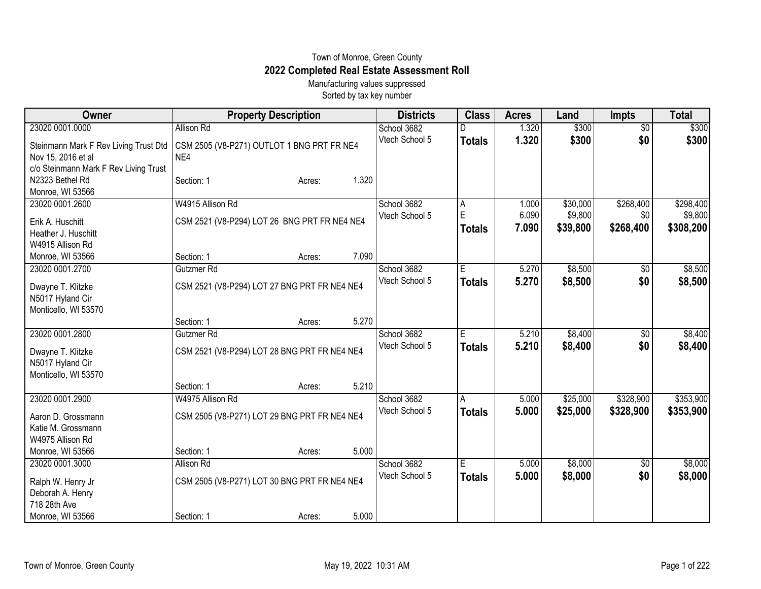## Town of Monroe, Green County **2022 Completed Real Estate Assessment Roll**

Manufacturing values suppressed Sorted by tax key number

| Owner                                    | <b>Property Description</b>                  |       | <b>Districts</b> | <b>Class</b>  | <b>Acres</b> | Land     | <b>Impts</b>    | <b>Total</b> |
|------------------------------------------|----------------------------------------------|-------|------------------|---------------|--------------|----------|-----------------|--------------|
| 23020 0001.0000                          | Allison Rd                                   |       | School 3682      |               | 1.320        | \$300    | $\overline{60}$ | \$300        |
| Steinmann Mark F Rev Living Trust Dtd    | CSM 2505 (V8-P271) OUTLOT 1 BNG PRT FR NE4   |       | Vtech School 5   | <b>Totals</b> | 1.320        | \$300    | \$0             | \$300        |
| Nov 15, 2016 et al                       | NE4                                          |       |                  |               |              |          |                 |              |
| c/o Steinmann Mark F Rev Living Trust    |                                              |       |                  |               |              |          |                 |              |
| N2323 Bethel Rd                          | Section: 1<br>Acres:                         | 1.320 |                  |               |              |          |                 |              |
| Monroe, WI 53566                         |                                              |       |                  |               |              |          |                 |              |
| 23020 0001.2600                          | W4915 Allison Rd                             |       | School 3682      | A             | 1.000        | \$30,000 | \$268,400       | \$298,400    |
| Erik A. Huschitt                         | CSM 2521 (V8-P294) LOT 26 BNG PRT FR NE4 NE4 |       | Vtech School 5   | E             | 6.090        | \$9,800  | \$0             | \$9,800      |
| Heather J. Huschitt                      |                                              |       |                  | <b>Totals</b> | 7.090        | \$39,800 | \$268,400       | \$308,200    |
| W4915 Allison Rd                         |                                              |       |                  |               |              |          |                 |              |
| Monroe, WI 53566                         | Section: 1<br>Acres:                         | 7.090 |                  |               |              |          |                 |              |
| 23020 0001.2700                          | Gutzmer Rd                                   |       | School 3682      | E             | 5.270        | \$8,500  | $\sqrt{$0}$     | \$8,500      |
|                                          |                                              |       | Vtech School 5   | <b>Totals</b> | 5.270        | \$8,500  | \$0             | \$8,500      |
| Dwayne T. Klitzke                        | CSM 2521 (V8-P294) LOT 27 BNG PRT FR NE4 NE4 |       |                  |               |              |          |                 |              |
| N5017 Hyland Cir<br>Monticello, WI 53570 |                                              |       |                  |               |              |          |                 |              |
|                                          | Section: 1<br>Acres:                         | 5.270 |                  |               |              |          |                 |              |
| 23020 0001.2800                          | Gutzmer Rd                                   |       | School 3682      | E             | 5.210        | \$8,400  | $\overline{60}$ | \$8,400      |
|                                          |                                              |       | Vtech School 5   | <b>Totals</b> | 5.210        | \$8,400  | \$0             | \$8,400      |
| Dwayne T. Klitzke                        | CSM 2521 (V8-P294) LOT 28 BNG PRT FR NE4 NE4 |       |                  |               |              |          |                 |              |
| N5017 Hyland Cir                         |                                              |       |                  |               |              |          |                 |              |
| Monticello, WI 53570                     | Section: 1                                   | 5.210 |                  |               |              |          |                 |              |
| 23020 0001.2900                          | Acres:<br>W4975 Allison Rd                   |       | School 3682      |               | 5.000        | \$25,000 | \$328,900       | \$353,900    |
|                                          |                                              |       | Vtech School 5   | A             |              |          |                 |              |
| Aaron D. Grossmann                       | CSM 2505 (V8-P271) LOT 29 BNG PRT FR NE4 NE4 |       |                  | <b>Totals</b> | 5.000        | \$25,000 | \$328,900       | \$353,900    |
| Katie M. Grossmann                       |                                              |       |                  |               |              |          |                 |              |
| W4975 Allison Rd                         |                                              |       |                  |               |              |          |                 |              |
| Monroe, WI 53566                         | Section: 1<br>Acres:                         | 5.000 |                  |               |              |          |                 |              |
| 23020 0001.3000                          | Allison Rd                                   |       | School 3682      | Έ             | 5.000        | \$8,000  | $\sqrt[6]{3}$   | \$8,000      |
| Ralph W. Henry Jr                        | CSM 2505 (V8-P271) LOT 30 BNG PRT FR NE4 NE4 |       | Vtech School 5   | <b>Totals</b> | 5.000        | \$8,000  | \$0             | \$8,000      |
| Deborah A. Henry                         |                                              |       |                  |               |              |          |                 |              |
| 718 28th Ave                             |                                              |       |                  |               |              |          |                 |              |
| Monroe, WI 53566                         | Section: 1<br>Acres:                         | 5.000 |                  |               |              |          |                 |              |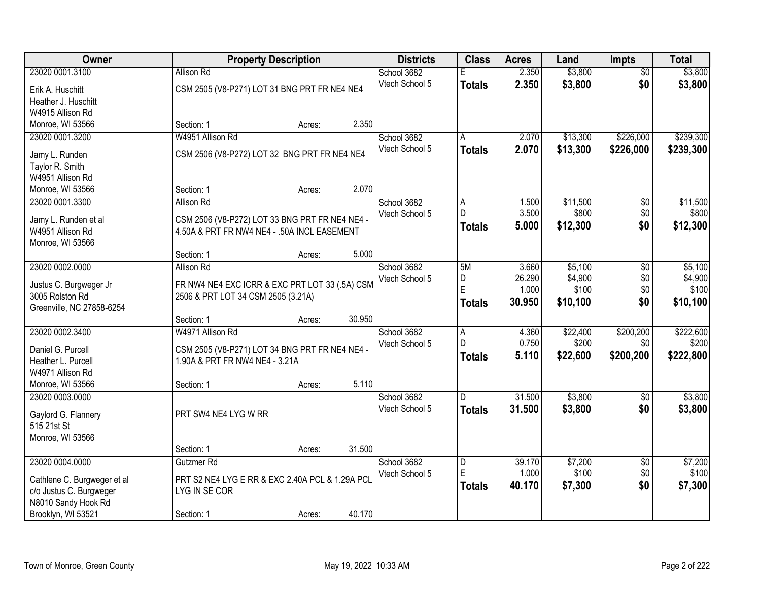| <b>Owner</b>                                 |                                                                                               | <b>Property Description</b> |        | <b>Districts</b> | <b>Class</b>   | <b>Acres</b> | Land     | <b>Impts</b>           | <b>Total</b> |
|----------------------------------------------|-----------------------------------------------------------------------------------------------|-----------------------------|--------|------------------|----------------|--------------|----------|------------------------|--------------|
| 23020 0001.3100                              | <b>Allison Rd</b>                                                                             |                             |        | School 3682      | E              | 2.350        | \$3,800  | $\overline{50}$        | \$3,800      |
| Erik A. Huschitt                             | CSM 2505 (V8-P271) LOT 31 BNG PRT FR NE4 NE4                                                  |                             |        | Vtech School 5   | <b>Totals</b>  | 2.350        | \$3,800  | \$0                    | \$3,800      |
| Heather J. Huschitt                          |                                                                                               |                             |        |                  |                |              |          |                        |              |
| W4915 Allison Rd                             |                                                                                               |                             |        |                  |                |              |          |                        |              |
| Monroe, WI 53566                             | Section: 1                                                                                    | Acres:                      | 2.350  |                  |                |              |          |                        |              |
| 23020 0001.3200                              | W4951 Allison Rd                                                                              |                             |        | School 3682      | A              | 2.070        | \$13,300 | \$226,000              | \$239,300    |
| Jamy L. Runden                               | CSM 2506 (V8-P272) LOT 32 BNG PRT FR NE4 NE4                                                  |                             |        | Vtech School 5   | Totals         | 2.070        | \$13,300 | \$226,000              | \$239,300    |
| Taylor R. Smith                              |                                                                                               |                             |        |                  |                |              |          |                        |              |
| W4951 Allison Rd                             |                                                                                               |                             |        |                  |                |              |          |                        |              |
| Monroe, WI 53566                             | Section: 1                                                                                    | Acres:                      | 2.070  |                  |                |              |          |                        |              |
| 23020 0001.3300                              | Allison Rd                                                                                    |                             |        | School 3682      | A              | 1.500        | \$11,500 | \$0                    | \$11,500     |
|                                              |                                                                                               |                             |        | Vtech School 5   | $\mathsf{D}$   | 3.500        | \$800    | \$0                    | \$800        |
| Jamy L. Runden et al<br>W4951 Allison Rd     | CSM 2506 (V8-P272) LOT 33 BNG PRT FR NE4 NE4 -<br>4.50A & PRT FR NW4 NE4 - .50A INCL EASEMENT |                             |        |                  | <b>Totals</b>  | 5.000        | \$12,300 | \$0                    | \$12,300     |
| Monroe, WI 53566                             |                                                                                               |                             |        |                  |                |              |          |                        |              |
|                                              | Section: 1                                                                                    | Acres:                      | 5.000  |                  |                |              |          |                        |              |
| 23020 0002.0000                              | <b>Allison Rd</b>                                                                             |                             |        | School 3682      | 5M             | 3.660        | \$5,100  | \$0                    | \$5,100      |
|                                              |                                                                                               |                             |        | Vtech School 5   | D              | 26.290       | \$4,900  | \$0                    | \$4,900      |
| Justus C. Burgweger Jr                       | FR NW4 NE4 EXC ICRR & EXC PRT LOT 33 (.5A) CSM                                                |                             |        |                  | E              | 1.000        | \$100    | \$0                    | \$100        |
| 3005 Rolston Rd<br>Greenville, NC 27858-6254 | 2506 & PRT LOT 34 CSM 2505 (3.21A)                                                            |                             |        |                  | Totals         | 30.950       | \$10,100 | \$0                    | \$10,100     |
|                                              | Section: 1                                                                                    | Acres:                      | 30.950 |                  |                |              |          |                        |              |
| 23020 0002.3400                              | W4971 Allison Rd                                                                              |                             |        | School 3682      | $\overline{A}$ | 4.360        | \$22,400 | \$200,200              | \$222,600    |
|                                              |                                                                                               |                             |        | Vtech School 5   | $\mathsf{D}$   | 0.750        | \$200    | \$0                    | \$200        |
| Daniel G. Purcell                            | CSM 2505 (V8-P271) LOT 34 BNG PRT FR NE4 NE4 -                                                |                             |        |                  | <b>Totals</b>  | 5.110        | \$22,600 | \$200,200              | \$222,800    |
| Heather L. Purcell                           | 1.90A & PRT FR NW4 NE4 - 3.21A                                                                |                             |        |                  |                |              |          |                        |              |
| W4971 Allison Rd<br>Monroe, WI 53566         | Section: 1                                                                                    | Acres:                      | 5.110  |                  |                |              |          |                        |              |
| 23020 0003.0000                              |                                                                                               |                             |        | School 3682      | D.             | 31.500       | \$3,800  | \$0                    | \$3,800      |
|                                              |                                                                                               |                             |        | Vtech School 5   | <b>Totals</b>  | 31.500       | \$3,800  | \$0                    | \$3,800      |
| Gaylord G. Flannery                          | PRT SW4 NE4 LYG W RR                                                                          |                             |        |                  |                |              |          |                        |              |
| 515 21st St                                  |                                                                                               |                             |        |                  |                |              |          |                        |              |
| Monroe, WI 53566                             |                                                                                               |                             | 31.500 |                  |                |              |          |                        |              |
| 23020 0004.0000                              | Section: 1<br>Gutzmer Rd                                                                      | Acres:                      |        | School 3682      |                | 39.170       | \$7,200  |                        | \$7,200      |
|                                              |                                                                                               |                             |        | Vtech School 5   | D<br>E         | 1.000        | \$100    | $\overline{30}$<br>\$0 | \$100        |
| Cathlene C. Burgweger et al                  | PRT S2 NE4 LYG E RR & EXC 2.40A PCL & 1.29A PCL                                               |                             |        |                  | <b>Totals</b>  | 40.170       | \$7,300  | \$0                    | \$7,300      |
| c/o Justus C. Burgweger                      | LYG IN SE COR                                                                                 |                             |        |                  |                |              |          |                        |              |
| N8010 Sandy Hook Rd                          |                                                                                               |                             |        |                  |                |              |          |                        |              |
| Brooklyn, WI 53521                           | Section: 1                                                                                    | Acres:                      | 40.170 |                  |                |              |          |                        |              |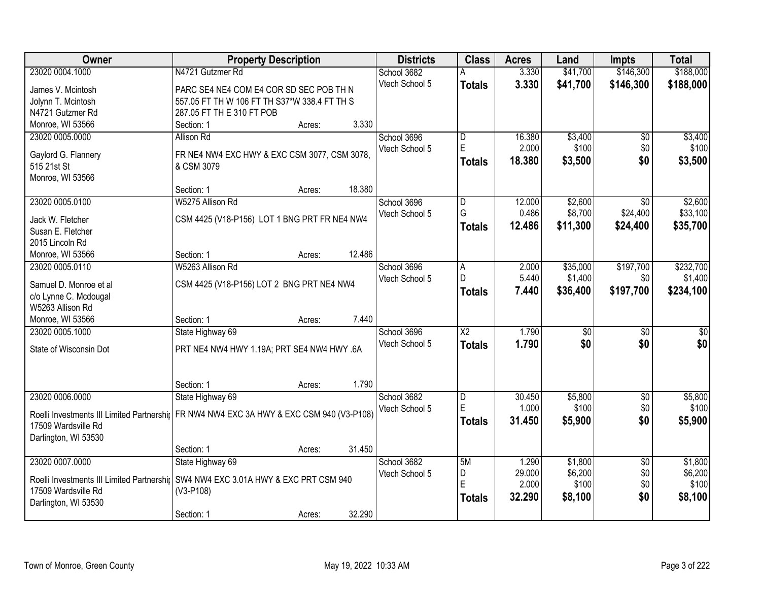| <b>Owner</b>                              | <b>Property Description</b>                                                                | <b>Districts</b> | <b>Class</b>           | <b>Acres</b> | Land     | Impts           | <b>Total</b> |
|-------------------------------------------|--------------------------------------------------------------------------------------------|------------------|------------------------|--------------|----------|-----------------|--------------|
| 23020 0004.1000                           | N4721 Gutzmer Rd                                                                           | School 3682      | А                      | 3.330        | \$41,700 | \$146,300       | \$188,000    |
| James V. Mcintosh                         | PARC SE4 NE4 COM E4 COR SD SEC POB TH N                                                    | Vtech School 5   | <b>Totals</b>          | 3.330        | \$41,700 | \$146,300       | \$188,000    |
| Jolynn T. Mcintosh                        | 557.05 FT TH W 106 FT TH S37*W 338.4 FT TH S                                               |                  |                        |              |          |                 |              |
| N4721 Gutzmer Rd                          | 287.05 FT TH E 310 FT POB                                                                  |                  |                        |              |          |                 |              |
| Monroe, WI 53566                          | 3.330<br>Section: 1<br>Acres:                                                              |                  |                        |              |          |                 |              |
| 23020 0005.0000                           | Allison Rd                                                                                 | School 3696      | D                      | 16.380       | \$3,400  | \$0             | \$3,400      |
|                                           |                                                                                            | Vtech School 5   | E                      | 2.000        | \$100    | \$0             | \$100        |
| Gaylord G. Flannery                       | FR NE4 NW4 EXC HWY & EXC CSM 3077, CSM 3078,                                               |                  | Totals                 | 18.380       | \$3,500  | \$0             | \$3,500      |
| 515 21st St                               | & CSM 3079                                                                                 |                  |                        |              |          |                 |              |
| Monroe, WI 53566                          |                                                                                            |                  |                        |              |          |                 |              |
|                                           | 18.380<br>Section: 1<br>Acres:                                                             |                  |                        |              |          |                 |              |
| 23020 0005.0100                           | W5275 Allison Rd                                                                           | School 3696      | $\overline{D}$         | 12.000       | \$2,600  | $\sqrt{6}$      | \$2,600      |
| Jack W. Fletcher                          | CSM 4425 (V18-P156) LOT 1 BNG PRT FR NE4 NW4                                               | Vtech School 5   | G                      | 0.486        | \$8,700  | \$24,400        | \$33,100     |
| Susan E. Fletcher                         |                                                                                            |                  | <b>Totals</b>          | 12.486       | \$11,300 | \$24,400        | \$35,700     |
| 2015 Lincoln Rd                           |                                                                                            |                  |                        |              |          |                 |              |
| Monroe, WI 53566                          | 12.486<br>Section: 1<br>Acres:                                                             |                  |                        |              |          |                 |              |
| 23020 0005.0110                           | W5263 Allison Rd                                                                           | School 3696      | A                      | 2.000        | \$35,000 | \$197,700       | \$232,700    |
|                                           |                                                                                            | Vtech School 5   | $\mathsf{D}$           | 5.440        | \$1,400  | \$0             | \$1,400      |
| Samuel D. Monroe et al                    | CSM 4425 (V18-P156) LOT 2 BNG PRT NE4 NW4                                                  |                  | <b>Totals</b>          | 7.440        | \$36,400 | \$197,700       | \$234,100    |
| c/o Lynne C. Mcdougal<br>W5263 Allison Rd |                                                                                            |                  |                        |              |          |                 |              |
| Monroe, WI 53566                          | 7.440<br>Section: 1                                                                        |                  |                        |              |          |                 |              |
| 23020 0005.1000                           | Acres:<br>State Highway 69                                                                 | School 3696      | $\overline{\text{X2}}$ | 1.790        | \$0      | $\overline{50}$ | \$0          |
|                                           |                                                                                            | Vtech School 5   |                        | 1.790        | \$0      | \$0             | \$0          |
| State of Wisconsin Dot                    | PRT NE4 NW4 HWY 1.19A; PRT SE4 NW4 HWY .6A                                                 |                  | <b>Totals</b>          |              |          |                 |              |
|                                           |                                                                                            |                  |                        |              |          |                 |              |
|                                           |                                                                                            |                  |                        |              |          |                 |              |
|                                           | 1.790<br>Section: 1<br>Acres:                                                              |                  |                        |              |          |                 |              |
| 23020 0006.0000                           | State Highway 69                                                                           | School 3682      | D                      | 30.450       | \$5,800  | $\sqrt{6}$      | \$5,800      |
|                                           | Roelli Investments III Limited Partnershir   FR NW4 NW4 EXC 3A HWY & EXC CSM 940 (V3-P108) | Vtech School 5   | E                      | 1.000        | \$100    | \$0             | \$100        |
| 17509 Wardsville Rd                       |                                                                                            |                  | <b>Totals</b>          | 31.450       | \$5,900  | \$0             | \$5,900      |
| Darlington, WI 53530                      |                                                                                            |                  |                        |              |          |                 |              |
|                                           | 31.450<br>Section: 1<br>Acres:                                                             |                  |                        |              |          |                 |              |
| 23020 0007.0000                           | State Highway 69                                                                           | School 3682      | 5M                     | 1.290        | \$1,800  | $\overline{30}$ | \$1,800      |
|                                           |                                                                                            | Vtech School 5   | D                      | 29.000       | \$6,200  | \$0             | \$6,200      |
|                                           | Roelli Investments III Limited Partnershir SW4 NW4 EXC 3.01A HWY & EXC PRT CSM 940         |                  | E                      | 2.000        | \$100    | \$0             | \$100        |
| 17509 Wardsville Rd                       | $(V3-P108)$                                                                                |                  | <b>Totals</b>          | 32.290       | \$8,100  | \$0             | \$8,100      |
| Darlington, WI 53530                      |                                                                                            |                  |                        |              |          |                 |              |
|                                           | 32.290<br>Section: 1<br>Acres:                                                             |                  |                        |              |          |                 |              |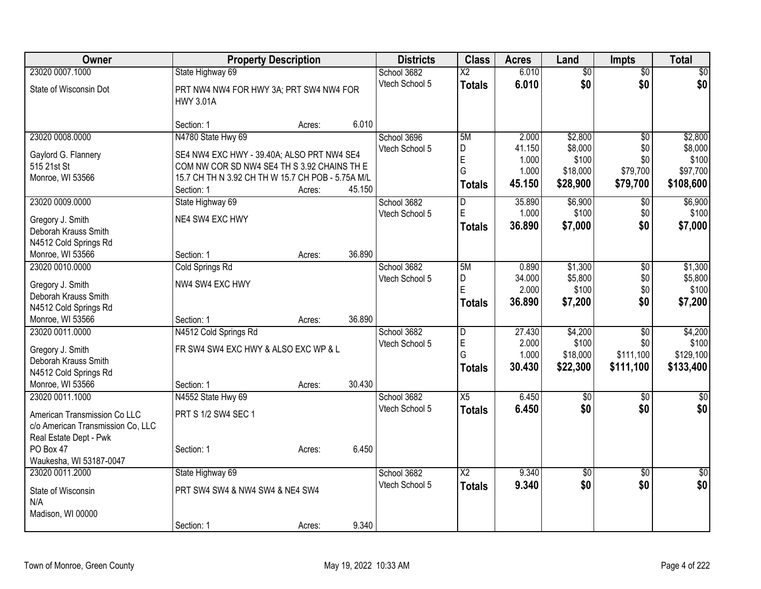| Owner                               | <b>Property Description</b>                                 |        |        | <b>Districts</b> | <b>Class</b>           | <b>Acres</b>    | Land             | <b>Impts</b>    | <b>Total</b>     |
|-------------------------------------|-------------------------------------------------------------|--------|--------|------------------|------------------------|-----------------|------------------|-----------------|------------------|
| 23020 0007.1000                     | State Highway 69                                            |        |        | School 3682      | $\overline{\text{X2}}$ | 6.010           | $\overline{50}$  | $\overline{50}$ | $\sqrt{30}$      |
| State of Wisconsin Dot              | PRT NW4 NW4 FOR HWY 3A; PRT SW4 NW4 FOR<br><b>HWY 3.01A</b> |        |        | Vtech School 5   | <b>Totals</b>          | 6.010           | \$0              | \$0             | \$0              |
|                                     | Section: 1                                                  | Acres: | 6.010  |                  |                        |                 |                  |                 |                  |
| 23020 0008.0000                     | N4780 State Hwy 69                                          |        |        | School 3696      | 5M                     | 2.000           | \$2,800          | $\overline{50}$ | \$2,800          |
| Gaylord G. Flannery                 | SE4 NW4 EXC HWY - 39.40A; ALSO PRT NW4 SE4                  |        |        | Vtech School 5   | D<br>$\mathsf E$       | 41.150<br>1.000 | \$8,000<br>\$100 | \$0<br>\$0      | \$8,000<br>\$100 |
| 515 21st St                         | COM NW COR SD NW4 SE4 TH S 3.92 CHAINS TH E                 |        |        |                  | G                      | 1.000           | \$18,000         | \$79,700        | \$97,700         |
| Monroe, WI 53566                    | 15.7 CH TH N 3.92 CH TH W 15.7 CH POB - 5.75A M/L           |        |        |                  |                        | 45.150          | \$28,900         | \$79,700        | \$108,600        |
|                                     | Section: 1                                                  | Acres: | 45.150 |                  | <b>Totals</b>          |                 |                  |                 |                  |
| 23020 0009.0000                     | State Highway 69                                            |        |        | School 3682      | $\overline{D}$         | 35.890          | \$6,900          | \$0             | \$6,900          |
| Gregory J. Smith                    | NE4 SW4 EXC HWY                                             |        |        | Vtech School 5   | $\mathsf E$            | 1.000           | \$100            | \$0             | \$100            |
| Deborah Krauss Smith                |                                                             |        |        |                  | Totals                 | 36,890          | \$7,000          | \$0             | \$7,000          |
| N4512 Cold Springs Rd               |                                                             |        |        |                  |                        |                 |                  |                 |                  |
| Monroe, WI 53566                    | Section: 1                                                  | Acres: | 36.890 |                  |                        |                 |                  |                 |                  |
| 23020 0010.0000                     | <b>Cold Springs Rd</b>                                      |        |        | School 3682      | 5M                     | 0.890           | \$1,300          | \$0             | \$1,300          |
|                                     |                                                             |        |        | Vtech School 5   | D                      | 34.000          | \$5,800          | \$0             | \$5,800          |
| Gregory J. Smith                    | NW4 SW4 EXC HWY                                             |        |        |                  | E                      | 2.000           | \$100            | \$0             | \$100            |
| Deborah Krauss Smith                |                                                             |        |        |                  | Totals                 | 36.890          | \$7,200          | \$0             | \$7,200          |
| N4512 Cold Springs Rd               |                                                             |        | 36.890 |                  |                        |                 |                  |                 |                  |
| Monroe, WI 53566<br>23020 0011.0000 | Section: 1<br>N4512 Cold Springs Rd                         | Acres: |        | School 3682      | D                      | 27.430          | \$4,200          | $\overline{50}$ | \$4,200          |
|                                     |                                                             |        |        | Vtech School 5   | $\mathsf E$            | 2.000           | \$100            | \$0             | \$100            |
| Gregory J. Smith                    | FR SW4 SW4 EXC HWY & ALSO EXC WP & L                        |        |        |                  | G                      | 1.000           | \$18,000         | \$111,100       | \$129,100        |
| Deborah Krauss Smith                |                                                             |        |        |                  | Totals                 | 30.430          | \$22,300         | \$111,100       | \$133,400        |
| N4512 Cold Springs Rd               |                                                             |        |        |                  |                        |                 |                  |                 |                  |
| Monroe, WI 53566                    | Section: 1                                                  | Acres: | 30.430 |                  |                        |                 |                  |                 |                  |
| 23020 0011.1000                     | N4552 State Hwy 69                                          |        |        | School 3682      | X5                     | 6.450           | $\overline{50}$  | $\overline{50}$ | $\frac{1}{2}$    |
| American Transmission Co LLC        | PRT S 1/2 SW4 SEC 1                                         |        |        | Vtech School 5   | Totals                 | 6.450           | \$0              | \$0             | \$0              |
| c/o American Transmission Co, LLC   |                                                             |        |        |                  |                        |                 |                  |                 |                  |
| Real Estate Dept - Pwk              |                                                             |        |        |                  |                        |                 |                  |                 |                  |
| PO Box 47                           | Section: 1                                                  | Acres: | 6.450  |                  |                        |                 |                  |                 |                  |
| Waukesha, WI 53187-0047             |                                                             |        |        |                  |                        |                 |                  |                 |                  |
| 23020 0011.2000                     | State Highway 69                                            |        |        | School 3682      | $\overline{X2}$        | 9.340           | $\overline{60}$  | $\overline{30}$ | $\sqrt{50}$      |
| State of Wisconsin                  | PRT SW4 SW4 & NW4 SW4 & NE4 SW4                             |        |        | Vtech School 5   | <b>Totals</b>          | 9.340           | \$0              | \$0             | \$0              |
| N/A                                 |                                                             |        |        |                  |                        |                 |                  |                 |                  |
| Madison, WI 00000                   |                                                             |        |        |                  |                        |                 |                  |                 |                  |
|                                     | Section: 1                                                  | Acres: | 9.340  |                  |                        |                 |                  |                 |                  |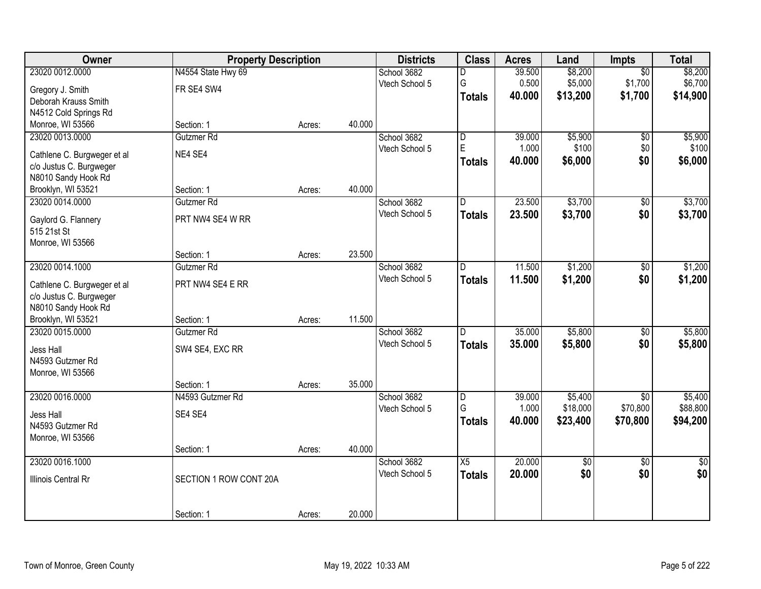| Owner                                                  | <b>Property Description</b> |        |        | <b>Districts</b> | <b>Class</b>            | <b>Acres</b> | Land     | Impts           | <b>Total</b>    |
|--------------------------------------------------------|-----------------------------|--------|--------|------------------|-------------------------|--------------|----------|-----------------|-----------------|
| 23020 0012.0000                                        | N4554 State Hwy 69          |        |        | School 3682      | D                       | 39.500       | \$8,200  | $\overline{50}$ | \$8,200         |
| Gregory J. Smith                                       | FR SE4 SW4                  |        |        | Vtech School 5   | G                       | 0.500        | \$5,000  | \$1,700         | \$6,700         |
| Deborah Krauss Smith                                   |                             |        |        |                  | <b>Totals</b>           | 40.000       | \$13,200 | \$1,700         | \$14,900        |
| N4512 Cold Springs Rd                                  |                             |        |        |                  |                         |              |          |                 |                 |
| Monroe, WI 53566                                       | Section: 1                  | Acres: | 40.000 |                  |                         |              |          |                 |                 |
| 23020 0013.0000                                        | Gutzmer Rd                  |        |        | School 3682      | $\overline{\mathsf{D}}$ | 39.000       | \$5,900  | $\overline{50}$ | \$5,900         |
| Cathlene C. Burgweger et al                            | NE4 SE4                     |        |        | Vtech School 5   | E                       | 1.000        | \$100    | \$0             | \$100           |
| c/o Justus C. Burgweger                                |                             |        |        |                  | <b>Totals</b>           | 40.000       | \$6,000  | \$0             | \$6,000         |
| N8010 Sandy Hook Rd                                    |                             |        |        |                  |                         |              |          |                 |                 |
| Brooklyn, WI 53521                                     | Section: 1                  | Acres: | 40.000 |                  |                         |              |          |                 |                 |
| 23020 0014.0000                                        | Gutzmer Rd                  |        |        | School 3682      | D                       | 23.500       | \$3,700  | $\overline{50}$ | \$3,700         |
| Gaylord G. Flannery                                    | PRT NW4 SE4 W RR            |        |        | Vtech School 5   | <b>Totals</b>           | 23.500       | \$3,700  | \$0             | \$3,700         |
| 515 21st St                                            |                             |        |        |                  |                         |              |          |                 |                 |
| Monroe, WI 53566                                       |                             |        |        |                  |                         |              |          |                 |                 |
|                                                        | Section: 1                  | Acres: | 23.500 |                  |                         |              |          |                 |                 |
| 23020 0014.1000                                        | Gutzmer Rd                  |        |        | School 3682      | D                       | 11.500       | \$1,200  | \$0             | \$1,200         |
|                                                        | PRT NW4 SE4 E RR            |        |        | Vtech School 5   | <b>Totals</b>           | 11.500       | \$1,200  | \$0             | \$1,200         |
| Cathlene C. Burgweger et al<br>c/o Justus C. Burgweger |                             |        |        |                  |                         |              |          |                 |                 |
| N8010 Sandy Hook Rd                                    |                             |        |        |                  |                         |              |          |                 |                 |
| Brooklyn, WI 53521                                     | Section: 1                  | Acres: | 11.500 |                  |                         |              |          |                 |                 |
| 23020 0015.0000                                        | Gutzmer Rd                  |        |        | School 3682      | D.                      | 35.000       | \$5,800  | $\overline{50}$ | \$5,800         |
| Jess Hall                                              |                             |        |        | Vtech School 5   | <b>Totals</b>           | 35.000       | \$5,800  | \$0             | \$5,800         |
| N4593 Gutzmer Rd                                       | SW4 SE4, EXC RR             |        |        |                  |                         |              |          |                 |                 |
| Monroe, WI 53566                                       |                             |        |        |                  |                         |              |          |                 |                 |
|                                                        | Section: 1                  | Acres: | 35.000 |                  |                         |              |          |                 |                 |
| 23020 0016.0000                                        | N4593 Gutzmer Rd            |        |        | School 3682      | D                       | 39.000       | \$5,400  | $\overline{60}$ | \$5,400         |
|                                                        |                             |        |        | Vtech School 5   | G                       | 1.000        | \$18,000 | \$70,800        | \$88,800        |
| Jess Hall<br>N4593 Gutzmer Rd                          | SE4 SE4                     |        |        |                  | <b>Totals</b>           | 40.000       | \$23,400 | \$70,800        | \$94,200        |
| Monroe, WI 53566                                       |                             |        |        |                  |                         |              |          |                 |                 |
|                                                        | Section: 1                  | Acres: | 40.000 |                  |                         |              |          |                 |                 |
| 23020 0016.1000                                        |                             |        |        | School 3682      | X5                      | 20.000       | \$0      | $\overline{50}$ | $\overline{50}$ |
|                                                        |                             |        |        | Vtech School 5   | <b>Totals</b>           | 20.000       | \$0      | \$0             | \$0             |
| Illinois Central Rr                                    | SECTION 1 ROW CONT 20A      |        |        |                  |                         |              |          |                 |                 |
|                                                        |                             |        |        |                  |                         |              |          |                 |                 |
|                                                        | Section: 1                  | Acres: | 20.000 |                  |                         |              |          |                 |                 |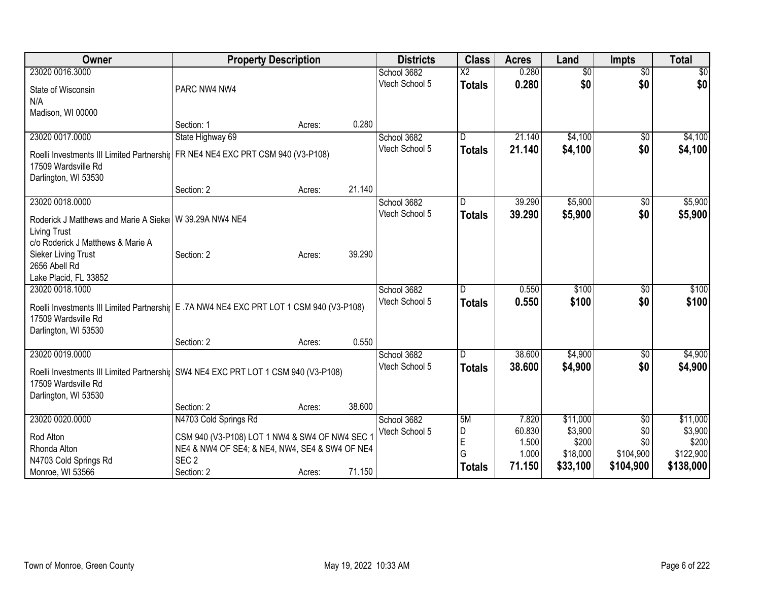| Owner                                                                                       | <b>Property Description</b>                    |        |        | <b>Districts</b> | <b>Class</b>  | <b>Acres</b> | Land            | <b>Impts</b>    | <b>Total</b> |
|---------------------------------------------------------------------------------------------|------------------------------------------------|--------|--------|------------------|---------------|--------------|-----------------|-----------------|--------------|
| 23020 0016.3000                                                                             |                                                |        |        | School 3682      | X2            | 0.280        | $\overline{50}$ | $\overline{50}$ | \$0          |
| State of Wisconsin                                                                          | PARC NW4 NW4                                   |        |        | Vtech School 5   | <b>Totals</b> | 0.280        | \$0             | \$0             | \$0          |
| N/A                                                                                         |                                                |        |        |                  |               |              |                 |                 |              |
| Madison, WI 00000                                                                           |                                                |        |        |                  |               |              |                 |                 |              |
|                                                                                             | Section: 1                                     | Acres: | 0.280  |                  |               |              |                 |                 |              |
| 23020 0017.0000                                                                             | State Highway 69                               |        |        | School 3682      | l D           | 21.140       | \$4,100         | $\sqrt{6}$      | \$4,100      |
| Roelli Investments III Limited Partnershi <sub>l</sub> FR NE4 NE4 EXC PRT CSM 940 (V3-P108) |                                                |        |        | Vtech School 5   | <b>Totals</b> | 21.140       | \$4,100         | \$0             | \$4,100      |
| 17509 Wardsville Rd                                                                         |                                                |        |        |                  |               |              |                 |                 |              |
| Darlington, WI 53530                                                                        |                                                |        |        |                  |               |              |                 |                 |              |
|                                                                                             | Section: 2                                     | Acres: | 21.140 |                  |               |              |                 |                 |              |
| 23020 0018.0000                                                                             |                                                |        |        | School 3682      | D             | 39.290       | \$5,900         | $\sqrt[6]{}$    | \$5,900      |
| Roderick J Matthews and Marie A Sieke   W 39.29A NW4 NE4                                    |                                                |        |        | Vtech School 5   | <b>Totals</b> | 39.290       | \$5,900         | \$0             | \$5,900      |
| <b>Living Trust</b>                                                                         |                                                |        |        |                  |               |              |                 |                 |              |
| c/o Roderick J Matthews & Marie A                                                           |                                                |        |        |                  |               |              |                 |                 |              |
| Sieker Living Trust                                                                         | Section: 2                                     | Acres: | 39.290 |                  |               |              |                 |                 |              |
| 2656 Abell Rd                                                                               |                                                |        |        |                  |               |              |                 |                 |              |
| Lake Placid, FL 33852                                                                       |                                                |        |        |                  |               |              |                 |                 |              |
| 23020 0018.1000                                                                             |                                                |        |        | School 3682      | D             | 0.550        | \$100           | \$0             | \$100        |
| Roelli Investments III Limited Partnershij E .7A NW4 NE4 EXC PRT LOT 1 CSM 940 (V3-P108)    |                                                |        |        | Vtech School 5   | <b>Totals</b> | 0.550        | \$100           | \$0             | \$100        |
| 17509 Wardsville Rd                                                                         |                                                |        |        |                  |               |              |                 |                 |              |
| Darlington, WI 53530                                                                        |                                                |        |        |                  |               |              |                 |                 |              |
|                                                                                             | Section: 2                                     | Acres: | 0.550  |                  |               |              |                 |                 |              |
| 23020 0019.0000                                                                             |                                                |        |        | School 3682      | ID.           | 38.600       | \$4,900         | \$0             | \$4,900      |
| Roelli Investments III Limited Partnershij SW4 NE4 EXC PRT LOT 1 CSM 940 (V3-P108)          |                                                |        |        | Vtech School 5   | <b>Totals</b> | 38.600       | \$4,900         | \$0             | \$4,900      |
| 17509 Wardsville Rd                                                                         |                                                |        |        |                  |               |              |                 |                 |              |
| Darlington, WI 53530                                                                        |                                                |        |        |                  |               |              |                 |                 |              |
|                                                                                             | Section: 2                                     | Acres: | 38.600 |                  |               |              |                 |                 |              |
| 23020 0020.0000                                                                             | N4703 Cold Springs Rd                          |        |        | School 3682      | 5M            | 7.820        | \$11,000        | $\overline{50}$ | \$11,000     |
| Rod Alton                                                                                   | CSM 940 (V3-P108) LOT 1 NW4 & SW4 OF NW4 SEC 1 |        |        | Vtech School 5   | D             | 60.830       | \$3,900         | \$0             | \$3,900      |
| Rhonda Alton                                                                                | NE4 & NW4 OF SE4; & NE4, NW4, SE4 & SW4 OF NE4 |        |        |                  | $\mathsf E$   | 1.500        | \$200           | \$0             | \$200        |
| N4703 Cold Springs Rd                                                                       | SEC <sub>2</sub>                               |        |        |                  | G             | 1.000        | \$18,000        | \$104,900       | \$122,900    |
| Monroe, WI 53566                                                                            | Section: 2                                     | Acres: | 71.150 |                  | <b>Totals</b> | 71.150       | \$33,100        | \$104,900       | \$138,000    |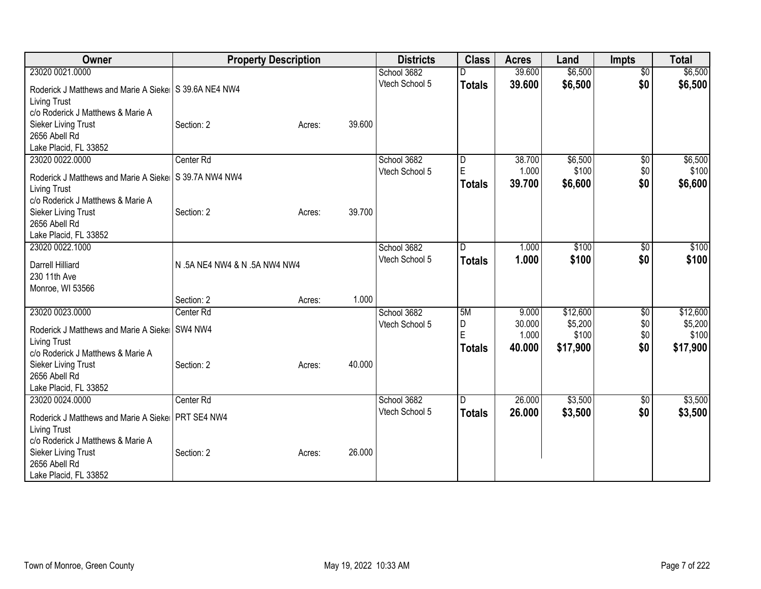| Owner                                                   | <b>Property Description</b>   |        |        | <b>Districts</b> | <b>Class</b>  | <b>Acres</b> | Land     | <b>Impts</b>    | <b>Total</b> |
|---------------------------------------------------------|-------------------------------|--------|--------|------------------|---------------|--------------|----------|-----------------|--------------|
| 23020 0021.0000                                         |                               |        |        | School 3682      |               | 39.600       | \$6,500  | $\overline{50}$ | \$6,500      |
| Roderick J Matthews and Marie A Sieke S 39.6A NE4 NW4   |                               |        |        | Vtech School 5   | <b>Totals</b> | 39.600       | \$6,500  | \$0             | \$6,500      |
| <b>Living Trust</b>                                     |                               |        |        |                  |               |              |          |                 |              |
| c/o Roderick J Matthews & Marie A                       |                               |        |        |                  |               |              |          |                 |              |
| Sieker Living Trust                                     | Section: 2                    | Acres: | 39.600 |                  |               |              |          |                 |              |
| 2656 Abell Rd                                           |                               |        |        |                  |               |              |          |                 |              |
| Lake Placid, FL 33852                                   |                               |        |        |                  |               |              |          |                 |              |
| 23020 0022.0000                                         | Center Rd                     |        |        | School 3682      | D             | 38.700       | \$6,500  | \$0             | \$6,500      |
| Roderick J Matthews and Marie A Sieke   S 39.7A NW4 NW4 |                               |        |        | Vtech School 5   | E             | 1.000        | \$100    | \$0             | \$100        |
| <b>Living Trust</b>                                     |                               |        |        |                  | <b>Totals</b> | 39.700       | \$6,600  | \$0             | \$6,600      |
| c/o Roderick J Matthews & Marie A                       |                               |        |        |                  |               |              |          |                 |              |
| Sieker Living Trust                                     | Section: 2                    | Acres: | 39.700 |                  |               |              |          |                 |              |
| 2656 Abell Rd                                           |                               |        |        |                  |               |              |          |                 |              |
| Lake Placid, FL 33852                                   |                               |        |        |                  |               |              |          |                 |              |
| 23020 0022.1000                                         |                               |        |        | School 3682      | D             | 1.000        | \$100    | $\sqrt[6]{30}$  | \$100        |
| Darrell Hilliard                                        | N .5A NE4 NW4 & N .5A NW4 NW4 |        |        | Vtech School 5   | <b>Totals</b> | 1.000        | \$100    | \$0             | \$100        |
| 230 11th Ave                                            |                               |        |        |                  |               |              |          |                 |              |
| Monroe, WI 53566                                        |                               |        |        |                  |               |              |          |                 |              |
|                                                         | Section: 2                    | Acres: | 1.000  |                  |               |              |          |                 |              |
| 23020 0023.0000                                         | Center Rd                     |        |        | School 3682      | 5M            | 9.000        | \$12,600 | \$0             | \$12,600     |
| Roderick J Matthews and Marie A Sieke                   | SW4 NW4                       |        |        | Vtech School 5   | D<br>E        | 30.000       | \$5,200  | \$0             | \$5,200      |
| <b>Living Trust</b>                                     |                               |        |        |                  |               | 1.000        | \$100    | \$0             | \$100        |
| c/o Roderick J Matthews & Marie A                       |                               |        |        |                  | Totals        | 40.000       | \$17,900 | \$0             | \$17,900     |
| Sieker Living Trust                                     | Section: 2                    | Acres: | 40.000 |                  |               |              |          |                 |              |
| 2656 Abell Rd                                           |                               |        |        |                  |               |              |          |                 |              |
| Lake Placid, FL 33852                                   |                               |        |        |                  |               |              |          |                 |              |
| 23020 0024.0000                                         | Center Rd                     |        |        | School 3682      | ID.           | 26.000       | \$3,500  | \$0             | \$3,500      |
| Roderick J Matthews and Marie A Sieke   PRT SE4 NW4     |                               |        |        | Vtech School 5   | <b>Totals</b> | 26.000       | \$3,500  | \$0             | \$3,500      |
| <b>Living Trust</b>                                     |                               |        |        |                  |               |              |          |                 |              |
| c/o Roderick J Matthews & Marie A                       |                               |        |        |                  |               |              |          |                 |              |
| Sieker Living Trust                                     | Section: 2                    | Acres: | 26.000 |                  |               |              |          |                 |              |
| 2656 Abell Rd                                           |                               |        |        |                  |               |              |          |                 |              |
| Lake Placid, FL 33852                                   |                               |        |        |                  |               |              |          |                 |              |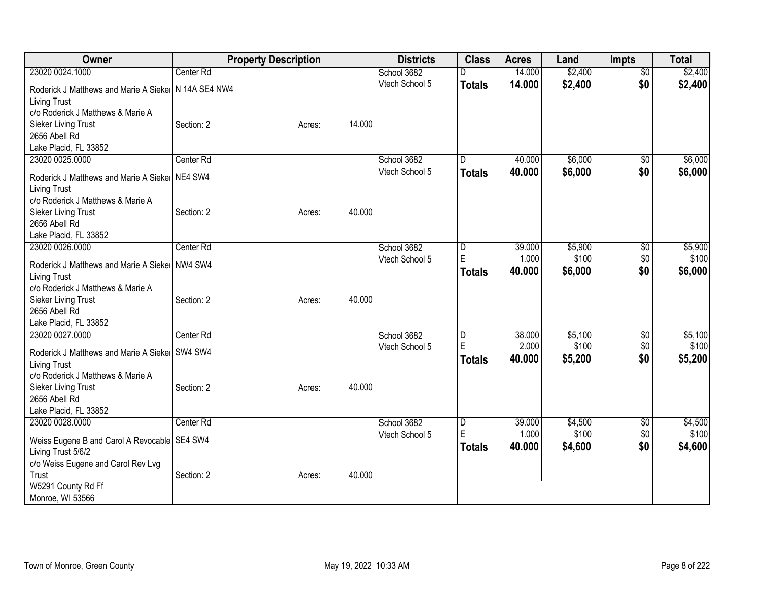| Owner                                                    |                      | <b>Property Description</b> |        | <b>Districts</b> | <b>Class</b>            | <b>Acres</b> | Land    | Impts           | <b>Total</b> |
|----------------------------------------------------------|----------------------|-----------------------------|--------|------------------|-------------------------|--------------|---------|-----------------|--------------|
| 23020 0024.1000                                          | Center Rd            |                             |        | School 3682      | D                       | 14.000       | \$2,400 | $\overline{50}$ | \$2,400      |
| Roderick J Matthews and Marie A Sieke   N 14A SE4 NW4    |                      |                             |        | Vtech School 5   | <b>Totals</b>           | 14.000       | \$2,400 | \$0             | \$2,400      |
| <b>Living Trust</b>                                      |                      |                             |        |                  |                         |              |         |                 |              |
| c/o Roderick J Matthews & Marie A                        |                      |                             |        |                  |                         |              |         |                 |              |
| Sieker Living Trust                                      | Section: 2           | Acres:                      | 14.000 |                  |                         |              |         |                 |              |
| 2656 Abell Rd                                            |                      |                             |        |                  |                         |              |         |                 |              |
| Lake Placid, FL 33852                                    |                      |                             |        |                  |                         |              |         |                 |              |
| 23020 0025.0000                                          | Center Rd            |                             |        | School 3682      | D                       | 40.000       | \$6,000 | \$0             | \$6,000      |
| Roderick J Matthews and Marie A Sieke                    | NE4 SW4              |                             |        | Vtech School 5   | <b>Totals</b>           | 40.000       | \$6,000 | \$0             | \$6,000      |
| <b>Living Trust</b>                                      |                      |                             |        |                  |                         |              |         |                 |              |
| c/o Roderick J Matthews & Marie A                        |                      |                             |        |                  |                         |              |         |                 |              |
| Sieker Living Trust                                      | Section: 2           | Acres:                      | 40.000 |                  |                         |              |         |                 |              |
| 2656 Abell Rd                                            |                      |                             |        |                  |                         |              |         |                 |              |
| Lake Placid, FL 33852                                    |                      |                             |        |                  |                         |              |         |                 |              |
| 23020 0026.0000                                          | Center <sub>Rd</sub> |                             |        | School 3682      | $\overline{\mathsf{D}}$ | 39.000       | \$5,900 | \$0             | \$5,900      |
|                                                          |                      |                             |        | Vtech School 5   | E                       | 1.000        | \$100   | \$0             | \$100        |
| Roderick J Matthews and Marie A Sieke                    | NW4 SW4              |                             |        |                  | <b>Totals</b>           | 40.000       | \$6,000 | \$0             | \$6,000      |
| <b>Living Trust</b><br>c/o Roderick J Matthews & Marie A |                      |                             |        |                  |                         |              |         |                 |              |
| Sieker Living Trust                                      | Section: 2           | Acres:                      | 40.000 |                  |                         |              |         |                 |              |
| 2656 Abell Rd                                            |                      |                             |        |                  |                         |              |         |                 |              |
| Lake Placid, FL 33852                                    |                      |                             |        |                  |                         |              |         |                 |              |
| 23020 0027.0000                                          | Center Rd            |                             |        | School 3682      | $\overline{\mathsf{D}}$ | 38.000       | \$5,100 | $\overline{50}$ | \$5,100      |
|                                                          |                      |                             |        | Vtech School 5   | E                       | 2.000        | \$100   | \$0             | \$100        |
| Roderick J Matthews and Marie A Sieke SW4 SW4            |                      |                             |        |                  | <b>Totals</b>           | 40.000       | \$5,200 | \$0             | \$5,200      |
| <b>Living Trust</b>                                      |                      |                             |        |                  |                         |              |         |                 |              |
| c/o Roderick J Matthews & Marie A                        |                      |                             | 40.000 |                  |                         |              |         |                 |              |
| Sieker Living Trust<br>2656 Abell Rd                     | Section: 2           | Acres:                      |        |                  |                         |              |         |                 |              |
| Lake Placid, FL 33852                                    |                      |                             |        |                  |                         |              |         |                 |              |
| 23020 0028.0000                                          | Center Rd            |                             |        | School 3682      | D                       | 39.000       | \$4,500 | \$0             | \$4,500      |
|                                                          |                      |                             |        | Vtech School 5   | E                       | 1.000        | \$100   | \$0             | \$100        |
| Weiss Eugene B and Carol A Revocable   SE4 SW4           |                      |                             |        |                  | <b>Totals</b>           | 40.000       | \$4,600 | \$0             | \$4,600      |
| Living Trust 5/6/2                                       |                      |                             |        |                  |                         |              |         |                 |              |
| c/o Weiss Eugene and Carol Rev Lvg                       |                      |                             |        |                  |                         |              |         |                 |              |
| Trust                                                    | Section: 2           | Acres:                      | 40.000 |                  |                         |              |         |                 |              |
| W5291 County Rd Ff                                       |                      |                             |        |                  |                         |              |         |                 |              |
| Monroe, WI 53566                                         |                      |                             |        |                  |                         |              |         |                 |              |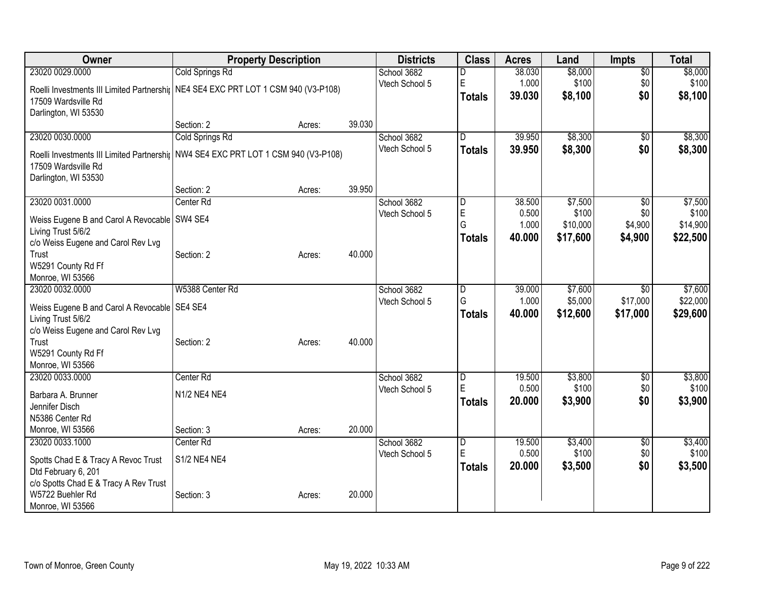| Owner                                                                              |                        | <b>Property Description</b> |        | <b>Districts</b> | <b>Class</b>                 | <b>Acres</b>    | Land             | <b>Impts</b>           | <b>Total</b>     |
|------------------------------------------------------------------------------------|------------------------|-----------------------------|--------|------------------|------------------------------|-----------------|------------------|------------------------|------------------|
| 23020 0029.0000                                                                    | <b>Cold Springs Rd</b> |                             |        | School 3682      | D                            | 38.030          | \$8,000          | $\overline{30}$        | \$8,000          |
| Roelli Investments III Limited Partnershij NE4 SE4 EXC PRT LOT 1 CSM 940 (V3-P108) |                        |                             |        | Vtech School 5   | E                            | 1.000           | \$100            | \$0                    | \$100            |
| 17509 Wardsville Rd                                                                |                        |                             |        |                  | <b>Totals</b>                | 39.030          | \$8,100          | \$0                    | \$8,100          |
| Darlington, WI 53530                                                               |                        |                             |        |                  |                              |                 |                  |                        |                  |
|                                                                                    | Section: 2             | Acres:                      | 39.030 |                  |                              |                 |                  |                        |                  |
| 23020 0030.0000                                                                    | Cold Springs Rd        |                             |        | School 3682      | D                            | 39.950          | \$8,300          | $\sqrt{6}$             | \$8,300          |
| Roelli Investments III Limited Partnershij NW4 SE4 EXC PRT LOT 1 CSM 940 (V3-P108) |                        |                             |        | Vtech School 5   | <b>Totals</b>                | 39.950          | \$8,300          | \$0                    | \$8,300          |
| 17509 Wardsville Rd                                                                |                        |                             |        |                  |                              |                 |                  |                        |                  |
| Darlington, WI 53530                                                               |                        |                             |        |                  |                              |                 |                  |                        |                  |
|                                                                                    | Section: 2             | Acres:                      | 39.950 |                  |                              |                 |                  |                        |                  |
| 23020 0031.0000                                                                    | Center Rd              |                             |        | School 3682      | D                            | 38.500          | \$7,500          | $\overline{50}$        | \$7,500          |
| Weiss Eugene B and Carol A Revocable   SW4 SE4                                     |                        |                             |        | Vtech School 5   | E                            | 0.500           | \$100            | \$0                    | \$100            |
| Living Trust 5/6/2                                                                 |                        |                             |        |                  | G                            | 1.000           | \$10,000         | \$4,900                | \$14,900         |
| c/o Weiss Eugene and Carol Rev Lvg                                                 |                        |                             |        |                  | <b>Totals</b>                | 40.000          | \$17,600         | \$4,900                | \$22,500         |
| Trust                                                                              | Section: 2             | Acres:                      | 40.000 |                  |                              |                 |                  |                        |                  |
| W5291 County Rd Ff                                                                 |                        |                             |        |                  |                              |                 |                  |                        |                  |
| Monroe, WI 53566                                                                   |                        |                             |        |                  |                              |                 |                  |                        |                  |
| 23020 0032.0000                                                                    | W5388 Center Rd        |                             |        | School 3682      | ID.                          | 39.000          | \$7,600          | \$0                    | \$7,600          |
| Weiss Eugene B and Carol A Revocable SE4 SE4                                       |                        |                             |        | Vtech School 5   | G                            | 1.000           | \$5,000          | \$17,000               | \$22,000         |
| Living Trust 5/6/2                                                                 |                        |                             |        |                  | <b>Totals</b>                | 40.000          | \$12,600         | \$17,000               | \$29,600         |
| c/o Weiss Eugene and Carol Rev Lvg                                                 |                        |                             |        |                  |                              |                 |                  |                        |                  |
| Trust                                                                              | Section: 2             | Acres:                      | 40.000 |                  |                              |                 |                  |                        |                  |
| W5291 County Rd Ff                                                                 |                        |                             |        |                  |                              |                 |                  |                        |                  |
| Monroe, WI 53566                                                                   |                        |                             |        |                  |                              |                 |                  |                        |                  |
| 23020 0033.0000                                                                    | Center <sub>Rd</sub>   |                             |        | School 3682      | $\overline{\mathsf{D}}$<br>E | 19.500<br>0.500 | \$3,800<br>\$100 | $\overline{50}$<br>\$0 | \$3,800<br>\$100 |
| Barbara A. Brunner                                                                 | N1/2 NE4 NE4           |                             |        | Vtech School 5   |                              | 20.000          | \$3,900          | \$0                    | \$3,900          |
| Jennifer Disch                                                                     |                        |                             |        |                  | <b>Totals</b>                |                 |                  |                        |                  |
| N5386 Center Rd                                                                    |                        |                             |        |                  |                              |                 |                  |                        |                  |
| Monroe, WI 53566                                                                   | Section: 3             | Acres:                      | 20.000 |                  |                              |                 |                  |                        |                  |
| 23020 0033.1000                                                                    | Center <sub>Rd</sub>   |                             |        | School 3682      | $\overline{D}$<br>ΙE         | 19.500          | \$3,400          | \$0                    | \$3,400          |
| Spotts Chad E & Tracy A Revoc Trust                                                | S1/2 NE4 NE4           |                             |        | Vtech School 5   |                              | 0.500           | \$100            | \$0                    | \$100            |
| Dtd February 6, 201                                                                |                        |                             |        |                  | Totals                       | 20.000          | \$3,500          | \$0                    | \$3,500          |
| c/o Spotts Chad E & Tracy A Rev Trust                                              |                        |                             |        |                  |                              |                 |                  |                        |                  |
| W5722 Buehler Rd                                                                   | Section: 3             | Acres:                      | 20.000 |                  |                              |                 |                  |                        |                  |
| Monroe, WI 53566                                                                   |                        |                             |        |                  |                              |                 |                  |                        |                  |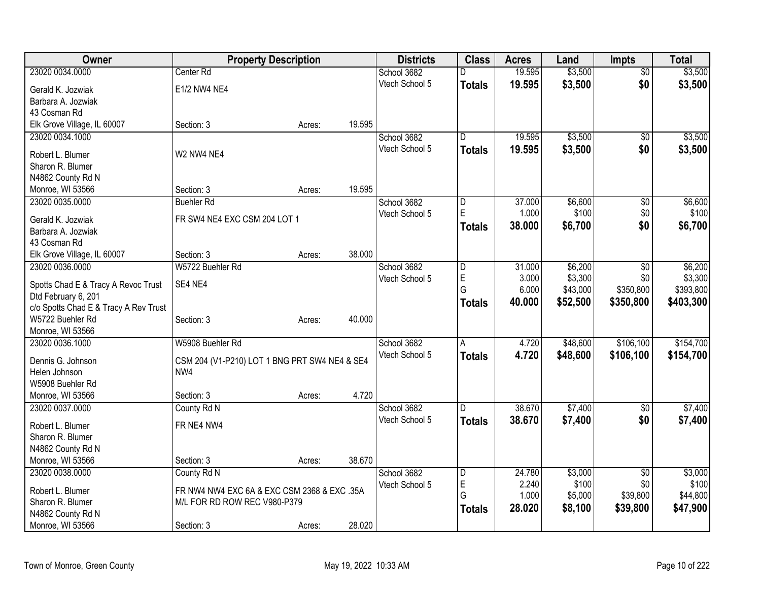| Owner                                   | <b>Property Description</b>                   |        |        | <b>Districts</b> | <b>Class</b>  | <b>Acres</b> | Land     | <b>Impts</b>    | <b>Total</b> |
|-----------------------------------------|-----------------------------------------------|--------|--------|------------------|---------------|--------------|----------|-----------------|--------------|
| 23020 0034.0000                         | Center Rd                                     |        |        | School 3682      | D             | 19.595       | \$3,500  | $\overline{50}$ | \$3,500      |
| Gerald K. Jozwiak                       | E1/2 NW4 NE4                                  |        |        | Vtech School 5   | <b>Totals</b> | 19.595       | \$3,500  | \$0             | \$3,500      |
| Barbara A. Jozwiak                      |                                               |        |        |                  |               |              |          |                 |              |
| 43 Cosman Rd                            |                                               |        |        |                  |               |              |          |                 |              |
| Elk Grove Village, IL 60007             | Section: 3                                    | Acres: | 19.595 |                  |               |              |          |                 |              |
| 23020 0034.1000                         |                                               |        |        | School 3682      | D             | 19.595       | \$3,500  | \$0             | \$3,500      |
| Robert L. Blumer                        | W2 NW4 NE4                                    |        |        | Vtech School 5   | <b>Totals</b> | 19.595       | \$3,500  | \$0             | \$3,500      |
| Sharon R. Blumer                        |                                               |        |        |                  |               |              |          |                 |              |
| N4862 County Rd N                       |                                               |        |        |                  |               |              |          |                 |              |
| Monroe, WI 53566                        | Section: 3                                    | Acres: | 19.595 |                  |               |              |          |                 |              |
| 23020 0035.0000                         | <b>Buehler Rd</b>                             |        |        | School 3682      | D             | 37.000       | \$6,600  | \$0             | \$6,600      |
|                                         |                                               |        |        | Vtech School 5   | E             | 1.000        | \$100    | \$0             | \$100        |
| Gerald K. Jozwiak<br>Barbara A. Jozwiak | FR SW4 NE4 EXC CSM 204 LOT 1                  |        |        |                  | <b>Totals</b> | 38.000       | \$6,700  | \$0             | \$6,700      |
| 43 Cosman Rd                            |                                               |        |        |                  |               |              |          |                 |              |
| Elk Grove Village, IL 60007             | Section: 3                                    | Acres: | 38.000 |                  |               |              |          |                 |              |
| 23020 0036.0000                         | W5722 Buehler Rd                              |        |        | School 3682      | D             | 31.000       | \$6,200  | \$0             | \$6,200      |
|                                         |                                               |        |        | Vtech School 5   | E             | 3.000        | \$3,300  | \$0             | \$3,300      |
| Spotts Chad E & Tracy A Revoc Trust     | SE4 NE4                                       |        |        |                  | G             | 6.000        | \$43,000 | \$350,800       | \$393,800    |
| Dtd February 6, 201                     |                                               |        |        |                  | <b>Totals</b> | 40,000       | \$52,500 | \$350,800       | \$403,300    |
| c/o Spotts Chad E & Tracy A Rev Trust   |                                               |        |        |                  |               |              |          |                 |              |
| W5722 Buehler Rd<br>Monroe, WI 53566    | Section: 3                                    | Acres: | 40.000 |                  |               |              |          |                 |              |
| 23020 0036.1000                         | W5908 Buehler Rd                              |        |        | School 3682      | Α             | 4.720        | \$48,600 | \$106,100       | \$154,700    |
|                                         |                                               |        |        | Vtech School 5   | <b>Totals</b> | 4.720        | \$48,600 | \$106,100       | \$154,700    |
| Dennis G. Johnson                       | CSM 204 (V1-P210) LOT 1 BNG PRT SW4 NE4 & SE4 |        |        |                  |               |              |          |                 |              |
| Helen Johnson                           | NW4                                           |        |        |                  |               |              |          |                 |              |
| W5908 Buehler Rd                        |                                               |        |        |                  |               |              |          |                 |              |
| Monroe, WI 53566                        | Section: 3                                    | Acres: | 4.720  |                  |               |              |          |                 |              |
| 23020 0037.0000                         | County Rd N                                   |        |        | School 3682      | ID.           | 38.670       | \$7,400  | \$0             | \$7,400      |
| Robert L. Blumer                        | FR NE4 NW4                                    |        |        | Vtech School 5   | <b>Totals</b> | 38.670       | \$7,400  | \$0             | \$7,400      |
| Sharon R. Blumer                        |                                               |        |        |                  |               |              |          |                 |              |
| N4862 County Rd N                       |                                               |        |        |                  |               |              |          |                 |              |
| Monroe, WI 53566                        | Section: 3                                    | Acres: | 38.670 |                  |               |              |          |                 |              |
| 23020 0038.0000                         | County Rd N                                   |        |        | School 3682      | D             | 24.780       | \$3,000  | \$0             | \$3,000      |
| Robert L. Blumer                        | FR NW4 NW4 EXC 6A & EXC CSM 2368 & EXC .35A   |        |        | Vtech School 5   | E             | 2.240        | \$100    | \$0             | \$100        |
| Sharon R. Blumer                        | M/L FOR RD ROW REC V980-P379                  |        |        |                  | G             | 1.000        | \$5,000  | \$39,800        | \$44,800     |
| N4862 County Rd N                       |                                               |        |        |                  | <b>Totals</b> | 28.020       | \$8,100  | \$39,800        | \$47,900     |
| Monroe, WI 53566                        | Section: 3                                    | Acres: | 28.020 |                  |               |              |          |                 |              |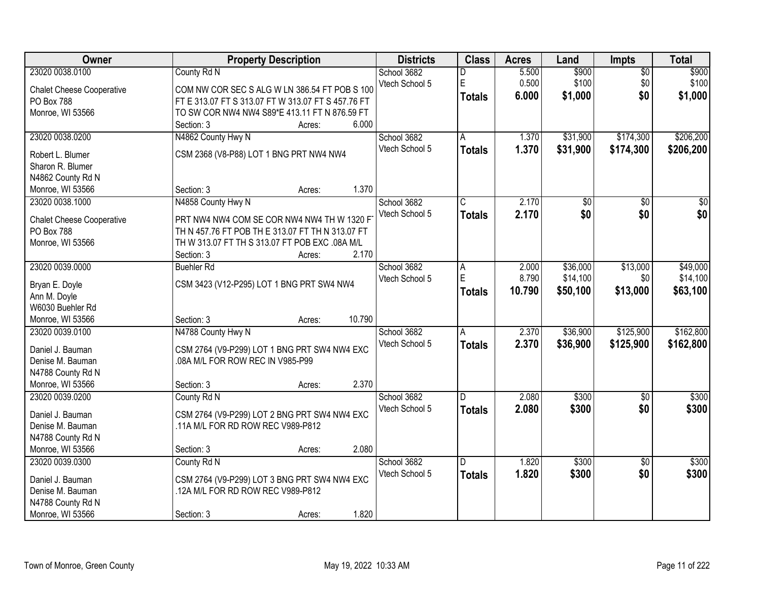| <b>Owner</b>                        | <b>Property Description</b>                        | <b>Districts</b> | <b>Class</b>  | <b>Acres</b> | Land     | <b>Impts</b>    | <b>Total</b>     |
|-------------------------------------|----------------------------------------------------|------------------|---------------|--------------|----------|-----------------|------------------|
| 23020 0038.0100                     | County Rd N                                        | School 3682      | D             | 5.500        | \$900    | $\overline{50}$ | \$900            |
| <b>Chalet Cheese Cooperative</b>    | COM NW COR SEC S ALG W LN 386.54 FT POB S 100      | Vtech School 5   | E             | 0.500        | \$100    | \$0             | \$100            |
| PO Box 788                          | FT E 313.07 FT S 313.07 FT W 313.07 FT S 457.76 FT |                  | <b>Totals</b> | 6.000        | \$1,000  | \$0             | \$1,000          |
| Monroe, WI 53566                    | TO SW COR NW4 NW4 S89*E 413.11 FT N 876.59 FT      |                  |               |              |          |                 |                  |
|                                     | 6.000<br>Section: 3<br>Acres:                      |                  |               |              |          |                 |                  |
| 23020 0038.0200                     | N4862 County Hwy N                                 | School 3682      | A             | 1.370        | \$31,900 | \$174,300       | \$206,200        |
|                                     |                                                    | Vtech School 5   | <b>Totals</b> | 1.370        | \$31,900 | \$174,300       | \$206,200        |
| Robert L. Blumer                    | CSM 2368 (V8-P88) LOT 1 BNG PRT NW4 NW4            |                  |               |              |          |                 |                  |
| Sharon R. Blumer                    |                                                    |                  |               |              |          |                 |                  |
| N4862 County Rd N                   | 1.370<br>Section: 3                                |                  |               |              |          |                 |                  |
| Monroe, WI 53566                    | Acres:                                             |                  |               |              |          |                 |                  |
| 23020 0038.1000                     | N4858 County Hwy N                                 | School 3682      | C             | 2.170        | \$0      | \$0             | $\overline{\$0}$ |
| <b>Chalet Cheese Cooperative</b>    | PRT NW4 NW4 COM SE COR NW4 NW4 TH W 1320 F         | Vtech School 5   | <b>Totals</b> | 2.170        | \$0      | \$0             | \$0              |
| PO Box 788                          | TH N 457.76 FT POB TH E 313.07 FT TH N 313.07 FT   |                  |               |              |          |                 |                  |
| Monroe, WI 53566                    | TH W 313.07 FT TH S 313.07 FT POB EXC .08A M/L     |                  |               |              |          |                 |                  |
|                                     | 2.170<br>Section: 3<br>Acres:                      |                  |               |              |          |                 |                  |
| 23020 0039.0000                     | <b>Buehler Rd</b>                                  | School 3682      | Α             | 2.000        | \$36,000 | \$13,000        | \$49,000         |
|                                     |                                                    | Vtech School 5   | E             | 8.790        | \$14,100 | \$0             | \$14,100         |
| Bryan E. Doyle                      | CSM 3423 (V12-P295) LOT 1 BNG PRT SW4 NW4          |                  | <b>Totals</b> | 10.790       | \$50,100 | \$13,000        | \$63,100         |
| Ann M. Doyle<br>W6030 Buehler Rd    |                                                    |                  |               |              |          |                 |                  |
|                                     | 10.790<br>Section: 3                               |                  |               |              |          |                 |                  |
| Monroe, WI 53566<br>23020 0039.0100 | Acres:<br>N4788 County Hwy N                       | School 3682      | A             | 2.370        | \$36,900 | \$125,900       | \$162,800        |
|                                     |                                                    |                  |               |              |          |                 |                  |
| Daniel J. Bauman                    | CSM 2764 (V9-P299) LOT 1 BNG PRT SW4 NW4 EXC       | Vtech School 5   | <b>Totals</b> | 2.370        | \$36,900 | \$125,900       | \$162,800        |
| Denise M. Bauman                    | .08A M/L FOR ROW REC IN V985-P99                   |                  |               |              |          |                 |                  |
| N4788 County Rd N                   |                                                    |                  |               |              |          |                 |                  |
| Monroe, WI 53566                    | 2.370<br>Section: 3<br>Acres:                      |                  |               |              |          |                 |                  |
| 23020 0039.0200                     | County Rd N                                        | School 3682      | D.            | 2.080        | \$300    | $\sqrt{6}$      | \$300            |
| Daniel J. Bauman                    | CSM 2764 (V9-P299) LOT 2 BNG PRT SW4 NW4 EXC       | Vtech School 5   | <b>Totals</b> | 2.080        | \$300    | \$0             | \$300            |
| Denise M. Bauman                    | .11A M/L FOR RD ROW REC V989-P812                  |                  |               |              |          |                 |                  |
|                                     |                                                    |                  |               |              |          |                 |                  |
| N4788 County Rd N                   | 2.080                                              |                  |               |              |          |                 |                  |
| Monroe, WI 53566                    | Section: 3<br>Acres:                               |                  |               |              |          |                 |                  |
| 23020 0039.0300                     | County Rd N                                        | School 3682      | D.            | 1.820        | \$300    | $\overline{50}$ | \$300            |
| Daniel J. Bauman                    | CSM 2764 (V9-P299) LOT 3 BNG PRT SW4 NW4 EXC       | Vtech School 5   | <b>Totals</b> | 1.820        | \$300    | \$0             | \$300            |
| Denise M. Bauman                    | .12A M/L FOR RD ROW REC V989-P812                  |                  |               |              |          |                 |                  |
| N4788 County Rd N                   |                                                    |                  |               |              |          |                 |                  |
| Monroe, WI 53566                    | 1.820<br>Section: 3<br>Acres:                      |                  |               |              |          |                 |                  |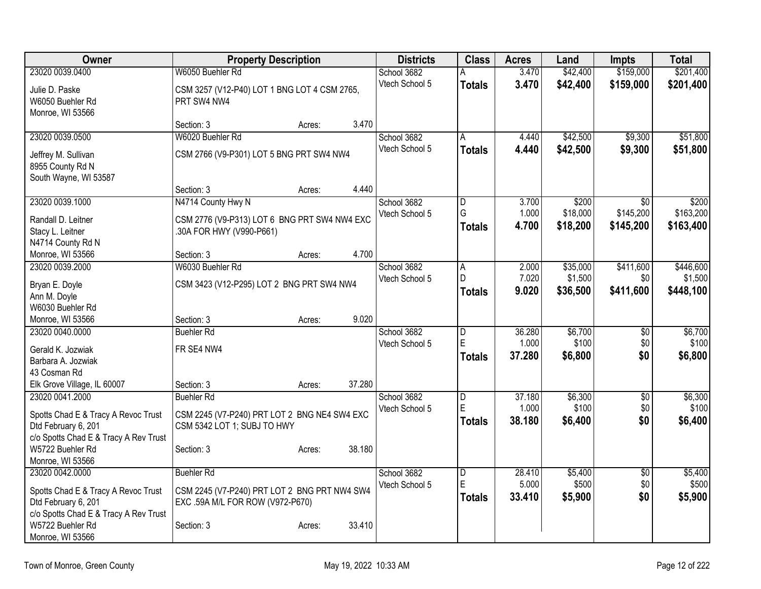| Owner                                          | <b>Property Description</b>                  |        |        | <b>Districts</b> | <b>Class</b>            | <b>Acres</b>    | Land             | <b>Impts</b>      | <b>Total</b>     |
|------------------------------------------------|----------------------------------------------|--------|--------|------------------|-------------------------|-----------------|------------------|-------------------|------------------|
| 23020 0039.0400                                | W6050 Buehler Rd                             |        |        | School 3682      |                         | 3.470           | \$42,400         | \$159,000         | \$201,400        |
| Julie D. Paske                                 | CSM 3257 (V12-P40) LOT 1 BNG LOT 4 CSM 2765, |        |        | Vtech School 5   | <b>Totals</b>           | 3.470           | \$42,400         | \$159,000         | \$201,400        |
| W6050 Buehler Rd                               | PRT SW4 NW4                                  |        |        |                  |                         |                 |                  |                   |                  |
| Monroe, WI 53566                               |                                              |        |        |                  |                         |                 |                  |                   |                  |
|                                                | Section: 3                                   | Acres: | 3.470  |                  |                         |                 |                  |                   |                  |
| 23020 0039.0500                                | W6020 Buehler Rd                             |        |        | School 3682      | A                       | 4.440           | \$42,500         | \$9,300           | \$51,800         |
| Jeffrey M. Sullivan                            | CSM 2766 (V9-P301) LOT 5 BNG PRT SW4 NW4     |        |        | Vtech School 5   | <b>Totals</b>           | 4.440           | \$42,500         | \$9,300           | \$51,800         |
| 8955 County Rd N                               |                                              |        |        |                  |                         |                 |                  |                   |                  |
| South Wayne, WI 53587                          |                                              |        |        |                  |                         |                 |                  |                   |                  |
|                                                | Section: 3                                   | Acres: | 4.440  |                  |                         |                 |                  |                   |                  |
| 23020 0039.1000                                | N4714 County Hwy N                           |        |        | School 3682      | D                       | 3.700           | \$200            | \$0               | \$200            |
| Randall D. Leitner                             | CSM 2776 (V9-P313) LOT 6 BNG PRT SW4 NW4 EXC |        |        | Vtech School 5   | G                       | 1.000           | \$18,000         | \$145,200         | \$163,200        |
| Stacy L. Leitner                               | .30A FOR HWY (V990-P661)                     |        |        |                  | <b>Totals</b>           | 4.700           | \$18,200         | \$145,200         | \$163,400        |
| N4714 County Rd N                              |                                              |        |        |                  |                         |                 |                  |                   |                  |
| Monroe, WI 53566                               | Section: 3                                   | Acres: | 4.700  |                  |                         |                 |                  |                   |                  |
| 23020 0039.2000                                | W6030 Buehler Rd                             |        |        | School 3682      | $\overline{A}$          | 2.000           | \$35,000         | \$411,600         | \$446,600        |
|                                                |                                              |        |        | Vtech School 5   | D                       | 7.020           | \$1,500          | \$0               | \$1,500          |
| Bryan E. Doyle                                 | CSM 3423 (V12-P295) LOT 2 BNG PRT SW4 NW4    |        |        |                  | <b>Totals</b>           | 9.020           | \$36,500         | \$411,600         | \$448,100        |
| Ann M. Doyle<br>W6030 Buehler Rd               |                                              |        |        |                  |                         |                 |                  |                   |                  |
| Monroe, WI 53566                               | Section: 3                                   | Acres: | 9.020  |                  |                         |                 |                  |                   |                  |
| 23020 0040.0000                                | <b>Buehler Rd</b>                            |        |        | School 3682      | $\overline{\mathsf{D}}$ | 36.280          | \$6,700          | $\overline{50}$   | \$6,700          |
|                                                |                                              |        |        | Vtech School 5   | E                       | 1.000           | \$100            | \$0               | \$100            |
| Gerald K. Jozwiak                              | FR SE4 NW4                                   |        |        |                  | <b>Totals</b>           | 37.280          | \$6,800          | \$0               | \$6,800          |
| Barbara A. Jozwiak                             |                                              |        |        |                  |                         |                 |                  |                   |                  |
| 43 Cosman Rd                                   |                                              |        | 37.280 |                  |                         |                 |                  |                   |                  |
| Elk Grove Village, IL 60007<br>23020 0041.2000 | Section: 3<br><b>Buehler Rd</b>              | Acres: |        | School 3682      | $\overline{\mathsf{D}}$ | 37.180          | \$6,300          | $\overline{50}$   | \$6,300          |
|                                                |                                              |        |        | Vtech School 5   | E                       | 1.000           | \$100            | \$0               | \$100            |
| Spotts Chad E & Tracy A Revoc Trust            | CSM 2245 (V7-P240) PRT LOT 2 BNG NE4 SW4 EXC |        |        |                  | <b>Totals</b>           | 38.180          | \$6,400          | \$0               | \$6,400          |
| Dtd February 6, 201                            | CSM 5342 LOT 1; SUBJ TO HWY                  |        |        |                  |                         |                 |                  |                   |                  |
| c/o Spotts Chad E & Tracy A Rev Trust          |                                              |        |        |                  |                         |                 |                  |                   |                  |
| W5722 Buehler Rd                               | Section: 3                                   | Acres: | 38.180 |                  |                         |                 |                  |                   |                  |
| Monroe, WI 53566                               |                                              |        |        |                  |                         |                 |                  |                   |                  |
| 23020 0042.0000                                | <b>Buehler Rd</b>                            |        |        | School 3682      | $\overline{D}$<br>E     | 28.410<br>5.000 | \$5,400<br>\$500 | $\sqrt{6}$<br>\$0 | \$5,400<br>\$500 |
| Spotts Chad E & Tracy A Revoc Trust            | CSM 2245 (V7-P240) PRT LOT 2 BNG PRT NW4 SW4 |        |        | Vtech School 5   |                         | 33.410          |                  | \$0               |                  |
| Dtd February 6, 201                            | EXC .59A M/L FOR ROW (V972-P670)             |        |        |                  | <b>Totals</b>           |                 | \$5,900          |                   | \$5,900          |
| c/o Spotts Chad E & Tracy A Rev Trust          |                                              |        |        |                  |                         |                 |                  |                   |                  |
| W5722 Buehler Rd                               | Section: 3                                   | Acres: | 33.410 |                  |                         |                 |                  |                   |                  |
| Monroe, WI 53566                               |                                              |        |        |                  |                         |                 |                  |                   |                  |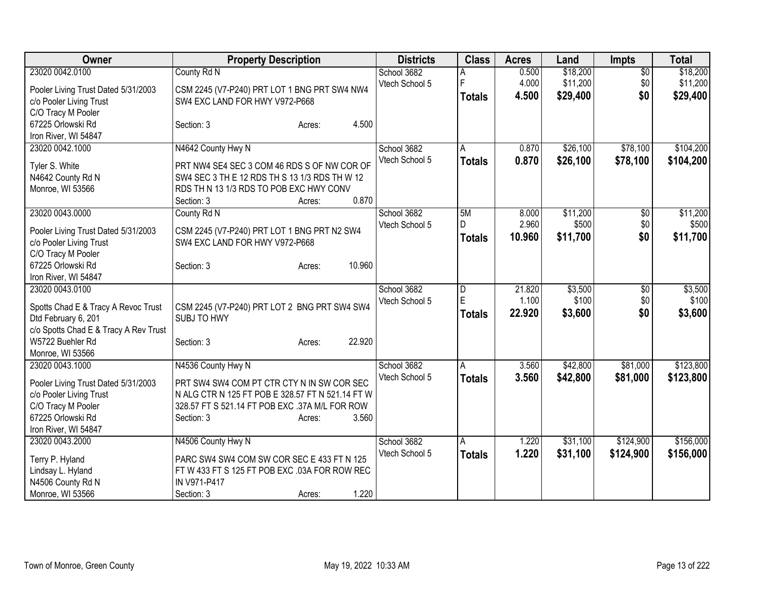| Owner                                   | <b>Property Description</b>                      | <b>Districts</b> | <b>Class</b>   | <b>Acres</b> | Land     | <b>Impts</b>    | <b>Total</b> |
|-----------------------------------------|--------------------------------------------------|------------------|----------------|--------------|----------|-----------------|--------------|
| 23020 0042.0100                         | County Rd N                                      | School 3682      | Α              | 0.500        | \$18,200 | $\overline{60}$ | \$18,200     |
| Pooler Living Trust Dated 5/31/2003     | CSM 2245 (V7-P240) PRT LOT 1 BNG PRT SW4 NW4     | Vtech School 5   | F              | 4.000        | \$11,200 | \$0             | \$11,200     |
| c/o Pooler Living Trust                 | SW4 EXC LAND FOR HWY V972-P668                   |                  | <b>Totals</b>  | 4.500        | \$29,400 | \$0             | \$29,400     |
| C/O Tracy M Pooler                      |                                                  |                  |                |              |          |                 |              |
| 67225 Orlowski Rd                       | 4.500<br>Section: 3<br>Acres:                    |                  |                |              |          |                 |              |
| Iron River, WI 54847                    |                                                  |                  |                |              |          |                 |              |
| 23020 0042.1000                         | N4642 County Hwy N                               | School 3682      | A              | 0.870        | \$26,100 | \$78,100        | \$104,200    |
| Tyler S. White                          | PRT NW4 SE4 SEC 3 COM 46 RDS S OF NW COR OF      | Vtech School 5   | <b>Totals</b>  | 0.870        | \$26,100 | \$78,100        | \$104,200    |
| N4642 County Rd N                       | SW4 SEC 3 TH E 12 RDS TH S 13 1/3 RDS TH W 12    |                  |                |              |          |                 |              |
| Monroe, WI 53566                        | RDS TH N 13 1/3 RDS TO POB EXC HWY CONV          |                  |                |              |          |                 |              |
|                                         | 0.870<br>Section: 3<br>Acres:                    |                  |                |              |          |                 |              |
| 23020 0043.0000                         | County Rd N                                      | School 3682      | 5M             | 8.000        | \$11,200 | $\sqrt[6]{30}$  | \$11,200     |
|                                         |                                                  | Vtech School 5   | D              | 2.960        | \$500    | \$0             | \$500        |
| Pooler Living Trust Dated 5/31/2003     | CSM 2245 (V7-P240) PRT LOT 1 BNG PRT N2 SW4      |                  | <b>Totals</b>  | 10.960       | \$11,700 | \$0             | \$11,700     |
| c/o Pooler Living Trust                 | SW4 EXC LAND FOR HWY V972-P668                   |                  |                |              |          |                 |              |
| C/O Tracy M Pooler                      |                                                  |                  |                |              |          |                 |              |
| 67225 Orlowski Rd                       | 10.960<br>Section: 3<br>Acres:                   |                  |                |              |          |                 |              |
| Iron River, WI 54847<br>23020 0043.0100 |                                                  | School 3682      | $\overline{D}$ | 21.820       | \$3,500  | \$0             | \$3,500      |
|                                         |                                                  | Vtech School 5   | E              | 1.100        | \$100    | \$0             | \$100        |
| Spotts Chad E & Tracy A Revoc Trust     | CSM 2245 (V7-P240) PRT LOT 2 BNG PRT SW4 SW4     |                  | <b>Totals</b>  | 22.920       | \$3,600  | \$0             | \$3,600      |
| Dtd February 6, 201                     | <b>SUBJ TO HWY</b>                               |                  |                |              |          |                 |              |
| c/o Spotts Chad E & Tracy A Rev Trust   |                                                  |                  |                |              |          |                 |              |
| W5722 Buehler Rd                        | 22.920<br>Section: 3<br>Acres:                   |                  |                |              |          |                 |              |
| Monroe, WI 53566                        |                                                  |                  |                |              |          |                 |              |
| 23020 0043.1000                         | N4536 County Hwy N                               | School 3682      | A              | 3.560        | \$42,800 | \$81,000        | \$123,800    |
| Pooler Living Trust Dated 5/31/2003     | PRT SW4 SW4 COM PT CTR CTY N IN SW COR SEC       | Vtech School 5   | <b>Totals</b>  | 3.560        | \$42,800 | \$81,000        | \$123,800    |
| c/o Pooler Living Trust                 | N ALG CTR N 125 FT POB E 328.57 FT N 521.14 FT W |                  |                |              |          |                 |              |
| C/O Tracy M Pooler                      | 328.57 FT S 521.14 FT POB EXC .37A M/L FOR ROW   |                  |                |              |          |                 |              |
| 67225 Orlowski Rd                       | 3.560<br>Section: 3<br>Acres:                    |                  |                |              |          |                 |              |
| Iron River, WI 54847                    |                                                  |                  |                |              |          |                 |              |
| 23020 0043.2000                         | N4506 County Hwy N                               | School 3682      | A              | 1.220        | \$31,100 | \$124,900       | \$156,000    |
| Terry P. Hyland                         | PARC SW4 SW4 COM SW COR SEC E 433 FT N 125       | Vtech School 5   | <b>Totals</b>  | 1.220        | \$31,100 | \$124,900       | \$156,000    |
| Lindsay L. Hyland                       | FT W 433 FT S 125 FT POB EXC .03A FOR ROW REC    |                  |                |              |          |                 |              |
| N4506 County Rd N                       | IN V971-P417                                     |                  |                |              |          |                 |              |
| Monroe, WI 53566                        | 1.220<br>Section: 3<br>Acres:                    |                  |                |              |          |                 |              |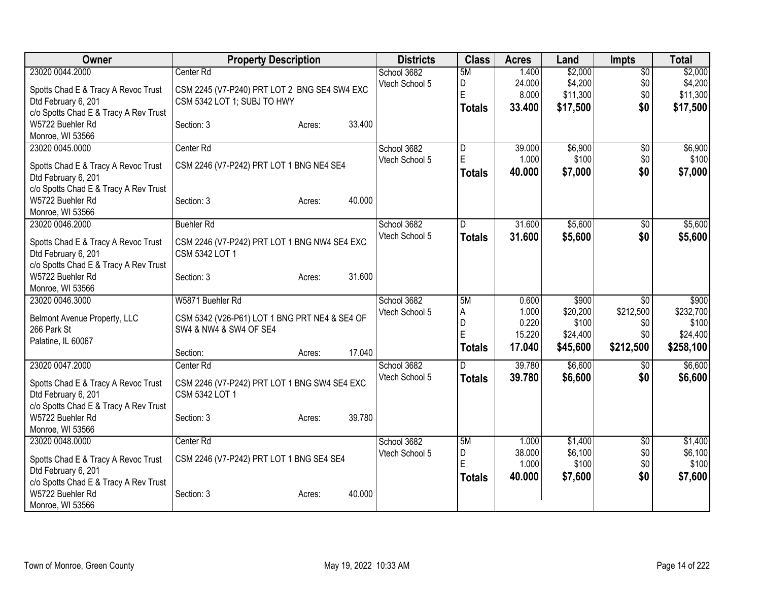| Owner                                                                                                                  | <b>Property Description</b>                                                                 | <b>Districts</b>              | <b>Class</b>                         | <b>Acres</b>                       | Land                                       | <b>Impts</b>                         | <b>Total</b>                               |
|------------------------------------------------------------------------------------------------------------------------|---------------------------------------------------------------------------------------------|-------------------------------|--------------------------------------|------------------------------------|--------------------------------------------|--------------------------------------|--------------------------------------------|
| 23020 0044.2000<br>Spotts Chad E & Tracy A Revoc Trust<br>Dtd February 6, 201<br>c/o Spotts Chad E & Tracy A Rev Trust | Center Rd<br>CSM 2245 (V7-P240) PRT LOT 2 BNG SE4 SW4 EXC<br>CSM 5342 LOT 1; SUBJ TO HWY    | School 3682<br>Vtech School 5 | 5M<br>D<br>E<br><b>Totals</b>        | 1.400<br>24.000<br>8.000<br>33.400 | \$2,000<br>\$4,200<br>\$11,300<br>\$17,500 | $\overline{30}$<br>\$0<br>\$0<br>\$0 | \$2,000<br>\$4,200<br>\$11,300<br>\$17,500 |
| W5722 Buehler Rd<br>Monroe, WI 53566                                                                                   | 33.400<br>Section: 3<br>Acres:                                                              |                               |                                      |                                    |                                            |                                      |                                            |
| 23020 0045.0000<br>Spotts Chad E & Tracy A Revoc Trust<br>Dtd February 6, 201<br>c/o Spotts Chad E & Tracy A Rev Trust | Center Rd<br>CSM 2246 (V7-P242) PRT LOT 1 BNG NE4 SE4                                       | School 3682<br>Vtech School 5 | $\overline{D}$<br>E<br><b>Totals</b> | 39.000<br>1.000<br>40.000          | \$6,900<br>\$100<br>\$7,000                | $\overline{50}$<br>\$0<br>\$0        | \$6,900<br>\$100<br>\$7,000                |
| W5722 Buehler Rd<br>Monroe, WI 53566                                                                                   | 40.000<br>Section: 3<br>Acres:                                                              |                               |                                      |                                    |                                            |                                      |                                            |
| 23020 0046.2000<br>Spotts Chad E & Tracy A Revoc Trust<br>Dtd February 6, 201<br>c/o Spotts Chad E & Tracy A Rev Trust | <b>Buehler Rd</b><br>CSM 2246 (V7-P242) PRT LOT 1 BNG NW4 SE4 EXC<br>CSM 5342 LOT 1         | School 3682<br>Vtech School 5 | D<br><b>Totals</b>                   | 31.600<br>31.600                   | \$5,600<br>\$5,600                         | $\overline{50}$<br>\$0               | \$5,600<br>\$5,600                         |
| W5722 Buehler Rd<br>Monroe, WI 53566                                                                                   | 31.600<br>Section: 3<br>Acres:                                                              |                               |                                      |                                    |                                            |                                      |                                            |
| 23020 0046.3000<br>Belmont Avenue Property, LLC<br>266 Park St<br>Palatine, IL 60067                                   | W5871 Buehler Rd<br>CSM 5342 (V26-P61) LOT 1 BNG PRT NE4 & SE4 OF<br>SW4 & NW4 & SW4 OF SE4 | School 3682<br>Vtech School 5 | 5M<br>A<br>D<br>E                    | 0.600<br>1.000<br>0.220<br>15.220  | \$900<br>\$20,200<br>\$100<br>\$24,400     | \$0<br>\$212,500<br>\$0<br>\$0       | \$900<br>\$232,700<br>\$100<br>\$24,400    |
|                                                                                                                        | 17.040<br>Section:<br>Acres:                                                                |                               | <b>Totals</b>                        | 17.040                             | \$45,600                                   | \$212,500                            | \$258,100                                  |
| 23020 0047.2000<br>Spotts Chad E & Tracy A Revoc Trust<br>Dtd February 6, 201<br>c/o Spotts Chad E & Tracy A Rev Trust | Center Rd<br>CSM 2246 (V7-P242) PRT LOT 1 BNG SW4 SE4 EXC<br>CSM 5342 LOT 1                 | School 3682<br>Vtech School 5 | <b>Totals</b>                        | 39.780<br>39.780                   | \$6,600<br>\$6,600                         | \$0<br>\$0                           | \$6,600<br>\$6,600                         |
| W5722 Buehler Rd<br>Monroe, WI 53566                                                                                   | 39.780<br>Section: 3<br>Acres:                                                              |                               |                                      |                                    |                                            |                                      |                                            |
| 23020 0048.0000<br>Spotts Chad E & Tracy A Revoc Trust<br>Dtd February 6, 201<br>c/o Spotts Chad E & Tracy A Rev Trust | Center <sub>Rd</sub><br>CSM 2246 (V7-P242) PRT LOT 1 BNG SE4 SE4                            | School 3682<br>Vtech School 5 | 5M<br>D<br>E<br><b>Totals</b>        | 1.000<br>38.000<br>1.000<br>40.000 | \$1,400<br>\$6,100<br>\$100<br>\$7,600     | $\overline{50}$<br>\$0<br>\$0<br>\$0 | \$1,400<br>\$6,100<br>\$100<br>\$7,600     |
| W5722 Buehler Rd<br>Monroe, WI 53566                                                                                   | 40.000<br>Section: 3<br>Acres:                                                              |                               |                                      |                                    |                                            |                                      |                                            |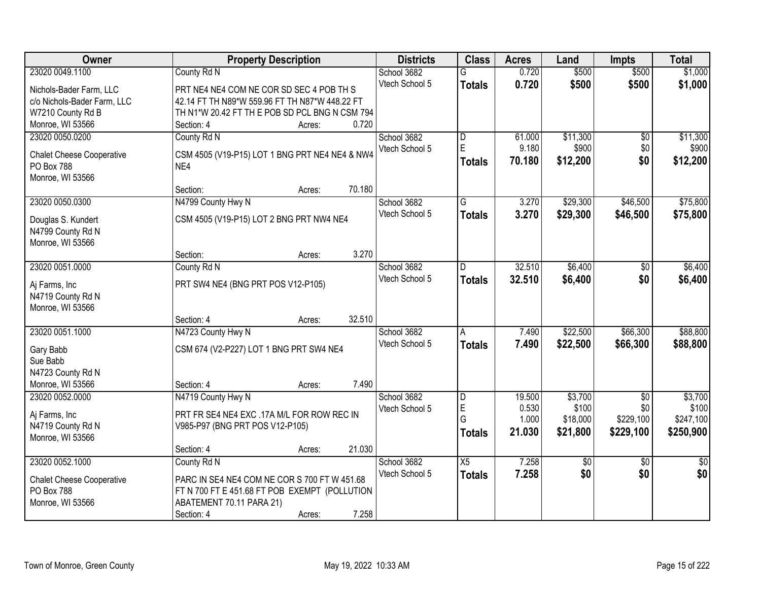| Owner                                 |                                                | <b>Property Description</b> |        | <b>Districts</b>              | <b>Class</b>     | <b>Acres</b>    | Land             | <b>Impts</b>           | <b>Total</b>     |
|---------------------------------------|------------------------------------------------|-----------------------------|--------|-------------------------------|------------------|-----------------|------------------|------------------------|------------------|
| 23020 0049.1100                       | County Rd N                                    |                             |        | School 3682                   | G                | 0.720           | \$500            | \$500                  | \$1,000          |
| Nichols-Bader Farm, LLC               | PRT NE4 NE4 COM NE COR SD SEC 4 POB TH S       |                             |        | Vtech School 5                | <b>Totals</b>    | 0.720           | \$500            | \$500                  | \$1,000          |
| c/o Nichols-Bader Farm, LLC           | 42.14 FT TH N89*W 559.96 FT TH N87*W 448.22 FT |                             |        |                               |                  |                 |                  |                        |                  |
| W7210 County Rd B                     | TH N1*W 20.42 FT TH E POB SD PCL BNG N CSM 794 |                             |        |                               |                  |                 |                  |                        |                  |
| Monroe, WI 53566                      | Section: 4                                     | Acres:                      | 0.720  |                               |                  |                 |                  |                        |                  |
| 23020 0050.0200                       | County Rd N                                    |                             |        | School 3682                   | l D              | 61.000          | \$11,300         | $\overline{50}$        | \$11,300         |
|                                       |                                                |                             |        | Vtech School 5                | E                | 9.180           | \$900            | \$0                    | \$900            |
| <b>Chalet Cheese Cooperative</b>      | CSM 4505 (V19-P15) LOT 1 BNG PRT NE4 NE4 & NW4 |                             |        |                               | Totals           | 70.180          | \$12,200         | \$0                    | \$12,200         |
| <b>PO Box 788</b>                     | NE4                                            |                             |        |                               |                  |                 |                  |                        |                  |
| Monroe, WI 53566                      | Section:                                       |                             | 70.180 |                               |                  |                 |                  |                        |                  |
| 23020 0050.0300                       |                                                | Acres:                      |        | School 3682                   | G                | 3.270           | \$29,300         | \$46,500               | \$75,800         |
|                                       | N4799 County Hwy N                             |                             |        | Vtech School 5                |                  |                 |                  |                        |                  |
| Douglas S. Kundert                    | CSM 4505 (V19-P15) LOT 2 BNG PRT NW4 NE4       |                             |        |                               | <b>Totals</b>    | 3.270           | \$29,300         | \$46,500               | \$75,800         |
| N4799 County Rd N                     |                                                |                             |        |                               |                  |                 |                  |                        |                  |
| Monroe, WI 53566                      |                                                |                             |        |                               |                  |                 |                  |                        |                  |
|                                       | Section:                                       | Acres:                      | 3.270  |                               |                  |                 |                  |                        |                  |
| 23020 0051.0000                       | County Rd N                                    |                             |        | School 3682                   | D                | 32.510          | \$6,400          | \$0                    | \$6,400          |
| Aj Farms, Inc                         | PRT SW4 NE4 (BNG PRT POS V12-P105)             |                             |        | Vtech School 5                | <b>Totals</b>    | 32.510          | \$6,400          | \$0                    | \$6,400          |
| N4719 County Rd N                     |                                                |                             |        |                               |                  |                 |                  |                        |                  |
| Monroe, WI 53566                      |                                                |                             |        |                               |                  |                 |                  |                        |                  |
|                                       | Section: 4                                     | Acres:                      | 32.510 |                               |                  |                 |                  |                        |                  |
| 23020 0051.1000                       | N4723 County Hwy N                             |                             |        | School 3682                   | A                | 7.490           | \$22,500         | \$66,300               | \$88,800         |
|                                       |                                                |                             |        | Vtech School 5                | Totals           | 7.490           | \$22,500         | \$66,300               | \$88,800         |
| Gary Babb                             | CSM 674 (V2-P227) LOT 1 BNG PRT SW4 NE4        |                             |        |                               |                  |                 |                  |                        |                  |
| Sue Babb                              |                                                |                             |        |                               |                  |                 |                  |                        |                  |
| N4723 County Rd N<br>Monroe, WI 53566 | Section: 4                                     |                             | 7.490  |                               |                  |                 |                  |                        |                  |
|                                       |                                                | Acres:                      |        |                               |                  |                 |                  |                        |                  |
| 23020 0052.0000                       | N4719 County Hwy N                             |                             |        | School 3682<br>Vtech School 5 | D<br>$\mathsf E$ | 19.500<br>0.530 | \$3,700<br>\$100 | $\overline{50}$<br>\$0 | \$3,700<br>\$100 |
| Aj Farms, Inc                         | PRT FR SE4 NE4 EXC .17A M/L FOR ROW REC IN     |                             |        |                               | G                | 1.000           | \$18,000         | \$229,100              | \$247,100        |
| N4719 County Rd N                     | V985-P97 (BNG PRT POS V12-P105)                |                             |        |                               | Totals           | 21.030          | \$21,800         | \$229,100              | \$250,900        |
| Monroe, WI 53566                      |                                                |                             |        |                               |                  |                 |                  |                        |                  |
|                                       | Section: 4                                     | Acres:                      | 21.030 |                               |                  |                 |                  |                        |                  |
| 23020 0052.1000                       | County Rd N                                    |                             |        | School 3682                   | X5               | 7.258           | $\overline{50}$  | $\overline{30}$        | $\frac{1}{2}$    |
| <b>Chalet Cheese Cooperative</b>      | PARC IN SE4 NE4 COM NE COR S 700 FT W 451.68   |                             |        | Vtech School 5                | <b>Totals</b>    | 7.258           | \$0              | \$0                    | \$0              |
| PO Box 788                            | FT N 700 FT E 451.68 FT POB EXEMPT (POLLUTION  |                             |        |                               |                  |                 |                  |                        |                  |
| Monroe, WI 53566                      | ABATEMENT 70.11 PARA 21)                       |                             |        |                               |                  |                 |                  |                        |                  |
|                                       | Section: 4                                     | Acres:                      | 7.258  |                               |                  |                 |                  |                        |                  |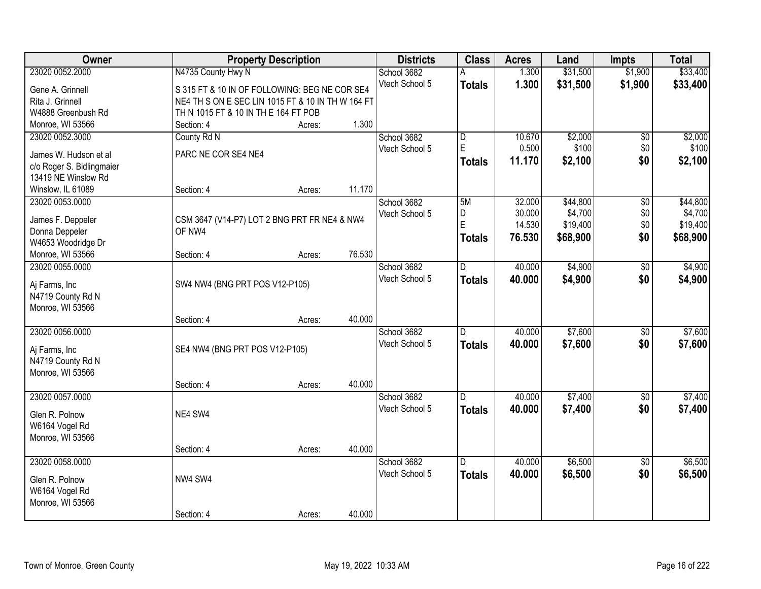| Owner                     | <b>Property Description</b>                       |        |        | <b>Districts</b> | <b>Class</b>            | <b>Acres</b>     | Land                | <b>Impts</b>    | <b>Total</b>        |
|---------------------------|---------------------------------------------------|--------|--------|------------------|-------------------------|------------------|---------------------|-----------------|---------------------|
| 23020 0052.2000           | N4735 County Hwy N                                |        |        | School 3682      |                         | 1.300            | \$31,500            | \$1,900         | \$33,400            |
| Gene A. Grinnell          | S 315 FT & 10 IN OF FOLLOWING: BEG NE COR SE4     |        |        | Vtech School 5   | <b>Totals</b>           | 1.300            | \$31,500            | \$1,900         | \$33,400            |
| Rita J. Grinnell          | NE4 TH S ON E SEC LIN 1015 FT & 10 IN TH W 164 FT |        |        |                  |                         |                  |                     |                 |                     |
| W4888 Greenbush Rd        | TH N 1015 FT & 10 IN TH E 164 FT POB              |        |        |                  |                         |                  |                     |                 |                     |
| Monroe, WI 53566          | Section: 4                                        | Acres: | 1.300  |                  |                         |                  |                     |                 |                     |
| 23020 0052.3000           | County Rd N                                       |        |        | School 3682      | $\overline{\mathsf{D}}$ | 10.670           | \$2,000             | \$0             | \$2,000             |
|                           |                                                   |        |        | Vtech School 5   | E                       | 0.500            | \$100               | \$0             | \$100               |
| James W. Hudson et al     | PARC NE COR SE4 NE4                               |        |        |                  | <b>Totals</b>           | 11.170           | \$2,100             | \$0             | \$2,100             |
| c/o Roger S. Bidlingmaier |                                                   |        |        |                  |                         |                  |                     |                 |                     |
| 13419 NE Winslow Rd       |                                                   |        | 11.170 |                  |                         |                  |                     |                 |                     |
| Winslow, IL 61089         | Section: 4                                        | Acres: |        |                  |                         |                  |                     |                 |                     |
| 23020 0053.0000           |                                                   |        |        | School 3682      | 5M                      | 32.000           | \$44,800            | $\overline{50}$ | \$44,800            |
| James F. Deppeler         | CSM 3647 (V14-P7) LOT 2 BNG PRT FR NE4 & NW4      |        |        | Vtech School 5   | D.<br>E                 | 30.000<br>14.530 | \$4,700<br>\$19,400 | \$0<br>\$0      | \$4,700<br>\$19,400 |
| Donna Deppeler            | OF NW4                                            |        |        |                  |                         |                  |                     |                 |                     |
| W4653 Woodridge Dr        |                                                   |        |        |                  | <b>Totals</b>           | 76.530           | \$68,900            | \$0             | \$68,900            |
| Monroe, WI 53566          | Section: 4                                        | Acres: | 76.530 |                  |                         |                  |                     |                 |                     |
| 23020 0055.0000           |                                                   |        |        | School 3682      | D.                      | 40.000           | \$4,900             | \$0             | \$4,900             |
| Aj Farms, Inc             | SW4 NW4 (BNG PRT POS V12-P105)                    |        |        | Vtech School 5   | <b>Totals</b>           | 40.000           | \$4,900             | \$0             | \$4,900             |
| N4719 County Rd N         |                                                   |        |        |                  |                         |                  |                     |                 |                     |
| Monroe, WI 53566          |                                                   |        |        |                  |                         |                  |                     |                 |                     |
|                           | Section: 4                                        | Acres: | 40.000 |                  |                         |                  |                     |                 |                     |
| 23020 0056.0000           |                                                   |        |        | School 3682      | D                       | 40.000           | \$7,600             | $\overline{50}$ | \$7,600             |
|                           |                                                   |        |        | Vtech School 5   | <b>Totals</b>           | 40.000           | \$7,600             | \$0             | \$7,600             |
| Aj Farms, Inc             | SE4 NW4 (BNG PRT POS V12-P105)                    |        |        |                  |                         |                  |                     |                 |                     |
| N4719 County Rd N         |                                                   |        |        |                  |                         |                  |                     |                 |                     |
| Monroe, WI 53566          |                                                   |        |        |                  |                         |                  |                     |                 |                     |
|                           | Section: 4                                        | Acres: | 40.000 |                  |                         |                  |                     |                 |                     |
| 23020 0057.0000           |                                                   |        |        | School 3682      | D                       | 40.000           | \$7,400             | $\sqrt{6}$      | \$7,400             |
| Glen R. Polnow            | NE4 SW4                                           |        |        | Vtech School 5   | <b>Totals</b>           | 40.000           | \$7,400             | \$0             | \$7,400             |
| W6164 Vogel Rd            |                                                   |        |        |                  |                         |                  |                     |                 |                     |
| Monroe, WI 53566          |                                                   |        |        |                  |                         |                  |                     |                 |                     |
|                           | Section: 4                                        | Acres: | 40.000 |                  |                         |                  |                     |                 |                     |
| 23020 0058.0000           |                                                   |        |        | School 3682      | $\overline{D}$          | 40.000           | \$6,500             | $\overline{50}$ | \$6,500             |
|                           |                                                   |        |        | Vtech School 5   | <b>Totals</b>           | 40.000           | \$6,500             | \$0             | \$6,500             |
| Glen R. Polnow            | NW4 SW4                                           |        |        |                  |                         |                  |                     |                 |                     |
| W6164 Vogel Rd            |                                                   |        |        |                  |                         |                  |                     |                 |                     |
| Monroe, WI 53566          | Section: 4                                        |        | 40.000 |                  |                         |                  |                     |                 |                     |
|                           |                                                   | Acres: |        |                  |                         |                  |                     |                 |                     |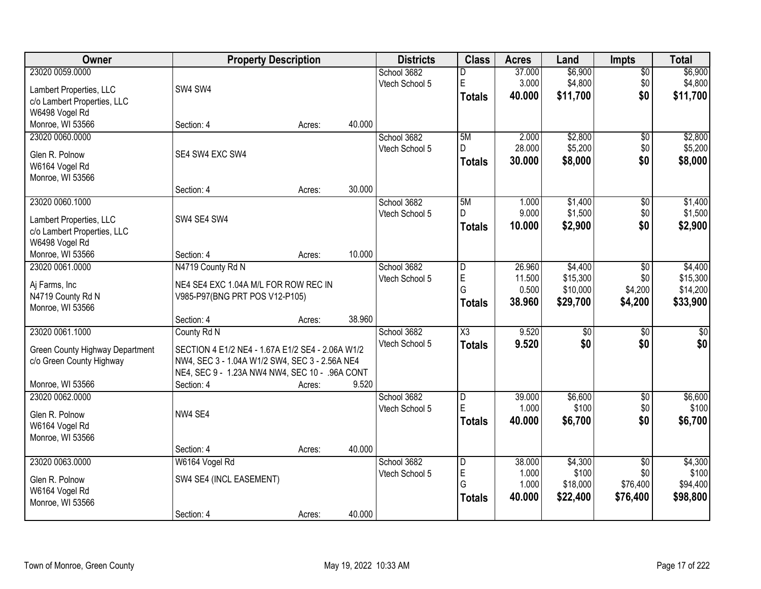| Owner                           |                                                  | <b>Property Description</b> |        | <b>Districts</b> | <b>Class</b>            | <b>Acres</b> | Land            | <b>Impts</b>    | <b>Total</b>    |
|---------------------------------|--------------------------------------------------|-----------------------------|--------|------------------|-------------------------|--------------|-----------------|-----------------|-----------------|
| 23020 0059.0000                 |                                                  |                             |        | School 3682      | D                       | 37.000       | \$6,900         | $\sqrt{$0}$     | \$6,900         |
| Lambert Properties, LLC         | SW4 SW4                                          |                             |        | Vtech School 5   | E                       | 3.000        | \$4,800         | \$0             | \$4,800         |
| c/o Lambert Properties, LLC     |                                                  |                             |        |                  | <b>Totals</b>           | 40.000       | \$11,700        | \$0             | \$11,700        |
| W6498 Vogel Rd                  |                                                  |                             |        |                  |                         |              |                 |                 |                 |
| Monroe, WI 53566                | Section: 4                                       | Acres:                      | 40.000 |                  |                         |              |                 |                 |                 |
| 23020 0060.0000                 |                                                  |                             |        | School 3682      | 5M                      | 2.000        | \$2,800         | \$0             | \$2,800         |
| Glen R. Polnow                  | SE4 SW4 EXC SW4                                  |                             |        | Vtech School 5   | D.                      | 28.000       | \$5,200         | \$0             | \$5,200         |
| W6164 Vogel Rd                  |                                                  |                             |        |                  | <b>Totals</b>           | 30.000       | \$8,000         | \$0             | \$8,000         |
| Monroe, WI 53566                |                                                  |                             |        |                  |                         |              |                 |                 |                 |
|                                 | Section: 4                                       | Acres:                      | 30.000 |                  |                         |              |                 |                 |                 |
| 23020 0060.1000                 |                                                  |                             |        | School 3682      | 5M                      | 1.000        | \$1,400         | \$0             | \$1,400         |
| Lambert Properties, LLC         | SW4 SE4 SW4                                      |                             |        | Vtech School 5   | D                       | 9.000        | \$1,500         | \$0             | \$1,500         |
| c/o Lambert Properties, LLC     |                                                  |                             |        |                  | <b>Totals</b>           | 10.000       | \$2,900         | \$0             | \$2,900         |
| W6498 Vogel Rd                  |                                                  |                             |        |                  |                         |              |                 |                 |                 |
| Monroe, WI 53566                | Section: 4                                       | Acres:                      | 10.000 |                  |                         |              |                 |                 |                 |
| 23020 0061.0000                 | N4719 County Rd N                                |                             |        | School 3682      | l D                     | 26.960       | \$4,400         | $\sqrt{6}$      | \$4,400         |
| Aj Farms, Inc                   | NE4 SE4 EXC 1.04A M/L FOR ROW REC IN             |                             |        | Vtech School 5   | E                       | 11.500       | \$15,300        | \$0             | \$15,300        |
| N4719 County Rd N               | V985-P97(BNG PRT POS V12-P105)                   |                             |        |                  | G                       | 0.500        | \$10,000        | \$4,200         | \$14,200        |
| Monroe, WI 53566                |                                                  |                             |        |                  | <b>Totals</b>           | 38.960       | \$29,700        | \$4,200         | \$33,900        |
|                                 | Section: 4                                       | Acres:                      | 38.960 |                  |                         |              |                 |                 |                 |
| 23020 0061.1000                 | County Rd N                                      |                             |        | School 3682      | $\overline{\chi_3}$     | 9.520        | $\overline{50}$ | $\overline{50}$ | $\overline{50}$ |
| Green County Highway Department | SECTION 4 E1/2 NE4 - 1.67A E1/2 SE4 - 2.06A W1/2 |                             |        | Vtech School 5   | Totals                  | 9.520        | \$0             | \$0             | \$0             |
| c/o Green County Highway        | NW4, SEC 3 - 1.04A W1/2 SW4, SEC 3 - 2.56A NE4   |                             |        |                  |                         |              |                 |                 |                 |
|                                 | NE4, SEC 9 - 1.23A NW4 NW4, SEC 10 - .96A CONT   |                             |        |                  |                         |              |                 |                 |                 |
| Monroe, WI 53566                | Section: 4                                       | Acres:                      | 9.520  |                  |                         |              |                 |                 |                 |
| 23020 0062.0000                 |                                                  |                             |        | School 3682      | D                       | 39.000       | \$6,600         | $\overline{50}$ | \$6,600         |
| Glen R. Polnow                  | NW4 SE4                                          |                             |        | Vtech School 5   | E                       | 1.000        | \$100           | \$0             | \$100           |
| W6164 Vogel Rd                  |                                                  |                             |        |                  | <b>Totals</b>           | 40,000       | \$6,700         | \$0             | \$6,700         |
| Monroe, WI 53566                |                                                  |                             |        |                  |                         |              |                 |                 |                 |
|                                 | Section: 4                                       | Acres:                      | 40.000 |                  |                         |              |                 |                 |                 |
| 23020 0063.0000                 | W6164 Vogel Rd                                   |                             |        | School 3682      | $\overline{\mathsf{D}}$ | 38,000       | \$4,300         | $\overline{50}$ | \$4,300         |
| Glen R. Polnow                  | SW4 SE4 (INCL EASEMENT)                          |                             |        | Vtech School 5   | $\mathsf E$             | 1.000        | \$100           | \$0             | \$100           |
| W6164 Vogel Rd                  |                                                  |                             |        |                  | G                       | 1.000        | \$18,000        | \$76,400        | \$94,400        |
| Monroe, WI 53566                |                                                  |                             |        |                  | <b>Totals</b>           | 40.000       | \$22,400        | \$76,400        | \$98,800        |
|                                 | Section: 4                                       | Acres:                      | 40.000 |                  |                         |              |                 |                 |                 |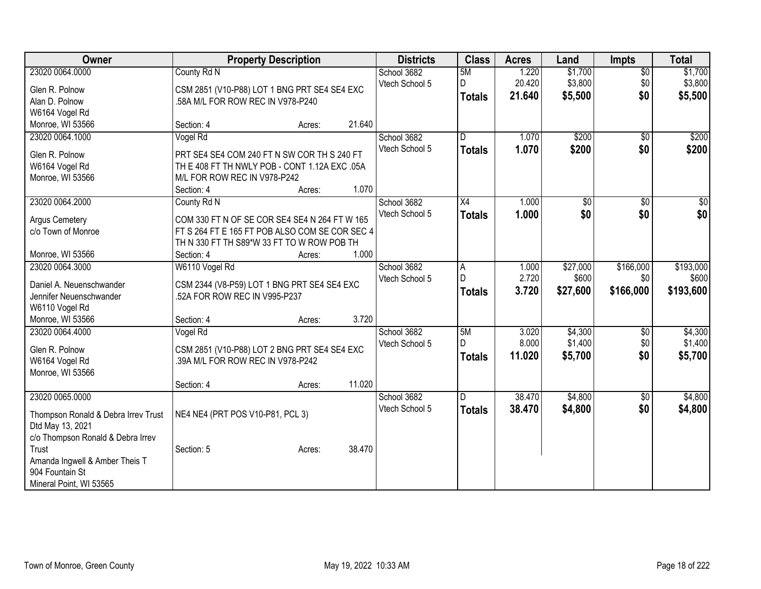| Owner                                      |                                                | <b>Property Description</b> |        | <b>Districts</b> | <b>Class</b>    | <b>Acres</b> | Land            | <b>Impts</b>    | <b>Total</b> |
|--------------------------------------------|------------------------------------------------|-----------------------------|--------|------------------|-----------------|--------------|-----------------|-----------------|--------------|
| 23020 0064.0000                            | County Rd N                                    |                             |        | School 3682      | 5M              | 1.220        | \$1,700         | $\overline{50}$ | \$1,700      |
| Glen R. Polnow                             | CSM 2851 (V10-P88) LOT 1 BNG PRT SE4 SE4 EXC   |                             |        | Vtech School 5   | D.              | 20.420       | \$3,800         | \$0             | \$3,800      |
| Alan D. Polnow                             | .58A M/L FOR ROW REC IN V978-P240              |                             |        |                  | <b>Totals</b>   | 21.640       | \$5,500         | \$0             | \$5,500      |
| W6164 Vogel Rd                             |                                                |                             |        |                  |                 |              |                 |                 |              |
| Monroe, WI 53566                           | Section: 4                                     | Acres:                      | 21.640 |                  |                 |              |                 |                 |              |
| 23020 0064.1000                            | Vogel Rd                                       |                             |        | School 3682      | D               | 1.070        | \$200           | \$0             | \$200        |
|                                            |                                                |                             |        | Vtech School 5   | <b>Totals</b>   | 1.070        | \$200           | \$0             | \$200        |
| Glen R. Polnow                             | PRT SE4 SE4 COM 240 FT N SW COR TH S 240 FT    |                             |        |                  |                 |              |                 |                 |              |
| W6164 Vogel Rd                             | TH E 408 FT TH NWLY POB - CONT 1.12A EXC .05A  |                             |        |                  |                 |              |                 |                 |              |
| Monroe, WI 53566                           | M/L FOR ROW REC IN V978-P242                   |                             |        |                  |                 |              |                 |                 |              |
|                                            | Section: 4                                     | Acres:                      | 1.070  |                  |                 |              |                 |                 |              |
| 23020 0064.2000                            | County Rd N                                    |                             |        | School 3682      | $\overline{X4}$ | 1.000        | $\overline{60}$ | $\overline{50}$ | $\sqrt{50}$  |
| <b>Argus Cemetery</b>                      | COM 330 FT N OF SE COR SE4 SE4 N 264 FT W 165  |                             |        | Vtech School 5   | <b>Totals</b>   | 1.000        | \$0             | \$0             | \$0          |
| c/o Town of Monroe                         | FT S 264 FT E 165 FT POB ALSO COM SE COR SEC 4 |                             |        |                  |                 |              |                 |                 |              |
|                                            | TH N 330 FT TH S89*W 33 FT TO W ROW POB TH     |                             |        |                  |                 |              |                 |                 |              |
| Monroe, WI 53566                           | Section: 4                                     | Acres:                      | 1.000  |                  |                 |              |                 |                 |              |
| 23020 0064.3000                            |                                                |                             |        | School 3682      |                 | 1.000        |                 | \$166,000       | \$193,000    |
|                                            | W6110 Vogel Rd                                 |                             |        |                  | A<br>D          |              | \$27,000        |                 |              |
| Daniel A. Neuenschwander                   | CSM 2344 (V8-P59) LOT 1 BNG PRT SE4 SE4 EXC    |                             |        | Vtech School 5   |                 | 2.720        | \$600           | \$0             | \$600        |
| Jennifer Neuenschwander                    | .52A FOR ROW REC IN V995-P237                  |                             |        |                  | <b>Totals</b>   | 3.720        | \$27,600        | \$166,000       | \$193,600    |
| W6110 Vogel Rd                             |                                                |                             |        |                  |                 |              |                 |                 |              |
| Monroe, WI 53566                           | Section: 4                                     | Acres:                      | 3.720  |                  |                 |              |                 |                 |              |
| 23020 0064.4000                            | Vogel Rd                                       |                             |        | School 3682      | 5M              | 3.020        | \$4,300         | \$0             | \$4,300      |
|                                            |                                                |                             |        | Vtech School 5   |                 | 8.000        | \$1,400         | \$0             | \$1,400      |
| Glen R. Polnow                             | CSM 2851 (V10-P88) LOT 2 BNG PRT SE4 SE4 EXC   |                             |        |                  | <b>Totals</b>   | 11.020       | \$5,700         | \$0             | \$5,700      |
| W6164 Vogel Rd                             | .39A M/L FOR ROW REC IN V978-P242              |                             |        |                  |                 |              |                 |                 |              |
| Monroe, WI 53566                           |                                                |                             |        |                  |                 |              |                 |                 |              |
|                                            | Section: 4                                     | Acres:                      | 11.020 |                  |                 |              |                 |                 |              |
| 23020 0065.0000                            |                                                |                             |        | School 3682      | lD.             | 38.470       | \$4,800         | $\sqrt{$0}$     | \$4,800      |
| Thompson Ronald & Debra Irrev Trust        | NE4 NE4 (PRT POS V10-P81, PCL 3)               |                             |        | Vtech School 5   | <b>Totals</b>   | 38.470       | \$4,800         | \$0             | \$4,800      |
| Dtd May 13, 2021                           |                                                |                             |        |                  |                 |              |                 |                 |              |
| c/o Thompson Ronald & Debra Irrev          |                                                |                             |        |                  |                 |              |                 |                 |              |
| Trust                                      | Section: 5                                     | Acres:                      | 38.470 |                  |                 |              |                 |                 |              |
| Amanda Ingwell & Amber Theis T             |                                                |                             |        |                  |                 |              |                 |                 |              |
|                                            |                                                |                             |        |                  |                 |              |                 |                 |              |
|                                            |                                                |                             |        |                  |                 |              |                 |                 |              |
| 904 Fountain St<br>Mineral Point, WI 53565 |                                                |                             |        |                  |                 |              |                 |                 |              |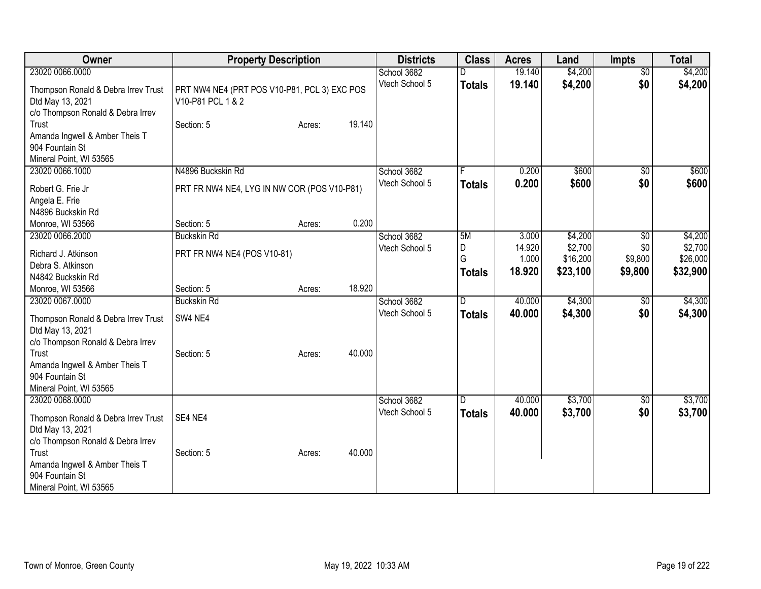| Owner                                                                                                                                                      | <b>Property Description</b>                                       |        |        | <b>Districts</b>              | <b>Class</b>                  | <b>Acres</b>                       | Land                                       | <b>Impts</b>                                 | <b>Total</b>                               |
|------------------------------------------------------------------------------------------------------------------------------------------------------------|-------------------------------------------------------------------|--------|--------|-------------------------------|-------------------------------|------------------------------------|--------------------------------------------|----------------------------------------------|--------------------------------------------|
| 23020 0066.0000                                                                                                                                            |                                                                   |        |        | School 3682                   |                               | 19.140                             | \$4,200                                    | $\overline{50}$                              | \$4,200                                    |
| Thompson Ronald & Debra Irrev Trust<br>Dtd May 13, 2021<br>c/o Thompson Ronald & Debra Irrev                                                               | PRT NW4 NE4 (PRT POS V10-P81, PCL 3) EXC POS<br>V10-P81 PCL 1 & 2 |        |        | Vtech School 5                | <b>Totals</b>                 | 19.140                             | \$4,200                                    | \$0                                          | \$4,200                                    |
| Trust<br>Amanda Ingwell & Amber Theis T<br>904 Fountain St<br>Mineral Point, WI 53565                                                                      | Section: 5                                                        | Acres: | 19.140 |                               |                               |                                    |                                            |                                              |                                            |
| 23020 0066.1000                                                                                                                                            | N4896 Buckskin Rd                                                 |        |        | School 3682                   |                               | 0.200                              | \$600                                      | $\overline{50}$                              | \$600                                      |
| Robert G. Frie Jr<br>Angela E. Frie                                                                                                                        | PRT FR NW4 NE4, LYG IN NW COR (POS V10-P81)                       |        |        | Vtech School 5                | <b>Totals</b>                 | 0.200                              | \$600                                      | \$0                                          | \$600                                      |
| N4896 Buckskin Rd                                                                                                                                          |                                                                   |        |        |                               |                               |                                    |                                            |                                              |                                            |
| Monroe, WI 53566                                                                                                                                           | Section: 5                                                        | Acres: | 0.200  |                               |                               |                                    |                                            |                                              |                                            |
| 23020 0066.2000<br>Richard J. Atkinson<br>Debra S. Atkinson<br>N4842 Buckskin Rd                                                                           | <b>Buckskin Rd</b><br>PRT FR NW4 NE4 (POS V10-81)                 |        |        | School 3682<br>Vtech School 5 | 5M<br>D<br>G<br><b>Totals</b> | 3.000<br>14.920<br>1.000<br>18.920 | \$4,200<br>\$2,700<br>\$16,200<br>\$23,100 | $\overline{50}$<br>\$0<br>\$9,800<br>\$9,800 | \$4,200<br>\$2,700<br>\$26,000<br>\$32,900 |
| Monroe, WI 53566                                                                                                                                           | Section: 5                                                        | Acres: | 18.920 |                               |                               |                                    |                                            |                                              |                                            |
| 23020 0067.0000<br>Thompson Ronald & Debra Irrev Trust<br>Dtd May 13, 2021<br>c/o Thompson Ronald & Debra Irrev                                            | <b>Buckskin Rd</b><br>SW4 NE4                                     |        |        | School 3682<br>Vtech School 5 | D<br><b>Totals</b>            | 40.000<br>40.000                   | \$4,300<br>\$4,300                         | \$0<br>\$0                                   | \$4,300<br>\$4,300                         |
| Trust<br>Amanda Ingwell & Amber Theis T<br>904 Fountain St<br>Mineral Point, WI 53565                                                                      | Section: 5                                                        | Acres: | 40.000 |                               |                               |                                    |                                            |                                              |                                            |
| 23020 0068.0000<br>Thompson Ronald & Debra Irrev Trust<br>Dtd May 13, 2021<br>c/o Thompson Ronald & Debra Irrev<br>Trust<br>Amanda Ingwell & Amber Theis T | SE4 NE4<br>Section: 5                                             | Acres: | 40.000 | School 3682<br>Vtech School 5 | D<br><b>Totals</b>            | 40.000<br>40.000                   | \$3,700<br>\$3,700                         | \$0<br>\$0                                   | \$3,700<br>\$3,700                         |
| 904 Fountain St<br>Mineral Point, WI 53565                                                                                                                 |                                                                   |        |        |                               |                               |                                    |                                            |                                              |                                            |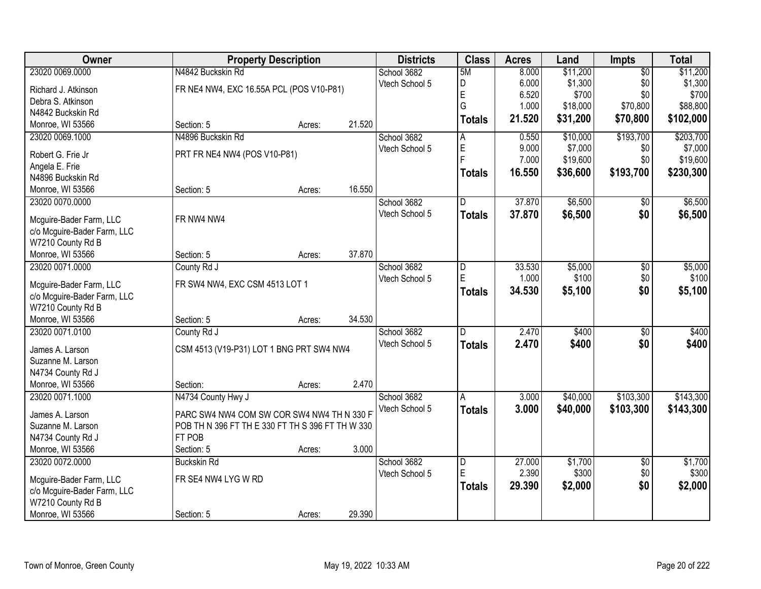| Owner                       | <b>Property Description</b>                      |        |        | <b>Districts</b> | <b>Class</b>   | <b>Acres</b> | Land     | <b>Impts</b>    | <b>Total</b> |
|-----------------------------|--------------------------------------------------|--------|--------|------------------|----------------|--------------|----------|-----------------|--------------|
| 23020 0069.0000             | N4842 Buckskin Rd                                |        |        | School 3682      | 5M             | 8.000        | \$11,200 | $\overline{50}$ | \$11,200     |
| Richard J. Atkinson         | FR NE4 NW4, EXC 16.55A PCL (POS V10-P81)         |        |        | Vtech School 5   | D              | 6.000        | \$1,300  | \$0             | \$1,300      |
| Debra S. Atkinson           |                                                  |        |        |                  | E              | 6.520        | \$700    | \$0             | \$700        |
| N4842 Buckskin Rd           |                                                  |        |        |                  | G              | 1.000        | \$18,000 | \$70,800        | \$88,800     |
| Monroe, WI 53566            | Section: 5                                       | Acres: | 21.520 |                  | <b>Totals</b>  | 21.520       | \$31,200 | \$70,800        | \$102,000    |
| 23020 0069.1000             | N4896 Buckskin Rd                                |        |        | School 3682      | A              | 0.550        | \$10,000 | \$193,700       | \$203,700    |
| Robert G. Frie Jr           | PRT FR NE4 NW4 (POS V10-P81)                     |        |        | Vtech School 5   | E              | 9.000        | \$7,000  | \$0             | \$7,000      |
| Angela E. Frie              |                                                  |        |        |                  | É              | 7.000        | \$19,600 | \$0             | \$19,600     |
| N4896 Buckskin Rd           |                                                  |        |        |                  | <b>Totals</b>  | 16.550       | \$36,600 | \$193,700       | \$230,300    |
| Monroe, WI 53566            | Section: 5                                       | Acres: | 16.550 |                  |                |              |          |                 |              |
| 23020 0070.0000             |                                                  |        |        | School 3682      | D              | 37.870       | \$6,500  | \$0             | \$6,500      |
|                             |                                                  |        |        | Vtech School 5   | <b>Totals</b>  | 37.870       | \$6,500  | \$0             | \$6,500      |
| Mcguire-Bader Farm, LLC     | FR NW4 NW4                                       |        |        |                  |                |              |          |                 |              |
| c/o Mcguire-Bader Farm, LLC |                                                  |        |        |                  |                |              |          |                 |              |
| W7210 County Rd B           |                                                  |        |        |                  |                |              |          |                 |              |
| Monroe, WI 53566            | Section: 5                                       | Acres: | 37.870 |                  |                |              |          |                 |              |
| 23020 0071.0000             | County Rd J                                      |        |        | School 3682      | D              | 33.530       | \$5,000  | \$0             | \$5,000      |
| Mcguire-Bader Farm, LLC     | FR SW4 NW4, EXC CSM 4513 LOT 1                   |        |        | Vtech School 5   | E              | 1.000        | \$100    | \$0             | \$100        |
| c/o Mcguire-Bader Farm, LLC |                                                  |        |        |                  | <b>Totals</b>  | 34.530       | \$5,100  | \$0             | \$5,100      |
| W7210 County Rd B           |                                                  |        |        |                  |                |              |          |                 |              |
| Monroe, WI 53566            | Section: 5                                       | Acres: | 34.530 |                  |                |              |          |                 |              |
| 23020 0071.0100             | County Rd J                                      |        |        | School 3682      | D.             | 2.470        | \$400    | \$0             | \$400        |
|                             |                                                  |        |        | Vtech School 5   | <b>Totals</b>  | 2.470        | \$400    | \$0             | \$400        |
| James A. Larson             | CSM 4513 (V19-P31) LOT 1 BNG PRT SW4 NW4         |        |        |                  |                |              |          |                 |              |
| Suzanne M. Larson           |                                                  |        |        |                  |                |              |          |                 |              |
| N4734 County Rd J           |                                                  |        |        |                  |                |              |          |                 |              |
| Monroe, WI 53566            | Section:                                         | Acres: | 2.470  |                  |                |              |          |                 |              |
| 23020 0071.1000             | N4734 County Hwy J                               |        |        | School 3682      | Α              | 3.000        | \$40,000 | \$103,300       | \$143,300    |
| James A. Larson             | PARC SW4 NW4 COM SW COR SW4 NW4 TH N 330 F       |        |        | Vtech School 5   | <b>Totals</b>  | 3.000        | \$40,000 | \$103,300       | \$143,300    |
| Suzanne M. Larson           | POB TH N 396 FT TH E 330 FT TH S 396 FT TH W 330 |        |        |                  |                |              |          |                 |              |
| N4734 County Rd J           | FT POB                                           |        |        |                  |                |              |          |                 |              |
| Monroe, WI 53566            | Section: 5                                       | Acres: | 3.000  |                  |                |              |          |                 |              |
| 23020 0072.0000             | <b>Buckskin Rd</b>                               |        |        | School 3682      | $\overline{D}$ | 27.000       | \$1,700  | $\overline{50}$ | \$1,700      |
|                             | FR SE4 NW4 LYG W RD                              |        |        | Vtech School 5   | E              | 2.390        | \$300    | \$0             | \$300        |
| Mcguire-Bader Farm, LLC     |                                                  |        |        |                  | <b>Totals</b>  | 29.390       | \$2,000  | \$0             | \$2,000      |
| c/o Mcguire-Bader Farm, LLC |                                                  |        |        |                  |                |              |          |                 |              |
| W7210 County Rd B           |                                                  |        |        |                  |                |              |          |                 |              |
| Monroe, WI 53566            | Section: 5                                       | Acres: | 29.390 |                  |                |              |          |                 |              |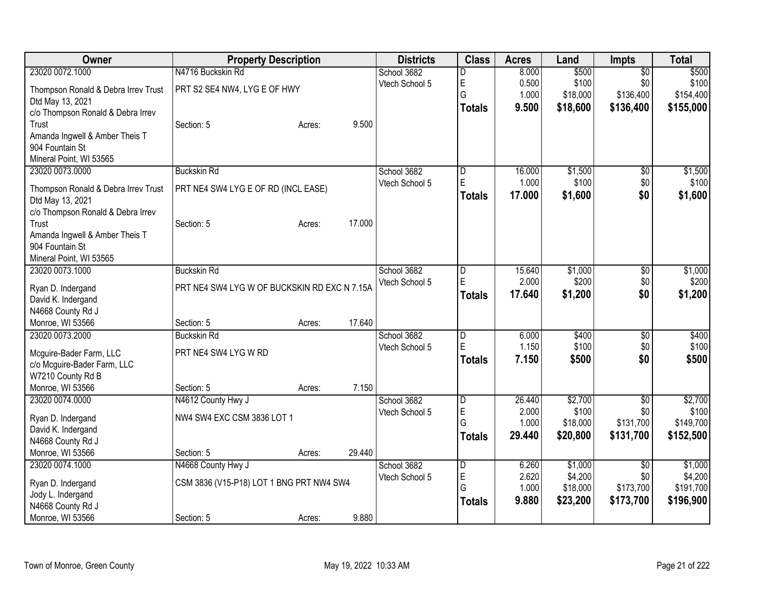| <b>Owner</b>                                          | <b>Property Description</b>                  |        |        | <b>Districts</b> | <b>Class</b>            | <b>Acres</b>   | Land                | <b>Impts</b>     | <b>Total</b>         |
|-------------------------------------------------------|----------------------------------------------|--------|--------|------------------|-------------------------|----------------|---------------------|------------------|----------------------|
| 23020 0072.1000                                       | N4716 Buckskin Rd                            |        |        | School 3682      | D                       | 8.000          | \$500               | $\overline{50}$  | \$500                |
| Thompson Ronald & Debra Irrev Trust                   | PRT S2 SE4 NW4, LYG E OF HWY                 |        |        | Vtech School 5   | E                       | 0.500          | \$100               | \$0              | \$100                |
| Dtd May 13, 2021                                      |                                              |        |        |                  | G                       | 1.000          | \$18,000            | \$136,400        | \$154,400            |
| c/o Thompson Ronald & Debra Irrev                     |                                              |        |        |                  | <b>Totals</b>           | 9.500          | \$18,600            | \$136,400        | \$155,000            |
| Trust                                                 | Section: 5                                   | Acres: | 9.500  |                  |                         |                |                     |                  |                      |
| Amanda Ingwell & Amber Theis T                        |                                              |        |        |                  |                         |                |                     |                  |                      |
| 904 Fountain St<br>Mineral Point, WI 53565            |                                              |        |        |                  |                         |                |                     |                  |                      |
| 23020 0073.0000                                       | <b>Buckskin Rd</b>                           |        |        | School 3682      | $\overline{\mathsf{D}}$ | 16.000         | \$1,500             | \$0              | \$1,500              |
|                                                       |                                              |        |        | Vtech School 5   | E                       | 1.000          | \$100               | \$0              | \$100                |
| Thompson Ronald & Debra Irrev Trust                   | PRT NE4 SW4 LYG E OF RD (INCL EASE)          |        |        |                  | Totals                  | 17.000         | \$1,600             | \$0              | \$1,600              |
| Dtd May 13, 2021<br>c/o Thompson Ronald & Debra Irrev |                                              |        |        |                  |                         |                |                     |                  |                      |
| Trust                                                 | Section: 5                                   | Acres: | 17.000 |                  |                         |                |                     |                  |                      |
| Amanda Ingwell & Amber Theis T                        |                                              |        |        |                  |                         |                |                     |                  |                      |
| 904 Fountain St                                       |                                              |        |        |                  |                         |                |                     |                  |                      |
| Mineral Point, WI 53565                               |                                              |        |        |                  |                         |                |                     |                  |                      |
| 23020 0073.1000                                       | <b>Buckskin Rd</b>                           |        |        | School 3682      | $\overline{D}$          | 15.640         | \$1,000             | \$0              | \$1,000              |
| Ryan D. Indergand                                     | PRT NE4 SW4 LYG W OF BUCKSKIN RD EXC N 7.15A |        |        | Vtech School 5   | E                       | 2.000          | \$200               | \$0              | \$200                |
| David K. Indergand                                    |                                              |        |        |                  | Totals                  | 17.640         | \$1,200             | \$0              | \$1,200              |
| N4668 County Rd J                                     |                                              |        |        |                  |                         |                |                     |                  |                      |
| Monroe, WI 53566                                      | Section: 5                                   | Acres: | 17.640 |                  |                         |                |                     |                  |                      |
| 23020 0073.2000                                       | <b>Buckskin Rd</b>                           |        |        | School 3682      | $\overline{\mathsf{D}}$ | 6.000          | \$400               | $\overline{50}$  | \$400                |
| Mcguire-Bader Farm, LLC                               | PRT NE4 SW4 LYG W RD                         |        |        | Vtech School 5   | E                       | 1.150          | \$100               | \$0              | \$100                |
| c/o Mcguire-Bader Farm, LLC                           |                                              |        |        |                  | Totals                  | 7.150          | \$500               | \$0              | \$500                |
| W7210 County Rd B                                     |                                              |        |        |                  |                         |                |                     |                  |                      |
| Monroe, WI 53566                                      | Section: 5                                   | Acres: | 7.150  |                  |                         |                |                     |                  |                      |
| 23020 0074.0000                                       | N4612 County Hwy J                           |        |        | School 3682      | D                       | 26.440         | \$2,700             | \$0              | \$2,700              |
| Ryan D. Indergand                                     | NW4 SW4 EXC CSM 3836 LOT 1                   |        |        | Vtech School 5   | E<br>G                  | 2.000<br>1.000 | \$100<br>\$18,000   | \$0<br>\$131,700 | \$100<br>\$149,700   |
| David K. Indergand                                    |                                              |        |        |                  | <b>Totals</b>           | 29.440         | \$20,800            | \$131,700        | \$152,500            |
| N4668 County Rd J                                     |                                              |        |        |                  |                         |                |                     |                  |                      |
| Monroe, WI 53566                                      | Section: 5                                   | Acres: | 29.440 |                  |                         |                |                     |                  |                      |
| 23020 0074.1000                                       | N4668 County Hwy J                           |        |        | School 3682      | $\overline{D}$          | 6.260          | \$1,000             | \$0              | \$1,000              |
| Ryan D. Indergand                                     | CSM 3836 (V15-P18) LOT 1 BNG PRT NW4 SW4     |        |        | Vtech School 5   | $\mathsf E$<br>G        | 2.620<br>1.000 | \$4,200<br>\$18,000 | \$0<br>\$173,700 | \$4,200<br>\$191,700 |
| Jody L. Indergand                                     |                                              |        |        |                  | <b>Totals</b>           | 9.880          | \$23,200            | \$173,700        | \$196,900            |
| N4668 County Rd J                                     |                                              |        |        |                  |                         |                |                     |                  |                      |
| Monroe, WI 53566                                      | Section: 5                                   | Acres: | 9.880  |                  |                         |                |                     |                  |                      |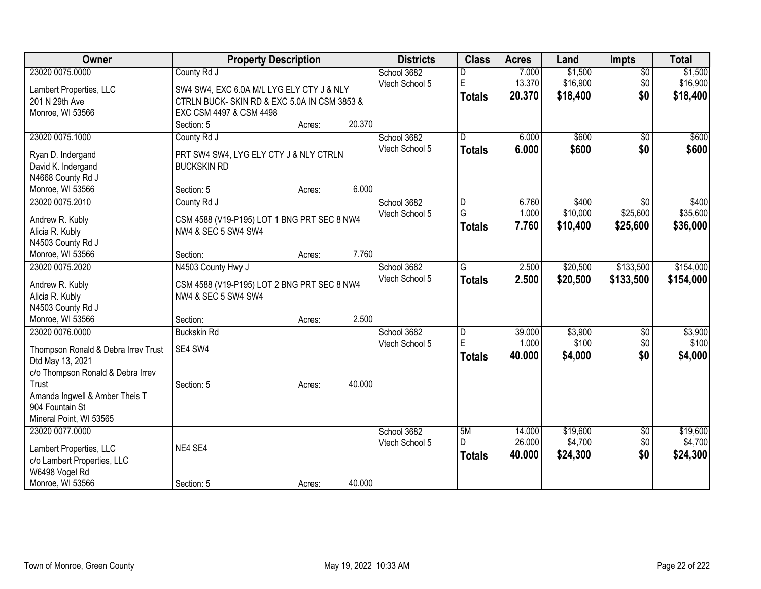| Owner                               | <b>Property Description</b>                 |        |        | <b>Districts</b> | <b>Class</b>            | <b>Acres</b> | Land     | <b>Impts</b>    | <b>Total</b> |
|-------------------------------------|---------------------------------------------|--------|--------|------------------|-------------------------|--------------|----------|-----------------|--------------|
| 23020 0075.0000                     | County Rd J                                 |        |        | School 3682      | D                       | 7.000        | \$1,500  | $\overline{50}$ | \$1,500      |
| Lambert Properties, LLC             | SW4 SW4, EXC 6.0A M/L LYG ELY CTY J & NLY   |        |        | Vtech School 5   | E                       | 13.370       | \$16,900 | \$0             | \$16,900     |
| 201 N 29th Ave                      | CTRLN BUCK-SKIN RD & EXC 5.0A IN CSM 3853 & |        |        |                  | <b>Totals</b>           | 20.370       | \$18,400 | \$0             | \$18,400     |
| Monroe, WI 53566                    | EXC CSM 4497 & CSM 4498                     |        |        |                  |                         |              |          |                 |              |
|                                     | Section: 5                                  | Acres: | 20.370 |                  |                         |              |          |                 |              |
| 23020 0075.1000                     | County Rd J                                 |        |        | School 3682      | $\overline{D}$          | 6.000        | \$600    | \$0             | \$600        |
|                                     |                                             |        |        | Vtech School 5   | <b>Totals</b>           | 6.000        | \$600    | \$0             | \$600        |
| Ryan D. Indergand                   | PRT SW4 SW4, LYG ELY CTY J & NLY CTRLN      |        |        |                  |                         |              |          |                 |              |
| David K. Indergand                  | <b>BUCKSKIN RD</b>                          |        |        |                  |                         |              |          |                 |              |
| N4668 County Rd J                   |                                             |        |        |                  |                         |              |          |                 |              |
| Monroe, WI 53566                    | Section: 5                                  | Acres: | 6.000  |                  |                         |              |          |                 |              |
| 23020 0075.2010                     | County Rd J                                 |        |        | School 3682      | D                       | 6.760        | \$400    | $\overline{30}$ | \$400        |
| Andrew R. Kubly                     | CSM 4588 (V19-P195) LOT 1 BNG PRT SEC 8 NW4 |        |        | Vtech School 5   | G                       | 1.000        | \$10,000 | \$25,600        | \$35,600     |
| Alicia R. Kubly                     | NW4 & SEC 5 SW4 SW4                         |        |        |                  | <b>Totals</b>           | 7.760        | \$10,400 | \$25,600        | \$36,000     |
| N4503 County Rd J                   |                                             |        |        |                  |                         |              |          |                 |              |
| Monroe, WI 53566                    | Section:                                    | Acres: | 7.760  |                  |                         |              |          |                 |              |
| 23020 0075.2020                     | N4503 County Hwy J                          |        |        | School 3682      | G                       | 2.500        | \$20,500 | \$133,500       | \$154,000    |
|                                     |                                             |        |        | Vtech School 5   | <b>Totals</b>           | 2.500        | \$20,500 | \$133,500       | \$154,000    |
| Andrew R. Kubly                     | CSM 4588 (V19-P195) LOT 2 BNG PRT SEC 8 NW4 |        |        |                  |                         |              |          |                 |              |
| Alicia R. Kubly                     | NW4 & SEC 5 SW4 SW4                         |        |        |                  |                         |              |          |                 |              |
| N4503 County Rd J                   |                                             |        |        |                  |                         |              |          |                 |              |
| Monroe, WI 53566                    | Section:                                    | Acres: | 2.500  |                  |                         |              |          |                 |              |
| 23020 0076.0000                     | <b>Buckskin Rd</b>                          |        |        | School 3682      | $\overline{\mathsf{D}}$ | 39.000       | \$3,900  | \$0             | \$3,900      |
| Thompson Ronald & Debra Irrev Trust | SE4 SW4                                     |        |        | Vtech School 5   | E                       | 1.000        | \$100    | \$0             | \$100        |
| Dtd May 13, 2021                    |                                             |        |        |                  | <b>Totals</b>           | 40.000       | \$4,000  | \$0             | \$4,000      |
| c/o Thompson Ronald & Debra Irrev   |                                             |        |        |                  |                         |              |          |                 |              |
| Trust                               | Section: 5                                  | Acres: | 40.000 |                  |                         |              |          |                 |              |
| Amanda Ingwell & Amber Theis T      |                                             |        |        |                  |                         |              |          |                 |              |
| 904 Fountain St                     |                                             |        |        |                  |                         |              |          |                 |              |
| Mineral Point, WI 53565             |                                             |        |        |                  |                         |              |          |                 |              |
| 23020 0077.0000                     |                                             |        |        | School 3682      | 5M                      | 14.000       | \$19,600 | $\overline{60}$ | \$19,600     |
|                                     |                                             |        |        | Vtech School 5   | D                       | 26.000       | \$4,700  | \$0             | \$4,700      |
| Lambert Properties, LLC             | NE4 SE4                                     |        |        |                  | <b>Totals</b>           | 40.000       | \$24,300 | \$0             | \$24,300     |
| c/o Lambert Properties, LLC         |                                             |        |        |                  |                         |              |          |                 |              |
| W6498 Vogel Rd                      |                                             |        |        |                  |                         |              |          |                 |              |
| Monroe, WI 53566                    | Section: 5                                  | Acres: | 40.000 |                  |                         |              |          |                 |              |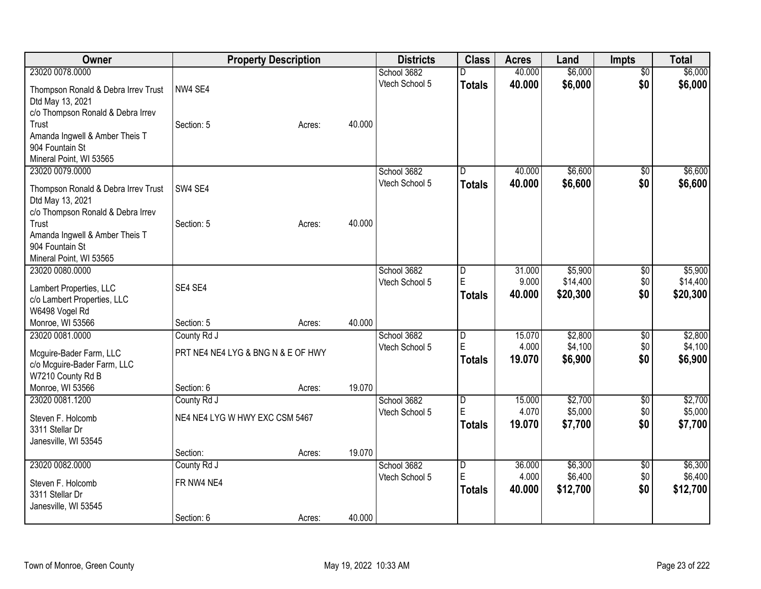| Owner                                                 |                                    | <b>Property Description</b> |        | <b>Districts</b>              | <b>Class</b>        | <b>Acres</b>    | Land               | <b>Impts</b>    | <b>Total</b>       |
|-------------------------------------------------------|------------------------------------|-----------------------------|--------|-------------------------------|---------------------|-----------------|--------------------|-----------------|--------------------|
| 23020 0078,0000                                       |                                    |                             |        | School 3682                   |                     | 40.000          | \$6,000            | $\overline{50}$ | \$6,000            |
| Thompson Ronald & Debra Irrev Trust                   | NW4 SE4                            |                             |        | Vtech School 5                | <b>Totals</b>       | 40.000          | \$6,000            | \$0             | \$6,000            |
| Dtd May 13, 2021                                      |                                    |                             |        |                               |                     |                 |                    |                 |                    |
| c/o Thompson Ronald & Debra Irrev                     |                                    |                             |        |                               |                     |                 |                    |                 |                    |
| Trust                                                 | Section: 5                         | Acres:                      | 40.000 |                               |                     |                 |                    |                 |                    |
| Amanda Ingwell & Amber Theis T<br>904 Fountain St     |                                    |                             |        |                               |                     |                 |                    |                 |                    |
| Mineral Point, WI 53565                               |                                    |                             |        |                               |                     |                 |                    |                 |                    |
| 23020 0079.0000                                       |                                    |                             |        | School 3682                   | D.                  | 40.000          | \$6,600            | \$0             | \$6,600            |
|                                                       |                                    |                             |        | Vtech School 5                | <b>Totals</b>       | 40.000          | \$6,600            | \$0             | \$6,600            |
| Thompson Ronald & Debra Irrev Trust                   | SW4 SE4                            |                             |        |                               |                     |                 |                    |                 |                    |
| Dtd May 13, 2021<br>c/o Thompson Ronald & Debra Irrev |                                    |                             |        |                               |                     |                 |                    |                 |                    |
| Trust                                                 | Section: 5                         | Acres:                      | 40.000 |                               |                     |                 |                    |                 |                    |
| Amanda Ingwell & Amber Theis T                        |                                    |                             |        |                               |                     |                 |                    |                 |                    |
| 904 Fountain St                                       |                                    |                             |        |                               |                     |                 |                    |                 |                    |
| Mineral Point, WI 53565                               |                                    |                             |        |                               |                     |                 |                    |                 |                    |
| 23020 0080.0000                                       |                                    |                             |        | School 3682                   | $\overline{D}$<br>E | 31.000          | \$5,900            | \$0             | \$5,900            |
| Lambert Properties, LLC                               | SE4 SE4                            |                             |        | Vtech School 5                |                     | 9.000           | \$14,400           | \$0             | \$14,400           |
| c/o Lambert Properties, LLC                           |                                    |                             |        |                               | <b>Totals</b>       | 40.000          | \$20,300           | \$0             | \$20,300           |
| W6498 Vogel Rd                                        |                                    |                             |        |                               |                     |                 |                    |                 |                    |
| Monroe, WI 53566                                      | Section: 5                         | Acres:                      | 40.000 |                               |                     |                 |                    |                 |                    |
| 23020 0081.0000                                       | County Rd J                        |                             |        | School 3682<br>Vtech School 5 | $\overline{D}$<br>E | 15.070<br>4.000 | \$2,800<br>\$4,100 | \$0<br>\$0      | \$2,800<br>\$4,100 |
| Mcguire-Bader Farm, LLC                               | PRT NE4 NE4 LYG & BNG N & E OF HWY |                             |        |                               | <b>Totals</b>       | 19.070          | \$6,900            | \$0             | \$6,900            |
| c/o Mcguire-Bader Farm, LLC                           |                                    |                             |        |                               |                     |                 |                    |                 |                    |
| W7210 County Rd B                                     |                                    |                             | 19.070 |                               |                     |                 |                    |                 |                    |
| Monroe, WI 53566<br>23020 0081.1200                   | Section: 6<br>County Rd J          | Acres:                      |        | School 3682                   | D                   | 15.000          | \$2,700            | $\frac{1}{20}$  | \$2,700            |
|                                                       |                                    |                             |        | Vtech School 5                | E                   | 4.070           | \$5,000            | \$0             | \$5,000            |
| Steven F. Holcomb                                     | NE4 NE4 LYG W HWY EXC CSM 5467     |                             |        |                               | <b>Totals</b>       | 19.070          | \$7,700            | \$0             | \$7,700            |
| 3311 Stellar Dr                                       |                                    |                             |        |                               |                     |                 |                    |                 |                    |
| Janesville, WI 53545                                  | Section:                           | Acres:                      | 19.070 |                               |                     |                 |                    |                 |                    |
| 23020 0082.0000                                       | County Rd J                        |                             |        | School 3682                   | $\overline{D}$      | 36.000          | \$6,300            | \$0             | \$6,300            |
|                                                       |                                    |                             |        | Vtech School 5                | E                   | 4.000           | \$6,400            | \$0             | \$6,400            |
| Steven F. Holcomb                                     | FR NW4 NE4                         |                             |        |                               | <b>Totals</b>       | 40.000          | \$12,700           | \$0             | \$12,700           |
| 3311 Stellar Dr<br>Janesville, WI 53545               |                                    |                             |        |                               |                     |                 |                    |                 |                    |
|                                                       | Section: 6                         | Acres:                      | 40.000 |                               |                     |                 |                    |                 |                    |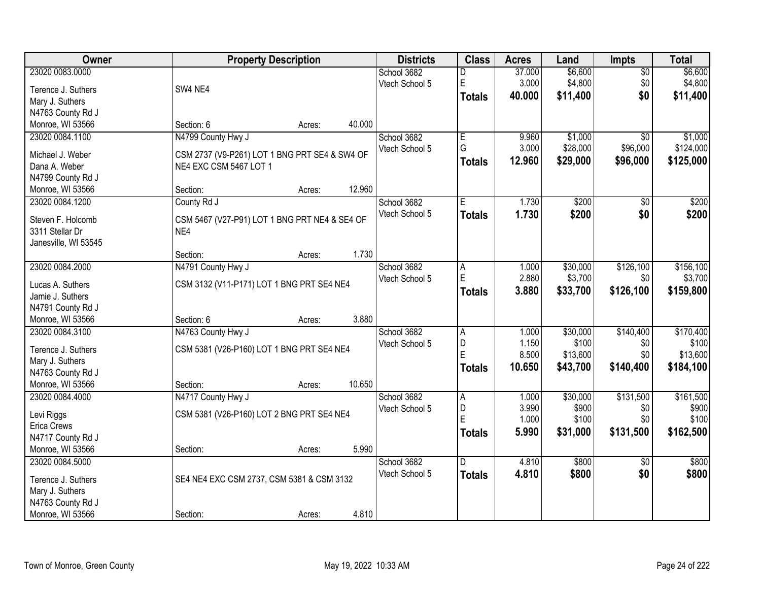| 23020 0083.0000<br>School 3682<br>\$6,600<br>\$6,600<br>37.000<br>$\overline{30}$<br>D<br>$\mathsf E$<br>\$4,800<br>\$4,800<br>3.000<br>\$0<br>Vtech School 5<br>SW4 NE4<br>Terence J. Suthers<br>\$0<br>40.000<br>\$11,400<br>\$11,400<br><b>Totals</b><br>Mary J. Suthers<br>N4763 County Rd J<br>Monroe, WI 53566<br>40.000<br>Section: 6<br>Acres:<br>N4799 County Hwy J<br>E<br>\$1,000<br>\$1,000<br>23020 0084.1100<br>School 3682<br>9.960<br>$\overline{30}$<br>G<br>3.000<br>\$28,000<br>\$96,000<br>\$124,000<br>Vtech School 5<br>CSM 2737 (V9-P261) LOT 1 BNG PRT SE4 & SW4 OF<br>Michael J. Weber<br>12.960<br>\$29,000<br>\$96,000<br>\$125,000<br><b>Totals</b><br>NE4 EXC CSM 5467 LOT 1<br>Dana A. Weber<br>N4799 County Rd J<br>12.960<br>Monroe, WI 53566<br>Section:<br>Acres:<br>23020 0084.1200<br>School 3682<br>Έ<br>1.730<br>\$200<br>\$0<br>\$200<br>County Rd J<br>Vtech School 5<br>1.730<br>\$200<br>\$0<br>\$200<br><b>Totals</b><br>Steven F. Holcomb<br>CSM 5467 (V27-P91) LOT 1 BNG PRT NE4 & SE4 OF<br>3311 Stellar Dr<br>NE4<br>Janesville, WI 53545<br>1.730<br>Section:<br>Acres:<br>23020 0084.2000<br>N4791 County Hwy J<br>\$126,100<br>\$156,100<br>School 3682<br>\$30,000<br>1.000<br>Α<br>$\mathsf E$<br>2.880<br>\$3,700<br>\$3,700<br>Vtech School 5<br>\$0<br>Lucas A. Suthers<br>CSM 3132 (V11-P171) LOT 1 BNG PRT SE4 NE4<br>\$33,700<br>\$126,100<br>3.880<br>\$159,800<br>Totals<br>Jamie J. Suthers<br>N4791 County Rd J<br>3.880<br>Monroe, WI 53566<br>Section: 6<br>Acres:<br>\$140,400<br>\$170,400<br>23020 0084.3100<br>N4763 County Hwy J<br>1.000<br>\$30,000<br>School 3682<br>$\overline{A}$<br>\$100<br>D<br>\$100<br>1.150<br>\$0<br>Vtech School 5<br>CSM 5381 (V26-P160) LOT 1 BNG PRT SE4 NE4<br>Terence J. Suthers<br>E<br>8.500<br>\$13,600<br>\$13,600<br>\$0<br>Mary J. Suthers<br>\$140,400<br>10.650<br>\$43,700<br>\$184,100<br>Totals<br>N4763 County Rd J<br>10.650<br>Monroe, WI 53566<br>Section:<br>Acres:<br>\$30,000<br>\$131,500<br>\$161,500<br>23020 0084.4000<br>N4717 County Hwy J<br>School 3682<br>1.000<br>A<br>3.990<br>\$900<br>\$900<br>D<br>\$0<br>Vtech School 5<br>Levi Riggs<br>CSM 5381 (V26-P160) LOT 2 BNG PRT SE4 NE4<br>E<br>1.000<br>\$0<br>\$100<br>\$100<br>Erica Crews<br>5.990<br>\$31,000<br>\$131,500<br>\$162,500<br>Totals<br>N4717 County Rd J<br>5.990<br>Monroe, WI 53566<br>Section:<br>Acres:<br>\$800<br>\$800<br>23020 0084.5000<br>School 3682<br>D.<br>4.810<br>$\overline{50}$<br>\$0<br>\$800<br>Vtech School 5<br>4.810<br>\$800<br><b>Totals</b><br>Terence J. Suthers<br>SE4 NE4 EXC CSM 2737, CSM 5381 & CSM 3132<br>Mary J. Suthers<br>N4763 County Rd J | Owner            | <b>Property Description</b> | <b>Districts</b> | <b>Class</b> | <b>Acres</b> | Land | <b>Impts</b> | <b>Total</b> |
|-----------------------------------------------------------------------------------------------------------------------------------------------------------------------------------------------------------------------------------------------------------------------------------------------------------------------------------------------------------------------------------------------------------------------------------------------------------------------------------------------------------------------------------------------------------------------------------------------------------------------------------------------------------------------------------------------------------------------------------------------------------------------------------------------------------------------------------------------------------------------------------------------------------------------------------------------------------------------------------------------------------------------------------------------------------------------------------------------------------------------------------------------------------------------------------------------------------------------------------------------------------------------------------------------------------------------------------------------------------------------------------------------------------------------------------------------------------------------------------------------------------------------------------------------------------------------------------------------------------------------------------------------------------------------------------------------------------------------------------------------------------------------------------------------------------------------------------------------------------------------------------------------------------------------------------------------------------------------------------------------------------------------------------------------------------------------------------------------------------------------------------------------------------------------------------------------------------------------------------------------------------------------------------------------------------------------------------------------------------------------------------------------------------------------------------------------------------------------------------------------------------------------------------------------------------------------------------------------------------------------------------------------------------------------------------------|------------------|-----------------------------|------------------|--------------|--------------|------|--------------|--------------|
|                                                                                                                                                                                                                                                                                                                                                                                                                                                                                                                                                                                                                                                                                                                                                                                                                                                                                                                                                                                                                                                                                                                                                                                                                                                                                                                                                                                                                                                                                                                                                                                                                                                                                                                                                                                                                                                                                                                                                                                                                                                                                                                                                                                                                                                                                                                                                                                                                                                                                                                                                                                                                                                                                         |                  |                             |                  |              |              |      |              |              |
|                                                                                                                                                                                                                                                                                                                                                                                                                                                                                                                                                                                                                                                                                                                                                                                                                                                                                                                                                                                                                                                                                                                                                                                                                                                                                                                                                                                                                                                                                                                                                                                                                                                                                                                                                                                                                                                                                                                                                                                                                                                                                                                                                                                                                                                                                                                                                                                                                                                                                                                                                                                                                                                                                         |                  |                             |                  |              |              |      |              |              |
|                                                                                                                                                                                                                                                                                                                                                                                                                                                                                                                                                                                                                                                                                                                                                                                                                                                                                                                                                                                                                                                                                                                                                                                                                                                                                                                                                                                                                                                                                                                                                                                                                                                                                                                                                                                                                                                                                                                                                                                                                                                                                                                                                                                                                                                                                                                                                                                                                                                                                                                                                                                                                                                                                         |                  |                             |                  |              |              |      |              |              |
|                                                                                                                                                                                                                                                                                                                                                                                                                                                                                                                                                                                                                                                                                                                                                                                                                                                                                                                                                                                                                                                                                                                                                                                                                                                                                                                                                                                                                                                                                                                                                                                                                                                                                                                                                                                                                                                                                                                                                                                                                                                                                                                                                                                                                                                                                                                                                                                                                                                                                                                                                                                                                                                                                         |                  |                             |                  |              |              |      |              |              |
|                                                                                                                                                                                                                                                                                                                                                                                                                                                                                                                                                                                                                                                                                                                                                                                                                                                                                                                                                                                                                                                                                                                                                                                                                                                                                                                                                                                                                                                                                                                                                                                                                                                                                                                                                                                                                                                                                                                                                                                                                                                                                                                                                                                                                                                                                                                                                                                                                                                                                                                                                                                                                                                                                         |                  |                             |                  |              |              |      |              |              |
|                                                                                                                                                                                                                                                                                                                                                                                                                                                                                                                                                                                                                                                                                                                                                                                                                                                                                                                                                                                                                                                                                                                                                                                                                                                                                                                                                                                                                                                                                                                                                                                                                                                                                                                                                                                                                                                                                                                                                                                                                                                                                                                                                                                                                                                                                                                                                                                                                                                                                                                                                                                                                                                                                         |                  |                             |                  |              |              |      |              |              |
|                                                                                                                                                                                                                                                                                                                                                                                                                                                                                                                                                                                                                                                                                                                                                                                                                                                                                                                                                                                                                                                                                                                                                                                                                                                                                                                                                                                                                                                                                                                                                                                                                                                                                                                                                                                                                                                                                                                                                                                                                                                                                                                                                                                                                                                                                                                                                                                                                                                                                                                                                                                                                                                                                         |                  |                             |                  |              |              |      |              |              |
|                                                                                                                                                                                                                                                                                                                                                                                                                                                                                                                                                                                                                                                                                                                                                                                                                                                                                                                                                                                                                                                                                                                                                                                                                                                                                                                                                                                                                                                                                                                                                                                                                                                                                                                                                                                                                                                                                                                                                                                                                                                                                                                                                                                                                                                                                                                                                                                                                                                                                                                                                                                                                                                                                         |                  |                             |                  |              |              |      |              |              |
|                                                                                                                                                                                                                                                                                                                                                                                                                                                                                                                                                                                                                                                                                                                                                                                                                                                                                                                                                                                                                                                                                                                                                                                                                                                                                                                                                                                                                                                                                                                                                                                                                                                                                                                                                                                                                                                                                                                                                                                                                                                                                                                                                                                                                                                                                                                                                                                                                                                                                                                                                                                                                                                                                         |                  |                             |                  |              |              |      |              |              |
|                                                                                                                                                                                                                                                                                                                                                                                                                                                                                                                                                                                                                                                                                                                                                                                                                                                                                                                                                                                                                                                                                                                                                                                                                                                                                                                                                                                                                                                                                                                                                                                                                                                                                                                                                                                                                                                                                                                                                                                                                                                                                                                                                                                                                                                                                                                                                                                                                                                                                                                                                                                                                                                                                         |                  |                             |                  |              |              |      |              |              |
|                                                                                                                                                                                                                                                                                                                                                                                                                                                                                                                                                                                                                                                                                                                                                                                                                                                                                                                                                                                                                                                                                                                                                                                                                                                                                                                                                                                                                                                                                                                                                                                                                                                                                                                                                                                                                                                                                                                                                                                                                                                                                                                                                                                                                                                                                                                                                                                                                                                                                                                                                                                                                                                                                         |                  |                             |                  |              |              |      |              |              |
|                                                                                                                                                                                                                                                                                                                                                                                                                                                                                                                                                                                                                                                                                                                                                                                                                                                                                                                                                                                                                                                                                                                                                                                                                                                                                                                                                                                                                                                                                                                                                                                                                                                                                                                                                                                                                                                                                                                                                                                                                                                                                                                                                                                                                                                                                                                                                                                                                                                                                                                                                                                                                                                                                         |                  |                             |                  |              |              |      |              |              |
|                                                                                                                                                                                                                                                                                                                                                                                                                                                                                                                                                                                                                                                                                                                                                                                                                                                                                                                                                                                                                                                                                                                                                                                                                                                                                                                                                                                                                                                                                                                                                                                                                                                                                                                                                                                                                                                                                                                                                                                                                                                                                                                                                                                                                                                                                                                                                                                                                                                                                                                                                                                                                                                                                         |                  |                             |                  |              |              |      |              |              |
|                                                                                                                                                                                                                                                                                                                                                                                                                                                                                                                                                                                                                                                                                                                                                                                                                                                                                                                                                                                                                                                                                                                                                                                                                                                                                                                                                                                                                                                                                                                                                                                                                                                                                                                                                                                                                                                                                                                                                                                                                                                                                                                                                                                                                                                                                                                                                                                                                                                                                                                                                                                                                                                                                         |                  |                             |                  |              |              |      |              |              |
|                                                                                                                                                                                                                                                                                                                                                                                                                                                                                                                                                                                                                                                                                                                                                                                                                                                                                                                                                                                                                                                                                                                                                                                                                                                                                                                                                                                                                                                                                                                                                                                                                                                                                                                                                                                                                                                                                                                                                                                                                                                                                                                                                                                                                                                                                                                                                                                                                                                                                                                                                                                                                                                                                         |                  |                             |                  |              |              |      |              |              |
|                                                                                                                                                                                                                                                                                                                                                                                                                                                                                                                                                                                                                                                                                                                                                                                                                                                                                                                                                                                                                                                                                                                                                                                                                                                                                                                                                                                                                                                                                                                                                                                                                                                                                                                                                                                                                                                                                                                                                                                                                                                                                                                                                                                                                                                                                                                                                                                                                                                                                                                                                                                                                                                                                         |                  |                             |                  |              |              |      |              |              |
|                                                                                                                                                                                                                                                                                                                                                                                                                                                                                                                                                                                                                                                                                                                                                                                                                                                                                                                                                                                                                                                                                                                                                                                                                                                                                                                                                                                                                                                                                                                                                                                                                                                                                                                                                                                                                                                                                                                                                                                                                                                                                                                                                                                                                                                                                                                                                                                                                                                                                                                                                                                                                                                                                         |                  |                             |                  |              |              |      |              |              |
|                                                                                                                                                                                                                                                                                                                                                                                                                                                                                                                                                                                                                                                                                                                                                                                                                                                                                                                                                                                                                                                                                                                                                                                                                                                                                                                                                                                                                                                                                                                                                                                                                                                                                                                                                                                                                                                                                                                                                                                                                                                                                                                                                                                                                                                                                                                                                                                                                                                                                                                                                                                                                                                                                         |                  |                             |                  |              |              |      |              |              |
|                                                                                                                                                                                                                                                                                                                                                                                                                                                                                                                                                                                                                                                                                                                                                                                                                                                                                                                                                                                                                                                                                                                                                                                                                                                                                                                                                                                                                                                                                                                                                                                                                                                                                                                                                                                                                                                                                                                                                                                                                                                                                                                                                                                                                                                                                                                                                                                                                                                                                                                                                                                                                                                                                         |                  |                             |                  |              |              |      |              |              |
|                                                                                                                                                                                                                                                                                                                                                                                                                                                                                                                                                                                                                                                                                                                                                                                                                                                                                                                                                                                                                                                                                                                                                                                                                                                                                                                                                                                                                                                                                                                                                                                                                                                                                                                                                                                                                                                                                                                                                                                                                                                                                                                                                                                                                                                                                                                                                                                                                                                                                                                                                                                                                                                                                         |                  |                             |                  |              |              |      |              |              |
|                                                                                                                                                                                                                                                                                                                                                                                                                                                                                                                                                                                                                                                                                                                                                                                                                                                                                                                                                                                                                                                                                                                                                                                                                                                                                                                                                                                                                                                                                                                                                                                                                                                                                                                                                                                                                                                                                                                                                                                                                                                                                                                                                                                                                                                                                                                                                                                                                                                                                                                                                                                                                                                                                         |                  |                             |                  |              |              |      |              |              |
|                                                                                                                                                                                                                                                                                                                                                                                                                                                                                                                                                                                                                                                                                                                                                                                                                                                                                                                                                                                                                                                                                                                                                                                                                                                                                                                                                                                                                                                                                                                                                                                                                                                                                                                                                                                                                                                                                                                                                                                                                                                                                                                                                                                                                                                                                                                                                                                                                                                                                                                                                                                                                                                                                         |                  |                             |                  |              |              |      |              |              |
|                                                                                                                                                                                                                                                                                                                                                                                                                                                                                                                                                                                                                                                                                                                                                                                                                                                                                                                                                                                                                                                                                                                                                                                                                                                                                                                                                                                                                                                                                                                                                                                                                                                                                                                                                                                                                                                                                                                                                                                                                                                                                                                                                                                                                                                                                                                                                                                                                                                                                                                                                                                                                                                                                         |                  |                             |                  |              |              |      |              |              |
|                                                                                                                                                                                                                                                                                                                                                                                                                                                                                                                                                                                                                                                                                                                                                                                                                                                                                                                                                                                                                                                                                                                                                                                                                                                                                                                                                                                                                                                                                                                                                                                                                                                                                                                                                                                                                                                                                                                                                                                                                                                                                                                                                                                                                                                                                                                                                                                                                                                                                                                                                                                                                                                                                         |                  |                             |                  |              |              |      |              |              |
|                                                                                                                                                                                                                                                                                                                                                                                                                                                                                                                                                                                                                                                                                                                                                                                                                                                                                                                                                                                                                                                                                                                                                                                                                                                                                                                                                                                                                                                                                                                                                                                                                                                                                                                                                                                                                                                                                                                                                                                                                                                                                                                                                                                                                                                                                                                                                                                                                                                                                                                                                                                                                                                                                         |                  |                             |                  |              |              |      |              |              |
|                                                                                                                                                                                                                                                                                                                                                                                                                                                                                                                                                                                                                                                                                                                                                                                                                                                                                                                                                                                                                                                                                                                                                                                                                                                                                                                                                                                                                                                                                                                                                                                                                                                                                                                                                                                                                                                                                                                                                                                                                                                                                                                                                                                                                                                                                                                                                                                                                                                                                                                                                                                                                                                                                         |                  |                             |                  |              |              |      |              |              |
|                                                                                                                                                                                                                                                                                                                                                                                                                                                                                                                                                                                                                                                                                                                                                                                                                                                                                                                                                                                                                                                                                                                                                                                                                                                                                                                                                                                                                                                                                                                                                                                                                                                                                                                                                                                                                                                                                                                                                                                                                                                                                                                                                                                                                                                                                                                                                                                                                                                                                                                                                                                                                                                                                         |                  |                             |                  |              |              |      |              |              |
|                                                                                                                                                                                                                                                                                                                                                                                                                                                                                                                                                                                                                                                                                                                                                                                                                                                                                                                                                                                                                                                                                                                                                                                                                                                                                                                                                                                                                                                                                                                                                                                                                                                                                                                                                                                                                                                                                                                                                                                                                                                                                                                                                                                                                                                                                                                                                                                                                                                                                                                                                                                                                                                                                         |                  |                             |                  |              |              |      |              |              |
|                                                                                                                                                                                                                                                                                                                                                                                                                                                                                                                                                                                                                                                                                                                                                                                                                                                                                                                                                                                                                                                                                                                                                                                                                                                                                                                                                                                                                                                                                                                                                                                                                                                                                                                                                                                                                                                                                                                                                                                                                                                                                                                                                                                                                                                                                                                                                                                                                                                                                                                                                                                                                                                                                         |                  |                             |                  |              |              |      |              |              |
|                                                                                                                                                                                                                                                                                                                                                                                                                                                                                                                                                                                                                                                                                                                                                                                                                                                                                                                                                                                                                                                                                                                                                                                                                                                                                                                                                                                                                                                                                                                                                                                                                                                                                                                                                                                                                                                                                                                                                                                                                                                                                                                                                                                                                                                                                                                                                                                                                                                                                                                                                                                                                                                                                         |                  |                             |                  |              |              |      |              |              |
|                                                                                                                                                                                                                                                                                                                                                                                                                                                                                                                                                                                                                                                                                                                                                                                                                                                                                                                                                                                                                                                                                                                                                                                                                                                                                                                                                                                                                                                                                                                                                                                                                                                                                                                                                                                                                                                                                                                                                                                                                                                                                                                                                                                                                                                                                                                                                                                                                                                                                                                                                                                                                                                                                         |                  |                             |                  |              |              |      |              |              |
|                                                                                                                                                                                                                                                                                                                                                                                                                                                                                                                                                                                                                                                                                                                                                                                                                                                                                                                                                                                                                                                                                                                                                                                                                                                                                                                                                                                                                                                                                                                                                                                                                                                                                                                                                                                                                                                                                                                                                                                                                                                                                                                                                                                                                                                                                                                                                                                                                                                                                                                                                                                                                                                                                         |                  |                             |                  |              |              |      |              |              |
|                                                                                                                                                                                                                                                                                                                                                                                                                                                                                                                                                                                                                                                                                                                                                                                                                                                                                                                                                                                                                                                                                                                                                                                                                                                                                                                                                                                                                                                                                                                                                                                                                                                                                                                                                                                                                                                                                                                                                                                                                                                                                                                                                                                                                                                                                                                                                                                                                                                                                                                                                                                                                                                                                         |                  |                             |                  |              |              |      |              |              |
|                                                                                                                                                                                                                                                                                                                                                                                                                                                                                                                                                                                                                                                                                                                                                                                                                                                                                                                                                                                                                                                                                                                                                                                                                                                                                                                                                                                                                                                                                                                                                                                                                                                                                                                                                                                                                                                                                                                                                                                                                                                                                                                                                                                                                                                                                                                                                                                                                                                                                                                                                                                                                                                                                         |                  |                             |                  |              |              |      |              |              |
|                                                                                                                                                                                                                                                                                                                                                                                                                                                                                                                                                                                                                                                                                                                                                                                                                                                                                                                                                                                                                                                                                                                                                                                                                                                                                                                                                                                                                                                                                                                                                                                                                                                                                                                                                                                                                                                                                                                                                                                                                                                                                                                                                                                                                                                                                                                                                                                                                                                                                                                                                                                                                                                                                         |                  |                             |                  |              |              |      |              |              |
|                                                                                                                                                                                                                                                                                                                                                                                                                                                                                                                                                                                                                                                                                                                                                                                                                                                                                                                                                                                                                                                                                                                                                                                                                                                                                                                                                                                                                                                                                                                                                                                                                                                                                                                                                                                                                                                                                                                                                                                                                                                                                                                                                                                                                                                                                                                                                                                                                                                                                                                                                                                                                                                                                         |                  |                             |                  |              |              |      |              |              |
|                                                                                                                                                                                                                                                                                                                                                                                                                                                                                                                                                                                                                                                                                                                                                                                                                                                                                                                                                                                                                                                                                                                                                                                                                                                                                                                                                                                                                                                                                                                                                                                                                                                                                                                                                                                                                                                                                                                                                                                                                                                                                                                                                                                                                                                                                                                                                                                                                                                                                                                                                                                                                                                                                         |                  |                             |                  |              |              |      |              |              |
| Section:<br>Acres:                                                                                                                                                                                                                                                                                                                                                                                                                                                                                                                                                                                                                                                                                                                                                                                                                                                                                                                                                                                                                                                                                                                                                                                                                                                                                                                                                                                                                                                                                                                                                                                                                                                                                                                                                                                                                                                                                                                                                                                                                                                                                                                                                                                                                                                                                                                                                                                                                                                                                                                                                                                                                                                                      | Monroe, WI 53566 | 4.810                       |                  |              |              |      |              |              |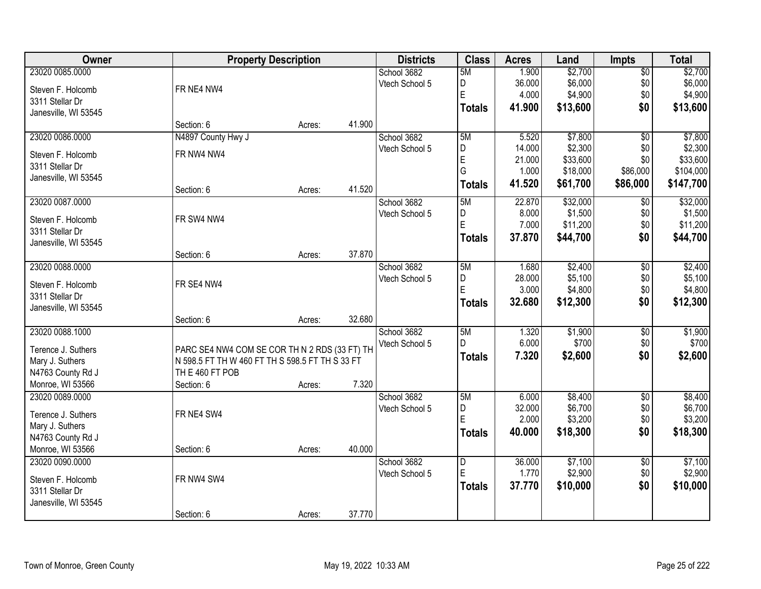| Owner                                |                                                 | <b>Property Description</b> |        | <b>Districts</b> | <b>Class</b>   | <b>Acres</b> | Land     | <b>Impts</b>    | <b>Total</b> |
|--------------------------------------|-------------------------------------------------|-----------------------------|--------|------------------|----------------|--------------|----------|-----------------|--------------|
| 23020 0085.0000                      |                                                 |                             |        | School 3682      | 5M             | 1.900        | \$2,700  | $\sqrt{$0}$     | \$2,700      |
| Steven F. Holcomb                    | FR NE4 NW4                                      |                             |        | Vtech School 5   | D              | 36.000       | \$6,000  | \$0             | \$6,000      |
| 3311 Stellar Dr                      |                                                 |                             |        |                  | E              | 4.000        | \$4,900  | \$0             | \$4,900      |
| Janesville, WI 53545                 |                                                 |                             |        |                  | <b>Totals</b>  | 41.900       | \$13,600 | \$0             | \$13,600     |
|                                      | Section: 6                                      | Acres:                      | 41.900 |                  |                |              |          |                 |              |
| 23020 0086.0000                      | N4897 County Hwy J                              |                             |        | School 3682      | 5M             | 5.520        | \$7,800  | $\overline{50}$ | \$7,800      |
| Steven F. Holcomb                    | FR NW4 NW4                                      |                             |        | Vtech School 5   | D              | 14.000       | \$2,300  | \$0             | \$2,300      |
| 3311 Stellar Dr                      |                                                 |                             |        |                  | $\overline{E}$ | 21.000       | \$33,600 | \$0             | \$33,600     |
| Janesville, WI 53545                 |                                                 |                             |        |                  | G              | 1.000        | \$18,000 | \$86,000        | \$104,000    |
|                                      | Section: 6                                      | Acres:                      | 41.520 |                  | <b>Totals</b>  | 41.520       | \$61,700 | \$86,000        | \$147,700    |
| 23020 0087.0000                      |                                                 |                             |        | School 3682      | 5M             | 22.870       | \$32,000 | \$0             | \$32,000     |
| Steven F. Holcomb                    | FR SW4 NW4                                      |                             |        | Vtech School 5   | D              | 8.000        | \$1,500  | \$0             | \$1,500      |
| 3311 Stellar Dr                      |                                                 |                             |        |                  | $\overline{E}$ | 7.000        | \$11,200 | \$0             | \$11,200     |
| Janesville, WI 53545                 |                                                 |                             |        |                  | <b>Totals</b>  | 37,870       | \$44,700 | \$0             | \$44,700     |
|                                      | Section: 6                                      | Acres:                      | 37.870 |                  |                |              |          |                 |              |
| 23020 0088.0000                      |                                                 |                             |        | School 3682      | 5M             | 1.680        | \$2,400  | \$0             | \$2,400      |
| Steven F. Holcomb                    | FR SE4 NW4                                      |                             |        | Vtech School 5   | D              | 28.000       | \$5,100  | \$0             | \$5,100      |
| 3311 Stellar Dr                      |                                                 |                             |        |                  | $\mathsf E$    | 3.000        | \$4,800  | \$0             | \$4,800      |
| Janesville, WI 53545                 |                                                 |                             |        |                  | <b>Totals</b>  | 32.680       | \$12,300 | \$0             | \$12,300     |
|                                      | Section: 6                                      | Acres:                      | 32.680 |                  |                |              |          |                 |              |
| 23020 0088.1000                      |                                                 |                             |        | School 3682      | 5M             | 1.320        | \$1,900  | $\overline{50}$ | \$1,900      |
| Terence J. Suthers                   | PARC SE4 NW4 COM SE COR TH N 2 RDS (33 FT) TH   |                             |        | Vtech School 5   | D              | 6.000        | \$700    | \$0             | \$700        |
| Mary J. Suthers                      | N 598.5 FT TH W 460 FT TH S 598.5 FT TH S 33 FT |                             |        |                  | <b>Totals</b>  | 7.320        | \$2,600  | \$0             | \$2,600      |
| N4763 County Rd J                    | TH E 460 FT POB                                 |                             |        |                  |                |              |          |                 |              |
| Monroe, WI 53566                     | Section: 6                                      | Acres:                      | 7.320  |                  |                |              |          |                 |              |
| 23020 0089.0000                      |                                                 |                             |        | School 3682      | 5M             | 6.000        | \$8,400  | \$0             | \$8,400      |
|                                      |                                                 |                             |        | Vtech School 5   | D              | 32.000       | \$6,700  | \$0             | \$6,700      |
| Terence J. Suthers                   | FR NE4 SW4                                      |                             |        |                  | E              | 2.000        | \$3,200  | \$0             | \$3,200      |
| Mary J. Suthers<br>N4763 County Rd J |                                                 |                             |        |                  | <b>Totals</b>  | 40.000       | \$18,300 | \$0             | \$18,300     |
| Monroe, WI 53566                     | Section: 6                                      | Acres:                      | 40.000 |                  |                |              |          |                 |              |
| 23020 0090.0000                      |                                                 |                             |        | School 3682      | D              | 36.000       | \$7,100  | $\overline{50}$ | \$7,100      |
|                                      |                                                 |                             |        | Vtech School 5   | E              | 1.770        | \$2,900  | \$0             | \$2,900      |
| Steven F. Holcomb                    | FR NW4 SW4                                      |                             |        |                  | <b>Totals</b>  | 37.770       | \$10,000 | \$0             | \$10,000     |
| 3311 Stellar Dr                      |                                                 |                             |        |                  |                |              |          |                 |              |
| Janesville, WI 53545                 |                                                 |                             |        |                  |                |              |          |                 |              |
|                                      | Section: 6                                      | Acres:                      | 37.770 |                  |                |              |          |                 |              |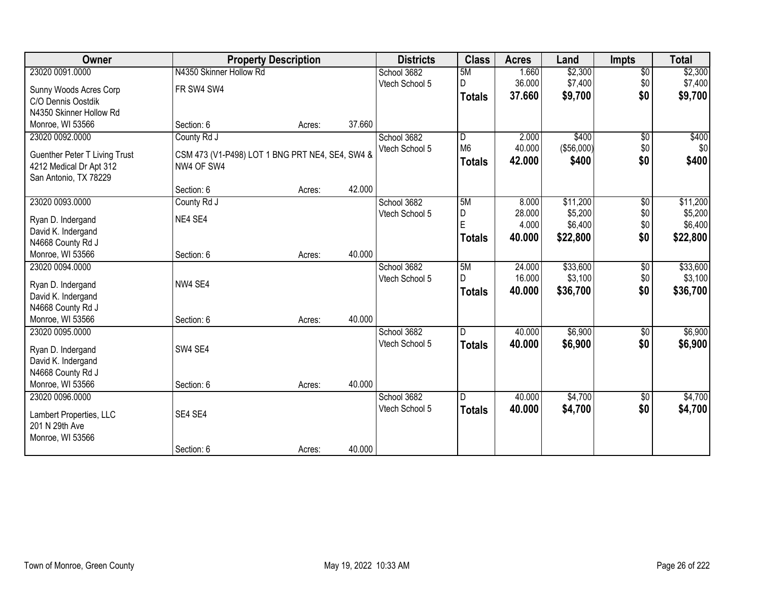| Owner                         |                                                 | <b>Property Description</b> |        | <b>Districts</b> | <b>Class</b>   | <b>Acres</b> | Land       | <b>Impts</b>    | <b>Total</b> |
|-------------------------------|-------------------------------------------------|-----------------------------|--------|------------------|----------------|--------------|------------|-----------------|--------------|
| 23020 0091.0000               | N4350 Skinner Hollow Rd                         |                             |        | School 3682      | 5M             | 1.660        | \$2,300    | $\overline{60}$ | \$2,300      |
| Sunny Woods Acres Corp        | FR SW4 SW4                                      |                             |        | Vtech School 5   | D              | 36.000       | \$7,400    | \$0             | \$7,400      |
| C/O Dennis Oostdik            |                                                 |                             |        |                  | <b>Totals</b>  | 37.660       | \$9,700    | \$0             | \$9,700      |
| N4350 Skinner Hollow Rd       |                                                 |                             |        |                  |                |              |            |                 |              |
| Monroe, WI 53566              | Section: 6                                      | Acres:                      | 37.660 |                  |                |              |            |                 |              |
| 23020 0092.0000               | County Rd J                                     |                             |        | School 3682      | D              | 2.000        | \$400      | \$0             | \$400        |
| Guenther Peter T Living Trust | CSM 473 (V1-P498) LOT 1 BNG PRT NE4, SE4, SW4 & |                             |        | Vtech School 5   | M <sub>6</sub> | 40.000       | (\$56,000) | \$0             | \$0          |
| 4212 Medical Dr Apt 312       | NW4 OF SW4                                      |                             |        |                  | <b>Totals</b>  | 42.000       | \$400      | \$0             | \$400        |
| San Antonio, TX 78229         |                                                 |                             |        |                  |                |              |            |                 |              |
|                               | Section: 6                                      | Acres:                      | 42.000 |                  |                |              |            |                 |              |
| 23020 0093.0000               | County Rd J                                     |                             |        | School 3682      | 5M             | 8.000        | \$11,200   | \$0             | \$11,200     |
| Ryan D. Indergand             | NE4 SE4                                         |                             |        | Vtech School 5   | $\overline{D}$ | 28.000       | \$5,200    | \$0             | \$5,200      |
| David K. Indergand            |                                                 |                             |        |                  | E              | 4.000        | \$6,400    | \$0             | \$6,400      |
| N4668 County Rd J             |                                                 |                             |        |                  | <b>Totals</b>  | 40.000       | \$22,800   | \$0             | \$22,800     |
| Monroe, WI 53566              | Section: 6                                      | Acres:                      | 40.000 |                  |                |              |            |                 |              |
| 23020 0094.0000               |                                                 |                             |        | School 3682      | 5M             | 24.000       | \$33,600   | \$0             | \$33,600     |
| Ryan D. Indergand             | NW4 SE4                                         |                             |        | Vtech School 5   | D              | 16.000       | \$3,100    | \$0             | \$3,100      |
| David K. Indergand            |                                                 |                             |        |                  | <b>Totals</b>  | 40.000       | \$36,700   | \$0             | \$36,700     |
| N4668 County Rd J             |                                                 |                             |        |                  |                |              |            |                 |              |
| Monroe, WI 53566              | Section: 6                                      | Acres:                      | 40.000 |                  |                |              |            |                 |              |
| 23020 0095.0000               |                                                 |                             |        | School 3682      | D              | 40.000       | \$6,900    | \$0             | \$6,900      |
| Ryan D. Indergand             | SW4 SE4                                         |                             |        | Vtech School 5   | <b>Totals</b>  | 40,000       | \$6,900    | \$0             | \$6,900      |
| David K. Indergand            |                                                 |                             |        |                  |                |              |            |                 |              |
| N4668 County Rd J             |                                                 |                             |        |                  |                |              |            |                 |              |
| Monroe, WI 53566              | Section: 6                                      | Acres:                      | 40.000 |                  |                |              |            |                 |              |
| 23020 0096.0000               |                                                 |                             |        | School 3682      | D              | 40.000       | \$4,700    | $\sqrt{6}$      | \$4,700      |
| Lambert Properties, LLC       | SE4 SE4                                         |                             |        | Vtech School 5   | <b>Totals</b>  | 40,000       | \$4,700    | \$0             | \$4,700      |
| 201 N 29th Ave                |                                                 |                             |        |                  |                |              |            |                 |              |
| Monroe, WI 53566              |                                                 |                             |        |                  |                |              |            |                 |              |
|                               | Section: 6                                      | Acres:                      | 40.000 |                  |                |              |            |                 |              |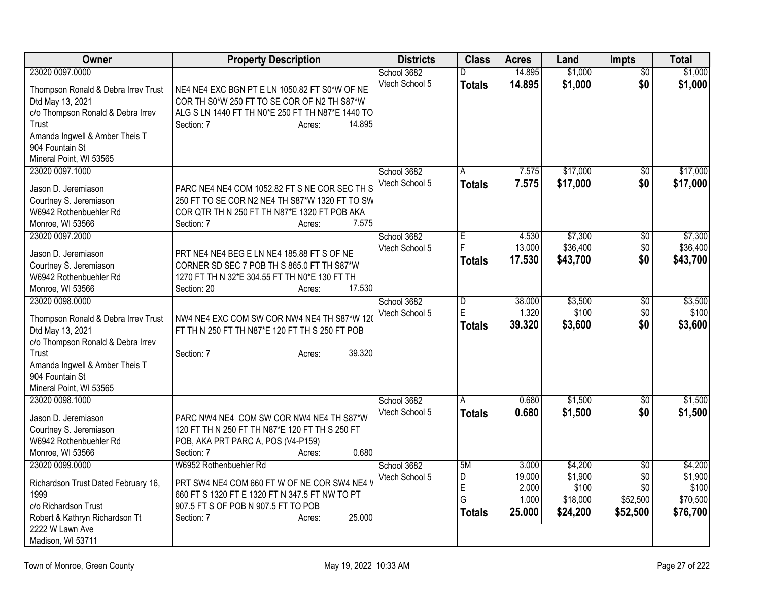| Owner                                            | <b>Property Description</b>                      | <b>Districts</b> | <b>Class</b>        | <b>Acres</b> | Land     | Impts           | <b>Total</b> |
|--------------------------------------------------|--------------------------------------------------|------------------|---------------------|--------------|----------|-----------------|--------------|
| 23020 0097.0000                                  |                                                  | School 3682      | D                   | 14.895       | \$1,000  | $\overline{50}$ | \$1,000      |
| Thompson Ronald & Debra Irrev Trust              | NE4 NE4 EXC BGN PT E LN 1050.82 FT S0*W OF NE    | Vtech School 5   | <b>Totals</b>       | 14.895       | \$1,000  | \$0             | \$1,000      |
| Dtd May 13, 2021                                 | COR TH S0*W 250 FT TO SE COR OF N2 TH S87*W      |                  |                     |              |          |                 |              |
| c/o Thompson Ronald & Debra Irrev                | ALG S LN 1440 FT TH N0*E 250 FT TH N87*E 1440 TO |                  |                     |              |          |                 |              |
| Trust                                            | 14.895<br>Section: 7<br>Acres:                   |                  |                     |              |          |                 |              |
| Amanda Ingwell & Amber Theis T                   |                                                  |                  |                     |              |          |                 |              |
| 904 Fountain St                                  |                                                  |                  |                     |              |          |                 |              |
| Mineral Point, WI 53565                          |                                                  |                  |                     |              |          |                 |              |
| 23020 0097.1000                                  |                                                  | School 3682      | A                   | 7.575        | \$17,000 | \$0             | \$17,000     |
| Jason D. Jeremiason                              | PARC NE4 NE4 COM 1052.82 FT S NE COR SEC TH S    | Vtech School 5   | <b>Totals</b>       | 7.575        | \$17,000 | \$0             | \$17,000     |
|                                                  | 250 FT TO SE COR N2 NE4 TH S87*W 1320 FT TO SW   |                  |                     |              |          |                 |              |
| Courtney S. Jeremiason<br>W6942 Rothenbuehler Rd | COR QTR TH N 250 FT TH N87*E 1320 FT POB AKA     |                  |                     |              |          |                 |              |
| Monroe, WI 53566                                 | 7.575<br>Section: 7                              |                  |                     |              |          |                 |              |
| 23020 0097.2000                                  | Acres:                                           | School 3682      |                     | 4.530        | \$7,300  | \$0             | \$7,300      |
|                                                  |                                                  | Vtech School 5   | $\overline{E}$<br>F | 13.000       | \$36,400 | \$0             | \$36,400     |
| Jason D. Jeremiason                              | PRT NE4 NE4 BEG E LN NE4 185.88 FT S OF NE       |                  |                     | 17.530       | \$43,700 | \$0             |              |
| Courtney S. Jeremiason                           | CORNER SD SEC 7 POB TH S 865.0 FT TH S87*W       |                  | <b>Totals</b>       |              |          |                 | \$43,700     |
| W6942 Rothenbuehler Rd                           | 1270 FT TH N 32*E 304.55 FT TH N0*E 130 FT TH    |                  |                     |              |          |                 |              |
| Monroe, WI 53566                                 | 17.530<br>Section: 20<br>Acres:                  |                  |                     |              |          |                 |              |
| 23020 0098.0000                                  |                                                  | School 3682      | $\overline{D}$      | 38.000       | \$3,500  | \$0             | \$3,500      |
| Thompson Ronald & Debra Irrev Trust              | NW4 NE4 EXC COM SW COR NW4 NE4 TH S87*W 120      | Vtech School 5   | E                   | 1.320        | \$100    | \$0             | \$100        |
| Dtd May 13, 2021                                 | FT TH N 250 FT TH N87*E 120 FT TH S 250 FT POB   |                  | <b>Totals</b>       | 39.320       | \$3,600  | \$0             | \$3,600      |
| c/o Thompson Ronald & Debra Irrev                |                                                  |                  |                     |              |          |                 |              |
| Trust                                            | 39.320<br>Section: 7<br>Acres:                   |                  |                     |              |          |                 |              |
| Amanda Ingwell & Amber Theis T                   |                                                  |                  |                     |              |          |                 |              |
| 904 Fountain St                                  |                                                  |                  |                     |              |          |                 |              |
| Mineral Point, WI 53565                          |                                                  |                  |                     |              |          |                 |              |
| 23020 0098.1000                                  |                                                  | School 3682      | A                   | 0.680        | \$1,500  | \$0             | \$1,500      |
| Jason D. Jeremiason                              | PARC NW4 NE4 COM SW COR NW4 NE4 TH S87*W         | Vtech School 5   | <b>Totals</b>       | 0.680        | \$1,500  | \$0             | \$1,500      |
| Courtney S. Jeremiason                           | 120 FT TH N 250 FT TH N87*E 120 FT TH S 250 FT   |                  |                     |              |          |                 |              |
| W6942 Rothenbuehler Rd                           | POB, AKA PRT PARC A, POS (V4-P159)               |                  |                     |              |          |                 |              |
| Monroe, WI 53566                                 | Section: 7<br>0.680<br>Acres:                    |                  |                     |              |          |                 |              |
| 23020 0099.0000                                  | W6952 Rothenbuehler Rd                           | School 3682      | 5M                  | 3.000        | \$4,200  | $\overline{50}$ | \$4,200      |
|                                                  |                                                  | Vtech School 5   | D                   | 19.000       | \$1,900  | \$0             | \$1,900      |
| Richardson Trust Dated February 16,              | PRT SW4 NE4 COM 660 FT W OF NE COR SW4 NE4 V     |                  | E                   | 2.000        | \$100    | \$0             | \$100        |
| 1999                                             | 660 FT S 1320 FT E 1320 FT N 347.5 FT NW TO PT   |                  | G                   | 1.000        | \$18,000 | \$52,500        | \$70,500     |
| c/o Richardson Trust                             | 907.5 FT S OF POB N 907.5 FT TO POB              |                  | <b>Totals</b>       | 25.000       | \$24,200 | \$52,500        | \$76,700     |
| Robert & Kathryn Richardson Tt                   | 25.000<br>Section: 7<br>Acres:                   |                  |                     |              |          |                 |              |
| 2222 W Lawn Ave                                  |                                                  |                  |                     |              |          |                 |              |
| Madison, WI 53711                                |                                                  |                  |                     |              |          |                 |              |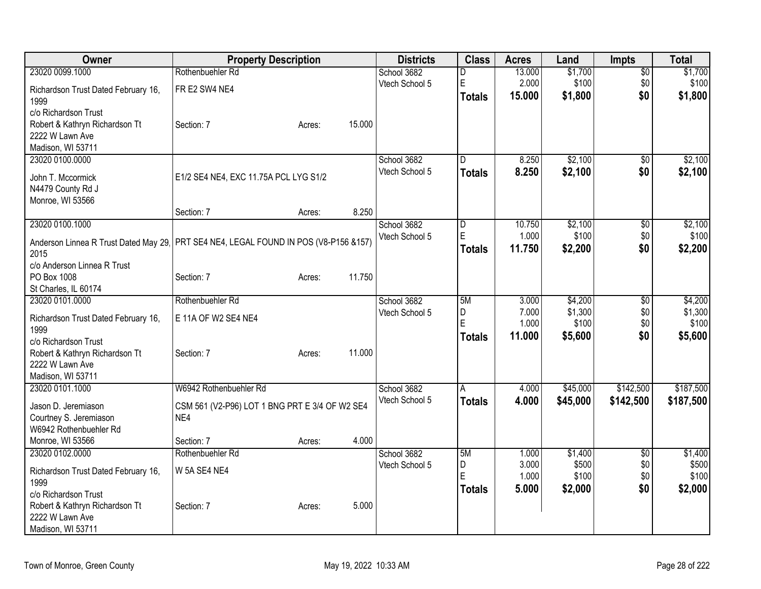| Owner                                                                               | <b>Property Description</b>                    |                  | <b>Districts</b> | <b>Class</b>            | <b>Acres</b>   | Land           | Impts           | <b>Total</b>   |
|-------------------------------------------------------------------------------------|------------------------------------------------|------------------|------------------|-------------------------|----------------|----------------|-----------------|----------------|
| 23020 0099.1000                                                                     | Rothenbuehler Rd                               |                  | School 3682      | D                       | 13.000         | \$1,700        | $\overline{50}$ | \$1,700        |
| Richardson Trust Dated February 16,                                                 | FR E2 SW4 NE4                                  |                  | Vtech School 5   | E                       | 2.000          | \$100          | \$0             | \$100          |
| 1999                                                                                |                                                |                  |                  | <b>Totals</b>           | 15.000         | \$1,800        | \$0             | \$1,800        |
| c/o Richardson Trust                                                                |                                                |                  |                  |                         |                |                |                 |                |
| Robert & Kathryn Richardson Tt                                                      | Section: 7                                     | 15.000<br>Acres: |                  |                         |                |                |                 |                |
| 2222 W Lawn Ave                                                                     |                                                |                  |                  |                         |                |                |                 |                |
| Madison, WI 53711<br>23020 0100.0000                                                |                                                |                  | School 3682      | D.                      | 8.250          | \$2,100        | $\overline{50}$ | \$2,100        |
|                                                                                     |                                                |                  | Vtech School 5   | <b>Totals</b>           | 8.250          | \$2,100        | \$0             | \$2,100        |
| John T. Mccormick                                                                   | E1/2 SE4 NE4, EXC 11.75A PCL LYG S1/2          |                  |                  |                         |                |                |                 |                |
| N4479 County Rd J                                                                   |                                                |                  |                  |                         |                |                |                 |                |
| Monroe, WI 53566                                                                    | Section: 7                                     | 8.250            |                  |                         |                |                |                 |                |
| 23020 0100.1000                                                                     |                                                | Acres:           | School 3682      | $\overline{\mathsf{D}}$ | 10.750         | \$2,100        | $\overline{60}$ | \$2,100        |
|                                                                                     |                                                |                  | Vtech School 5   | E                       | 1.000          | \$100          | \$0             | \$100          |
| Anderson Linnea R Trust Dated May 29 PRT SE4 NE4, LEGAL FOUND IN POS (V8-P156 &157) |                                                |                  |                  | <b>Totals</b>           | 11.750         | \$2,200        | \$0             | \$2,200        |
| 2015                                                                                |                                                |                  |                  |                         |                |                |                 |                |
| c/o Anderson Linnea R Trust<br>PO Box 1008                                          | Section: 7                                     | 11.750<br>Acres: |                  |                         |                |                |                 |                |
| St Charles, IL 60174                                                                |                                                |                  |                  |                         |                |                |                 |                |
| 23020 0101.0000                                                                     | Rothenbuehler Rd                               |                  | School 3682      | 5M                      | 3.000          | \$4,200        | \$0             | \$4,200        |
|                                                                                     | E 11A OF W2 SE4 NE4                            |                  | Vtech School 5   | D                       | 7.000          | \$1,300        | \$0             | \$1,300        |
| Richardson Trust Dated February 16,<br>1999                                         |                                                |                  |                  | E                       | 1.000          | \$100          | \$0             | \$100          |
| c/o Richardson Trust                                                                |                                                |                  |                  | <b>Totals</b>           | 11.000         | \$5,600        | \$0             | \$5,600        |
| Robert & Kathryn Richardson Tt                                                      | Section: 7                                     | 11.000<br>Acres: |                  |                         |                |                |                 |                |
| 2222 W Lawn Ave                                                                     |                                                |                  |                  |                         |                |                |                 |                |
| Madison, WI 53711                                                                   |                                                |                  |                  |                         |                |                |                 |                |
| 23020 0101.1000                                                                     | W6942 Rothenbuehler Rd                         |                  | School 3682      | A                       | 4.000          | \$45,000       | \$142,500       | \$187,500      |
| Jason D. Jeremiason                                                                 | CSM 561 (V2-P96) LOT 1 BNG PRT E 3/4 OF W2 SE4 |                  | Vtech School 5   | <b>Totals</b>           | 4.000          | \$45,000       | \$142,500       | \$187,500      |
| Courtney S. Jeremiason                                                              | NE4                                            |                  |                  |                         |                |                |                 |                |
| W6942 Rothenbuehler Rd                                                              |                                                |                  |                  |                         |                |                |                 |                |
| Monroe, WI 53566                                                                    | Section: 7                                     | 4.000<br>Acres:  |                  |                         |                |                |                 |                |
| 23020 0102.0000                                                                     | Rothenbuehler Rd                               |                  | School 3682      | 5M                      | 1.000          | \$1,400        | $\overline{30}$ | \$1,400        |
| Richardson Trust Dated February 16,                                                 | W 5A SE4 NE4                                   |                  | Vtech School 5   | D<br>Ė                  | 3.000<br>1.000 | \$500<br>\$100 | \$0<br>\$0      | \$500<br>\$100 |
| 1999                                                                                |                                                |                  |                  | <b>Totals</b>           | 5.000          | \$2,000        | \$0             | \$2,000        |
| c/o Richardson Trust                                                                |                                                |                  |                  |                         |                |                |                 |                |
| Robert & Kathryn Richardson Tt                                                      | Section: 7                                     | 5.000<br>Acres:  |                  |                         |                |                |                 |                |
| 2222 W Lawn Ave                                                                     |                                                |                  |                  |                         |                |                |                 |                |
| Madison, WI 53711                                                                   |                                                |                  |                  |                         |                |                |                 |                |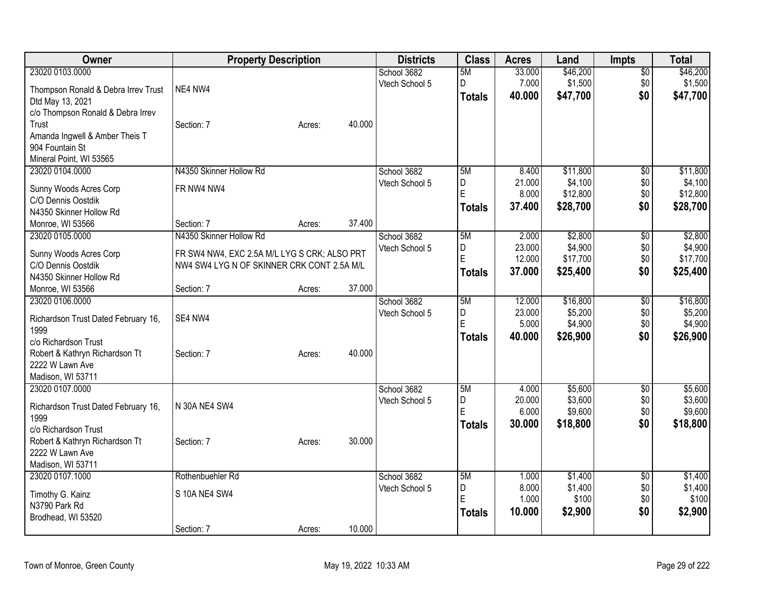| Owner                                         | <b>Property Description</b>                  |        |        | <b>Districts</b>              | <b>Class</b>  | <b>Acres</b>    | Land               | <b>Impts</b>    | <b>Total</b>       |
|-----------------------------------------------|----------------------------------------------|--------|--------|-------------------------------|---------------|-----------------|--------------------|-----------------|--------------------|
| 23020 0103.0000                               |                                              |        |        | School 3682                   | 5M            | 33.000          | \$46,200           | $\sqrt{$0}$     | \$46,200           |
| Thompson Ronald & Debra Irrev Trust           | NE4 NW4                                      |        |        | Vtech School 5                | D             | 7.000           | \$1,500            | \$0             | \$1,500            |
| Dtd May 13, 2021                              |                                              |        |        |                               | <b>Totals</b> | 40.000          | \$47,700           | \$0             | \$47,700           |
| c/o Thompson Ronald & Debra Irrev             |                                              |        |        |                               |               |                 |                    |                 |                    |
| Trust                                         | Section: 7                                   | Acres: | 40.000 |                               |               |                 |                    |                 |                    |
| Amanda Ingwell & Amber Theis T                |                                              |        |        |                               |               |                 |                    |                 |                    |
| 904 Fountain St                               |                                              |        |        |                               |               |                 |                    |                 |                    |
| Mineral Point, WI 53565                       |                                              |        |        |                               |               |                 |                    |                 |                    |
| 23020 0104.0000                               | N4350 Skinner Hollow Rd                      |        |        | School 3682                   | 5M            | 8.400           | \$11,800           | $\overline{50}$ | \$11,800           |
| Sunny Woods Acres Corp                        | FR NW4 NW4                                   |        |        | Vtech School 5                | D             | 21.000          | \$4,100            | \$0             | \$4,100            |
| C/O Dennis Oostdik                            |                                              |        |        |                               | E             | 8.000           | \$12,800           | \$0             | \$12,800           |
| N4350 Skinner Hollow Rd                       |                                              |        |        |                               | <b>Totals</b> | 37.400          | \$28,700           | \$0             | \$28,700           |
| Monroe, WI 53566                              | Section: 7                                   | Acres: | 37.400 |                               |               |                 |                    |                 |                    |
| 23020 0105.0000                               | N4350 Skinner Hollow Rd                      |        |        | School 3682                   | 5M            | 2.000           | \$2,800            | \$0             | \$2,800            |
|                                               |                                              |        |        | Vtech School 5                | D             | 23.000          | \$4,900            | \$0             | \$4,900            |
| Sunny Woods Acres Corp                        | FR SW4 NW4, EXC 2.5A M/L LYG S CRK; ALSO PRT |        |        |                               | E             | 12.000          | \$17,700           | \$0             | \$17,700           |
| C/O Dennis Oostdik<br>N4350 Skinner Hollow Rd | NW4 SW4 LYG N OF SKINNER CRK CONT 2.5A M/L   |        |        |                               | <b>Totals</b> | 37.000          | \$25,400           | \$0             | \$25,400           |
| Monroe, WI 53566                              | Section: 7                                   | Acres: | 37.000 |                               |               |                 |                    |                 |                    |
| 23020 0106.0000                               |                                              |        |        | School 3682                   | 5M            | 12.000          | \$16,800           | $\overline{50}$ | \$16,800           |
|                                               |                                              |        |        | Vtech School 5                | D             | 23.000          | \$5,200            | \$0             | \$5,200            |
| Richardson Trust Dated February 16,           | SE4 NW4                                      |        |        |                               | E             | 5.000           | \$4,900            | \$0             | \$4,900            |
| 1999                                          |                                              |        |        |                               | <b>Totals</b> | 40.000          | \$26,900           | \$0             | \$26,900           |
| c/o Richardson Trust                          |                                              |        |        |                               |               |                 |                    |                 |                    |
| Robert & Kathryn Richardson Tt                | Section: 7                                   | Acres: | 40.000 |                               |               |                 |                    |                 |                    |
| 2222 W Lawn Ave                               |                                              |        |        |                               |               |                 |                    |                 |                    |
| Madison, WI 53711<br>23020 0107.0000          |                                              |        |        |                               | 5M            |                 |                    |                 |                    |
|                                               |                                              |        |        | School 3682<br>Vtech School 5 | D             | 4.000<br>20.000 | \$5,600<br>\$3,600 | \$0<br>\$0      | \$5,600<br>\$3,600 |
| Richardson Trust Dated February 16,           | N 30A NE4 SW4                                |        |        |                               | E             | 6.000           | \$9,600            | \$0             | \$9,600            |
| 1999                                          |                                              |        |        |                               | <b>Totals</b> | 30.000          | \$18,800           | \$0             | \$18,800           |
| c/o Richardson Trust                          |                                              |        |        |                               |               |                 |                    |                 |                    |
| Robert & Kathryn Richardson Tt                | Section: 7                                   | Acres: | 30.000 |                               |               |                 |                    |                 |                    |
| 2222 W Lawn Ave                               |                                              |        |        |                               |               |                 |                    |                 |                    |
| Madison, WI 53711                             |                                              |        |        |                               |               |                 |                    |                 |                    |
| 23020 0107.1000                               | Rothenbuehler Rd                             |        |        | School 3682                   | 5M            | 1.000           | \$1,400            | \$0             | \$1,400            |
| Timothy G. Kainz                              | S 10A NE4 SW4                                |        |        | Vtech School 5                | D<br>E        | 8.000           | \$1,400            | \$0             | \$1,400            |
| N3790 Park Rd                                 |                                              |        |        |                               |               | 1.000           | \$100              | \$0             | \$100              |
| Brodhead, WI 53520                            |                                              |        |        |                               | <b>Totals</b> | 10.000          | \$2,900            | \$0             | \$2,900            |
|                                               | Section: 7                                   | Acres: | 10.000 |                               |               |                 |                    |                 |                    |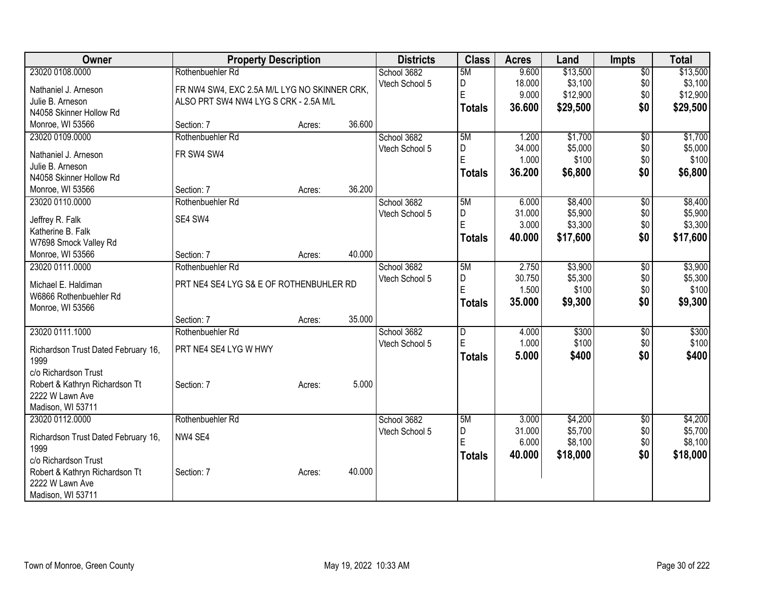| Owner                                | <b>Property Description</b>                  |        |        | <b>Districts</b> | <b>Class</b>  | <b>Acres</b> | Land     | <b>Impts</b>    | <b>Total</b> |
|--------------------------------------|----------------------------------------------|--------|--------|------------------|---------------|--------------|----------|-----------------|--------------|
| 23020 0108.0000                      | Rothenbuehler Rd                             |        |        | School 3682      | 5M            | 9.600        | \$13,500 | $\overline{50}$ | \$13,500     |
| Nathaniel J. Arneson                 | FR NW4 SW4, EXC 2.5A M/L LYG NO SKINNER CRK, |        |        | Vtech School 5   | D             | 18.000       | \$3,100  | \$0             | \$3,100      |
| Julie B. Arneson                     | ALSO PRT SW4 NW4 LYG S CRK - 2.5A M/L        |        |        |                  | E             | 9.000        | \$12,900 | \$0             | \$12,900     |
| N4058 Skinner Hollow Rd              |                                              |        |        |                  | <b>Totals</b> | 36.600       | \$29,500 | \$0             | \$29,500     |
| Monroe, WI 53566                     | Section: 7                                   | Acres: | 36.600 |                  |               |              |          |                 |              |
| 23020 0109.0000                      | Rothenbuehler Rd                             |        |        | School 3682      | 5M            | 1.200        | \$1,700  | \$0             | \$1,700      |
| Nathaniel J. Arneson                 | FR SW4 SW4                                   |        |        | Vtech School 5   | D             | 34.000       | \$5,000  | \$0             | \$5,000      |
| Julie B. Arneson                     |                                              |        |        |                  | E             | 1.000        | \$100    | \$0             | \$100        |
| N4058 Skinner Hollow Rd              |                                              |        |        |                  | <b>Totals</b> | 36.200       | \$6,800  | \$0             | \$6,800      |
| Monroe, WI 53566                     | Section: 7                                   | Acres: | 36.200 |                  |               |              |          |                 |              |
| 23020 0110.0000                      | Rothenbuehler Rd                             |        |        | School 3682      | 5M            | 6.000        | \$8,400  | \$0             | \$8,400      |
|                                      | SE4 SW4                                      |        |        | Vtech School 5   | D             | 31.000       | \$5,900  | \$0             | \$5,900      |
| Jeffrey R. Falk<br>Katherine B. Falk |                                              |        |        |                  | E             | 3.000        | \$3,300  | \$0             | \$3,300      |
| W7698 Smock Valley Rd                |                                              |        |        |                  | <b>Totals</b> | 40.000       | \$17,600 | \$0             | \$17,600     |
| Monroe, WI 53566                     | Section: 7                                   | Acres: | 40.000 |                  |               |              |          |                 |              |
| 23020 0111.0000                      | Rothenbuehler Rd                             |        |        | School 3682      | 5M            | 2.750        | \$3,900  | \$0             | \$3,900      |
|                                      |                                              |        |        | Vtech School 5   | D             | 30.750       | \$5,300  | \$0             | \$5,300      |
| Michael E. Haldiman                  | PRT NE4 SE4 LYG S& E OF ROTHENBUHLER RD      |        |        |                  | E             | 1.500        | \$100    | \$0             | \$100        |
| W6866 Rothenbuehler Rd               |                                              |        |        |                  | <b>Totals</b> | 35.000       | \$9,300  | \$0             | \$9,300      |
| Monroe, WI 53566                     | Section: 7                                   | Acres: | 35.000 |                  |               |              |          |                 |              |
| 23020 0111.1000                      | Rothenbuehler Rd                             |        |        | School 3682      | D             | 4.000        | \$300    | \$0             | \$300        |
|                                      |                                              |        |        | Vtech School 5   | E             | 1.000        | \$100    | \$0             | \$100        |
| Richardson Trust Dated February 16,  | PRT NE4 SE4 LYG W HWY                        |        |        |                  | <b>Totals</b> | 5.000        | \$400    | \$0             | \$400        |
| 1999                                 |                                              |        |        |                  |               |              |          |                 |              |
| c/o Richardson Trust                 |                                              |        |        |                  |               |              |          |                 |              |
| Robert & Kathryn Richardson Tt       | Section: 7                                   | Acres: | 5.000  |                  |               |              |          |                 |              |
| 2222 W Lawn Ave<br>Madison, WI 53711 |                                              |        |        |                  |               |              |          |                 |              |
| 23020 0112.0000                      | Rothenbuehler Rd                             |        |        | School 3682      | 5M            | 3.000        | \$4,200  | $\overline{60}$ | \$4,200      |
|                                      |                                              |        |        | Vtech School 5   | D             | 31.000       | \$5,700  | \$0             | \$5,700      |
| Richardson Trust Dated February 16,  | NW4 SE4                                      |        |        |                  | E             | 6.000        | \$8,100  | \$0             | \$8,100      |
| 1999                                 |                                              |        |        |                  | <b>Totals</b> | 40.000       | \$18,000 | \$0             | \$18,000     |
| c/o Richardson Trust                 |                                              |        |        |                  |               |              |          |                 |              |
| Robert & Kathryn Richardson Tt       | Section: 7                                   | Acres: | 40.000 |                  |               |              |          |                 |              |
| 2222 W Lawn Ave                      |                                              |        |        |                  |               |              |          |                 |              |
| Madison, WI 53711                    |                                              |        |        |                  |               |              |          |                 |              |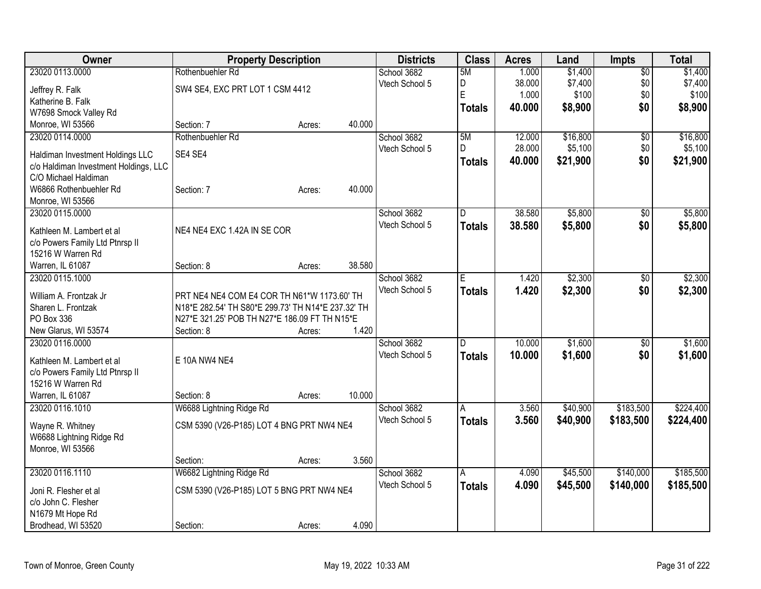| Owner                                                         |                                                    | <b>Property Description</b> |        | <b>Districts</b> | <b>Class</b>  | <b>Acres</b> | Land     | Impts           | <b>Total</b> |
|---------------------------------------------------------------|----------------------------------------------------|-----------------------------|--------|------------------|---------------|--------------|----------|-----------------|--------------|
| 23020 0113.0000                                               | Rothenbuehler Rd                                   |                             |        | School 3682      | 5M            | 1.000        | \$1,400  | $\overline{60}$ | \$1,400      |
| Jeffrey R. Falk                                               | SW4 SE4, EXC PRT LOT 1 CSM 4412                    |                             |        | Vtech School 5   | D             | 38.000       | \$7,400  | \$0             | \$7,400      |
| Katherine B. Falk                                             |                                                    |                             |        |                  | E             | 1.000        | \$100    | \$0             | \$100        |
| W7698 Smock Valley Rd                                         |                                                    |                             |        |                  | <b>Totals</b> | 40.000       | \$8,900  | \$0             | \$8,900      |
| Monroe, WI 53566                                              | Section: 7                                         | Acres:                      | 40.000 |                  |               |              |          |                 |              |
| 23020 0114.0000                                               | Rothenbuehler Rd                                   |                             |        | School 3682      | 5M            | 12.000       | \$16,800 | $\overline{50}$ | \$16,800     |
|                                                               | SE4 SE4                                            |                             |        | Vtech School 5   | D             | 28.000       | \$5,100  | \$0             | \$5,100      |
| Haldiman Investment Holdings LLC                              |                                                    |                             |        |                  | <b>Totals</b> | 40.000       | \$21,900 | \$0             | \$21,900     |
| c/o Haldiman Investment Holdings, LLC<br>C/O Michael Haldiman |                                                    |                             |        |                  |               |              |          |                 |              |
| W6866 Rothenbuehler Rd                                        | Section: 7                                         | Acres:                      | 40.000 |                  |               |              |          |                 |              |
| Monroe, WI 53566                                              |                                                    |                             |        |                  |               |              |          |                 |              |
| 23020 0115.0000                                               |                                                    |                             |        | School 3682      | D             | 38.580       | \$5,800  | \$0             | \$5,800      |
|                                                               |                                                    |                             |        | Vtech School 5   | <b>Totals</b> | 38.580       | \$5,800  | \$0             | \$5,800      |
| Kathleen M. Lambert et al                                     | NE4 NE4 EXC 1.42A IN SE COR                        |                             |        |                  |               |              |          |                 |              |
| c/o Powers Family Ltd Ptnrsp II                               |                                                    |                             |        |                  |               |              |          |                 |              |
| 15216 W Warren Rd                                             |                                                    |                             |        |                  |               |              |          |                 |              |
| Warren, IL 61087                                              | Section: 8                                         | Acres:                      | 38.580 |                  |               |              |          |                 |              |
| 23020 0115.1000                                               |                                                    |                             |        | School 3682      | E.            | 1.420        | \$2,300  | \$0             | \$2,300      |
| William A. Frontzak Jr                                        | PRT NE4 NE4 COM E4 COR TH N61*W 1173.60' TH        |                             |        | Vtech School 5   | <b>Totals</b> | 1.420        | \$2,300  | \$0             | \$2,300      |
| Sharen L. Frontzak                                            | N18*E 282.54' TH S80*E 299.73' TH N14*E 237.32' TH |                             |        |                  |               |              |          |                 |              |
| PO Box 336                                                    | N27*E 321.25' POB TH N27*E 186.09 FT TH N15*E      |                             |        |                  |               |              |          |                 |              |
| New Glarus, WI 53574                                          | Section: 8                                         | Acres:                      | 1.420  |                  |               |              |          |                 |              |
| 23020 0116.0000                                               |                                                    |                             |        | School 3682      | D.            | 10.000       | \$1,600  | \$0             | \$1,600      |
| Kathleen M. Lambert et al                                     | E 10A NW4 NE4                                      |                             |        | Vtech School 5   | <b>Totals</b> | 10.000       | \$1,600  | \$0             | \$1,600      |
| c/o Powers Family Ltd Ptnrsp II                               |                                                    |                             |        |                  |               |              |          |                 |              |
| 15216 W Warren Rd                                             |                                                    |                             |        |                  |               |              |          |                 |              |
| Warren, IL 61087                                              | Section: 8                                         | Acres:                      | 10.000 |                  |               |              |          |                 |              |
| 23020 0116.1010                                               | W6688 Lightning Ridge Rd                           |                             |        | School 3682      | A             | 3.560        | \$40,900 | \$183,500       | \$224,400    |
|                                                               |                                                    |                             |        | Vtech School 5   | <b>Totals</b> | 3.560        | \$40,900 | \$183,500       | \$224,400    |
| Wayne R. Whitney                                              | CSM 5390 (V26-P185) LOT 4 BNG PRT NW4 NE4          |                             |        |                  |               |              |          |                 |              |
| W6688 Lightning Ridge Rd                                      |                                                    |                             |        |                  |               |              |          |                 |              |
| Monroe, WI 53566                                              | Section:                                           | Acres:                      | 3.560  |                  |               |              |          |                 |              |
| 23020 0116.1110                                               | W6682 Lightning Ridge Rd                           |                             |        | School 3682      | A             | 4.090        | \$45,500 | \$140,000       | \$185,500    |
|                                                               |                                                    |                             |        | Vtech School 5   |               |              |          |                 |              |
| Joni R. Flesher et al                                         | CSM 5390 (V26-P185) LOT 5 BNG PRT NW4 NE4          |                             |        |                  | <b>Totals</b> | 4.090        | \$45,500 | \$140,000       | \$185,500    |
| c/o John C. Flesher                                           |                                                    |                             |        |                  |               |              |          |                 |              |
| N1679 Mt Hope Rd                                              |                                                    |                             |        |                  |               |              |          |                 |              |
| Brodhead, WI 53520                                            | Section:                                           | Acres:                      | 4.090  |                  |               |              |          |                 |              |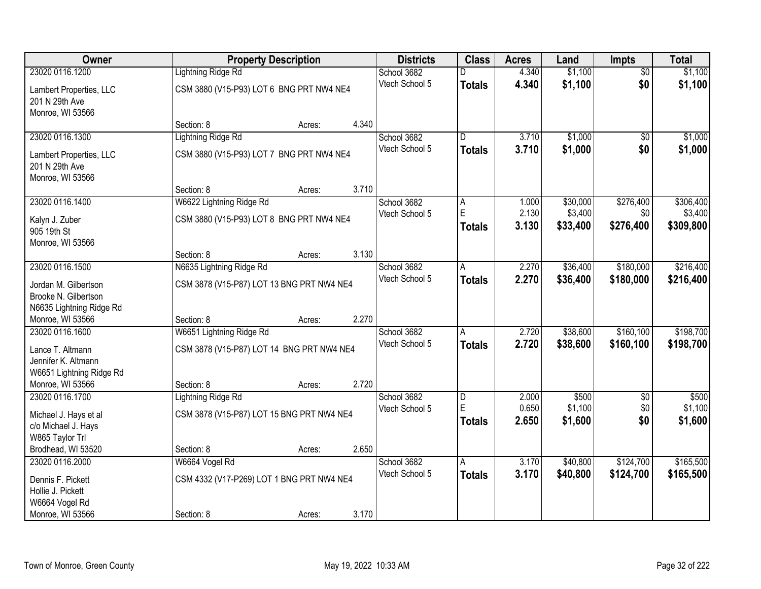| <b>Owner</b>                                                  |                                           | <b>Property Description</b> |       | <b>Districts</b>              | <b>Class</b>       | <b>Acres</b>   | Land                | <b>Impts</b>     | <b>Total</b>         |
|---------------------------------------------------------------|-------------------------------------------|-----------------------------|-------|-------------------------------|--------------------|----------------|---------------------|------------------|----------------------|
| 23020 0116.1200                                               | <b>Lightning Ridge Rd</b>                 |                             |       | School 3682                   |                    | 4.340          | \$1,100             | $\overline{50}$  | \$1,100              |
| Lambert Properties, LLC<br>201 N 29th Ave<br>Monroe, WI 53566 | CSM 3880 (V15-P93) LOT 6 BNG PRT NW4 NE4  |                             |       | Vtech School 5                | <b>Totals</b>      | 4.340          | \$1,100             | \$0              | \$1,100              |
|                                                               | Section: 8                                | Acres:                      | 4.340 |                               |                    |                |                     |                  |                      |
| 23020 0116.1300                                               | <b>Lightning Ridge Rd</b>                 |                             |       | School 3682                   | $\overline{D}$     | 3.710          | \$1,000             | $\overline{50}$  | \$1,000              |
| Lambert Properties, LLC<br>201 N 29th Ave<br>Monroe, WI 53566 | CSM 3880 (V15-P93) LOT 7 BNG PRT NW4 NE4  |                             |       | Vtech School 5                | <b>Totals</b>      | 3.710          | \$1,000             | \$0              | \$1,000              |
|                                                               | Section: 8                                | Acres:                      | 3.710 |                               |                    |                |                     |                  |                      |
| 23020 0116.1400                                               | W6622 Lightning Ridge Rd                  |                             |       | School 3682                   | A                  | 1.000          | \$30,000            | \$276,400        | \$306,400            |
| Kalyn J. Zuber<br>905 19th St                                 | CSM 3880 (V15-P93) LOT 8 BNG PRT NW4 NE4  |                             |       | Vtech School 5                | E<br><b>Totals</b> | 2.130<br>3.130 | \$3,400<br>\$33,400 | \$0<br>\$276,400 | \$3,400<br>\$309,800 |
| Monroe, WI 53566                                              | Section: 8                                | Acres:                      | 3.130 |                               |                    |                |                     |                  |                      |
| 23020 0116.1500                                               | N6635 Lightning Ridge Rd                  |                             |       | School 3682                   | A                  | 2.270          | \$36,400            | \$180,000        | \$216,400            |
|                                                               |                                           |                             |       | Vtech School 5                | <b>Totals</b>      | 2.270          | \$36,400            | \$180,000        | \$216,400            |
| Jordan M. Gilbertson                                          | CSM 3878 (V15-P87) LOT 13 BNG PRT NW4 NE4 |                             |       |                               |                    |                |                     |                  |                      |
| Brooke N. Gilbertson                                          |                                           |                             |       |                               |                    |                |                     |                  |                      |
| N6635 Lightning Ridge Rd                                      |                                           |                             | 2.270 |                               |                    |                |                     |                  |                      |
| Monroe, WI 53566<br>23020 0116.1600                           | Section: 8<br>W6651 Lightning Ridge Rd    | Acres:                      |       |                               | A                  | 2.720          | \$38,600            | \$160, 100       | \$198,700            |
|                                                               |                                           |                             |       | School 3682<br>Vtech School 5 |                    | 2.720          |                     |                  |                      |
| Lance T. Altmann                                              | CSM 3878 (V15-P87) LOT 14 BNG PRT NW4 NE4 |                             |       |                               | <b>Totals</b>      |                | \$38,600            | \$160,100        | \$198,700            |
| Jennifer K. Altmann                                           |                                           |                             |       |                               |                    |                |                     |                  |                      |
| W6651 Lightning Ridge Rd                                      |                                           |                             |       |                               |                    |                |                     |                  |                      |
| Monroe, WI 53566                                              | Section: 8                                | Acres:                      | 2.720 |                               |                    |                |                     |                  |                      |
| 23020 0116.1700                                               | <b>Lightning Ridge Rd</b>                 |                             |       | School 3682                   | D                  | 2.000          | \$500               | $\overline{50}$  | \$500                |
| Michael J. Hays et al                                         | CSM 3878 (V15-P87) LOT 15 BNG PRT NW4 NE4 |                             |       | Vtech School 5                | E.                 | 0.650          | \$1,100             | \$0              | \$1,100              |
| c/o Michael J. Hays                                           |                                           |                             |       |                               | <b>Totals</b>      | 2.650          | \$1,600             | \$0              | \$1,600              |
| W865 Taylor Trl                                               |                                           |                             |       |                               |                    |                |                     |                  |                      |
| Brodhead, WI 53520                                            | Section: 8                                | Acres:                      | 2.650 |                               |                    |                |                     |                  |                      |
| 23020 0116.2000                                               | W6664 Vogel Rd                            |                             |       | School 3682                   | A                  | 3.170          | \$40,800            | \$124,700        | \$165,500            |
| Dennis F. Pickett                                             | CSM 4332 (V17-P269) LOT 1 BNG PRT NW4 NE4 |                             |       | Vtech School 5                | <b>Totals</b>      | 3.170          | \$40,800            | \$124,700        | \$165,500            |
| Hollie J. Pickett                                             |                                           |                             |       |                               |                    |                |                     |                  |                      |
| W6664 Vogel Rd                                                |                                           |                             |       |                               |                    |                |                     |                  |                      |
| Monroe, WI 53566                                              | Section: 8                                | Acres:                      | 3.170 |                               |                    |                |                     |                  |                      |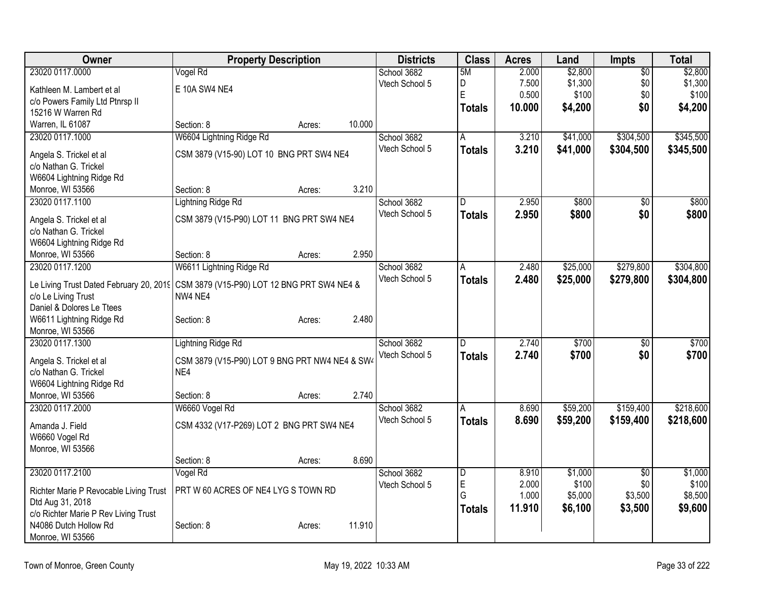| Owner                                                                               | <b>Property Description</b>                    |        |        | <b>Districts</b> | <b>Class</b>            | <b>Acres</b> | Land     | <b>Impts</b>    | Total     |
|-------------------------------------------------------------------------------------|------------------------------------------------|--------|--------|------------------|-------------------------|--------------|----------|-----------------|-----------|
| 23020 0117.0000                                                                     | Vogel Rd                                       |        |        | School 3682      | 5M                      | 2.000        | \$2,800  | $\overline{50}$ | \$2,800   |
| Kathleen M. Lambert et al                                                           | E 10A SW4 NE4                                  |        |        | Vtech School 5   | D                       | 7.500        | \$1,300  | \$0             | \$1,300   |
| c/o Powers Family Ltd Ptnrsp II                                                     |                                                |        |        |                  | E                       | 0.500        | \$100    | \$0             | \$100     |
| 15216 W Warren Rd                                                                   |                                                |        |        |                  | Totals                  | 10.000       | \$4,200  | \$0             | \$4,200   |
| Warren, IL 61087                                                                    | Section: 8                                     | Acres: | 10.000 |                  |                         |              |          |                 |           |
| 23020 0117.1000                                                                     | W6604 Lightning Ridge Rd                       |        |        | School 3682      | Α                       | 3.210        | \$41,000 | \$304,500       | \$345,500 |
| Angela S. Trickel et al                                                             | CSM 3879 (V15-90) LOT 10 BNG PRT SW4 NE4       |        |        | Vtech School 5   | <b>Totals</b>           | 3.210        | \$41,000 | \$304,500       | \$345,500 |
| c/o Nathan G. Trickel                                                               |                                                |        |        |                  |                         |              |          |                 |           |
| W6604 Lightning Ridge Rd                                                            |                                                |        |        |                  |                         |              |          |                 |           |
| Monroe, WI 53566                                                                    | Section: 8                                     | Acres: | 3.210  |                  |                         |              |          |                 |           |
| 23020 0117.1100                                                                     | Lightning Ridge Rd                             |        |        | School 3682      | D                       | 2.950        | \$800    | \$0             | \$800     |
|                                                                                     | CSM 3879 (V15-P90) LOT 11 BNG PRT SW4 NE4      |        |        | Vtech School 5   | <b>Totals</b>           | 2.950        | \$800    | \$0             | \$800     |
| Angela S. Trickel et al<br>c/o Nathan G. Trickel                                    |                                                |        |        |                  |                         |              |          |                 |           |
| W6604 Lightning Ridge Rd                                                            |                                                |        |        |                  |                         |              |          |                 |           |
| Monroe, WI 53566                                                                    | Section: 8                                     | Acres: | 2.950  |                  |                         |              |          |                 |           |
| 23020 0117.1200                                                                     | W6611 Lightning Ridge Rd                       |        |        | School 3682      | A                       | 2.480        | \$25,000 | \$279,800       | \$304,800 |
|                                                                                     |                                                |        |        | Vtech School 5   | Totals                  | 2.480        | \$25,000 | \$279,800       | \$304,800 |
| Le Living Trust Dated February 20, 2019 CSM 3879 (V15-P90) LOT 12 BNG PRT SW4 NE4 & |                                                |        |        |                  |                         |              |          |                 |           |
| c/o Le Living Trust                                                                 | NW4 NE4                                        |        |        |                  |                         |              |          |                 |           |
| Daniel & Dolores Le Ttees                                                           |                                                |        |        |                  |                         |              |          |                 |           |
| W6611 Lightning Ridge Rd                                                            | Section: 8                                     | Acres: | 2.480  |                  |                         |              |          |                 |           |
| Monroe, WI 53566<br>23020 0117.1300                                                 |                                                |        |        | School 3682      |                         | 2.740        | \$700    |                 | \$700     |
|                                                                                     | <b>Lightning Ridge Rd</b>                      |        |        | Vtech School 5   | D                       |              |          | \$0             |           |
| Angela S. Trickel et al                                                             | CSM 3879 (V15-P90) LOT 9 BNG PRT NW4 NE4 & SW4 |        |        |                  | <b>Totals</b>           | 2.740        | \$700    | \$0             | \$700     |
| c/o Nathan G. Trickel                                                               | NE4                                            |        |        |                  |                         |              |          |                 |           |
| W6604 Lightning Ridge Rd                                                            |                                                |        |        |                  |                         |              |          |                 |           |
| Monroe, WI 53566                                                                    | Section: 8                                     | Acres: | 2.740  |                  |                         |              |          |                 |           |
| 23020 0117.2000                                                                     | W6660 Vogel Rd                                 |        |        | School 3682      | A                       | 8.690        | \$59,200 | \$159,400       | \$218,600 |
| Amanda J. Field                                                                     | CSM 4332 (V17-P269) LOT 2 BNG PRT SW4 NE4      |        |        | Vtech School 5   | <b>Totals</b>           | 8.690        | \$59,200 | \$159,400       | \$218,600 |
| W6660 Vogel Rd                                                                      |                                                |        |        |                  |                         |              |          |                 |           |
| Monroe, WI 53566                                                                    |                                                |        |        |                  |                         |              |          |                 |           |
|                                                                                     | Section: 8                                     | Acres: | 8.690  |                  |                         |              |          |                 |           |
| 23020 0117.2100                                                                     | Vogel Rd                                       |        |        | School 3682      | $\overline{\mathsf{D}}$ | 8.910        | \$1,000  | $\overline{50}$ | \$1,000   |
| Richter Marie P Revocable Living Trust                                              | PRT W 60 ACRES OF NE4 LYG S TOWN RD            |        |        | Vtech School 5   | E                       | 2.000        | \$100    | \$0             | \$100     |
| Dtd Aug 31, 2018                                                                    |                                                |        |        |                  | G                       | 1.000        | \$5,000  | \$3,500         | \$8,500   |
| c/o Richter Marie P Rev Living Trust                                                |                                                |        |        |                  | <b>Totals</b>           | 11.910       | \$6,100  | \$3,500         | \$9,600   |
| N4086 Dutch Hollow Rd                                                               | Section: 8                                     | Acres: | 11.910 |                  |                         |              |          |                 |           |
| Monroe, WI 53566                                                                    |                                                |        |        |                  |                         |              |          |                 |           |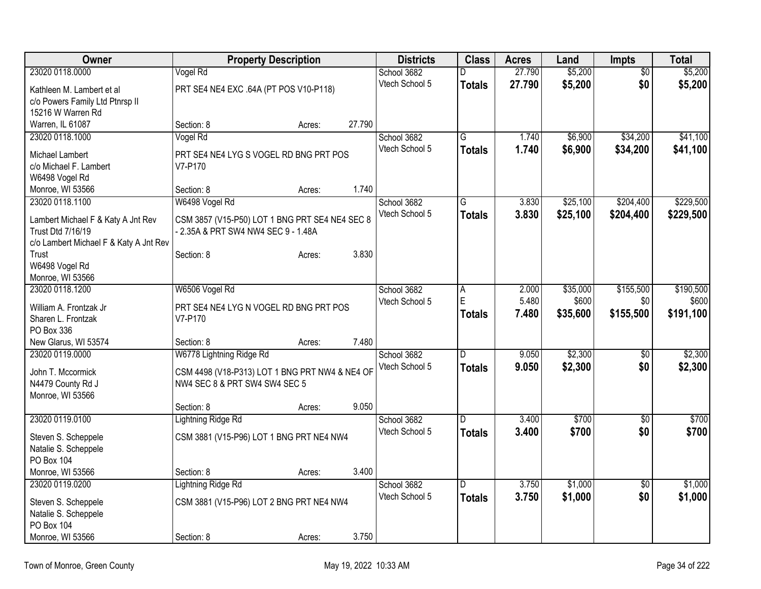| Owner                                                          |                                                                                       | <b>Property Description</b> |        | <b>Districts</b> | <b>Class</b>   | <b>Acres</b> | Land     | <b>Impts</b>    | <b>Total</b> |
|----------------------------------------------------------------|---------------------------------------------------------------------------------------|-----------------------------|--------|------------------|----------------|--------------|----------|-----------------|--------------|
| 23020 0118.0000                                                | Vogel Rd                                                                              |                             |        | School 3682      | D              | 27.790       | \$5,200  | $\overline{50}$ | \$5,200      |
| Kathleen M. Lambert et al                                      | PRT SE4 NE4 EXC .64A (PT POS V10-P118)                                                |                             |        | Vtech School 5   | <b>Totals</b>  | 27.790       | \$5,200  | \$0             | \$5,200      |
| c/o Powers Family Ltd Ptnrsp II                                |                                                                                       |                             |        |                  |                |              |          |                 |              |
| 15216 W Warren Rd                                              |                                                                                       |                             |        |                  |                |              |          |                 |              |
| Warren, IL 61087                                               | Section: 8                                                                            | Acres:                      | 27.790 |                  |                |              |          |                 |              |
| 23020 0118.1000                                                | Vogel Rd                                                                              |                             |        | School 3682      | G              | 1.740        | \$6,900  | \$34,200        | \$41,100     |
| Michael Lambert                                                | PRT SE4 NE4 LYG S VOGEL RD BNG PRT POS                                                |                             |        | Vtech School 5   | <b>Totals</b>  | 1.740        | \$6,900  | \$34,200        | \$41,100     |
| c/o Michael F. Lambert                                         | V7-P170                                                                               |                             |        |                  |                |              |          |                 |              |
| W6498 Vogel Rd                                                 |                                                                                       |                             |        |                  |                |              |          |                 |              |
| Monroe, WI 53566                                               | Section: 8                                                                            | Acres:                      | 1.740  |                  |                |              |          |                 |              |
| 23020 0118.1100                                                | W6498 Vogel Rd                                                                        |                             |        | School 3682      | G              | 3.830        | \$25,100 | \$204,400       | \$229,500    |
|                                                                |                                                                                       |                             |        | Vtech School 5   | <b>Totals</b>  | 3.830        | \$25,100 | \$204,400       | \$229,500    |
| Lambert Michael F & Katy A Jnt Rev<br><b>Trust Dtd 7/16/19</b> | CSM 3857 (V15-P50) LOT 1 BNG PRT SE4 NE4 SEC 8<br>- 2.35A & PRT SW4 NW4 SEC 9 - 1.48A |                             |        |                  |                |              |          |                 |              |
| c/o Lambert Michael F & Katy A Jnt Rev                         |                                                                                       |                             |        |                  |                |              |          |                 |              |
| Trust                                                          | Section: 8                                                                            | Acres:                      | 3.830  |                  |                |              |          |                 |              |
| W6498 Vogel Rd                                                 |                                                                                       |                             |        |                  |                |              |          |                 |              |
| Monroe, WI 53566                                               |                                                                                       |                             |        |                  |                |              |          |                 |              |
| 23020 0118.1200                                                | W6506 Vogel Rd                                                                        |                             |        | School 3682      | Α              | 2.000        | \$35,000 | \$155,500       | \$190,500    |
|                                                                |                                                                                       |                             |        | Vtech School 5   | $\mathsf E$    | 5.480        | \$600    | \$0             | \$600        |
| William A. Frontzak Jr<br>Sharen L. Frontzak                   | PRT SE4 NE4 LYG N VOGEL RD BNG PRT POS<br>V7-P170                                     |                             |        |                  | <b>Totals</b>  | 7.480        | \$35,600 | \$155,500       | \$191,100    |
| PO Box 336                                                     |                                                                                       |                             |        |                  |                |              |          |                 |              |
| New Glarus, WI 53574                                           | Section: 8                                                                            | Acres:                      | 7.480  |                  |                |              |          |                 |              |
| 23020 0119.0000                                                | W6778 Lightning Ridge Rd                                                              |                             |        | School 3682      | $\overline{D}$ | 9.050        | \$2,300  | $\sqrt[6]{}$    | \$2,300      |
|                                                                |                                                                                       |                             |        | Vtech School 5   | <b>Totals</b>  | 9.050        | \$2,300  | \$0             | \$2,300      |
| John T. Mccormick                                              | CSM 4498 (V18-P313) LOT 1 BNG PRT NW4 & NE4 OF                                        |                             |        |                  |                |              |          |                 |              |
| N4479 County Rd J                                              | NW4 SEC 8 & PRT SW4 SW4 SEC 5                                                         |                             |        |                  |                |              |          |                 |              |
| Monroe, WI 53566                                               |                                                                                       |                             |        |                  |                |              |          |                 |              |
|                                                                | Section: 8                                                                            | Acres:                      | 9.050  |                  |                |              |          |                 |              |
| 23020 0119.0100                                                | Lightning Ridge Rd                                                                    |                             |        | School 3682      | D              | 3.400        | \$700    | $\overline{50}$ | \$700        |
| Steven S. Scheppele                                            | CSM 3881 (V15-P96) LOT 1 BNG PRT NE4 NW4                                              |                             |        | Vtech School 5   | <b>Totals</b>  | 3.400        | \$700    | \$0             | \$700        |
| Natalie S. Scheppele                                           |                                                                                       |                             |        |                  |                |              |          |                 |              |
| PO Box 104                                                     |                                                                                       |                             |        |                  |                |              |          |                 |              |
| Monroe, WI 53566                                               | Section: 8                                                                            | Acres:                      | 3.400  |                  |                |              |          |                 |              |
| 23020 0119.0200                                                | <b>Lightning Ridge Rd</b>                                                             |                             |        | School 3682      | D              | 3.750        | \$1,000  | \$0             | \$1,000      |
| Steven S. Scheppele                                            | CSM 3881 (V15-P96) LOT 2 BNG PRT NE4 NW4                                              |                             |        | Vtech School 5   | Totals         | 3.750        | \$1,000  | \$0             | \$1,000      |
| Natalie S. Scheppele                                           |                                                                                       |                             |        |                  |                |              |          |                 |              |
| <b>PO Box 104</b>                                              |                                                                                       |                             |        |                  |                |              |          |                 |              |
| Monroe, WI 53566                                               | Section: 8                                                                            | Acres:                      | 3.750  |                  |                |              |          |                 |              |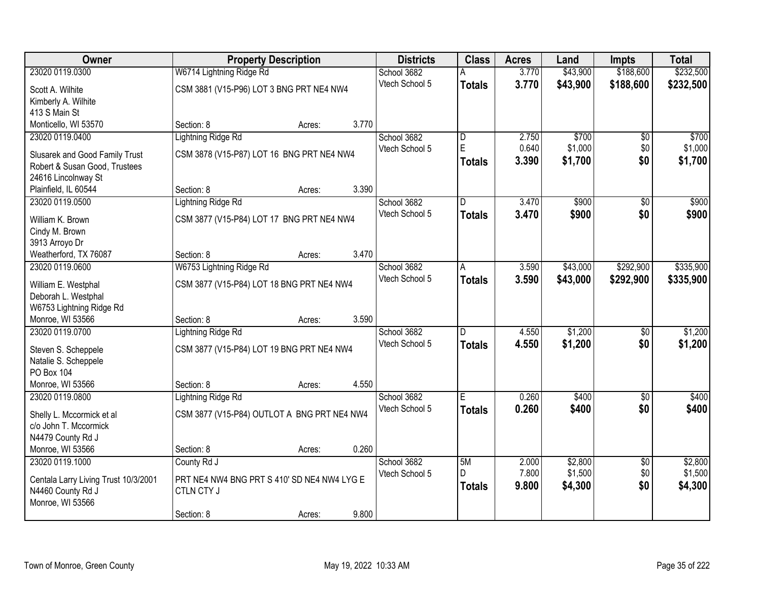| 23020 0119.0300<br>W6714 Lightning Ridge Rd<br>3.770<br>\$43,900<br>\$188,600<br>School 3682<br>А<br>Vtech School 5<br>3.770<br>\$43,900<br>\$188,600<br><b>Totals</b><br>CSM 3881 (V15-P96) LOT 3 BNG PRT NE4 NW4<br>Scott A. Wilhite<br>Kimberly A. Wilhite<br>413 S Main St<br>3.770<br>Monticello, WI 53570<br>Section: 8<br>Acres:<br>\$700<br><b>Lightning Ridge Rd</b><br>2.750<br>23020 0119.0400<br>School 3682<br>D<br>\$0<br>E<br>0.640<br>\$1,000<br>\$0<br>Vtech School 5<br>CSM 3878 (V15-P87) LOT 16 BNG PRT NE4 NW4<br>Slusarek and Good Family Trust<br>\$0<br>3.390<br>\$1,700<br><b>Totals</b><br>Robert & Susan Good, Trustees<br>24616 Lincolnway St | Owner | <b>Property Description</b> |  | <b>Districts</b> | <b>Class</b> | <b>Acres</b> | Land | <b>Impts</b> | <b>Total</b> |
|---------------------------------------------------------------------------------------------------------------------------------------------------------------------------------------------------------------------------------------------------------------------------------------------------------------------------------------------------------------------------------------------------------------------------------------------------------------------------------------------------------------------------------------------------------------------------------------------------------------------------------------------------------------------------|-------|-----------------------------|--|------------------|--------------|--------------|------|--------------|--------------|
|                                                                                                                                                                                                                                                                                                                                                                                                                                                                                                                                                                                                                                                                           |       |                             |  |                  |              |              |      |              | \$232,500    |
|                                                                                                                                                                                                                                                                                                                                                                                                                                                                                                                                                                                                                                                                           |       |                             |  |                  |              |              |      |              | \$232,500    |
|                                                                                                                                                                                                                                                                                                                                                                                                                                                                                                                                                                                                                                                                           |       |                             |  |                  |              |              |      |              |              |
|                                                                                                                                                                                                                                                                                                                                                                                                                                                                                                                                                                                                                                                                           |       |                             |  |                  |              |              |      |              |              |
|                                                                                                                                                                                                                                                                                                                                                                                                                                                                                                                                                                                                                                                                           |       |                             |  |                  |              |              |      |              |              |
|                                                                                                                                                                                                                                                                                                                                                                                                                                                                                                                                                                                                                                                                           |       |                             |  |                  |              |              |      |              | \$700        |
|                                                                                                                                                                                                                                                                                                                                                                                                                                                                                                                                                                                                                                                                           |       |                             |  |                  |              |              |      |              | \$1,000      |
|                                                                                                                                                                                                                                                                                                                                                                                                                                                                                                                                                                                                                                                                           |       |                             |  |                  |              |              |      |              | \$1,700      |
|                                                                                                                                                                                                                                                                                                                                                                                                                                                                                                                                                                                                                                                                           |       |                             |  |                  |              |              |      |              |              |
| 3.390<br>Plainfield, IL 60544<br>Section: 8<br>Acres:                                                                                                                                                                                                                                                                                                                                                                                                                                                                                                                                                                                                                     |       |                             |  |                  |              |              |      |              |              |
| 23020 0119.0500<br><b>Lightning Ridge Rd</b><br>School 3682<br>3.470<br>\$900<br>\$0<br>D                                                                                                                                                                                                                                                                                                                                                                                                                                                                                                                                                                                 |       |                             |  |                  |              |              |      |              | \$900        |
| \$0<br>Vtech School 5<br>3.470<br>\$900<br><b>Totals</b>                                                                                                                                                                                                                                                                                                                                                                                                                                                                                                                                                                                                                  |       |                             |  |                  |              |              |      |              | \$900        |
| CSM 3877 (V15-P84) LOT 17 BNG PRT NE4 NW4<br>William K. Brown                                                                                                                                                                                                                                                                                                                                                                                                                                                                                                                                                                                                             |       |                             |  |                  |              |              |      |              |              |
| Cindy M. Brown                                                                                                                                                                                                                                                                                                                                                                                                                                                                                                                                                                                                                                                            |       |                             |  |                  |              |              |      |              |              |
| 3913 Arroyo Dr<br>3.470<br>Weatherford, TX 76087<br>Section: 8<br>Acres:                                                                                                                                                                                                                                                                                                                                                                                                                                                                                                                                                                                                  |       |                             |  |                  |              |              |      |              |              |
| 23020 0119.0600<br>W6753 Lightning Ridge Rd<br>\$43,000<br>\$292,900<br>School 3682<br>3.590<br>A                                                                                                                                                                                                                                                                                                                                                                                                                                                                                                                                                                         |       |                             |  |                  |              |              |      |              | \$335,900    |
| Vtech School 5<br>3.590<br>\$43,000<br>\$292,900<br><b>Totals</b>                                                                                                                                                                                                                                                                                                                                                                                                                                                                                                                                                                                                         |       |                             |  |                  |              |              |      |              | \$335,900    |
| CSM 3877 (V15-P84) LOT 18 BNG PRT NE4 NW4<br>William E. Westphal                                                                                                                                                                                                                                                                                                                                                                                                                                                                                                                                                                                                          |       |                             |  |                  |              |              |      |              |              |
| Deborah L. Westphal                                                                                                                                                                                                                                                                                                                                                                                                                                                                                                                                                                                                                                                       |       |                             |  |                  |              |              |      |              |              |
| W6753 Lightning Ridge Rd                                                                                                                                                                                                                                                                                                                                                                                                                                                                                                                                                                                                                                                  |       |                             |  |                  |              |              |      |              |              |
| 3.590<br>Monroe, WI 53566<br>Section: 8<br>Acres:                                                                                                                                                                                                                                                                                                                                                                                                                                                                                                                                                                                                                         |       |                             |  |                  |              |              |      |              |              |
| \$1,200<br>23020 0119.0700<br><b>Lightning Ridge Rd</b><br>4.550<br>School 3682<br>$\overline{D}$<br>\$0                                                                                                                                                                                                                                                                                                                                                                                                                                                                                                                                                                  |       |                             |  |                  |              |              |      |              | \$1,200      |
| \$1,200<br>Vtech School 5<br>4.550<br>\$0<br><b>Totals</b><br>CSM 3877 (V15-P84) LOT 19 BNG PRT NE4 NW4<br>Steven S. Scheppele                                                                                                                                                                                                                                                                                                                                                                                                                                                                                                                                            |       |                             |  |                  |              |              |      |              | \$1,200      |
| Natalie S. Scheppele                                                                                                                                                                                                                                                                                                                                                                                                                                                                                                                                                                                                                                                      |       |                             |  |                  |              |              |      |              |              |
| PO Box 104                                                                                                                                                                                                                                                                                                                                                                                                                                                                                                                                                                                                                                                                |       |                             |  |                  |              |              |      |              |              |
| 4.550<br>Monroe, WI 53566<br>Section: 8<br>Acres:                                                                                                                                                                                                                                                                                                                                                                                                                                                                                                                                                                                                                         |       |                             |  |                  |              |              |      |              |              |
| \$400<br>23020 0119.0800<br>Lightning Ridge Rd<br>School 3682<br>E<br>0.260<br>$\overline{50}$                                                                                                                                                                                                                                                                                                                                                                                                                                                                                                                                                                            |       |                             |  |                  |              |              |      |              | \$400        |
| 0.260<br>\$0<br>Vtech School 5<br>\$400<br><b>Totals</b><br>CSM 3877 (V15-P84) OUTLOT A BNG PRT NE4 NW4<br>Shelly L. Mccormick et al                                                                                                                                                                                                                                                                                                                                                                                                                                                                                                                                      |       |                             |  |                  |              |              |      |              | \$400        |
| c/o John T. Mccormick                                                                                                                                                                                                                                                                                                                                                                                                                                                                                                                                                                                                                                                     |       |                             |  |                  |              |              |      |              |              |
| N4479 County Rd J                                                                                                                                                                                                                                                                                                                                                                                                                                                                                                                                                                                                                                                         |       |                             |  |                  |              |              |      |              |              |
| 0.260<br>Monroe, WI 53566<br>Section: 8<br>Acres:                                                                                                                                                                                                                                                                                                                                                                                                                                                                                                                                                                                                                         |       |                             |  |                  |              |              |      |              |              |
| 23020 0119.1000<br>County Rd J<br>School 3682<br>5M<br>\$2,800<br>2.000<br>$\overline{60}$                                                                                                                                                                                                                                                                                                                                                                                                                                                                                                                                                                                |       |                             |  |                  |              |              |      |              | \$2,800      |
| 7.800<br>\$1,500<br>\$0<br>Vtech School 5<br>D                                                                                                                                                                                                                                                                                                                                                                                                                                                                                                                                                                                                                            |       |                             |  |                  |              |              |      |              | \$1,500      |
| PRT NE4 NW4 BNG PRT S 410' SD NE4 NW4 LYG E<br>Centala Larry Living Trust 10/3/2001<br>\$4,300<br>\$0<br>9.800<br><b>Totals</b><br>N4460 County Rd J<br>CTLN CTY J                                                                                                                                                                                                                                                                                                                                                                                                                                                                                                        |       |                             |  |                  |              |              |      |              | \$4,300      |
| Monroe, WI 53566                                                                                                                                                                                                                                                                                                                                                                                                                                                                                                                                                                                                                                                          |       |                             |  |                  |              |              |      |              |              |
| 9.800<br>Section: 8<br>Acres:                                                                                                                                                                                                                                                                                                                                                                                                                                                                                                                                                                                                                                             |       |                             |  |                  |              |              |      |              |              |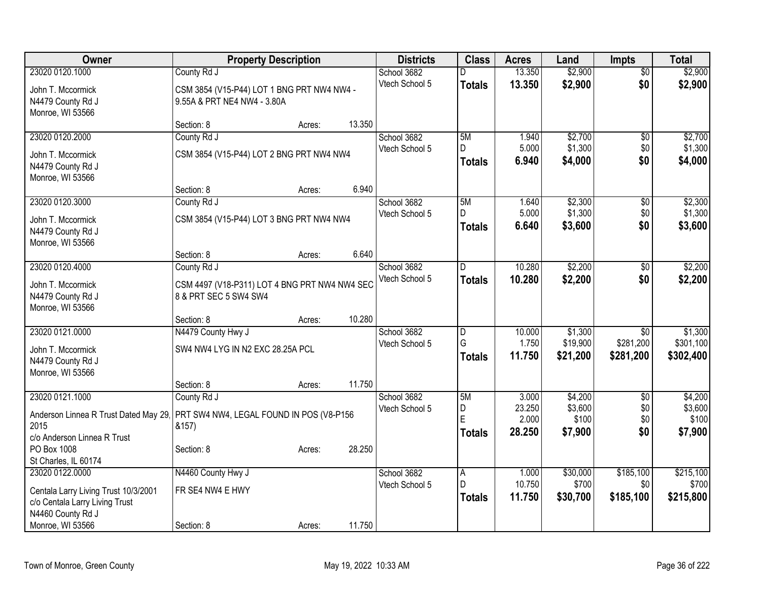| <b>Owner</b>                          | <b>Property Description</b>                   |        |        | <b>Districts</b> | <b>Class</b>  | <b>Acres</b>    | Land              | <b>Impts</b>     | <b>Total</b>       |
|---------------------------------------|-----------------------------------------------|--------|--------|------------------|---------------|-----------------|-------------------|------------------|--------------------|
| 23020 0120.1000                       | County Rd J                                   |        |        | School 3682      | D.            | 13.350          | \$2,900           | $\overline{50}$  | \$2,900            |
| John T. Mccormick                     | CSM 3854 (V15-P44) LOT 1 BNG PRT NW4 NW4 -    |        |        | Vtech School 5   | <b>Totals</b> | 13.350          | \$2,900           | \$0              | \$2,900            |
| N4479 County Rd J                     | 9.55A & PRT NE4 NW4 - 3.80A                   |        |        |                  |               |                 |                   |                  |                    |
| Monroe, WI 53566                      |                                               |        |        |                  |               |                 |                   |                  |                    |
|                                       | Section: 8                                    | Acres: | 13.350 |                  |               |                 |                   |                  |                    |
| 23020 0120.2000                       | County Rd J                                   |        |        | School 3682      | 5M            | 1.940           | \$2,700           | \$0              | \$2,700            |
| John T. Mccormick                     | CSM 3854 (V15-P44) LOT 2 BNG PRT NW4 NW4      |        |        | Vtech School 5   | D.            | 5.000           | \$1,300           | \$0              | \$1,300            |
| N4479 County Rd J                     |                                               |        |        |                  | <b>Totals</b> | 6.940           | \$4,000           | \$0              | \$4,000            |
| Monroe, WI 53566                      |                                               |        |        |                  |               |                 |                   |                  |                    |
|                                       | Section: 8                                    | Acres: | 6.940  |                  |               |                 |                   |                  |                    |
| 23020 0120.3000                       | County Rd J                                   |        |        | School 3682      | 5M            | 1.640           | \$2,300           | \$0              | \$2,300            |
| John T. Mccormick                     | CSM 3854 (V15-P44) LOT 3 BNG PRT NW4 NW4      |        |        | Vtech School 5   | D.            | 5.000           | \$1,300           | \$0              | \$1,300            |
| N4479 County Rd J                     |                                               |        |        |                  | <b>Totals</b> | 6.640           | \$3,600           | \$0              | \$3,600            |
| Monroe, WI 53566                      |                                               |        |        |                  |               |                 |                   |                  |                    |
|                                       | Section: 8                                    | Acres: | 6.640  |                  |               |                 |                   |                  |                    |
| 23020 0120.4000                       | County Rd J                                   |        |        | School 3682      | D             | 10.280          | \$2,200           | \$0              | \$2,200            |
| John T. Mccormick                     | CSM 4497 (V18-P311) LOT 4 BNG PRT NW4 NW4 SEC |        |        | Vtech School 5   | <b>Totals</b> | 10.280          | \$2,200           | \$0              | \$2,200            |
| N4479 County Rd J                     | 8 & PRT SEC 5 SW4 SW4                         |        |        |                  |               |                 |                   |                  |                    |
| Monroe, WI 53566                      |                                               |        |        |                  |               |                 |                   |                  |                    |
|                                       | Section: 8                                    | Acres: | 10.280 |                  |               |                 |                   |                  |                    |
| 23020 0121.0000                       | N4479 County Hwy J                            |        |        | School 3682      | D             | 10.000          | \$1,300           | $\overline{30}$  | \$1,300            |
| John T. Mccormick                     | SW4 NW4 LYG IN N2 EXC 28.25A PCL              |        |        | Vtech School 5   | G             | 1.750           | \$19,900          | \$281,200        | \$301,100          |
| N4479 County Rd J                     |                                               |        |        |                  | <b>Totals</b> | 11.750          | \$21,200          | \$281,200        | \$302,400          |
| Monroe, WI 53566                      |                                               |        |        |                  |               |                 |                   |                  |                    |
|                                       | Section: 8                                    | Acres: | 11.750 |                  |               |                 |                   |                  |                    |
| 23020 0121.1000                       | County Rd J                                   |        |        | School 3682      | 5M            | 3.000           | \$4,200           | $\overline{50}$  | \$4,200            |
| Anderson Linnea R Trust Dated May 29. | PRT SW4 NW4, LEGAL FOUND IN POS (V8-P156      |        |        | Vtech School 5   | D<br>E        | 23.250          | \$3,600           | \$0              | \$3,600            |
| 2015                                  | &157)                                         |        |        |                  |               | 2.000<br>28.250 | \$100             | \$0<br>\$0       | \$100              |
| c/o Anderson Linnea R Trust           |                                               |        |        |                  | <b>Totals</b> |                 | \$7,900           |                  | \$7,900            |
| PO Box 1008                           | Section: 8                                    | Acres: | 28.250 |                  |               |                 |                   |                  |                    |
| St Charles, IL 60174                  |                                               |        |        |                  |               |                 |                   |                  |                    |
| 23020 0122.0000                       | N4460 County Hwy J                            |        |        | School 3682      | A<br>D.       | 1.000<br>10.750 | \$30,000<br>\$700 | \$185,100<br>\$0 | \$215,100<br>\$700 |
| Centala Larry Living Trust 10/3/2001  | FR SE4 NW4 E HWY                              |        |        | Vtech School 5   |               | 11.750          |                   |                  |                    |
| c/o Centala Larry Living Trust        |                                               |        |        |                  | <b>Totals</b> |                 | \$30,700          | \$185,100        | \$215,800          |
| N4460 County Rd J                     |                                               |        |        |                  |               |                 |                   |                  |                    |
| Monroe, WI 53566                      | Section: 8                                    | Acres: | 11.750 |                  |               |                 |                   |                  |                    |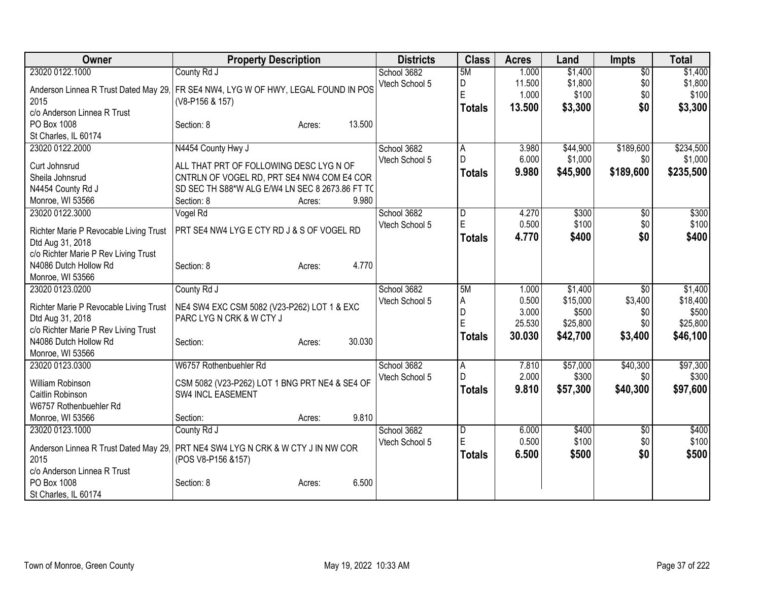| Owner                                      | <b>Property Description</b>                                                                            | <b>Districts</b>              | <b>Class</b>   | <b>Acres</b>    | Land               | <b>Impts</b>           | <b>Total</b>       |
|--------------------------------------------|--------------------------------------------------------------------------------------------------------|-------------------------------|----------------|-----------------|--------------------|------------------------|--------------------|
| 23020 0122.1000                            | County Rd J                                                                                            | School 3682<br>Vtech School 5 | 5M<br>D        | 1.000<br>11.500 | \$1,400<br>\$1,800 | $\overline{50}$<br>\$0 | \$1,400<br>\$1,800 |
|                                            | Anderson Linnea R Trust Dated May 29. FR SE4 NW4, LYG W OF HWY, LEGAL FOUND IN POS                     |                               | E              | 1.000           | \$100              | \$0                    | \$100              |
| 2015                                       | (V8-P156 & 157)                                                                                        |                               | <b>Totals</b>  | 13.500          | \$3,300            | \$0                    | \$3,300            |
| c/o Anderson Linnea R Trust<br>PO Box 1008 | 13.500<br>Section: 8<br>Acres:                                                                         |                               |                |                 |                    |                        |                    |
| St Charles, IL 60174                       |                                                                                                        |                               |                |                 |                    |                        |                    |
| 23020 0122.2000                            | N4454 County Hwy J                                                                                     | School 3682                   | A              | 3.980           | \$44,900           | \$189,600              | \$234,500          |
|                                            | ALL THAT PRT OF FOLLOWING DESC LYG N OF                                                                | Vtech School 5                | D              | 6.000           | \$1,000            | \$0                    | \$1,000            |
| Curt Johnsrud<br>Sheila Johnsrud           | CNTRLN OF VOGEL RD, PRT SE4 NW4 COM E4 COR                                                             |                               | <b>Totals</b>  | 9.980           | \$45,900           | \$189,600              | \$235,500          |
| N4454 County Rd J                          | SD SEC TH S88*W ALG E/W4 LN SEC 8 2673.86 FT TC                                                        |                               |                |                 |                    |                        |                    |
| Monroe, WI 53566                           | 9.980<br>Section: 8<br>Acres:                                                                          |                               |                |                 |                    |                        |                    |
| 23020 0122.3000                            | Vogel Rd                                                                                               | School 3682                   | D              | 4.270           | \$300              | \$0                    | \$300              |
| Richter Marie P Revocable Living Trust     | PRT SE4 NW4 LYG E CTY RD J & S OF VOGEL RD                                                             | Vtech School 5                | E              | 0.500           | \$100              | \$0                    | \$100              |
| Dtd Aug 31, 2018                           |                                                                                                        |                               | <b>Totals</b>  | 4.770           | \$400              | \$0                    | \$400              |
| c/o Richter Marie P Rev Living Trust       |                                                                                                        |                               |                |                 |                    |                        |                    |
| N4086 Dutch Hollow Rd                      | 4.770<br>Section: 8<br>Acres:                                                                          |                               |                |                 |                    |                        |                    |
| Monroe, WI 53566                           |                                                                                                        |                               |                |                 |                    |                        |                    |
| 23020 0123.0200                            | County Rd J                                                                                            | School 3682                   | 5M             | 1.000           | \$1,400            | \$0                    | \$1,400            |
| Richter Marie P Revocable Living Trust     | NE4 SW4 EXC CSM 5082 (V23-P262) LOT 1 & EXC                                                            | Vtech School 5                | Α<br>D         | 0.500<br>3.000  | \$15,000<br>\$500  | \$3,400<br>\$0         | \$18,400<br>\$500  |
| Dtd Aug 31, 2018                           | PARC LYG N CRK & W CTY J                                                                               |                               | E              | 25.530          | \$25,800           | \$0                    | \$25,800           |
| c/o Richter Marie P Rev Living Trust       |                                                                                                        |                               | <b>Totals</b>  | 30.030          | \$42,700           | \$3,400                | \$46,100           |
| N4086 Dutch Hollow Rd<br>Monroe, WI 53566  | 30.030<br>Section:<br>Acres:                                                                           |                               |                |                 |                    |                        |                    |
| 23020 0123.0300                            | W6757 Rothenbuehler Rd                                                                                 | School 3682                   | A              | 7.810           | \$57,000           | \$40,300               | \$97,300           |
|                                            |                                                                                                        | Vtech School 5                | D              | 2.000           | \$300              | \$0                    | \$300              |
| William Robinson<br>Caitlin Robinson       | CSM 5082 (V23-P262) LOT 1 BNG PRT NE4 & SE4 OF<br>SW4 INCL EASEMENT                                    |                               | <b>Totals</b>  | 9.810           | \$57,300           | \$40,300               | \$97,600           |
| W6757 Rothenbuehler Rd                     |                                                                                                        |                               |                |                 |                    |                        |                    |
| Monroe, WI 53566                           | 9.810<br>Section:<br>Acres:                                                                            |                               |                |                 |                    |                        |                    |
| 23020 0123.1000                            | County Rd J                                                                                            | School 3682                   | $\overline{D}$ | 6.000           | \$400              | \$0                    | \$400              |
|                                            |                                                                                                        | Vtech School 5                | E              | 0.500           | \$100              | \$0                    | \$100              |
| 2015                                       | Anderson Linnea R Trust Dated May 29   PRT NE4 SW4 LYG N CRK & W CTY J IN NW COR<br>(POS V8-P156 &157) |                               | <b>Totals</b>  | 6.500           | \$500              | \$0                    | \$500              |
| c/o Anderson Linnea R Trust                |                                                                                                        |                               |                |                 |                    |                        |                    |
| PO Box 1008                                | 6.500<br>Section: 8<br>Acres:                                                                          |                               |                |                 |                    |                        |                    |
| St Charles, IL 60174                       |                                                                                                        |                               |                |                 |                    |                        |                    |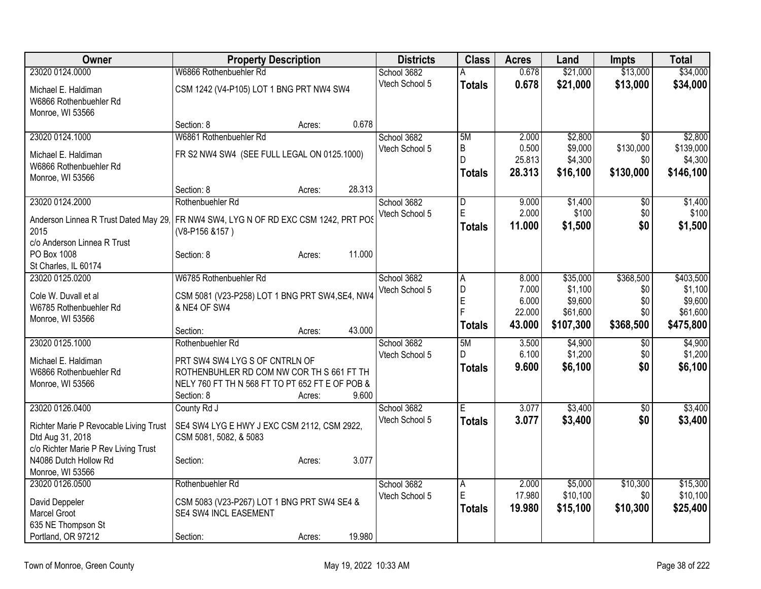| Owner                                                                               | <b>Property Description</b>                                                                  |        |        | <b>Districts</b> | <b>Class</b>          | <b>Acres</b>    | Land                | <b>Impts</b>     | <b>Total</b>         |
|-------------------------------------------------------------------------------------|----------------------------------------------------------------------------------------------|--------|--------|------------------|-----------------------|-----------------|---------------------|------------------|----------------------|
| 23020 0124.0000                                                                     | W6866 Rothenbuehler Rd                                                                       |        |        | School 3682      | A                     | 0.678           | \$21,000            | \$13,000         | \$34,000             |
| Michael E. Haldiman                                                                 | CSM 1242 (V4-P105) LOT 1 BNG PRT NW4 SW4                                                     |        |        | Vtech School 5   | <b>Totals</b>         | 0.678           | \$21,000            | \$13,000         | \$34,000             |
| W6866 Rothenbuehler Rd                                                              |                                                                                              |        |        |                  |                       |                 |                     |                  |                      |
| Monroe, WI 53566                                                                    |                                                                                              |        |        |                  |                       |                 |                     |                  |                      |
|                                                                                     | Section: 8                                                                                   | Acres: | 0.678  |                  |                       |                 |                     |                  |                      |
| 23020 0124.1000                                                                     | W6861 Rothenbuehler Rd                                                                       |        |        | School 3682      | 5M                    | 2.000           | \$2,800             | \$0              | \$2,800              |
| Michael E. Haldiman                                                                 | FR S2 NW4 SW4 (SEE FULL LEGAL ON 0125.1000)                                                  |        |        | Vtech School 5   | $\sf B$<br>D          | 0.500<br>25.813 | \$9,000             | \$130,000<br>\$0 | \$139,000            |
| W6866 Rothenbuehler Rd                                                              |                                                                                              |        |        |                  |                       | 28.313          | \$4,300<br>\$16,100 | \$130,000        | \$4,300<br>\$146,100 |
| Monroe, WI 53566                                                                    |                                                                                              |        |        |                  | Totals                |                 |                     |                  |                      |
|                                                                                     | Section: 8                                                                                   | Acres: | 28.313 |                  |                       |                 |                     |                  |                      |
| 23020 0124.2000                                                                     | Rothenbuehler Rd                                                                             |        |        | School 3682      | ID.<br>$\overline{E}$ | 9.000           | \$1,400             | \$0              | \$1,400              |
| Anderson Linnea R Trust Dated May 29. FR NW4 SW4, LYG N OF RD EXC CSM 1242, PRT POS |                                                                                              |        |        | Vtech School 5   |                       | 2.000<br>11.000 | \$100               | \$0<br>\$0       | \$100                |
| 2015                                                                                | (V8-P156 &157)                                                                               |        |        |                  | <b>Totals</b>         |                 | \$1,500             |                  | \$1,500              |
| c/o Anderson Linnea R Trust                                                         |                                                                                              |        |        |                  |                       |                 |                     |                  |                      |
| PO Box 1008                                                                         | Section: 8                                                                                   | Acres: | 11.000 |                  |                       |                 |                     |                  |                      |
| St Charles, IL 60174<br>23020 0125.0200                                             | W6785 Rothenbuehler Rd                                                                       |        |        | School 3682      | A                     | 8.000           | \$35,000            | \$368,500        | \$403,500            |
|                                                                                     |                                                                                              |        |        | Vtech School 5   | D                     | 7.000           | \$1,100             | \$0              | \$1,100              |
| Cole W. Duvall et al                                                                | CSM 5081 (V23-P258) LOT 1 BNG PRT SW4, SE4, NW4                                              |        |        |                  | E                     | 6.000           | \$9,600             | \$0              | \$9,600              |
| W6785 Rothenbuehler Rd                                                              | & NE4 OF SW4                                                                                 |        |        |                  | F                     | 22.000          | \$61,600            | \$0              | \$61,600             |
| Monroe, WI 53566                                                                    | Section:                                                                                     | Acres: | 43.000 |                  | <b>Totals</b>         | 43.000          | \$107,300           | \$368,500        | \$475,800            |
| 23020 0125.1000                                                                     | Rothenbuehler Rd                                                                             |        |        | School 3682      | 5M                    | 3.500           | \$4,900             | \$0              | \$4,900              |
|                                                                                     |                                                                                              |        |        | Vtech School 5   | D                     | 6.100           | \$1,200             | \$0              | \$1,200              |
| Michael E. Haldiman                                                                 | PRT SW4 SW4 LYG S OF CNTRLN OF                                                               |        |        |                  | <b>Totals</b>         | 9.600           | \$6,100             | \$0              | \$6,100              |
| W6866 Rothenbuehler Rd<br>Monroe, WI 53566                                          | ROTHENBUHLER RD COM NW COR TH S 661 FT TH<br>NELY 760 FT TH N 568 FT TO PT 652 FT E OF POB & |        |        |                  |                       |                 |                     |                  |                      |
|                                                                                     | Section: 8                                                                                   | Acres: | 9.600  |                  |                       |                 |                     |                  |                      |
| 23020 0126.0400                                                                     | County Rd J                                                                                  |        |        | School 3682      | IE.                   | 3.077           | \$3,400             | $\overline{50}$  | \$3,400              |
|                                                                                     |                                                                                              |        |        | Vtech School 5   | <b>Totals</b>         | 3.077           | \$3,400             | \$0              | \$3,400              |
| Richter Marie P Revocable Living Trust<br>Dtd Aug 31, 2018                          | SE4 SW4 LYG E HWY J EXC CSM 2112, CSM 2922,<br>CSM 5081, 5082, & 5083                        |        |        |                  |                       |                 |                     |                  |                      |
| c/o Richter Marie P Rev Living Trust                                                |                                                                                              |        |        |                  |                       |                 |                     |                  |                      |
| N4086 Dutch Hollow Rd                                                               | Section:                                                                                     | Acres: | 3.077  |                  |                       |                 |                     |                  |                      |
| Monroe, WI 53566                                                                    |                                                                                              |        |        |                  |                       |                 |                     |                  |                      |
| 23020 0126.0500                                                                     | Rothenbuehler Rd                                                                             |        |        | School 3682      | A                     | 2.000           | \$5,000             | \$10,300         | \$15,300             |
| David Deppeler                                                                      | CSM 5083 (V23-P267) LOT 1 BNG PRT SW4 SE4 &                                                  |        |        | Vtech School 5   | E                     | 17.980          | \$10,100            | \$0              | \$10,100             |
| Marcel Groot                                                                        | SE4 SW4 INCL EASEMENT                                                                        |        |        |                  | <b>Totals</b>         | 19.980          | \$15,100            | \$10,300         | \$25,400             |
| 635 NE Thompson St                                                                  |                                                                                              |        |        |                  |                       |                 |                     |                  |                      |
| Portland, OR 97212                                                                  | Section:                                                                                     | Acres: | 19.980 |                  |                       |                 |                     |                  |                      |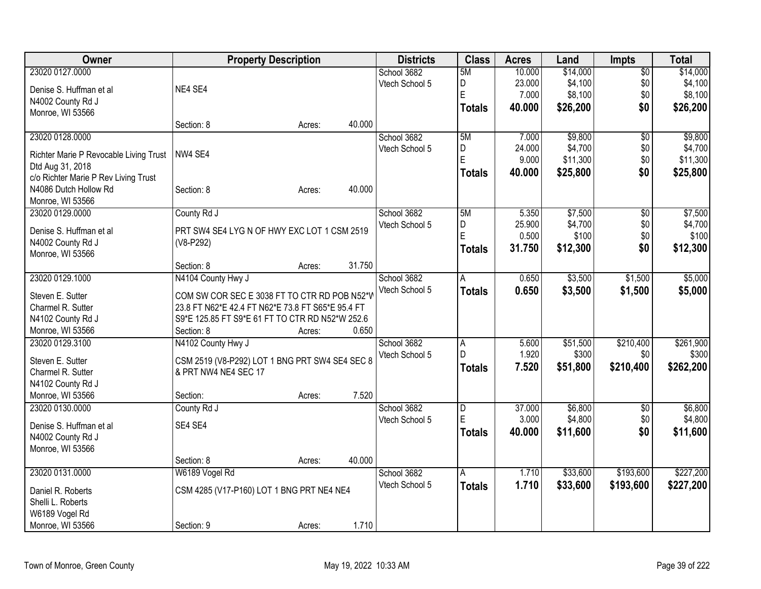| <b>Owner</b>                           | <b>Property Description</b>                       |        | <b>Districts</b> | <b>Class</b>   | <b>Acres</b> | Land     | <b>Impts</b>    | <b>Total</b> |
|----------------------------------------|---------------------------------------------------|--------|------------------|----------------|--------------|----------|-----------------|--------------|
| 23020 0127.0000                        |                                                   |        | School 3682      | 5M             | 10.000       | \$14,000 | $\overline{50}$ | \$14,000     |
| Denise S. Huffman et al                | NE4 SE4                                           |        | Vtech School 5   | D              | 23.000       | \$4,100  | \$0             | \$4,100      |
| N4002 County Rd J                      |                                                   |        |                  | E              | 7.000        | \$8,100  | \$0             | \$8,100      |
| Monroe, WI 53566                       |                                                   |        |                  | <b>Totals</b>  | 40.000       | \$26,200 | \$0             | \$26,200     |
|                                        | Section: 8<br>Acres:                              | 40.000 |                  |                |              |          |                 |              |
| 23020 0128.0000                        |                                                   |        | School 3682      | 5M             | 7.000        | \$9,800  | $\sqrt{6}$      | \$9,800      |
|                                        |                                                   |        | Vtech School 5   | D              | 24.000       | \$4,700  | \$0             | \$4,700      |
| Richter Marie P Revocable Living Trust | NW4 SE4                                           |        |                  | E              | 9.000        | \$11,300 | \$0             | \$11,300     |
| Dtd Aug 31, 2018                       |                                                   |        |                  | <b>Totals</b>  | 40.000       | \$25,800 | \$0             | \$25,800     |
| c/o Richter Marie P Rev Living Trust   |                                                   |        |                  |                |              |          |                 |              |
| N4086 Dutch Hollow Rd                  | Section: 8<br>Acres:                              | 40.000 |                  |                |              |          |                 |              |
| Monroe, WI 53566                       |                                                   |        |                  |                |              |          |                 |              |
| 23020 0129.0000                        | County Rd J                                       |        | School 3682      | 5M             | 5.350        | \$7,500  | $\overline{50}$ | \$7,500      |
| Denise S. Huffman et al                | PRT SW4 SE4 LYG N OF HWY EXC LOT 1 CSM 2519       |        | Vtech School 5   | D              | 25.900       | \$4,700  | \$0             | \$4,700      |
| N4002 County Rd J                      | (V8-P292)                                         |        |                  | E              | 0.500        | \$100    | \$0             | \$100        |
| Monroe, WI 53566                       |                                                   |        |                  | Totals         | 31.750       | \$12,300 | \$0             | \$12,300     |
|                                        | Section: 8<br>Acres:                              | 31.750 |                  |                |              |          |                 |              |
| 23020 0129.1000                        | N4104 County Hwy J                                |        | School 3682      | A              | 0.650        | \$3,500  | \$1,500         | \$5,000      |
|                                        |                                                   |        | Vtech School 5   | <b>Totals</b>  | 0.650        | \$3,500  | \$1,500         | \$5,000      |
| Steven E. Sutter                       | COM SW COR SEC E 3038 FT TO CTR RD POB N52*V      |        |                  |                |              |          |                 |              |
| Charmel R. Sutter                      | 23.8 FT N62*E 42.4 FT N62*E 73.8 FT S65*E 95.4 FT |        |                  |                |              |          |                 |              |
| N4102 County Rd J                      | S9*E 125.85 FT S9*E 61 FT TO CTR RD N52*W 252.6   |        |                  |                |              |          |                 |              |
| Monroe, WI 53566                       | Section: 8<br>Acres:                              | 0.650  |                  |                |              |          |                 |              |
| 23020 0129.3100                        | N4102 County Hwy J                                |        | School 3682      | Α              | 5.600        | \$51,500 | \$210,400       | \$261,900    |
| Steven E. Sutter                       | CSM 2519 (V8-P292) LOT 1 BNG PRT SW4 SE4 SEC 8    |        | Vtech School 5   | D              | 1.920        | \$300    | \$0             | \$300        |
| Charmel R. Sutter                      | & PRT NW4 NE4 SEC 17                              |        |                  | <b>Totals</b>  | 7.520        | \$51,800 | \$210,400       | \$262,200    |
| N4102 County Rd J                      |                                                   |        |                  |                |              |          |                 |              |
| Monroe, WI 53566                       | Section:<br>Acres:                                | 7.520  |                  |                |              |          |                 |              |
| 23020 0130.0000                        | County Rd J                                       |        | School 3682      | $\overline{D}$ | 37.000       | \$6,800  | $\sqrt{6}$      | \$6,800      |
|                                        |                                                   |        | Vtech School 5   | E              | 3.000        | \$4,800  | \$0             | \$4,800      |
| Denise S. Huffman et al                | SE4 SE4                                           |        |                  | <b>Totals</b>  | 40.000       | \$11,600 | \$0             | \$11,600     |
| N4002 County Rd J                      |                                                   |        |                  |                |              |          |                 |              |
| Monroe, WI 53566                       |                                                   |        |                  |                |              |          |                 |              |
|                                        | Section: 8<br>Acres:                              | 40.000 |                  |                |              |          |                 |              |
| 23020 0131.0000                        | W6189 Vogel Rd                                    |        | School 3682      | $\overline{A}$ | 1.710        | \$33,600 | \$193,600       | \$227,200    |
| Daniel R. Roberts                      | CSM 4285 (V17-P160) LOT 1 BNG PRT NE4 NE4         |        | Vtech School 5   | <b>Totals</b>  | 1.710        | \$33,600 | \$193,600       | \$227,200    |
| Shelli L. Roberts                      |                                                   |        |                  |                |              |          |                 |              |
| W6189 Vogel Rd                         |                                                   |        |                  |                |              |          |                 |              |
| Monroe, WI 53566                       | Section: 9<br>Acres:                              | 1.710  |                  |                |              |          |                 |              |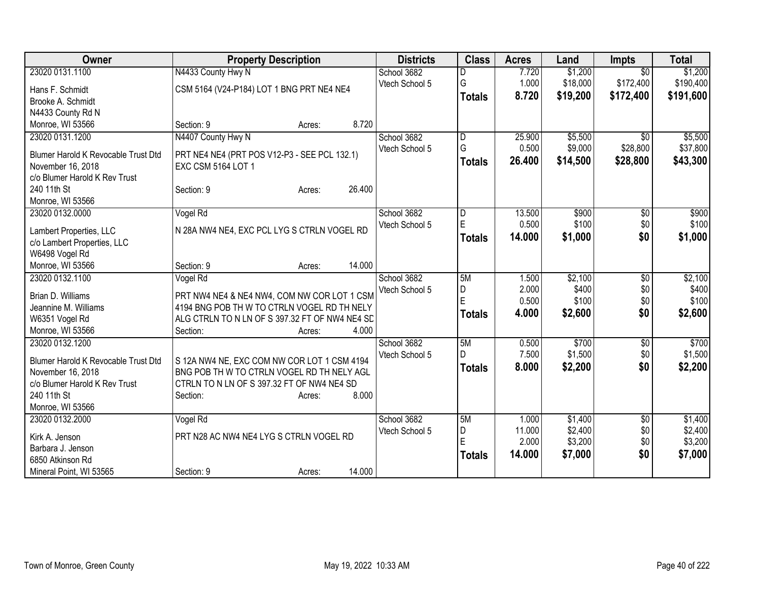| <b>Owner</b>                                       | <b>Property Description</b>                    | <b>Districts</b> | <b>Class</b>   | <b>Acres</b> | Land     | <b>Impts</b>    | <b>Total</b> |
|----------------------------------------------------|------------------------------------------------|------------------|----------------|--------------|----------|-----------------|--------------|
| 23020 0131.1100                                    | N4433 County Hwy N                             | School 3682      |                | 7.720        | \$1,200  | $\overline{50}$ | \$1,200      |
| Hans F. Schmidt                                    | CSM 5164 (V24-P184) LOT 1 BNG PRT NE4 NE4      | Vtech School 5   | G              | 1.000        | \$18,000 | \$172,400       | \$190,400    |
| Brooke A. Schmidt                                  |                                                |                  | <b>Totals</b>  | 8.720        | \$19,200 | \$172,400       | \$191,600    |
| N4433 County Rd N                                  |                                                |                  |                |              |          |                 |              |
| Monroe, WI 53566                                   | 8.720<br>Section: 9<br>Acres:                  |                  |                |              |          |                 |              |
| 23020 0131.1200                                    | N4407 County Hwy N                             | School 3682      | D              | 25.900       | \$5,500  | $\overline{50}$ | \$5,500      |
|                                                    |                                                | Vtech School 5   | G              | 0.500        | \$9,000  | \$28,800        | \$37,800     |
| Blumer Harold K Revocable Trust Dtd                | PRT NE4 NE4 (PRT POS V12-P3 - SEE PCL 132.1)   |                  | <b>Totals</b>  | 26.400       | \$14,500 | \$28,800        | \$43,300     |
| November 16, 2018<br>c/o Blumer Harold K Rev Trust | <b>EXC CSM 5164 LOT 1</b>                      |                  |                |              |          |                 |              |
| 240 11th St                                        | 26.400<br>Section: 9<br>Acres:                 |                  |                |              |          |                 |              |
| Monroe, WI 53566                                   |                                                |                  |                |              |          |                 |              |
| 23020 0132.0000                                    | Vogel Rd                                       | School 3682      | D              | 13.500       | \$900    | $\sqrt[6]{}$    | \$900        |
|                                                    |                                                | Vtech School 5   | E              | 0.500        | \$100    | \$0             | \$100        |
| Lambert Properties, LLC                            | N 28A NW4 NE4, EXC PCL LYG S CTRLN VOGEL RD    |                  | <b>Totals</b>  | 14.000       | \$1,000  | \$0             | \$1,000      |
| c/o Lambert Properties, LLC                        |                                                |                  |                |              |          |                 |              |
| W6498 Vogel Rd                                     |                                                |                  |                |              |          |                 |              |
| Monroe, WI 53566                                   | 14.000<br>Section: 9<br>Acres:                 |                  |                |              |          |                 |              |
| 23020 0132.1100                                    | Vogel Rd                                       | School 3682      | 5M             | 1.500        | \$2,100  | \$0             | \$2,100      |
| Brian D. Williams                                  | PRT NW4 NE4 & NE4 NW4, COM NW COR LOT 1 CSM    | Vtech School 5   | $\overline{D}$ | 2.000        | \$400    | \$0             | \$400        |
| Jeannine M. Williams                               | 4194 BNG POB TH W TO CTRLN VOGEL RD TH NELY    |                  | E              | 0.500        | \$100    | \$0             | \$100        |
| W6351 Vogel Rd                                     | ALG CTRLN TO N LN OF S 397.32 FT OF NW4 NE4 SD |                  | <b>Totals</b>  | 4.000        | \$2,600  | \$0             | \$2,600      |
| Monroe, WI 53566                                   | 4.000<br>Section:<br>Acres:                    |                  |                |              |          |                 |              |
| 23020 0132.1200                                    |                                                | School 3682      | 5M             | 0.500        | \$700    | \$0             | \$700        |
| Blumer Harold K Revocable Trust Dtd                | S 12A NW4 NE, EXC COM NW COR LOT 1 CSM 4194    | Vtech School 5   | D              | 7.500        | \$1,500  | \$0             | \$1,500      |
| November 16, 2018                                  | BNG POB TH W TO CTRLN VOGEL RD TH NELY AGL     |                  | <b>Totals</b>  | 8.000        | \$2,200  | \$0             | \$2,200      |
| c/o Blumer Harold K Rev Trust                      | CTRLN TO N LN OF S 397.32 FT OF NW4 NE4 SD     |                  |                |              |          |                 |              |
| 240 11th St                                        | 8.000<br>Section:<br>Acres:                    |                  |                |              |          |                 |              |
| Monroe, WI 53566                                   |                                                |                  |                |              |          |                 |              |
| 23020 0132.2000                                    | Vogel Rd                                       | School 3682      | 5M             | 1.000        | \$1,400  | \$0             | \$1,400      |
|                                                    |                                                | Vtech School 5   | D              | 11.000       | \$2,400  | \$0             | \$2,400      |
| Kirk A. Jenson                                     | PRT N28 AC NW4 NE4 LYG S CTRLN VOGEL RD        |                  | E              | 2.000        | \$3,200  | \$0             | \$3,200      |
| Barbara J. Jenson                                  |                                                |                  | <b>Totals</b>  | 14.000       | \$7,000  | \$0             | \$7,000      |
| 6850 Atkinson Rd                                   | 14.000                                         |                  |                |              |          |                 |              |
| Mineral Point, WI 53565                            | Section: 9<br>Acres:                           |                  |                |              |          |                 |              |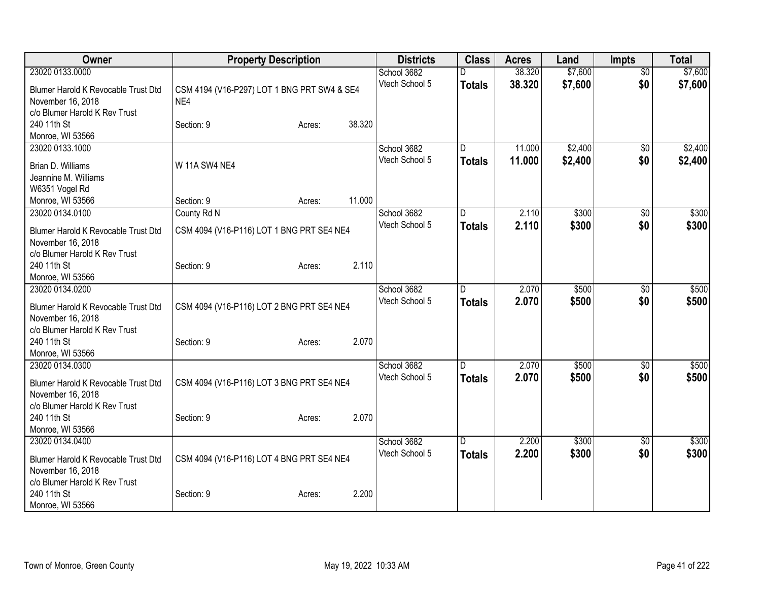| Owner                                                                                 |                                                    | <b>Property Description</b> |        | <b>Districts</b>              | <b>Class</b>        | <b>Acres</b>     | Land               | Impts                  | <b>Total</b>       |
|---------------------------------------------------------------------------------------|----------------------------------------------------|-----------------------------|--------|-------------------------------|---------------------|------------------|--------------------|------------------------|--------------------|
| 23020 0133.0000<br>Blumer Harold K Revocable Trust Dtd                                | CSM 4194 (V16-P297) LOT 1 BNG PRT SW4 & SE4<br>NE4 |                             |        | School 3682<br>Vtech School 5 | D<br><b>Totals</b>  | 38.320<br>38.320 | \$7,600<br>\$7,600 | $\overline{50}$<br>\$0 | \$7,600<br>\$7,600 |
| November 16, 2018<br>c/o Blumer Harold K Rev Trust<br>240 11th St                     | Section: 9                                         | Acres:                      | 38.320 |                               |                     |                  |                    |                        |                    |
| Monroe, WI 53566<br>23020 0133.1000                                                   |                                                    |                             |        | School 3682                   | D.                  | 11.000           | \$2,400            | $\overline{50}$        | \$2,400            |
| Brian D. Williams<br>Jeannine M. Williams<br>W6351 Vogel Rd                           | <b>W 11A SW4 NE4</b>                               |                             |        | Vtech School 5                | <b>Totals</b>       | 11.000           | \$2,400            | \$0                    | \$2,400            |
| Monroe, WI 53566                                                                      | Section: 9                                         | Acres:                      | 11.000 |                               |                     |                  |                    |                        |                    |
| 23020 0134.0100                                                                       | County Rd N                                        |                             |        | School 3682                   | D                   | 2.110            | \$300              | \$0                    | \$300              |
| Blumer Harold K Revocable Trust Dtd<br>November 16, 2018                              | CSM 4094 (V16-P116) LOT 1 BNG PRT SE4 NE4          |                             |        | Vtech School 5                | <b>Totals</b>       | 2.110            | \$300              | \$0                    | \$300              |
| c/o Blumer Harold K Rev Trust<br>240 11th St<br>Monroe, WI 53566                      | Section: 9                                         | Acres:                      | 2.110  |                               |                     |                  |                    |                        |                    |
| 23020 0134.0200<br>Blumer Harold K Revocable Trust Dtd                                | CSM 4094 (V16-P116) LOT 2 BNG PRT SE4 NE4          |                             |        | School 3682<br>Vtech School 5 | D.<br><b>Totals</b> | 2.070<br>2.070   | \$500<br>\$500     | $\overline{50}$<br>\$0 | \$500<br>\$500     |
| November 16, 2018<br>c/o Blumer Harold K Rev Trust<br>240 11th St<br>Monroe, WI 53566 | Section: 9                                         | Acres:                      | 2.070  |                               |                     |                  |                    |                        |                    |
| 23020 0134.0300<br>Blumer Harold K Revocable Trust Dtd<br>November 16, 2018           | CSM 4094 (V16-P116) LOT 3 BNG PRT SE4 NE4          |                             |        | School 3682<br>Vtech School 5 | D.<br><b>Totals</b> | 2.070<br>2.070   | \$500<br>\$500     | \$0<br>\$0             | \$500<br>\$500     |
| c/o Blumer Harold K Rev Trust<br>240 11th St<br>Monroe, WI 53566                      | Section: 9                                         | Acres:                      | 2.070  |                               |                     |                  |                    |                        |                    |
| 23020 0134.0400<br>Blumer Harold K Revocable Trust Dtd<br>November 16, 2018           | CSM 4094 (V16-P116) LOT 4 BNG PRT SE4 NE4          |                             |        | School 3682<br>Vtech School 5 | D<br><b>Totals</b>  | 2.200<br>2.200   | \$300<br>\$300     | \$0<br>\$0             | \$300<br>\$300     |
| c/o Blumer Harold K Rev Trust<br>240 11th St<br>Monroe, WI 53566                      | Section: 9                                         | Acres:                      | 2.200  |                               |                     |                  |                    |                        |                    |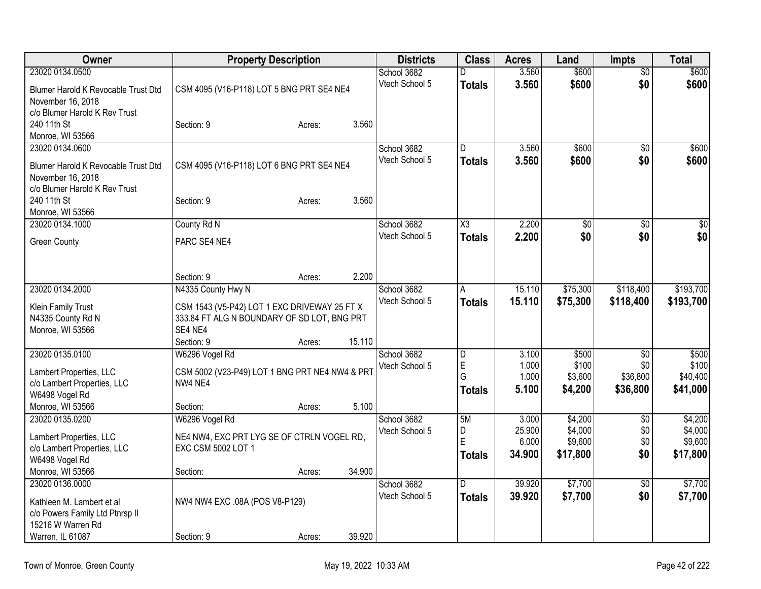| Owner                                                  | <b>Property Description</b>                                      |        |        | <b>Districts</b> | <b>Class</b>            | <b>Acres</b> | Land     | <b>Impts</b>    | <b>Total</b> |
|--------------------------------------------------------|------------------------------------------------------------------|--------|--------|------------------|-------------------------|--------------|----------|-----------------|--------------|
| 23020 0134.0500                                        |                                                                  |        |        | School 3682      | D                       | 3.560        | \$600    | $\overline{50}$ | \$600        |
| Blumer Harold K Revocable Trust Dtd                    | CSM 4095 (V16-P118) LOT 5 BNG PRT SE4 NE4                        |        |        | Vtech School 5   | <b>Totals</b>           | 3.560        | \$600    | \$0             | \$600        |
| November 16, 2018                                      |                                                                  |        |        |                  |                         |              |          |                 |              |
| c/o Blumer Harold K Rev Trust                          |                                                                  |        |        |                  |                         |              |          |                 |              |
| 240 11th St                                            | Section: 9                                                       | Acres: | 3.560  |                  |                         |              |          |                 |              |
| Monroe, WI 53566                                       |                                                                  |        |        |                  |                         |              |          |                 |              |
| 23020 0134.0600                                        |                                                                  |        |        | School 3682      | D.                      | 3.560        | \$600    | $\overline{50}$ | \$600        |
| Blumer Harold K Revocable Trust Dtd                    | CSM 4095 (V16-P118) LOT 6 BNG PRT SE4 NE4                        |        |        | Vtech School 5   | Totals                  | 3.560        | \$600    | \$0             | \$600        |
| November 16, 2018                                      |                                                                  |        |        |                  |                         |              |          |                 |              |
| c/o Blumer Harold K Rev Trust                          |                                                                  |        |        |                  |                         |              |          |                 |              |
| 240 11th St                                            | Section: 9                                                       | Acres: | 3.560  |                  |                         |              |          |                 |              |
| Monroe, WI 53566                                       |                                                                  |        |        |                  |                         |              |          |                 |              |
| 23020 0134.1000                                        | County Rd N                                                      |        |        | School 3682      | X <sub>3</sub>          | 2.200        | \$0      | \$0             | \$0          |
| <b>Green County</b>                                    | PARC SE4 NE4                                                     |        |        | Vtech School 5   | <b>Totals</b>           | 2.200        | \$0      | \$0             | \$0          |
|                                                        |                                                                  |        |        |                  |                         |              |          |                 |              |
|                                                        |                                                                  |        |        |                  |                         |              |          |                 |              |
|                                                        | Section: 9                                                       | Acres: | 2.200  |                  |                         |              |          |                 |              |
| 23020 0134.2000                                        | N4335 County Hwy N                                               |        |        | School 3682      | A                       | 15.110       | \$75,300 | \$118,400       | \$193,700    |
| Klein Family Trust                                     | CSM 1543 (V5-P42) LOT 1 EXC DRIVEWAY 25 FT X                     |        |        | Vtech School 5   | <b>Totals</b>           | 15.110       | \$75,300 | \$118,400       | \$193,700    |
| N4335 County Rd N                                      | 333.84 FT ALG N BOUNDARY OF SD LOT, BNG PRT                      |        |        |                  |                         |              |          |                 |              |
| Monroe, WI 53566                                       | SE4 NE4                                                          |        |        |                  |                         |              |          |                 |              |
|                                                        | Section: 9                                                       | Acres: | 15.110 |                  |                         |              |          |                 |              |
| 23020 0135.0100                                        | W6296 Vogel Rd                                                   |        |        | School 3682      | $\overline{\mathsf{D}}$ | 3.100        | \$500    | \$0             | \$500        |
| Lambert Properties, LLC                                | CSM 5002 (V23-P49) LOT 1 BNG PRT NE4 NW4 & PRT                   |        |        | Vtech School 5   | E                       | 1.000        | \$100    | \$0             | \$100        |
| c/o Lambert Properties, LLC                            | NW4 NE4                                                          |        |        |                  | G                       | 1.000        | \$3,600  | \$36,800        | \$40,400     |
| W6498 Vogel Rd                                         |                                                                  |        |        |                  | <b>Totals</b>           | 5.100        | \$4,200  | \$36,800        | \$41,000     |
| Monroe, WI 53566                                       | Section:                                                         | Acres: | 5.100  |                  |                         |              |          |                 |              |
| 23020 0135.0200                                        | W6296 Vogel Rd                                                   |        |        | School 3682      | 5M                      | 3.000        | \$4,200  | $\overline{50}$ | \$4,200      |
|                                                        |                                                                  |        |        | Vtech School 5   | D                       | 25.900       | \$4,000  | \$0             | \$4,000      |
| Lambert Properties, LLC<br>c/o Lambert Properties, LLC | NE4 NW4, EXC PRT LYG SE OF CTRLN VOGEL RD,<br>EXC CSM 5002 LOT 1 |        |        |                  | E                       | 6.000        | \$9,600  | \$0             | \$9,600      |
| W6498 Vogel Rd                                         |                                                                  |        |        |                  | <b>Totals</b>           | 34.900       | \$17,800 | \$0             | \$17,800     |
| Monroe, WI 53566                                       | Section:                                                         | Acres: | 34.900 |                  |                         |              |          |                 |              |
| 23020 0136.0000                                        |                                                                  |        |        | School 3682      | D.                      | 39.920       | \$7,700  | $\overline{50}$ | \$7,700      |
|                                                        |                                                                  |        |        | Vtech School 5   | Totals                  | 39.920       | \$7,700  | \$0             | \$7,700      |
| Kathleen M. Lambert et al                              | NW4 NW4 EXC .08A (POS V8-P129)                                   |        |        |                  |                         |              |          |                 |              |
| c/o Powers Family Ltd Ptnrsp II<br>15216 W Warren Rd   |                                                                  |        |        |                  |                         |              |          |                 |              |
| Warren, IL 61087                                       | Section: 9                                                       | Acres: | 39.920 |                  |                         |              |          |                 |              |
|                                                        |                                                                  |        |        |                  |                         |              |          |                 |              |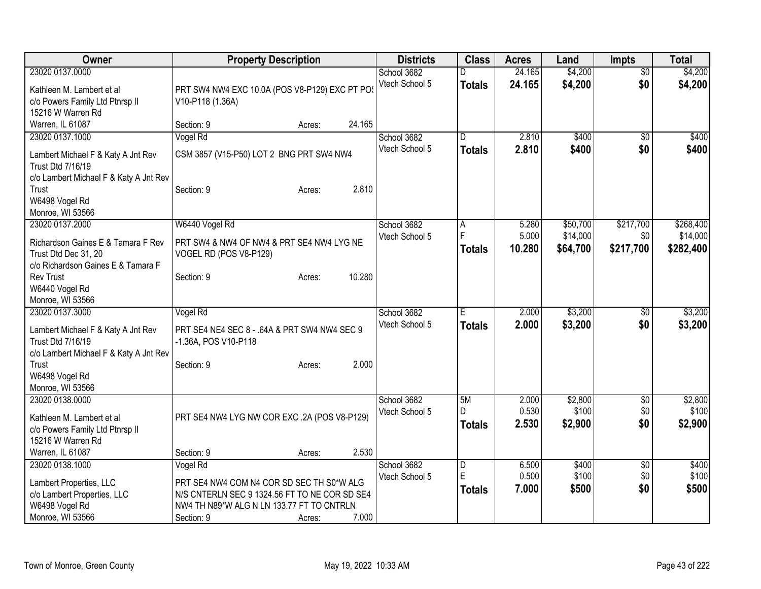| Owner                                                                                                                                   | <b>Property Description</b>                                                                                                                                       |        |                                         | <b>Districts</b> | <b>Class</b>             | <b>Acres</b>             | Land                             | <b>Impts</b>                  | <b>Total</b>                       |
|-----------------------------------------------------------------------------------------------------------------------------------------|-------------------------------------------------------------------------------------------------------------------------------------------------------------------|--------|-----------------------------------------|------------------|--------------------------|--------------------------|----------------------------------|-------------------------------|------------------------------------|
| 23020 0137,0000<br>Kathleen M. Lambert et al<br>c/o Powers Family Ltd Ptnrsp II<br>15216 W Warren Rd                                    | PRT SW4 NW4 EXC 10.0A (POS V8-P129) EXC PT PO:<br>V10-P118 (1.36A)                                                                                                |        | School 3682<br>Vtech School 5           |                  | D<br><b>Totals</b>       | 24.165<br>24.165         | \$4,200<br>\$4,200               | $\overline{50}$<br>\$0        | \$4,200<br>\$4,200                 |
| Warren, IL 61087                                                                                                                        | Section: 9                                                                                                                                                        | Acres: | 24.165                                  |                  |                          |                          |                                  |                               |                                    |
| 23020 0137.1000<br>Lambert Michael F & Katy A Jnt Rev<br>Trust Dtd 7/16/19<br>c/o Lambert Michael F & Katy A Jnt Rev                    | Vogel Rd<br>CSM 3857 (V15-P50) LOT 2 BNG PRT SW4 NW4                                                                                                              |        | School 3682<br>Vtech School 5           |                  | D.<br><b>Totals</b>      | 2.810<br>2.810           | \$400<br>\$400                   | \$0<br>\$0                    | \$400<br>\$400                     |
| Trust<br>W6498 Vogel Rd<br>Monroe, WI 53566                                                                                             | Section: 9                                                                                                                                                        | Acres: | 2.810                                   |                  |                          |                          |                                  |                               |                                    |
| 23020 0137.2000<br>Richardson Gaines E & Tamara F Rev<br>Trust Dtd Dec 31, 20<br>c/o Richardson Gaines E & Tamara F<br><b>Rev Trust</b> | W6440 Vogel Rd<br>PRT SW4 & NW4 OF NW4 & PRT SE4 NW4 LYG NE<br>VOGEL RD (POS V8-P129)<br>Section: 9                                                               | Acres: | School 3682<br>Vtech School 5<br>10.280 |                  | А<br>F<br><b>Totals</b>  | 5.280<br>5.000<br>10.280 | \$50,700<br>\$14,000<br>\$64,700 | \$217,700<br>\$0<br>\$217,700 | \$268,400<br>\$14,000<br>\$282,400 |
| W6440 Vogel Rd<br>Monroe, WI 53566                                                                                                      |                                                                                                                                                                   |        |                                         |                  |                          |                          |                                  |                               |                                    |
| 23020 0137.3000<br>Lambert Michael F & Katy A Jnt Rev<br><b>Trust Dtd 7/16/19</b><br>c/o Lambert Michael F & Katy A Jnt Rev             | Vogel Rd<br>PRT SE4 NE4 SEC 8 - .64A & PRT SW4 NW4 SEC 9<br>-1.36A, POS V10-P118                                                                                  |        | School 3682<br>Vtech School 5           |                  | E<br><b>Totals</b>       | 2.000<br>2.000           | \$3,200<br>\$3,200               | $\sqrt{6}$<br>\$0             | \$3,200<br>\$3,200                 |
| Trust<br>W6498 Vogel Rd<br>Monroe, WI 53566                                                                                             | Section: 9                                                                                                                                                        | Acres: | 2.000                                   |                  |                          |                          |                                  |                               |                                    |
| 23020 0138.0000<br>Kathleen M. Lambert et al.<br>c/o Powers Family Ltd Ptnrsp II<br>15216 W Warren Rd                                   | PRT SE4 NW4 LYG NW COR EXC .2A (POS V8-P129)                                                                                                                      |        | School 3682<br>Vtech School 5           |                  | 5M<br>D<br><b>Totals</b> | 2.000<br>0.530<br>2.530  | \$2,800<br>\$100<br>\$2,900      | \$0<br>\$0<br>\$0             | \$2,800<br>\$100<br>\$2,900        |
| Warren, IL 61087                                                                                                                        | Section: 9                                                                                                                                                        | Acres: | 2.530                                   |                  |                          |                          |                                  |                               |                                    |
| 23020 0138.1000<br>Lambert Properties, LLC<br>c/o Lambert Properties, LLC<br>W6498 Vogel Rd<br>Monroe, WI 53566                         | Vogel Rd<br>PRT SE4 NW4 COM N4 COR SD SEC TH S0*W ALG<br>N/S CNTERLN SEC 9 1324.56 FT TO NE COR SD SE4<br>NW4 TH N89*W ALG N LN 133.77 FT TO CNTRLN<br>Section: 9 | Acres: | School 3682<br>Vtech School 5<br>7.000  |                  | D<br>E<br><b>Totals</b>  | 6.500<br>0.500<br>7.000  | \$400<br>\$100<br>\$500          | $\sqrt[6]{3}$<br>\$0<br>\$0   | \$400<br>\$100<br>\$500            |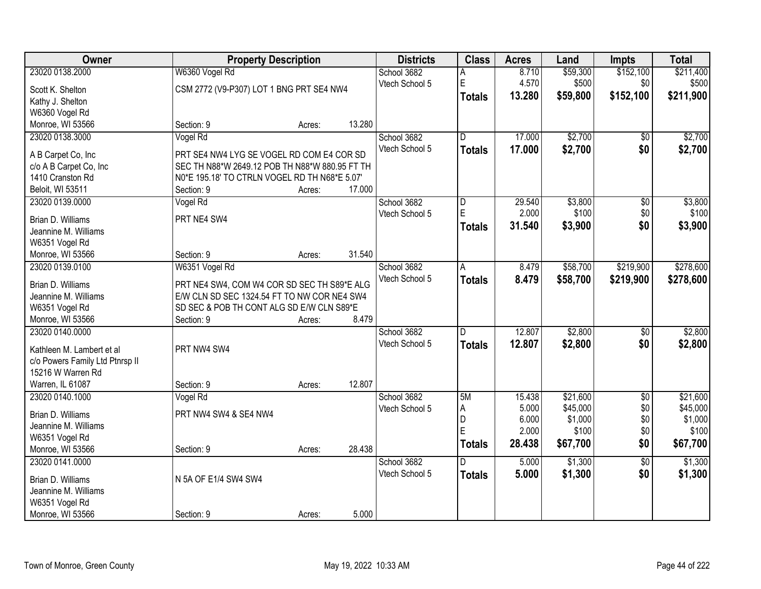| Owner                           |                                                | <b>Property Description</b> |        | <b>Districts</b> | <b>Class</b>            | <b>Acres</b>    | Land     | <b>Impts</b>    | <b>Total</b>         |
|---------------------------------|------------------------------------------------|-----------------------------|--------|------------------|-------------------------|-----------------|----------|-----------------|----------------------|
| 23020 0138.2000                 | W6360 Vogel Rd                                 |                             |        | School 3682      | А                       | 8.710           | \$59,300 | \$152,100       | \$211,400            |
| Scott K. Shelton                | CSM 2772 (V9-P307) LOT 1 BNG PRT SE4 NW4       |                             |        | Vtech School 5   | E                       | 4.570           | \$500    | \$0             | \$500                |
| Kathy J. Shelton                |                                                |                             |        |                  | <b>Totals</b>           | 13.280          | \$59,800 | \$152,100       | \$211,900            |
| W6360 Vogel Rd                  |                                                |                             |        |                  |                         |                 |          |                 |                      |
| Monroe, WI 53566                | Section: 9                                     | Acres:                      | 13.280 |                  |                         |                 |          |                 |                      |
| 23020 0138.3000                 | Vogel Rd                                       |                             |        | School 3682      | $\overline{\mathsf{D}}$ | 17.000          | \$2,700  | \$0             | \$2,700              |
|                                 |                                                |                             |        | Vtech School 5   | <b>Totals</b>           | 17.000          | \$2,700  | \$0             | \$2,700              |
| A B Carpet Co, Inc              | PRT SE4 NW4 LYG SE VOGEL RD COM E4 COR SD      |                             |        |                  |                         |                 |          |                 |                      |
| c/o A B Carpet Co, Inc          | SEC TH N88*W 2649.12 POB TH N88*W 880.95 FT TH |                             |        |                  |                         |                 |          |                 |                      |
| 1410 Cranston Rd                | N0*E 195.18' TO CTRLN VOGEL RD TH N68*E 5.07'  |                             |        |                  |                         |                 |          |                 |                      |
| Beloit, WI 53511                | Section: 9                                     | Acres:                      | 17.000 |                  |                         |                 |          |                 |                      |
| 23020 0139.0000                 | Vogel Rd                                       |                             |        | School 3682      | D                       | 29.540          | \$3,800  | \$0             | \$3,800              |
| Brian D. Williams               | PRT NE4 SW4                                    |                             |        | Vtech School 5   | E.                      | 2.000           | \$100    | \$0             | \$100                |
| Jeannine M. Williams            |                                                |                             |        |                  | <b>Totals</b>           | 31.540          | \$3,900  | \$0             | \$3,900              |
| W6351 Vogel Rd                  |                                                |                             |        |                  |                         |                 |          |                 |                      |
| Monroe, WI 53566                | Section: 9                                     | Acres:                      | 31.540 |                  |                         |                 |          |                 |                      |
| 23020 0139.0100                 | W6351 Vogel Rd                                 |                             |        | School 3682      | A                       | 8.479           | \$58,700 | \$219,900       | \$278,600            |
|                                 |                                                |                             |        | Vtech School 5   |                         | 8.479           |          |                 |                      |
| Brian D. Williams               | PRT NE4 SW4, COM W4 COR SD SEC TH S89*E ALG    |                             |        |                  | <b>Totals</b>           |                 | \$58,700 | \$219,900       | \$278,600            |
| Jeannine M. Williams            | E/W CLN SD SEC 1324.54 FT TO NW COR NE4 SW4    |                             |        |                  |                         |                 |          |                 |                      |
| W6351 Vogel Rd                  | SD SEC & POB TH CONT ALG SD E/W CLN S89*E      |                             |        |                  |                         |                 |          |                 |                      |
| Monroe, WI 53566                | Section: 9                                     | Acres:                      | 8.479  |                  |                         |                 |          |                 |                      |
| 23020 0140.0000                 |                                                |                             |        | School 3682      | D                       | 12.807          | \$2,800  | $\overline{50}$ | \$2,800              |
| Kathleen M. Lambert et al       | PRT NW4 SW4                                    |                             |        | Vtech School 5   | <b>Totals</b>           | 12.807          | \$2,800  | \$0             | \$2,800              |
| c/o Powers Family Ltd Ptnrsp II |                                                |                             |        |                  |                         |                 |          |                 |                      |
| 15216 W Warren Rd               |                                                |                             |        |                  |                         |                 |          |                 |                      |
| Warren, IL 61087                | Section: 9                                     |                             | 12.807 |                  |                         |                 |          |                 |                      |
| 23020 0140.1000                 |                                                | Acres:                      |        |                  | 5M                      |                 | \$21,600 | $\overline{50}$ |                      |
|                                 | Vogel Rd                                       |                             |        | School 3682      |                         | 15.438<br>5.000 | \$45,000 |                 | \$21,600<br>\$45,000 |
| Brian D. Williams               | PRT NW4 SW4 & SE4 NW4                          |                             |        | Vtech School 5   | А<br>D                  | 6.000           | \$1,000  | \$0<br>\$0      | \$1,000              |
| Jeannine M. Williams            |                                                |                             |        |                  | Ē                       | 2.000           | \$100    | \$0             | \$100                |
| W6351 Vogel Rd                  |                                                |                             |        |                  |                         |                 |          |                 |                      |
| Monroe, WI 53566                | Section: 9                                     | Acres:                      | 28.438 |                  | <b>Totals</b>           | 28.438          | \$67,700 | \$0             | \$67,700             |
| 23020 0141.0000                 |                                                |                             |        | School 3682      | D.                      | 5.000           | \$1,300  | $\overline{50}$ | \$1,300              |
|                                 | N 5A OF E1/4 SW4 SW4                           |                             |        | Vtech School 5   | <b>Totals</b>           | 5.000           | \$1,300  | \$0             | \$1,300              |
| Brian D. Williams               |                                                |                             |        |                  |                         |                 |          |                 |                      |
| Jeannine M. Williams            |                                                |                             |        |                  |                         |                 |          |                 |                      |
| W6351 Vogel Rd                  |                                                |                             |        |                  |                         |                 |          |                 |                      |
| Monroe, WI 53566                | Section: 9                                     | Acres:                      | 5.000  |                  |                         |                 |          |                 |                      |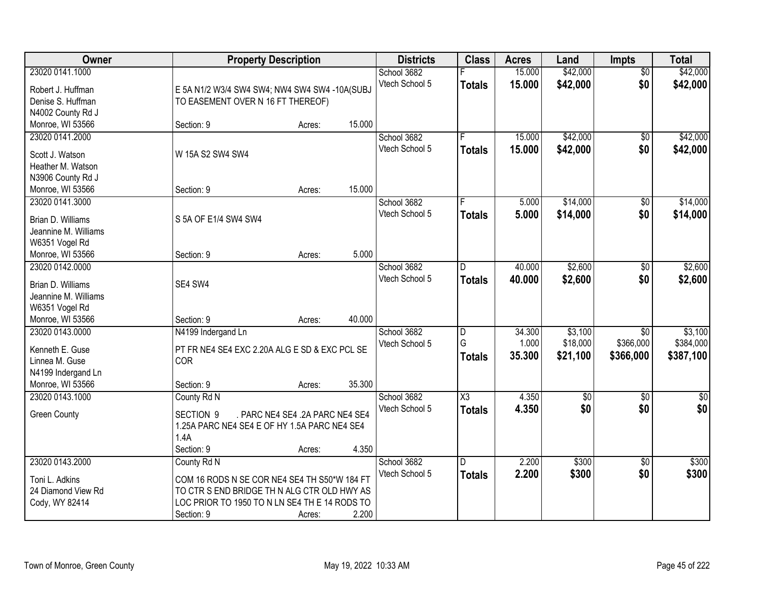| Owner                | <b>Property Description</b>                   |                                 | <b>Districts</b>              | <b>Class</b>   | <b>Acres</b>     | Land                 | <b>Impts</b>           | <b>Total</b>         |
|----------------------|-----------------------------------------------|---------------------------------|-------------------------------|----------------|------------------|----------------------|------------------------|----------------------|
| 23020 0141.1000      |                                               |                                 | School 3682<br>Vtech School 5 | <b>Totals</b>  | 15.000<br>15.000 | \$42,000<br>\$42,000 | $\overline{50}$<br>\$0 | \$42,000<br>\$42,000 |
| Robert J. Huffman    | E 5A N1/2 W3/4 SW4 SW4; NW4 SW4 SW4 -10A(SUBJ |                                 |                               |                |                  |                      |                        |                      |
| Denise S. Huffman    | TO EASEMENT OVER N 16 FT THEREOF)             |                                 |                               |                |                  |                      |                        |                      |
| N4002 County Rd J    |                                               |                                 |                               |                |                  |                      |                        |                      |
| Monroe, WI 53566     | Section: 9                                    | Acres:                          | 15.000                        |                |                  |                      |                        |                      |
| 23020 0141.2000      |                                               |                                 | School 3682<br>Vtech School 5 | F              | 15.000           | \$42,000             | \$0                    | \$42,000             |
| Scott J. Watson      | W 15A S2 SW4 SW4                              |                                 |                               | <b>Totals</b>  | 15.000           | \$42,000             | \$0                    | \$42,000             |
| Heather M. Watson    |                                               |                                 |                               |                |                  |                      |                        |                      |
| N3906 County Rd J    |                                               |                                 |                               |                |                  |                      |                        |                      |
| Monroe, WI 53566     | Section: 9                                    | Acres:                          | 15.000                        |                |                  |                      |                        |                      |
| 23020 0141.3000      |                                               |                                 | School 3682                   |                | 5.000            | \$14,000             | \$0                    | \$14,000             |
|                      | S 5A OF E1/4 SW4 SW4                          |                                 | Vtech School 5                | <b>Totals</b>  | 5.000            | \$14,000             | \$0                    | \$14,000             |
| Brian D. Williams    |                                               |                                 |                               |                |                  |                      |                        |                      |
| Jeannine M. Williams |                                               |                                 |                               |                |                  |                      |                        |                      |
| W6351 Vogel Rd       |                                               |                                 |                               |                |                  |                      |                        |                      |
| Monroe, WI 53566     | Section: 9                                    | Acres:                          | 5.000                         |                |                  |                      |                        |                      |
| 23020 0142.0000      |                                               |                                 | School 3682                   | D              | 40.000           | \$2,600              | \$0                    | \$2,600              |
| Brian D. Williams    | SE4 SW4                                       |                                 | Vtech School 5                | <b>Totals</b>  | 40.000           | \$2,600              | \$0                    | \$2,600              |
| Jeannine M. Williams |                                               |                                 |                               |                |                  |                      |                        |                      |
| W6351 Vogel Rd       |                                               |                                 |                               |                |                  |                      |                        |                      |
| Monroe, WI 53566     | Section: 9                                    | 40.000<br>Acres:                |                               |                |                  |                      |                        |                      |
| 23020 0143.0000      | N4199 Indergand Ln                            |                                 | School 3682                   | $\overline{D}$ | 34.300           | \$3,100              | $\overline{30}$        | \$3,100              |
|                      |                                               |                                 | Vtech School 5                | G              | 1.000            | \$18,000             | \$366,000              | \$384,000            |
| Kenneth E. Guse      | PT FR NE4 SE4 EXC 2.20A ALG E SD & EXC PCL SE |                                 |                               | <b>Totals</b>  | 35.300           | \$21,100             | \$366,000              | \$387,100            |
| Linnea M. Guse       | <b>COR</b>                                    |                                 |                               |                |                  |                      |                        |                      |
| N4199 Indergand Ln   |                                               |                                 |                               |                |                  |                      |                        |                      |
| Monroe, WI 53566     | Section: 9                                    | Acres:                          | 35.300                        |                |                  |                      |                        |                      |
| 23020 0143.1000      | County Rd N                                   |                                 | School 3682                   | X3             | 4.350            | $\sqrt{6}$           | $\overline{50}$        | \$0                  |
| <b>Green County</b>  | SECTION <sub>9</sub>                          | . PARC NE4 SE4 .2A PARC NE4 SE4 | Vtech School 5                | <b>Totals</b>  | 4.350            | \$0                  | \$0                    | \$0                  |
|                      | 1.25A PARC NE4 SE4 E OF HY 1.5A PARC NE4 SE4  |                                 |                               |                |                  |                      |                        |                      |
|                      | 1.4A                                          |                                 |                               |                |                  |                      |                        |                      |
|                      | Section: 9                                    | Acres:                          | 4.350                         |                |                  |                      |                        |                      |
| 23020 0143.2000      | County Rd N                                   |                                 | School 3682                   | ID.            | 2.200            | \$300                | $\overline{50}$        | \$300                |
| Toni L. Adkins       | COM 16 RODS N SE COR NE4 SE4 TH S50*W 184 FT  |                                 | Vtech School 5                | <b>Totals</b>  | 2.200            | \$300                | \$0                    | \$300                |
| 24 Diamond View Rd   | TO CTR S END BRIDGE TH N ALG CTR OLD HWY AS   |                                 |                               |                |                  |                      |                        |                      |
| Cody, WY 82414       | LOC PRIOR TO 1950 TO N LN SE4 TH E 14 RODS TO |                                 |                               |                |                  |                      |                        |                      |
|                      |                                               |                                 | 2.200                         |                |                  |                      |                        |                      |
|                      | Section: 9                                    | Acres:                          |                               |                |                  |                      |                        |                      |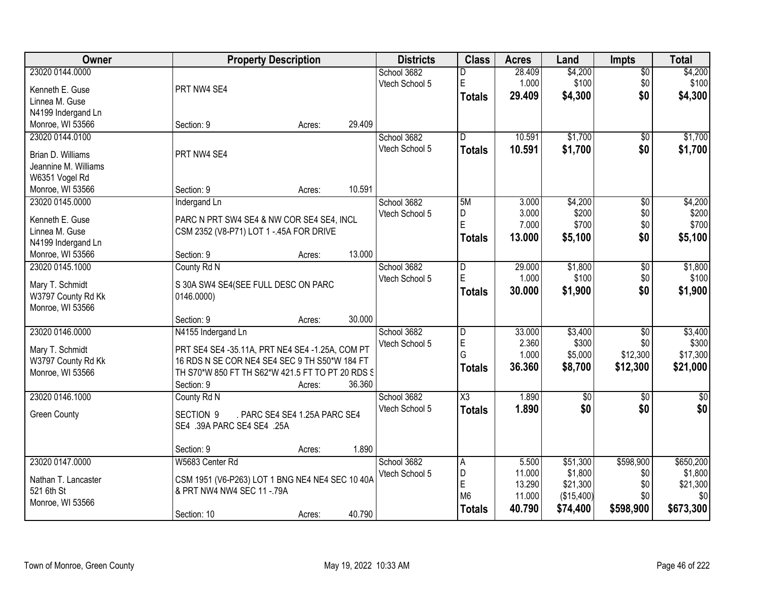| <b>Owner</b>         |                                                  | <b>Property Description</b>   |        | <b>Districts</b> | <b>Class</b>            | <b>Acres</b> | Land            | <b>Impts</b>    | <b>Total</b> |
|----------------------|--------------------------------------------------|-------------------------------|--------|------------------|-------------------------|--------------|-----------------|-----------------|--------------|
| 23020 0144.0000      |                                                  |                               |        | School 3682      | D                       | 28.409       | \$4,200         | \$0             | \$4,200      |
| Kenneth E. Guse      | PRT NW4 SE4                                      |                               |        | Vtech School 5   | $\mathsf E$             | 1.000        | \$100           | \$0             | \$100        |
| Linnea M. Guse       |                                                  |                               |        |                  | <b>Totals</b>           | 29.409       | \$4,300         | \$0             | \$4,300      |
| N4199 Indergand Ln   |                                                  |                               |        |                  |                         |              |                 |                 |              |
| Monroe, WI 53566     | Section: 9                                       | Acres:                        | 29.409 |                  |                         |              |                 |                 |              |
| 23020 0144.0100      |                                                  |                               |        | School 3682      | $\overline{\mathsf{n}}$ | 10.591       | \$1,700         | \$0             | \$1,700      |
| Brian D. Williams    | PRT NW4 SE4                                      |                               |        | Vtech School 5   | <b>Totals</b>           | 10.591       | \$1,700         | \$0             | \$1,700      |
| Jeannine M. Williams |                                                  |                               |        |                  |                         |              |                 |                 |              |
| W6351 Vogel Rd       |                                                  |                               |        |                  |                         |              |                 |                 |              |
| Monroe, WI 53566     | Section: 9                                       | Acres:                        | 10.591 |                  |                         |              |                 |                 |              |
| 23020 0145.0000      | Indergand Ln                                     |                               |        | School 3682      | 5M                      | 3.000        | \$4,200         | \$0             | \$4,200      |
|                      |                                                  |                               |        | Vtech School 5   | D                       | 3.000        | \$200           | \$0             | \$200        |
| Kenneth E. Guse      | PARC N PRT SW4 SE4 & NW COR SE4 SE4, INCL        |                               |        |                  | E                       | 7.000        | \$700           | \$0             | \$700        |
| Linnea M. Guse       | CSM 2352 (V8-P71) LOT 1 -.45A FOR DRIVE          |                               |        |                  | <b>Totals</b>           | 13.000       | \$5,100         | \$0             | \$5,100      |
| N4199 Indergand Ln   |                                                  |                               |        |                  |                         |              |                 |                 |              |
| Monroe, WI 53566     | Section: 9                                       | Acres:                        | 13.000 |                  |                         |              |                 |                 |              |
| 23020 0145.1000      | County Rd N                                      |                               |        | School 3682      | D                       | 29.000       | \$1,800         | \$0             | \$1,800      |
| Mary T. Schmidt      | S 30A SW4 SE4(SEE FULL DESC ON PARC              |                               |        | Vtech School 5   | E                       | 1.000        | \$100           | \$0             | \$100        |
| W3797 County Rd Kk   | 0146.0000)                                       |                               |        |                  | <b>Totals</b>           | 30.000       | \$1,900         | \$0             | \$1,900      |
| Monroe, WI 53566     |                                                  |                               |        |                  |                         |              |                 |                 |              |
|                      | Section: 9                                       | Acres:                        | 30.000 |                  |                         |              |                 |                 |              |
| 23020 0146.0000      | N4155 Indergand Ln                               |                               |        | School 3682      | $\overline{\mathsf{D}}$ | 33.000       | \$3,400         | $\overline{50}$ | \$3,400      |
|                      |                                                  |                               |        | Vtech School 5   | $\overline{E}$          | 2.360        | \$300           | \$0             | \$300        |
| Mary T. Schmidt      | PRT SE4 SE4 -35.11A, PRT NE4 SE4 -1.25A, COM PT  |                               |        |                  | G                       | 1.000        | \$5,000         | \$12,300        | \$17,300     |
| W3797 County Rd Kk   | 16 RDS N SE COR NE4 SE4 SEC 9 TH S50*W 184 FT    |                               |        |                  | <b>Totals</b>           | 36.360       | \$8,700         | \$12,300        | \$21,000     |
| Monroe, WI 53566     | TH S70*W 850 FT TH S62*W 421.5 FT TO PT 20 RDS S |                               |        |                  |                         |              |                 |                 |              |
|                      | Section: 9                                       | Acres:                        | 36.360 |                  |                         |              |                 |                 |              |
| 23020 0146.1000      | County Rd N                                      |                               |        | School 3682      | $\overline{\text{X3}}$  | 1.890        | $\overline{50}$ | $\overline{50}$ | \$0          |
| <b>Green County</b>  | SECTION 9                                        | . PARC SE4 SE4 1.25A PARC SE4 |        | Vtech School 5   | <b>Totals</b>           | 1.890        | \$0             | \$0             | \$0          |
|                      | SE4 .39A PARC SE4 SE4 .25A                       |                               |        |                  |                         |              |                 |                 |              |
|                      |                                                  |                               |        |                  |                         |              |                 |                 |              |
|                      | Section: 9                                       | Acres:                        | 1.890  |                  |                         |              |                 |                 |              |
| 23020 0147.0000      | W5683 Center Rd                                  |                               |        | School 3682      | A                       | 5.500        | \$51,300        | \$598,900       | \$650,200    |
| Nathan T. Lancaster  | CSM 1951 (V6-P263) LOT 1 BNG NE4 NE4 SEC 10 40A  |                               |        | Vtech School 5   | D                       | 11.000       | \$1,800         | \$0             | \$1,800      |
| 521 6th St           | & PRT NW4 NW4 SEC 11 -. 79A                      |                               |        |                  | E                       | 13.290       | \$21,300        | \$0             | \$21,300     |
| Monroe, WI 53566     |                                                  |                               |        |                  | M <sub>6</sub>          | 11.000       | (\$15,400)      | \$0             | \$0          |
|                      | Section: 10                                      | Acres:                        | 40.790 |                  | <b>Totals</b>           | 40.790       | \$74,400        | \$598,900       | \$673,300    |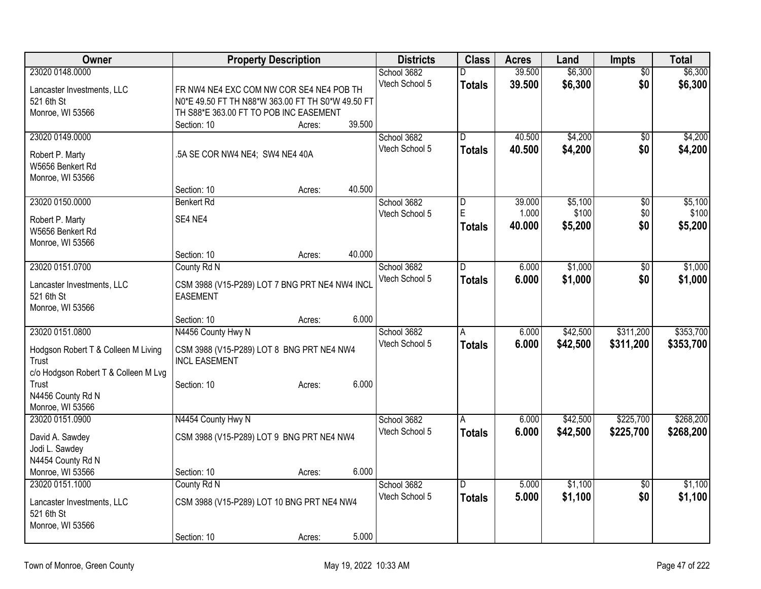| Owner                                         |                                                   | <b>Property Description</b> |        | <b>Districts</b> | <b>Class</b>  | <b>Acres</b> | Land     | <b>Impts</b>    | <b>Total</b> |
|-----------------------------------------------|---------------------------------------------------|-----------------------------|--------|------------------|---------------|--------------|----------|-----------------|--------------|
| 23020 0148.0000                               |                                                   |                             |        | School 3682      | D             | 39.500       | \$6,300  | $\overline{50}$ | \$6,300      |
| Lancaster Investments, LLC                    | FR NW4 NE4 EXC COM NW COR SE4 NE4 POB TH          |                             |        | Vtech School 5   | <b>Totals</b> | 39.500       | \$6,300  | \$0             | \$6,300      |
| 521 6th St                                    | N0*E 49.50 FT TH N88*W 363.00 FT TH S0*W 49.50 FT |                             |        |                  |               |              |          |                 |              |
| Monroe, WI 53566                              | TH S88*E 363.00 FT TO POB INC EASEMENT            |                             |        |                  |               |              |          |                 |              |
|                                               | Section: 10                                       | Acres:                      | 39.500 |                  |               |              |          |                 |              |
| 23020 0149.0000                               |                                                   |                             |        | School 3682      | D             | 40.500       | \$4,200  | \$0             | \$4,200      |
| Robert P. Marty                               | .5A SE COR NW4 NE4; SW4 NE4 40A                   |                             |        | Vtech School 5   | <b>Totals</b> | 40.500       | \$4,200  | \$0             | \$4,200      |
| W5656 Benkert Rd                              |                                                   |                             |        |                  |               |              |          |                 |              |
| Monroe, WI 53566                              |                                                   |                             |        |                  |               |              |          |                 |              |
|                                               | Section: 10                                       | Acres:                      | 40.500 |                  |               |              |          |                 |              |
| 23020 0150.0000                               | Benkert Rd                                        |                             |        | School 3682      | D             | 39.000       | \$5,100  | $\overline{50}$ | \$5,100      |
|                                               | SE4 NE4                                           |                             |        | Vtech School 5   | E             | 1.000        | \$100    | \$0             | \$100        |
| Robert P. Marty<br>W5656 Benkert Rd           |                                                   |                             |        |                  | <b>Totals</b> | 40.000       | \$5,200  | \$0             | \$5,200      |
| Monroe, WI 53566                              |                                                   |                             |        |                  |               |              |          |                 |              |
|                                               | Section: 10                                       | Acres:                      | 40.000 |                  |               |              |          |                 |              |
| 23020 0151.0700                               | County Rd N                                       |                             |        | School 3682      | D.            | 6.000        | \$1,000  | $\overline{50}$ | \$1,000      |
|                                               |                                                   |                             |        | Vtech School 5   | <b>Totals</b> | 6.000        | \$1,000  | \$0             | \$1,000      |
| Lancaster Investments, LLC                    | CSM 3988 (V15-P289) LOT 7 BNG PRT NE4 NW4 INCL    |                             |        |                  |               |              |          |                 |              |
| 521 6th St<br>Monroe, WI 53566                | <b>EASEMENT</b>                                   |                             |        |                  |               |              |          |                 |              |
|                                               | Section: 10                                       | Acres:                      | 6.000  |                  |               |              |          |                 |              |
| 23020 0151.0800                               | N4456 County Hwy N                                |                             |        | School 3682      | A             | 6.000        | \$42,500 | \$311,200       | \$353,700    |
|                                               |                                                   |                             |        | Vtech School 5   | <b>Totals</b> | 6.000        | \$42,500 | \$311,200       | \$353,700    |
| Hodgson Robert T & Colleen M Living           | CSM 3988 (V15-P289) LOT 8 BNG PRT NE4 NW4         |                             |        |                  |               |              |          |                 |              |
| Trust                                         | <b>INCL EASEMENT</b>                              |                             |        |                  |               |              |          |                 |              |
| c/o Hodgson Robert T & Colleen M Lvg<br>Trust |                                                   |                             | 6.000  |                  |               |              |          |                 |              |
| N4456 County Rd N                             | Section: 10                                       | Acres:                      |        |                  |               |              |          |                 |              |
| Monroe, WI 53566                              |                                                   |                             |        |                  |               |              |          |                 |              |
| 23020 0151.0900                               | N4454 County Hwy N                                |                             |        | School 3682      | A             | 6.000        | \$42,500 | \$225,700       | \$268,200    |
|                                               |                                                   |                             |        | Vtech School 5   | <b>Totals</b> | 6.000        | \$42,500 | \$225,700       | \$268,200    |
| David A. Sawdey                               | CSM 3988 (V15-P289) LOT 9 BNG PRT NE4 NW4         |                             |        |                  |               |              |          |                 |              |
| Jodi L. Sawdey<br>N4454 County Rd N           |                                                   |                             |        |                  |               |              |          |                 |              |
| Monroe, WI 53566                              | Section: 10                                       | Acres:                      | 6.000  |                  |               |              |          |                 |              |
| 23020 0151.1000                               | County Rd N                                       |                             |        | School 3682      | D             | 5.000        | \$1,100  | $\overline{50}$ | \$1,100      |
|                                               |                                                   |                             |        | Vtech School 5   | Totals        | 5.000        | \$1,100  | \$0             | \$1,100      |
| Lancaster Investments, LLC                    | CSM 3988 (V15-P289) LOT 10 BNG PRT NE4 NW4        |                             |        |                  |               |              |          |                 |              |
| 521 6th St                                    |                                                   |                             |        |                  |               |              |          |                 |              |
| Monroe, WI 53566                              |                                                   |                             |        |                  |               |              |          |                 |              |
|                                               | Section: 10                                       | Acres:                      | 5.000  |                  |               |              |          |                 |              |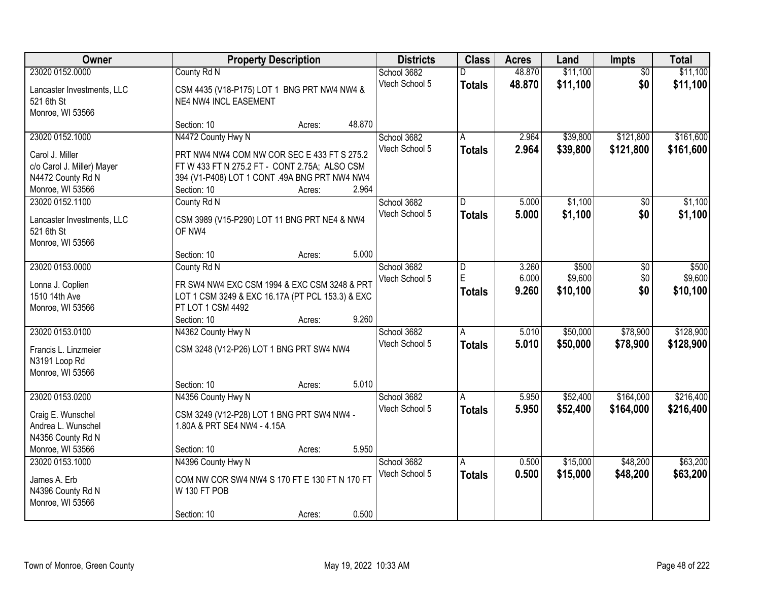| <b>Owner</b>                            |                                                                           | <b>Property Description</b> |        | <b>Districts</b> | <b>Class</b>   | <b>Acres</b> | Land     | Impts           | <b>Total</b> |
|-----------------------------------------|---------------------------------------------------------------------------|-----------------------------|--------|------------------|----------------|--------------|----------|-----------------|--------------|
| 23020 0152.0000                         | County Rd N                                                               |                             |        | School 3682      |                | 48.870       | \$11,100 | $\overline{50}$ | \$11,100     |
| Lancaster Investments, LLC              | CSM 4435 (V18-P175) LOT 1 BNG PRT NW4 NW4 &                               |                             |        | Vtech School 5   | <b>Totals</b>  | 48.870       | \$11,100 | \$0             | \$11,100     |
| 521 6th St                              | NE4 NW4 INCL EASEMENT                                                     |                             |        |                  |                |              |          |                 |              |
| Monroe, WI 53566                        |                                                                           |                             |        |                  |                |              |          |                 |              |
|                                         | Section: 10                                                               | Acres:                      | 48.870 |                  |                |              |          |                 |              |
| 23020 0152.1000                         | N4472 County Hwy N                                                        |                             |        | School 3682      | A              | 2.964        | \$39,800 | \$121,800       | \$161,600    |
| Carol J. Miller                         | PRT NW4 NW4 COM NW COR SEC E 433 FT S 275.2                               |                             |        | Vtech School 5   | <b>Totals</b>  | 2.964        | \$39,800 | \$121,800       | \$161,600    |
| c/o Carol J. Miller) Mayer              | FT W 433 FT N 275.2 FT - CONT 2.75A; ALSO CSM                             |                             |        |                  |                |              |          |                 |              |
| N4472 County Rd N                       | 394 (V1-P408) LOT 1 CONT .49A BNG PRT NW4 NW4                             |                             |        |                  |                |              |          |                 |              |
| Monroe, WI 53566                        | Section: 10                                                               | Acres:                      | 2.964  |                  |                |              |          |                 |              |
| 23020 0152.1100                         | County Rd N                                                               |                             |        | School 3682      | D              | 5.000        | \$1,100  | \$0             | \$1,100      |
| Lancaster Investments, LLC              | CSM 3989 (V15-P290) LOT 11 BNG PRT NE4 & NW4                              |                             |        | Vtech School 5   | <b>Totals</b>  | 5.000        | \$1,100  | \$0             | \$1,100      |
| 521 6th St                              | OF NW4                                                                    |                             |        |                  |                |              |          |                 |              |
| Monroe, WI 53566                        |                                                                           |                             |        |                  |                |              |          |                 |              |
|                                         | Section: 10                                                               | Acres:                      | 5.000  |                  |                |              |          |                 |              |
| 23020 0153.0000                         | County Rd N                                                               |                             |        | School 3682      | D              | 3.260        | \$500    | \$0             | \$500        |
|                                         | FR SW4 NW4 EXC CSM 1994 & EXC CSM 3248 & PRT                              |                             |        | Vtech School 5   | E              | 6.000        | \$9,600  | \$0             | \$9,600      |
| Lonna J. Coplien<br>1510 14th Ave       | LOT 1 CSM 3249 & EXC 16.17A (PT PCL 153.3) & EXC                          |                             |        |                  | <b>Totals</b>  | 9.260        | \$10,100 | \$0             | \$10,100     |
| Monroe, WI 53566                        | PT LOT 1 CSM 4492                                                         |                             |        |                  |                |              |          |                 |              |
|                                         | Section: 10                                                               | Acres:                      | 9.260  |                  |                |              |          |                 |              |
| 23020 0153.0100                         | N4362 County Hwy N                                                        |                             |        | School 3682      | $\overline{A}$ | 5.010        | \$50,000 | \$78,900        | \$128,900    |
|                                         |                                                                           |                             |        | Vtech School 5   | <b>Totals</b>  | 5.010        | \$50,000 | \$78,900        | \$128,900    |
| Francis L. Linzmeier                    | CSM 3248 (V12-P26) LOT 1 BNG PRT SW4 NW4                                  |                             |        |                  |                |              |          |                 |              |
| N3191 Loop Rd<br>Monroe, WI 53566       |                                                                           |                             |        |                  |                |              |          |                 |              |
|                                         | Section: 10                                                               | Acres:                      | 5.010  |                  |                |              |          |                 |              |
| 23020 0153.0200                         | N4356 County Hwy N                                                        |                             |        | School 3682      |                | 5.950        | \$52,400 | \$164,000       | \$216,400    |
|                                         |                                                                           |                             |        | Vtech School 5   | <b>Totals</b>  | 5.950        | \$52,400 | \$164,000       | \$216,400    |
| Craig E. Wunschel                       | CSM 3249 (V12-P28) LOT 1 BNG PRT SW4 NW4 -<br>1.80A & PRT SE4 NW4 - 4.15A |                             |        |                  |                |              |          |                 |              |
| Andrea L. Wunschel<br>N4356 County Rd N |                                                                           |                             |        |                  |                |              |          |                 |              |
| Monroe, WI 53566                        | Section: 10                                                               | Acres:                      | 5.950  |                  |                |              |          |                 |              |
| 23020 0153.1000                         | N4396 County Hwy N                                                        |                             |        | School 3682      | A              | 0.500        | \$15,000 | \$48,200        | \$63,200     |
|                                         |                                                                           |                             |        | Vtech School 5   | <b>Totals</b>  | 0.500        | \$15,000 | \$48,200        | \$63,200     |
| James A. Erb                            | COM NW COR SW4 NW4 S 170 FT E 130 FT N 170 FT                             |                             |        |                  |                |              |          |                 |              |
| N4396 County Rd N                       | W 130 FT POB                                                              |                             |        |                  |                |              |          |                 |              |
| Monroe, WI 53566                        | Section: 10                                                               | Acres:                      | 0.500  |                  |                |              |          |                 |              |
|                                         |                                                                           |                             |        |                  |                |              |          |                 |              |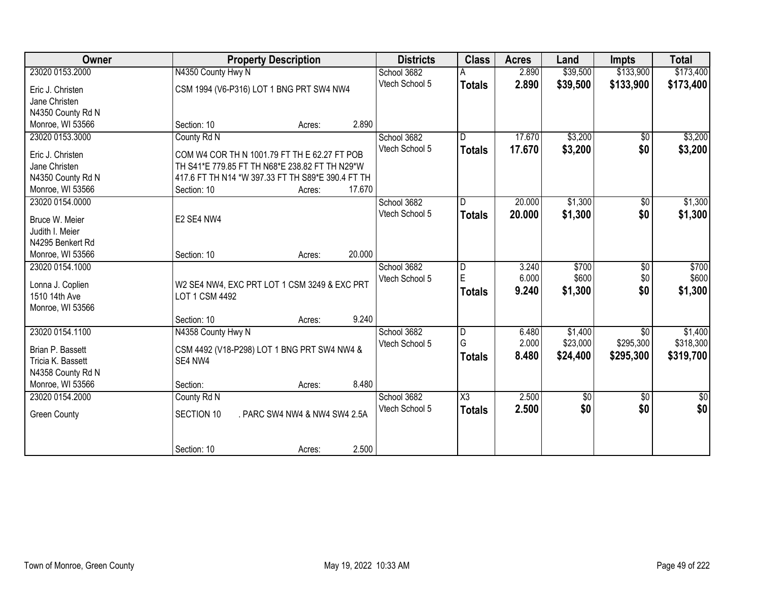| <b>Owner</b>                        | <b>Property Description</b>                       |                               |        | <b>Districts</b> | <b>Class</b>            | <b>Acres</b> | Land            | Impts           | <b>Total</b>    |
|-------------------------------------|---------------------------------------------------|-------------------------------|--------|------------------|-------------------------|--------------|-----------------|-----------------|-----------------|
| 23020 0153.2000                     | N4350 County Hwy N                                |                               |        | School 3682      |                         | 2.890        | \$39,500        | \$133,900       | \$173,400       |
| Eric J. Christen                    | CSM 1994 (V6-P316) LOT 1 BNG PRT SW4 NW4          |                               |        | Vtech School 5   | <b>Totals</b>           | 2.890        | \$39,500        | \$133,900       | \$173,400       |
| Jane Christen                       |                                                   |                               |        |                  |                         |              |                 |                 |                 |
| N4350 County Rd N                   |                                                   |                               |        |                  |                         |              |                 |                 |                 |
| Monroe, WI 53566                    | Section: 10                                       | Acres:                        | 2.890  |                  |                         |              |                 |                 |                 |
| 23020 0153.3000                     | County Rd N                                       |                               |        | School 3682      | D                       | 17.670       | \$3,200         | \$0             | \$3,200         |
| Eric J. Christen                    | COM W4 COR TH N 1001.79 FT TH E 62.27 FT POB      |                               |        | Vtech School 5   | <b>Totals</b>           | 17.670       | \$3,200         | \$0             | \$3,200         |
| Jane Christen                       | TH S41*E 779.85 FT TH N68*E 238.82 FT TH N29*W    |                               |        |                  |                         |              |                 |                 |                 |
| N4350 County Rd N                   | 417.6 FT TH N14 *W 397.33 FT TH S89*E 390.4 FT TH |                               |        |                  |                         |              |                 |                 |                 |
| Monroe, WI 53566                    | Section: 10                                       | Acres:                        | 17.670 |                  |                         |              |                 |                 |                 |
| 23020 0154.0000                     |                                                   |                               |        | School 3682      | D                       | 20.000       | \$1,300         | \$0             | \$1,300         |
|                                     |                                                   |                               |        | Vtech School 5   | <b>Totals</b>           | 20.000       | \$1,300         | \$0             | \$1,300         |
| Bruce W. Meier                      | E2 SE4 NW4                                        |                               |        |                  |                         |              |                 |                 |                 |
| Judith I. Meier<br>N4295 Benkert Rd |                                                   |                               |        |                  |                         |              |                 |                 |                 |
| Monroe, WI 53566                    | Section: 10                                       | Acres:                        | 20.000 |                  |                         |              |                 |                 |                 |
| 23020 0154.1000                     |                                                   |                               |        | School 3682      | $\overline{\mathsf{D}}$ | 3.240        | \$700           | $\overline{60}$ | \$700           |
|                                     |                                                   |                               |        | Vtech School 5   | $\mathsf E$             | 6.000        | \$600           | \$0             | \$600           |
| Lonna J. Coplien                    | W2 SE4 NW4, EXC PRT LOT 1 CSM 3249 & EXC PRT      |                               |        |                  | <b>Totals</b>           | 9.240        | \$1,300         | \$0             | \$1,300         |
| 1510 14th Ave                       | LOT 1 CSM 4492                                    |                               |        |                  |                         |              |                 |                 |                 |
| Monroe, WI 53566                    |                                                   |                               |        |                  |                         |              |                 |                 |                 |
|                                     | Section: 10                                       | Acres:                        | 9.240  |                  |                         |              |                 |                 |                 |
| 23020 0154.1100                     | N4358 County Hwy N                                |                               |        | School 3682      | $\overline{\mathsf{D}}$ | 6.480        | \$1,400         | $\overline{50}$ | \$1,400         |
| Brian P. Bassett                    | CSM 4492 (V18-P298) LOT 1 BNG PRT SW4 NW4 &       |                               |        | Vtech School 5   | G                       | 2.000        | \$23,000        | \$295,300       | \$318,300       |
| Tricia K. Bassett                   | SE4 NW4                                           |                               |        |                  | <b>Totals</b>           | 8.480        | \$24,400        | \$295,300       | \$319,700       |
| N4358 County Rd N                   |                                                   |                               |        |                  |                         |              |                 |                 |                 |
| Monroe, WI 53566                    | Section:                                          | Acres:                        | 8.480  |                  |                         |              |                 |                 |                 |
| 23020 0154.2000                     | County Rd N                                       |                               |        | School 3682      | $\overline{\chi_3}$     | 2.500        | $\overline{60}$ | $\overline{60}$ | $\overline{50}$ |
| <b>Green County</b>                 | SECTION 10                                        | . PARC SW4 NW4 & NW4 SW4 2.5A |        | Vtech School 5   | <b>Totals</b>           | 2.500        | \$0             | \$0             | \$0             |
|                                     |                                                   |                               |        |                  |                         |              |                 |                 |                 |
|                                     |                                                   |                               |        |                  |                         |              |                 |                 |                 |
|                                     | Section: 10                                       | Acres:                        | 2.500  |                  |                         |              |                 |                 |                 |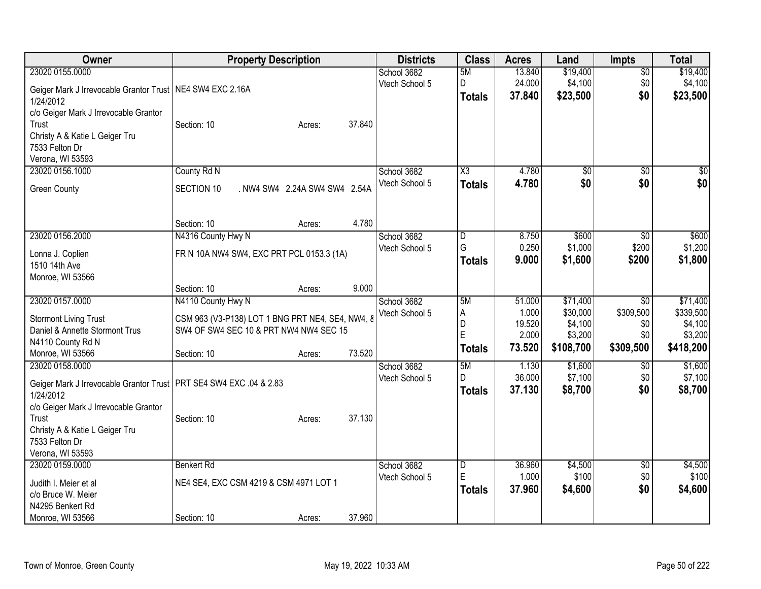| Owner                                                                                                                                                  | <b>Property Description</b>                                                                                                                         | <b>Districts</b>              | <b>Class</b>                       | <b>Acres</b>                                 | Land                                                    | <b>Impts</b>                                            | <b>Total</b>                                             |
|--------------------------------------------------------------------------------------------------------------------------------------------------------|-----------------------------------------------------------------------------------------------------------------------------------------------------|-------------------------------|------------------------------------|----------------------------------------------|---------------------------------------------------------|---------------------------------------------------------|----------------------------------------------------------|
| 23020 0155.0000<br>Geiger Mark J Irrevocable Grantor Trust   NE4 SW4 EXC 2.16A                                                                         |                                                                                                                                                     | School 3682<br>Vtech School 5 | 5M<br>D                            | 13.840<br>24.000<br>37.840                   | \$19,400<br>\$4,100                                     | $\overline{30}$<br>\$0<br>\$0                           | \$19,400<br>\$4,100                                      |
| 1/24/2012<br>c/o Geiger Mark J Irrevocable Grantor<br>Trust<br>Christy A & Katie L Geiger Tru<br>7533 Felton Dr                                        | 37.840<br>Section: 10<br>Acres:                                                                                                                     |                               | <b>Totals</b>                      |                                              | \$23,500                                                |                                                         | \$23,500                                                 |
| Verona, WI 53593                                                                                                                                       | County Rd N                                                                                                                                         | School 3682                   |                                    |                                              |                                                         |                                                         |                                                          |
| 23020 0156.1000<br><b>Green County</b>                                                                                                                 | SECTION 10<br>. NW4 SW4 2.24A SW4 SW4 2.54A                                                                                                         | Vtech School 5                | X3<br><b>Totals</b>                | 4.780<br>4.780                               | \$0<br>\$0                                              | \$0<br>\$0                                              | \$0<br>\$0                                               |
|                                                                                                                                                        | 4.780<br>Section: 10<br>Acres:                                                                                                                      |                               |                                    |                                              |                                                         |                                                         |                                                          |
| 23020 0156.2000<br>Lonna J. Coplien<br>1510 14th Ave<br>Monroe, WI 53566                                                                               | N4316 County Hwy N<br>FR N 10A NW4 SW4, EXC PRT PCL 0153.3 (1A)                                                                                     | School 3682<br>Vtech School 5 | D<br>G<br><b>Totals</b>            | 8.750<br>0.250<br>9.000                      | \$600<br>\$1,000<br>\$1,600                             | \$0<br>\$200<br>\$200                                   | \$600<br>\$1,200<br>\$1,800                              |
|                                                                                                                                                        | 9.000<br>Section: 10<br>Acres:                                                                                                                      |                               |                                    |                                              |                                                         |                                                         |                                                          |
| 23020 0157.0000<br><b>Stormont Living Trust</b><br>Daniel & Annette Stormont Trus<br>N4110 County Rd N<br>Monroe, WI 53566                             | N4110 County Hwy N<br>CSM 963 (V3-P138) LOT 1 BNG PRT NE4, SE4, NW4, 8<br>SW4 OF SW4 SEC 10 & PRT NW4 NW4 SEC 15<br>73.520<br>Section: 10<br>Acres: | School 3682<br>Vtech School 5 | 5M<br>Α<br>D<br>E<br><b>Totals</b> | 51.000<br>1.000<br>19.520<br>2.000<br>73.520 | \$71,400<br>\$30,000<br>\$4,100<br>\$3,200<br>\$108,700 | $\overline{30}$<br>\$309,500<br>\$0<br>\$0<br>\$309,500 | \$71,400<br>\$339,500<br>\$4,100<br>\$3,200<br>\$418,200 |
| 23020 0158.0000<br>Geiger Mark J Irrevocable Grantor Trust   PRT SE4 SW4 EXC .04 & 2.83<br>1/24/2012<br>c/o Geiger Mark J Irrevocable Grantor<br>Trust | 37.130<br>Section: 10<br>Acres:                                                                                                                     | School 3682<br>Vtech School 5 | 5M<br>D.<br><b>Totals</b>          | 1.130<br>36.000<br>37.130                    | \$1,600<br>\$7,100<br>\$8,700                           | $\sqrt{6}$<br>\$0<br>\$0                                | \$1,600<br>\$7,100<br>\$8,700                            |
| Christy A & Katie L Geiger Tru<br>7533 Felton Dr<br>Verona, WI 53593                                                                                   |                                                                                                                                                     |                               |                                    |                                              |                                                         |                                                         |                                                          |
| 23020 0159.0000<br>Judith I. Meier et al<br>c/o Bruce W. Meier<br>N4295 Benkert Rd<br>Monroe, WI 53566                                                 | <b>Benkert Rd</b><br>NE4 SE4, EXC CSM 4219 & CSM 4971 LOT 1<br>37.960<br>Section: 10<br>Acres:                                                      | School 3682<br>Vtech School 5 | D<br>E<br><b>Totals</b>            | 36.960<br>1.000<br>37.960                    | \$4,500<br>\$100<br>\$4,600                             | \$0<br>\$0<br>\$0                                       | \$4,500<br>\$100<br>\$4,600                              |
|                                                                                                                                                        |                                                                                                                                                     |                               |                                    |                                              |                                                         |                                                         |                                                          |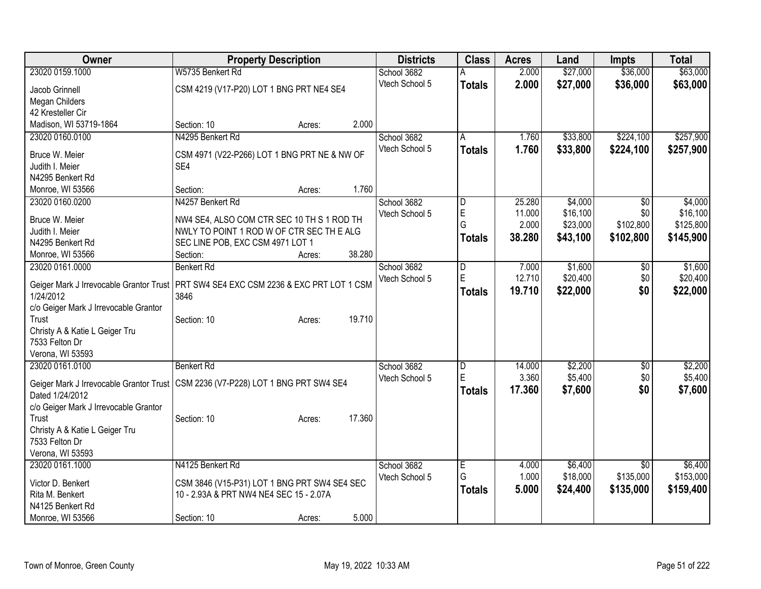| Owner                                   | <b>Property Description</b>                                                            |        | <b>Districts</b> | <b>Class</b>  | <b>Acres</b> | Land     | <b>Impts</b>    | <b>Total</b> |
|-----------------------------------------|----------------------------------------------------------------------------------------|--------|------------------|---------------|--------------|----------|-----------------|--------------|
| 23020 0159.1000                         | W5735 Benkert Rd                                                                       |        | School 3682      |               | 2.000        | \$27,000 | \$36,000        | \$63,000     |
| Jacob Grinnell                          | CSM 4219 (V17-P20) LOT 1 BNG PRT NE4 SE4                                               |        | Vtech School 5   | <b>Totals</b> | 2.000        | \$27,000 | \$36,000        | \$63,000     |
| Megan Childers                          |                                                                                        |        |                  |               |              |          |                 |              |
| 42 Kresteller Cir                       |                                                                                        |        |                  |               |              |          |                 |              |
| Madison, WI 53719-1864                  | Section: 10<br>Acres:                                                                  | 2.000  |                  |               |              |          |                 |              |
| 23020 0160.0100                         | N4295 Benkert Rd                                                                       |        | School 3682      | A             | 1.760        | \$33,800 | \$224,100       | \$257,900    |
| Bruce W. Meier                          | CSM 4971 (V22-P266) LOT 1 BNG PRT NE & NW OF                                           |        | Vtech School 5   | <b>Totals</b> | 1.760        | \$33,800 | \$224,100       | \$257,900    |
| Judith I. Meier                         | SE4                                                                                    |        |                  |               |              |          |                 |              |
| N4295 Benkert Rd                        |                                                                                        |        |                  |               |              |          |                 |              |
| Monroe, WI 53566                        | Section:<br>Acres:                                                                     | 1.760  |                  |               |              |          |                 |              |
| 23020 0160.0200                         | N4257 Benkert Rd                                                                       |        | School 3682      | D             | 25.280       | \$4,000  | $\sqrt[6]{}$    | \$4,000      |
|                                         |                                                                                        |        | Vtech School 5   | E             | 11.000       | \$16,100 | \$0             | \$16,100     |
| Bruce W. Meier                          | NW4 SE4, ALSO COM CTR SEC 10 TH S 1 ROD TH                                             |        |                  | G             | 2.000        | \$23,000 | \$102,800       | \$125,800    |
| Judith I. Meier                         | NWLY TO POINT 1 ROD W OF CTR SEC TH E ALG                                              |        |                  | <b>Totals</b> | 38.280       | \$43,100 | \$102,800       | \$145,900    |
| N4295 Benkert Rd                        | SEC LINE POB, EXC CSM 4971 LOT 1                                                       |        |                  |               |              |          |                 |              |
| Monroe, WI 53566                        | Section:<br>Acres:                                                                     | 38.280 |                  |               |              |          |                 |              |
| 23020 0161.0000                         | <b>Benkert Rd</b>                                                                      |        | School 3682      | D             | 7.000        | \$1,600  | \$0             | \$1,600      |
|                                         | Geiger Mark J Irrevocable Grantor Trust   PRT SW4 SE4 EXC CSM 2236 & EXC PRT LOT 1 CSM |        | Vtech School 5   | E             | 12.710       | \$20,400 | \$0             | \$20,400     |
| 1/24/2012                               | 3846                                                                                   |        |                  | <b>Totals</b> | 19.710       | \$22,000 | \$0             | \$22,000     |
| c/o Geiger Mark J Irrevocable Grantor   |                                                                                        |        |                  |               |              |          |                 |              |
| Trust                                   | Section: 10<br>Acres:                                                                  | 19.710 |                  |               |              |          |                 |              |
| Christy A & Katie L Geiger Tru          |                                                                                        |        |                  |               |              |          |                 |              |
| 7533 Felton Dr                          |                                                                                        |        |                  |               |              |          |                 |              |
| Verona, WI 53593                        |                                                                                        |        |                  |               |              |          |                 |              |
| 23020 0161.0100                         | <b>Benkert Rd</b>                                                                      |        | School 3682      | D             | 14.000       | \$2,200  | \$0             | \$2,200      |
|                                         |                                                                                        |        | Vtech School 5   | E             | 3.360        | \$5,400  | \$0             | \$5,400      |
| Geiger Mark J Irrevocable Grantor Trust | CSM 2236 (V7-P228) LOT 1 BNG PRT SW4 SE4                                               |        |                  | <b>Totals</b> | 17.360       | \$7,600  | \$0             | \$7,600      |
| Dated 1/24/2012                         |                                                                                        |        |                  |               |              |          |                 |              |
| c/o Geiger Mark J Irrevocable Grantor   |                                                                                        |        |                  |               |              |          |                 |              |
| Trust                                   | Section: 10<br>Acres:                                                                  | 17.360 |                  |               |              |          |                 |              |
| Christy A & Katie L Geiger Tru          |                                                                                        |        |                  |               |              |          |                 |              |
| 7533 Felton Dr                          |                                                                                        |        |                  |               |              |          |                 |              |
| Verona, WI 53593                        |                                                                                        |        |                  |               |              |          |                 |              |
| 23020 0161.1000                         | N4125 Benkert Rd                                                                       |        | School 3682      | Έ             | 4.000        | \$6,400  | $\overline{30}$ | \$6,400      |
| Victor D. Benkert                       | CSM 3846 (V15-P31) LOT 1 BNG PRT SW4 SE4 SEC                                           |        | Vtech School 5   | G             | 1.000        | \$18,000 | \$135,000       | \$153,000    |
| Rita M. Benkert                         | 10 - 2.93A & PRT NW4 NE4 SEC 15 - 2.07A                                                |        |                  | <b>Totals</b> | 5.000        | \$24,400 | \$135,000       | \$159,400    |
| N4125 Benkert Rd                        |                                                                                        |        |                  |               |              |          |                 |              |
| Monroe, WI 53566                        | Section: 10<br>Acres:                                                                  | 5.000  |                  |               |              |          |                 |              |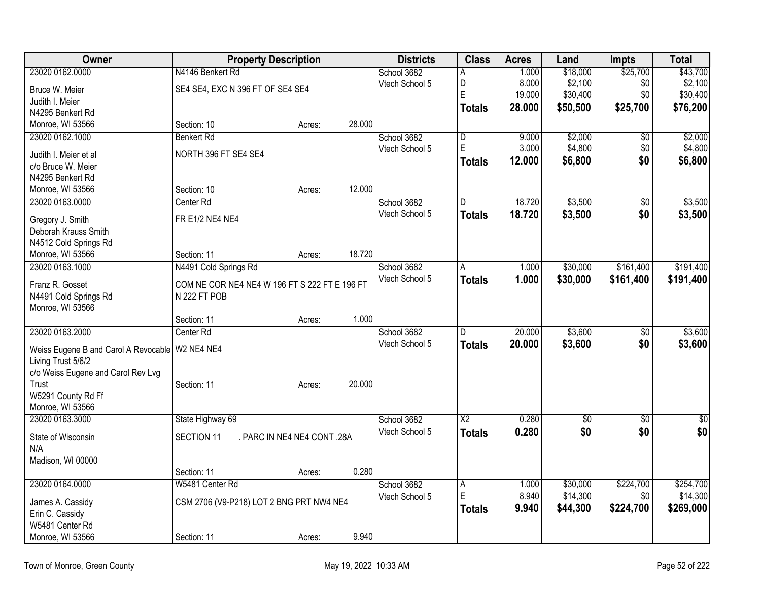| Owner                                             |                                               | <b>Property Description</b> |        | <b>Districts</b> | <b>Class</b>    | <b>Acres</b> | Land            | <b>Impts</b>    | <b>Total</b>    |
|---------------------------------------------------|-----------------------------------------------|-----------------------------|--------|------------------|-----------------|--------------|-----------------|-----------------|-----------------|
| 23020 0162.0000                                   | N4146 Benkert Rd                              |                             |        | School 3682      | A               | 1.000        | \$18,000        | \$25,700        | \$43,700        |
| Bruce W. Meier                                    | SE4 SE4, EXC N 396 FT OF SE4 SE4              |                             |        | Vtech School 5   | D               | 8.000        | \$2,100         | \$0             | \$2,100         |
| Judith I. Meier                                   |                                               |                             |        |                  | E               | 19.000       | \$30,400        | \$0             | \$30,400        |
| N4295 Benkert Rd                                  |                                               |                             |        |                  | <b>Totals</b>   | 28.000       | \$50,500        | \$25,700        | \$76,200        |
| Monroe, WI 53566                                  | Section: 10                                   | Acres:                      | 28.000 |                  |                 |              |                 |                 |                 |
| 23020 0162.1000                                   | <b>Benkert Rd</b>                             |                             |        | School 3682      | $\overline{D}$  | 9.000        | \$2,000         | \$0             | \$2,000         |
| Judith I. Meier et al                             | NORTH 396 FT SE4 SE4                          |                             |        | Vtech School 5   | $\overline{E}$  | 3.000        | \$4,800         | \$0             | \$4,800         |
| c/o Bruce W. Meier                                |                                               |                             |        |                  | <b>Totals</b>   | 12.000       | \$6,800         | \$0             | \$6,800         |
| N4295 Benkert Rd                                  |                                               |                             |        |                  |                 |              |                 |                 |                 |
| Monroe, WI 53566                                  | Section: 10                                   | Acres:                      | 12.000 |                  |                 |              |                 |                 |                 |
| 23020 0163.0000                                   | Center Rd                                     |                             |        | School 3682      | D.              | 18.720       | \$3,500         | \$0             | \$3,500         |
|                                                   |                                               |                             |        | Vtech School 5   | <b>Totals</b>   | 18.720       | \$3,500         | \$0             | \$3,500         |
| Gregory J. Smith                                  | FR E1/2 NE4 NE4                               |                             |        |                  |                 |              |                 |                 |                 |
| Deborah Krauss Smith                              |                                               |                             |        |                  |                 |              |                 |                 |                 |
| N4512 Cold Springs Rd<br>Monroe, WI 53566         | Section: 11                                   | Acres:                      | 18.720 |                  |                 |              |                 |                 |                 |
| 23020 0163.1000                                   | N4491 Cold Springs Rd                         |                             |        | School 3682      | A               | 1.000        | \$30,000        | \$161,400       | \$191,400       |
|                                                   |                                               |                             |        | Vtech School 5   |                 | 1.000        |                 |                 |                 |
| Franz R. Gosset                                   | COM NE COR NE4 NE4 W 196 FT S 222 FT E 196 FT |                             |        |                  | <b>Totals</b>   |              | \$30,000        | \$161,400       | \$191,400       |
| N4491 Cold Springs Rd                             | N 222 FT POB                                  |                             |        |                  |                 |              |                 |                 |                 |
| Monroe, WI 53566                                  |                                               |                             |        |                  |                 |              |                 |                 |                 |
|                                                   | Section: 11                                   | Acres:                      | 1.000  |                  |                 |              |                 |                 |                 |
| 23020 0163.2000                                   | Center <sub>Rd</sub>                          |                             |        | School 3682      | $\overline{D}$  | 20.000       | \$3,600         | \$0             | \$3,600         |
| Weiss Eugene B and Carol A Revocable   W2 NE4 NE4 |                                               |                             |        | Vtech School 5   | <b>Totals</b>   | 20,000       | \$3,600         | \$0             | \$3,600         |
| Living Trust 5/6/2                                |                                               |                             |        |                  |                 |              |                 |                 |                 |
| c/o Weiss Eugene and Carol Rev Lvg                |                                               |                             |        |                  |                 |              |                 |                 |                 |
| Trust                                             | Section: 11                                   | Acres:                      | 20.000 |                  |                 |              |                 |                 |                 |
| W5291 County Rd Ff                                |                                               |                             |        |                  |                 |              |                 |                 |                 |
| Monroe, WI 53566                                  |                                               |                             |        |                  |                 |              |                 |                 |                 |
| 23020 0163.3000                                   | State Highway 69                              |                             |        | School 3682      | $\overline{X2}$ | 0.280        | $\overline{60}$ | $\overline{60}$ | $\overline{30}$ |
| State of Wisconsin                                | SECTION 11                                    | . PARC IN NE4 NE4 CONT .28A |        | Vtech School 5   | <b>Totals</b>   | 0.280        | \$0             | \$0             | \$0             |
| N/A                                               |                                               |                             |        |                  |                 |              |                 |                 |                 |
| Madison, WI 00000                                 |                                               |                             |        |                  |                 |              |                 |                 |                 |
|                                                   | Section: 11                                   | Acres:                      | 0.280  |                  |                 |              |                 |                 |                 |
| 23020 0164.0000                                   | W5481 Center Rd                               |                             |        | School 3682      | $\overline{A}$  | 1.000        | \$30,000        | \$224,700       | \$254,700       |
| James A. Cassidy                                  | CSM 2706 (V9-P218) LOT 2 BNG PRT NW4 NE4      |                             |        | Vtech School 5   | E               | 8.940        | \$14,300        | \$0             | \$14,300        |
| Erin C. Cassidy                                   |                                               |                             |        |                  | <b>Totals</b>   | 9.940        | \$44,300        | \$224,700       | \$269,000       |
| W5481 Center Rd                                   |                                               |                             |        |                  |                 |              |                 |                 |                 |
| Monroe, WI 53566                                  | Section: 11                                   | Acres:                      | 9.940  |                  |                 |              |                 |                 |                 |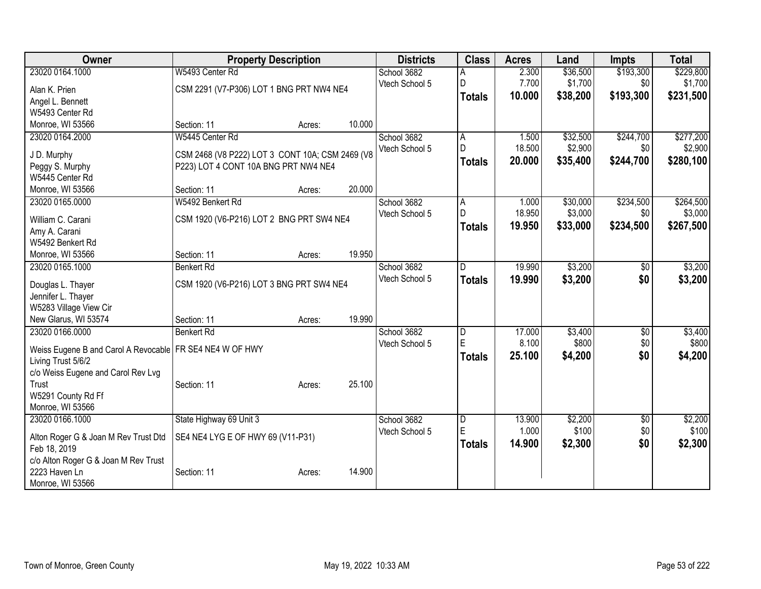| Owner                                                      | <b>Property Description</b>                     |        |        | <b>Districts</b> | <b>Class</b>            | <b>Acres</b> | Land     | Impts           | <b>Total</b> |
|------------------------------------------------------------|-------------------------------------------------|--------|--------|------------------|-------------------------|--------------|----------|-----------------|--------------|
| 23020 0164.1000                                            | W5493 Center Rd                                 |        |        | School 3682      |                         | 2.300        | \$36,500 | \$193,300       | \$229,800    |
| Alan K. Prien                                              | CSM 2291 (V7-P306) LOT 1 BNG PRT NW4 NE4        |        |        | Vtech School 5   | D                       | 7.700        | \$1,700  | \$0             | \$1,700      |
| Angel L. Bennett                                           |                                                 |        |        |                  | <b>Totals</b>           | 10.000       | \$38,200 | \$193,300       | \$231,500    |
| W5493 Center Rd                                            |                                                 |        |        |                  |                         |              |          |                 |              |
| Monroe, WI 53566                                           | Section: 11                                     | Acres: | 10.000 |                  |                         |              |          |                 |              |
| 23020 0164.2000                                            | W5445 Center Rd                                 |        |        | School 3682      | A                       | 1.500        | \$32,500 | \$244,700       | \$277,200    |
| J D. Murphy                                                | CSM 2468 (V8 P222) LOT 3 CONT 10A; CSM 2469 (V8 |        |        | Vtech School 5   | D                       | 18.500       | \$2,900  | \$0             | \$2,900      |
| Peggy S. Murphy                                            | P223) LOT 4 CONT 10A BNG PRT NW4 NE4            |        |        |                  | <b>Totals</b>           | 20.000       | \$35,400 | \$244,700       | \$280,100    |
| W5445 Center Rd                                            |                                                 |        |        |                  |                         |              |          |                 |              |
| Monroe, WI 53566                                           | Section: 11                                     | Acres: | 20.000 |                  |                         |              |          |                 |              |
| 23020 0165.0000                                            | W5492 Benkert Rd                                |        |        | School 3682      | A                       | 1.000        | \$30,000 | \$234,500       | \$264,500    |
|                                                            |                                                 |        |        | Vtech School 5   | $\mathsf{D}$            | 18.950       | \$3,000  | \$0             | \$3,000      |
| William C. Carani                                          | CSM 1920 (V6-P216) LOT 2 BNG PRT SW4 NE4        |        |        |                  | Totals                  | 19.950       | \$33,000 | \$234,500       | \$267,500    |
| Amy A. Carani<br>W5492 Benkert Rd                          |                                                 |        |        |                  |                         |              |          |                 |              |
| Monroe, WI 53566                                           | Section: 11                                     | Acres: | 19.950 |                  |                         |              |          |                 |              |
| 23020 0165.1000                                            | <b>Benkert Rd</b>                               |        |        | School 3682      | $\mathsf{D}$            | 19.990       | \$3,200  | \$0             | \$3,200      |
|                                                            |                                                 |        |        | Vtech School 5   |                         | 19.990       |          | \$0             |              |
| Douglas L. Thayer                                          | CSM 1920 (V6-P216) LOT 3 BNG PRT SW4 NE4        |        |        |                  | <b>Totals</b>           |              | \$3,200  |                 | \$3,200      |
| Jennifer L. Thayer                                         |                                                 |        |        |                  |                         |              |          |                 |              |
| W5283 Village View Cir                                     |                                                 |        |        |                  |                         |              |          |                 |              |
| New Glarus, WI 53574                                       | Section: 11                                     | Acres: | 19.990 |                  |                         |              |          |                 |              |
| 23020 0166.0000                                            | <b>Benkert Rd</b>                               |        |        | School 3682      | $\overline{D}$          | 17.000       | \$3,400  | \$0             | \$3,400      |
| Weiss Eugene B and Carol A Revocable   FR SE4 NE4 W OF HWY |                                                 |        |        | Vtech School 5   | E                       | 8.100        | \$800    | \$0             | \$800        |
| Living Trust 5/6/2                                         |                                                 |        |        |                  | <b>Totals</b>           | 25.100       | \$4,200  | \$0             | \$4,200      |
| c/o Weiss Eugene and Carol Rev Lvg                         |                                                 |        |        |                  |                         |              |          |                 |              |
| Trust                                                      | Section: 11                                     | Acres: | 25.100 |                  |                         |              |          |                 |              |
| W5291 County Rd Ff                                         |                                                 |        |        |                  |                         |              |          |                 |              |
| Monroe, WI 53566                                           |                                                 |        |        |                  |                         |              |          |                 |              |
| 23020 0166.1000                                            | State Highway 69 Unit 3                         |        |        | School 3682      | $\overline{\mathsf{D}}$ | 13.900       | \$2,200  | $\overline{60}$ | \$2,200      |
| Alton Roger G & Joan M Rev Trust Dtd                       | SE4 NE4 LYG E OF HWY 69 (V11-P31)               |        |        | Vtech School 5   | E                       | 1.000        | \$100    | \$0             | \$100        |
| Feb 18, 2019                                               |                                                 |        |        |                  | <b>Totals</b>           | 14.900       | \$2,300  | \$0             | \$2,300      |
| c/o Alton Roger G & Joan M Rev Trust                       |                                                 |        |        |                  |                         |              |          |                 |              |
| 2223 Haven Ln                                              | Section: 11                                     | Acres: | 14.900 |                  |                         |              |          |                 |              |
| Monroe, WI 53566                                           |                                                 |        |        |                  |                         |              |          |                 |              |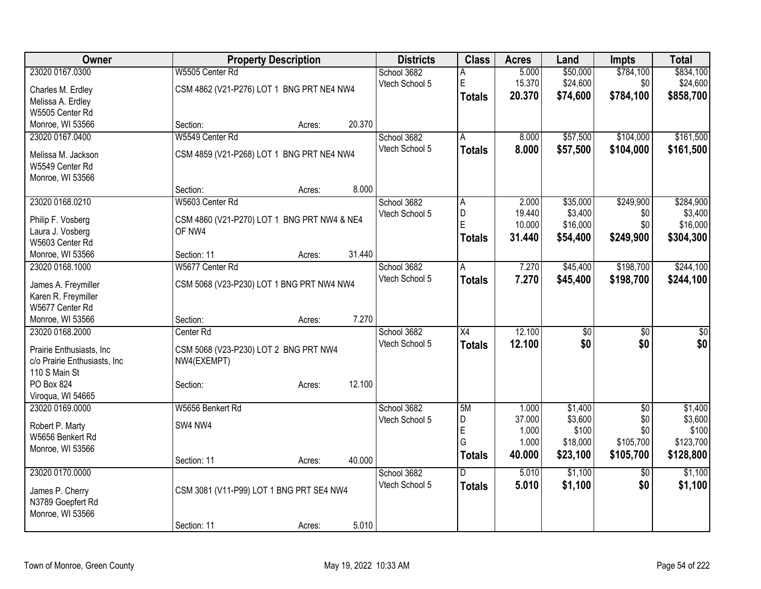| Owner                                                     | <b>Property Description</b>                          |        |        | <b>Districts</b> | <b>Class</b>    | <b>Acres</b> | Land            | <b>Impts</b>    | <b>Total</b>    |
|-----------------------------------------------------------|------------------------------------------------------|--------|--------|------------------|-----------------|--------------|-----------------|-----------------|-----------------|
| 23020 0167.0300                                           | W5505 Center Rd                                      |        |        | School 3682      | А               | 5.000        | \$50,000        | \$784,100       | \$834,100       |
| Charles M. Erdley                                         | CSM 4862 (V21-P276) LOT 1 BNG PRT NE4 NW4            |        |        | Vtech School 5   | E               | 15.370       | \$24,600        | \$0             | \$24,600        |
| Melissa A. Erdley                                         |                                                      |        |        |                  | <b>Totals</b>   | 20.370       | \$74,600        | \$784,100       | \$858,700       |
| W5505 Center Rd                                           |                                                      |        |        |                  |                 |              |                 |                 |                 |
| Monroe, WI 53566                                          | Section:                                             | Acres: | 20.370 |                  |                 |              |                 |                 |                 |
| 23020 0167.0400                                           | W5549 Center Rd                                      |        |        | School 3682      | A               | 8.000        | \$57,500        | \$104,000       | \$161,500       |
|                                                           |                                                      |        |        | Vtech School 5   | <b>Totals</b>   | 8.000        | \$57,500        | \$104,000       | \$161,500       |
| Melissa M. Jackson                                        | CSM 4859 (V21-P268) LOT 1 BNG PRT NE4 NW4            |        |        |                  |                 |              |                 |                 |                 |
| W5549 Center Rd<br>Monroe, WI 53566                       |                                                      |        |        |                  |                 |              |                 |                 |                 |
|                                                           | Section:                                             | Acres: | 8.000  |                  |                 |              |                 |                 |                 |
| 23020 0168.0210                                           | W5603 Center Rd                                      |        |        | School 3682      | A               | 2.000        | \$35,000        | \$249,900       | \$284,900       |
|                                                           |                                                      |        |        | Vtech School 5   | D               | 19.440       | \$3,400         | \$0             | \$3,400         |
| Philip F. Vosberg                                         | CSM 4860 (V21-P270) LOT 1 BNG PRT NW4 & NE4          |        |        |                  | ΙE              | 10.000       | \$16,000        | \$0             | \$16,000        |
| Laura J. Vosberg                                          | OF NW4                                               |        |        |                  | Totals          | 31.440       | \$54,400        | \$249,900       | \$304,300       |
| W5603 Center Rd                                           |                                                      |        |        |                  |                 |              |                 |                 |                 |
| Monroe, WI 53566                                          | Section: 11                                          | Acres: | 31.440 |                  |                 |              |                 |                 |                 |
| 23020 0168.1000                                           | W5677 Center Rd                                      |        |        | School 3682      | A               | 7.270        | \$45,400        | \$198,700       | \$244,100       |
| James A. Freymiller                                       | CSM 5068 (V23-P230) LOT 1 BNG PRT NW4 NW4            |        |        | Vtech School 5   | <b>Totals</b>   | 7.270        | \$45,400        | \$198,700       | \$244,100       |
| Karen R. Freymiller                                       |                                                      |        |        |                  |                 |              |                 |                 |                 |
| W5677 Center Rd                                           |                                                      |        |        |                  |                 |              |                 |                 |                 |
| Monroe, WI 53566                                          | Section:                                             | Acres: | 7.270  |                  |                 |              |                 |                 |                 |
| 23020 0168.2000                                           | Center Rd                                            |        |        | School 3682      | $\overline{X4}$ | 12.100       | $\overline{30}$ | $\overline{50}$ | $\overline{30}$ |
|                                                           |                                                      |        |        | Vtech School 5   | <b>Totals</b>   | 12.100       | \$0             | \$0             | \$0             |
| Prairie Enthusiasts, Inc.<br>c/o Prairie Enthusiasts, Inc | CSM 5068 (V23-P230) LOT 2 BNG PRT NW4<br>NW4(EXEMPT) |        |        |                  |                 |              |                 |                 |                 |
| 110 S Main St                                             |                                                      |        |        |                  |                 |              |                 |                 |                 |
| PO Box 824                                                | Section:                                             | Acres: | 12.100 |                  |                 |              |                 |                 |                 |
| Viroqua, WI 54665                                         |                                                      |        |        |                  |                 |              |                 |                 |                 |
| 23020 0169.0000                                           | W5656 Benkert Rd                                     |        |        | School 3682      | 5M              | 1.000        | \$1,400         | $\overline{50}$ | \$1,400         |
|                                                           |                                                      |        |        | Vtech School 5   | D               | 37.000       | \$3,600         | \$0             | \$3,600         |
| Robert P. Marty                                           | SW4 NW4                                              |        |        |                  | E               | 1.000        | \$100           | \$0             | \$100           |
| W5656 Benkert Rd                                          |                                                      |        |        |                  | G               | 1.000        | \$18,000        | \$105,700       | \$123,700       |
| Monroe, WI 53566                                          |                                                      |        |        |                  | <b>Totals</b>   | 40.000       | \$23,100        | \$105,700       | \$128,800       |
| 23020 0170.0000                                           | Section: 11                                          | Acres: | 40.000 |                  | D               |              |                 |                 |                 |
|                                                           |                                                      |        |        | School 3682      |                 | 5.010        | \$1,100         | $\overline{30}$ | \$1,100         |
| James P. Cherry                                           | CSM 3081 (V11-P99) LOT 1 BNG PRT SE4 NW4             |        |        | Vtech School 5   | <b>Totals</b>   | 5.010        | \$1,100         | \$0             | \$1,100         |
| N3789 Goepfert Rd                                         |                                                      |        |        |                  |                 |              |                 |                 |                 |
| Monroe, WI 53566                                          |                                                      |        |        |                  |                 |              |                 |                 |                 |
|                                                           | Section: 11                                          | Acres: | 5.010  |                  |                 |              |                 |                 |                 |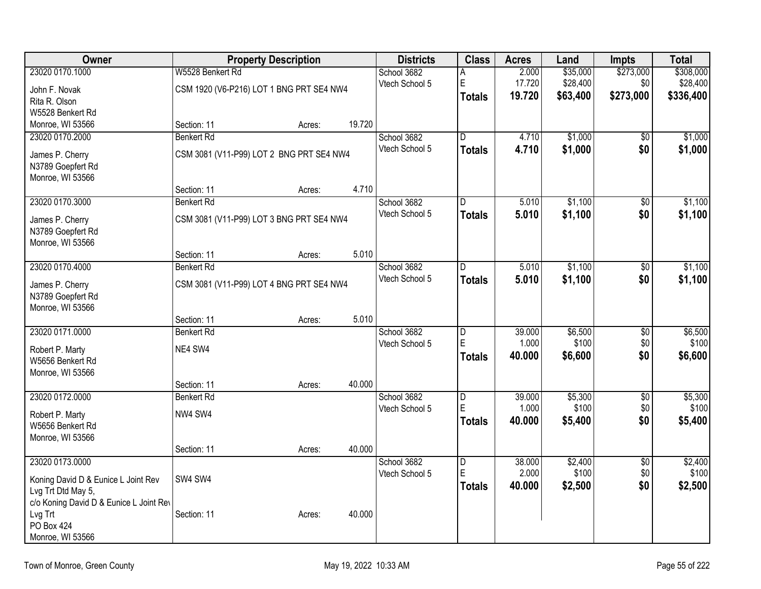| Owner                                                     | <b>Property Description</b> |                                          | <b>Districts</b> | <b>Class</b>   | <b>Acres</b>            | Land   | <b>Impts</b> | <b>Total</b>    |           |
|-----------------------------------------------------------|-----------------------------|------------------------------------------|------------------|----------------|-------------------------|--------|--------------|-----------------|-----------|
| 23020 0170.1000                                           | W5528 Benkert Rd            |                                          |                  | School 3682    |                         | 2.000  | \$35,000     | \$273,000       | \$308,000 |
| John F. Novak                                             |                             | CSM 1920 (V6-P216) LOT 1 BNG PRT SE4 NW4 |                  | Vtech School 5 | E                       | 17.720 | \$28,400     | \$0             | \$28,400  |
| Rita R. Olson                                             |                             |                                          |                  |                | <b>Totals</b>           | 19.720 | \$63,400     | \$273,000       | \$336,400 |
| W5528 Benkert Rd                                          |                             |                                          |                  |                |                         |        |              |                 |           |
| Monroe, WI 53566                                          | Section: 11                 | Acres:                                   | 19.720           |                |                         |        |              |                 |           |
| 23020 0170.2000                                           | <b>Benkert Rd</b>           |                                          |                  | School 3682    | $\overline{\mathsf{D}}$ | 4.710  | \$1,000      | $\overline{50}$ | \$1,000   |
| James P. Cherry                                           |                             | CSM 3081 (V11-P99) LOT 2 BNG PRT SE4 NW4 |                  | Vtech School 5 | <b>Totals</b>           | 4.710  | \$1,000      | \$0             | \$1,000   |
| N3789 Goepfert Rd                                         |                             |                                          |                  |                |                         |        |              |                 |           |
| Monroe, WI 53566                                          |                             |                                          |                  |                |                         |        |              |                 |           |
|                                                           | Section: 11                 | Acres:                                   | 4.710            |                |                         |        |              |                 |           |
| 23020 0170.3000                                           | <b>Benkert Rd</b>           |                                          |                  | School 3682    | D.                      | 5.010  | \$1,100      | \$0             | \$1,100   |
| James P. Cherry                                           |                             | CSM 3081 (V11-P99) LOT 3 BNG PRT SE4 NW4 |                  | Vtech School 5 | <b>Totals</b>           | 5.010  | \$1,100      | \$0             | \$1,100   |
| N3789 Goepfert Rd                                         |                             |                                          |                  |                |                         |        |              |                 |           |
| Monroe, WI 53566                                          |                             |                                          |                  |                |                         |        |              |                 |           |
|                                                           | Section: 11                 | Acres:                                   | 5.010            |                |                         |        |              |                 |           |
| 23020 0170.4000                                           | <b>Benkert Rd</b>           |                                          |                  | School 3682    | D                       | 5.010  | \$1,100      | $\overline{50}$ | \$1,100   |
| James P. Cherry                                           |                             | CSM 3081 (V11-P99) LOT 4 BNG PRT SE4 NW4 |                  | Vtech School 5 | <b>Totals</b>           | 5.010  | \$1,100      | \$0             | \$1,100   |
| N3789 Goepfert Rd                                         |                             |                                          |                  |                |                         |        |              |                 |           |
| Monroe, WI 53566                                          |                             |                                          |                  |                |                         |        |              |                 |           |
|                                                           | Section: 11                 | Acres:                                   | 5.010            |                |                         |        |              |                 |           |
| 23020 0171.0000                                           | <b>Benkert Rd</b>           |                                          |                  | School 3682    | $\overline{\mathsf{D}}$ | 39,000 | \$6,500      | $\overline{50}$ | \$6,500   |
| Robert P. Marty                                           | NE4 SW4                     |                                          |                  | Vtech School 5 | E                       | 1.000  | \$100        | \$0             | \$100     |
| W5656 Benkert Rd                                          |                             |                                          |                  |                | <b>Totals</b>           | 40.000 | \$6,600      | \$0             | \$6,600   |
| Monroe, WI 53566                                          |                             |                                          |                  |                |                         |        |              |                 |           |
|                                                           | Section: 11                 | Acres:                                   | 40.000           |                |                         |        |              |                 |           |
| 23020 0172.0000                                           | <b>Benkert Rd</b>           |                                          |                  | School 3682    | $\overline{\mathsf{D}}$ | 39.000 | \$5,300      | $\overline{50}$ | \$5,300   |
| Robert P. Marty                                           | NW4 SW4                     |                                          |                  | Vtech School 5 | E                       | 1.000  | \$100        | \$0             | \$100     |
| W5656 Benkert Rd                                          |                             |                                          |                  |                | <b>Totals</b>           | 40.000 | \$5,400      | \$0             | \$5,400   |
| Monroe, WI 53566                                          |                             |                                          |                  |                |                         |        |              |                 |           |
|                                                           | Section: 11                 | Acres:                                   | 40.000           |                |                         |        |              |                 |           |
| 23020 0173.0000                                           |                             |                                          |                  | School 3682    | $\overline{\mathsf{D}}$ | 38.000 | \$2,400      | $\overline{50}$ | \$2,400   |
|                                                           | SW4 SW4                     |                                          |                  | Vtech School 5 | E                       | 2.000  | \$100        | \$0             | \$100     |
| Koning David D & Eunice L Joint Rev<br>Lvg Trt Dtd May 5, |                             |                                          |                  |                | <b>Totals</b>           | 40.000 | \$2,500      | \$0             | \$2,500   |
| c/o Koning David D & Eunice L Joint Rev                   |                             |                                          |                  |                |                         |        |              |                 |           |
| Lvg Trt                                                   | Section: 11                 | Acres:                                   | 40.000           |                |                         |        |              |                 |           |
| <b>PO Box 424</b>                                         |                             |                                          |                  |                |                         |        |              |                 |           |
| Monroe, WI 53566                                          |                             |                                          |                  |                |                         |        |              |                 |           |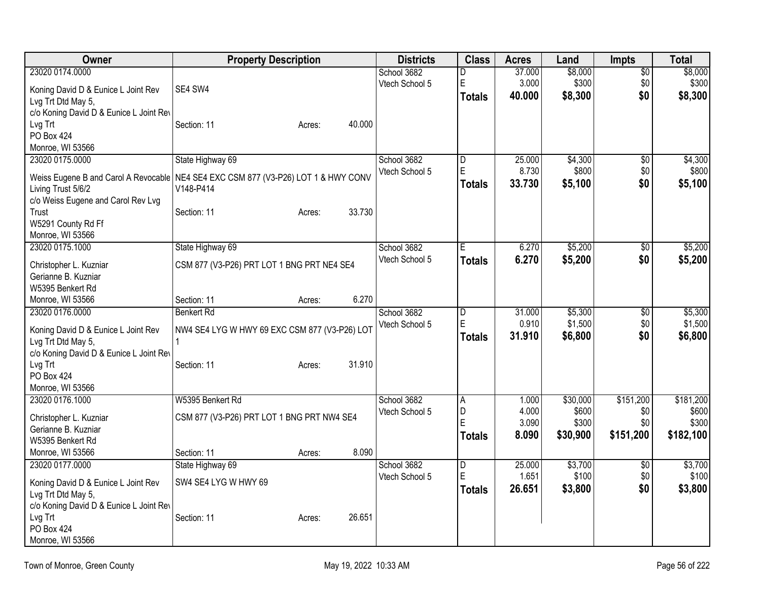| Owner                                         | <b>Property Description</b>                                                          | <b>Districts</b> | <b>Class</b>   | <b>Acres</b> | Land     | <b>Impts</b>  | <b>Total</b> |
|-----------------------------------------------|--------------------------------------------------------------------------------------|------------------|----------------|--------------|----------|---------------|--------------|
| 23020 0174.0000                               |                                                                                      | School 3682      | D              | 37.000       | \$8,000  | \$0           | \$8,000      |
| Koning David D & Eunice L Joint Rev           | SE4 SW4                                                                              | Vtech School 5   | $\mathsf E$    | 3.000        | \$300    | \$0           | \$300        |
| Lvg Trt Dtd May 5,                            |                                                                                      |                  | <b>Totals</b>  | 40.000       | \$8,300  | \$0           | \$8,300      |
| c/o Koning David D & Eunice L Joint Rev       |                                                                                      |                  |                |              |          |               |              |
| Lvg Trt                                       | 40.000<br>Section: 11<br>Acres:                                                      |                  |                |              |          |               |              |
| <b>PO Box 424</b>                             |                                                                                      |                  |                |              |          |               |              |
| Monroe, WI 53566                              |                                                                                      |                  |                |              |          |               |              |
| 23020 0175.0000                               | State Highway 69                                                                     | School 3682      | ID.            | 25.000       | \$4,300  | \$0           | \$4,300      |
|                                               | Weiss Eugene B and Carol A Revocable   NE4 SE4 EXC CSM 877 (V3-P26) LOT 1 & HWY CONV | Vtech School 5   | ΙE             | 8.730        | \$800    | \$0           | \$800        |
| Living Trust 5/6/2                            | V148-P414                                                                            |                  | Totals         | 33.730       | \$5,100  | \$0           | \$5,100      |
| c/o Weiss Eugene and Carol Rev Lvg            |                                                                                      |                  |                |              |          |               |              |
| Trust                                         | 33.730<br>Section: 11<br>Acres:                                                      |                  |                |              |          |               |              |
| W5291 County Rd Ff                            |                                                                                      |                  |                |              |          |               |              |
| Monroe, WI 53566                              |                                                                                      |                  |                |              |          |               |              |
| 23020 0175.1000                               | State Highway 69                                                                     | School 3682      | Έ              | 6.270        | \$5,200  | \$0           | \$5,200      |
|                                               | CSM 877 (V3-P26) PRT LOT 1 BNG PRT NE4 SE4                                           | Vtech School 5   | <b>Totals</b>  | 6.270        | \$5,200  | \$0           | \$5,200      |
| Christopher L. Kuzniar<br>Gerianne B. Kuzniar |                                                                                      |                  |                |              |          |               |              |
| W5395 Benkert Rd                              |                                                                                      |                  |                |              |          |               |              |
| Monroe, WI 53566                              | 6.270<br>Section: 11<br>Acres:                                                       |                  |                |              |          |               |              |
| 23020 0176.0000                               | <b>Benkert Rd</b>                                                                    | School 3682      | D              | 31.000       | \$5,300  | $\sqrt[6]{3}$ | \$5,300      |
|                                               |                                                                                      | Vtech School 5   | E              | 0.910        | \$1,500  | \$0           | \$1,500      |
| Koning David D & Eunice L Joint Rev           | NW4 SE4 LYG W HWY 69 EXC CSM 877 (V3-P26) LOT                                        |                  | <b>Totals</b>  | 31.910       | \$6,800  | \$0           | \$6,800      |
| Lvg Trt Dtd May 5,                            |                                                                                      |                  |                |              |          |               |              |
| c/o Koning David D & Eunice L Joint Rev       |                                                                                      |                  |                |              |          |               |              |
| Lvg Trt                                       | 31.910<br>Section: 11<br>Acres:                                                      |                  |                |              |          |               |              |
| PO Box 424                                    |                                                                                      |                  |                |              |          |               |              |
| Monroe, WI 53566<br>23020 0176.1000           | W5395 Benkert Rd                                                                     | School 3682      | $\overline{A}$ | 1.000        | \$30,000 | \$151,200     | \$181,200    |
|                                               |                                                                                      | Vtech School 5   | D              | 4.000        | \$600    | \$0           | \$600        |
| Christopher L. Kuzniar                        | CSM 877 (V3-P26) PRT LOT 1 BNG PRT NW4 SE4                                           |                  | E              | 3.090        | \$300    | \$0           | \$300        |
| Gerianne B. Kuzniar                           |                                                                                      |                  | <b>Totals</b>  | 8.090        | \$30,900 | \$151,200     | \$182,100    |
| W5395 Benkert Rd                              |                                                                                      |                  |                |              |          |               |              |
| Monroe, WI 53566                              | 8.090<br>Section: 11<br>Acres:                                                       |                  |                |              |          |               |              |
| 23020 0177.0000                               | State Highway 69                                                                     | School 3682      | D              | 25.000       | \$3,700  | $\sqrt[6]{3}$ | \$3,700      |
| Koning David D & Eunice L Joint Rev           | SW4 SE4 LYG W HWY 69                                                                 | Vtech School 5   | $\mathsf E$    | 1.651        | \$100    | \$0           | \$100        |
| Lvg Trt Dtd May 5,                            |                                                                                      |                  | <b>Totals</b>  | 26.651       | \$3,800  | \$0           | \$3,800      |
| c/o Koning David D & Eunice L Joint Rev       |                                                                                      |                  |                |              |          |               |              |
| Lvg Trt                                       | 26.651<br>Section: 11<br>Acres:                                                      |                  |                |              |          |               |              |
| PO Box 424                                    |                                                                                      |                  |                |              |          |               |              |
| Monroe, WI 53566                              |                                                                                      |                  |                |              |          |               |              |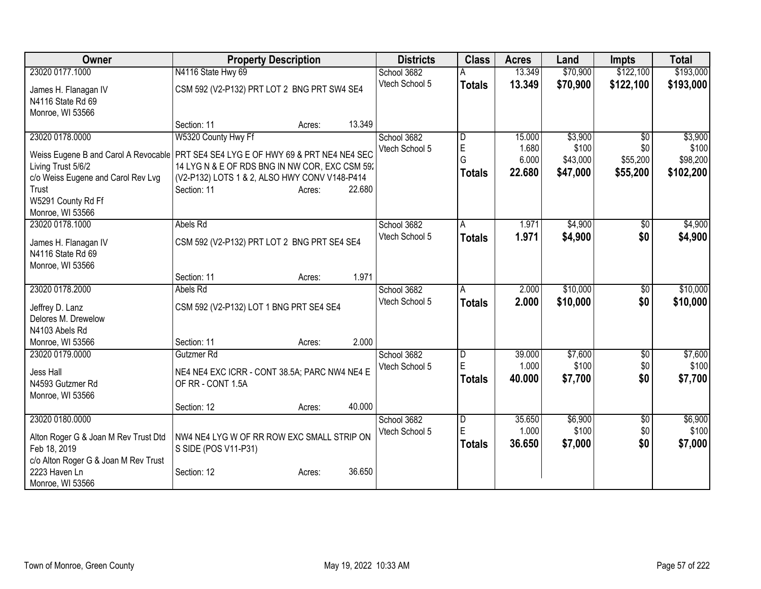| Owner                                     | <b>Property Description</b>                                                          | <b>Districts</b> | <b>Class</b>   | <b>Acres</b> | Land     | <b>Impts</b>    | <b>Total</b> |
|-------------------------------------------|--------------------------------------------------------------------------------------|------------------|----------------|--------------|----------|-----------------|--------------|
| 23020 0177.1000                           | N4116 State Hwy 69                                                                   | School 3682      |                | 13.349       | \$70,900 | \$122,100       | \$193,000    |
| James H. Flanagan IV<br>N4116 State Rd 69 | CSM 592 (V2-P132) PRT LOT 2 BNG PRT SW4 SE4                                          | Vtech School 5   | <b>Totals</b>  | 13.349       | \$70,900 | \$122,100       | \$193,000    |
| Monroe, WI 53566                          |                                                                                      |                  |                |              |          |                 |              |
|                                           | 13.349<br>Section: 11<br>Acres:                                                      |                  |                |              |          |                 |              |
| 23020 0178.0000                           | W5320 County Hwy Ff                                                                  | School 3682      | D              | 15.000       | \$3,900  | $\overline{50}$ | \$3,900      |
|                                           | Weiss Eugene B and Carol A Revocable   PRT SE4 SE4 LYG E OF HWY 69 & PRT NE4 NE4 SEC | Vtech School 5   | E<br>G         | 1.680        | \$100    | \$0             | \$100        |
| Living Trust 5/6/2                        | 14 LYGN & E OF RDS BNG IN NW COR, EXC CSM 59.                                        |                  |                | 6.000        | \$43,000 | \$55,200        | \$98,200     |
| c/o Weiss Eugene and Carol Rev Lvg        | (V2-P132) LOTS 1 & 2, ALSO HWY CONV V148-P414                                        |                  | <b>Totals</b>  | 22.680       | \$47,000 | \$55,200        | \$102,200    |
| Trust                                     | Section: 11<br>22.680<br>Acres:                                                      |                  |                |              |          |                 |              |
| W5291 County Rd Ff                        |                                                                                      |                  |                |              |          |                 |              |
| Monroe, WI 53566                          |                                                                                      |                  |                |              |          |                 |              |
| 23020 0178.1000                           | Abels Rd                                                                             | School 3682      | A              | 1.971        | \$4,900  | \$0             | \$4,900      |
| James H. Flanagan IV                      | CSM 592 (V2-P132) PRT LOT 2 BNG PRT SE4 SE4                                          | Vtech School 5   | <b>Totals</b>  | 1.971        | \$4,900  | \$0             | \$4,900      |
| N4116 State Rd 69                         |                                                                                      |                  |                |              |          |                 |              |
| Monroe, WI 53566                          |                                                                                      |                  |                |              |          |                 |              |
|                                           | 1.971<br>Section: 11<br>Acres:                                                       |                  |                |              |          |                 |              |
| 23020 0178.2000                           | Abels Rd                                                                             | School 3682      | A              | 2.000        | \$10,000 | \$0             | \$10,000     |
| Jeffrey D. Lanz                           | CSM 592 (V2-P132) LOT 1 BNG PRT SE4 SE4                                              | Vtech School 5   | <b>Totals</b>  | 2.000        | \$10,000 | \$0             | \$10,000     |
| Delores M. Drewelow                       |                                                                                      |                  |                |              |          |                 |              |
| N4103 Abels Rd                            |                                                                                      |                  |                |              |          |                 |              |
| Monroe, WI 53566                          | 2.000<br>Section: 11<br>Acres:                                                       |                  |                |              |          |                 |              |
| 23020 0179.0000                           | Gutzmer <sub>Rd</sub>                                                                | School 3682      | D              | 39.000       | \$7,600  | \$0             | \$7,600      |
|                                           |                                                                                      | Vtech School 5   | E              | 1.000        | \$100    | \$0             | \$100        |
| Jess Hall                                 | NE4 NE4 EXC ICRR - CONT 38.5A; PARC NW4 NE4 E                                        |                  | <b>Totals</b>  | 40.000       | \$7,700  | \$0             | \$7,700      |
| N4593 Gutzmer Rd                          | OF RR - CONT 1.5A                                                                    |                  |                |              |          |                 |              |
| Monroe, WI 53566                          |                                                                                      |                  |                |              |          |                 |              |
|                                           | 40.000<br>Section: 12<br>Acres:                                                      |                  |                |              |          |                 |              |
| 23020 0180.0000                           |                                                                                      | School 3682      | $\overline{D}$ | 35.650       | \$6,900  | $\overline{60}$ | \$6,900      |
| Alton Roger G & Joan M Rev Trust Dtd      | NW4 NE4 LYG W OF RR ROW EXC SMALL STRIP ON                                           | Vtech School 5   | E              | 1.000        | \$100    | \$0             | \$100        |
| Feb 18, 2019                              | S SIDE (POS V11-P31)                                                                 |                  | <b>Totals</b>  | 36.650       | \$7,000  | \$0             | \$7,000      |
| c/o Alton Roger G & Joan M Rev Trust      |                                                                                      |                  |                |              |          |                 |              |
| 2223 Haven Ln                             | 36.650<br>Section: 12<br>Acres:                                                      |                  |                |              |          |                 |              |
| Monroe, WI 53566                          |                                                                                      |                  |                |              |          |                 |              |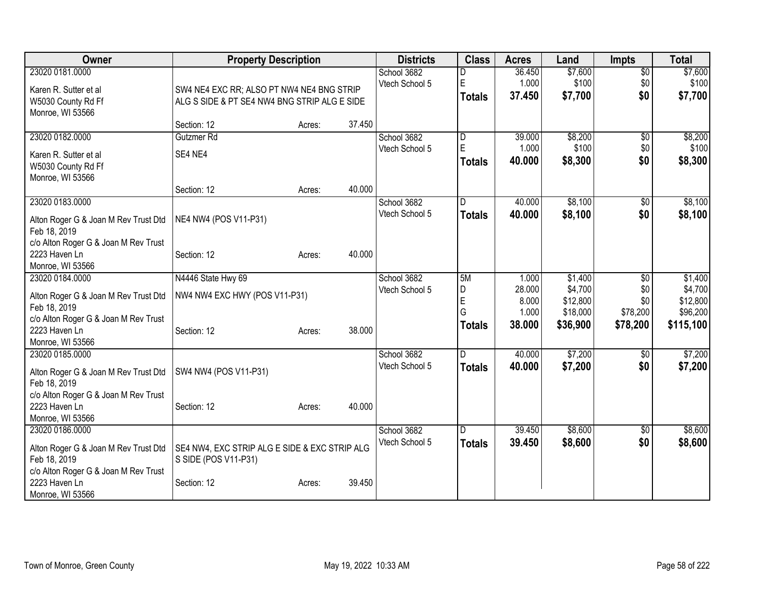| Owner                                                                                                                               | <b>Property Description</b>                                                               |        |        | <b>Districts</b>              | <b>Class</b>                       | <b>Acres</b>                                | Land                                                   | <b>Impts</b>                                          | <b>Total</b>                                            |
|-------------------------------------------------------------------------------------------------------------------------------------|-------------------------------------------------------------------------------------------|--------|--------|-------------------------------|------------------------------------|---------------------------------------------|--------------------------------------------------------|-------------------------------------------------------|---------------------------------------------------------|
| 23020 0181.0000<br>Karen R. Sutter et al<br>W5030 County Rd Ff<br>Monroe, WI 53566                                                  | SW4 NE4 EXC RR; ALSO PT NW4 NE4 BNG STRIP<br>ALG S SIDE & PT SE4 NW4 BNG STRIP ALG E SIDE |        |        | School 3682<br>Vtech School 5 | D<br>E<br><b>Totals</b>            | 36.450<br>1.000<br>37.450                   | \$7,600<br>\$100<br>\$7,700                            | $\overline{50}$<br>\$0<br>\$0                         | \$7,600<br>\$100<br>\$7,700                             |
| 23020 0182.0000                                                                                                                     | Section: 12<br>Gutzmer Rd                                                                 | Acres: | 37.450 | School 3682                   | D                                  | 39.000                                      | \$8,200                                                | $\sqrt{6}$                                            | \$8,200                                                 |
| Karen R. Sutter et al<br>W5030 County Rd Ff<br>Monroe, WI 53566                                                                     | SE4 NE4                                                                                   |        |        | Vtech School 5                | E<br><b>Totals</b>                 | 1.000<br>40.000                             | \$100<br>\$8,300                                       | \$0<br>\$0                                            | \$100<br>\$8,300                                        |
|                                                                                                                                     | Section: 12                                                                               | Acres: | 40.000 |                               |                                    |                                             |                                                        |                                                       |                                                         |
| 23020 0183.0000<br>Alton Roger G & Joan M Rev Trust Dtd<br>Feb 18, 2019                                                             | NE4 NW4 (POS V11-P31)                                                                     |        |        | School 3682<br>Vtech School 5 | D<br><b>Totals</b>                 | 40.000<br>40.000                            | \$8,100<br>\$8,100                                     | \$0<br>\$0                                            | \$8,100<br>\$8,100                                      |
| c/o Alton Roger G & Joan M Rev Trust<br>2223 Haven Ln<br>Monroe, WI 53566                                                           | Section: 12                                                                               | Acres: | 40.000 |                               |                                    |                                             |                                                        |                                                       |                                                         |
| 23020 0184.0000<br>Alton Roger G & Joan M Rev Trust Dtd<br>Feb 18, 2019<br>c/o Alton Roger G & Joan M Rev Trust<br>2223 Haven Ln    | N4446 State Hwy 69<br>NW4 NW4 EXC HWY (POS V11-P31)<br>Section: 12                        | Acres: | 38.000 | School 3682<br>Vtech School 5 | 5M<br>D<br>E<br>G<br><b>Totals</b> | 1.000<br>28.000<br>8.000<br>1.000<br>38.000 | \$1,400<br>\$4,700<br>\$12,800<br>\$18,000<br>\$36,900 | $\overline{50}$<br>\$0<br>\$0<br>\$78,200<br>\$78,200 | \$1,400<br>\$4,700<br>\$12,800<br>\$96,200<br>\$115,100 |
| Monroe, WI 53566<br>23020 0185.0000<br>Alton Roger G & Joan M Rev Trust Dtd<br>Feb 18, 2019<br>c/o Alton Roger G & Joan M Rev Trust | SW4 NW4 (POS V11-P31)                                                                     |        |        | School 3682<br>Vtech School 5 | D<br><b>Totals</b>                 | 40.000<br>40.000                            | \$7,200<br>\$7,200                                     | $\sqrt[6]{3}$<br>\$0                                  | \$7,200<br>\$7,200                                      |
| 2223 Haven Ln<br>Monroe, WI 53566                                                                                                   | Section: 12                                                                               | Acres: | 40.000 |                               |                                    |                                             |                                                        |                                                       |                                                         |
| 23020 0186.0000<br>Alton Roger G & Joan M Rev Trust Dtd<br>Feb 18, 2019<br>c/o Alton Roger G & Joan M Rev Trust                     | SE4 NW4, EXC STRIP ALG E SIDE & EXC STRIP ALG<br>S SIDE (POS V11-P31)                     |        |        | School 3682<br>Vtech School 5 | D<br><b>Totals</b>                 | 39.450<br>39.450                            | \$8,600<br>\$8,600                                     | $\sqrt[6]{3}$<br>\$0                                  | \$8,600<br>\$8,600                                      |
| 2223 Haven Ln<br>Monroe, WI 53566                                                                                                   | Section: 12                                                                               | Acres: | 39.450 |                               |                                    |                                             |                                                        |                                                       |                                                         |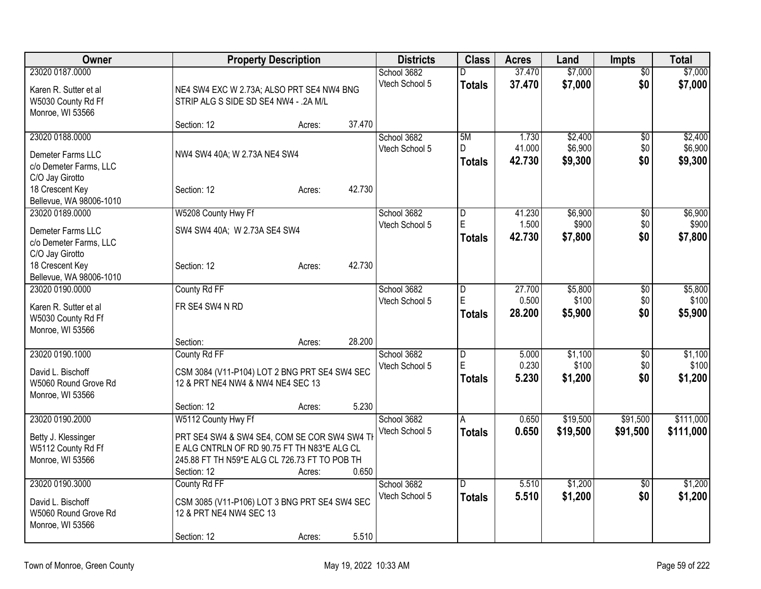| \$7,000<br>37.470<br>23020 0187.0000<br>School 3682<br>$\overline{50}$<br>D<br>Vtech School 5<br>37.470<br>\$7,000<br>\$0<br>\$7,000<br><b>Totals</b><br>Karen R. Sutter et al<br>NE4 SW4 EXC W 2.73A; ALSO PRT SE4 NW4 BNG<br>W5030 County Rd Ff<br>STRIP ALG S SIDE SD SE4 NW4 - .2A M/L<br>Monroe, WI 53566<br>37.470<br>Section: 12<br>Acres:<br>\$2,400<br>23020 0188.0000<br>School 3682<br>5M<br>1.730<br>$\overline{60}$<br>\$6,900<br>41.000<br>\$0<br>Vtech School 5<br>D.<br>NW4 SW4 40A; W 2.73A NE4 SW4<br>Demeter Farms LLC<br>42.730<br>\$9,300<br>\$0<br><b>Totals</b><br>c/o Demeter Farms, LLC<br>C/O Jay Girotto<br>42.730<br>18 Crescent Key<br>Section: 12<br>Acres:<br>Bellevue, WA 98006-1010<br>\$6,900<br>23020 0189.0000<br>W5208 County Hwy Ff<br>School 3682<br>41.230<br>D<br>\$0<br>E<br>\$900<br>1.500<br>\$0<br>Vtech School 5<br>Demeter Farms LLC<br>SW4 SW4 40A; W 2.73A SE4 SW4<br>\$0<br>42.730<br>\$7,800<br>\$7,800<br><b>Totals</b><br>c/o Demeter Farms, LLC<br>C/O Jay Girotto<br>42.730<br>18 Crescent Key<br>Section: 12<br>Acres:<br>Bellevue, WA 98006-1010<br>23020 0190.0000<br>County Rd FF<br>27.700<br>School 3682<br>\$5,800<br>D<br>\$0<br>E<br>0.500<br>\$100<br>\$0<br>Vtech School 5<br>FR SE4 SW4 N RD<br>Karen R. Sutter et al<br>28.200<br>\$5,900<br>\$0<br>\$5,900<br><b>Totals</b><br>W5030 County Rd Ff<br>Monroe, WI 53566<br>28.200<br>Section:<br>Acres:<br>\$1,100<br>23020 0190.1000<br>County Rd FF<br>School 3682<br>$\overline{D}$<br>5.000<br>\$0<br>E<br>0.230<br>\$100<br>Vtech School 5<br>\$0<br>David L. Bischoff<br>CSM 3084 (V11-P104) LOT 2 BNG PRT SE4 SW4 SEC<br>\$0<br>5.230<br>\$1,200<br>Totals<br>W5060 Round Grove Rd<br>12 & PRT NE4 NW4 & NW4 NE4 SEC 13<br>Monroe, WI 53566<br>5.230<br>Section: 12<br>Acres:<br>\$19,500<br>23020 0190.2000<br>W5112 County Hwy Ff<br>0.650<br>\$91,500<br>School 3682<br>$\overline{A}$<br>Vtech School 5<br>0.650<br>\$19,500<br>\$91,500<br><b>Totals</b><br>PRT SE4 SW4 & SW4 SE4, COM SE COR SW4 SW4 TH<br>Betty J. Klessinger<br>W5112 County Rd Ff<br>E ALG CNTRLN OF RD 90.75 FT TH N83*E ALG CL<br>245.88 FT TH N59*E ALG CL 726.73 FT TO POB TH<br>Monroe, WI 53566<br>0.650<br>Section: 12<br>Acres: | Owner | <b>Property Description</b> |  | <b>Districts</b> | <b>Class</b> | <b>Acres</b> | Land | <b>Impts</b> | <b>Total</b> |
|--------------------------------------------------------------------------------------------------------------------------------------------------------------------------------------------------------------------------------------------------------------------------------------------------------------------------------------------------------------------------------------------------------------------------------------------------------------------------------------------------------------------------------------------------------------------------------------------------------------------------------------------------------------------------------------------------------------------------------------------------------------------------------------------------------------------------------------------------------------------------------------------------------------------------------------------------------------------------------------------------------------------------------------------------------------------------------------------------------------------------------------------------------------------------------------------------------------------------------------------------------------------------------------------------------------------------------------------------------------------------------------------------------------------------------------------------------------------------------------------------------------------------------------------------------------------------------------------------------------------------------------------------------------------------------------------------------------------------------------------------------------------------------------------------------------------------------------------------------------------------------------------------------------------------------------------------------------------------------------------------------------------------------------------------------------------------------------------------------------------------------------------------------------------------------------------------------------------------------------------|-------|-----------------------------|--|------------------|--------------|--------------|------|--------------|--------------|
|                                                                                                                                                                                                                                                                                                                                                                                                                                                                                                                                                                                                                                                                                                                                                                                                                                                                                                                                                                                                                                                                                                                                                                                                                                                                                                                                                                                                                                                                                                                                                                                                                                                                                                                                                                                                                                                                                                                                                                                                                                                                                                                                                                                                                                            |       |                             |  |                  |              |              |      |              | \$7,000      |
|                                                                                                                                                                                                                                                                                                                                                                                                                                                                                                                                                                                                                                                                                                                                                                                                                                                                                                                                                                                                                                                                                                                                                                                                                                                                                                                                                                                                                                                                                                                                                                                                                                                                                                                                                                                                                                                                                                                                                                                                                                                                                                                                                                                                                                            |       |                             |  |                  |              |              |      |              |              |
|                                                                                                                                                                                                                                                                                                                                                                                                                                                                                                                                                                                                                                                                                                                                                                                                                                                                                                                                                                                                                                                                                                                                                                                                                                                                                                                                                                                                                                                                                                                                                                                                                                                                                                                                                                                                                                                                                                                                                                                                                                                                                                                                                                                                                                            |       |                             |  |                  |              |              |      |              |              |
|                                                                                                                                                                                                                                                                                                                                                                                                                                                                                                                                                                                                                                                                                                                                                                                                                                                                                                                                                                                                                                                                                                                                                                                                                                                                                                                                                                                                                                                                                                                                                                                                                                                                                                                                                                                                                                                                                                                                                                                                                                                                                                                                                                                                                                            |       |                             |  |                  |              |              |      |              |              |
| \$2,400<br>\$6,900<br>\$9,300<br>\$6,900<br>\$900<br>\$5,800<br>\$100<br>\$1,100<br>\$100<br>\$1,200<br>\$111,000<br>\$111,000                                                                                                                                                                                                                                                                                                                                                                                                                                                                                                                                                                                                                                                                                                                                                                                                                                                                                                                                                                                                                                                                                                                                                                                                                                                                                                                                                                                                                                                                                                                                                                                                                                                                                                                                                                                                                                                                                                                                                                                                                                                                                                             |       |                             |  |                  |              |              |      |              |              |
|                                                                                                                                                                                                                                                                                                                                                                                                                                                                                                                                                                                                                                                                                                                                                                                                                                                                                                                                                                                                                                                                                                                                                                                                                                                                                                                                                                                                                                                                                                                                                                                                                                                                                                                                                                                                                                                                                                                                                                                                                                                                                                                                                                                                                                            |       |                             |  |                  |              |              |      |              |              |
|                                                                                                                                                                                                                                                                                                                                                                                                                                                                                                                                                                                                                                                                                                                                                                                                                                                                                                                                                                                                                                                                                                                                                                                                                                                                                                                                                                                                                                                                                                                                                                                                                                                                                                                                                                                                                                                                                                                                                                                                                                                                                                                                                                                                                                            |       |                             |  |                  |              |              |      |              |              |
|                                                                                                                                                                                                                                                                                                                                                                                                                                                                                                                                                                                                                                                                                                                                                                                                                                                                                                                                                                                                                                                                                                                                                                                                                                                                                                                                                                                                                                                                                                                                                                                                                                                                                                                                                                                                                                                                                                                                                                                                                                                                                                                                                                                                                                            |       |                             |  |                  |              |              |      |              |              |
|                                                                                                                                                                                                                                                                                                                                                                                                                                                                                                                                                                                                                                                                                                                                                                                                                                                                                                                                                                                                                                                                                                                                                                                                                                                                                                                                                                                                                                                                                                                                                                                                                                                                                                                                                                                                                                                                                                                                                                                                                                                                                                                                                                                                                                            |       |                             |  |                  |              |              |      |              |              |
|                                                                                                                                                                                                                                                                                                                                                                                                                                                                                                                                                                                                                                                                                                                                                                                                                                                                                                                                                                                                                                                                                                                                                                                                                                                                                                                                                                                                                                                                                                                                                                                                                                                                                                                                                                                                                                                                                                                                                                                                                                                                                                                                                                                                                                            |       |                             |  |                  |              |              |      |              |              |
|                                                                                                                                                                                                                                                                                                                                                                                                                                                                                                                                                                                                                                                                                                                                                                                                                                                                                                                                                                                                                                                                                                                                                                                                                                                                                                                                                                                                                                                                                                                                                                                                                                                                                                                                                                                                                                                                                                                                                                                                                                                                                                                                                                                                                                            |       |                             |  |                  |              |              |      |              |              |
|                                                                                                                                                                                                                                                                                                                                                                                                                                                                                                                                                                                                                                                                                                                                                                                                                                                                                                                                                                                                                                                                                                                                                                                                                                                                                                                                                                                                                                                                                                                                                                                                                                                                                                                                                                                                                                                                                                                                                                                                                                                                                                                                                                                                                                            |       |                             |  |                  |              |              |      |              |              |
|                                                                                                                                                                                                                                                                                                                                                                                                                                                                                                                                                                                                                                                                                                                                                                                                                                                                                                                                                                                                                                                                                                                                                                                                                                                                                                                                                                                                                                                                                                                                                                                                                                                                                                                                                                                                                                                                                                                                                                                                                                                                                                                                                                                                                                            |       |                             |  |                  |              |              |      |              |              |
|                                                                                                                                                                                                                                                                                                                                                                                                                                                                                                                                                                                                                                                                                                                                                                                                                                                                                                                                                                                                                                                                                                                                                                                                                                                                                                                                                                                                                                                                                                                                                                                                                                                                                                                                                                                                                                                                                                                                                                                                                                                                                                                                                                                                                                            |       |                             |  |                  |              |              |      |              |              |
|                                                                                                                                                                                                                                                                                                                                                                                                                                                                                                                                                                                                                                                                                                                                                                                                                                                                                                                                                                                                                                                                                                                                                                                                                                                                                                                                                                                                                                                                                                                                                                                                                                                                                                                                                                                                                                                                                                                                                                                                                                                                                                                                                                                                                                            |       |                             |  |                  |              |              |      |              |              |
|                                                                                                                                                                                                                                                                                                                                                                                                                                                                                                                                                                                                                                                                                                                                                                                                                                                                                                                                                                                                                                                                                                                                                                                                                                                                                                                                                                                                                                                                                                                                                                                                                                                                                                                                                                                                                                                                                                                                                                                                                                                                                                                                                                                                                                            |       |                             |  |                  |              |              |      |              |              |
|                                                                                                                                                                                                                                                                                                                                                                                                                                                                                                                                                                                                                                                                                                                                                                                                                                                                                                                                                                                                                                                                                                                                                                                                                                                                                                                                                                                                                                                                                                                                                                                                                                                                                                                                                                                                                                                                                                                                                                                                                                                                                                                                                                                                                                            |       |                             |  |                  |              |              |      |              |              |
|                                                                                                                                                                                                                                                                                                                                                                                                                                                                                                                                                                                                                                                                                                                                                                                                                                                                                                                                                                                                                                                                                                                                                                                                                                                                                                                                                                                                                                                                                                                                                                                                                                                                                                                                                                                                                                                                                                                                                                                                                                                                                                                                                                                                                                            |       |                             |  |                  |              |              |      |              |              |
|                                                                                                                                                                                                                                                                                                                                                                                                                                                                                                                                                                                                                                                                                                                                                                                                                                                                                                                                                                                                                                                                                                                                                                                                                                                                                                                                                                                                                                                                                                                                                                                                                                                                                                                                                                                                                                                                                                                                                                                                                                                                                                                                                                                                                                            |       |                             |  |                  |              |              |      |              |              |
|                                                                                                                                                                                                                                                                                                                                                                                                                                                                                                                                                                                                                                                                                                                                                                                                                                                                                                                                                                                                                                                                                                                                                                                                                                                                                                                                                                                                                                                                                                                                                                                                                                                                                                                                                                                                                                                                                                                                                                                                                                                                                                                                                                                                                                            |       |                             |  |                  |              |              |      |              |              |
|                                                                                                                                                                                                                                                                                                                                                                                                                                                                                                                                                                                                                                                                                                                                                                                                                                                                                                                                                                                                                                                                                                                                                                                                                                                                                                                                                                                                                                                                                                                                                                                                                                                                                                                                                                                                                                                                                                                                                                                                                                                                                                                                                                                                                                            |       |                             |  |                  |              |              |      |              |              |
|                                                                                                                                                                                                                                                                                                                                                                                                                                                                                                                                                                                                                                                                                                                                                                                                                                                                                                                                                                                                                                                                                                                                                                                                                                                                                                                                                                                                                                                                                                                                                                                                                                                                                                                                                                                                                                                                                                                                                                                                                                                                                                                                                                                                                                            |       |                             |  |                  |              |              |      |              |              |
|                                                                                                                                                                                                                                                                                                                                                                                                                                                                                                                                                                                                                                                                                                                                                                                                                                                                                                                                                                                                                                                                                                                                                                                                                                                                                                                                                                                                                                                                                                                                                                                                                                                                                                                                                                                                                                                                                                                                                                                                                                                                                                                                                                                                                                            |       |                             |  |                  |              |              |      |              |              |
|                                                                                                                                                                                                                                                                                                                                                                                                                                                                                                                                                                                                                                                                                                                                                                                                                                                                                                                                                                                                                                                                                                                                                                                                                                                                                                                                                                                                                                                                                                                                                                                                                                                                                                                                                                                                                                                                                                                                                                                                                                                                                                                                                                                                                                            |       |                             |  |                  |              |              |      |              |              |
|                                                                                                                                                                                                                                                                                                                                                                                                                                                                                                                                                                                                                                                                                                                                                                                                                                                                                                                                                                                                                                                                                                                                                                                                                                                                                                                                                                                                                                                                                                                                                                                                                                                                                                                                                                                                                                                                                                                                                                                                                                                                                                                                                                                                                                            |       |                             |  |                  |              |              |      |              |              |
|                                                                                                                                                                                                                                                                                                                                                                                                                                                                                                                                                                                                                                                                                                                                                                                                                                                                                                                                                                                                                                                                                                                                                                                                                                                                                                                                                                                                                                                                                                                                                                                                                                                                                                                                                                                                                                                                                                                                                                                                                                                                                                                                                                                                                                            |       |                             |  |                  |              |              |      |              |              |
|                                                                                                                                                                                                                                                                                                                                                                                                                                                                                                                                                                                                                                                                                                                                                                                                                                                                                                                                                                                                                                                                                                                                                                                                                                                                                                                                                                                                                                                                                                                                                                                                                                                                                                                                                                                                                                                                                                                                                                                                                                                                                                                                                                                                                                            |       |                             |  |                  |              |              |      |              |              |
|                                                                                                                                                                                                                                                                                                                                                                                                                                                                                                                                                                                                                                                                                                                                                                                                                                                                                                                                                                                                                                                                                                                                                                                                                                                                                                                                                                                                                                                                                                                                                                                                                                                                                                                                                                                                                                                                                                                                                                                                                                                                                                                                                                                                                                            |       |                             |  |                  |              |              |      |              |              |
|                                                                                                                                                                                                                                                                                                                                                                                                                                                                                                                                                                                                                                                                                                                                                                                                                                                                                                                                                                                                                                                                                                                                                                                                                                                                                                                                                                                                                                                                                                                                                                                                                                                                                                                                                                                                                                                                                                                                                                                                                                                                                                                                                                                                                                            |       |                             |  |                  |              |              |      |              |              |
|                                                                                                                                                                                                                                                                                                                                                                                                                                                                                                                                                                                                                                                                                                                                                                                                                                                                                                                                                                                                                                                                                                                                                                                                                                                                                                                                                                                                                                                                                                                                                                                                                                                                                                                                                                                                                                                                                                                                                                                                                                                                                                                                                                                                                                            |       |                             |  |                  |              |              |      |              |              |
|                                                                                                                                                                                                                                                                                                                                                                                                                                                                                                                                                                                                                                                                                                                                                                                                                                                                                                                                                                                                                                                                                                                                                                                                                                                                                                                                                                                                                                                                                                                                                                                                                                                                                                                                                                                                                                                                                                                                                                                                                                                                                                                                                                                                                                            |       |                             |  |                  |              |              |      |              |              |
|                                                                                                                                                                                                                                                                                                                                                                                                                                                                                                                                                                                                                                                                                                                                                                                                                                                                                                                                                                                                                                                                                                                                                                                                                                                                                                                                                                                                                                                                                                                                                                                                                                                                                                                                                                                                                                                                                                                                                                                                                                                                                                                                                                                                                                            |       |                             |  |                  |              |              |      |              |              |
|                                                                                                                                                                                                                                                                                                                                                                                                                                                                                                                                                                                                                                                                                                                                                                                                                                                                                                                                                                                                                                                                                                                                                                                                                                                                                                                                                                                                                                                                                                                                                                                                                                                                                                                                                                                                                                                                                                                                                                                                                                                                                                                                                                                                                                            |       |                             |  |                  |              |              |      |              |              |
|                                                                                                                                                                                                                                                                                                                                                                                                                                                                                                                                                                                                                                                                                                                                                                                                                                                                                                                                                                                                                                                                                                                                                                                                                                                                                                                                                                                                                                                                                                                                                                                                                                                                                                                                                                                                                                                                                                                                                                                                                                                                                                                                                                                                                                            |       |                             |  |                  |              |              |      |              |              |
| 23020 0190.3000<br>\$1,200<br>\$1,200<br>School 3682<br>5.510<br>County Rd FF<br>D<br>$\overline{50}$                                                                                                                                                                                                                                                                                                                                                                                                                                                                                                                                                                                                                                                                                                                                                                                                                                                                                                                                                                                                                                                                                                                                                                                                                                                                                                                                                                                                                                                                                                                                                                                                                                                                                                                                                                                                                                                                                                                                                                                                                                                                                                                                      |       |                             |  |                  |              |              |      |              |              |
| \$1,200<br>\$0<br>Vtech School 5<br>5.510<br>\$1,200<br><b>Totals</b><br>CSM 3085 (V11-P106) LOT 3 BNG PRT SE4 SW4 SEC<br>David L. Bischoff                                                                                                                                                                                                                                                                                                                                                                                                                                                                                                                                                                                                                                                                                                                                                                                                                                                                                                                                                                                                                                                                                                                                                                                                                                                                                                                                                                                                                                                                                                                                                                                                                                                                                                                                                                                                                                                                                                                                                                                                                                                                                                |       |                             |  |                  |              |              |      |              |              |
| W5060 Round Grove Rd<br>12 & PRT NE4 NW4 SEC 13                                                                                                                                                                                                                                                                                                                                                                                                                                                                                                                                                                                                                                                                                                                                                                                                                                                                                                                                                                                                                                                                                                                                                                                                                                                                                                                                                                                                                                                                                                                                                                                                                                                                                                                                                                                                                                                                                                                                                                                                                                                                                                                                                                                            |       |                             |  |                  |              |              |      |              |              |
| Monroe, WI 53566                                                                                                                                                                                                                                                                                                                                                                                                                                                                                                                                                                                                                                                                                                                                                                                                                                                                                                                                                                                                                                                                                                                                                                                                                                                                                                                                                                                                                                                                                                                                                                                                                                                                                                                                                                                                                                                                                                                                                                                                                                                                                                                                                                                                                           |       |                             |  |                  |              |              |      |              |              |
| 5.510<br>Section: 12<br>Acres:                                                                                                                                                                                                                                                                                                                                                                                                                                                                                                                                                                                                                                                                                                                                                                                                                                                                                                                                                                                                                                                                                                                                                                                                                                                                                                                                                                                                                                                                                                                                                                                                                                                                                                                                                                                                                                                                                                                                                                                                                                                                                                                                                                                                             |       |                             |  |                  |              |              |      |              |              |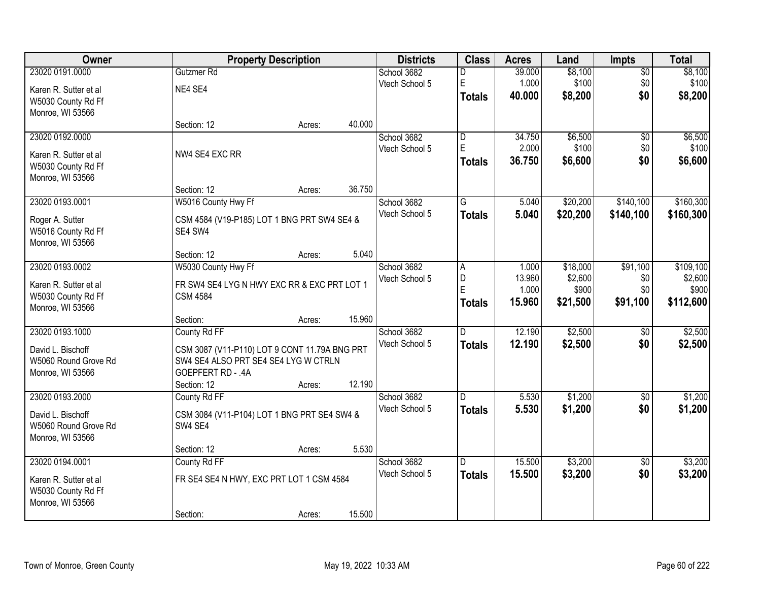| Owner                 |                                               | <b>Property Description</b> |        | <b>Districts</b> | <b>Class</b>            | <b>Acres</b> | Land     | Impts           | <b>Total</b> |
|-----------------------|-----------------------------------------------|-----------------------------|--------|------------------|-------------------------|--------------|----------|-----------------|--------------|
| 23020 0191.0000       | Gutzmer Rd                                    |                             |        | School 3682      | D                       | 39.000       | \$8,100  | $\overline{50}$ | \$8,100      |
| Karen R. Sutter et al | NE4 SE4                                       |                             |        | Vtech School 5   | E                       | 1.000        | \$100    | \$0             | \$100        |
| W5030 County Rd Ff    |                                               |                             |        |                  | <b>Totals</b>           | 40.000       | \$8,200  | \$0             | \$8,200      |
| Monroe, WI 53566      |                                               |                             |        |                  |                         |              |          |                 |              |
|                       | Section: 12                                   | Acres:                      | 40.000 |                  |                         |              |          |                 |              |
| 23020 0192.0000       |                                               |                             |        | School 3682      | $\overline{\mathsf{D}}$ | 34.750       | \$6,500  | $\overline{50}$ | \$6,500      |
| Karen R. Sutter et al | NW4 SE4 EXC RR                                |                             |        | Vtech School 5   | E                       | 2.000        | \$100    | \$0             | \$100        |
| W5030 County Rd Ff    |                                               |                             |        |                  | <b>Totals</b>           | 36.750       | \$6,600  | \$0             | \$6,600      |
| Monroe, WI 53566      |                                               |                             |        |                  |                         |              |          |                 |              |
|                       | Section: 12                                   | Acres:                      | 36.750 |                  |                         |              |          |                 |              |
| 23020 0193.0001       | W5016 County Hwy Ff                           |                             |        | School 3682      | G                       | 5.040        | \$20,200 | \$140,100       | \$160,300    |
| Roger A. Sutter       | CSM 4584 (V19-P185) LOT 1 BNG PRT SW4 SE4 &   |                             |        | Vtech School 5   | <b>Totals</b>           | 5.040        | \$20,200 | \$140,100       | \$160,300    |
| W5016 County Rd Ff    | SE4 SW4                                       |                             |        |                  |                         |              |          |                 |              |
| Monroe, WI 53566      |                                               |                             |        |                  |                         |              |          |                 |              |
|                       | Section: 12                                   | Acres:                      | 5.040  |                  |                         |              |          |                 |              |
| 23020 0193.0002       | W5030 County Hwy Ff                           |                             |        | School 3682      | A                       | 1.000        | \$18,000 | \$91,100        | \$109,100    |
| Karen R. Sutter et al | FR SW4 SE4 LYG N HWY EXC RR & EXC PRT LOT 1   |                             |        | Vtech School 5   | D                       | 13.960       | \$2,600  | \$0             | \$2,600      |
| W5030 County Rd Ff    | <b>CSM 4584</b>                               |                             |        |                  | E                       | 1.000        | \$900    | \$0             | \$900        |
| Monroe, WI 53566      |                                               |                             |        |                  | <b>Totals</b>           | 15.960       | \$21,500 | \$91,100        | \$112,600    |
|                       | Section:                                      | Acres:                      | 15.960 |                  |                         |              |          |                 |              |
| 23020 0193.1000       | County Rd FF                                  |                             |        | School 3682      | D.                      | 12.190       | \$2,500  | \$0             | \$2,500      |
| David L. Bischoff     | CSM 3087 (V11-P110) LOT 9 CONT 11.79A BNG PRT |                             |        | Vtech School 5   | <b>Totals</b>           | 12.190       | \$2,500  | \$0             | \$2,500      |
| W5060 Round Grove Rd  | SW4 SE4 ALSO PRT SE4 SE4 LYG W CTRLN          |                             |        |                  |                         |              |          |                 |              |
| Monroe, WI 53566      | GOEPFERT RD - .4A                             |                             |        |                  |                         |              |          |                 |              |
|                       | Section: 12                                   | Acres:                      | 12.190 |                  |                         |              |          |                 |              |
| 23020 0193.2000       | County Rd FF                                  |                             |        | School 3682      | D                       | 5.530        | \$1,200  | $\sqrt{6}$      | \$1,200      |
| David L. Bischoff     | CSM 3084 (V11-P104) LOT 1 BNG PRT SE4 SW4 &   |                             |        | Vtech School 5   | <b>Totals</b>           | 5.530        | \$1,200  | \$0             | \$1,200      |
| W5060 Round Grove Rd  | SW4 SE4                                       |                             |        |                  |                         |              |          |                 |              |
| Monroe, WI 53566      |                                               |                             |        |                  |                         |              |          |                 |              |
|                       | Section: 12                                   | Acres:                      | 5.530  |                  |                         |              |          |                 |              |
| 23020 0194.0001       | County Rd FF                                  |                             |        | School 3682      | $\overline{D}$          | 15.500       | \$3,200  | $\overline{50}$ | \$3,200      |
| Karen R. Sutter et al | FR SE4 SE4 N HWY, EXC PRT LOT 1 CSM 4584      |                             |        | Vtech School 5   | <b>Totals</b>           | 15.500       | \$3,200  | \$0             | \$3,200      |
| W5030 County Rd Ff    |                                               |                             |        |                  |                         |              |          |                 |              |
| Monroe, WI 53566      |                                               |                             |        |                  |                         |              |          |                 |              |
|                       | Section:                                      | Acres:                      | 15.500 |                  |                         |              |          |                 |              |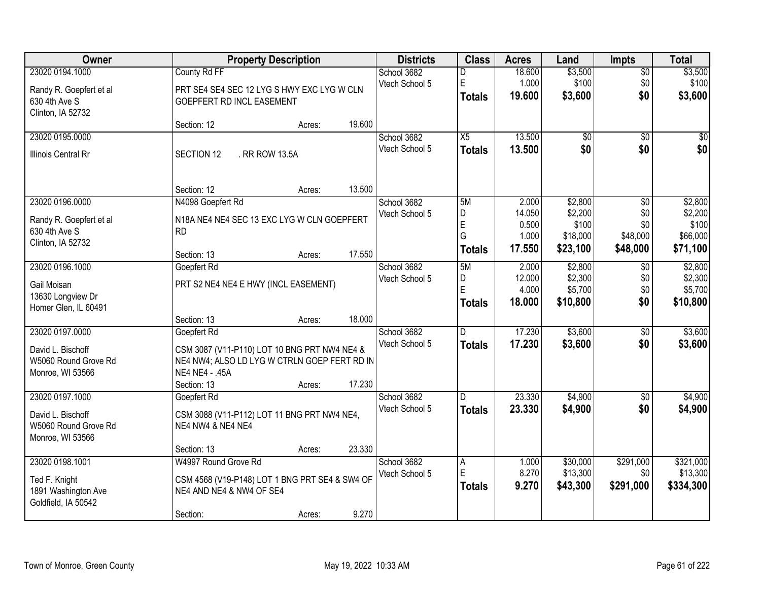| Owner                   | <b>Property Description</b>                    |        |        | <b>Districts</b> | <b>Class</b>        | <b>Acres</b>    | Land                 | <b>Impts</b>     | <b>Total</b>          |
|-------------------------|------------------------------------------------|--------|--------|------------------|---------------------|-----------------|----------------------|------------------|-----------------------|
| 23020 0194.1000         | County Rd FF                                   |        |        | School 3682      | D                   | 18.600          | \$3,500              | \$0              | \$3,500               |
| Randy R. Goepfert et al | PRT SE4 SE4 SEC 12 LYG S HWY EXC LYG W CLN     |        |        | Vtech School 5   | E                   | 1.000<br>19.600 | \$100                | \$0<br>\$0       | \$100                 |
| 630 4th Ave S           | <b>GOEPFERT RD INCL EASEMENT</b>               |        |        |                  | <b>Totals</b>       |                 | \$3,600              |                  | \$3,600               |
| Clinton, IA 52732       | Section: 12                                    |        | 19.600 |                  |                     |                 |                      |                  |                       |
| 23020 0195.0000         |                                                | Acres: |        | School 3682      | X5                  | 13.500          | $\overline{50}$      | \$0              | \$0                   |
|                         |                                                |        |        | Vtech School 5   | <b>Totals</b>       | 13.500          | \$0                  | \$0              | \$0                   |
| Illinois Central Rr     | SECTION 12<br>. RR ROW 13.5A                   |        |        |                  |                     |                 |                      |                  |                       |
|                         |                                                |        |        |                  |                     |                 |                      |                  |                       |
|                         | Section: 12                                    | Acres: | 13.500 |                  |                     |                 |                      |                  |                       |
| 23020 0196.0000         | N4098 Goepfert Rd                              |        |        | School 3682      | 5M                  | 2.000           | \$2,800              | \$0              | \$2,800               |
| Randy R. Goepfert et al | N18A NE4 NE4 SEC 13 EXC LYG W CLN GOEPFERT     |        |        | Vtech School 5   | D                   | 14.050          | \$2,200              | \$0              | \$2,200               |
| 630 4th Ave S           | <b>RD</b>                                      |        |        |                  | $\mathsf E$<br>G    | 0.500<br>1.000  | \$100<br>\$18,000    | \$0<br>\$48,000  | \$100<br>\$66,000     |
| Clinton, IA 52732       |                                                |        |        |                  | <b>Totals</b>       | 17.550          | \$23,100             | \$48,000         | \$71,100              |
|                         | Section: 13                                    | Acres: | 17.550 |                  |                     |                 |                      |                  |                       |
| 23020 0196.1000         | Goepfert Rd                                    |        |        | School 3682      | 5M                  | 2.000           | \$2,800              | \$0              | \$2,800               |
| Gail Moisan             | PRT S2 NE4 NE4 E HWY (INCL EASEMENT)           |        |        | Vtech School 5   | D<br>$\mathsf E$    | 12.000          | \$2,300              | \$0              | \$2,300               |
| 13630 Longview Dr       |                                                |        |        |                  |                     | 4.000<br>18.000 | \$5,700<br>\$10,800  | \$0<br>\$0       | \$5,700<br>\$10,800   |
| Homer Glen, IL 60491    |                                                |        |        |                  | <b>Totals</b>       |                 |                      |                  |                       |
|                         | Section: 13                                    | Acres: | 18.000 |                  |                     |                 |                      |                  |                       |
| 23020 0197.0000         | Goepfert Rd                                    |        |        | School 3682      | $\overline{D}$      | 17.230          | \$3,600              | \$0              | \$3,600               |
| David L. Bischoff       | CSM 3087 (V11-P110) LOT 10 BNG PRT NW4 NE4 &   |        |        | Vtech School 5   | <b>Totals</b>       | 17.230          | \$3,600              | \$0              | \$3,600               |
| W5060 Round Grove Rd    | NE4 NW4; ALSO LD LYG W CTRLN GOEP FERT RD IN   |        |        |                  |                     |                 |                      |                  |                       |
| Monroe, WI 53566        | NE4 NE4 - .45A                                 |        |        |                  |                     |                 |                      |                  |                       |
|                         | Section: 13                                    | Acres: | 17.230 |                  |                     |                 |                      |                  |                       |
| 23020 0197.1000         | Goepfert Rd                                    |        |        | School 3682      | D                   | 23.330          | \$4,900              | \$0              | \$4,900               |
| David L. Bischoff       | CSM 3088 (V11-P112) LOT 11 BNG PRT NW4 NE4,    |        |        | Vtech School 5   | <b>Totals</b>       | 23.330          | \$4,900              | \$0              | \$4,900               |
| W5060 Round Grove Rd    | NE4 NW4 & NE4 NE4                              |        |        |                  |                     |                 |                      |                  |                       |
| Monroe, WI 53566        |                                                |        |        |                  |                     |                 |                      |                  |                       |
|                         | Section: 13                                    | Acres: | 23.330 |                  |                     |                 |                      |                  |                       |
| 23020 0198.1001         | W4997 Round Grove Rd                           |        |        | School 3682      | $\overline{A}$<br>E | 1.000<br>8.270  | \$30,000<br>\$13,300 | \$291,000        | \$321,000<br>\$13,300 |
| Ted F. Knight           | CSM 4568 (V19-P148) LOT 1 BNG PRT SE4 & SW4 OF |        |        | Vtech School 5   |                     | 9.270           |                      | \$0<br>\$291,000 |                       |
| 1891 Washington Ave     | NE4 AND NE4 & NW4 OF SE4                       |        |        |                  | <b>Totals</b>       |                 | \$43,300             |                  | \$334,300             |
| Goldfield, IA 50542     |                                                |        |        |                  |                     |                 |                      |                  |                       |
|                         | Section:                                       | Acres: | 9.270  |                  |                     |                 |                      |                  |                       |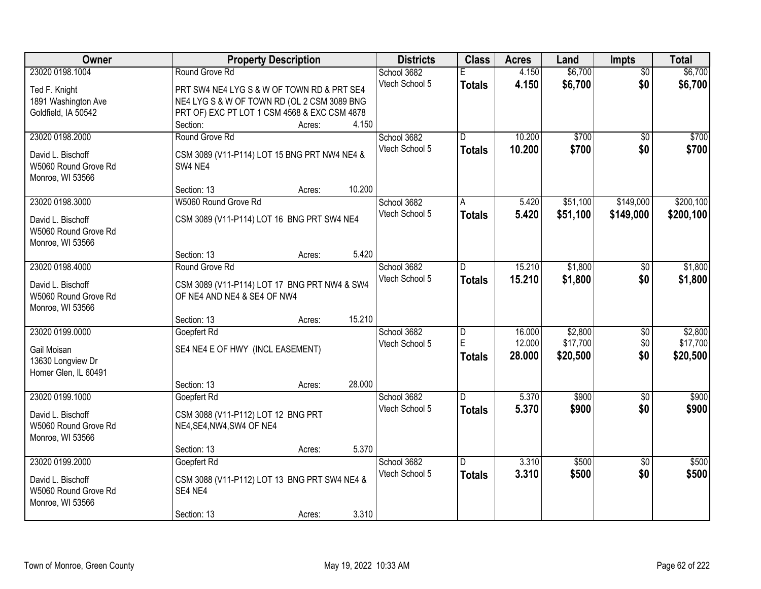| Owner                            | <b>Property Description</b>                                                 | <b>Districts</b> | <b>Class</b>   | <b>Acres</b> | Land     | Impts           | <b>Total</b> |
|----------------------------------|-----------------------------------------------------------------------------|------------------|----------------|--------------|----------|-----------------|--------------|
| 23020 0198.1004                  | Round Grove Rd                                                              | School 3682      |                | 4.150        | \$6,700  | $\overline{50}$ | \$6,700      |
| Ted F. Knight                    | PRT SW4 NE4 LYG S & W OF TOWN RD & PRT SE4                                  | Vtech School 5   | <b>Totals</b>  | 4.150        | \$6,700  | \$0             | \$6,700      |
| 1891 Washington Ave              | NE4 LYG S & W OF TOWN RD (OL 2 CSM 3089 BNG                                 |                  |                |              |          |                 |              |
| Goldfield, IA 50542              | PRT OF) EXC PT LOT 1 CSM 4568 & EXC CSM 4878                                |                  |                |              |          |                 |              |
|                                  | 4.150<br>Section:<br>Acres:                                                 |                  |                |              |          |                 |              |
| 23020 0198.2000                  | Round Grove Rd                                                              | School 3682      | $\overline{D}$ | 10.200       | \$700    | $\overline{50}$ | \$700        |
| David L. Bischoff                | CSM 3089 (V11-P114) LOT 15 BNG PRT NW4 NE4 &                                | Vtech School 5   | <b>Totals</b>  | 10.200       | \$700    | \$0             | \$700        |
| W5060 Round Grove Rd             | SW4 NE4                                                                     |                  |                |              |          |                 |              |
| Monroe, WI 53566                 |                                                                             |                  |                |              |          |                 |              |
|                                  | 10.200<br>Section: 13<br>Acres:                                             |                  |                |              |          |                 |              |
| 23020 0198.3000                  | W5060 Round Grove Rd                                                        | School 3682      | A              | 5.420        | \$51,100 | \$149,000       | \$200,100    |
| David L. Bischoff                | CSM 3089 (V11-P114) LOT 16 BNG PRT SW4 NE4                                  | Vtech School 5   | <b>Totals</b>  | 5.420        | \$51,100 | \$149,000       | \$200,100    |
| W5060 Round Grove Rd             |                                                                             |                  |                |              |          |                 |              |
| Monroe, WI 53566                 |                                                                             |                  |                |              |          |                 |              |
|                                  | 5.420<br>Section: 13<br>Acres:                                              |                  |                |              |          |                 |              |
| 23020 0198.4000                  | Round Grove Rd                                                              | School 3682      | D              | 15.210       | \$1,800  | $\sqrt[6]{}$    | \$1,800      |
| David L. Bischoff                |                                                                             | Vtech School 5   | <b>Totals</b>  | 15.210       | \$1,800  | \$0             | \$1,800      |
| W5060 Round Grove Rd             | CSM 3089 (V11-P114) LOT 17 BNG PRT NW4 & SW4<br>OF NE4 AND NE4 & SE4 OF NW4 |                  |                |              |          |                 |              |
| Monroe, WI 53566                 |                                                                             |                  |                |              |          |                 |              |
|                                  | 15.210<br>Section: 13<br>Acres:                                             |                  |                |              |          |                 |              |
| 23020 0199.0000                  | Goepfert Rd                                                                 | School 3682      | $\overline{D}$ | 16.000       | \$2,800  | $\overline{50}$ | \$2,800      |
|                                  |                                                                             | Vtech School 5   | E              | 12.000       | \$17,700 | \$0             | \$17,700     |
| Gail Moisan<br>13630 Longview Dr | SE4 NE4 E OF HWY (INCL EASEMENT)                                            |                  | <b>Totals</b>  | 28.000       | \$20,500 | \$0             | \$20,500     |
| Homer Glen, IL 60491             |                                                                             |                  |                |              |          |                 |              |
|                                  | 28.000<br>Section: 13<br>Acres:                                             |                  |                |              |          |                 |              |
| 23020 0199.1000                  | Goepfert Rd                                                                 | School 3682      | D.             | 5.370        | \$900    | $\overline{50}$ | \$900        |
|                                  |                                                                             | Vtech School 5   | <b>Totals</b>  | 5.370        | \$900    | \$0             | \$900        |
| David L. Bischoff                | CSM 3088 (V11-P112) LOT 12 BNG PRT                                          |                  |                |              |          |                 |              |
| W5060 Round Grove Rd             | NE4, SE4, NW4, SW4 OF NE4                                                   |                  |                |              |          |                 |              |
| Monroe, WI 53566                 | 5.370<br>Section: 13<br>Acres:                                              |                  |                |              |          |                 |              |
| 23020 0199.2000                  | Goepfert Rd                                                                 | School 3682      | D.             | 3.310        | \$500    | $\overline{50}$ | \$500        |
|                                  |                                                                             | Vtech School 5   | <b>Totals</b>  | 3.310        | \$500    | \$0             | \$500        |
| David L. Bischoff                | CSM 3088 (V11-P112) LOT 13 BNG PRT SW4 NE4 &                                |                  |                |              |          |                 |              |
| W5060 Round Grove Rd             | SE4 NE4                                                                     |                  |                |              |          |                 |              |
| Monroe, WI 53566                 | 3.310<br>Section: 13                                                        |                  |                |              |          |                 |              |
|                                  | Acres:                                                                      |                  |                |              |          |                 |              |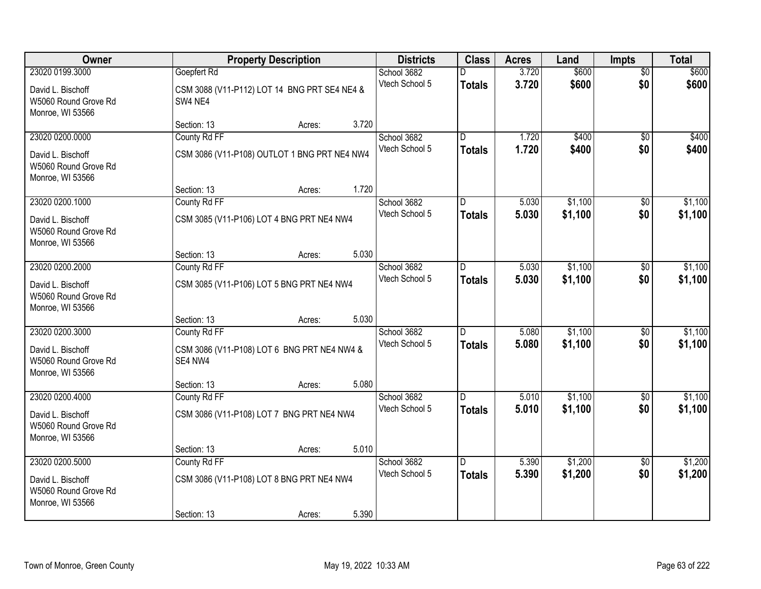| Owner                                                         |              | <b>Property Description</b>                  |       |                | <b>Class</b>   | <b>Acres</b> | Land    | <b>Impts</b>    | <b>Total</b> |
|---------------------------------------------------------------|--------------|----------------------------------------------|-------|----------------|----------------|--------------|---------|-----------------|--------------|
| 23020 0199.3000                                               | Goepfert Rd  |                                              |       | School 3682    |                | 3.720        | \$600   | $\overline{50}$ | \$600        |
| David L. Bischoff<br>W5060 Round Grove Rd<br>Monroe, WI 53566 | SW4 NE4      | CSM 3088 (V11-P112) LOT 14 BNG PRT SE4 NE4 & |       | Vtech School 5 | <b>Totals</b>  | 3.720        | \$600   | \$0             | \$600        |
|                                                               | Section: 13  | Acres:                                       | 3.720 |                |                |              |         |                 |              |
| 23020 0200.0000                                               | County Rd FF |                                              |       | School 3682    | $\overline{D}$ | 1.720        | \$400   | $\overline{50}$ | \$400        |
| David L. Bischoff<br>W5060 Round Grove Rd<br>Monroe, WI 53566 |              | CSM 3086 (V11-P108) OUTLOT 1 BNG PRT NE4 NW4 |       | Vtech School 5 | <b>Totals</b>  | 1.720        | \$400   | \$0             | \$400        |
|                                                               | Section: 13  | Acres:                                       | 1.720 |                |                |              |         |                 |              |
| 23020 0200.1000                                               | County Rd FF |                                              |       | School 3682    | D              | 5.030        | \$1,100 | \$0             | \$1,100      |
| David L. Bischoff<br>W5060 Round Grove Rd<br>Monroe, WI 53566 |              | CSM 3085 (V11-P106) LOT 4 BNG PRT NE4 NW4    |       | Vtech School 5 | <b>Totals</b>  | 5.030        | \$1,100 | \$0             | \$1,100      |
|                                                               | Section: 13  | Acres:                                       | 5.030 |                |                |              |         |                 |              |
| 23020 0200.2000                                               | County Rd FF |                                              |       | School 3682    | D.             | 5.030        | \$1,100 | $\overline{50}$ | \$1,100      |
| David L. Bischoff<br>W5060 Round Grove Rd<br>Monroe, WI 53566 |              | CSM 3085 (V11-P106) LOT 5 BNG PRT NE4 NW4    |       | Vtech School 5 | <b>Totals</b>  | 5.030        | \$1,100 | \$0             | \$1,100      |
|                                                               | Section: 13  | Acres:                                       | 5.030 |                |                |              |         |                 |              |
| 23020 0200.3000                                               | County Rd FF |                                              |       | School 3682    | D.             | 5.080        | \$1,100 | \$0             | \$1,100      |
| David L. Bischoff<br>W5060 Round Grove Rd<br>Monroe, WI 53566 | SE4 NW4      | CSM 3086 (V11-P108) LOT 6 BNG PRT NE4 NW4 &  |       | Vtech School 5 | <b>Totals</b>  | 5.080        | \$1,100 | \$0             | \$1,100      |
|                                                               | Section: 13  | Acres:                                       | 5.080 |                |                |              |         |                 |              |
| 23020 0200.4000                                               | County Rd FF |                                              |       | School 3682    | D.             | 5.010        | \$1,100 | \$0             | \$1,100      |
| David L. Bischoff<br>W5060 Round Grove Rd<br>Monroe, WI 53566 |              | CSM 3086 (V11-P108) LOT 7 BNG PRT NE4 NW4    |       | Vtech School 5 | <b>Totals</b>  | 5.010        | \$1,100 | \$0             | \$1,100      |
|                                                               | Section: 13  | Acres:                                       | 5.010 |                |                |              |         |                 |              |
| 23020 0200.5000                                               | County Rd FF |                                              |       | School 3682    | $\overline{D}$ | 5.390        | \$1,200 | $\overline{50}$ | \$1,200      |
| David L. Bischoff<br>W5060 Round Grove Rd<br>Monroe, WI 53566 |              | CSM 3086 (V11-P108) LOT 8 BNG PRT NE4 NW4    |       | Vtech School 5 | <b>Totals</b>  | 5.390        | \$1,200 | \$0             | \$1,200      |
|                                                               | Section: 13  | Acres:                                       | 5.390 |                |                |              |         |                 |              |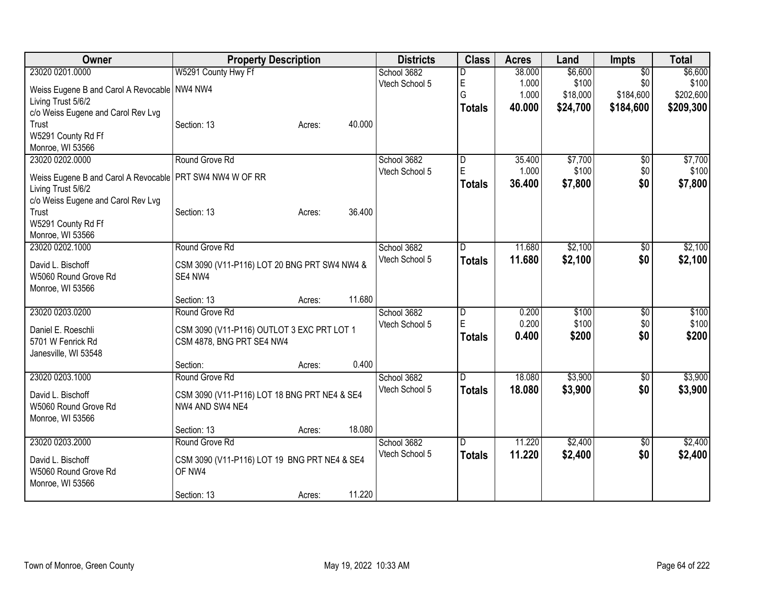| Owner                                                      | <b>Property Description</b>                                             | <b>Districts</b>              | <b>Class</b>  | <b>Acres</b> | Land     | <b>Impts</b>    | <b>Total</b> |
|------------------------------------------------------------|-------------------------------------------------------------------------|-------------------------------|---------------|--------------|----------|-----------------|--------------|
| 23020 0201.0000                                            | W5291 County Hwy Ff                                                     | School 3682                   | D             | 38.000       | \$6,600  | $\overline{50}$ | \$6,600      |
| Weiss Eugene B and Carol A Revocable NW4 NW4               |                                                                         | Vtech School 5                | E             | 1.000        | \$100    | \$0             | \$100        |
| Living Trust 5/6/2                                         |                                                                         |                               | G             | 1.000        | \$18,000 | \$184,600       | \$202,600    |
| c/o Weiss Eugene and Carol Rev Lvg                         |                                                                         |                               | <b>Totals</b> | 40.000       | \$24,700 | \$184,600       | \$209,300    |
| Trust                                                      | 40.000<br>Section: 13<br>Acres:                                         |                               |               |              |          |                 |              |
| W5291 County Rd Ff                                         |                                                                         |                               |               |              |          |                 |              |
| Monroe, WI 53566                                           |                                                                         |                               |               |              |          |                 |              |
| 23020 0202.0000                                            | Round Grove Rd                                                          | School 3682                   | D             | 35.400       | \$7,700  | \$0             | \$7,700      |
| Weiss Eugene B and Carol A Revocable   PRT SW4 NW4 W OF RR |                                                                         | Vtech School 5                | $\mathsf E$   | 1.000        | \$100    | \$0             | \$100        |
| Living Trust 5/6/2                                         |                                                                         |                               | <b>Totals</b> | 36.400       | \$7,800  | \$0             | \$7,800      |
| c/o Weiss Eugene and Carol Rev Lvg                         |                                                                         |                               |               |              |          |                 |              |
| Trust                                                      | 36.400<br>Section: 13<br>Acres:                                         |                               |               |              |          |                 |              |
| W5291 County Rd Ff                                         |                                                                         |                               |               |              |          |                 |              |
| Monroe, WI 53566                                           |                                                                         |                               |               |              |          |                 |              |
| 23020 0202.1000                                            | Round Grove Rd                                                          | School 3682                   | D             | 11.680       | \$2,100  | \$0             | \$2,100      |
| David L. Bischoff                                          | CSM 3090 (V11-P116) LOT 20 BNG PRT SW4 NW4 &                            | Vtech School 5                | Totals        | 11.680       | \$2,100  | \$0             | \$2,100      |
| W5060 Round Grove Rd                                       | SE4 NW4                                                                 |                               |               |              |          |                 |              |
| Monroe, WI 53566                                           |                                                                         |                               |               |              |          |                 |              |
|                                                            | 11.680<br>Section: 13<br>Acres:                                         |                               |               |              |          |                 |              |
| 23020 0203.0200                                            | Round Grove Rd                                                          | School 3682                   | D             | 0.200        | \$100    | \$0             | \$100        |
|                                                            |                                                                         | Vtech School 5                | E             | 0.200        | \$100    | \$0             | \$100        |
| Daniel E. Roeschli<br>5701 W Fenrick Rd                    | CSM 3090 (V11-P116) OUTLOT 3 EXC PRT LOT 1<br>CSM 4878, BNG PRT SE4 NW4 |                               | <b>Totals</b> | 0.400        | \$200    | \$0             | \$200        |
| Janesville, WI 53548                                       |                                                                         |                               |               |              |          |                 |              |
|                                                            | Section:<br>0.400<br>Acres:                                             |                               |               |              |          |                 |              |
| 23020 0203.1000                                            | Round Grove Rd                                                          | School 3682                   | D             | 18.080       | \$3,900  | $\sqrt[6]{}$    | \$3,900      |
|                                                            |                                                                         | Vtech School 5                | <b>Totals</b> | 18.080       | \$3,900  | \$0             | \$3,900      |
| David L. Bischoff                                          | CSM 3090 (V11-P116) LOT 18 BNG PRT NE4 & SE4                            |                               |               |              |          |                 |              |
| W5060 Round Grove Rd                                       | NW4 AND SW4 NE4                                                         |                               |               |              |          |                 |              |
| Monroe, WI 53566                                           | 18.080                                                                  |                               |               |              |          |                 |              |
| 23020 0203.2000                                            | Section: 13<br>Acres:<br>Round Grove Rd                                 |                               |               | 11.220       | \$2,400  |                 | \$2,400      |
|                                                            |                                                                         | School 3682<br>Vtech School 5 | D             |              |          | \$0<br>\$0      |              |
| David L. Bischoff                                          | CSM 3090 (V11-P116) LOT 19 BNG PRT NE4 & SE4                            |                               | <b>Totals</b> | 11.220       | \$2,400  |                 | \$2,400      |
| W5060 Round Grove Rd                                       | OF NW4                                                                  |                               |               |              |          |                 |              |
| Monroe, WI 53566                                           |                                                                         |                               |               |              |          |                 |              |
|                                                            | 11.220<br>Section: 13<br>Acres:                                         |                               |               |              |          |                 |              |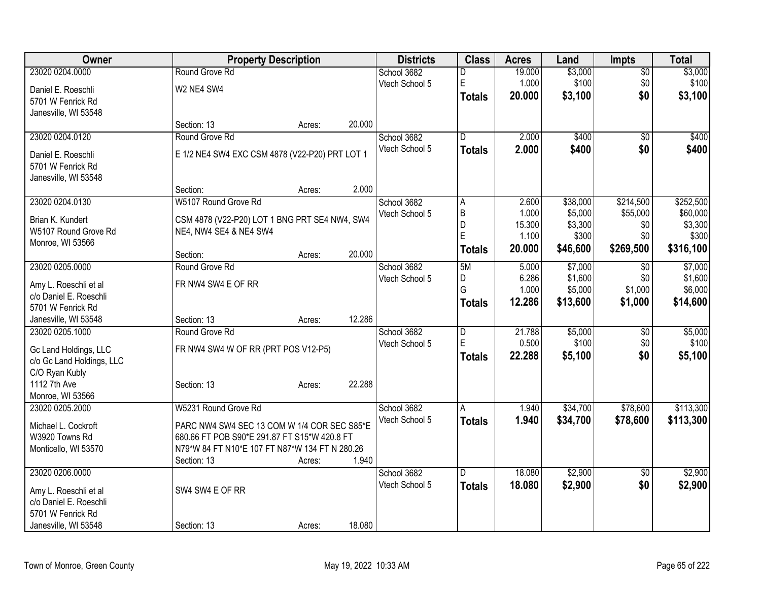| Owner                                              |                                                                                             | <b>Property Description</b> |        | <b>Districts</b> | <b>Class</b>   | <b>Acres</b> | Land     | <b>Impts</b>    | <b>Total</b> |
|----------------------------------------------------|---------------------------------------------------------------------------------------------|-----------------------------|--------|------------------|----------------|--------------|----------|-----------------|--------------|
| 23020 0204.0000                                    | Round Grove Rd                                                                              |                             |        | School 3682      | D              | 19.000       | \$3,000  | $\overline{50}$ | \$3,000      |
| Daniel E. Roeschli                                 | W2 NE4 SW4                                                                                  |                             |        | Vtech School 5   | $\mathsf E$    | 1.000        | \$100    | \$0             | \$100        |
| 5701 W Fenrick Rd                                  |                                                                                             |                             |        |                  | <b>Totals</b>  | 20.000       | \$3,100  | \$0             | \$3,100      |
| Janesville, WI 53548                               |                                                                                             |                             |        |                  |                |              |          |                 |              |
|                                                    | Section: 13                                                                                 | Acres:                      | 20.000 |                  |                |              |          |                 |              |
| 23020 0204.0120                                    | Round Grove Rd                                                                              |                             |        | School 3682      | ID.            | 2.000        | \$400    | \$0             | \$400        |
| Daniel E. Roeschli                                 | E 1/2 NE4 SW4 EXC CSM 4878 (V22-P20) PRT LOT 1                                              |                             |        | Vtech School 5   | <b>Totals</b>  | 2.000        | \$400    | \$0             | \$400        |
| 5701 W Fenrick Rd                                  |                                                                                             |                             |        |                  |                |              |          |                 |              |
| Janesville, WI 53548                               |                                                                                             |                             |        |                  |                |              |          |                 |              |
|                                                    | Section:                                                                                    | Acres:                      | 2.000  |                  |                |              |          |                 |              |
| 23020 0204.0130                                    | W5107 Round Grove Rd                                                                        |                             |        | School 3682      | Α              | 2.600        | \$38,000 | \$214,500       | \$252,500    |
| Brian K. Kundert                                   | CSM 4878 (V22-P20) LOT 1 BNG PRT SE4 NW4, SW4                                               |                             |        | Vtech School 5   | B              | 1.000        | \$5,000  | \$55,000        | \$60,000     |
| W5107 Round Grove Rd                               | NE4, NW4 SE4 & NE4 SW4                                                                      |                             |        |                  | D              | 15.300       | \$3,300  | \$0             | \$3,300      |
| Monroe, WI 53566                                   |                                                                                             |                             |        |                  | E              | 1.100        | \$300    | \$0             | \$300        |
|                                                    | Section:                                                                                    | Acres:                      | 20.000 |                  | <b>Totals</b>  | 20.000       | \$46,600 | \$269,500       | \$316,100    |
| 23020 0205.0000                                    | Round Grove Rd                                                                              |                             |        | School 3682      | 5M             | 5.000        | \$7,000  | \$0             | \$7,000      |
| Amy L. Roeschli et al                              | FR NW4 SW4 E OF RR                                                                          |                             |        | Vtech School 5   | D              | 6.286        | \$1,600  | \$0             | \$1,600      |
| c/o Daniel E. Roeschli                             |                                                                                             |                             |        |                  | G              | 1.000        | \$5,000  | \$1,000         | \$6,000      |
| 5701 W Fenrick Rd                                  |                                                                                             |                             |        |                  | Totals         | 12.286       | \$13,600 | \$1,000         | \$14,600     |
| Janesville, WI 53548                               | Section: 13                                                                                 | Acres:                      | 12.286 |                  |                |              |          |                 |              |
| 23020 0205.1000                                    | Round Grove Rd                                                                              |                             |        | School 3682      | $\overline{D}$ | 21.788       | \$5,000  | \$0             | \$5,000      |
|                                                    |                                                                                             |                             |        | Vtech School 5   | E              | 0.500        | \$100    | \$0             | \$100        |
| Gc Land Holdings, LLC<br>c/o Gc Land Holdings, LLC | FR NW4 SW4 W OF RR (PRT POS V12-P5)                                                         |                             |        |                  | <b>Totals</b>  | 22.288       | \$5,100  | \$0             | \$5,100      |
| C/O Ryan Kubly                                     |                                                                                             |                             |        |                  |                |              |          |                 |              |
| 1112 7th Ave                                       | Section: 13                                                                                 | Acres:                      | 22.288 |                  |                |              |          |                 |              |
| Monroe, WI 53566                                   |                                                                                             |                             |        |                  |                |              |          |                 |              |
| 23020 0205.2000                                    | W5231 Round Grove Rd                                                                        |                             |        | School 3682      | A              | 1.940        | \$34,700 | \$78,600        | \$113,300    |
|                                                    |                                                                                             |                             |        | Vtech School 5   | <b>Totals</b>  | 1.940        | \$34,700 | \$78,600        | \$113,300    |
| Michael L. Cockroft<br>W3920 Towns Rd              | PARC NW4 SW4 SEC 13 COM W 1/4 COR SEC S85*E<br>680.66 FT POB S90*E 291.87 FT S15*W 420.8 FT |                             |        |                  |                |              |          |                 |              |
| Monticello, WI 53570                               | N79*W 84 FT N10*E 107 FT N87*W 134 FT N 280.26                                              |                             |        |                  |                |              |          |                 |              |
|                                                    | Section: 13                                                                                 | Acres:                      | 1.940  |                  |                |              |          |                 |              |
| 23020 0206.0000                                    |                                                                                             |                             |        | School 3682      | D.             | 18.080       | \$2,900  | \$0             | \$2,900      |
|                                                    |                                                                                             |                             |        | Vtech School 5   | <b>Totals</b>  | 18.080       | \$2,900  | \$0             | \$2,900      |
| Amy L. Roeschli et al                              | SW4 SW4 E OF RR                                                                             |                             |        |                  |                |              |          |                 |              |
| c/o Daniel E. Roeschli                             |                                                                                             |                             |        |                  |                |              |          |                 |              |
| 5701 W Fenrick Rd<br>Janesville, WI 53548          | Section: 13                                                                                 |                             | 18.080 |                  |                |              |          |                 |              |
|                                                    |                                                                                             | Acres:                      |        |                  |                |              |          |                 |              |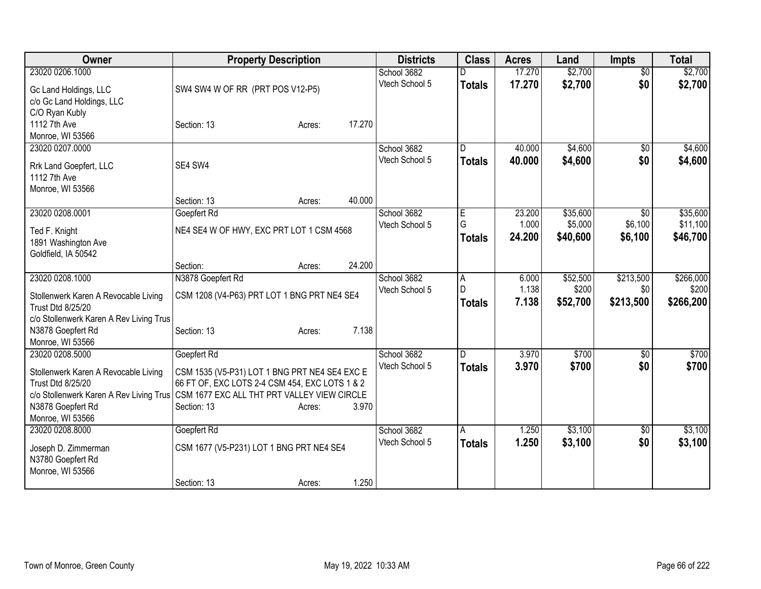| Owner                                                                                 |                                                | <b>Property Description</b> |        | <b>Districts</b>              | <b>Class</b>   | <b>Acres</b> | Land     | <b>Impts</b>    | <b>Total</b> |
|---------------------------------------------------------------------------------------|------------------------------------------------|-----------------------------|--------|-------------------------------|----------------|--------------|----------|-----------------|--------------|
| 23020 0206.1000                                                                       |                                                |                             |        | School 3682                   |                | 17.270       | \$2,700  | $\overline{50}$ | \$2,700      |
| Gc Land Holdings, LLC                                                                 | SW4 SW4 W OF RR (PRT POS V12-P5)               |                             |        | Vtech School 5                | <b>Totals</b>  | 17.270       | \$2,700  | \$0             | \$2,700      |
| c/o Gc Land Holdings, LLC                                                             |                                                |                             |        |                               |                |              |          |                 |              |
| C/O Ryan Kubly                                                                        |                                                |                             |        |                               |                |              |          |                 |              |
| 1112 7th Ave                                                                          | Section: 13                                    | Acres:                      | 17.270 |                               |                |              |          |                 |              |
| Monroe, WI 53566                                                                      |                                                |                             |        |                               |                |              |          |                 |              |
| 23020 0207.0000                                                                       |                                                |                             |        | School 3682                   | $\overline{D}$ | 40.000       | \$4,600  | $\overline{50}$ | \$4,600      |
| Rrk Land Goepfert, LLC                                                                | SE4 SW4                                        |                             |        | Vtech School 5                | <b>Totals</b>  | 40.000       | \$4,600  | \$0             | \$4,600      |
| 1112 7th Ave                                                                          |                                                |                             |        |                               |                |              |          |                 |              |
| Monroe, WI 53566                                                                      |                                                |                             |        |                               |                |              |          |                 |              |
|                                                                                       | Section: 13                                    | Acres:                      | 40.000 |                               |                |              |          |                 |              |
| 23020 0208.0001                                                                       | Goepfert Rd                                    |                             |        | School 3682                   | E              | 23.200       | \$35,600 | \$0             | \$35,600     |
| Ted F. Knight                                                                         | NE4 SE4 W OF HWY, EXC PRT LOT 1 CSM 4568       |                             |        | Vtech School 5                | G              | 1.000        | \$5,000  | \$6,100         | \$11,100     |
| 1891 Washington Ave                                                                   |                                                |                             |        |                               | <b>Totals</b>  | 24.200       | \$40,600 | \$6,100         | \$46,700     |
| Goldfield, IA 50542                                                                   |                                                |                             |        |                               |                |              |          |                 |              |
|                                                                                       | Section:                                       | Acres:                      | 24.200 |                               |                |              |          |                 |              |
| 23020 0208.1000                                                                       | N3878 Goepfert Rd                              |                             |        | School 3682                   | A              | 6.000        | \$52,500 | \$213,500       | \$266,000    |
| Stollenwerk Karen A Revocable Living                                                  | CSM 1208 (V4-P63) PRT LOT 1 BNG PRT NE4 SE4    |                             |        | Vtech School 5                | D              | 1.138        | \$200    | \$0             | \$200        |
| Trust Dtd 8/25/20                                                                     |                                                |                             |        |                               | <b>Totals</b>  | 7.138        | \$52,700 | \$213,500       | \$266,200    |
| c/o Stollenwerk Karen A Rev Living Trus                                               |                                                |                             |        |                               |                |              |          |                 |              |
| N3878 Goepfert Rd                                                                     | Section: 13                                    | Acres:                      | 7.138  |                               |                |              |          |                 |              |
| Monroe, WI 53566                                                                      |                                                |                             |        |                               |                |              |          |                 |              |
| 23020 0208.5000                                                                       | Goepfert Rd                                    |                             |        | School 3682                   | D              | 3.970        | \$700    | $\sqrt{6}$      | \$700        |
| Stollenwerk Karen A Revocable Living                                                  | CSM 1535 (V5-P31) LOT 1 BNG PRT NE4 SE4 EXC E  |                             |        | Vtech School 5                | <b>Totals</b>  | 3.970        | \$700    | \$0             | \$700        |
| Trust Dtd 8/25/20                                                                     | 66 FT OF, EXC LOTS 2-4 CSM 454, EXC LOTS 1 & 2 |                             |        |                               |                |              |          |                 |              |
| c/o Stollenwerk Karen A Rev Living Trus   CSM 1677 EXC ALL THT PRT VALLEY VIEW CIRCLE |                                                |                             |        |                               |                |              |          |                 |              |
| N3878 Goepfert Rd                                                                     | Section: 13                                    | Acres:                      | 3.970  |                               |                |              |          |                 |              |
| Monroe, WI 53566                                                                      |                                                |                             |        |                               |                |              |          |                 |              |
| 23020 0208.8000                                                                       | Goepfert Rd                                    |                             |        | School 3682<br>Vtech School 5 | A              | 1.250        | \$3,100  | $\sqrt[6]{30}$  | \$3,100      |
| Joseph D. Zimmerman                                                                   | CSM 1677 (V5-P231) LOT 1 BNG PRT NE4 SE4       |                             |        |                               | Totals         | 1.250        | \$3,100  | \$0             | \$3,100      |
| N3780 Goepfert Rd                                                                     |                                                |                             |        |                               |                |              |          |                 |              |
| Monroe, WI 53566                                                                      |                                                |                             |        |                               |                |              |          |                 |              |
|                                                                                       | Section: 13                                    | Acres:                      | 1.250  |                               |                |              |          |                 |              |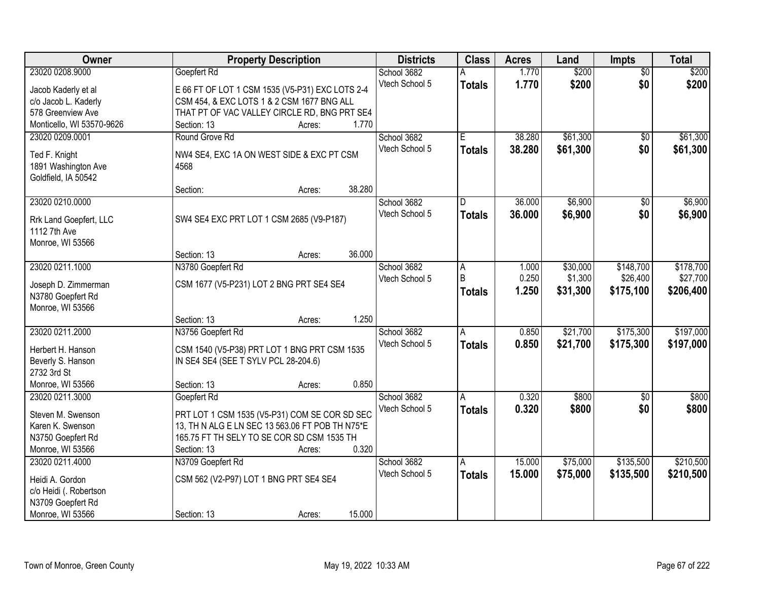| Owner                     | <b>Property Description</b>                     | <b>Districts</b> | <b>Class</b>  | <b>Acres</b>   | Land                | <b>Impts</b>    | <b>Total</b> |
|---------------------------|-------------------------------------------------|------------------|---------------|----------------|---------------------|-----------------|--------------|
| 23020 0208.9000           | Goepfert Rd                                     | School 3682      |               | 1.770          | \$200               | $\overline{50}$ | \$200        |
| Jacob Kaderly et al       | E 66 FT OF LOT 1 CSM 1535 (V5-P31) EXC LOTS 2-4 | Vtech School 5   | <b>Totals</b> | 1.770          | \$200               | \$0             | \$200        |
| c/o Jacob L. Kaderly      | CSM 454, & EXC LOTS 1 & 2 CSM 1677 BNG ALL      |                  |               |                |                     |                 |              |
| 578 Greenview Ave         | THAT PT OF VAC VALLEY CIRCLE RD, BNG PRT SE4    |                  |               |                |                     |                 |              |
| Monticello, WI 53570-9626 | 1.770<br>Section: 13<br>Acres:                  |                  |               |                |                     |                 |              |
| 23020 0209.0001           | Round Grove Rd                                  | School 3682      | Ē             | 38.280         | \$61,300            | $\overline{50}$ | \$61,300     |
|                           |                                                 | Vtech School 5   |               | 38.280         | \$61,300            | \$0             | \$61,300     |
| Ted F. Knight             | NW4 SE4, EXC 1A ON WEST SIDE & EXC PT CSM       |                  | <b>Totals</b> |                |                     |                 |              |
| 1891 Washington Ave       | 4568                                            |                  |               |                |                     |                 |              |
| Goldfield, IA 50542       |                                                 |                  |               |                |                     |                 |              |
|                           | 38.280<br>Section:<br>Acres:                    |                  |               |                |                     |                 |              |
| 23020 0210.0000           |                                                 | School 3682      | D             | 36.000         | \$6,900             | $\sqrt[6]{30}$  | \$6,900      |
| Rrk Land Goepfert, LLC    | SW4 SE4 EXC PRT LOT 1 CSM 2685 (V9-P187)        | Vtech School 5   | <b>Totals</b> | 36.000         | \$6,900             | \$0             | \$6,900      |
| 1112 7th Ave              |                                                 |                  |               |                |                     |                 |              |
| Monroe, WI 53566          |                                                 |                  |               |                |                     |                 |              |
|                           | 36.000<br>Section: 13<br>Acres:                 |                  |               |                |                     |                 |              |
| 23020 0211.1000           |                                                 |                  |               |                |                     | \$148,700       | \$178,700    |
|                           | N3780 Goepfert Rd                               | School 3682      | Α<br>B        | 1.000<br>0.250 | \$30,000<br>\$1,300 | \$26,400        | \$27,700     |
| Joseph D. Zimmerman       | CSM 1677 (V5-P231) LOT 2 BNG PRT SE4 SE4        | Vtech School 5   |               |                |                     |                 |              |
| N3780 Goepfert Rd         |                                                 |                  | <b>Totals</b> | 1.250          | \$31,300            | \$175,100       | \$206,400    |
| Monroe, WI 53566          |                                                 |                  |               |                |                     |                 |              |
|                           | 1.250<br>Section: 13<br>Acres:                  |                  |               |                |                     |                 |              |
| 23020 0211.2000           | N3756 Goepfert Rd                               | School 3682      | A             | 0.850          | \$21,700            | \$175,300       | \$197,000    |
|                           |                                                 | Vtech School 5   | <b>Totals</b> | 0.850          | \$21,700            | \$175,300       | \$197,000    |
| Herbert H. Hanson         | CSM 1540 (V5-P38) PRT LOT 1 BNG PRT CSM 1535    |                  |               |                |                     |                 |              |
| Beverly S. Hanson         | IN SE4 SE4 (SEE T SYLV PCL 28-204.6)            |                  |               |                |                     |                 |              |
| 2732 3rd St               |                                                 |                  |               |                |                     |                 |              |
| Monroe, WI 53566          | 0.850<br>Section: 13<br>Acres:                  |                  |               |                |                     |                 |              |
| 23020 0211.3000           | Goepfert Rd                                     | School 3682      | A             | 0.320          | \$800               | $\overline{50}$ | \$800        |
| Steven M. Swenson         | PRT LOT 1 CSM 1535 (V5-P31) COM SE COR SD SEC   | Vtech School 5   | <b>Totals</b> | 0.320          | \$800               | \$0             | \$800        |
| Karen K. Swenson          | 13, TH N ALG E LN SEC 13 563.06 FT POB TH N75*E |                  |               |                |                     |                 |              |
| N3750 Goepfert Rd         | 165.75 FT TH SELY TO SE COR SD CSM 1535 TH      |                  |               |                |                     |                 |              |
| Monroe, WI 53566          | 0.320<br>Section: 13<br>Acres:                  |                  |               |                |                     |                 |              |
| 23020 0211.4000           | N3709 Goepfert Rd                               | School 3682      | A             | 15,000         | \$75,000            | \$135,500       | \$210,500    |
|                           |                                                 | Vtech School 5   | Totals        | 15.000         | \$75,000            | \$135,500       | \$210,500    |
| Heidi A. Gordon           | CSM 562 (V2-P97) LOT 1 BNG PRT SE4 SE4          |                  |               |                |                     |                 |              |
| c/o Heidi (. Robertson    |                                                 |                  |               |                |                     |                 |              |
| N3709 Goepfert Rd         |                                                 |                  |               |                |                     |                 |              |
| Monroe, WI 53566          | 15.000<br>Section: 13<br>Acres:                 |                  |               |                |                     |                 |              |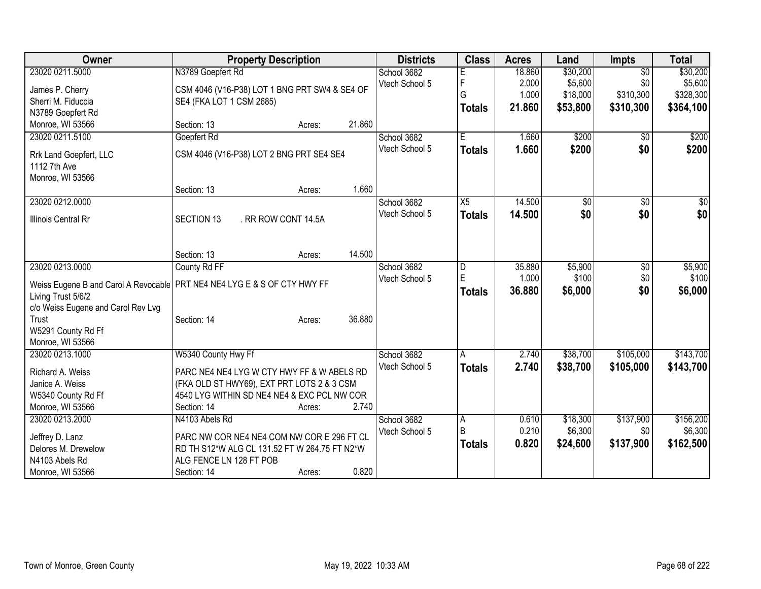| Owner                               | <b>Property Description</b>                                                               | <b>Districts</b> | <b>Class</b>                     | <b>Acres</b> | Land             | <b>Impts</b>    | <b>Total</b>     |
|-------------------------------------|-------------------------------------------------------------------------------------------|------------------|----------------------------------|--------------|------------------|-----------------|------------------|
| 23020 0211.5000                     | N3789 Goepfert Rd                                                                         | School 3682      |                                  | 18.860       | \$30,200         | $\overline{50}$ | \$30,200         |
| James P. Cherry                     | CSM 4046 (V16-P38) LOT 1 BNG PRT SW4 & SE4 OF                                             | Vtech School 5   | F                                | 2.000        | \$5,600          | \$0             | \$5,600          |
| Sherri M. Fiduccia                  | SE4 (FKA LOT 1 CSM 2685)                                                                  |                  | G                                | 1.000        | \$18,000         | \$310,300       | \$328,300        |
| N3789 Goepfert Rd                   |                                                                                           |                  | <b>Totals</b>                    | 21.860       | \$53,800         | \$310,300       | \$364,100        |
| Monroe, WI 53566                    | 21.860<br>Section: 13<br>Acres:                                                           |                  |                                  |              |                  |                 |                  |
| 23020 0211.5100                     | Goepfert Rd                                                                               | School 3682      | E                                | 1.660        | \$200            | $\sqrt{50}$     | \$200            |
|                                     |                                                                                           | Vtech School 5   |                                  |              |                  | \$0             |                  |
| Rrk Land Goepfert, LLC              | CSM 4046 (V16-P38) LOT 2 BNG PRT SE4 SE4                                                  |                  | <b>Totals</b>                    | 1.660        | \$200            |                 | \$200            |
| 1112 7th Ave                        |                                                                                           |                  |                                  |              |                  |                 |                  |
| Monroe, WI 53566                    |                                                                                           |                  |                                  |              |                  |                 |                  |
|                                     | 1.660<br>Section: 13<br>Acres:                                                            |                  |                                  |              |                  |                 |                  |
| 23020 0212.0000                     |                                                                                           | School 3682      | X5                               | 14.500       | \$0              | $\sqrt[6]{}$    | $\sqrt{50}$      |
| <b>Illinois Central Rr</b>          | <b>SECTION 13</b><br>. RR ROW CONT 14.5A                                                  | Vtech School 5   | <b>Totals</b>                    | 14.500       | \$0              | \$0             | \$0              |
|                                     |                                                                                           |                  |                                  |              |                  |                 |                  |
|                                     |                                                                                           |                  |                                  |              |                  |                 |                  |
|                                     | 14.500<br>Section: 13<br>Acres:                                                           |                  |                                  |              |                  |                 |                  |
| 23020 0213.0000                     |                                                                                           | School 3682      |                                  | 35.880       |                  |                 |                  |
|                                     | County Rd FF                                                                              |                  | D<br>E                           | 1.000        | \$5,900<br>\$100 | \$0<br>\$0      | \$5,900<br>\$100 |
|                                     | Weiss Eugene B and Carol A Revocable   PRT NE4 NE4 LYG E & S OF CTY HWY FF                | Vtech School 5   |                                  |              |                  |                 |                  |
| Living Trust 5/6/2                  |                                                                                           |                  | <b>Totals</b>                    | 36.880       | \$6,000          | \$0             | \$6,000          |
| c/o Weiss Eugene and Carol Rev Lvg  |                                                                                           |                  |                                  |              |                  |                 |                  |
| Trust                               | 36.880<br>Section: 14<br>Acres:                                                           |                  |                                  |              |                  |                 |                  |
| W5291 County Rd Ff                  |                                                                                           |                  |                                  |              |                  |                 |                  |
| Monroe, WI 53566                    |                                                                                           |                  |                                  |              |                  |                 |                  |
| 23020 0213.1000                     | W5340 County Hwy Ff                                                                       | School 3682      | A                                | 2.740        | \$38,700         | \$105,000       | \$143,700        |
|                                     | PARC NE4 NE4 LYG W CTY HWY FF & W ABELS RD                                                | Vtech School 5   | <b>Totals</b>                    | 2.740        | \$38,700         | \$105,000       | \$143,700        |
| Richard A. Weiss<br>Janice A. Weiss |                                                                                           |                  |                                  |              |                  |                 |                  |
|                                     | (FKA OLD ST HWY69), EXT PRT LOTS 2 & 3 CSM<br>4540 LYG WITHIN SD NE4 NE4 & EXC PCL NW COR |                  |                                  |              |                  |                 |                  |
| W5340 County Rd Ff                  | 2.740                                                                                     |                  |                                  |              |                  |                 |                  |
| Monroe, WI 53566                    | Section: 14<br>Acres:                                                                     |                  |                                  |              |                  |                 |                  |
| 23020 0213.2000                     | N4103 Abels Rd                                                                            | School 3682      | $\overline{A}$<br>$\overline{B}$ | 0.610        | \$18,300         | \$137,900       | \$156,200        |
| Jeffrey D. Lanz                     | PARC NW COR NE4 NE4 COM NW COR E 296 FT CL                                                | Vtech School 5   |                                  | 0.210        | \$6,300          | \$0             | \$6,300          |
| Delores M. Drewelow                 | RD TH S12*W ALG CL 131.52 FT W 264.75 FT N2*W                                             |                  | <b>Totals</b>                    | 0.820        | \$24,600         | \$137,900       | \$162,500        |
| N4103 Abels Rd                      | ALG FENCE LN 128 FT POB                                                                   |                  |                                  |              |                  |                 |                  |
| Monroe, WI 53566                    | 0.820<br>Section: 14<br>Acres:                                                            |                  |                                  |              |                  |                 |                  |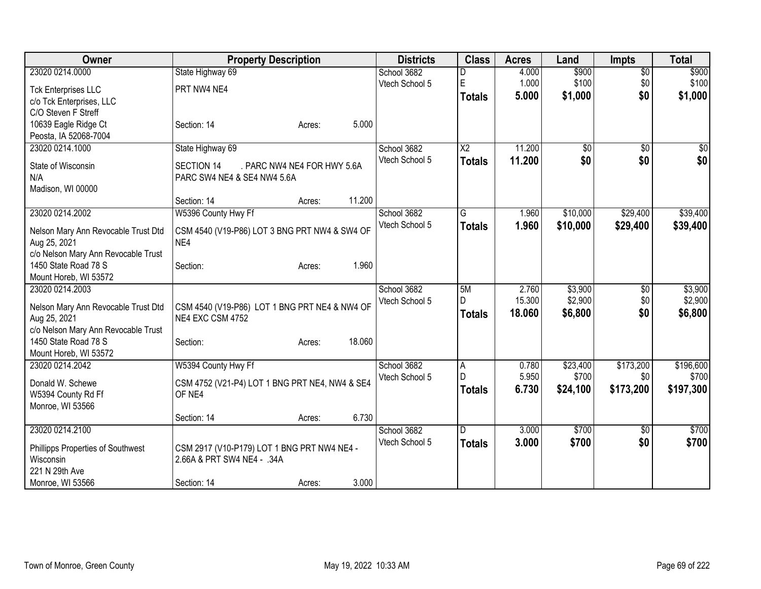| Owner                                                       | <b>Property Description</b>                    | <b>Districts</b>              | <b>Class</b>    | <b>Acres</b>   | Land              | <b>Impts</b>     | <b>Total</b>       |
|-------------------------------------------------------------|------------------------------------------------|-------------------------------|-----------------|----------------|-------------------|------------------|--------------------|
| 23020 0214.0000                                             | State Highway 69                               | School 3682                   |                 | 4.000          | \$900             | $\overline{50}$  | \$900              |
| <b>Tck Enterprises LLC</b>                                  | PRT NW4 NE4                                    | Vtech School 5                | $\mathsf E$     | 1.000          | \$100             | \$0              | \$100              |
| c/o Tck Enterprises, LLC                                    |                                                |                               | <b>Totals</b>   | 5.000          | \$1,000           | \$0              | \$1,000            |
| C/O Steven F Streff                                         |                                                |                               |                 |                |                   |                  |                    |
| 10639 Eagle Ridge Ct                                        | 5.000<br>Section: 14<br>Acres:                 |                               |                 |                |                   |                  |                    |
| Peosta, IA 52068-7004                                       |                                                |                               |                 |                |                   |                  |                    |
| 23020 0214.1000                                             | State Highway 69                               | School 3682                   | $\overline{X2}$ | 11.200         | \$0               | $\overline{50}$  | \$0                |
| State of Wisconsin                                          | . PARC NW4 NE4 FOR HWY 5.6A<br>SECTION 14      | Vtech School 5                | <b>Totals</b>   | 11.200         | \$0               | \$0              | \$0                |
| N/A                                                         | PARC SW4 NE4 & SE4 NW4 5.6A                    |                               |                 |                |                   |                  |                    |
| Madison, WI 00000                                           |                                                |                               |                 |                |                   |                  |                    |
|                                                             | 11.200<br>Section: 14<br>Acres:                |                               |                 |                |                   |                  |                    |
| 23020 0214.2002                                             | W5396 County Hwy Ff                            | School 3682                   | G               | 1.960          | \$10,000          | \$29,400         | \$39,400           |
|                                                             |                                                | Vtech School 5                | <b>Totals</b>   | 1.960          | \$10,000          | \$29,400         | \$39,400           |
| Nelson Mary Ann Revocable Trust Dtd                         | CSM 4540 (V19-P86) LOT 3 BNG PRT NW4 & SW4 OF  |                               |                 |                |                   |                  |                    |
| Aug 25, 2021                                                | NE4                                            |                               |                 |                |                   |                  |                    |
| c/o Nelson Mary Ann Revocable Trust<br>1450 State Road 78 S | 1.960<br>Section:<br>Acres:                    |                               |                 |                |                   |                  |                    |
| Mount Horeb, WI 53572                                       |                                                |                               |                 |                |                   |                  |                    |
| 23020 0214.2003                                             |                                                | School 3682                   | 5M              | 2.760          | \$3,900           | $\overline{50}$  | \$3,900            |
|                                                             |                                                | Vtech School 5                | D               | 15.300         | \$2,900           | \$0              | \$2,900            |
| Nelson Mary Ann Revocable Trust Dtd                         | CSM 4540 (V19-P86) LOT 1 BNG PRT NE4 & NW4 OF  |                               | <b>Totals</b>   | 18,060         | \$6,800           | \$0              | \$6,800            |
| Aug 25, 2021                                                | NE4 EXC CSM 4752                               |                               |                 |                |                   |                  |                    |
| c/o Nelson Mary Ann Revocable Trust                         |                                                |                               |                 |                |                   |                  |                    |
| 1450 State Road 78 S                                        | 18.060<br>Section:<br>Acres:                   |                               |                 |                |                   |                  |                    |
| Mount Horeb, WI 53572                                       |                                                |                               |                 |                |                   |                  |                    |
| 23020 0214.2042                                             | W5394 County Hwy Ff                            | School 3682<br>Vtech School 5 | A<br>D          | 0.780<br>5.950 | \$23,400<br>\$700 | \$173,200<br>\$0 | \$196,600<br>\$700 |
| Donald W. Schewe                                            | CSM 4752 (V21-P4) LOT 1 BNG PRT NE4, NW4 & SE4 |                               |                 | 6.730          |                   | \$173,200        | \$197,300          |
| W5394 County Rd Ff                                          | OF NE4                                         |                               | <b>Totals</b>   |                | \$24,100          |                  |                    |
| Monroe, WI 53566                                            |                                                |                               |                 |                |                   |                  |                    |
|                                                             | 6.730<br>Section: 14<br>Acres:                 |                               |                 |                |                   |                  |                    |
| 23020 0214.2100                                             |                                                | School 3682                   | ID.             | 3.000          | \$700             | \$0              | \$700              |
| Phillipps Properties of Southwest                           | CSM 2917 (V10-P179) LOT 1 BNG PRT NW4 NE4 -    | Vtech School 5                | <b>Totals</b>   | 3.000          | \$700             | \$0              | \$700              |
| Wisconsin                                                   | 2.66A & PRT SW4 NE4 - .34A                     |                               |                 |                |                   |                  |                    |
| 221 N 29th Ave                                              |                                                |                               |                 |                |                   |                  |                    |
| Monroe, WI 53566                                            | 3.000<br>Section: 14<br>Acres:                 |                               |                 |                |                   |                  |                    |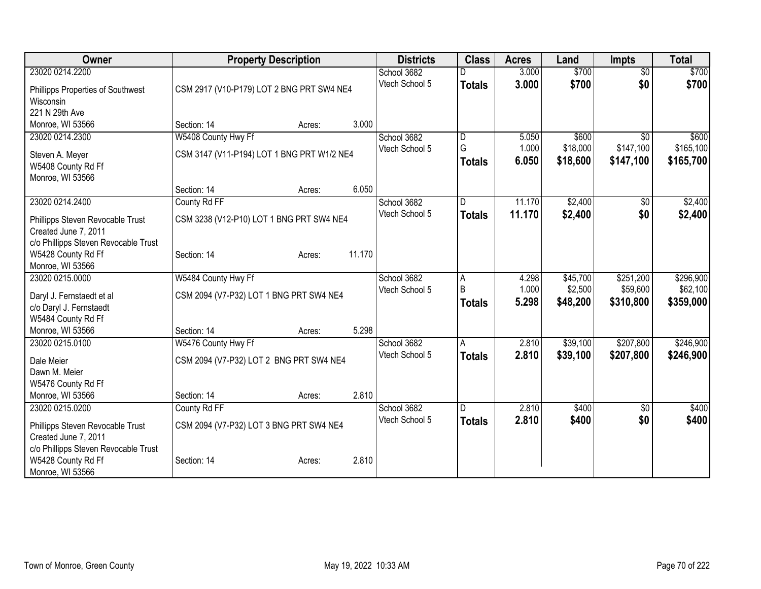| Owner                                |                                            | <b>Property Description</b> |        | <b>Districts</b> | <b>Class</b>  | <b>Acres</b> | Land     | <b>Impts</b>    | <b>Total</b> |
|--------------------------------------|--------------------------------------------|-----------------------------|--------|------------------|---------------|--------------|----------|-----------------|--------------|
| 23020 0214.2200                      |                                            |                             |        | School 3682      |               | 3.000        | \$700    | $\overline{50}$ | \$700        |
| Phillipps Properties of Southwest    | CSM 2917 (V10-P179) LOT 2 BNG PRT SW4 NE4  |                             |        | Vtech School 5   | <b>Totals</b> | 3.000        | \$700    | \$0             | \$700        |
| Wisconsin                            |                                            |                             |        |                  |               |              |          |                 |              |
| 221 N 29th Ave                       |                                            |                             |        |                  |               |              |          |                 |              |
| Monroe, WI 53566                     | Section: 14                                | Acres:                      | 3.000  |                  |               |              |          |                 |              |
| 23020 0214.2300                      | W5408 County Hwy Ff                        |                             |        | School 3682      | ID.           | 5.050        | \$600    | $\overline{30}$ | \$600        |
| Steven A. Meyer                      | CSM 3147 (V11-P194) LOT 1 BNG PRT W1/2 NE4 |                             |        | Vtech School 5   | G             | 1.000        | \$18,000 | \$147,100       | \$165,100    |
| W5408 County Rd Ff                   |                                            |                             |        |                  | <b>Totals</b> | 6.050        | \$18,600 | \$147,100       | \$165,700    |
| Monroe, WI 53566                     |                                            |                             |        |                  |               |              |          |                 |              |
|                                      | Section: 14                                | Acres:                      | 6.050  |                  |               |              |          |                 |              |
| 23020 0214.2400                      | County Rd FF                               |                             |        | School 3682      | ID.           | 11.170       | \$2,400  | $\sqrt[6]{}$    | \$2,400      |
| Phillipps Steven Revocable Trust     | CSM 3238 (V12-P10) LOT 1 BNG PRT SW4 NE4   |                             |        | Vtech School 5   | <b>Totals</b> | 11.170       | \$2,400  | \$0             | \$2,400      |
| Created June 7, 2011                 |                                            |                             |        |                  |               |              |          |                 |              |
| c/o Phillipps Steven Revocable Trust |                                            |                             |        |                  |               |              |          |                 |              |
| W5428 County Rd Ff                   | Section: 14                                | Acres:                      | 11.170 |                  |               |              |          |                 |              |
| Monroe, WI 53566                     |                                            |                             |        |                  |               |              |          |                 |              |
| 23020 0215.0000                      | W5484 County Hwy Ff                        |                             |        | School 3682      | A             | 4.298        | \$45,700 | \$251,200       | \$296,900    |
| Daryl J. Fernstaedt et al            | CSM 2094 (V7-P32) LOT 1 BNG PRT SW4 NE4    |                             |        | Vtech School 5   | B             | 1.000        | \$2,500  | \$59,600        | \$62,100     |
| c/o Daryl J. Fernstaedt              |                                            |                             |        |                  | <b>Totals</b> | 5.298        | \$48,200 | \$310,800       | \$359,000    |
| W5484 County Rd Ff                   |                                            |                             |        |                  |               |              |          |                 |              |
| Monroe, WI 53566                     | Section: 14                                | Acres:                      | 5.298  |                  |               |              |          |                 |              |
| 23020 0215.0100                      | W5476 County Hwy Ff                        |                             |        | School 3682      | A             | 2.810        | \$39,100 | \$207,800       | \$246,900    |
| Dale Meier                           | CSM 2094 (V7-P32) LOT 2 BNG PRT SW4 NE4    |                             |        | Vtech School 5   | <b>Totals</b> | 2.810        | \$39,100 | \$207,800       | \$246,900    |
| Dawn M. Meier                        |                                            |                             |        |                  |               |              |          |                 |              |
| W5476 County Rd Ff                   |                                            |                             |        |                  |               |              |          |                 |              |
| Monroe, WI 53566                     | Section: 14                                | Acres:                      | 2.810  |                  |               |              |          |                 |              |
| 23020 0215.0200                      | County Rd FF                               |                             |        | School 3682      | ID.           | 2.810        | \$400    | $\overline{50}$ | \$400        |
| Phillipps Steven Revocable Trust     | CSM 2094 (V7-P32) LOT 3 BNG PRT SW4 NE4    |                             |        | Vtech School 5   | <b>Totals</b> | 2.810        | \$400    | \$0             | \$400        |
| Created June 7, 2011                 |                                            |                             |        |                  |               |              |          |                 |              |
| c/o Phillipps Steven Revocable Trust |                                            |                             |        |                  |               |              |          |                 |              |
| W5428 County Rd Ff                   | Section: 14                                | Acres:                      | 2.810  |                  |               |              |          |                 |              |
| Monroe, WI 53566                     |                                            |                             |        |                  |               |              |          |                 |              |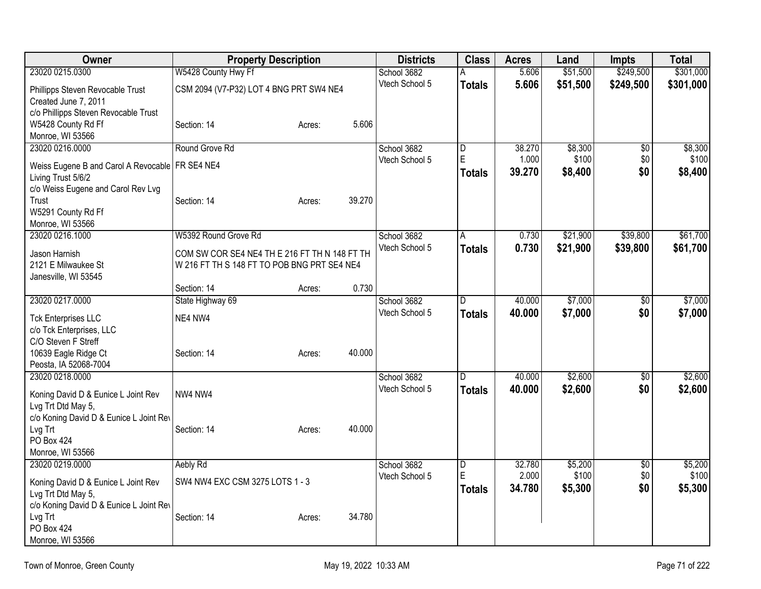| Owner                                             | <b>Property Description</b>                                                                  |        |        | <b>Districts</b>              | <b>Class</b>   | <b>Acres</b> | Land     | <b>Impts</b>    | <b>Total</b> |
|---------------------------------------------------|----------------------------------------------------------------------------------------------|--------|--------|-------------------------------|----------------|--------------|----------|-----------------|--------------|
| 23020 0215.0300                                   | W5428 County Hwy Ff                                                                          |        |        | School 3682                   | Α              | 5.606        | \$51,500 | \$249,500       | \$301,000    |
| Phillipps Steven Revocable Trust                  | CSM 2094 (V7-P32) LOT 4 BNG PRT SW4 NE4                                                      |        |        | Vtech School 5                | <b>Totals</b>  | 5.606        | \$51,500 | \$249,500       | \$301,000    |
| Created June 7, 2011                              |                                                                                              |        |        |                               |                |              |          |                 |              |
| c/o Phillipps Steven Revocable Trust              |                                                                                              |        |        |                               |                |              |          |                 |              |
| W5428 County Rd Ff                                | Section: 14                                                                                  | Acres: | 5.606  |                               |                |              |          |                 |              |
| Monroe, WI 53566                                  |                                                                                              |        |        |                               |                |              |          |                 |              |
| 23020 0216.0000                                   | Round Grove Rd                                                                               |        |        | School 3682                   | $\overline{D}$ | 38.270       | \$8,300  | $\overline{50}$ | \$8,300      |
| Weiss Eugene B and Carol A Revocable   FR SE4 NE4 |                                                                                              |        |        | Vtech School 5                | E              | 1.000        | \$100    | \$0             | \$100        |
| Living Trust 5/6/2                                |                                                                                              |        |        |                               | <b>Totals</b>  | 39.270       | \$8,400  | \$0             | \$8,400      |
| c/o Weiss Eugene and Carol Rev Lvg                |                                                                                              |        |        |                               |                |              |          |                 |              |
| Trust                                             | Section: 14                                                                                  | Acres: | 39.270 |                               |                |              |          |                 |              |
| W5291 County Rd Ff                                |                                                                                              |        |        |                               |                |              |          |                 |              |
| Monroe, WI 53566                                  |                                                                                              |        |        |                               |                |              |          |                 |              |
| 23020 0216.1000                                   | W5392 Round Grove Rd                                                                         |        |        | School 3682                   | A              | 0.730        | \$21,900 | \$39,800        | \$61,700     |
|                                                   |                                                                                              |        |        | Vtech School 5                | <b>Totals</b>  | 0.730        | \$21,900 | \$39,800        | \$61,700     |
| Jason Harnish<br>2121 E Milwaukee St              | COM SW COR SE4 NE4 TH E 216 FT TH N 148 FT TH<br>W 216 FT TH S 148 FT TO POB BNG PRT SE4 NE4 |        |        |                               |                |              |          |                 |              |
| Janesville, WI 53545                              |                                                                                              |        |        |                               |                |              |          |                 |              |
|                                                   | Section: 14                                                                                  | Acres: | 0.730  |                               |                |              |          |                 |              |
| 23020 0217.0000                                   | State Highway 69                                                                             |        |        | School 3682                   | D.             | 40.000       | \$7,000  | \$0             | \$7,000      |
|                                                   |                                                                                              |        |        | Vtech School 5                | <b>Totals</b>  | 40.000       | \$7,000  | \$0             | \$7,000      |
| <b>Tck Enterprises LLC</b>                        | NE4 NW4                                                                                      |        |        |                               |                |              |          |                 |              |
| c/o Tck Enterprises, LLC                          |                                                                                              |        |        |                               |                |              |          |                 |              |
| C/O Steven F Streff                               |                                                                                              |        |        |                               |                |              |          |                 |              |
| 10639 Eagle Ridge Ct                              | Section: 14                                                                                  | Acres: | 40.000 |                               |                |              |          |                 |              |
| Peosta, IA 52068-7004<br>23020 0218.0000          |                                                                                              |        |        |                               |                | 40.000       | \$2,600  |                 | \$2,600      |
|                                                   |                                                                                              |        |        | School 3682<br>Vtech School 5 | ID.            |              |          | \$0             |              |
| Koning David D & Eunice L Joint Rev               | NW4 NW4                                                                                      |        |        |                               | <b>Totals</b>  | 40.000       | \$2,600  | \$0             | \$2,600      |
| Lvg Trt Dtd May 5,                                |                                                                                              |        |        |                               |                |              |          |                 |              |
| c/o Koning David D & Eunice L Joint Rev           |                                                                                              |        |        |                               |                |              |          |                 |              |
| Lvg Trt                                           | Section: 14                                                                                  | Acres: | 40.000 |                               |                |              |          |                 |              |
| <b>PO Box 424</b>                                 |                                                                                              |        |        |                               |                |              |          |                 |              |
| Monroe, WI 53566                                  |                                                                                              |        |        |                               |                |              |          |                 |              |
| 23020 0219.0000                                   | Aebly Rd                                                                                     |        |        | School 3682                   | $\overline{D}$ | 32.780       | \$5,200  | \$0             | \$5,200      |
| Koning David D & Eunice L Joint Rev               | SW4 NW4 EXC CSM 3275 LOTS 1 - 3                                                              |        |        | Vtech School 5                | ΙE             | 2.000        | \$100    | \$0             | \$100        |
| Lvg Trt Dtd May 5,                                |                                                                                              |        |        |                               | <b>Totals</b>  | 34.780       | \$5,300  | \$0             | \$5,300      |
| c/o Koning David D & Eunice L Joint Rev           |                                                                                              |        |        |                               |                |              |          |                 |              |
| Lvg Trt                                           | Section: 14                                                                                  | Acres: | 34.780 |                               |                |              |          |                 |              |
| <b>PO Box 424</b>                                 |                                                                                              |        |        |                               |                |              |          |                 |              |
| Monroe, WI 53566                                  |                                                                                              |        |        |                               |                |              |          |                 |              |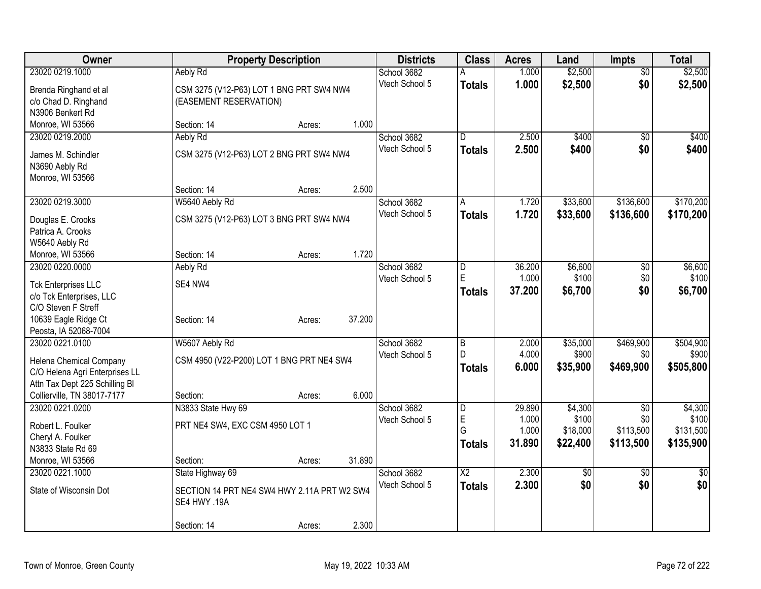| Owner                          | <b>Property Description</b>                 |        |        | <b>Districts</b> | <b>Class</b>    | <b>Acres</b> | Land            | <b>Impts</b>    | <b>Total</b>    |
|--------------------------------|---------------------------------------------|--------|--------|------------------|-----------------|--------------|-----------------|-----------------|-----------------|
| 23020 0219.1000                | Aebly Rd                                    |        |        | School 3682      | А               | 1.000        | \$2,500         | $\overline{50}$ | \$2,500         |
| Brenda Ringhand et al          | CSM 3275 (V12-P63) LOT 1 BNG PRT SW4 NW4    |        |        | Vtech School 5   | <b>Totals</b>   | 1.000        | \$2,500         | \$0             | \$2,500         |
| c/o Chad D. Ringhand           | (EASEMENT RESERVATION)                      |        |        |                  |                 |              |                 |                 |                 |
| N3906 Benkert Rd               |                                             |        |        |                  |                 |              |                 |                 |                 |
| Monroe, WI 53566               | Section: 14                                 | Acres: | 1.000  |                  |                 |              |                 |                 |                 |
| 23020 0219.2000                | Aebly Rd                                    |        |        | School 3682      | D               | 2.500        | \$400           | \$0             | \$400           |
| James M. Schindler             | CSM 3275 (V12-P63) LOT 2 BNG PRT SW4 NW4    |        |        | Vtech School 5   | <b>Totals</b>   | 2.500        | \$400           | \$0             | \$400           |
| N3690 Aebly Rd                 |                                             |        |        |                  |                 |              |                 |                 |                 |
| Monroe, WI 53566               |                                             |        |        |                  |                 |              |                 |                 |                 |
|                                | Section: 14                                 | Acres: | 2.500  |                  |                 |              |                 |                 |                 |
| 23020 0219.3000                | W5640 Aebly Rd                              |        |        | School 3682      | A               | 1.720        | \$33,600        | \$136,600       | \$170,200       |
| Douglas E. Crooks              | CSM 3275 (V12-P63) LOT 3 BNG PRT SW4 NW4    |        |        | Vtech School 5   | <b>Totals</b>   | 1.720        | \$33,600        | \$136,600       | \$170,200       |
| Patrica A. Crooks              |                                             |        |        |                  |                 |              |                 |                 |                 |
| W5640 Aebly Rd                 |                                             |        |        |                  |                 |              |                 |                 |                 |
| Monroe, WI 53566               | Section: 14                                 | Acres: | 1.720  |                  |                 |              |                 |                 |                 |
| 23020 0220.0000                | Aebly Rd                                    |        |        | School 3682      | D               | 36.200       | \$6,600         | \$0             | \$6,600         |
| <b>Tck Enterprises LLC</b>     | SE4 NW4                                     |        |        | Vtech School 5   | E               | 1.000        | \$100           | \$0             | \$100           |
| c/o Tck Enterprises, LLC       |                                             |        |        |                  | <b>Totals</b>   | 37.200       | \$6,700         | \$0             | \$6,700         |
| C/O Steven F Streff            |                                             |        |        |                  |                 |              |                 |                 |                 |
| 10639 Eagle Ridge Ct           | Section: 14                                 | Acres: | 37.200 |                  |                 |              |                 |                 |                 |
| Peosta, IA 52068-7004          |                                             |        |        |                  |                 |              |                 |                 |                 |
| 23020 0221.0100                | W5607 Aebly Rd                              |        |        | School 3682      | $\overline{B}$  | 2.000        | \$35,000        | \$469,900       | \$504,900       |
| Helena Chemical Company        | CSM 4950 (V22-P200) LOT 1 BNG PRT NE4 SW4   |        |        | Vtech School 5   | D               | 4.000        | \$900           | \$0             | \$900           |
| C/O Helena Agri Enterprises LL |                                             |        |        |                  | <b>Totals</b>   | 6.000        | \$35,900        | \$469,900       | \$505,800       |
| Attn Tax Dept 225 Schilling BI |                                             |        |        |                  |                 |              |                 |                 |                 |
| Collierville, TN 38017-7177    | Section:                                    | Acres: | 6.000  |                  |                 |              |                 |                 |                 |
| 23020 0221.0200                | N3833 State Hwy 69                          |        |        | School 3682      | D               | 29.890       | \$4,300         | \$0             | \$4,300         |
| Robert L. Foulker              | PRT NE4 SW4, EXC CSM 4950 LOT 1             |        |        | Vtech School 5   | E               | 1.000        | \$100           | \$0             | \$100           |
| Cheryl A. Foulker              |                                             |        |        |                  | G               | 1.000        | \$18,000        | \$113,500       | \$131,500       |
| N3833 State Rd 69              |                                             |        |        |                  | Totals          | 31.890       | \$22,400        | \$113,500       | \$135,900       |
| Monroe, WI 53566               | Section:                                    | Acres: | 31.890 |                  |                 |              |                 |                 |                 |
| 23020 0221.1000                | State Highway 69                            |        |        | School 3682      | $\overline{X2}$ | 2.300        | $\overline{50}$ | $\overline{50}$ | $\overline{50}$ |
| State of Wisconsin Dot         | SECTION 14 PRT NE4 SW4 HWY 2.11A PRT W2 SW4 |        |        | Vtech School 5   | <b>Totals</b>   | 2.300        | \$0             | \$0             | \$0             |
|                                | SE4 HWY .19A                                |        |        |                  |                 |              |                 |                 |                 |
|                                |                                             |        |        |                  |                 |              |                 |                 |                 |
|                                | Section: 14                                 | Acres: | 2.300  |                  |                 |              |                 |                 |                 |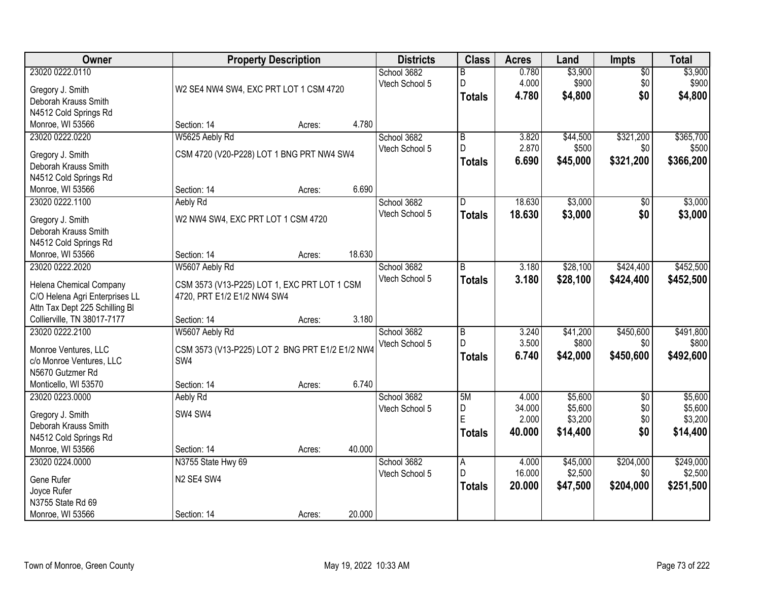| 23020 0222.0110<br>\$3,900<br>School 3682<br>0.780<br>$\overline{50}$<br>B<br>4.000<br>\$900<br>\$0<br>\$900<br>Vtech School 5<br>D<br>W2 SE4 NW4 SW4, EXC PRT LOT 1 CSM 4720<br>Gregory J. Smith<br>\$0<br>4.780<br>\$4,800<br>\$4,800<br><b>Totals</b><br>Deborah Krauss Smith<br>N4512 Cold Springs Rd<br>4.780<br>Monroe, WI 53566<br>Section: 14<br>Acres:<br>W5625 Aebly Rd<br>$\overline{B}$<br>\$321,200<br>\$365,700<br>23020 0222.0220<br>School 3682<br>3.820<br>\$44,500<br>$\mathsf{D}$<br>2.870<br>\$500<br>\$0<br>Vtech School 5<br>CSM 4720 (V20-P228) LOT 1 BNG PRT NW4 SW4<br>Gregory J. Smith<br>\$366,200<br>6.690<br>\$45,000<br>\$321,200<br><b>Totals</b><br>Deborah Krauss Smith<br>N4512 Cold Springs Rd<br>6.690<br>Monroe, WI 53566<br>Section: 14<br>Acres:<br>\$3,000<br>23020 0222.1100<br>18.630<br>School 3682<br>\$0<br>Aebly Rd<br>D<br>Vtech School 5<br>18.630<br>\$3,000<br>\$0<br><b>Totals</b><br>W2 NW4 SW4, EXC PRT LOT 1 CSM 4720<br>Gregory J. Smith<br>Deborah Krauss Smith<br>N4512 Cold Springs Rd<br>18.630<br>Monroe, WI 53566<br>Section: 14<br>Acres:<br>23020 0222.2020<br>School 3682<br>3.180<br>\$28,100<br>\$424,400<br>W5607 Aebly Rd<br>B<br>Vtech School 5<br>3.180<br>\$28,100<br>\$424,400<br>\$452,500<br><b>Totals</b><br>Helena Chemical Company<br>CSM 3573 (V13-P225) LOT 1, EXC PRT LOT 1 CSM<br>C/O Helena Agri Enterprises LL<br>4720, PRT E1/2 E1/2 NW4 SW4<br>Attn Tax Dept 225 Schilling BI<br>3.180<br>Collierville, TN 38017-7177<br>Section: 14<br>Acres:<br>23020 0222.2100<br>\$41,200<br>\$450,600<br>W5607 Aebly Rd<br>School 3682<br>$\overline{B}$<br>3.240<br>$\mathsf{D}$<br>3.500<br>\$800<br>\$0<br>Vtech School 5<br>CSM 3573 (V13-P225) LOT 2 BNG PRT E1/2 E1/2 NW4<br>Monroe Ventures, LLC<br>\$450,600<br>6.740<br>\$42,000<br>\$492,600<br><b>Totals</b><br>c/o Monroe Ventures, LLC<br>SW4<br>N5670 Gutzmer Rd<br>6.740<br>Monticello, WI 53570<br>Section: 14<br>Acres:<br>5M<br>23020 0223.0000<br>School 3682<br>\$5,600<br>$\overline{50}$<br>Aebly Rd<br>4.000<br>\$5,600<br>34.000<br>\$0<br>Vtech School 5<br>D | Owner            |         | <b>Property Description</b> | <b>Districts</b> | <b>Class</b> | <b>Acres</b> | Land    | <b>Impts</b> | <b>Total</b> |
|------------------------------------------------------------------------------------------------------------------------------------------------------------------------------------------------------------------------------------------------------------------------------------------------------------------------------------------------------------------------------------------------------------------------------------------------------------------------------------------------------------------------------------------------------------------------------------------------------------------------------------------------------------------------------------------------------------------------------------------------------------------------------------------------------------------------------------------------------------------------------------------------------------------------------------------------------------------------------------------------------------------------------------------------------------------------------------------------------------------------------------------------------------------------------------------------------------------------------------------------------------------------------------------------------------------------------------------------------------------------------------------------------------------------------------------------------------------------------------------------------------------------------------------------------------------------------------------------------------------------------------------------------------------------------------------------------------------------------------------------------------------------------------------------------------------------------------------------------------------------------------------------------------------------------------------------------------------------------------------------------------------------------------------------------------------------------------------------------------------|------------------|---------|-----------------------------|------------------|--------------|--------------|---------|--------------|--------------|
|                                                                                                                                                                                                                                                                                                                                                                                                                                                                                                                                                                                                                                                                                                                                                                                                                                                                                                                                                                                                                                                                                                                                                                                                                                                                                                                                                                                                                                                                                                                                                                                                                                                                                                                                                                                                                                                                                                                                                                                                                                                                                                                  |                  |         |                             |                  |              |              | \$3,900 |              |              |
|                                                                                                                                                                                                                                                                                                                                                                                                                                                                                                                                                                                                                                                                                                                                                                                                                                                                                                                                                                                                                                                                                                                                                                                                                                                                                                                                                                                                                                                                                                                                                                                                                                                                                                                                                                                                                                                                                                                                                                                                                                                                                                                  |                  |         |                             |                  |              |              |         |              |              |
|                                                                                                                                                                                                                                                                                                                                                                                                                                                                                                                                                                                                                                                                                                                                                                                                                                                                                                                                                                                                                                                                                                                                                                                                                                                                                                                                                                                                                                                                                                                                                                                                                                                                                                                                                                                                                                                                                                                                                                                                                                                                                                                  |                  |         |                             |                  |              |              |         |              |              |
|                                                                                                                                                                                                                                                                                                                                                                                                                                                                                                                                                                                                                                                                                                                                                                                                                                                                                                                                                                                                                                                                                                                                                                                                                                                                                                                                                                                                                                                                                                                                                                                                                                                                                                                                                                                                                                                                                                                                                                                                                                                                                                                  |                  |         |                             |                  |              |              |         |              |              |
|                                                                                                                                                                                                                                                                                                                                                                                                                                                                                                                                                                                                                                                                                                                                                                                                                                                                                                                                                                                                                                                                                                                                                                                                                                                                                                                                                                                                                                                                                                                                                                                                                                                                                                                                                                                                                                                                                                                                                                                                                                                                                                                  |                  |         |                             |                  |              |              |         |              |              |
| \$500<br>\$3,000<br>\$3,000<br>\$452,500                                                                                                                                                                                                                                                                                                                                                                                                                                                                                                                                                                                                                                                                                                                                                                                                                                                                                                                                                                                                                                                                                                                                                                                                                                                                                                                                                                                                                                                                                                                                                                                                                                                                                                                                                                                                                                                                                                                                                                                                                                                                         |                  |         |                             |                  |              |              |         |              |              |
|                                                                                                                                                                                                                                                                                                                                                                                                                                                                                                                                                                                                                                                                                                                                                                                                                                                                                                                                                                                                                                                                                                                                                                                                                                                                                                                                                                                                                                                                                                                                                                                                                                                                                                                                                                                                                                                                                                                                                                                                                                                                                                                  |                  |         |                             |                  |              |              |         |              |              |
|                                                                                                                                                                                                                                                                                                                                                                                                                                                                                                                                                                                                                                                                                                                                                                                                                                                                                                                                                                                                                                                                                                                                                                                                                                                                                                                                                                                                                                                                                                                                                                                                                                                                                                                                                                                                                                                                                                                                                                                                                                                                                                                  |                  |         |                             |                  |              |              |         |              |              |
|                                                                                                                                                                                                                                                                                                                                                                                                                                                                                                                                                                                                                                                                                                                                                                                                                                                                                                                                                                                                                                                                                                                                                                                                                                                                                                                                                                                                                                                                                                                                                                                                                                                                                                                                                                                                                                                                                                                                                                                                                                                                                                                  |                  |         |                             |                  |              |              |         |              |              |
|                                                                                                                                                                                                                                                                                                                                                                                                                                                                                                                                                                                                                                                                                                                                                                                                                                                                                                                                                                                                                                                                                                                                                                                                                                                                                                                                                                                                                                                                                                                                                                                                                                                                                                                                                                                                                                                                                                                                                                                                                                                                                                                  |                  |         |                             |                  |              |              |         |              |              |
|                                                                                                                                                                                                                                                                                                                                                                                                                                                                                                                                                                                                                                                                                                                                                                                                                                                                                                                                                                                                                                                                                                                                                                                                                                                                                                                                                                                                                                                                                                                                                                                                                                                                                                                                                                                                                                                                                                                                                                                                                                                                                                                  |                  |         |                             |                  |              |              |         |              |              |
|                                                                                                                                                                                                                                                                                                                                                                                                                                                                                                                                                                                                                                                                                                                                                                                                                                                                                                                                                                                                                                                                                                                                                                                                                                                                                                                                                                                                                                                                                                                                                                                                                                                                                                                                                                                                                                                                                                                                                                                                                                                                                                                  |                  |         |                             |                  |              |              |         |              |              |
|                                                                                                                                                                                                                                                                                                                                                                                                                                                                                                                                                                                                                                                                                                                                                                                                                                                                                                                                                                                                                                                                                                                                                                                                                                                                                                                                                                                                                                                                                                                                                                                                                                                                                                                                                                                                                                                                                                                                                                                                                                                                                                                  |                  |         |                             |                  |              |              |         |              |              |
|                                                                                                                                                                                                                                                                                                                                                                                                                                                                                                                                                                                                                                                                                                                                                                                                                                                                                                                                                                                                                                                                                                                                                                                                                                                                                                                                                                                                                                                                                                                                                                                                                                                                                                                                                                                                                                                                                                                                                                                                                                                                                                                  |                  |         |                             |                  |              |              |         |              |              |
|                                                                                                                                                                                                                                                                                                                                                                                                                                                                                                                                                                                                                                                                                                                                                                                                                                                                                                                                                                                                                                                                                                                                                                                                                                                                                                                                                                                                                                                                                                                                                                                                                                                                                                                                                                                                                                                                                                                                                                                                                                                                                                                  |                  |         |                             |                  |              |              |         |              |              |
|                                                                                                                                                                                                                                                                                                                                                                                                                                                                                                                                                                                                                                                                                                                                                                                                                                                                                                                                                                                                                                                                                                                                                                                                                                                                                                                                                                                                                                                                                                                                                                                                                                                                                                                                                                                                                                                                                                                                                                                                                                                                                                                  |                  |         |                             |                  |              |              |         |              |              |
|                                                                                                                                                                                                                                                                                                                                                                                                                                                                                                                                                                                                                                                                                                                                                                                                                                                                                                                                                                                                                                                                                                                                                                                                                                                                                                                                                                                                                                                                                                                                                                                                                                                                                                                                                                                                                                                                                                                                                                                                                                                                                                                  |                  |         |                             |                  |              |              |         |              |              |
|                                                                                                                                                                                                                                                                                                                                                                                                                                                                                                                                                                                                                                                                                                                                                                                                                                                                                                                                                                                                                                                                                                                                                                                                                                                                                                                                                                                                                                                                                                                                                                                                                                                                                                                                                                                                                                                                                                                                                                                                                                                                                                                  |                  |         |                             |                  |              |              |         |              |              |
|                                                                                                                                                                                                                                                                                                                                                                                                                                                                                                                                                                                                                                                                                                                                                                                                                                                                                                                                                                                                                                                                                                                                                                                                                                                                                                                                                                                                                                                                                                                                                                                                                                                                                                                                                                                                                                                                                                                                                                                                                                                                                                                  |                  |         |                             |                  |              |              |         |              |              |
|                                                                                                                                                                                                                                                                                                                                                                                                                                                                                                                                                                                                                                                                                                                                                                                                                                                                                                                                                                                                                                                                                                                                                                                                                                                                                                                                                                                                                                                                                                                                                                                                                                                                                                                                                                                                                                                                                                                                                                                                                                                                                                                  |                  |         |                             |                  |              |              |         |              |              |
| \$491,800<br>\$800<br>\$5,600<br>\$5,600                                                                                                                                                                                                                                                                                                                                                                                                                                                                                                                                                                                                                                                                                                                                                                                                                                                                                                                                                                                                                                                                                                                                                                                                                                                                                                                                                                                                                                                                                                                                                                                                                                                                                                                                                                                                                                                                                                                                                                                                                                                                         |                  |         |                             |                  |              |              |         |              |              |
|                                                                                                                                                                                                                                                                                                                                                                                                                                                                                                                                                                                                                                                                                                                                                                                                                                                                                                                                                                                                                                                                                                                                                                                                                                                                                                                                                                                                                                                                                                                                                                                                                                                                                                                                                                                                                                                                                                                                                                                                                                                                                                                  |                  |         |                             |                  |              |              |         |              |              |
|                                                                                                                                                                                                                                                                                                                                                                                                                                                                                                                                                                                                                                                                                                                                                                                                                                                                                                                                                                                                                                                                                                                                                                                                                                                                                                                                                                                                                                                                                                                                                                                                                                                                                                                                                                                                                                                                                                                                                                                                                                                                                                                  |                  |         |                             |                  |              |              |         |              |              |
|                                                                                                                                                                                                                                                                                                                                                                                                                                                                                                                                                                                                                                                                                                                                                                                                                                                                                                                                                                                                                                                                                                                                                                                                                                                                                                                                                                                                                                                                                                                                                                                                                                                                                                                                                                                                                                                                                                                                                                                                                                                                                                                  |                  |         |                             |                  |              |              |         |              |              |
|                                                                                                                                                                                                                                                                                                                                                                                                                                                                                                                                                                                                                                                                                                                                                                                                                                                                                                                                                                                                                                                                                                                                                                                                                                                                                                                                                                                                                                                                                                                                                                                                                                                                                                                                                                                                                                                                                                                                                                                                                                                                                                                  |                  |         |                             |                  |              |              |         |              |              |
|                                                                                                                                                                                                                                                                                                                                                                                                                                                                                                                                                                                                                                                                                                                                                                                                                                                                                                                                                                                                                                                                                                                                                                                                                                                                                                                                                                                                                                                                                                                                                                                                                                                                                                                                                                                                                                                                                                                                                                                                                                                                                                                  |                  |         |                             |                  |              |              |         |              |              |
|                                                                                                                                                                                                                                                                                                                                                                                                                                                                                                                                                                                                                                                                                                                                                                                                                                                                                                                                                                                                                                                                                                                                                                                                                                                                                                                                                                                                                                                                                                                                                                                                                                                                                                                                                                                                                                                                                                                                                                                                                                                                                                                  |                  |         |                             |                  |              |              |         |              |              |
|                                                                                                                                                                                                                                                                                                                                                                                                                                                                                                                                                                                                                                                                                                                                                                                                                                                                                                                                                                                                                                                                                                                                                                                                                                                                                                                                                                                                                                                                                                                                                                                                                                                                                                                                                                                                                                                                                                                                                                                                                                                                                                                  |                  |         |                             |                  |              |              |         |              |              |
|                                                                                                                                                                                                                                                                                                                                                                                                                                                                                                                                                                                                                                                                                                                                                                                                                                                                                                                                                                                                                                                                                                                                                                                                                                                                                                                                                                                                                                                                                                                                                                                                                                                                                                                                                                                                                                                                                                                                                                                                                                                                                                                  |                  |         |                             |                  |              |              |         |              |              |
| E<br>\$3,200<br>\$3,200<br>2.000<br>\$0                                                                                                                                                                                                                                                                                                                                                                                                                                                                                                                                                                                                                                                                                                                                                                                                                                                                                                                                                                                                                                                                                                                                                                                                                                                                                                                                                                                                                                                                                                                                                                                                                                                                                                                                                                                                                                                                                                                                                                                                                                                                          | Gregory J. Smith | SW4 SW4 |                             |                  |              |              |         |              |              |
| Deborah Krauss Smith<br>\$0<br>40.000<br>\$14,400<br>\$14,400<br>Totals                                                                                                                                                                                                                                                                                                                                                                                                                                                                                                                                                                                                                                                                                                                                                                                                                                                                                                                                                                                                                                                                                                                                                                                                                                                                                                                                                                                                                                                                                                                                                                                                                                                                                                                                                                                                                                                                                                                                                                                                                                          |                  |         |                             |                  |              |              |         |              |              |
| N4512 Cold Springs Rd                                                                                                                                                                                                                                                                                                                                                                                                                                                                                                                                                                                                                                                                                                                                                                                                                                                                                                                                                                                                                                                                                                                                                                                                                                                                                                                                                                                                                                                                                                                                                                                                                                                                                                                                                                                                                                                                                                                                                                                                                                                                                            |                  |         |                             |                  |              |              |         |              |              |
| 40.000<br>Monroe, WI 53566<br>Section: 14<br>Acres:                                                                                                                                                                                                                                                                                                                                                                                                                                                                                                                                                                                                                                                                                                                                                                                                                                                                                                                                                                                                                                                                                                                                                                                                                                                                                                                                                                                                                                                                                                                                                                                                                                                                                                                                                                                                                                                                                                                                                                                                                                                              |                  |         |                             |                  |              |              |         |              |              |
| 23020 0224.0000<br>N3755 State Hwy 69<br>School 3682<br>\$45,000<br>\$204,000<br>\$249,000<br>A<br>4.000                                                                                                                                                                                                                                                                                                                                                                                                                                                                                                                                                                                                                                                                                                                                                                                                                                                                                                                                                                                                                                                                                                                                                                                                                                                                                                                                                                                                                                                                                                                                                                                                                                                                                                                                                                                                                                                                                                                                                                                                         |                  |         |                             |                  |              |              |         |              |              |
| D<br>16.000<br>\$2,500<br>\$2,500<br>\$0<br>Vtech School 5<br>N2 SE4 SW4<br>Gene Rufer                                                                                                                                                                                                                                                                                                                                                                                                                                                                                                                                                                                                                                                                                                                                                                                                                                                                                                                                                                                                                                                                                                                                                                                                                                                                                                                                                                                                                                                                                                                                                                                                                                                                                                                                                                                                                                                                                                                                                                                                                           |                  |         |                             |                  |              |              |         |              |              |
| 20.000<br>\$47,500<br>\$204,000<br>\$251,500<br><b>Totals</b><br>Joyce Rufer                                                                                                                                                                                                                                                                                                                                                                                                                                                                                                                                                                                                                                                                                                                                                                                                                                                                                                                                                                                                                                                                                                                                                                                                                                                                                                                                                                                                                                                                                                                                                                                                                                                                                                                                                                                                                                                                                                                                                                                                                                     |                  |         |                             |                  |              |              |         |              |              |
| N3755 State Rd 69                                                                                                                                                                                                                                                                                                                                                                                                                                                                                                                                                                                                                                                                                                                                                                                                                                                                                                                                                                                                                                                                                                                                                                                                                                                                                                                                                                                                                                                                                                                                                                                                                                                                                                                                                                                                                                                                                                                                                                                                                                                                                                |                  |         |                             |                  |              |              |         |              |              |
| 20.000<br>Monroe, WI 53566<br>Section: 14<br>Acres:                                                                                                                                                                                                                                                                                                                                                                                                                                                                                                                                                                                                                                                                                                                                                                                                                                                                                                                                                                                                                                                                                                                                                                                                                                                                                                                                                                                                                                                                                                                                                                                                                                                                                                                                                                                                                                                                                                                                                                                                                                                              |                  |         |                             |                  |              |              |         |              |              |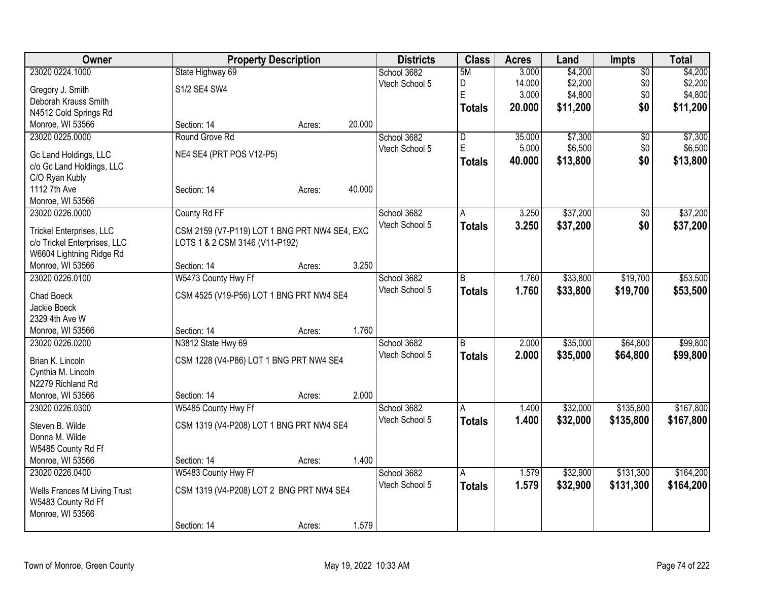| Owner                        |                                               | <b>Property Description</b> |        | <b>Districts</b> | <b>Class</b>  | <b>Acres</b> | Land     | <b>Impts</b>    | <b>Total</b> |
|------------------------------|-----------------------------------------------|-----------------------------|--------|------------------|---------------|--------------|----------|-----------------|--------------|
| 23020 0224.1000              | State Highway 69                              |                             |        | School 3682      | 5M            | 3.000        | \$4,200  | $\overline{60}$ | \$4,200      |
| Gregory J. Smith             | S1/2 SE4 SW4                                  |                             |        | Vtech School 5   | D             | 14.000       | \$2,200  | \$0             | \$2,200      |
| Deborah Krauss Smith         |                                               |                             |        |                  | E             | 3.000        | \$4,800  | \$0             | \$4,800      |
| N4512 Cold Springs Rd        |                                               |                             |        |                  | <b>Totals</b> | 20.000       | \$11,200 | \$0             | \$11,200     |
| Monroe, WI 53566             | Section: 14                                   | Acres:                      | 20.000 |                  |               |              |          |                 |              |
| 23020 0225.0000              | Round Grove Rd                                |                             |        | School 3682      | D             | 35.000       | \$7,300  | $\sqrt{6}$      | \$7,300      |
|                              |                                               |                             |        | Vtech School 5   | E             | 5.000        | \$6,500  | \$0             | \$6,500      |
| Gc Land Holdings, LLC        | NE4 SE4 (PRT POS V12-P5)                      |                             |        |                  | <b>Totals</b> | 40.000       | \$13,800 | \$0             | \$13,800     |
| c/o Gc Land Holdings, LLC    |                                               |                             |        |                  |               |              |          |                 |              |
| C/O Ryan Kubly               |                                               |                             |        |                  |               |              |          |                 |              |
| 1112 7th Ave                 | Section: 14                                   | Acres:                      | 40.000 |                  |               |              |          |                 |              |
| Monroe, WI 53566             |                                               |                             |        |                  |               |              |          |                 |              |
| 23020 0226.0000              | County Rd FF                                  |                             |        | School 3682      | A             | 3.250        | \$37,200 | \$0             | \$37,200     |
| Trickel Enterprises, LLC     | CSM 2159 (V7-P119) LOT 1 BNG PRT NW4 SE4, EXC |                             |        | Vtech School 5   | <b>Totals</b> | 3.250        | \$37,200 | \$0             | \$37,200     |
| c/o Trickel Enterprises, LLC | LOTS 1 & 2 CSM 3146 (V11-P192)                |                             |        |                  |               |              |          |                 |              |
| W6604 Lightning Ridge Rd     |                                               |                             |        |                  |               |              |          |                 |              |
| Monroe, WI 53566             | Section: 14                                   | Acres:                      | 3.250  |                  |               |              |          |                 |              |
| 23020 0226.0100              | W5473 County Hwy Ff                           |                             |        | School 3682      | B             | 1.760        | \$33,800 | \$19,700        | \$53,500     |
|                              |                                               |                             |        | Vtech School 5   | <b>Totals</b> | 1.760        | \$33,800 | \$19,700        | \$53,500     |
| Chad Boeck                   | CSM 4525 (V19-P56) LOT 1 BNG PRT NW4 SE4      |                             |        |                  |               |              |          |                 |              |
| Jackie Boeck                 |                                               |                             |        |                  |               |              |          |                 |              |
| 2329 4th Ave W               |                                               |                             |        |                  |               |              |          |                 |              |
| Monroe, WI 53566             | Section: 14                                   | Acres:                      | 1.760  |                  |               |              |          |                 |              |
| 23020 0226.0200              | N3812 State Hwy 69                            |                             |        | School 3682      | B             | 2.000        | \$35,000 | \$64,800        | \$99,800     |
| Brian K. Lincoln             | CSM 1228 (V4-P86) LOT 1 BNG PRT NW4 SE4       |                             |        | Vtech School 5   | <b>Totals</b> | 2.000        | \$35,000 | \$64,800        | \$99,800     |
| Cynthia M. Lincoln           |                                               |                             |        |                  |               |              |          |                 |              |
| N2279 Richland Rd            |                                               |                             |        |                  |               |              |          |                 |              |
| Monroe, WI 53566             | Section: 14                                   | Acres:                      | 2.000  |                  |               |              |          |                 |              |
| 23020 0226.0300              | W5485 County Hwy Ff                           |                             |        | School 3682      | A             | 1.400        | \$32,000 | \$135,800       | \$167,800    |
|                              |                                               |                             |        | Vtech School 5   | <b>Totals</b> | 1.400        | \$32,000 | \$135,800       | \$167,800    |
| Steven B. Wilde              | CSM 1319 (V4-P208) LOT 1 BNG PRT NW4 SE4      |                             |        |                  |               |              |          |                 |              |
| Donna M. Wilde               |                                               |                             |        |                  |               |              |          |                 |              |
| W5485 County Rd Ff           |                                               |                             |        |                  |               |              |          |                 |              |
| Monroe, WI 53566             | Section: 14                                   | Acres:                      | 1.400  |                  |               |              |          |                 |              |
| 23020 0226.0400              | W5483 County Hwy Ff                           |                             |        | School 3682      | A             | 1.579        | \$32,900 | \$131,300       | \$164,200    |
| Wells Frances M Living Trust | CSM 1319 (V4-P208) LOT 2 BNG PRT NW4 SE4      |                             |        | Vtech School 5   | <b>Totals</b> | 1.579        | \$32,900 | \$131,300       | \$164,200    |
| W5483 County Rd Ff           |                                               |                             |        |                  |               |              |          |                 |              |
| Monroe, WI 53566             |                                               |                             |        |                  |               |              |          |                 |              |
|                              | Section: 14                                   | Acres:                      | 1.579  |                  |               |              |          |                 |              |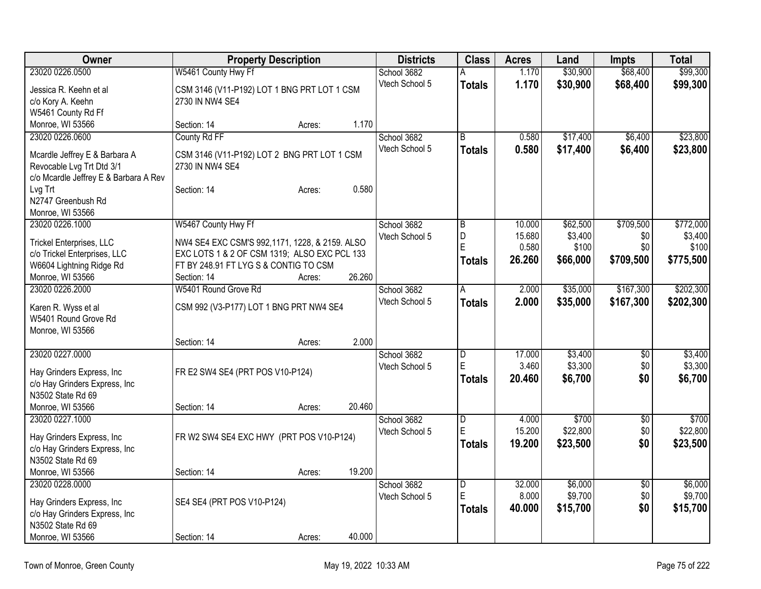| Owner                                                      | <b>Property Description</b>                    |        |        | <b>Districts</b> | <b>Class</b>            | <b>Acres</b> | Land     | <b>Impts</b>    | <b>Total</b> |
|------------------------------------------------------------|------------------------------------------------|--------|--------|------------------|-------------------------|--------------|----------|-----------------|--------------|
| 23020 0226.0500                                            | W5461 County Hwy Ff                            |        |        | School 3682      | A                       | 1.170        | \$30,900 | \$68,400        | \$99,300     |
| Jessica R. Keehn et al                                     | CSM 3146 (V11-P192) LOT 1 BNG PRT LOT 1 CSM    |        |        | Vtech School 5   | <b>Totals</b>           | 1.170        | \$30,900 | \$68,400        | \$99,300     |
| c/o Kory A. Keehn                                          | 2730 IN NW4 SE4                                |        |        |                  |                         |              |          |                 |              |
| W5461 County Rd Ff                                         |                                                |        |        |                  |                         |              |          |                 |              |
| Monroe, WI 53566                                           | Section: 14                                    | Acres: | 1.170  |                  |                         |              |          |                 |              |
| 23020 0226.0600                                            | County Rd FF                                   |        |        | School 3682      | $\overline{B}$          | 0.580        | \$17,400 | \$6,400         | \$23,800     |
| Mcardle Jeffrey E & Barbara A                              | CSM 3146 (V11-P192) LOT 2 BNG PRT LOT 1 CSM    |        |        | Vtech School 5   | <b>Totals</b>           | 0.580        | \$17,400 | \$6,400         | \$23,800     |
| Revocable Lvg Trt Dtd 3/1                                  | 2730 IN NW4 SE4                                |        |        |                  |                         |              |          |                 |              |
| c/o Mcardle Jeffrey E & Barbara A Rev                      |                                                |        |        |                  |                         |              |          |                 |              |
| Lvg Trt                                                    | Section: 14                                    | Acres: | 0.580  |                  |                         |              |          |                 |              |
| N2747 Greenbush Rd                                         |                                                |        |        |                  |                         |              |          |                 |              |
| Monroe, WI 53566                                           |                                                |        |        |                  |                         |              |          |                 |              |
| 23020 0226.1000                                            | W5467 County Hwy Ff                            |        |        | School 3682      | ΙB                      | 10.000       | \$62,500 | \$709,500       | \$772,000    |
| <b>Trickel Enterprises, LLC</b>                            | NW4 SE4 EXC CSM'S 992,1171, 1228, & 2159. ALSO |        |        | Vtech School 5   | D                       | 15.680       | \$3,400  | \$0             | \$3,400      |
| c/o Trickel Enterprises, LLC                               | EXC LOTS 1 & 2 OF CSM 1319; ALSO EXC PCL 133   |        |        |                  | E                       | 0.580        | \$100    | \$0             | \$100        |
| W6604 Lightning Ridge Rd                                   | FT BY 248.91 FT LYG S & CONTIG TO CSM          |        |        |                  | <b>Totals</b>           | 26.260       | \$66,000 | \$709,500       | \$775,500    |
| Monroe, WI 53566                                           | Section: 14                                    | Acres: | 26.260 |                  |                         |              |          |                 |              |
| 23020 0226.2000                                            | W5401 Round Grove Rd                           |        |        | School 3682      | A                       | 2.000        | \$35,000 | \$167,300       | \$202,300    |
| Karen R. Wyss et al                                        | CSM 992 (V3-P177) LOT 1 BNG PRT NW4 SE4        |        |        | Vtech School 5   | <b>Totals</b>           | 2.000        | \$35,000 | \$167,300       | \$202,300    |
| W5401 Round Grove Rd                                       |                                                |        |        |                  |                         |              |          |                 |              |
| Monroe, WI 53566                                           |                                                |        |        |                  |                         |              |          |                 |              |
|                                                            | Section: 14                                    | Acres: | 2.000  |                  |                         |              |          |                 |              |
| 23020 0227.0000                                            |                                                |        |        | School 3682      | D                       | 17.000       | \$3,400  | \$0             | \$3,400      |
| Hay Grinders Express, Inc                                  | FR E2 SW4 SE4 (PRT POS V10-P124)               |        |        | Vtech School 5   | E                       | 3.460        | \$3,300  | \$0             | \$3,300      |
| c/o Hay Grinders Express, Inc                              |                                                |        |        |                  | Totals                  | 20.460       | \$6,700  | \$0             | \$6,700      |
| N3502 State Rd 69                                          |                                                |        |        |                  |                         |              |          |                 |              |
| Monroe, WI 53566                                           | Section: 14                                    | Acres: | 20.460 |                  |                         |              |          |                 |              |
| 23020 0227.1000                                            |                                                |        |        | School 3682      | $\overline{D}$          | 4.000        | \$700    | $\sqrt{6}$      | \$700        |
| Hay Grinders Express, Inc.                                 | FR W2 SW4 SE4 EXC HWY (PRT POS V10-P124)       |        |        | Vtech School 5   | E                       | 15.200       | \$22,800 | \$0             | \$22,800     |
| c/o Hay Grinders Express, Inc.                             |                                                |        |        |                  | <b>Totals</b>           | 19.200       | \$23,500 | \$0             | \$23,500     |
| N3502 State Rd 69                                          |                                                |        |        |                  |                         |              |          |                 |              |
| Monroe, WI 53566                                           | Section: 14                                    | Acres: | 19.200 |                  |                         |              |          |                 |              |
| 23020 0228.0000                                            |                                                |        |        | School 3682      | $\overline{\mathsf{D}}$ | 32.000       | \$6,000  | $\overline{50}$ | \$6,000      |
|                                                            | SE4 SE4 (PRT POS V10-P124)                     |        |        | Vtech School 5   | E                       | 8.000        | \$9,700  | \$0             | \$9,700      |
| Hay Grinders Express, Inc<br>c/o Hay Grinders Express, Inc |                                                |        |        |                  | <b>Totals</b>           | 40.000       | \$15,700 | \$0             | \$15,700     |
| N3502 State Rd 69                                          |                                                |        |        |                  |                         |              |          |                 |              |
| Monroe, WI 53566                                           | Section: 14                                    | Acres: | 40.000 |                  |                         |              |          |                 |              |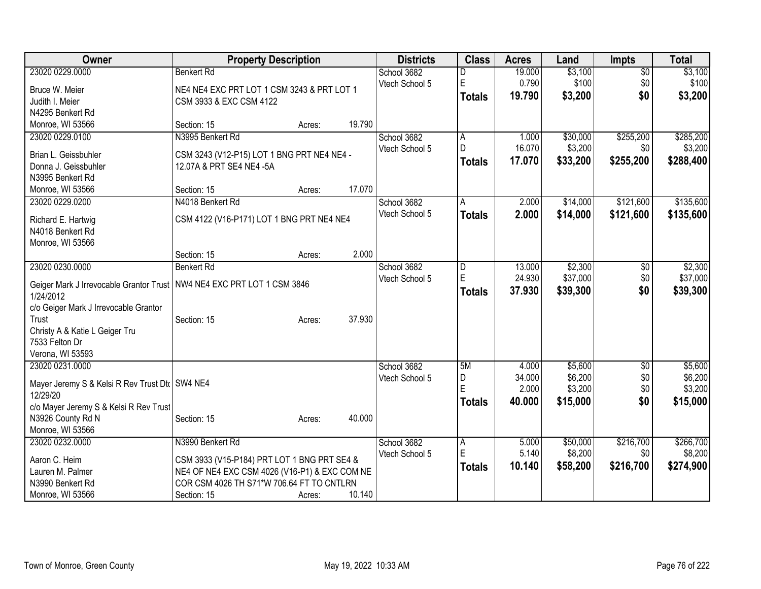| Owner                                                                    | <b>Property Description</b>                                                                |        |        | <b>Districts</b> | <b>Class</b>   | <b>Acres</b> | Land     | <b>Impts</b>    | <b>Total</b> |
|--------------------------------------------------------------------------|--------------------------------------------------------------------------------------------|--------|--------|------------------|----------------|--------------|----------|-----------------|--------------|
| 23020 0229.0000                                                          | <b>Benkert Rd</b>                                                                          |        |        | School 3682      | D              | 19.000       | \$3,100  | $\overline{50}$ | \$3,100      |
| Bruce W. Meier                                                           | NE4 NE4 EXC PRT LOT 1 CSM 3243 & PRT LOT 1                                                 |        |        | Vtech School 5   | E              | 0.790        | \$100    | \$0             | \$100        |
| Judith I. Meier                                                          | CSM 3933 & EXC CSM 4122                                                                    |        |        |                  | <b>Totals</b>  | 19.790       | \$3,200  | \$0             | \$3,200      |
| N4295 Benkert Rd                                                         |                                                                                            |        |        |                  |                |              |          |                 |              |
| Monroe, WI 53566                                                         | Section: 15                                                                                | Acres: | 19.790 |                  |                |              |          |                 |              |
| 23020 0229.0100                                                          | N3995 Benkert Rd                                                                           |        |        | School 3682      | A              | 1.000        | \$30,000 | \$255,200       | \$285,200    |
| Brian L. Geissbuhler                                                     | CSM 3243 (V12-P15) LOT 1 BNG PRT NE4 NE4 -                                                 |        |        | Vtech School 5   | l D            | 16.070       | \$3,200  | \$0             | \$3,200      |
| Donna J. Geissbuhler                                                     | 12.07A & PRT SE4 NE4 -5A                                                                   |        |        |                  | <b>Totals</b>  | 17.070       | \$33,200 | \$255,200       | \$288,400    |
| N3995 Benkert Rd                                                         |                                                                                            |        |        |                  |                |              |          |                 |              |
| Monroe, WI 53566                                                         | Section: 15                                                                                | Acres: | 17.070 |                  |                |              |          |                 |              |
| 23020 0229.0200                                                          | N4018 Benkert Rd                                                                           |        |        | School 3682      | Α              | 2.000        | \$14,000 | \$121,600       | \$135,600    |
|                                                                          |                                                                                            |        |        | Vtech School 5   | <b>Totals</b>  | 2.000        | \$14,000 | \$121,600       | \$135,600    |
| Richard E. Hartwig                                                       | CSM 4122 (V16-P171) LOT 1 BNG PRT NE4 NE4                                                  |        |        |                  |                |              |          |                 |              |
| N4018 Benkert Rd<br>Monroe, WI 53566                                     |                                                                                            |        |        |                  |                |              |          |                 |              |
|                                                                          | Section: 15                                                                                | Acres: | 2.000  |                  |                |              |          |                 |              |
| 23020 0230.0000                                                          | <b>Benkert Rd</b>                                                                          |        |        | School 3682      | D              | 13.000       | \$2,300  | \$0             | \$2,300      |
|                                                                          |                                                                                            |        |        | Vtech School 5   | $\mathsf E$    | 24.930       | \$37,000 | \$0             | \$37,000     |
| Geiger Mark J Irrevocable Grantor Trust   NW4 NE4 EXC PRT LOT 1 CSM 3846 |                                                                                            |        |        |                  | <b>Totals</b>  | 37.930       | \$39,300 | \$0             | \$39,300     |
| 1/24/2012                                                                |                                                                                            |        |        |                  |                |              |          |                 |              |
| c/o Geiger Mark J Irrevocable Grantor<br>Trust                           |                                                                                            |        | 37.930 |                  |                |              |          |                 |              |
| Christy A & Katie L Geiger Tru                                           | Section: 15                                                                                | Acres: |        |                  |                |              |          |                 |              |
| 7533 Felton Dr                                                           |                                                                                            |        |        |                  |                |              |          |                 |              |
| Verona, WI 53593                                                         |                                                                                            |        |        |                  |                |              |          |                 |              |
| 23020 0231.0000                                                          |                                                                                            |        |        | School 3682      | 5M             | 4.000        | \$5,600  | \$0             | \$5,600      |
|                                                                          |                                                                                            |        |        | Vtech School 5   | D              | 34.000       | \$6,200  | \$0             | \$6,200      |
| Mayer Jeremy S & Kelsi R Rev Trust Dt (SW4 NE4                           |                                                                                            |        |        |                  | E              | 2.000        | \$3,200  | \$0             | \$3,200      |
| 12/29/20<br>c/o Mayer Jeremy S & Kelsi R Rev Trust                       |                                                                                            |        |        |                  | <b>Totals</b>  | 40.000       | \$15,000 | \$0             | \$15,000     |
| N3926 County Rd N                                                        | Section: 15                                                                                | Acres: | 40.000 |                  |                |              |          |                 |              |
| Monroe, WI 53566                                                         |                                                                                            |        |        |                  |                |              |          |                 |              |
| 23020 0232.0000                                                          | N3990 Benkert Rd                                                                           |        |        | School 3682      | $\overline{A}$ | 5.000        | \$50,000 | \$216,700       | \$266,700    |
|                                                                          |                                                                                            |        |        | Vtech School 5   | E              | 5.140        | \$8,200  | \$0             | \$8,200      |
| Aaron C. Heim                                                            | CSM 3933 (V15-P184) PRT LOT 1 BNG PRT SE4 &                                                |        |        |                  | <b>Totals</b>  | 10.140       | \$58,200 | \$216,700       | \$274,900    |
| Lauren M. Palmer<br>N3990 Benkert Rd                                     | NE4 OF NE4 EXC CSM 4026 (V16-P1) & EXC COM NE<br>COR CSM 4026 TH S71*W 706.64 FT TO CNTLRN |        |        |                  |                |              |          |                 |              |
|                                                                          |                                                                                            |        |        |                  |                |              |          |                 |              |
| Monroe, WI 53566                                                         | Section: 15                                                                                | Acres: | 10.140 |                  |                |              |          |                 |              |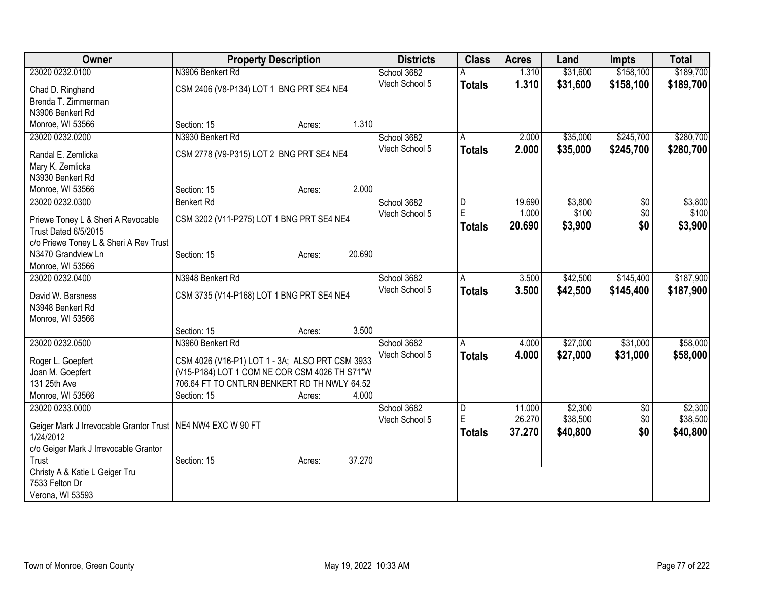| Owner                                                          | <b>Property Description</b>                     |        |        | <b>Districts</b> | <b>Class</b>  | <b>Acres</b> | Land     | <b>Impts</b>    | <b>Total</b> |
|----------------------------------------------------------------|-------------------------------------------------|--------|--------|------------------|---------------|--------------|----------|-----------------|--------------|
| 23020 0232.0100                                                | N3906 Benkert Rd                                |        |        | School 3682      |               | 1.310        | \$31,600 | \$158,100       | \$189,700    |
| Chad D. Ringhand                                               | CSM 2406 (V8-P134) LOT 1 BNG PRT SE4 NE4        |        |        | Vtech School 5   | <b>Totals</b> | 1.310        | \$31,600 | \$158,100       | \$189,700    |
| Brenda T. Zimmerman                                            |                                                 |        |        |                  |               |              |          |                 |              |
| N3906 Benkert Rd                                               |                                                 |        |        |                  |               |              |          |                 |              |
| Monroe, WI 53566                                               | Section: 15                                     | Acres: | 1.310  |                  |               |              |          |                 |              |
| 23020 0232.0200                                                | N3930 Benkert Rd                                |        |        | School 3682      | A             | 2.000        | \$35,000 | \$245,700       | \$280,700    |
| Randal E. Zemlicka                                             | CSM 2778 (V9-P315) LOT 2 BNG PRT SE4 NE4        |        |        | Vtech School 5   | <b>Totals</b> | 2.000        | \$35,000 | \$245,700       | \$280,700    |
| Mary K. Zemlicka                                               |                                                 |        |        |                  |               |              |          |                 |              |
| N3930 Benkert Rd                                               |                                                 |        |        |                  |               |              |          |                 |              |
| Monroe, WI 53566                                               | Section: 15                                     | Acres: | 2.000  |                  |               |              |          |                 |              |
| 23020 0232.0300                                                | <b>Benkert Rd</b>                               |        |        | School 3682      | D             | 19.690       | \$3,800  | $\overline{50}$ | \$3,800      |
|                                                                |                                                 |        |        | Vtech School 5   | E             | 1.000        | \$100    | \$0             | \$100        |
| Priewe Toney L & Sheri A Revocable                             | CSM 3202 (V11-P275) LOT 1 BNG PRT SE4 NE4       |        |        |                  | <b>Totals</b> | 20.690       | \$3,900  | \$0             | \$3,900      |
| Trust Dated 6/5/2015<br>c/o Priewe Toney L & Sheri A Rev Trust |                                                 |        |        |                  |               |              |          |                 |              |
| N3470 Grandview Ln                                             | Section: 15                                     | Acres: | 20.690 |                  |               |              |          |                 |              |
| Monroe, WI 53566                                               |                                                 |        |        |                  |               |              |          |                 |              |
| 23020 0232.0400                                                | N3948 Benkert Rd                                |        |        | School 3682      | Α             | 3.500        | \$42,500 | \$145,400       | \$187,900    |
|                                                                |                                                 |        |        | Vtech School 5   | <b>Totals</b> | 3.500        | \$42,500 | \$145,400       | \$187,900    |
| David W. Barsness                                              | CSM 3735 (V14-P168) LOT 1 BNG PRT SE4 NE4       |        |        |                  |               |              |          |                 |              |
| N3948 Benkert Rd                                               |                                                 |        |        |                  |               |              |          |                 |              |
| Monroe, WI 53566                                               | Section: 15                                     |        | 3.500  |                  |               |              |          |                 |              |
| 23020 0232.0500                                                | N3960 Benkert Rd                                | Acres: |        | School 3682      | A             | 4.000        | \$27,000 | \$31,000        | \$58,000     |
|                                                                |                                                 |        |        | Vtech School 5   | <b>Totals</b> | 4.000        | \$27,000 | \$31,000        | \$58,000     |
| Roger L. Goepfert                                              | CSM 4026 (V16-P1) LOT 1 - 3A; ALSO PRT CSM 3933 |        |        |                  |               |              |          |                 |              |
| Joan M. Goepfert                                               | (V15-P184) LOT 1 COM NE COR CSM 4026 TH S71*W   |        |        |                  |               |              |          |                 |              |
| 131 25th Ave                                                   | 706.64 FT TO CNTLRN BENKERT RD TH NWLY 64.52    |        |        |                  |               |              |          |                 |              |
| Monroe, WI 53566                                               | Section: 15                                     | Acres: | 4.000  |                  |               |              |          |                 |              |
| 23020 0233.0000                                                |                                                 |        |        | School 3682      | D<br>E        | 11.000       | \$2,300  | \$0             | \$2,300      |
| Geiger Mark J Irrevocable Grantor Trust   NE4 NW4 EXC W 90 FT  |                                                 |        |        | Vtech School 5   |               | 26.270       | \$38,500 | \$0             | \$38,500     |
| 1/24/2012                                                      |                                                 |        |        |                  | <b>Totals</b> | 37.270       | \$40,800 | \$0             | \$40,800     |
| c/o Geiger Mark J Irrevocable Grantor                          |                                                 |        |        |                  |               |              |          |                 |              |
| Trust                                                          | Section: 15                                     | Acres: | 37.270 |                  |               |              |          |                 |              |
| Christy A & Katie L Geiger Tru                                 |                                                 |        |        |                  |               |              |          |                 |              |
| 7533 Felton Dr                                                 |                                                 |        |        |                  |               |              |          |                 |              |
| Verona, WI 53593                                               |                                                 |        |        |                  |               |              |          |                 |              |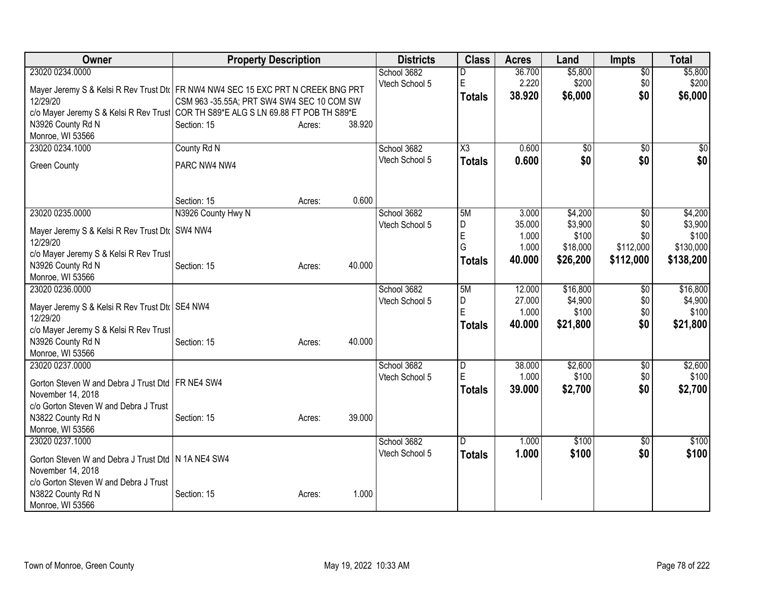| Owner                                                                                                                                                                        | <b>Property Description</b>                                                                                                                                                                                                                              | <b>Districts</b>              | <b>Class</b>                         | <b>Acres</b>                                | Land                                                | <b>Impts</b>                                | <b>Total</b>                                          |
|------------------------------------------------------------------------------------------------------------------------------------------------------------------------------|----------------------------------------------------------------------------------------------------------------------------------------------------------------------------------------------------------------------------------------------------------|-------------------------------|--------------------------------------|---------------------------------------------|-----------------------------------------------------|---------------------------------------------|-------------------------------------------------------|
| 23020 0234.0000<br>12/29/20<br>N3926 County Rd N<br>Monroe, WI 53566                                                                                                         | Mayer Jeremy S & Kelsi R Rev Trust Dt   FR NW4 NW4 SEC 15 EXC PRT N CREEK BNG PRT<br>CSM 963 -35.55A; PRT SW4 SW4 SEC 10 COM SW<br>c/o Mayer Jeremy S & Kelsi R Rev Trust COR TH S89*E ALG S LN 69.88 FT POB TH S89*E<br>38.920<br>Section: 15<br>Acres: | School 3682<br>Vtech School 5 | D<br>E<br><b>Totals</b>              | 36.700<br>2.220<br>38.920                   | \$5,800<br>\$200<br>\$6,000                         | $\overline{30}$<br>\$0<br>\$0               | \$5,800<br>\$200<br>\$6,000                           |
| 23020 0234.1000<br><b>Green County</b>                                                                                                                                       | County Rd N<br>PARC NW4 NW4<br>0.600<br>Section: 15<br>Acres:                                                                                                                                                                                            | School 3682<br>Vtech School 5 | X3<br><b>Totals</b>                  | 0.600<br>0.600                              | $\overline{50}$<br>\$0                              | $\overline{50}$<br>\$0                      | $\sqrt{50}$<br>\$0                                    |
| 23020 0235.0000<br>Mayer Jeremy S & Kelsi R Rev Trust Dt <a> </a> SW4 NW4<br>12/29/20<br>c/o Mayer Jeremy S & Kelsi R Rev Trust<br>N3926 County Rd N<br>Monroe, WI 53566     | N3926 County Hwy N<br>40.000<br>Section: 15<br>Acres:                                                                                                                                                                                                    | School 3682<br>Vtech School 5 | 5M<br>D<br>E<br>G<br><b>Totals</b>   | 3.000<br>35.000<br>1.000<br>1.000<br>40.000 | \$4,200<br>\$3,900<br>\$100<br>\$18,000<br>\$26,200 | \$0<br>\$0<br>\$0<br>\$112,000<br>\$112,000 | \$4,200<br>\$3,900<br>\$100<br>\$130,000<br>\$138,200 |
| 23020 0236,0000<br>Mayer Jeremy S & Kelsi R Rev Trust Dt   SE4 NW4<br>12/29/20<br>c/o Mayer Jeremy S & Kelsi R Rev Trust<br>N3926 County Rd N                                | 40.000<br>Section: 15<br>Acres:                                                                                                                                                                                                                          | School 3682<br>Vtech School 5 | 5M<br>D<br>E<br><b>Totals</b>        | 12.000<br>27.000<br>1.000<br>40.000         | \$16,800<br>\$4,900<br>\$100<br>\$21,800            | \$0<br>\$0<br>\$0<br>\$0                    | \$16,800<br>\$4,900<br>\$100<br>\$21,800              |
| Monroe, WI 53566<br>23020 0237.0000<br>Gorton Steven W and Debra J Trust Dtd FR NE4 SW4<br>November 14, 2018<br>c/o Gorton Steven W and Debra J Trust<br>N3822 County Rd N   | 39.000<br>Section: 15<br>Acres:                                                                                                                                                                                                                          | School 3682<br>Vtech School 5 | $\overline{D}$<br>E<br><b>Totals</b> | 38.000<br>1.000<br>39.000                   | \$2,600<br>\$100<br>\$2,700                         | \$0<br>\$0<br>\$0                           | \$2,600<br>\$100<br>\$2,700                           |
| Monroe, WI 53566<br>23020 0237.1000<br>Gorton Steven W and Debra J Trust Dtd N 1A NE4 SW4<br>November 14, 2018<br>c/o Gorton Steven W and Debra J Trust<br>N3822 County Rd N | 1.000<br>Section: 15<br>Acres:                                                                                                                                                                                                                           | School 3682<br>Vtech School 5 | D<br><b>Totals</b>                   | 1.000<br>1.000                              | \$100<br>\$100                                      | \$0<br>\$0                                  | \$100<br>\$100                                        |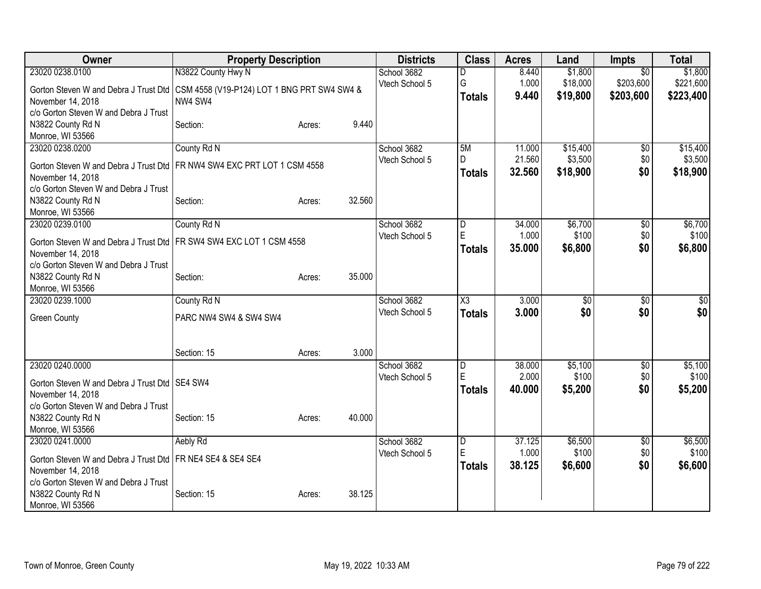| Owner                                                                               | <b>Property Description</b> |        |        | <b>Districts</b> | <b>Class</b>        | <b>Acres</b> | Land            | <b>Impts</b>    | <b>Total</b> |
|-------------------------------------------------------------------------------------|-----------------------------|--------|--------|------------------|---------------------|--------------|-----------------|-----------------|--------------|
| 23020 0238.0100                                                                     | N3822 County Hwy N          |        |        | School 3682      | D                   | 8.440        | \$1,800         | $\overline{50}$ | \$1,800      |
| Gorton Steven W and Debra J Trust Dtd   CSM 4558 (V19-P124) LOT 1 BNG PRT SW4 SW4 & |                             |        |        | Vtech School 5   | G                   | 1.000        | \$18,000        | \$203,600       | \$221,600    |
| November 14, 2018                                                                   | NW4 SW4                     |        |        |                  | <b>Totals</b>       | 9.440        | \$19,800        | \$203,600       | \$223,400    |
| c/o Gorton Steven W and Debra J Trust                                               |                             |        |        |                  |                     |              |                 |                 |              |
| N3822 County Rd N                                                                   | Section:                    | Acres: | 9.440  |                  |                     |              |                 |                 |              |
| Monroe, WI 53566                                                                    |                             |        |        |                  |                     |              |                 |                 |              |
| 23020 0238.0200                                                                     | County Rd N                 |        |        | School 3682      | 5M                  | 11.000       | \$15,400        | $\overline{50}$ | \$15,400     |
| Gorton Steven W and Debra J Trust Dtd FR NW4 SW4 EXC PRT LOT 1 CSM 4558             |                             |        |        | Vtech School 5   | D.                  | 21.560       | \$3,500         | \$0             | \$3,500      |
| November 14, 2018                                                                   |                             |        |        |                  | <b>Totals</b>       | 32.560       | \$18,900        | \$0             | \$18,900     |
| c/o Gorton Steven W and Debra J Trust                                               |                             |        |        |                  |                     |              |                 |                 |              |
| N3822 County Rd N                                                                   | Section:                    | Acres: | 32.560 |                  |                     |              |                 |                 |              |
| Monroe, WI 53566                                                                    |                             |        |        |                  |                     |              |                 |                 |              |
| 23020 0239.0100                                                                     | County Rd N                 |        |        | School 3682      | D                   | 34.000       | \$6,700         | \$0             | \$6,700      |
| Gorton Steven W and Debra J Trust Dtd   FR SW4 SW4 EXC LOT 1 CSM 4558               |                             |        |        | Vtech School 5   | $\mathsf E$         | 1.000        | \$100           | \$0             | \$100        |
| November 14, 2018                                                                   |                             |        |        |                  | <b>Totals</b>       | 35,000       | \$6,800         | \$0             | \$6,800      |
| c/o Gorton Steven W and Debra J Trust                                               |                             |        |        |                  |                     |              |                 |                 |              |
| N3822 County Rd N                                                                   | Section:                    | Acres: | 35.000 |                  |                     |              |                 |                 |              |
| Monroe, WI 53566                                                                    |                             |        |        |                  |                     |              |                 |                 |              |
| 23020 0239.1000                                                                     | County Rd N                 |        |        | School 3682      | $\overline{\chi_3}$ | 3.000        | $\overline{50}$ | $\overline{50}$ | $\sqrt{6}$   |
| <b>Green County</b>                                                                 | PARC NW4 SW4 & SW4 SW4      |        |        | Vtech School 5   | <b>Totals</b>       | 3.000        | \$0             | \$0             | \$0          |
|                                                                                     |                             |        |        |                  |                     |              |                 |                 |              |
|                                                                                     |                             |        |        |                  |                     |              |                 |                 |              |
|                                                                                     | Section: 15                 | Acres: | 3.000  |                  |                     |              |                 |                 |              |
| 23020 0240.0000                                                                     |                             |        |        | School 3682      | D                   | 38.000       | \$5,100         | $\sqrt{$0}$     | \$5,100      |
| Gorton Steven W and Debra J Trust Dtd   SE4 SW4                                     |                             |        |        | Vtech School 5   | E                   | 2.000        | \$100           | \$0             | \$100        |
| November 14, 2018                                                                   |                             |        |        |                  | Totals              | 40.000       | \$5,200         | \$0             | \$5,200      |
| c/o Gorton Steven W and Debra J Trust                                               |                             |        |        |                  |                     |              |                 |                 |              |
| N3822 County Rd N                                                                   | Section: 15                 | Acres: | 40.000 |                  |                     |              |                 |                 |              |
| Monroe, WI 53566                                                                    |                             |        |        |                  |                     |              |                 |                 |              |
| 23020 0241.0000                                                                     | Aebly Rd                    |        |        | School 3682      | $\overline{D}$      | 37.125       | \$6,500         | \$0             | \$6,500      |
| Gorton Steven W and Debra J Trust Dtd FR NE4 SE4 & SE4 SE4                          |                             |        |        | Vtech School 5   | E                   | 1.000        | \$100           | \$0             | \$100        |
| November 14, 2018                                                                   |                             |        |        |                  | Totals              | 38.125       | \$6,600         | \$0             | \$6,600      |
| c/o Gorton Steven W and Debra J Trust                                               |                             |        |        |                  |                     |              |                 |                 |              |
| N3822 County Rd N                                                                   | Section: 15                 | Acres: | 38.125 |                  |                     |              |                 |                 |              |
| Monroe, WI 53566                                                                    |                             |        |        |                  |                     |              |                 |                 |              |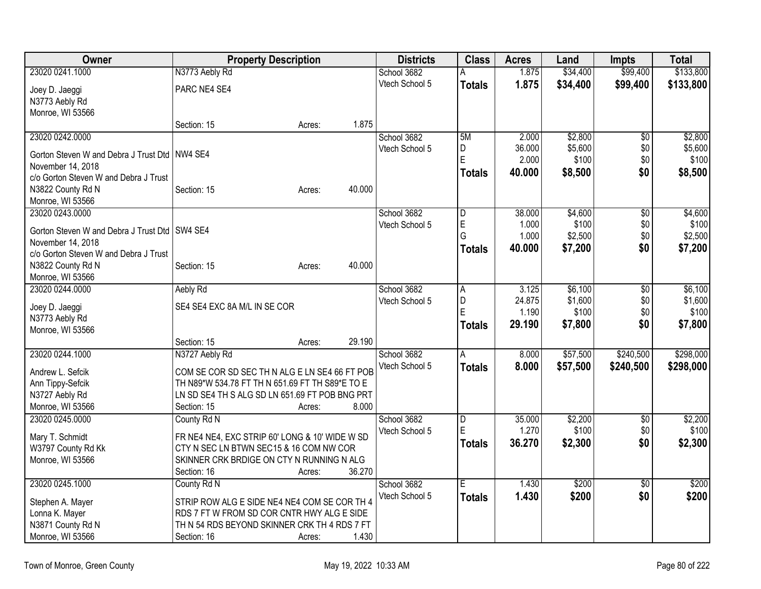| <b>Owner</b>                                    | <b>Property Description</b>                     | <b>Districts</b>              | <b>Class</b>            | <b>Acres</b> | Land               | <b>Impts</b>    | <b>Total</b>       |
|-------------------------------------------------|-------------------------------------------------|-------------------------------|-------------------------|--------------|--------------------|-----------------|--------------------|
| 23020 0241.1000                                 | N3773 Aebly Rd                                  | School 3682                   | А                       | 1.875        | \$34,400           | \$99,400        | \$133,800          |
| Joey D. Jaeggi                                  | PARC NE4 SE4                                    | Vtech School 5                | <b>Totals</b>           | 1.875        | \$34,400           | \$99,400        | \$133,800          |
| N3773 Aebly Rd                                  |                                                 |                               |                         |              |                    |                 |                    |
| Monroe, WI 53566                                |                                                 |                               |                         |              |                    |                 |                    |
|                                                 | 1.875<br>Section: 15<br>Acres:                  |                               |                         |              |                    |                 |                    |
| 23020 0242.0000                                 |                                                 | School 3682                   | 5M                      | 2.000        | \$2,800            | $\overline{50}$ | \$2,800            |
| Gorton Steven W and Debra J Trust Dtd   NW4 SE4 |                                                 | Vtech School 5                | D                       | 36.000       | \$5,600            | \$0             | \$5,600            |
| November 14, 2018                               |                                                 |                               | E                       | 2.000        | \$100              | \$0             | \$100              |
| c/o Gorton Steven W and Debra J Trust           |                                                 |                               | <b>Totals</b>           | 40.000       | \$8,500            | \$0             | \$8,500            |
| N3822 County Rd N                               | 40.000<br>Section: 15<br>Acres:                 |                               |                         |              |                    |                 |                    |
| Monroe, WI 53566                                |                                                 |                               |                         |              |                    |                 |                    |
| 23020 0243.0000                                 |                                                 | School 3682                   | $\overline{\mathsf{D}}$ | 38.000       | \$4,600            | $\overline{50}$ | \$4,600            |
|                                                 |                                                 | Vtech School 5                | E                       | 1.000        | \$100              | \$0             | \$100              |
| Gorton Steven W and Debra J Trust Dtd   SW4 SE4 |                                                 |                               | G                       | 1.000        | \$2,500            | \$0             | \$2,500            |
| November 14, 2018                               |                                                 |                               | <b>Totals</b>           | 40.000       | \$7,200            | \$0             | \$7,200            |
| c/o Gorton Steven W and Debra J Trust           |                                                 |                               |                         |              |                    |                 |                    |
| N3822 County Rd N                               | 40.000<br>Section: 15<br>Acres:                 |                               |                         |              |                    |                 |                    |
| Monroe, WI 53566<br>23020 0244.0000             |                                                 |                               |                         | 3.125        |                    |                 |                    |
|                                                 | Aebly Rd                                        | School 3682<br>Vtech School 5 | А                       | 24.875       | \$6,100<br>\$1,600 | \$0<br>\$0      | \$6,100<br>\$1,600 |
| Joey D. Jaeggi                                  | SE4 SE4 EXC 8A M/L IN SE COR                    |                               | D<br>E                  | 1.190        | \$100              | \$0             | \$100              |
| N3773 Aebly Rd                                  |                                                 |                               |                         | 29.190       | \$7,800            | \$0             | \$7,800            |
| Monroe, WI 53566                                |                                                 |                               | <b>Totals</b>           |              |                    |                 |                    |
|                                                 | 29.190<br>Section: 15<br>Acres:                 |                               |                         |              |                    |                 |                    |
| 23020 0244.1000                                 | N3727 Aebly Rd                                  | School 3682                   | A                       | 8.000        | \$57,500           | \$240,500       | \$298,000          |
| Andrew L. Sefcik                                | COM SE COR SD SEC TH N ALG E LN SE4 66 FT POB   | Vtech School 5                | <b>Totals</b>           | 8.000        | \$57,500           | \$240,500       | \$298,000          |
| Ann Tippy-Sefcik                                | TH N89*W 534.78 FT TH N 651.69 FT TH S89*E TO E |                               |                         |              |                    |                 |                    |
| N3727 Aebly Rd                                  | LN SD SE4 TH S ALG SD LN 651.69 FT POB BNG PRT  |                               |                         |              |                    |                 |                    |
| Monroe, WI 53566                                | 8.000<br>Section: 15<br>Acres:                  |                               |                         |              |                    |                 |                    |
| 23020 0245.0000                                 | County Rd N                                     | School 3682                   | $\overline{D}$          | 35.000       | \$2,200            | \$0             | \$2,200            |
|                                                 |                                                 | Vtech School 5                | E                       | 1.270        | \$100              | \$0             | \$100              |
| Mary T. Schmidt                                 | FR NE4 NE4, EXC STRIP 60' LONG & 10' WIDE W SD  |                               | <b>Totals</b>           | 36.270       | \$2,300            | \$0             | \$2,300            |
| W3797 County Rd Kk                              | CTY N SEC LN BTWN SEC15 & 16 COM NW COR         |                               |                         |              |                    |                 |                    |
| Monroe, WI 53566                                | SKINNER CRK BRDIGE ON CTY N RUNNING N ALG       |                               |                         |              |                    |                 |                    |
|                                                 | 36.270<br>Section: 16<br>Acres:                 |                               |                         |              |                    |                 |                    |
| 23020 0245.1000                                 | County Rd N                                     | School 3682                   | Ē                       | 1.430        | \$200              | $\overline{50}$ | \$200              |
| Stephen A. Mayer                                | STRIP ROW ALG E SIDE NE4 NE4 COM SE COR TH 4    | Vtech School 5                | <b>Totals</b>           | 1.430        | \$200              | \$0             | \$200              |
| Lonna K. Mayer                                  | RDS 7 FT W FROM SD COR CNTR HWY ALG E SIDE      |                               |                         |              |                    |                 |                    |
| N3871 County Rd N                               | TH N 54 RDS BEYOND SKINNER CRK TH 4 RDS 7 FT    |                               |                         |              |                    |                 |                    |
| Monroe, WI 53566                                | 1.430<br>Section: 16<br>Acres:                  |                               |                         |              |                    |                 |                    |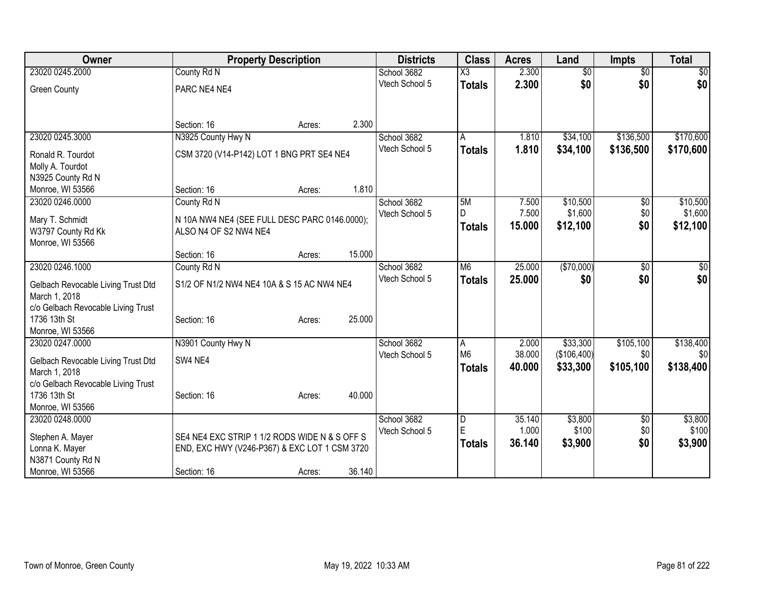| Owner                                               |                                               | <b>Property Description</b> |        | <b>Districts</b> | <b>Class</b>   | <b>Acres</b> | Land            | <b>Impts</b>    | <b>Total</b> |
|-----------------------------------------------------|-----------------------------------------------|-----------------------------|--------|------------------|----------------|--------------|-----------------|-----------------|--------------|
| 23020 0245.2000                                     | County Rd N                                   |                             |        | School 3682      | X3             | 2.300        | $\overline{50}$ | $\overline{50}$ | \$0          |
| <b>Green County</b>                                 | PARC NE4 NE4                                  |                             |        | Vtech School 5   | <b>Totals</b>  | 2.300        | \$0             | \$0             | \$0          |
|                                                     |                                               |                             |        |                  |                |              |                 |                 |              |
|                                                     |                                               |                             |        |                  |                |              |                 |                 |              |
|                                                     | Section: 16                                   | Acres:                      | 2.300  |                  |                |              |                 |                 |              |
| 23020 0245.3000                                     | N3925 County Hwy N                            |                             |        | School 3682      | A              | 1.810        | \$34,100        | \$136,500       | \$170,600    |
| Ronald R. Tourdot                                   | CSM 3720 (V14-P142) LOT 1 BNG PRT SE4 NE4     |                             |        | Vtech School 5   | <b>Totals</b>  | 1.810        | \$34,100        | \$136,500       | \$170,600    |
| Molly A. Tourdot                                    |                                               |                             |        |                  |                |              |                 |                 |              |
| N3925 County Rd N                                   |                                               |                             |        |                  |                |              |                 |                 |              |
| Monroe, WI 53566                                    | Section: 16                                   | Acres:                      | 1.810  |                  |                |              |                 |                 |              |
| 23020 0246.0000                                     | County Rd N                                   |                             |        | School 3682      | 5M             | 7.500        | \$10,500        | \$0             | \$10,500     |
| Mary T. Schmidt                                     | N 10A NW4 NE4 (SEE FULL DESC PARC 0146.0000); |                             |        | Vtech School 5   | D.             | 7.500        | \$1,600         | \$0             | \$1,600      |
| W3797 County Rd Kk                                  | ALSO N4 OF S2 NW4 NE4                         |                             |        |                  | <b>Totals</b>  | 15.000       | \$12,100        | \$0             | \$12,100     |
| Monroe, WI 53566                                    |                                               |                             |        |                  |                |              |                 |                 |              |
|                                                     | Section: 16                                   | Acres:                      | 15.000 |                  |                |              |                 |                 |              |
| 23020 0246.1000                                     | County Rd N                                   |                             |        | School 3682      | M <sub>6</sub> | 25.000       | (\$70,000)      | \$0             | $\sqrt{50}$  |
| Gelbach Revocable Living Trust Dtd                  | S1/2 OF N1/2 NW4 NE4 10A & S 15 AC NW4 NE4    |                             |        | Vtech School 5   | <b>Totals</b>  | 25.000       | \$0             | \$0             | \$0          |
| March 1, 2018                                       |                                               |                             |        |                  |                |              |                 |                 |              |
| c/o Gelbach Revocable Living Trust                  |                                               |                             |        |                  |                |              |                 |                 |              |
| 1736 13th St                                        | Section: 16                                   | Acres:                      | 25.000 |                  |                |              |                 |                 |              |
| Monroe, WI 53566                                    |                                               |                             |        |                  |                |              |                 |                 |              |
| 23020 0247.0000                                     | N3901 County Hwy N                            |                             |        | School 3682      | A              | 2.000        | \$33,300        | \$105,100       | \$138,400    |
|                                                     |                                               |                             |        | Vtech School 5   | M <sub>6</sub> | 38.000       | (\$106,400)     | \$0             | \$0          |
| Gelbach Revocable Living Trust Dtd                  | SW4 NE4                                       |                             |        |                  | <b>Totals</b>  | 40.000       | \$33,300        | \$105,100       | \$138,400    |
| March 1, 2018<br>c/o Gelbach Revocable Living Trust |                                               |                             |        |                  |                |              |                 |                 |              |
| 1736 13th St                                        | Section: 16                                   | Acres:                      | 40.000 |                  |                |              |                 |                 |              |
| Monroe, WI 53566                                    |                                               |                             |        |                  |                |              |                 |                 |              |
| 23020 0248.0000                                     |                                               |                             |        | School 3682      | $\overline{D}$ | 35.140       | \$3,800         | \$0             | \$3,800      |
|                                                     |                                               |                             |        | Vtech School 5   | E              | 1.000        | \$100           | \$0             | \$100        |
| Stephen A. Mayer                                    | SE4 NE4 EXC STRIP 1 1/2 RODS WIDE N & S OFF S |                             |        |                  | <b>Totals</b>  | 36.140       | \$3,900         | \$0             | \$3,900      |
| Lonna K. Mayer                                      | END, EXC HWY (V246-P367) & EXC LOT 1 CSM 3720 |                             |        |                  |                |              |                 |                 |              |
| N3871 County Rd N                                   |                                               |                             |        |                  |                |              |                 |                 |              |
| Monroe, WI 53566                                    | Section: 16                                   | Acres:                      | 36.140 |                  |                |              |                 |                 |              |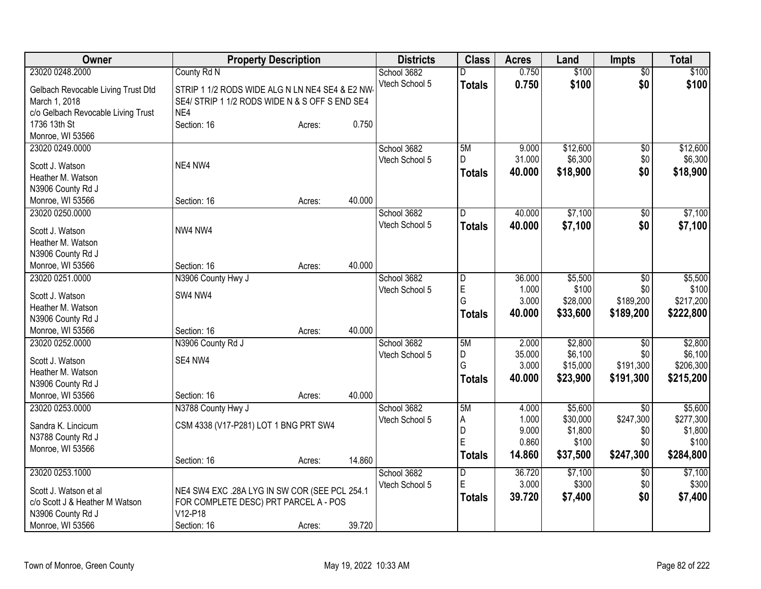| Owner                               | <b>Property Description</b>                     |        |        | <b>Districts</b> | <b>Class</b>        | <b>Acres</b>   | Land             | <b>Impts</b>    | <b>Total</b>     |
|-------------------------------------|-------------------------------------------------|--------|--------|------------------|---------------------|----------------|------------------|-----------------|------------------|
| 23020 0248.2000                     | County Rd N                                     |        |        | School 3682      | D.                  | 0.750          | \$100            | $\overline{60}$ | \$100            |
| Gelbach Revocable Living Trust Dtd  | STRIP 1 1/2 RODS WIDE ALG N LN NE4 SE4 & E2 NW- |        |        | Vtech School 5   | <b>Totals</b>       | 0.750          | \$100            | \$0             | \$100            |
| March 1, 2018                       | SE4/ STRIP 1 1/2 RODS WIDE N & S OFF S END SE4  |        |        |                  |                     |                |                  |                 |                  |
| c/o Gelbach Revocable Living Trust  | NF4                                             |        |        |                  |                     |                |                  |                 |                  |
| 1736 13th St                        | Section: 16                                     | Acres: | 0.750  |                  |                     |                |                  |                 |                  |
| Monroe, WI 53566                    |                                                 |        |        |                  |                     |                |                  |                 |                  |
| 23020 0249.0000                     |                                                 |        |        | School 3682      | 5M                  | 9.000          | \$12,600         | $\overline{60}$ | \$12,600         |
| Scott J. Watson                     | NE4 NW4                                         |        |        | Vtech School 5   | D                   | 31.000         | \$6,300          | \$0             | \$6,300          |
| Heather M. Watson                   |                                                 |        |        |                  | <b>Totals</b>       | 40.000         | \$18,900         | \$0             | \$18,900         |
| N3906 County Rd J                   |                                                 |        |        |                  |                     |                |                  |                 |                  |
| Monroe, WI 53566                    | Section: 16                                     | Acres: | 40.000 |                  |                     |                |                  |                 |                  |
| 23020 0250.0000                     |                                                 |        |        | School 3682      | D                   | 40.000         | \$7,100          | \$0             | \$7,100          |
| Scott J. Watson                     | NW4 NW4                                         |        |        | Vtech School 5   | <b>Totals</b>       | 40.000         | \$7,100          | \$0             | \$7,100          |
| Heather M. Watson                   |                                                 |        |        |                  |                     |                |                  |                 |                  |
| N3906 County Rd J                   |                                                 |        |        |                  |                     |                |                  |                 |                  |
| Monroe, WI 53566                    | Section: 16                                     | Acres: | 40.000 |                  |                     |                |                  |                 |                  |
| 23020 0251.0000                     | N3906 County Hwy J                              |        |        | School 3682      | D                   | 36.000         | \$5,500          | $\overline{50}$ | \$5,500          |
|                                     |                                                 |        |        | Vtech School 5   | E                   | 1.000          | \$100            | \$0             | \$100            |
| Scott J. Watson                     | SW4 NW4                                         |        |        |                  | G                   | 3.000          | \$28,000         | \$189,200       | \$217,200        |
| Heather M. Watson                   |                                                 |        |        |                  | <b>Totals</b>       | 40.000         | \$33,600         | \$189,200       | \$222,800        |
| N3906 County Rd J                   |                                                 |        | 40.000 |                  |                     |                |                  |                 |                  |
| Monroe, WI 53566<br>23020 0252.0000 | Section: 16<br>N3906 County Rd J                | Acres: |        | School 3682      | 5M                  | 2.000          | \$2,800          | \$0             | \$2,800          |
|                                     |                                                 |        |        | Vtech School 5   | D                   | 35.000         | \$6,100          | \$0             | \$6,100          |
| Scott J. Watson                     | SE4 NW4                                         |        |        |                  | G                   | 3.000          | \$15,000         | \$191,300       | \$206,300        |
| Heather M. Watson                   |                                                 |        |        |                  | <b>Totals</b>       | 40.000         | \$23,900         | \$191,300       | \$215,200        |
| N3906 County Rd J                   |                                                 |        |        |                  |                     |                |                  |                 |                  |
| Monroe, WI 53566                    | Section: 16                                     | Acres: | 40.000 |                  |                     |                |                  |                 |                  |
| 23020 0253.0000                     | N3788 County Hwy J                              |        |        | School 3682      | 5M                  | 4.000          | \$5,600          | $\overline{50}$ | \$5,600          |
| Sandra K. Lincicum                  | CSM 4338 (V17-P281) LOT 1 BNG PRT SW4           |        |        | Vtech School 5   | Α                   | 1.000          | \$30,000         | \$247,300       | \$277,300        |
| N3788 County Rd J                   |                                                 |        |        |                  | $\overline{D}$<br>E | 9.000<br>0.860 | \$1,800<br>\$100 | \$0<br>\$0      | \$1,800<br>\$100 |
| Monroe, WI 53566                    |                                                 |        |        |                  | <b>Totals</b>       | 14.860         | \$37,500         | \$247,300       | \$284,800        |
|                                     | Section: 16                                     | Acres: | 14.860 |                  |                     |                |                  |                 |                  |
| 23020 0253.1000                     |                                                 |        |        | School 3682      | D                   | 36.720         | \$7,100          | \$0             | \$7,100          |
| Scott J. Watson et al               | NE4 SW4 EXC .28A LYG IN SW COR (SEE PCL 254.1   |        |        | Vtech School 5   | E                   | 3.000          | \$300            | \$0             | \$300            |
| c/o Scott J & Heather M Watson      | FOR COMPLETE DESC) PRT PARCEL A - POS           |        |        |                  | <b>Totals</b>       | 39.720         | \$7,400          | \$0             | \$7,400          |
| N3906 County Rd J                   | V12-P18                                         |        |        |                  |                     |                |                  |                 |                  |
| Monroe, WI 53566                    | Section: 16                                     | Acres: | 39.720 |                  |                     |                |                  |                 |                  |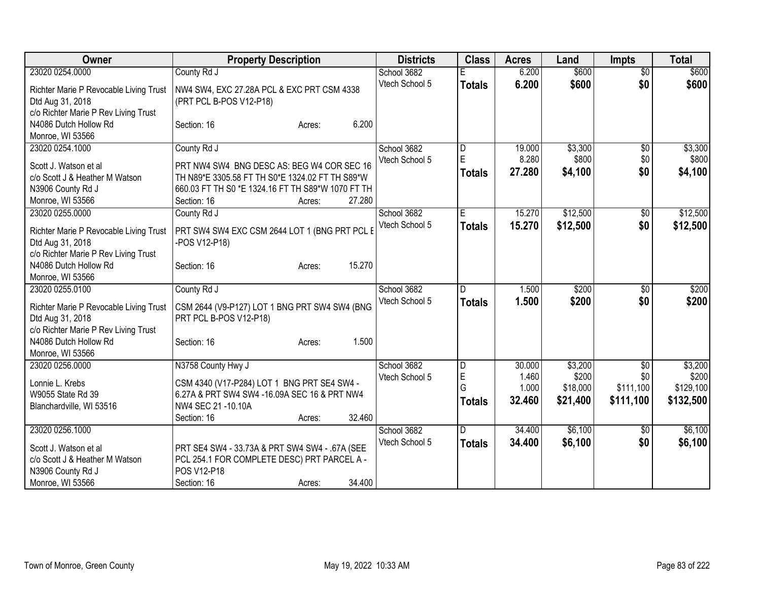| Owner                                                                                                                 | <b>Property Description</b>                                                                                                                                                                          | <b>Districts</b>              | <b>Class</b>                              | <b>Acres</b>                       | Land                                     | <b>Impts</b>                         | <b>Total</b>                               |
|-----------------------------------------------------------------------------------------------------------------------|------------------------------------------------------------------------------------------------------------------------------------------------------------------------------------------------------|-------------------------------|-------------------------------------------|------------------------------------|------------------------------------------|--------------------------------------|--------------------------------------------|
| 23020 0254.0000                                                                                                       | County Rd J                                                                                                                                                                                          | School 3682                   |                                           | 6.200                              | \$600                                    | $\overline{50}$                      | \$600                                      |
| Richter Marie P Revocable Living Trust<br>Dtd Aug 31, 2018<br>c/o Richter Marie P Rev Living Trust                    | NW4 SW4, EXC 27.28A PCL & EXC PRT CSM 4338<br>(PRT PCL B-POS V12-P18)                                                                                                                                | Vtech School 5                | <b>Totals</b>                             | 6.200                              | \$600                                    | \$0                                  | \$600                                      |
| N4086 Dutch Hollow Rd<br>Monroe, WI 53566                                                                             | 6.200<br>Section: 16<br>Acres:                                                                                                                                                                       |                               |                                           |                                    |                                          |                                      |                                            |
| 23020 0254.1000<br>Scott J. Watson et al<br>c/o Scott J & Heather M Watson<br>N3906 County Rd J<br>Monroe, WI 53566   | County Rd J<br>PRT NW4 SW4 BNG DESC AS: BEG W4 COR SEC 16<br>TH N89*E 3305.58 FT TH S0*E 1324.02 FT TH S89*W<br>660.03 FT TH S0 *E 1324.16 FT TH S89*W 1070 FT TH<br>27.280<br>Section: 16<br>Acres: | School 3682<br>Vtech School 5 | $\overline{D}$<br>E<br><b>Totals</b>      | 19.000<br>8.280<br>27.280          | \$3,300<br>\$800<br>\$4,100              | $\overline{50}$<br>\$0<br>\$0        | \$3,300<br>\$800<br>\$4,100                |
| 23020 0255.0000<br>Richter Marie P Revocable Living Trust<br>Dtd Aug 31, 2018<br>c/o Richter Marie P Rev Living Trust | County Rd J<br>PRT SW4 SW4 EXC CSM 2644 LOT 1 (BNG PRT PCL E<br>-POS V12-P18)                                                                                                                        | School 3682<br>Vtech School 5 | E<br><b>Totals</b>                        | 15.270<br>15.270                   | \$12,500<br>\$12,500                     | \$0<br>\$0                           | \$12,500<br>\$12,500                       |
| N4086 Dutch Hollow Rd<br>Monroe, WI 53566                                                                             | 15.270<br>Section: 16<br>Acres:                                                                                                                                                                      |                               |                                           |                                    |                                          |                                      |                                            |
| 23020 0255.0100<br>Richter Marie P Revocable Living Trust<br>Dtd Aug 31, 2018<br>c/o Richter Marie P Rev Living Trust | County Rd J<br>CSM 2644 (V9-P127) LOT 1 BNG PRT SW4 SW4 (BNG<br>PRT PCL B-POS V12-P18)                                                                                                               | School 3682<br>Vtech School 5 | D<br><b>Totals</b>                        | 1.500<br>1.500                     | \$200<br>\$200                           | \$0<br>\$0                           | \$200<br>\$200                             |
| N4086 Dutch Hollow Rd<br>Monroe, WI 53566                                                                             | 1.500<br>Section: 16<br>Acres:                                                                                                                                                                       |                               |                                           |                                    |                                          |                                      |                                            |
| 23020 0256.0000<br>Lonnie L. Krebs<br>W9055 State Rd 39<br>Blanchardville, WI 53516                                   | N3758 County Hwy J<br>CSM 4340 (V17-P284) LOT 1 BNG PRT SE4 SW4 -<br>6.27A & PRT SW4 SW4 -16.09A SEC 16 & PRT NW4<br>NW4 SEC 21 -10.10A<br>32.460<br>Section: 16<br>Acres:                           | School 3682<br>Vtech School 5 | $\overline{D}$<br>E<br>G<br><b>Totals</b> | 30.000<br>1.460<br>1.000<br>32.460 | \$3,200<br>\$200<br>\$18,000<br>\$21,400 | \$0<br>\$0<br>\$111,100<br>\$111,100 | \$3,200<br>\$200<br>\$129,100<br>\$132,500 |
| 23020 0256.1000<br>Scott J. Watson et al<br>c/o Scott J & Heather M Watson<br>N3906 County Rd J<br>Monroe, WI 53566   | PRT SE4 SW4 - 33.73A & PRT SW4 SW4 - .67A (SEE<br>PCL 254.1 FOR COMPLETE DESC) PRT PARCEL A -<br>POS V12-P18<br>34.400<br>Section: 16<br>Acres:                                                      | School 3682<br>Vtech School 5 | D<br><b>Totals</b>                        | 34.400<br>34.400                   | \$6,100<br>\$6,100                       | $\sqrt[6]{3}$<br>\$0                 | \$6,100<br>\$6,100                         |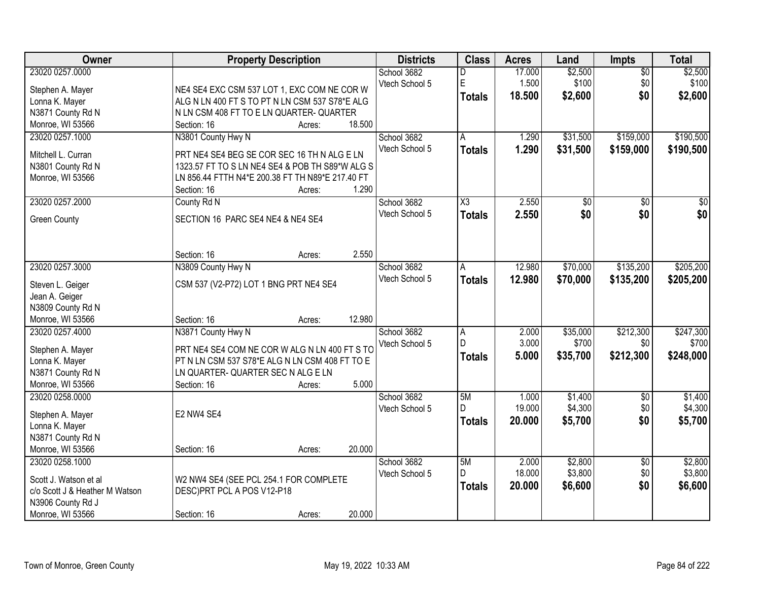| Owner                               | <b>Property Description</b>                                     |        |        | <b>Districts</b> | <b>Class</b>           | <b>Acres</b> | Land            | Impts                  | <b>Total</b> |
|-------------------------------------|-----------------------------------------------------------------|--------|--------|------------------|------------------------|--------------|-----------------|------------------------|--------------|
| 23020 0257.0000                     |                                                                 |        |        | School 3682      | D                      | 17.000       | \$2,500         | $\overline{50}$        | \$2,500      |
| Stephen A. Mayer                    | NE4 SE4 EXC CSM 537 LOT 1, EXC COM NE COR W                     |        |        | Vtech School 5   | $\mathsf E$            | 1.500        | \$100           | \$0                    | \$100        |
| Lonna K. Mayer                      | ALG N LN 400 FT S TO PT N LN CSM 537 S78*E ALG                  |        |        |                  | <b>Totals</b>          | 18.500       | \$2,600         | \$0                    | \$2,600      |
| N3871 County Rd N                   | N LN CSM 408 FT TO E LN QUARTER- QUARTER                        |        |        |                  |                        |              |                 |                        |              |
| Monroe, WI 53566                    | Section: 16                                                     | Acres: | 18.500 |                  |                        |              |                 |                        |              |
| 23020 0257.1000                     | N3801 County Hwy N                                              |        |        | School 3682      | A                      | 1.290        | \$31,500        | \$159,000              | \$190,500    |
|                                     |                                                                 |        |        | Vtech School 5   | <b>Totals</b>          | 1.290        | \$31,500        | \$159,000              | \$190,500    |
| Mitchell L. Curran                  | PRT NE4 SE4 BEG SE COR SEC 16 TH N ALG E LN                     |        |        |                  |                        |              |                 |                        |              |
| N3801 County Rd N                   | 1323.57 FT TO S LN NE4 SE4 & POB TH S89*W ALG S                 |        |        |                  |                        |              |                 |                        |              |
| Monroe, WI 53566                    | LN 856.44 FTTH N4*E 200.38 FT TH N89*E 217.40 FT<br>Section: 16 | Acres: | 1.290  |                  |                        |              |                 |                        |              |
| 23020 0257.2000                     | County Rd N                                                     |        |        | School 3682      | $\overline{\text{X3}}$ | 2.550        | $\overline{50}$ | \$0                    | $\sqrt{50}$  |
|                                     |                                                                 |        |        | Vtech School 5   |                        | 2.550        | \$0             | \$0                    | \$0          |
| <b>Green County</b>                 | SECTION 16 PARC SE4 NE4 & NE4 SE4                               |        |        |                  | <b>Totals</b>          |              |                 |                        |              |
|                                     |                                                                 |        |        |                  |                        |              |                 |                        |              |
|                                     | Section: 16                                                     | Acres: | 2.550  |                  |                        |              |                 |                        |              |
| 23020 0257.3000                     | N3809 County Hwy N                                              |        |        | School 3682      | A                      | 12.980       | \$70,000        | \$135,200              | \$205,200    |
| Steven L. Geiger                    | CSM 537 (V2-P72) LOT 1 BNG PRT NE4 SE4                          |        |        | Vtech School 5   | <b>Totals</b>          | 12.980       | \$70,000        | \$135,200              | \$205,200    |
| Jean A. Geiger                      |                                                                 |        |        |                  |                        |              |                 |                        |              |
| N3809 County Rd N                   |                                                                 |        |        |                  |                        |              |                 |                        |              |
| Monroe, WI 53566                    | Section: 16                                                     | Acres: | 12.980 |                  |                        |              |                 |                        |              |
| 23020 0257.4000                     | N3871 County Hwy N                                              |        |        | School 3682      | $\overline{A}$         | 2.000        | \$35,000        | \$212,300              | \$247,300    |
| Stephen A. Mayer                    | PRT NE4 SE4 COM NE COR W ALG N LN 400 FT S TO                   |        |        | Vtech School 5   | $\mathsf{D}$           | 3.000        | \$700           | \$0                    | \$700        |
| Lonna K. Mayer                      | PT N LN CSM 537 S78*E ALG N LN CSM 408 FT TO E                  |        |        |                  | <b>Totals</b>          | 5.000        | \$35,700        | \$212,300              | \$248,000    |
| N3871 County Rd N                   | LN QUARTER- QUARTER SEC N ALG E LN                              |        |        |                  |                        |              |                 |                        |              |
| Monroe, WI 53566                    | Section: 16                                                     | Acres: | 5.000  |                  |                        |              |                 |                        |              |
| 23020 0258,0000                     |                                                                 |        |        | School 3682      | 5M                     | 1.000        | \$1,400         | $\sqrt{6}$             | \$1,400      |
|                                     |                                                                 |        |        | Vtech School 5   |                        | 19.000       | \$4,300         | \$0                    | \$4,300      |
| Stephen A. Mayer                    | E2 NW4 SE4                                                      |        |        |                  | <b>Totals</b>          | 20.000       | \$5,700         | \$0                    | \$5,700      |
| Lonna K. Mayer                      |                                                                 |        |        |                  |                        |              |                 |                        |              |
| N3871 County Rd N                   |                                                                 |        | 20.000 |                  |                        |              |                 |                        |              |
| Monroe, WI 53566<br>23020 0258.1000 | Section: 16                                                     | Acres: |        | School 3682      | 5M                     | 2.000        | \$2,800         |                        | \$2,800      |
|                                     |                                                                 |        |        |                  | D.                     | 18.000       | \$3,800         | $\overline{60}$<br>\$0 | \$3,800      |
| Scott J. Watson et al               | W2 NW4 SE4 (SEE PCL 254.1 FOR COMPLETE                          |        |        | Vtech School 5   |                        | 20.000       |                 | \$0                    |              |
| c/o Scott J & Heather M Watson      | DESC)PRT PCL A POS V12-P18                                      |        |        |                  | <b>Totals</b>          |              | \$6,600         |                        | \$6,600      |
| N3906 County Rd J                   |                                                                 |        |        |                  |                        |              |                 |                        |              |
| Monroe, WI 53566                    | Section: 16                                                     | Acres: | 20.000 |                  |                        |              |                 |                        |              |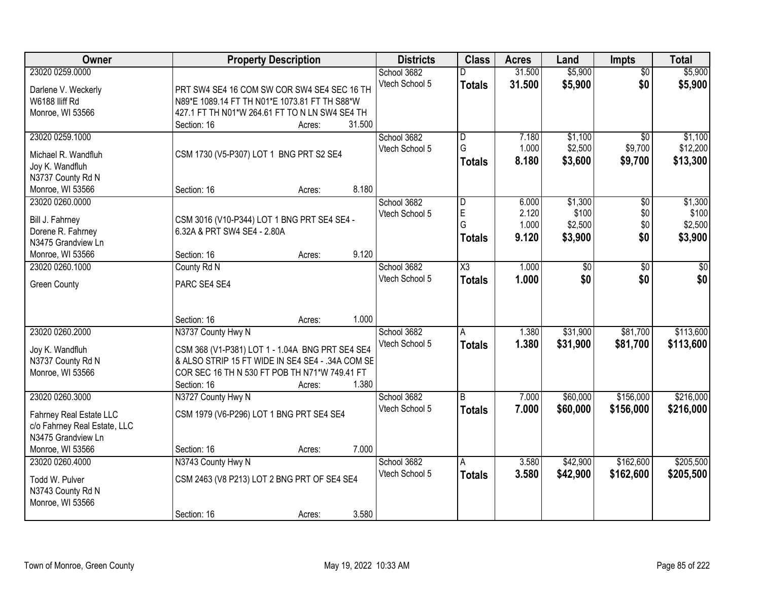| <b>Owner</b>                 |                                                  | <b>Property Description</b> |        | <b>Districts</b> | <b>Class</b>            | <b>Acres</b> | Land            | <b>Impts</b>    | <b>Total</b> |
|------------------------------|--------------------------------------------------|-----------------------------|--------|------------------|-------------------------|--------------|-----------------|-----------------|--------------|
| 23020 0259.0000              |                                                  |                             |        | School 3682      |                         | 31.500       | \$5,900         | $\overline{50}$ | \$5,900      |
| Darlene V. Weckerly          | PRT SW4 SE4 16 COM SW COR SW4 SE4 SEC 16 TH      |                             |        | Vtech School 5   | <b>Totals</b>           | 31.500       | \$5,900         | \$0             | \$5,900      |
| W6188 lliff Rd               | N89*E 1089.14 FT TH N01*E 1073.81 FT TH S88*W    |                             |        |                  |                         |              |                 |                 |              |
| Monroe, WI 53566             | 427.1 FT TH N01*W 264.61 FT TO N LN SW4 SE4 TH   |                             |        |                  |                         |              |                 |                 |              |
|                              | Section: 16                                      | Acres:                      | 31.500 |                  |                         |              |                 |                 |              |
| 23020 0259.1000              |                                                  |                             |        | School 3682      | $\overline{\mathsf{D}}$ | 7.180        | \$1,100         | $\overline{30}$ | \$1,100      |
|                              |                                                  |                             |        | Vtech School 5   | G                       | 1.000        | \$2,500         | \$9,700         | \$12,200     |
| Michael R. Wandfluh          | CSM 1730 (V5-P307) LOT 1 BNG PRT S2 SE4          |                             |        |                  | <b>Totals</b>           | 8.180        | \$3,600         | \$9,700         | \$13,300     |
| Joy K. Wandfluh              |                                                  |                             |        |                  |                         |              |                 |                 |              |
| N3737 County Rd N            |                                                  |                             |        |                  |                         |              |                 |                 |              |
| Monroe, WI 53566             | Section: 16                                      | Acres:                      | 8.180  |                  |                         |              |                 |                 |              |
| 23020 0260.0000              |                                                  |                             |        | School 3682      | $\overline{\mathsf{D}}$ | 6.000        | \$1,300         | \$0             | \$1,300      |
| Bill J. Fahrney              | CSM 3016 (V10-P344) LOT 1 BNG PRT SE4 SE4 -      |                             |        | Vtech School 5   | E<br>G                  | 2.120        | \$100           | \$0<br>\$0      | \$100        |
| Dorene R. Fahrney            | 6.32A & PRT SW4 SE4 - 2.80A                      |                             |        |                  |                         | 1.000        | \$2,500         |                 | \$2,500      |
| N3475 Grandview Ln           |                                                  |                             |        |                  | <b>Totals</b>           | 9.120        | \$3,900         | \$0             | \$3,900      |
| Monroe, WI 53566             | Section: 16                                      | Acres:                      | 9.120  |                  |                         |              |                 |                 |              |
| 23020 0260.1000              | County Rd N                                      |                             |        | School 3682      | X3                      | 1.000        | $\overline{60}$ | \$0             | \$0          |
|                              |                                                  |                             |        | Vtech School 5   | <b>Totals</b>           | 1.000        | \$0             | \$0             | \$0          |
| <b>Green County</b>          | PARC SE4 SE4                                     |                             |        |                  |                         |              |                 |                 |              |
|                              |                                                  |                             |        |                  |                         |              |                 |                 |              |
|                              | Section: 16                                      | Acres:                      | 1.000  |                  |                         |              |                 |                 |              |
| 23020 0260.2000              | N3737 County Hwy N                               |                             |        | School 3682      | A                       | 1.380        | \$31,900        | \$81,700        | \$113,600    |
|                              |                                                  |                             |        | Vtech School 5   | <b>Totals</b>           | 1.380        | \$31,900        | \$81,700        | \$113,600    |
| Joy K. Wandfluh              | CSM 368 (V1-P381) LOT 1 - 1.04A BNG PRT SE4 SE4  |                             |        |                  |                         |              |                 |                 |              |
| N3737 County Rd N            | & ALSO STRIP 15 FT WIDE IN SE4 SE4 - .34A COM SE |                             |        |                  |                         |              |                 |                 |              |
| Monroe, WI 53566             | COR SEC 16 TH N 530 FT POB TH N71*W 749.41 FT    |                             |        |                  |                         |              |                 |                 |              |
|                              | Section: 16                                      | Acres:                      | 1.380  |                  |                         |              |                 |                 |              |
| 23020 0260.3000              | N3727 County Hwy N                               |                             |        | School 3682      | $\overline{B}$          | 7.000        | \$60,000        | \$156,000       | \$216,000    |
| Fahrney Real Estate LLC      | CSM 1979 (V6-P296) LOT 1 BNG PRT SE4 SE4         |                             |        | Vtech School 5   | <b>Totals</b>           | 7.000        | \$60,000        | \$156,000       | \$216,000    |
| c/o Fahrney Real Estate, LLC |                                                  |                             |        |                  |                         |              |                 |                 |              |
| N3475 Grandview Ln           |                                                  |                             |        |                  |                         |              |                 |                 |              |
| Monroe, WI 53566             | Section: 16                                      | Acres:                      | 7.000  |                  |                         |              |                 |                 |              |
| 23020 0260.4000              | N3743 County Hwy N                               |                             |        | School 3682      | A                       | 3.580        | \$42,900        | \$162,600       | \$205,500    |
|                              |                                                  |                             |        | Vtech School 5   | <b>Totals</b>           | 3.580        | \$42,900        | \$162,600       | \$205,500    |
| Todd W. Pulver               | CSM 2463 (V8 P213) LOT 2 BNG PRT OF SE4 SE4      |                             |        |                  |                         |              |                 |                 |              |
| N3743 County Rd N            |                                                  |                             |        |                  |                         |              |                 |                 |              |
| Monroe, WI 53566             |                                                  |                             |        |                  |                         |              |                 |                 |              |
|                              | Section: 16                                      | Acres:                      | 3.580  |                  |                         |              |                 |                 |              |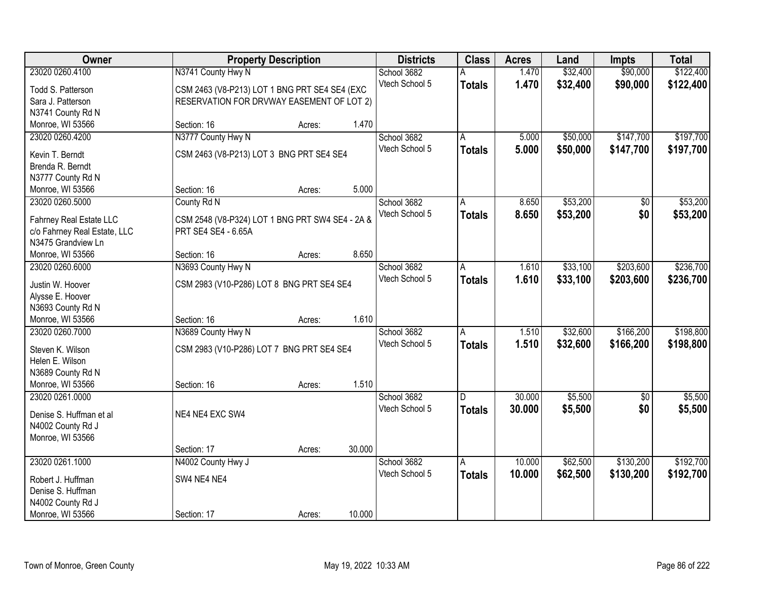| Owner<br><b>Districts</b><br><b>Class</b><br><b>Acres</b><br><b>Property Description</b><br>Land<br><b>Impts</b>                       | <b>Total</b> |
|----------------------------------------------------------------------------------------------------------------------------------------|--------------|
| 23020 0260.4100<br>N3741 County Hwy N<br>\$32,400<br>\$90,000<br>School 3682<br>1.470                                                  | \$122,400    |
| Vtech School 5<br>1.470<br>\$32,400<br>\$90,000<br><b>Totals</b><br>CSM 2463 (V8-P213) LOT 1 BNG PRT SE4 SE4 (EXC<br>Todd S. Patterson | \$122,400    |
| Sara J. Patterson<br>RESERVATION FOR DRVWAY EASEMENT OF LOT 2)                                                                         |              |
| N3741 County Rd N                                                                                                                      |              |
| 1.470<br>Monroe, WI 53566<br>Section: 16<br>Acres:                                                                                     |              |
| N3777 County Hwy N<br>\$50,000<br>\$147,700<br>23020 0260.4200<br>School 3682<br>5.000<br>A                                            | \$197,700    |
| Vtech School 5<br>5.000<br>\$50,000<br>\$147,700<br><b>Totals</b>                                                                      | \$197,700    |
| CSM 2463 (V8-P213) LOT 3 BNG PRT SE4 SE4<br>Kevin T. Berndt                                                                            |              |
| Brenda R. Berndt                                                                                                                       |              |
| N3777 County Rd N<br>5.000<br>Section: 16                                                                                              |              |
| Monroe, WI 53566<br>Acres:<br>\$53,200<br>23020 0260.5000<br>8.650                                                                     | \$53,200     |
| School 3682<br>\$0<br>County Rd N<br>A<br>Vtech School 5                                                                               |              |
| 8.650<br>\$53,200<br>\$0<br><b>Totals</b><br>CSM 2548 (V8-P324) LOT 1 BNG PRT SW4 SE4 - 2A &<br>Fahrney Real Estate LLC                | \$53,200     |
| PRT SE4 SE4 - 6.65A<br>c/o Fahrney Real Estate, LLC                                                                                    |              |
| N3475 Grandview Ln                                                                                                                     |              |
| 8.650<br>Section: 16<br>Monroe, WI 53566<br>Acres:                                                                                     |              |
| N3693 County Hwy N<br>\$33,100<br>\$203,600<br>23020 0260.6000<br>School 3682<br>1.610<br>Α                                            | \$236,700    |
| Vtech School 5<br>1.610<br>\$33,100<br>\$203,600<br><b>Totals</b><br>Justin W. Hoover<br>CSM 2983 (V10-P286) LOT 8 BNG PRT SE4 SE4     | \$236,700    |
| Alysse E. Hoover                                                                                                                       |              |
| N3693 County Rd N                                                                                                                      |              |
| 1.610<br>Monroe, WI 53566<br>Section: 16<br>Acres:                                                                                     |              |
| \$166,200<br>23020 0260.7000<br>N3689 County Hwy N<br>1.510<br>\$32,600<br>School 3682<br>A                                            | \$198,800    |
| Vtech School 5<br>1.510<br>\$32,600<br>\$166,200<br><b>Totals</b>                                                                      | \$198,800    |
| Steven K. Wilson<br>CSM 2983 (V10-P286) LOT 7 BNG PRT SE4 SE4                                                                          |              |
| Helen E. Wilson                                                                                                                        |              |
| N3689 County Rd N                                                                                                                      |              |
| 1.510<br>Monroe, WI 53566<br>Section: 16<br>Acres:                                                                                     |              |
| 23020 0261.0000<br>30.000<br>\$5,500<br>School 3682<br>$\overline{50}$<br>D.                                                           | \$5,500      |
| Vtech School 5<br>30.000<br>\$5,500<br>\$0<br><b>Totals</b><br>NE4 NE4 EXC SW4<br>Denise S. Huffman et al                              | \$5,500      |
| N4002 County Rd J                                                                                                                      |              |
| Monroe, WI 53566                                                                                                                       |              |
| 30.000<br>Section: 17<br>Acres:                                                                                                        |              |
| 23020 0261.1000<br>N4002 County Hwy J<br>10.000<br>\$62,500<br>\$130,200<br>School 3682<br>Α                                           | \$192,700    |
| Vtech School 5<br>10.000<br>\$62,500<br>\$130,200<br><b>Totals</b><br>SW4 NE4 NE4<br>Robert J. Huffman                                 | \$192,700    |
| Denise S. Huffman                                                                                                                      |              |
| N4002 County Rd J                                                                                                                      |              |
| Monroe, WI 53566<br>10.000<br>Section: 17<br>Acres:                                                                                    |              |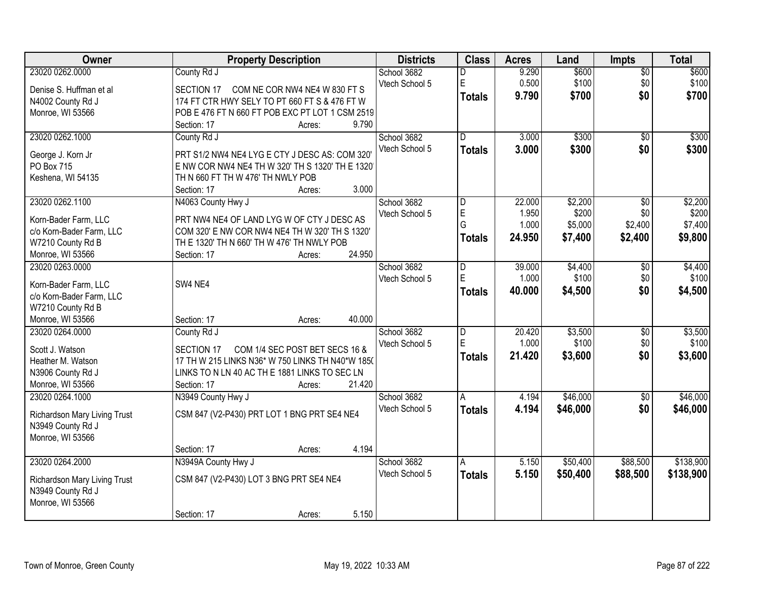| Owner                           | <b>Property Description</b>                                                                        | <b>Districts</b> | <b>Class</b>   | <b>Acres</b> | Land     | <b>Impts</b>    | <b>Total</b> |
|---------------------------------|----------------------------------------------------------------------------------------------------|------------------|----------------|--------------|----------|-----------------|--------------|
| 23020 0262.0000                 | County Rd J                                                                                        | School 3682      | D              | 9.290        | \$600    | $\overline{50}$ | \$600        |
| Denise S. Huffman et al         | COM NE COR NW4 NE4 W 830 FT S<br>SECTION 17                                                        | Vtech School 5   | $\mathsf E$    | 0.500        | \$100    | \$0             | \$100        |
| N4002 County Rd J               | 174 FT CTR HWY SELY TO PT 660 FT S & 476 FT W                                                      |                  | <b>Totals</b>  | 9.790        | \$700    | \$0             | \$700        |
| Monroe, WI 53566                | POB E 476 FT N 660 FT POB EXC PT LOT 1 CSM 2519                                                    |                  |                |              |          |                 |              |
|                                 | 9.790<br>Section: 17<br>Acres:                                                                     |                  |                |              |          |                 |              |
| 23020 0262.1000                 | County Rd J                                                                                        | School 3682      | $\overline{D}$ | 3.000        | \$300    | $\overline{50}$ | \$300        |
|                                 |                                                                                                    | Vtech School 5   | <b>Totals</b>  | 3.000        | \$300    | \$0             | \$300        |
| George J. Korn Jr<br>PO Box 715 | PRT S1/2 NW4 NE4 LYG E CTY J DESC AS: COM 320'<br>E NW COR NW4 NE4 TH W 320' TH S 1320' TH E 1320' |                  |                |              |          |                 |              |
| Keshena, WI 54135               | TH N 660 FT TH W 476' TH NWLY POB                                                                  |                  |                |              |          |                 |              |
|                                 | 3.000<br>Section: 17<br>Acres:                                                                     |                  |                |              |          |                 |              |
| 23020 0262.1100                 | N4063 County Hwy J                                                                                 | School 3682      | D              | 22.000       | \$2,200  | \$0             | \$2,200      |
|                                 |                                                                                                    | Vtech School 5   | $\mathsf E$    | 1.950        | \$200    | \$0             | \$200        |
| Korn-Bader Farm, LLC            | PRT NW4 NE4 OF LAND LYG W OF CTY J DESC AS                                                         |                  | G              | 1.000        | \$5,000  | \$2,400         | \$7,400      |
| c/o Korn-Bader Farm, LLC        | COM 320' E NW COR NW4 NE4 TH W 320' TH S 1320'                                                     |                  | <b>Totals</b>  | 24.950       | \$7,400  | \$2,400         | \$9,800      |
| W7210 County Rd B               | TH E 1320' TH N 660' TH W 476' TH NWLY POB                                                         |                  |                |              |          |                 |              |
| Monroe, WI 53566                | 24.950<br>Section: 17<br>Acres:                                                                    |                  |                |              |          |                 |              |
| 23020 0263,0000                 |                                                                                                    | School 3682      | D              | 39.000       | \$4,400  | $\sqrt[6]{3}$   | \$4,400      |
| Korn-Bader Farm, LLC            | SW4 NE4                                                                                            | Vtech School 5   | $\mathsf E$    | 1.000        | \$100    | \$0             | \$100        |
| c/o Korn-Bader Farm, LLC        |                                                                                                    |                  | <b>Totals</b>  | 40.000       | \$4,500  | \$0             | \$4,500      |
| W7210 County Rd B               |                                                                                                    |                  |                |              |          |                 |              |
| Monroe, WI 53566                | 40.000<br>Section: 17<br>Acres:                                                                    |                  |                |              |          |                 |              |
| 23020 0264.0000                 | County Rd J                                                                                        | School 3682      | $\overline{D}$ | 20.420       | \$3,500  | \$0             | \$3,500      |
| Scott J. Watson                 | COM 1/4 SEC POST BET SECS 16 &<br><b>SECTION 17</b>                                                | Vtech School 5   | E              | 1.000        | \$100    | \$0             | \$100        |
| Heather M. Watson               | 17 TH W 215 LINKS N36* W 750 LINKS TH N40*W 1850                                                   |                  | <b>Totals</b>  | 21.420       | \$3,600  | \$0             | \$3,600      |
| N3906 County Rd J               | LINKS TO N LN 40 AC TH E 1881 LINKS TO SEC LN                                                      |                  |                |              |          |                 |              |
| Monroe, WI 53566                | 21.420<br>Section: 17<br>Acres:                                                                    |                  |                |              |          |                 |              |
| 23020 0264.1000                 | N3949 County Hwy J                                                                                 | School 3682      | A              | 4.194        | \$46,000 | $\sqrt{6}$      | \$46,000     |
|                                 |                                                                                                    | Vtech School 5   | <b>Totals</b>  | 4.194        | \$46,000 | \$0             | \$46,000     |
| Richardson Mary Living Trust    | CSM 847 (V2-P430) PRT LOT 1 BNG PRT SE4 NE4                                                        |                  |                |              |          |                 |              |
| N3949 County Rd J               |                                                                                                    |                  |                |              |          |                 |              |
| Monroe, WI 53566                |                                                                                                    |                  |                |              |          |                 |              |
|                                 | 4.194<br>Section: 17<br>Acres:                                                                     |                  |                |              |          |                 |              |
| 23020 0264.2000                 | N3949A County Hwy J                                                                                | School 3682      | A              | 5.150        | \$50,400 | \$88,500        | \$138,900    |
| Richardson Mary Living Trust    | CSM 847 (V2-P430) LOT 3 BNG PRT SE4 NE4                                                            | Vtech School 5   | <b>Totals</b>  | 5.150        | \$50,400 | \$88,500        | \$138,900    |
| N3949 County Rd J               |                                                                                                    |                  |                |              |          |                 |              |
| Monroe, WI 53566                |                                                                                                    |                  |                |              |          |                 |              |
|                                 | 5.150<br>Section: 17<br>Acres:                                                                     |                  |                |              |          |                 |              |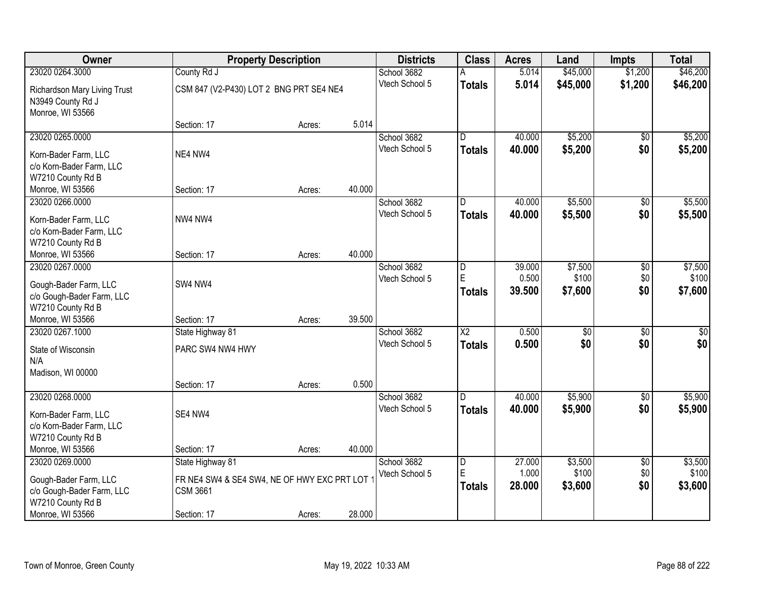| Owner                        |                                             | <b>Property Description</b> |        | <b>Districts</b> | <b>Class</b>    | <b>Acres</b> | Land            | <b>Impts</b>    | <b>Total</b> |
|------------------------------|---------------------------------------------|-----------------------------|--------|------------------|-----------------|--------------|-----------------|-----------------|--------------|
| 23020 0264.3000              | County Rd J                                 |                             |        | School 3682      | A               | 5.014        | \$45,000        | \$1,200         | \$46,200     |
| Richardson Mary Living Trust | CSM 847 (V2-P430) LOT 2 BNG PRT SE4 NE4     |                             |        | Vtech School 5   | <b>Totals</b>   | 5.014        | \$45,000        | \$1,200         | \$46,200     |
| N3949 County Rd J            |                                             |                             |        |                  |                 |              |                 |                 |              |
| Monroe, WI 53566             |                                             |                             |        |                  |                 |              |                 |                 |              |
|                              | Section: 17                                 | Acres:                      | 5.014  |                  |                 |              |                 |                 |              |
| 23020 0265.0000              |                                             |                             |        | School 3682      | D.              | 40.000       | \$5,200         | \$0             | \$5,200      |
| Korn-Bader Farm, LLC         | NE4 NW4                                     |                             |        | Vtech School 5   | Totals          | 40.000       | \$5,200         | \$0             | \$5,200      |
| c/o Korn-Bader Farm, LLC     |                                             |                             |        |                  |                 |              |                 |                 |              |
| W7210 County Rd B            |                                             |                             |        |                  |                 |              |                 |                 |              |
| Monroe, WI 53566             | Section: 17                                 | Acres:                      | 40.000 |                  |                 |              |                 |                 |              |
| 23020 0266.0000              |                                             |                             |        | School 3682      | D               | 40.000       | \$5,500         | \$0             | \$5,500      |
| Korn-Bader Farm, LLC         | NW4 NW4                                     |                             |        | Vtech School 5   | <b>Totals</b>   | 40.000       | \$5,500         | \$0             | \$5,500      |
| c/o Korn-Bader Farm, LLC     |                                             |                             |        |                  |                 |              |                 |                 |              |
| W7210 County Rd B            |                                             |                             |        |                  |                 |              |                 |                 |              |
| Monroe, WI 53566             | Section: 17                                 | Acres:                      | 40.000 |                  |                 |              |                 |                 |              |
| 23020 0267.0000              |                                             |                             |        | School 3682      | l D             | 39.000       | \$7,500         | $\sqrt[6]{3}$   | \$7,500      |
| Gough-Bader Farm, LLC        | SW4 NW4                                     |                             |        | Vtech School 5   | E               | 0.500        | \$100           | \$0             | \$100        |
| c/o Gough-Bader Farm, LLC    |                                             |                             |        |                  | <b>Totals</b>   | 39.500       | \$7,600         | \$0             | \$7,600      |
| W7210 County Rd B            |                                             |                             |        |                  |                 |              |                 |                 |              |
| Monroe, WI 53566             | Section: 17                                 | Acres:                      | 39.500 |                  |                 |              |                 |                 |              |
| 23020 0267.1000              | State Highway 81                            |                             |        | School 3682      | $\overline{X2}$ | 0.500        | $\overline{50}$ | $\overline{50}$ | $\sqrt{50}$  |
| State of Wisconsin           | PARC SW4 NW4 HWY                            |                             |        | Vtech School 5   | <b>Totals</b>   | 0.500        | \$0             | \$0             | \$0          |
| N/A                          |                                             |                             |        |                  |                 |              |                 |                 |              |
| Madison, WI 00000            |                                             |                             |        |                  |                 |              |                 |                 |              |
|                              | Section: 17                                 | Acres:                      | 0.500  |                  |                 |              |                 |                 |              |
| 23020 0268.0000              |                                             |                             |        | School 3682      | D               | 40.000       | \$5,900         | $\sqrt{6}$      | \$5,900      |
| Korn-Bader Farm, LLC         | SE4 NW4                                     |                             |        | Vtech School 5   | <b>Totals</b>   | 40.000       | \$5,900         | \$0             | \$5,900      |
| c/o Korn-Bader Farm, LLC     |                                             |                             |        |                  |                 |              |                 |                 |              |
| W7210 County Rd B            |                                             |                             |        |                  |                 |              |                 |                 |              |
| Monroe, WI 53566             | Section: 17                                 | Acres:                      | 40.000 |                  |                 |              |                 |                 |              |
| 23020 0269.0000              | State Highway 81                            |                             |        | School 3682      | D               | 27.000       | \$3,500         | $\overline{60}$ | \$3,500      |
| Gough-Bader Farm, LLC        | FR NE4 SW4 & SE4 SW4, NE OF HWY EXC PRT LOT |                             |        | Vtech School 5   | ΙE              | 1.000        | \$100           | \$0             | \$100        |
| c/o Gough-Bader Farm, LLC    | <b>CSM 3661</b>                             |                             |        |                  | <b>Totals</b>   | 28.000       | \$3,600         | \$0             | \$3,600      |
| W7210 County Rd B            |                                             |                             |        |                  |                 |              |                 |                 |              |
| Monroe, WI 53566             | Section: 17                                 | Acres:                      | 28.000 |                  |                 |              |                 |                 |              |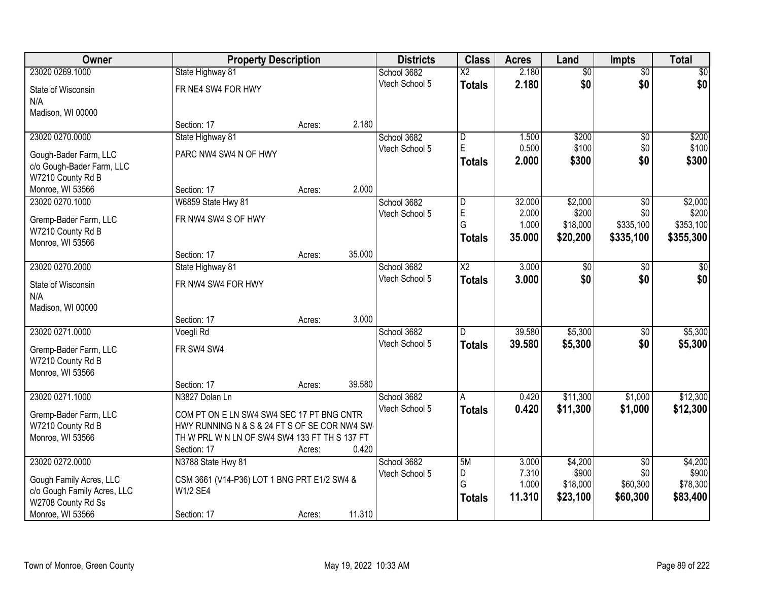| Owner                       | <b>Property Description</b>                   |        |        | <b>Districts</b> | <b>Class</b>           | <b>Acres</b>    | Land            | <b>Impts</b>    | <b>Total</b>    |
|-----------------------------|-----------------------------------------------|--------|--------|------------------|------------------------|-----------------|-----------------|-----------------|-----------------|
| 23020 0269.1000             | State Highway 81                              |        |        | School 3682      | $\overline{\text{X2}}$ | 2.180           | $\overline{50}$ | $\overline{$0}$ | $\overline{30}$ |
| State of Wisconsin          | FR NE4 SW4 FOR HWY                            |        |        | Vtech School 5   | <b>Totals</b>          | 2.180           | \$0             | \$0             | \$0             |
| N/A                         |                                               |        |        |                  |                        |                 |                 |                 |                 |
| Madison, WI 00000           |                                               |        |        |                  |                        |                 |                 |                 |                 |
|                             | Section: 17                                   | Acres: | 2.180  |                  |                        |                 |                 |                 |                 |
| 23020 0270.0000             | State Highway 81                              |        |        | School 3682      | $\overline{D}$         | 1.500           | \$200           | \$0             | \$200           |
| Gough-Bader Farm, LLC       | PARC NW4 SW4 N OF HWY                         |        |        | Vtech School 5   | E                      | 0.500           | \$100           | \$0             | \$100           |
| c/o Gough-Bader Farm, LLC   |                                               |        |        |                  | Totals                 | 2.000           | \$300           | \$0             | \$300           |
| W7210 County Rd B           |                                               |        |        |                  |                        |                 |                 |                 |                 |
| Monroe, WI 53566            | Section: 17                                   | Acres: | 2.000  |                  |                        |                 |                 |                 |                 |
| 23020 0270.1000             | W6859 State Hwy 81                            |        |        | School 3682      | D                      | 32.000          | \$2,000         | \$0             | \$2,000         |
| Gremp-Bader Farm, LLC       | FR NW4 SW4 S OF HWY                           |        |        | Vtech School 5   | $\mathsf E$            | 2.000           | \$200           | \$0             | \$200           |
| W7210 County Rd B           |                                               |        |        |                  | G                      | 1.000           | \$18,000        | \$335,100       | \$353,100       |
| Monroe, WI 53566            |                                               |        |        |                  | <b>Totals</b>          | 35,000          | \$20,200        | \$335,100       | \$355,300       |
|                             | Section: 17                                   | Acres: | 35.000 |                  |                        |                 |                 |                 |                 |
| 23020 0270.2000             | State Highway 81                              |        |        | School 3682      | $\overline{X2}$        | 3.000           | $\overline{50}$ | $\sqrt[6]{}$    | $\sqrt{50}$     |
| State of Wisconsin          | FR NW4 SW4 FOR HWY                            |        |        | Vtech School 5   | <b>Totals</b>          | 3.000           | \$0             | \$0             | \$0             |
| N/A                         |                                               |        |        |                  |                        |                 |                 |                 |                 |
| Madison, WI 00000           |                                               |        |        |                  |                        |                 |                 |                 |                 |
|                             | Section: 17                                   | Acres: | 3.000  |                  |                        |                 |                 |                 |                 |
| 23020 0271.0000             | Voegli Rd                                     |        |        | School 3682      | D                      | 39.580          | \$5,300         | \$0             | \$5,300         |
| Gremp-Bader Farm, LLC       | FR SW4 SW4                                    |        |        | Vtech School 5   | <b>Totals</b>          | 39.580          | \$5,300         | \$0             | \$5,300         |
| W7210 County Rd B           |                                               |        |        |                  |                        |                 |                 |                 |                 |
| Monroe, WI 53566            |                                               |        |        |                  |                        |                 |                 |                 |                 |
|                             | Section: 17                                   | Acres: | 39.580 |                  |                        |                 |                 |                 |                 |
| 23020 0271.1000             | N3827 Dolan Ln                                |        |        | School 3682      | A                      | 0.420           | \$11,300        | \$1,000         | \$12,300        |
| Gremp-Bader Farm, LLC       | COM PT ON E LN SW4 SW4 SEC 17 PT BNG CNTR     |        |        | Vtech School 5   | <b>Totals</b>          | 0.420           | \$11,300        | \$1,000         | \$12,300        |
| W7210 County Rd B           | HWY RUNNING N & S & 24 FT S OF SE COR NW4 SW  |        |        |                  |                        |                 |                 |                 |                 |
| Monroe, WI 53566            | TH W PRL W N LN OF SW4 SW4 133 FT TH S 137 FT |        |        |                  |                        |                 |                 |                 |                 |
|                             | Section: 17                                   | Acres: | 0.420  |                  |                        |                 |                 |                 |                 |
| 23020 0272.0000             | N3788 State Hwy 81                            |        |        | School 3682      | 5M                     | 3.000           | \$4,200         | $\overline{30}$ | \$4,200         |
| Gough Family Acres, LLC     | CSM 3661 (V14-P36) LOT 1 BNG PRT E1/2 SW4 &   |        |        | Vtech School 5   | D<br>G                 | 7.310           | \$900           | \$0             | \$900           |
| c/o Gough Family Acres, LLC | W1/2 SE4                                      |        |        |                  |                        | 1.000<br>11.310 | \$18,000        | \$60,300        | \$78,300        |
| W2708 County Rd Ss          |                                               |        |        |                  | <b>Totals</b>          |                 | \$23,100        | \$60,300        | \$83,400        |
| Monroe, WI 53566            | Section: 17                                   | Acres: | 11.310 |                  |                        |                 |                 |                 |                 |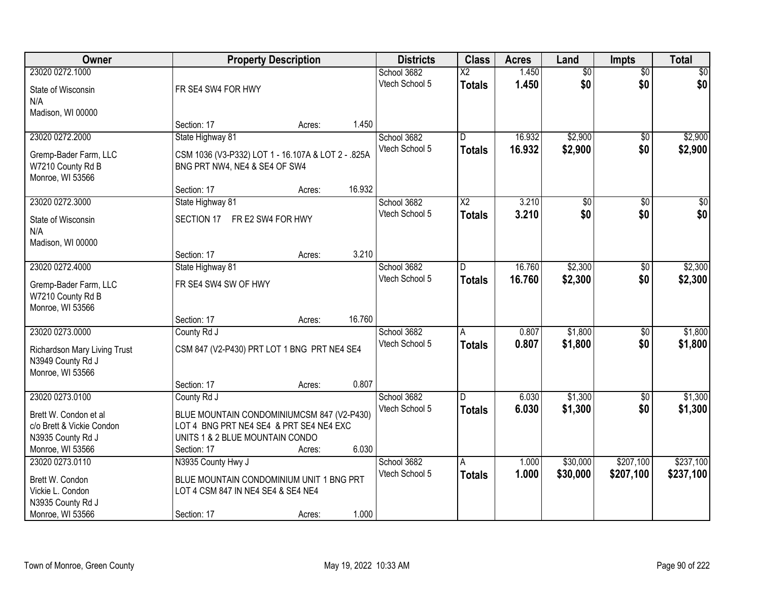| Owner                        |                                                    | <b>Property Description</b> |        | <b>Districts</b> | <b>Class</b>            | <b>Acres</b> | Land            | <b>Impts</b>    | <b>Total</b>    |
|------------------------------|----------------------------------------------------|-----------------------------|--------|------------------|-------------------------|--------------|-----------------|-----------------|-----------------|
| 23020 0272.1000              |                                                    |                             |        | School 3682      | $\overline{\text{X2}}$  | 1.450        | $\overline{50}$ | $\overline{50}$ | \$0             |
| State of Wisconsin           | FR SE4 SW4 FOR HWY                                 |                             |        | Vtech School 5   | <b>Totals</b>           | 1.450        | \$0             | \$0             | \$0             |
| N/A                          |                                                    |                             |        |                  |                         |              |                 |                 |                 |
| Madison, WI 00000            |                                                    |                             |        |                  |                         |              |                 |                 |                 |
|                              | Section: 17                                        | Acres:                      | 1.450  |                  |                         |              |                 |                 |                 |
| 23020 0272.2000              | State Highway 81                                   |                             |        | School 3682      | $\overline{\mathsf{n}}$ | 16.932       | \$2,900         | \$0             | \$2,900         |
| Gremp-Bader Farm, LLC        | CSM 1036 (V3-P332) LOT 1 - 16.107A & LOT 2 - .825A |                             |        | Vtech School 5   | <b>Totals</b>           | 16.932       | \$2,900         | \$0             | \$2,900         |
| W7210 County Rd B            | BNG PRT NW4, NE4 & SE4 OF SW4                      |                             |        |                  |                         |              |                 |                 |                 |
| Monroe, WI 53566             |                                                    |                             |        |                  |                         |              |                 |                 |                 |
|                              | Section: 17                                        | Acres:                      | 16.932 |                  |                         |              |                 |                 |                 |
| 23020 0272.3000              | State Highway 81                                   |                             |        | School 3682      | X <sub>2</sub>          | 3.210        | \$0             | \$0             | $\overline{50}$ |
| State of Wisconsin           | SECTION 17                                         | FR E2 SW4 FOR HWY           |        | Vtech School 5   | <b>Totals</b>           | 3.210        | \$0             | \$0             | \$0             |
| N/A                          |                                                    |                             |        |                  |                         |              |                 |                 |                 |
| Madison, WI 00000            |                                                    |                             |        |                  |                         |              |                 |                 |                 |
|                              | Section: 17                                        | Acres:                      | 3.210  |                  |                         |              |                 |                 |                 |
| 23020 0272.4000              | State Highway 81                                   |                             |        | School 3682      | D.                      | 16.760       | \$2,300         | $\sqrt[6]{}$    | \$2,300         |
| Gremp-Bader Farm, LLC        | FR SE4 SW4 SW OF HWY                               |                             |        | Vtech School 5   | <b>Totals</b>           | 16.760       | \$2,300         | \$0             | \$2,300         |
| W7210 County Rd B            |                                                    |                             |        |                  |                         |              |                 |                 |                 |
| Monroe, WI 53566             |                                                    |                             |        |                  |                         |              |                 |                 |                 |
|                              | Section: 17                                        | Acres:                      | 16.760 |                  |                         |              |                 |                 |                 |
| 23020 0273.0000              | County Rd J                                        |                             |        | School 3682      | A                       | 0.807        | \$1,800         | $\overline{50}$ | \$1,800         |
| Richardson Mary Living Trust | CSM 847 (V2-P430) PRT LOT 1 BNG PRT NE4 SE4        |                             |        | Vtech School 5   | <b>Totals</b>           | 0.807        | \$1,800         | \$0             | \$1,800         |
| N3949 County Rd J            |                                                    |                             |        |                  |                         |              |                 |                 |                 |
| Monroe, WI 53566             |                                                    |                             |        |                  |                         |              |                 |                 |                 |
|                              | Section: 17                                        | Acres:                      | 0.807  |                  |                         |              |                 |                 |                 |
| 23020 0273.0100              | County Rd J                                        |                             |        | School 3682      | D.                      | 6.030        | \$1,300         | $\overline{30}$ | \$1,300         |
| Brett W. Condon et al        | BLUE MOUNTAIN CONDOMINIUMCSM 847 (V2-P430)         |                             |        | Vtech School 5   | <b>Totals</b>           | 6.030        | \$1,300         | \$0             | \$1,300         |
| c/o Brett & Vickie Condon    | LOT 4 BNG PRT NE4 SE4 & PRT SE4 NE4 EXC            |                             |        |                  |                         |              |                 |                 |                 |
| N3935 County Rd J            | UNITS 1 & 2 BLUE MOUNTAIN CONDO                    |                             |        |                  |                         |              |                 |                 |                 |
| Monroe, WI 53566             | Section: 17                                        | Acres:                      | 6.030  |                  |                         |              |                 |                 |                 |
| 23020 0273.0110              | N3935 County Hwy J                                 |                             |        | School 3682      | A                       | 1.000        | \$30,000        | \$207,100       | \$237,100       |
| Brett W. Condon              | BLUE MOUNTAIN CONDOMINIUM UNIT 1 BNG PRT           |                             |        | Vtech School 5   | Totals                  | 1.000        | \$30,000        | \$207,100       | \$237,100       |
| Vickie L. Condon             | LOT 4 CSM 847 IN NE4 SE4 & SE4 NE4                 |                             |        |                  |                         |              |                 |                 |                 |
| N3935 County Rd J            |                                                    |                             |        |                  |                         |              |                 |                 |                 |
| Monroe, WI 53566             | Section: 17                                        | Acres:                      | 1.000  |                  |                         |              |                 |                 |                 |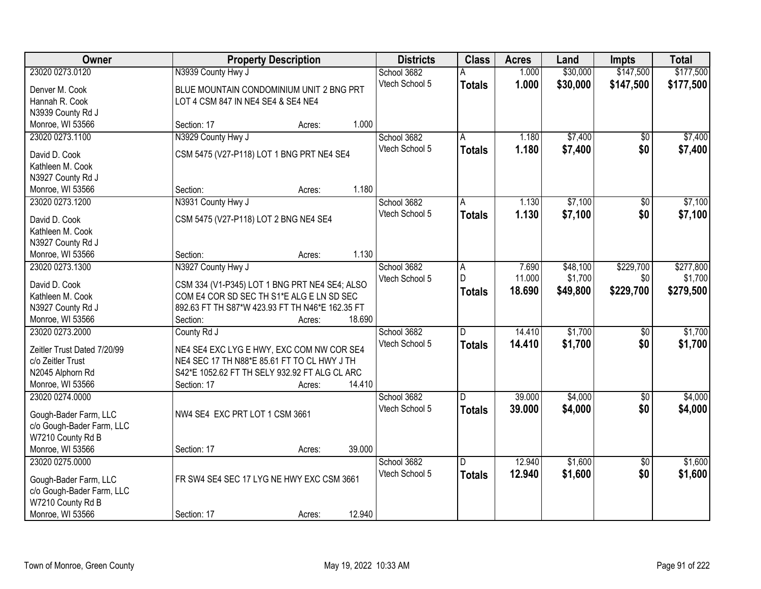| Owner                                 | <b>Property Description</b>                     |                  | <b>Districts</b> | <b>Class</b>  | <b>Acres</b> | Land     | <b>Impts</b>    | <b>Total</b> |
|---------------------------------------|-------------------------------------------------|------------------|------------------|---------------|--------------|----------|-----------------|--------------|
| 23020 0273.0120                       | N3939 County Hwy J                              |                  | School 3682      |               | 1.000        | \$30,000 | \$147,500       | \$177,500    |
| Denver M. Cook                        | BLUE MOUNTAIN CONDOMINIUM UNIT 2 BNG PRT        |                  | Vtech School 5   | <b>Totals</b> | 1.000        | \$30,000 | \$147,500       | \$177,500    |
| Hannah R. Cook                        | LOT 4 CSM 847 IN NE4 SE4 & SE4 NE4              |                  |                  |               |              |          |                 |              |
| N3939 County Rd J                     |                                                 |                  |                  |               |              |          |                 |              |
| Monroe, WI 53566                      | Section: 17                                     | 1.000<br>Acres:  |                  |               |              |          |                 |              |
| 23020 0273.1100                       | N3929 County Hwy J                              |                  | School 3682      | Α             | 1.180        | \$7,400  | \$0             | \$7,400      |
|                                       |                                                 |                  | Vtech School 5   | <b>Totals</b> | 1.180        | \$7,400  | \$0             | \$7,400      |
| David D. Cook                         | CSM 5475 (V27-P118) LOT 1 BNG PRT NE4 SE4       |                  |                  |               |              |          |                 |              |
| Kathleen M. Cook                      |                                                 |                  |                  |               |              |          |                 |              |
| N3927 County Rd J                     |                                                 |                  |                  |               |              |          |                 |              |
| Monroe, WI 53566                      | Section:                                        | Acres:           | 1.180            |               |              |          |                 |              |
| 23020 0273.1200                       | N3931 County Hwy J                              |                  | School 3682      | A             | 1.130        | \$7,100  | \$0             | \$7,100      |
| David D. Cook                         | CSM 5475 (V27-P118) LOT 2 BNG NE4 SE4           |                  | Vtech School 5   | <b>Totals</b> | 1.130        | \$7,100  | \$0             | \$7,100      |
| Kathleen M. Cook                      |                                                 |                  |                  |               |              |          |                 |              |
| N3927 County Rd J                     |                                                 |                  |                  |               |              |          |                 |              |
| Monroe, WI 53566                      | Section:                                        | Acres:           | 1.130            |               |              |          |                 |              |
| 23020 0273.1300                       | N3927 County Hwy J                              |                  | School 3682      | Α             | 7.690        | \$48,100 | \$229,700       | \$277,800    |
|                                       |                                                 |                  | Vtech School 5   | D             | 11.000       | \$1,700  | \$0             | \$1,700      |
| David D. Cook                         | CSM 334 (V1-P345) LOT 1 BNG PRT NE4 SE4; ALSO   |                  |                  | <b>Totals</b> | 18.690       | \$49,800 | \$229,700       | \$279,500    |
| Kathleen M. Cook                      | COM E4 COR SD SEC TH S1*E ALG E LN SD SEC       |                  |                  |               |              |          |                 |              |
| N3927 County Rd J                     | 892.63 FT TH S87*W 423.93 FT TH N46*E 162.35 FT |                  |                  |               |              |          |                 |              |
| Monroe, WI 53566                      | Section:                                        | 18.690<br>Acres: |                  |               |              |          |                 |              |
| 23020 0273.2000                       | County Rd J                                     |                  | School 3682      | D             | 14.410       | \$1,700  | $\overline{50}$ | \$1,700      |
| Zeitler Trust Dated 7/20/99           | NE4 SE4 EXC LYG E HWY, EXC COM NW COR SE4       |                  | Vtech School 5   | <b>Totals</b> | 14.410       | \$1,700  | \$0             | \$1,700      |
| c/o Zeitler Trust                     | NE4 SEC 17 TH N88*E 85.61 FT TO CL HWY J TH     |                  |                  |               |              |          |                 |              |
| N2045 Alphorn Rd                      | S42*E 1052.62 FT TH SELY 932.92 FT ALG CL ARC   |                  |                  |               |              |          |                 |              |
| Monroe, WI 53566                      | Section: 17                                     | 14.410<br>Acres: |                  |               |              |          |                 |              |
| 23020 0274.0000                       |                                                 |                  | School 3682      | D             | 39.000       | \$4,000  | $\overline{60}$ | \$4,000      |
|                                       | NW4 SE4 EXC PRT LOT 1 CSM 3661                  |                  | Vtech School 5   | <b>Totals</b> | 39.000       | \$4,000  | \$0             | \$4,000      |
| Gough-Bader Farm, LLC                 |                                                 |                  |                  |               |              |          |                 |              |
| c/o Gough-Bader Farm, LLC             |                                                 |                  |                  |               |              |          |                 |              |
| W7210 County Rd B<br>Monroe, WI 53566 |                                                 | 39.000           |                  |               |              |          |                 |              |
| 23020 0275.0000                       | Section: 17                                     | Acres:           |                  | D.            | 12.940       | \$1,600  |                 |              |
|                                       |                                                 |                  | School 3682      |               |              |          | $\overline{50}$ | \$1,600      |
| Gough-Bader Farm, LLC                 | FR SW4 SE4 SEC 17 LYG NE HWY EXC CSM 3661       |                  | Vtech School 5   | <b>Totals</b> | 12.940       | \$1,600  | \$0             | \$1,600      |
| c/o Gough-Bader Farm, LLC             |                                                 |                  |                  |               |              |          |                 |              |
| W7210 County Rd B                     |                                                 |                  |                  |               |              |          |                 |              |
| Monroe, WI 53566                      | Section: 17                                     | 12.940<br>Acres: |                  |               |              |          |                 |              |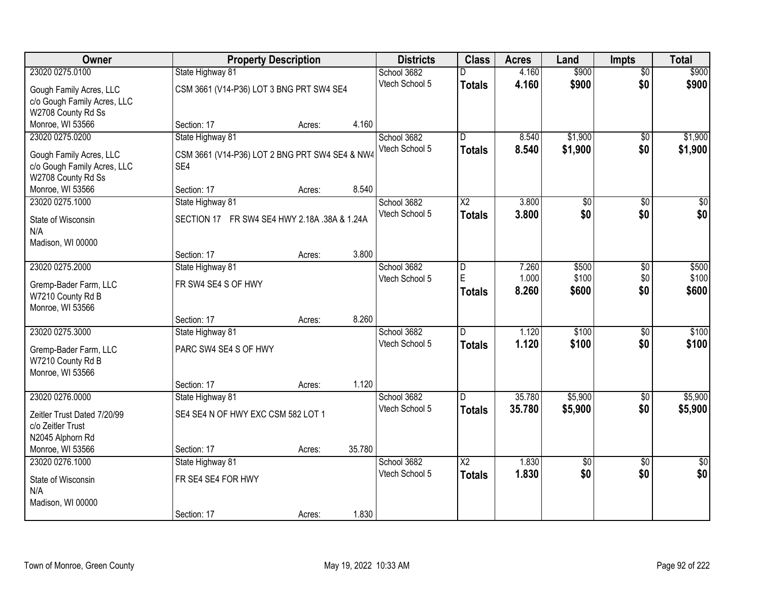| Owner                       |                                                | <b>Property Description</b> |        | <b>Districts</b> | <b>Class</b>           | <b>Acres</b> | Land            | <b>Impts</b>    | <b>Total</b>    |
|-----------------------------|------------------------------------------------|-----------------------------|--------|------------------|------------------------|--------------|-----------------|-----------------|-----------------|
| 23020 0275.0100             | State Highway 81                               |                             |        | School 3682      |                        | 4.160        | \$900           | $\overline{50}$ | \$900           |
| Gough Family Acres, LLC     | CSM 3661 (V14-P36) LOT 3 BNG PRT SW4 SE4       |                             |        | Vtech School 5   | <b>Totals</b>          | 4.160        | \$900           | \$0             | \$900           |
| c/o Gough Family Acres, LLC |                                                |                             |        |                  |                        |              |                 |                 |                 |
| W2708 County Rd Ss          |                                                |                             |        |                  |                        |              |                 |                 |                 |
| Monroe, WI 53566            | Section: 17                                    | Acres:                      | 4.160  |                  |                        |              |                 |                 |                 |
| 23020 0275.0200             | State Highway 81                               |                             |        | School 3682      | $\overline{D}$         | 8.540        | \$1,900         | \$0             | \$1,900         |
| Gough Family Acres, LLC     | CSM 3661 (V14-P36) LOT 2 BNG PRT SW4 SE4 & NW4 |                             |        | Vtech School 5   | <b>Totals</b>          | 8.540        | \$1,900         | \$0             | \$1,900         |
| c/o Gough Family Acres, LLC | SE4                                            |                             |        |                  |                        |              |                 |                 |                 |
| W2708 County Rd Ss          |                                                |                             |        |                  |                        |              |                 |                 |                 |
| Monroe, WI 53566            | Section: 17                                    | Acres:                      | 8.540  |                  |                        |              |                 |                 |                 |
| 23020 0275.1000             | State Highway 81                               |                             |        | School 3682      | X2                     | 3.800        | \$0             | \$0             | $\overline{50}$ |
| State of Wisconsin          | SECTION 17 FR SW4 SE4 HWY 2.18A .38A & 1.24A   |                             |        | Vtech School 5   | <b>Totals</b>          | 3.800        | \$0             | \$0             | \$0             |
| N/A                         |                                                |                             |        |                  |                        |              |                 |                 |                 |
| Madison, WI 00000           |                                                |                             |        |                  |                        |              |                 |                 |                 |
|                             | Section: 17                                    | Acres:                      | 3.800  |                  |                        |              |                 |                 |                 |
| 23020 0275.2000             | State Highway 81                               |                             |        | School 3682      | D                      | 7.260        | \$500           | $\sqrt[6]{3}$   | \$500           |
| Gremp-Bader Farm, LLC       | FR SW4 SE4 S OF HWY                            |                             |        | Vtech School 5   | E                      | 1.000        | \$100           | \$0             | \$100           |
| W7210 County Rd B           |                                                |                             |        |                  | <b>Totals</b>          | 8.260        | \$600           | \$0             | \$600           |
| Monroe, WI 53566            |                                                |                             |        |                  |                        |              |                 |                 |                 |
|                             | Section: 17                                    | Acres:                      | 8.260  |                  |                        |              |                 |                 |                 |
| 23020 0275.3000             | State Highway 81                               |                             |        | School 3682      | $\overline{D}$         | 1.120        | \$100           | $\overline{50}$ | \$100           |
| Gremp-Bader Farm, LLC       | PARC SW4 SE4 S OF HWY                          |                             |        | Vtech School 5   | <b>Totals</b>          | 1.120        | \$100           | \$0             | \$100           |
| W7210 County Rd B           |                                                |                             |        |                  |                        |              |                 |                 |                 |
| Monroe, WI 53566            |                                                |                             |        |                  |                        |              |                 |                 |                 |
|                             | Section: 17                                    | Acres:                      | 1.120  |                  |                        |              |                 |                 |                 |
| 23020 0276.0000             | State Highway 81                               |                             |        | School 3682      | D                      | 35.780       | \$5,900         | $\overline{50}$ | \$5,900         |
| Zeitler Trust Dated 7/20/99 | SE4 SE4 N OF HWY EXC CSM 582 LOT 1             |                             |        | Vtech School 5   | <b>Totals</b>          | 35.780       | \$5,900         | \$0             | \$5,900         |
| c/o Zeitler Trust           |                                                |                             |        |                  |                        |              |                 |                 |                 |
| N2045 Alphorn Rd            |                                                |                             |        |                  |                        |              |                 |                 |                 |
| Monroe, WI 53566            | Section: 17                                    | Acres:                      | 35.780 |                  |                        |              |                 |                 |                 |
| 23020 0276.1000             | State Highway 81                               |                             |        | School 3682      | $\overline{\text{X2}}$ | 1.830        | $\overline{50}$ | $\overline{50}$ | $\overline{30}$ |
| State of Wisconsin          | FR SE4 SE4 FOR HWY                             |                             |        | Vtech School 5   | <b>Totals</b>          | 1.830        | \$0             | \$0             | \$0             |
| N/A                         |                                                |                             |        |                  |                        |              |                 |                 |                 |
| Madison, WI 00000           |                                                |                             |        |                  |                        |              |                 |                 |                 |
|                             | Section: 17                                    | Acres:                      | 1.830  |                  |                        |              |                 |                 |                 |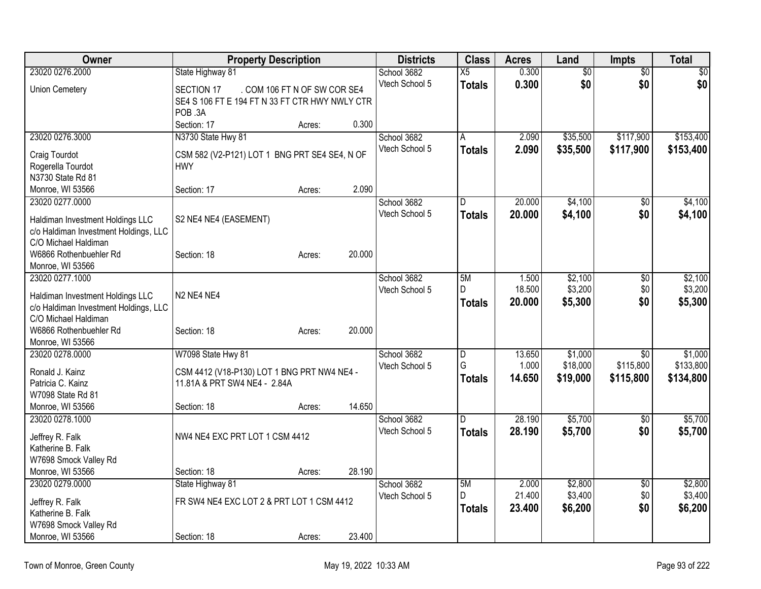| Owner                                                                                                                                           | <b>Property Description</b>                                                                                           |        |        | <b>Districts</b> | <b>Class</b>        | <b>Acres</b>     | Land                 | Impts                  | <b>Total</b>           |
|-------------------------------------------------------------------------------------------------------------------------------------------------|-----------------------------------------------------------------------------------------------------------------------|--------|--------|------------------|---------------------|------------------|----------------------|------------------------|------------------------|
| 23020 0276.2000                                                                                                                                 | State Highway 81                                                                                                      |        |        | School 3682      | $\overline{X5}$     | 0.300            | $\overline{50}$      | $\overline{50}$        | $\overline{\$0}$       |
| <b>Union Cemetery</b>                                                                                                                           | . COM 106 FT N OF SW COR SE4<br>SECTION 17<br>SE4 S 106 FT E 194 FT N 33 FT CTR HWY NWLY CTR<br>POB 3A<br>Section: 17 | Acres: | 0.300  | Vtech School 5   | <b>Totals</b>       | 0.300            | \$0                  | \$0                    | \$0                    |
| 23020 0276.3000                                                                                                                                 | N3730 State Hwy 81                                                                                                    |        |        | School 3682      | A                   | 2.090            | \$35,500             | \$117,900              | \$153,400              |
| Craig Tourdot<br>Rogerella Tourdot<br>N3730 State Rd 81<br>Monroe, WI 53566                                                                     | CSM 582 (V2-P121) LOT 1 BNG PRT SE4 SE4, N OF<br><b>HWY</b><br>Section: 17                                            | Acres: | 2.090  | Vtech School 5   | <b>Totals</b>       | 2.090            | \$35,500             | \$117,900              | \$153,400              |
| 23020 0277.0000                                                                                                                                 |                                                                                                                       |        |        | School 3682      | D.                  | 20.000           | \$4,100              | $\overline{50}$        | \$4,100                |
| Haldiman Investment Holdings LLC<br>c/o Haldiman Investment Holdings, LLC<br>C/O Michael Haldiman<br>W6866 Rothenbuehler Rd<br>Monroe, WI 53566 | S2 NE4 NE4 (EASEMENT)<br>Section: 18                                                                                  | Acres: | 20.000 | Vtech School 5   | <b>Totals</b>       | 20,000           | \$4,100              | \$0                    | \$4,100                |
| 23020 0277.1000                                                                                                                                 |                                                                                                                       |        |        | School 3682      | 5M                  | 1.500            | \$2,100              | $\overline{50}$        | \$2,100                |
| Haldiman Investment Holdings LLC<br>c/o Haldiman Investment Holdings, LLC<br>C/O Michael Haldiman<br>W6866 Rothenbuehler Rd                     | N <sub>2</sub> NE4 NE4<br>Section: 18                                                                                 | Acres: | 20.000 | Vtech School 5   | D<br><b>Totals</b>  | 18.500<br>20.000 | \$3,200<br>\$5,300   | \$0<br>\$0             | \$3,200<br>\$5,300     |
| Monroe, WI 53566<br>23020 0278.0000                                                                                                             | W7098 State Hwy 81                                                                                                    |        |        | School 3682      | $\overline{D}$      | 13.650           | \$1,000              | $\overline{50}$        | \$1,000                |
| Ronald J. Kainz<br>Patricia C. Kainz<br>W7098 State Rd 81<br>Monroe, WI 53566                                                                   | CSM 4412 (V18-P130) LOT 1 BNG PRT NW4 NE4 -<br>11.81A & PRT SW4 NE4 - 2.84A<br>Section: 18                            | Acres: | 14.650 | Vtech School 5   | G<br><b>Totals</b>  | 1.000<br>14.650  | \$18,000<br>\$19,000 | \$115,800<br>\$115,800 | \$133,800<br>\$134,800 |
| 23020 0278.1000                                                                                                                                 |                                                                                                                       |        |        | School 3682      | D                   | 28.190           | \$5,700              | $\overline{50}$        | \$5,700                |
| Jeffrey R. Falk<br>Katherine B. Falk<br>W7698 Smock Valley Rd<br>Monroe, WI 53566                                                               | NW4 NE4 EXC PRT LOT 1 CSM 4412<br>Section: 18                                                                         | Acres: | 28.190 | Vtech School 5   | <b>Totals</b>       | 28.190           | \$5,700              | \$0                    | \$5,700                |
| 23020 0279.0000                                                                                                                                 | State Highway 81                                                                                                      |        |        | School 3682      | 5M                  | 2.000            | \$2,800              | $\sqrt{6}$             | \$2,800                |
| Jeffrey R. Falk<br>Katherine B. Falk<br>W7698 Smock Valley Rd<br>Monroe, WI 53566                                                               | FR SW4 NE4 EXC LOT 2 & PRT LOT 1 CSM 4412<br>Section: 18                                                              | Acres: | 23.400 | Vtech School 5   | D.<br><b>Totals</b> | 21.400<br>23.400 | \$3,400<br>\$6,200   | \$0<br>\$0             | \$3,400<br>\$6,200     |
|                                                                                                                                                 |                                                                                                                       |        |        |                  |                     |                  |                      |                        |                        |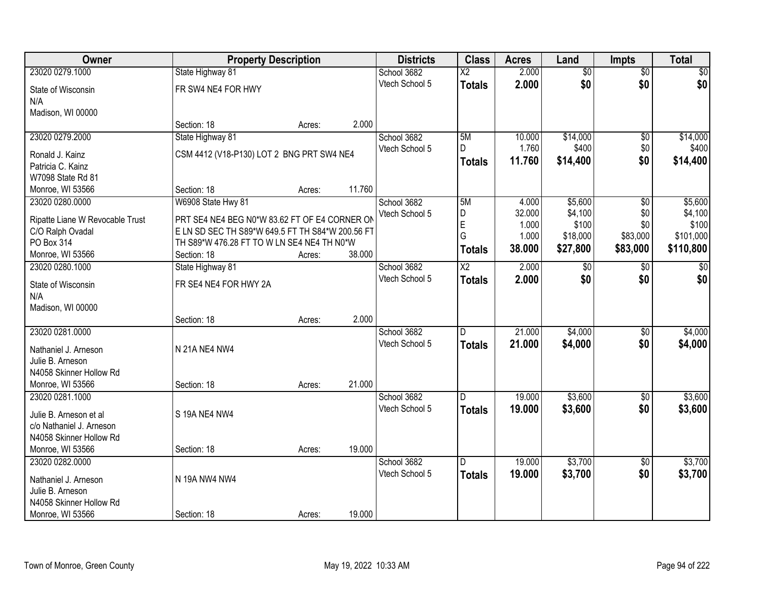| <b>Owner</b>                                        | <b>Property Description</b>                      |        |        | <b>Districts</b> | <b>Class</b>    | <b>Acres</b> | Land            | <b>Impts</b>    | <b>Total</b>   |
|-----------------------------------------------------|--------------------------------------------------|--------|--------|------------------|-----------------|--------------|-----------------|-----------------|----------------|
| 23020 0279.1000                                     | State Highway 81                                 |        |        | School 3682      | $\overline{X2}$ | 2.000        | $\overline{50}$ | $\overline{50}$ | $\frac{1}{20}$ |
| State of Wisconsin                                  | FR SW4 NE4 FOR HWY                               |        |        | Vtech School 5   | <b>Totals</b>   | 2.000        | \$0             | \$0             | \$0            |
| N/A                                                 |                                                  |        |        |                  |                 |              |                 |                 |                |
| Madison, WI 00000                                   |                                                  |        |        |                  |                 |              |                 |                 |                |
|                                                     | Section: 18                                      | Acres: | 2.000  |                  |                 |              |                 |                 |                |
| 23020 0279.2000                                     | State Highway 81                                 |        |        | School 3682      | 5M              | 10.000       | \$14,000        | $\overline{50}$ | \$14,000       |
| Ronald J. Kainz                                     | CSM 4412 (V18-P130) LOT 2 BNG PRT SW4 NE4        |        |        | Vtech School 5   | D               | 1.760        | \$400           | \$0             | \$400          |
| Patricia C. Kainz                                   |                                                  |        |        |                  | <b>Totals</b>   | 11.760       | \$14,400        | \$0             | \$14,400       |
| W7098 State Rd 81                                   |                                                  |        |        |                  |                 |              |                 |                 |                |
| Monroe, WI 53566                                    | Section: 18                                      | Acres: | 11.760 |                  |                 |              |                 |                 |                |
| 23020 0280.0000                                     | W6908 State Hwy 81                               |        |        | School 3682      | 5M              | 4.000        | \$5,600         | \$0             | \$5,600        |
| Ripatte Liane W Revocable Trust                     | PRT SE4 NE4 BEG N0*W 83.62 FT OF E4 CORNER ON    |        |        | Vtech School 5   | D               | 32.000       | \$4,100         | \$0             | \$4,100        |
| C/O Ralph Ovadal                                    | E LN SD SEC TH S89*W 649.5 FT TH S84*W 200.56 FT |        |        |                  | E               | 1.000        | \$100           | \$0             | \$100          |
| PO Box 314                                          | TH S89*W 476.28 FT TO W LN SE4 NE4 TH N0*W       |        |        |                  | G               | 1.000        | \$18,000        | \$83,000        | \$101,000      |
| Monroe, WI 53566                                    | Section: 18                                      | Acres: | 38.000 |                  | <b>Totals</b>   | 38.000       | \$27,800        | \$83,000        | \$110,800      |
| 23020 0280.1000                                     | State Highway 81                                 |        |        | School 3682      | X2              | 2.000        | \$0             | $\sqrt{6}$      | \$0            |
|                                                     | FR SE4 NE4 FOR HWY 2A                            |        |        | Vtech School 5   | <b>Totals</b>   | 2.000        | \$0             | \$0             | \$0            |
| State of Wisconsin<br>N/A                           |                                                  |        |        |                  |                 |              |                 |                 |                |
| Madison, WI 00000                                   |                                                  |        |        |                  |                 |              |                 |                 |                |
|                                                     | Section: 18                                      | Acres: | 2.000  |                  |                 |              |                 |                 |                |
| 23020 0281.0000                                     |                                                  |        |        | School 3682      | D               | 21.000       | \$4,000         | $\overline{50}$ | \$4,000        |
|                                                     | N 21A NE4 NW4                                    |        |        | Vtech School 5   | <b>Totals</b>   | 21.000       | \$4,000         | \$0             | \$4,000        |
| Nathaniel J. Arneson<br>Julie B. Arneson            |                                                  |        |        |                  |                 |              |                 |                 |                |
| N4058 Skinner Hollow Rd                             |                                                  |        |        |                  |                 |              |                 |                 |                |
| Monroe, WI 53566                                    | Section: 18                                      | Acres: | 21.000 |                  |                 |              |                 |                 |                |
| 23020 0281.1000                                     |                                                  |        |        | School 3682      | D               | 19.000       | \$3,600         | $\sqrt{6}$      | \$3,600        |
|                                                     |                                                  |        |        | Vtech School 5   | <b>Totals</b>   | 19.000       | \$3,600         | \$0             | \$3,600        |
| Julie B. Arneson et al                              | S 19A NE4 NW4                                    |        |        |                  |                 |              |                 |                 |                |
| c/o Nathaniel J. Arneson<br>N4058 Skinner Hollow Rd |                                                  |        |        |                  |                 |              |                 |                 |                |
| Monroe, WI 53566                                    | Section: 18                                      | Acres: | 19.000 |                  |                 |              |                 |                 |                |
| 23020 0282.0000                                     |                                                  |        |        | School 3682      | D               | 19.000       | \$3,700         | $\overline{50}$ | \$3,700        |
|                                                     |                                                  |        |        | Vtech School 5   | <b>Totals</b>   | 19.000       | \$3,700         | \$0             | \$3,700        |
| Nathaniel J. Arneson                                | N 19A NW4 NW4                                    |        |        |                  |                 |              |                 |                 |                |
| Julie B. Arneson                                    |                                                  |        |        |                  |                 |              |                 |                 |                |
| N4058 Skinner Hollow Rd                             |                                                  |        |        |                  |                 |              |                 |                 |                |
| Monroe, WI 53566                                    | Section: 18                                      | Acres: | 19.000 |                  |                 |              |                 |                 |                |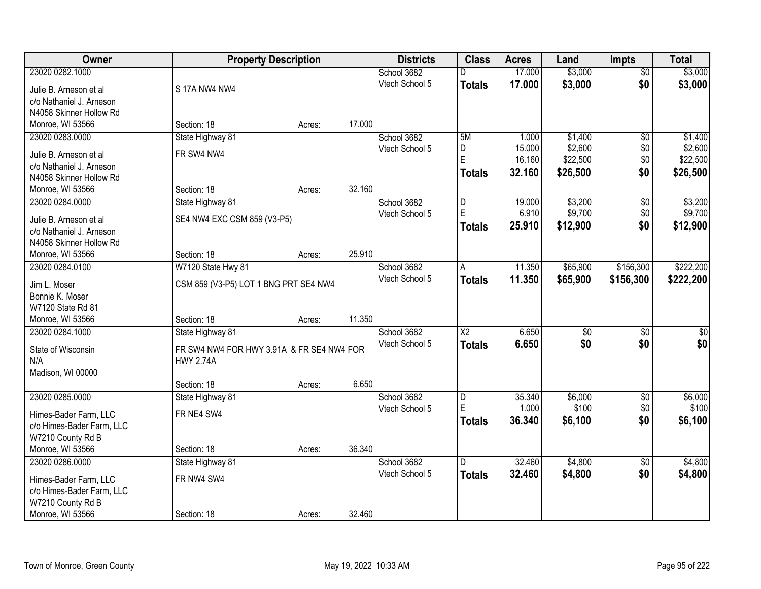| Owner                     |                                           | <b>Property Description</b> |        | <b>Districts</b> | <b>Class</b>           | <b>Acres</b> | Land            | <b>Impts</b>    | <b>Total</b>     |
|---------------------------|-------------------------------------------|-----------------------------|--------|------------------|------------------------|--------------|-----------------|-----------------|------------------|
| 23020 0282.1000           |                                           |                             |        | School 3682      |                        | 17.000       | \$3,000         | $\overline{30}$ | \$3,000          |
| Julie B. Arneson et al    | S 17A NW4 NW4                             |                             |        | Vtech School 5   | <b>Totals</b>          | 17.000       | \$3,000         | \$0             | \$3,000          |
| c/o Nathaniel J. Arneson  |                                           |                             |        |                  |                        |              |                 |                 |                  |
| N4058 Skinner Hollow Rd   |                                           |                             |        |                  |                        |              |                 |                 |                  |
| Monroe, WI 53566          | Section: 18                               | Acres:                      | 17.000 |                  |                        |              |                 |                 |                  |
| 23020 0283.0000           | State Highway 81                          |                             |        | School 3682      | 5M                     | 1.000        | \$1,400         | $\overline{50}$ | \$1,400          |
|                           |                                           |                             |        | Vtech School 5   | D                      | 15.000       | \$2,600         | \$0             | \$2,600          |
| Julie B. Arneson et al    | FR SW4 NW4                                |                             |        |                  | E                      | 16.160       | \$22,500        | \$0             | \$22,500         |
| c/o Nathaniel J. Arneson  |                                           |                             |        |                  | <b>Totals</b>          | 32.160       | \$26,500        | \$0             | \$26,500         |
| N4058 Skinner Hollow Rd   |                                           |                             |        |                  |                        |              |                 |                 |                  |
| Monroe, WI 53566          | Section: 18                               | Acres:                      | 32.160 |                  |                        |              |                 |                 |                  |
| 23020 0284.0000           | State Highway 81                          |                             |        | School 3682      | D<br>E                 | 19.000       | \$3,200         | \$0             | \$3,200          |
| Julie B. Arneson et al    | SE4 NW4 EXC CSM 859 (V3-P5)               |                             |        | Vtech School 5   |                        | 6.910        | \$9,700         | \$0             | \$9,700          |
| c/o Nathaniel J. Arneson  |                                           |                             |        |                  | <b>Totals</b>          | 25.910       | \$12,900        | \$0             | \$12,900         |
| N4058 Skinner Hollow Rd   |                                           |                             |        |                  |                        |              |                 |                 |                  |
| Monroe, WI 53566          | Section: 18                               | Acres:                      | 25.910 |                  |                        |              |                 |                 |                  |
| 23020 0284.0100           | W7120 State Hwy 81                        |                             |        | School 3682      | A                      | 11.350       | \$65,900        | \$156,300       | \$222,200        |
| Jim L. Moser              | CSM 859 (V3-P5) LOT 1 BNG PRT SE4 NW4     |                             |        | Vtech School 5   | <b>Totals</b>          | 11.350       | \$65,900        | \$156,300       | \$222,200        |
| Bonnie K. Moser           |                                           |                             |        |                  |                        |              |                 |                 |                  |
| W7120 State Rd 81         |                                           |                             |        |                  |                        |              |                 |                 |                  |
| Monroe, WI 53566          | Section: 18                               | Acres:                      | 11.350 |                  |                        |              |                 |                 |                  |
| 23020 0284.1000           | State Highway 81                          |                             |        | School 3682      | $\overline{\text{X2}}$ | 6.650        | $\overline{30}$ | $\overline{30}$ | $\overline{\$0}$ |
|                           |                                           |                             |        | Vtech School 5   | <b>Totals</b>          | 6.650        | \$0             | \$0             | \$0              |
| State of Wisconsin        | FR SW4 NW4 FOR HWY 3.91A & FR SE4 NW4 FOR |                             |        |                  |                        |              |                 |                 |                  |
| N/A                       | <b>HWY 2.74A</b>                          |                             |        |                  |                        |              |                 |                 |                  |
| Madison, WI 00000         |                                           |                             |        |                  |                        |              |                 |                 |                  |
|                           | Section: 18                               | Acres:                      | 6.650  |                  |                        |              |                 |                 |                  |
| 23020 0285.0000           | State Highway 81                          |                             |        | School 3682      | D                      | 35.340       | \$6,000         | $\overline{60}$ | \$6,000          |
| Himes-Bader Farm, LLC     | FR NE4 SW4                                |                             |        | Vtech School 5   | E                      | 1.000        | \$100           | \$0             | \$100            |
| c/o Himes-Bader Farm, LLC |                                           |                             |        |                  | <b>Totals</b>          | 36.340       | \$6,100         | \$0             | \$6,100          |
| W7210 County Rd B         |                                           |                             |        |                  |                        |              |                 |                 |                  |
| Monroe, WI 53566          | Section: 18                               | Acres:                      | 36.340 |                  |                        |              |                 |                 |                  |
| 23020 0286.0000           | State Highway 81                          |                             |        | School 3682      | D.                     | 32.460       | \$4,800         | $\overline{50}$ | \$4,800          |
|                           |                                           |                             |        | Vtech School 5   | <b>Totals</b>          | 32.460       | \$4,800         | \$0             | \$4,800          |
| Himes-Bader Farm, LLC     | FR NW4 SW4                                |                             |        |                  |                        |              |                 |                 |                  |
| c/o Himes-Bader Farm, LLC |                                           |                             |        |                  |                        |              |                 |                 |                  |
| W7210 County Rd B         |                                           |                             |        |                  |                        |              |                 |                 |                  |
| Monroe, WI 53566          | Section: 18                               | Acres:                      | 32.460 |                  |                        |              |                 |                 |                  |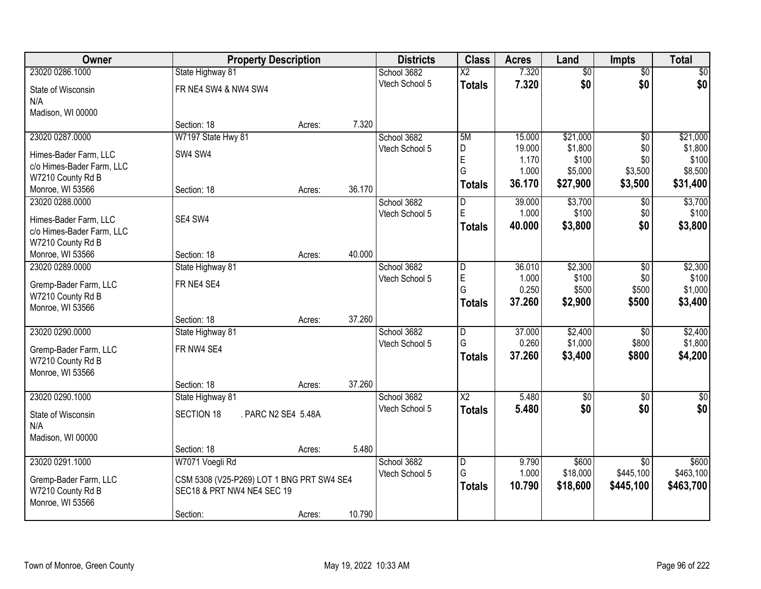| <b>Owner</b>              | <b>Property Description</b>               |                     |        | <b>Districts</b> | <b>Class</b>             | <b>Acres</b>    | Land             | <b>Impts</b>    | <b>Total</b>     |
|---------------------------|-------------------------------------------|---------------------|--------|------------------|--------------------------|-----------------|------------------|-----------------|------------------|
| 23020 0286.1000           | State Highway 81                          |                     |        | School 3682      | $\overline{\mathsf{x2}}$ | 7.320           | $\overline{50}$  | $\overline{50}$ | \$0              |
| State of Wisconsin        | FR NE4 SW4 & NW4 SW4                      |                     |        | Vtech School 5   | <b>Totals</b>            | 7.320           | \$0              | \$0             | \$0              |
| N/A                       |                                           |                     |        |                  |                          |                 |                  |                 |                  |
| Madison, WI 00000         |                                           |                     |        |                  |                          |                 |                  |                 |                  |
|                           | Section: 18                               | Acres:              | 7.320  |                  |                          |                 |                  |                 |                  |
| 23020 0287.0000           | W7197 State Hwy 81                        |                     |        | School 3682      | 5M                       | 15.000          | \$21,000         | $\overline{50}$ | \$21,000         |
| Himes-Bader Farm, LLC     | SW4 SW4                                   |                     |        | Vtech School 5   | D                        | 19.000          | \$1,800          | \$0             | \$1,800          |
| c/o Himes-Bader Farm, LLC |                                           |                     |        |                  | E<br>G                   | 1.170<br>1.000  | \$100<br>\$5,000 | \$0<br>\$3,500  | \$100<br>\$8,500 |
| W7210 County Rd B         |                                           |                     |        |                  | <b>Totals</b>            | 36.170          | \$27,900         | \$3,500         | \$31,400         |
| Monroe, WI 53566          | Section: 18                               | Acres:              | 36.170 |                  |                          |                 |                  |                 |                  |
| 23020 0288.0000           |                                           |                     |        | School 3682      | D                        | 39.000          | \$3,700          | \$0             | \$3,700          |
| Himes-Bader Farm, LLC     | SE4 SW4                                   |                     |        | Vtech School 5   | $\mathsf E$              | 1.000           | \$100            | \$0             | \$100            |
| c/o Himes-Bader Farm, LLC |                                           |                     |        |                  | <b>Totals</b>            | 40.000          | \$3,800          | \$0             | \$3,800          |
| W7210 County Rd B         |                                           |                     |        |                  |                          |                 |                  |                 |                  |
| Monroe, WI 53566          | Section: 18                               | Acres:              | 40.000 |                  |                          |                 |                  |                 |                  |
| 23020 0289.0000           | State Highway 81                          |                     |        | School 3682      | D                        | 36.010          | \$2,300          | $\sqrt[6]{3}$   | \$2,300          |
| Gremp-Bader Farm, LLC     | FR NE4 SE4                                |                     |        | Vtech School 5   | E                        | 1.000           | \$100            | \$0             | \$100            |
| W7210 County Rd B         |                                           |                     |        |                  | G                        | 0.250<br>37.260 | \$500            | \$500           | \$1,000          |
| Monroe, WI 53566          |                                           |                     |        |                  | Totals                   |                 | \$2,900          | \$500           | \$3,400          |
|                           | Section: 18                               | Acres:              | 37.260 |                  |                          |                 |                  |                 |                  |
| 23020 0290.0000           | State Highway 81                          |                     |        | School 3682      | $\overline{D}$           | 37.000          | \$2,400          | $\overline{30}$ | \$2,400          |
| Gremp-Bader Farm, LLC     | FR NW4 SE4                                |                     |        | Vtech School 5   | G                        | 0.260           | \$1,000          | \$800           | \$1,800          |
| W7210 County Rd B         |                                           |                     |        |                  | <b>Totals</b>            | 37.260          | \$3,400          | \$800           | \$4,200          |
| Monroe, WI 53566          |                                           |                     |        |                  |                          |                 |                  |                 |                  |
|                           | Section: 18                               | Acres:              | 37.260 |                  |                          |                 |                  |                 |                  |
| 23020 0290.1000           | State Highway 81                          |                     |        | School 3682      | $\overline{\text{X2}}$   | 5.480           | $\overline{50}$  | $\overline{30}$ | $\overline{\$0}$ |
| State of Wisconsin        | SECTION 18                                | . PARC N2 SE4 5.48A |        | Vtech School 5   | <b>Totals</b>            | 5.480           | \$0              | \$0             | \$0              |
| N/A                       |                                           |                     |        |                  |                          |                 |                  |                 |                  |
| Madison, WI 00000         |                                           |                     |        |                  |                          |                 |                  |                 |                  |
|                           | Section: 18                               | Acres:              | 5.480  |                  |                          |                 |                  |                 |                  |
| 23020 0291.1000           | W7071 Voegli Rd                           |                     |        | School 3682      | $\overline{D}$           | 9.790           | \$600            | $\overline{50}$ | \$600            |
| Gremp-Bader Farm, LLC     | CSM 5308 (V25-P269) LOT 1 BNG PRT SW4 SE4 |                     |        | Vtech School 5   | G                        | 1.000           | \$18,000         | \$445,100       | \$463,100        |
| W7210 County Rd B         | SEC18 & PRT NW4 NE4 SEC 19                |                     |        |                  | Totals                   | 10.790          | \$18,600         | \$445,100       | \$463,700        |
| Monroe, WI 53566          |                                           |                     |        |                  |                          |                 |                  |                 |                  |
|                           | Section:                                  | Acres:              | 10.790 |                  |                          |                 |                  |                 |                  |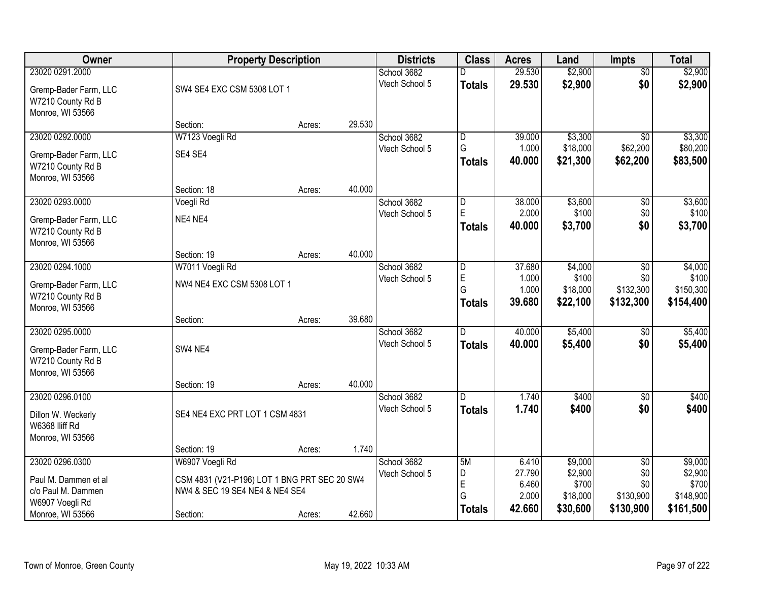| Owner                                                                             | <b>Property Description</b>                                                                |        |        | <b>Districts</b>              | <b>Class</b>                           | <b>Acres</b>                       | Land                                     | <b>Impts</b>                         | <b>Total</b>                               |
|-----------------------------------------------------------------------------------|--------------------------------------------------------------------------------------------|--------|--------|-------------------------------|----------------------------------------|------------------------------------|------------------------------------------|--------------------------------------|--------------------------------------------|
| 23020 0291.2000                                                                   |                                                                                            |        |        | School 3682                   |                                        | 29.530                             | \$2,900                                  | $\overline{50}$                      | \$2,900                                    |
| Gremp-Bader Farm, LLC<br>W7210 County Rd B<br>Monroe, WI 53566                    | SW4 SE4 EXC CSM 5308 LOT 1                                                                 |        |        | Vtech School 5                | <b>Totals</b>                          | 29.530                             | \$2,900                                  | \$0                                  | \$2,900                                    |
|                                                                                   | Section:                                                                                   | Acres: | 29.530 |                               |                                        |                                    |                                          |                                      |                                            |
| 23020 0292.0000                                                                   | W7123 Voegli Rd                                                                            |        |        | School 3682                   | D                                      | 39.000                             | \$3,300                                  | \$0                                  | \$3,300                                    |
| Gremp-Bader Farm, LLC<br>W7210 County Rd B<br>Monroe, WI 53566                    | SE4 SE4                                                                                    |        |        | Vtech School 5                | G<br><b>Totals</b>                     | 1.000<br>40.000                    | \$18,000<br>\$21,300                     | \$62,200<br>\$62,200                 | \$80,200<br>\$83,500                       |
|                                                                                   | Section: 18                                                                                | Acres: | 40.000 |                               |                                        |                                    |                                          |                                      |                                            |
| 23020 0293.0000                                                                   | Voegli Rd                                                                                  |        |        | School 3682                   | $\overline{D}$                         | 38.000                             | \$3,600                                  | \$0                                  | \$3,600                                    |
| Gremp-Bader Farm, LLC<br>W7210 County Rd B                                        | NE4 NE4                                                                                    |        |        | Vtech School 5                | E<br><b>Totals</b>                     | 2.000<br>40.000                    | \$100<br>\$3,700                         | \$0<br>\$0                           | \$100<br>\$3,700                           |
| Monroe, WI 53566                                                                  | Section: 19                                                                                | Acres: | 40.000 |                               |                                        |                                    |                                          |                                      |                                            |
| 23020 0294.1000                                                                   | W7011 Voegli Rd                                                                            |        |        | School 3682                   | D                                      | 37.680                             | \$4,000                                  | $\sqrt[6]{3}$                        | \$4,000                                    |
| Gremp-Bader Farm, LLC<br>W7210 County Rd B<br>Monroe, WI 53566                    | NW4 NE4 EXC CSM 5308 LOT 1                                                                 |        |        | Vtech School 5                | E<br>G<br>Totals                       | 1.000<br>1.000<br>39.680           | \$100<br>\$18,000<br>\$22,100            | \$0<br>\$132,300<br>\$132,300        | \$100<br>\$150,300<br>\$154,400            |
|                                                                                   | Section:                                                                                   | Acres: | 39.680 |                               |                                        |                                    |                                          |                                      |                                            |
| 23020 0295.0000<br>Gremp-Bader Farm, LLC<br>W7210 County Rd B<br>Monroe, WI 53566 | SW4 NE4                                                                                    |        |        | School 3682<br>Vtech School 5 | $\overline{D}$<br><b>Totals</b>        | 40.000<br>40.000                   | \$5,400<br>\$5,400                       | \$0<br>\$0                           | \$5,400<br>\$5,400                         |
|                                                                                   | Section: 19                                                                                | Acres: | 40.000 |                               |                                        |                                    |                                          |                                      |                                            |
| 23020 0296.0100<br>Dillon W. Weckerly<br>W6368 Iliff Rd<br>Monroe, WI 53566       | SE4 NE4 EXC PRT LOT 1 CSM 4831                                                             |        |        | School 3682<br>Vtech School 5 | D.<br><b>Totals</b>                    | 1.740<br>1.740                     | \$400<br>\$400                           | \$0<br>\$0                           | \$400<br>\$400                             |
|                                                                                   | Section: 19                                                                                | Acres: | 1.740  |                               |                                        |                                    |                                          |                                      |                                            |
| 23020 0296.0300                                                                   | W6907 Voegli Rd                                                                            |        |        | School 3682                   | 5M                                     | 6.410                              | \$9,000                                  | $\overline{50}$                      | \$9,000                                    |
| Paul M. Dammen et al<br>c/o Paul M. Dammen<br>W6907 Voegli Rd<br>Monroe, WI 53566 | CSM 4831 (V21-P196) LOT 1 BNG PRT SEC 20 SW4<br>NW4 & SEC 19 SE4 NE4 & NE4 SE4<br>Section: | Acres: | 42.660 | Vtech School 5                | D<br>$\mathsf E$<br>G<br><b>Totals</b> | 27.790<br>6.460<br>2.000<br>42.660 | \$2,900<br>\$700<br>\$18,000<br>\$30,600 | \$0<br>\$0<br>\$130,900<br>\$130,900 | \$2,900<br>\$700<br>\$148,900<br>\$161,500 |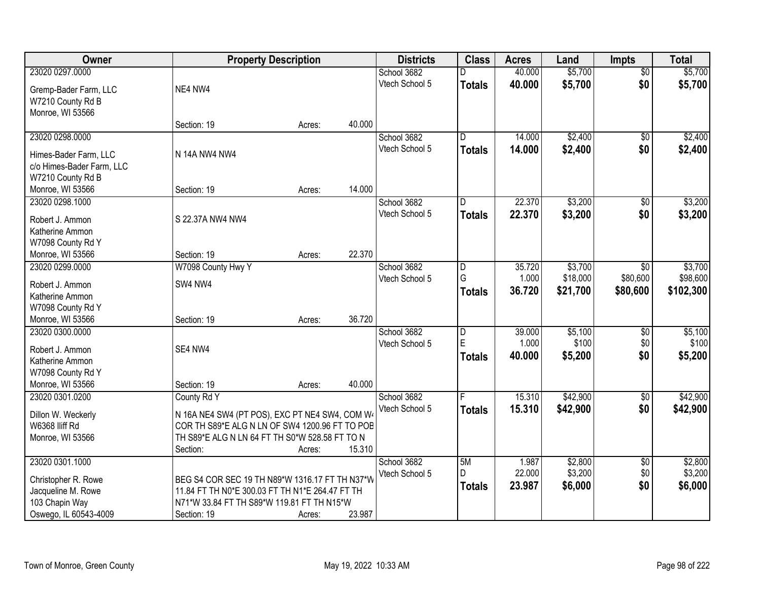| Owner                     |                                                            | <b>Property Description</b> |        | <b>Districts</b> | <b>Class</b>   | <b>Acres</b> | Land     | <b>Impts</b>           | <b>Total</b> |
|---------------------------|------------------------------------------------------------|-----------------------------|--------|------------------|----------------|--------------|----------|------------------------|--------------|
| 23020 0297.0000           |                                                            |                             |        | School 3682      |                | 40.000       | \$5,700  | $\overline{50}$        | \$5,700      |
| Gremp-Bader Farm, LLC     | NE4 NW4                                                    |                             |        | Vtech School 5   | <b>Totals</b>  | 40.000       | \$5,700  | \$0                    | \$5,700      |
| W7210 County Rd B         |                                                            |                             |        |                  |                |              |          |                        |              |
| Monroe, WI 53566          |                                                            |                             |        |                  |                |              |          |                        |              |
|                           | Section: 19                                                | Acres:                      | 40.000 |                  |                |              |          |                        |              |
| 23020 0298.0000           |                                                            |                             |        | School 3682      | $\overline{D}$ | 14.000       | \$2,400  | $\overline{50}$        | \$2,400      |
| Himes-Bader Farm, LLC     | N 14A NW4 NW4                                              |                             |        | Vtech School 5   | <b>Totals</b>  | 14.000       | \$2,400  | \$0                    | \$2,400      |
| c/o Himes-Bader Farm, LLC |                                                            |                             |        |                  |                |              |          |                        |              |
| W7210 County Rd B         |                                                            |                             |        |                  |                |              |          |                        |              |
| Monroe, WI 53566          | Section: 19                                                | Acres:                      | 14.000 |                  |                |              |          |                        |              |
| 23020 0298.1000           |                                                            |                             |        | School 3682      | D              | 22.370       | \$3,200  | $\overline{50}$        | \$3,200      |
|                           |                                                            |                             |        | Vtech School 5   | <b>Totals</b>  | 22.370       | \$3,200  | \$0                    | \$3,200      |
| Robert J. Ammon           | S 22.37A NW4 NW4                                           |                             |        |                  |                |              |          |                        |              |
| Katherine Ammon           |                                                            |                             |        |                  |                |              |          |                        |              |
| W7098 County Rd Y         |                                                            |                             |        |                  |                |              |          |                        |              |
| Monroe, WI 53566          | Section: 19                                                | Acres:                      | 22.370 |                  |                |              |          |                        |              |
| 23020 0299.0000           | W7098 County Hwy Y                                         |                             |        | School 3682      | D              | 35.720       | \$3,700  | \$0                    | \$3,700      |
| Robert J. Ammon           | SW4 NW4                                                    |                             |        | Vtech School 5   | G              | 1.000        | \$18,000 | \$80,600               | \$98,600     |
| Katherine Ammon           |                                                            |                             |        |                  | <b>Totals</b>  | 36.720       | \$21,700 | \$80,600               | \$102,300    |
| W7098 County Rd Y         |                                                            |                             |        |                  |                |              |          |                        |              |
| Monroe, WI 53566          | Section: 19                                                | Acres:                      | 36.720 |                  |                |              |          |                        |              |
| 23020 0300.0000           |                                                            |                             |        | School 3682      | D              | 39.000       | \$5,100  | $\overline{50}$        | \$5,100      |
| Robert J. Ammon           | SE4 NW4                                                    |                             |        | Vtech School 5   | E              | 1.000        | \$100    | \$0                    | \$100        |
| Katherine Ammon           |                                                            |                             |        |                  | <b>Totals</b>  | 40.000       | \$5,200  | \$0                    | \$5,200      |
| W7098 County Rd Y         |                                                            |                             |        |                  |                |              |          |                        |              |
| Monroe, WI 53566          | Section: 19                                                | Acres:                      | 40.000 |                  |                |              |          |                        |              |
| 23020 0301.0200           | County Rd Y                                                |                             |        | School 3682      |                | 15.310       | \$42,900 | $\sqrt{$0}$            | \$42,900     |
|                           |                                                            |                             |        | Vtech School 5   | <b>Totals</b>  | 15.310       | \$42,900 | \$0                    | \$42,900     |
| Dillon W. Weckerly        | N 16A NE4 SW4 (PT POS), EXC PT NE4 SW4, COM W4             |                             |        |                  |                |              |          |                        |              |
| W6368 IIiff Rd            | COR TH S89*E ALG N LN OF SW4 1200.96 FT TO POB             |                             |        |                  |                |              |          |                        |              |
| Monroe, WI 53566          | TH S89*E ALG N LN 64 FT TH S0*W 528.58 FT TO N<br>Section: |                             | 15.310 |                  |                |              |          |                        |              |
| 23020 0301.1000           |                                                            | Acres:                      |        | School 3682      |                | 1.987        | \$2,800  |                        | \$2,800      |
|                           |                                                            |                             |        | Vtech School 5   | 5M<br>D        | 22.000       | \$3,200  | $\overline{50}$<br>\$0 | \$3,200      |
| Christopher R. Rowe       | BEG S4 COR SEC 19 TH N89*W 1316.17 FT TH N37*W             |                             |        |                  |                |              |          | \$0                    |              |
| Jacqueline M. Rowe        | 11.84 FT TH N0*E 300.03 FT TH N1*E 264.47 FT TH            |                             |        |                  | <b>Totals</b>  | 23.987       | \$6,000  |                        | \$6,000      |
| 103 Chapin Way            | N71*W 33.84 FT TH S89*W 119.81 FT TH N15*W                 |                             |        |                  |                |              |          |                        |              |
| Oswego, IL 60543-4009     | Section: 19                                                | Acres:                      | 23.987 |                  |                |              |          |                        |              |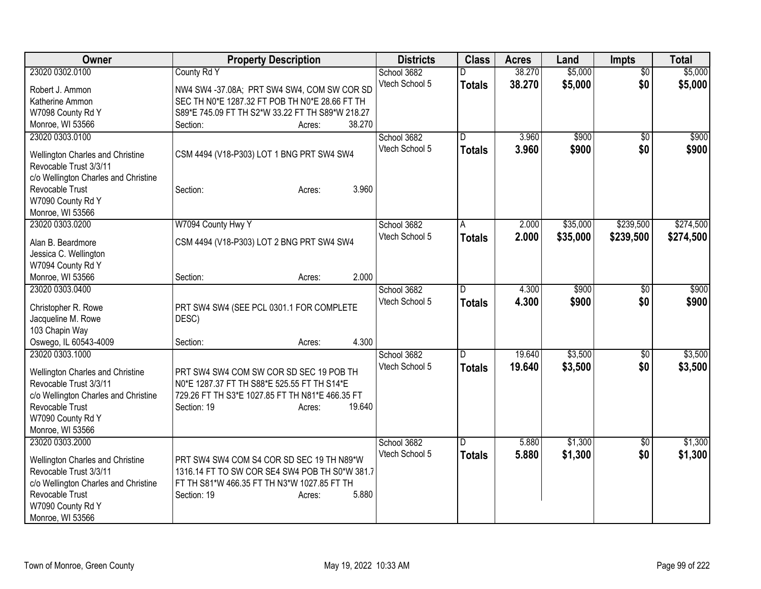| Owner                                   | <b>Property Description</b>                      | <b>Districts</b> | <b>Class</b>            | <b>Acres</b> | Land     | <b>Impts</b>    | <b>Total</b> |
|-----------------------------------------|--------------------------------------------------|------------------|-------------------------|--------------|----------|-----------------|--------------|
| 23020 0302.0100                         | County Rd Y                                      | School 3682      |                         | 38.270       | \$5,000  | $\overline{50}$ | \$5,000      |
| Robert J. Ammon                         | NW4 SW4 -37.08A; PRT SW4 SW4, COM SW COR SD      | Vtech School 5   | <b>Totals</b>           | 38.270       | \$5,000  | \$0             | \$5,000      |
| Katherine Ammon                         | SEC TH N0*E 1287.32 FT POB TH N0*E 28.66 FT TH   |                  |                         |              |          |                 |              |
| W7098 County Rd Y                       | S89*E 745.09 FT TH S2*W 33.22 FT TH S89*W 218.27 |                  |                         |              |          |                 |              |
| Monroe, WI 53566                        | 38.270<br>Section:<br>Acres:                     |                  |                         |              |          |                 |              |
| 23020 0303.0100                         |                                                  | School 3682      | $\overline{\mathsf{D}}$ | 3.960        | \$900    | \$0             | \$900        |
|                                         |                                                  | Vtech School 5   | <b>Totals</b>           | 3.960        | \$900    | \$0             | \$900        |
| <b>Wellington Charles and Christine</b> | CSM 4494 (V18-P303) LOT 1 BNG PRT SW4 SW4        |                  |                         |              |          |                 |              |
| Revocable Trust 3/3/11                  |                                                  |                  |                         |              |          |                 |              |
| c/o Wellington Charles and Christine    |                                                  |                  |                         |              |          |                 |              |
| Revocable Trust                         | 3.960<br>Section:<br>Acres:                      |                  |                         |              |          |                 |              |
| W7090 County Rd Y                       |                                                  |                  |                         |              |          |                 |              |
| Monroe, WI 53566                        |                                                  |                  |                         |              |          |                 |              |
| 23020 0303.0200                         | W7094 County Hwy Y                               | School 3682      | A                       | 2.000        | \$35,000 | \$239,500       | \$274,500    |
| Alan B. Beardmore                       | CSM 4494 (V18-P303) LOT 2 BNG PRT SW4 SW4        | Vtech School 5   | <b>Totals</b>           | 2.000        | \$35,000 | \$239,500       | \$274,500    |
| Jessica C. Wellington                   |                                                  |                  |                         |              |          |                 |              |
| W7094 County Rd Y                       |                                                  |                  |                         |              |          |                 |              |
| Monroe, WI 53566                        | 2.000<br>Section:<br>Acres:                      |                  |                         |              |          |                 |              |
| 23020 0303.0400                         |                                                  | School 3682      | D.                      | 4.300        | \$900    | \$0             | \$900        |
|                                         |                                                  | Vtech School 5   |                         | 4.300        |          |                 |              |
| Christopher R. Rowe                     | PRT SW4 SW4 (SEE PCL 0301.1 FOR COMPLETE         |                  | <b>Totals</b>           |              | \$900    | \$0             | \$900        |
| Jacqueline M. Rowe                      | DESC)                                            |                  |                         |              |          |                 |              |
| 103 Chapin Way                          |                                                  |                  |                         |              |          |                 |              |
| Oswego, IL 60543-4009                   | 4.300<br>Section:<br>Acres:                      |                  |                         |              |          |                 |              |
| 23020 0303.1000                         |                                                  | School 3682      | D                       | 19.640       | \$3,500  | $\overline{30}$ | \$3,500      |
|                                         |                                                  | Vtech School 5   | <b>Totals</b>           | 19.640       | \$3,500  | \$0             | \$3,500      |
| Wellington Charles and Christine        | PRT SW4 SW4 COM SW COR SD SEC 19 POB TH          |                  |                         |              |          |                 |              |
| Revocable Trust 3/3/11                  | N0*E 1287.37 FT TH S88*E 525.55 FT TH S14*E      |                  |                         |              |          |                 |              |
| c/o Wellington Charles and Christine    | 729.26 FT TH S3*E 1027.85 FT TH N81*E 466.35 FT  |                  |                         |              |          |                 |              |
| Revocable Trust                         | Section: 19<br>19.640<br>Acres:                  |                  |                         |              |          |                 |              |
| W7090 County Rd Y                       |                                                  |                  |                         |              |          |                 |              |
| Monroe, WI 53566                        |                                                  |                  |                         |              |          |                 |              |
| 23020 0303.2000                         |                                                  | School 3682      | D.                      | 5.880        | \$1,300  | $\sqrt[6]{30}$  | \$1,300      |
| Wellington Charles and Christine        | PRT SW4 SW4 COM S4 COR SD SEC 19 TH N89*W        | Vtech School 5   | <b>Totals</b>           | 5.880        | \$1,300  | \$0             | \$1,300      |
| Revocable Trust 3/3/11                  | 1316.14 FT TO SW COR SE4 SW4 POB TH S0*W 381.7   |                  |                         |              |          |                 |              |
| c/o Wellington Charles and Christine    | FT TH S81*W 466.35 FT TH N3*W 1027.85 FT TH      |                  |                         |              |          |                 |              |
| Revocable Trust                         | 5.880<br>Section: 19<br>Acres:                   |                  |                         |              |          |                 |              |
| W7090 County Rd Y                       |                                                  |                  |                         |              |          |                 |              |
| Monroe, WI 53566                        |                                                  |                  |                         |              |          |                 |              |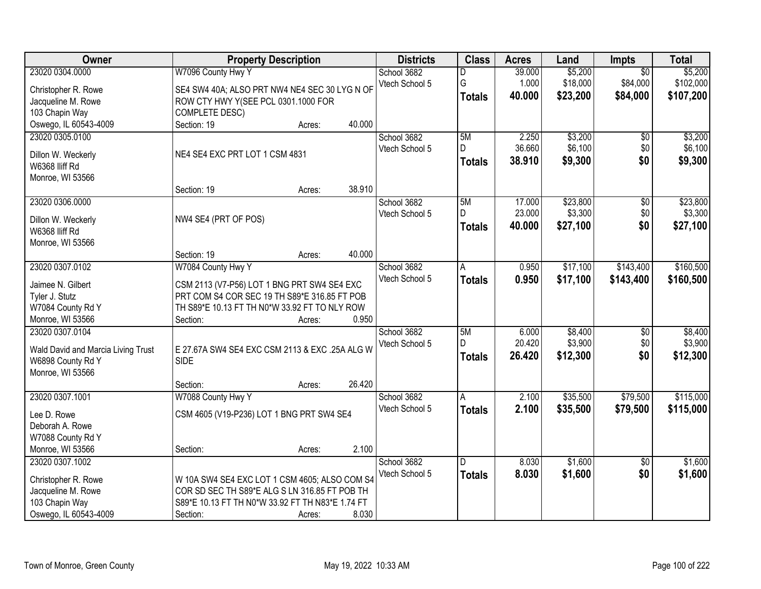| Owner                              |                                                  | <b>Property Description</b> |        | <b>Districts</b> | <b>Class</b>  | <b>Acres</b> | Land     | <b>Impts</b>    | <b>Total</b> |
|------------------------------------|--------------------------------------------------|-----------------------------|--------|------------------|---------------|--------------|----------|-----------------|--------------|
| 23020 0304.0000                    | W7096 County Hwy Y                               |                             |        | School 3682      | D             | 39.000       | \$5,200  | $\overline{50}$ | \$5,200      |
| Christopher R. Rowe                | SE4 SW4 40A; ALSO PRT NW4 NE4 SEC 30 LYG N OF    |                             |        | Vtech School 5   | G             | 1.000        | \$18,000 | \$84,000        | \$102,000    |
| Jacqueline M. Rowe                 | ROW CTY HWY Y(SEE PCL 0301.1000 FOR              |                             |        |                  | <b>Totals</b> | 40.000       | \$23,200 | \$84,000        | \$107,200    |
| 103 Chapin Way                     | <b>COMPLETE DESC)</b>                            |                             |        |                  |               |              |          |                 |              |
| Oswego, IL 60543-4009              | Section: 19                                      | Acres:                      | 40.000 |                  |               |              |          |                 |              |
| 23020 0305.0100                    |                                                  |                             |        | School 3682      | 5M            | 2.250        | \$3,200  | $\overline{50}$ | \$3,200      |
|                                    |                                                  |                             |        | Vtech School 5   | D.            | 36.660       | \$6,100  | \$0             | \$6,100      |
| Dillon W. Weckerly                 | NE4 SE4 EXC PRT LOT 1 CSM 4831                   |                             |        |                  | <b>Totals</b> | 38.910       | \$9,300  | \$0             | \$9,300      |
| W6368 Iliff Rd                     |                                                  |                             |        |                  |               |              |          |                 |              |
| Monroe, WI 53566                   | Section: 19                                      | Acres:                      | 38.910 |                  |               |              |          |                 |              |
| 23020 0306.0000                    |                                                  |                             |        | School 3682      | 5M            | 17.000       | \$23,800 | $\overline{50}$ | \$23,800     |
|                                    |                                                  |                             |        | Vtech School 5   | D             | 23.000       | \$3,300  | \$0             | \$3,300      |
| Dillon W. Weckerly                 | NW4 SE4 (PRT OF POS)                             |                             |        |                  |               | 40.000       | \$27,100 | \$0             | \$27,100     |
| W6368 IIiff Rd                     |                                                  |                             |        |                  | <b>Totals</b> |              |          |                 |              |
| Monroe, WI 53566                   |                                                  |                             |        |                  |               |              |          |                 |              |
|                                    | Section: 19                                      | Acres:                      | 40.000 |                  |               |              |          |                 |              |
| 23020 0307.0102                    | W7084 County Hwy Y                               |                             |        | School 3682      | Α             | 0.950        | \$17,100 | \$143,400       | \$160,500    |
| Jaimee N. Gilbert                  | CSM 2113 (V7-P56) LOT 1 BNG PRT SW4 SE4 EXC      |                             |        | Vtech School 5   | <b>Totals</b> | 0.950        | \$17,100 | \$143,400       | \$160,500    |
| Tyler J. Stutz                     | PRT COM S4 COR SEC 19 TH S89*E 316.85 FT POB     |                             |        |                  |               |              |          |                 |              |
| W7084 County Rd Y                  | TH S89*E 10.13 FT TH N0*W 33.92 FT TO NLY ROW    |                             |        |                  |               |              |          |                 |              |
| Monroe, WI 53566                   | Section:                                         | Acres:                      | 0.950  |                  |               |              |          |                 |              |
| 23020 0307.0104                    |                                                  |                             |        | School 3682      | 5M            | 6.000        | \$8,400  | \$0             | \$8,400      |
|                                    |                                                  |                             |        | Vtech School 5   | D             | 20.420       | \$3,900  | \$0             | \$3,900      |
| Wald David and Marcia Living Trust | E 27.67A SW4 SE4 EXC CSM 2113 & EXC .25A ALG W   |                             |        |                  | <b>Totals</b> | 26.420       | \$12,300 | \$0             | \$12,300     |
| W6898 County Rd Y                  | <b>SIDE</b>                                      |                             |        |                  |               |              |          |                 |              |
| Monroe, WI 53566                   |                                                  |                             |        |                  |               |              |          |                 |              |
|                                    | Section:                                         | Acres:                      | 26.420 |                  |               |              |          |                 |              |
| 23020 0307.1001                    | W7088 County Hwy Y                               |                             |        | School 3682      | A             | 2.100        | \$35,500 | \$79,500        | \$115,000    |
| Lee D. Rowe                        | CSM 4605 (V19-P236) LOT 1 BNG PRT SW4 SE4        |                             |        | Vtech School 5   | <b>Totals</b> | 2.100        | \$35,500 | \$79,500        | \$115,000    |
| Deborah A. Rowe                    |                                                  |                             |        |                  |               |              |          |                 |              |
| W7088 County Rd Y                  |                                                  |                             |        |                  |               |              |          |                 |              |
| Monroe, WI 53566                   | Section:                                         | Acres:                      | 2.100  |                  |               |              |          |                 |              |
| 23020 0307.1002                    |                                                  |                             |        | School 3682      | D             | 8.030        | \$1,600  | $\overline{50}$ | \$1,600      |
| Christopher R. Rowe                | W 10A SW4 SE4 EXC LOT 1 CSM 4605; ALSO COM S4    |                             |        | Vtech School 5   | <b>Totals</b> | 8.030        | \$1,600  | \$0             | \$1,600      |
| Jacqueline M. Rowe                 | COR SD SEC TH S89*E ALG S LN 316.85 FT POB TH    |                             |        |                  |               |              |          |                 |              |
| 103 Chapin Way                     | S89*E 10.13 FT TH N0*W 33.92 FT TH N83*E 1.74 FT |                             |        |                  |               |              |          |                 |              |
| Oswego, IL 60543-4009              | Section:                                         | Acres:                      | 8.030  |                  |               |              |          |                 |              |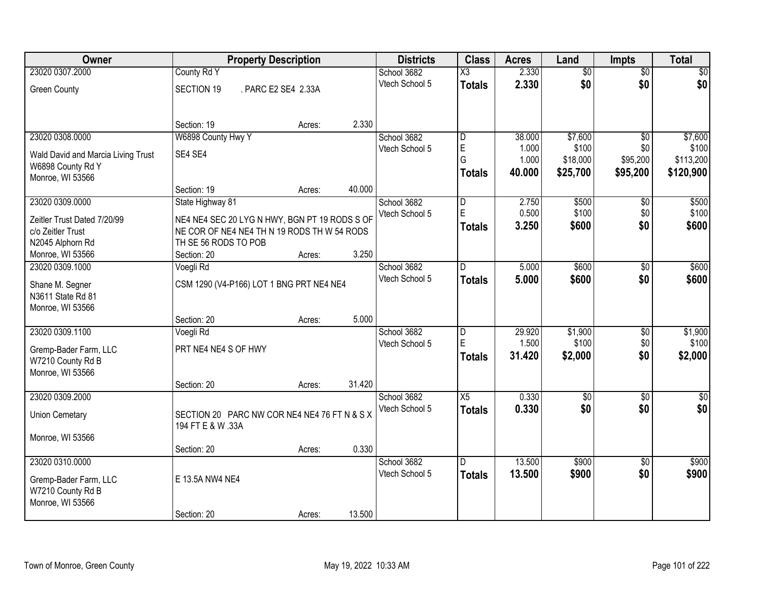| Owner                              | <b>Property Description</b>                                       |                     |        | <b>Districts</b> | <b>Class</b>            | <b>Acres</b>   | Land              | <b>Impts</b>    | <b>Total</b>       |
|------------------------------------|-------------------------------------------------------------------|---------------------|--------|------------------|-------------------------|----------------|-------------------|-----------------|--------------------|
| 23020 0307.2000                    | County Rd Y                                                       |                     |        | School 3682      | X3                      | 2.330          | $\overline{50}$   | $\overline{50}$ | $\sqrt{50}$        |
| <b>Green County</b>                | <b>SECTION 19</b>                                                 | . PARC E2 SE4 2.33A |        | Vtech School 5   | <b>Totals</b>           | 2.330          | \$0               | \$0             | \$0                |
|                                    |                                                                   |                     |        |                  |                         |                |                   |                 |                    |
|                                    |                                                                   |                     |        |                  |                         |                |                   |                 |                    |
|                                    | Section: 19                                                       | Acres:              | 2.330  |                  |                         |                |                   |                 |                    |
| 23020 0308.0000                    | W6898 County Hwy Y                                                |                     |        | School 3682      | $\overline{\mathsf{D}}$ | 38.000         | \$7,600           | $\overline{30}$ | \$7,600            |
| Wald David and Marcia Living Trust | SE4 SE4                                                           |                     |        | Vtech School 5   | $\mathsf E$<br>G        | 1.000<br>1.000 | \$100<br>\$18,000 | \$0<br>\$95,200 | \$100<br>\$113,200 |
| W6898 County Rd Y                  |                                                                   |                     |        |                  |                         | 40.000         | \$25,700          | \$95,200        | \$120,900          |
| Monroe, WI 53566                   |                                                                   |                     |        |                  | <b>Totals</b>           |                |                   |                 |                    |
|                                    | Section: 19                                                       | Acres:              | 40.000 |                  |                         |                |                   |                 |                    |
| 23020 0309.0000                    | State Highway 81                                                  |                     |        | School 3682      | D                       | 2.750          | \$500             | \$0             | \$500              |
| Zeitler Trust Dated 7/20/99        | NE4 NE4 SEC 20 LYG N HWY, BGN PT 19 RODS S OF                     |                     |        | Vtech School 5   | E                       | 0.500          | \$100             | \$0             | \$100              |
| c/o Zeitler Trust                  | NE COR OF NE4 NE4 TH N 19 RODS TH W 54 RODS                       |                     |        |                  | <b>Totals</b>           | 3.250          | \$600             | \$0             | \$600              |
| N2045 Alphorn Rd                   | TH SE 56 RODS TO POB                                              |                     |        |                  |                         |                |                   |                 |                    |
| Monroe, WI 53566                   | Section: 20                                                       | Acres:              | 3.250  |                  |                         |                |                   |                 |                    |
| 23020 0309.1000                    | Voegli Rd                                                         |                     |        | School 3682      | D                       | 5.000          | \$600             | \$0             | \$600              |
| Shane M. Segner                    | CSM 1290 (V4-P166) LOT 1 BNG PRT NE4 NE4                          |                     |        | Vtech School 5   | <b>Totals</b>           | 5.000          | \$600             | \$0             | \$600              |
| N3611 State Rd 81                  |                                                                   |                     |        |                  |                         |                |                   |                 |                    |
| Monroe, WI 53566                   |                                                                   |                     |        |                  |                         |                |                   |                 |                    |
|                                    | Section: 20                                                       | Acres:              | 5.000  |                  |                         |                |                   |                 |                    |
| 23020 0309.1100                    | Voegli Rd                                                         |                     |        | School 3682      | $\overline{\mathsf{D}}$ | 29.920         | \$1,900           | $\overline{30}$ | \$1,900            |
| Gremp-Bader Farm, LLC              | PRT NE4 NE4 S OF HWY                                              |                     |        | Vtech School 5   | E                       | 1.500          | \$100             | \$0             | \$100              |
| W7210 County Rd B                  |                                                                   |                     |        |                  | <b>Totals</b>           | 31.420         | \$2,000           | \$0             | \$2,000            |
| Monroe, WI 53566                   |                                                                   |                     |        |                  |                         |                |                   |                 |                    |
|                                    | Section: 20                                                       | Acres:              | 31.420 |                  |                         |                |                   |                 |                    |
| 23020 0309.2000                    |                                                                   |                     |        | School 3682      | X5                      | 0.330          | $\overline{50}$   | $\overline{50}$ | $\overline{\$0}$   |
|                                    |                                                                   |                     |        | Vtech School 5   | <b>Totals</b>           | 0.330          | \$0               | \$0             | \$0                |
| <b>Union Cemetary</b>              | SECTION 20 PARC NW COR NE4 NE4 76 FT N & S X<br>194 FT E & W .33A |                     |        |                  |                         |                |                   |                 |                    |
| Monroe, WI 53566                   |                                                                   |                     |        |                  |                         |                |                   |                 |                    |
|                                    | Section: 20                                                       | Acres:              | 0.330  |                  |                         |                |                   |                 |                    |
| 23020 0310,0000                    |                                                                   |                     |        | School 3682      | D.                      | 13.500         | \$900             | $\overline{50}$ | \$900              |
|                                    |                                                                   |                     |        | Vtech School 5   | <b>Totals</b>           | 13.500         | \$900             | \$0             | \$900              |
| Gremp-Bader Farm, LLC              | E 13.5A NW4 NE4                                                   |                     |        |                  |                         |                |                   |                 |                    |
| W7210 County Rd B                  |                                                                   |                     |        |                  |                         |                |                   |                 |                    |
| Monroe, WI 53566                   | Section: 20                                                       | Acres:              | 13.500 |                  |                         |                |                   |                 |                    |
|                                    |                                                                   |                     |        |                  |                         |                |                   |                 |                    |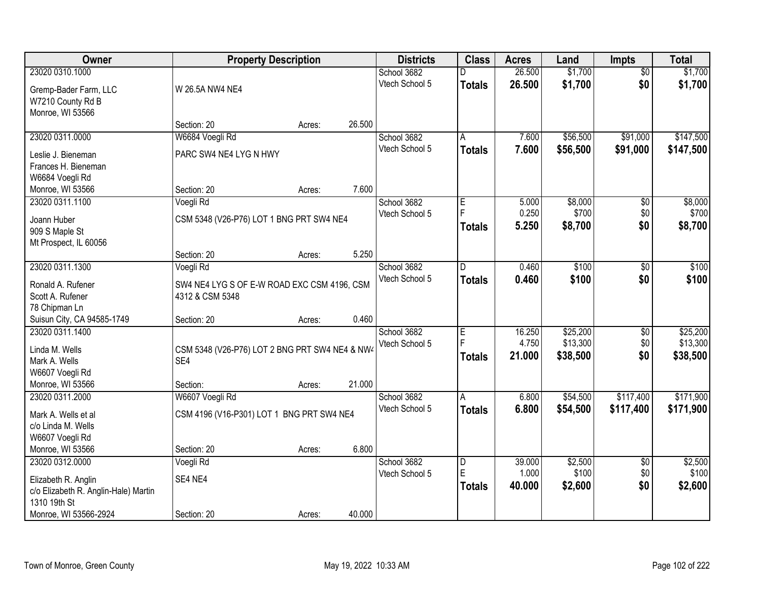| <b>Owner</b>                          |                                                       | <b>Property Description</b> |        | <b>Districts</b> | <b>Class</b>  | <b>Acres</b> | Land     | <b>Impts</b>    | <b>Total</b> |
|---------------------------------------|-------------------------------------------------------|-----------------------------|--------|------------------|---------------|--------------|----------|-----------------|--------------|
| 23020 0310.1000                       |                                                       |                             |        | School 3682      |               | 26.500       | \$1,700  | $\overline{50}$ | \$1,700      |
| Gremp-Bader Farm, LLC                 | W 26.5A NW4 NE4                                       |                             |        | Vtech School 5   | <b>Totals</b> | 26.500       | \$1,700  | \$0             | \$1,700      |
| W7210 County Rd B                     |                                                       |                             |        |                  |               |              |          |                 |              |
| Monroe, WI 53566                      |                                                       |                             |        |                  |               |              |          |                 |              |
|                                       | Section: 20                                           | Acres:                      | 26.500 |                  |               |              |          |                 |              |
| 23020 0311.0000                       | W6684 Voegli Rd                                       |                             |        | School 3682      | A             | 7.600        | \$56,500 | \$91,000        | \$147,500    |
| Leslie J. Bieneman                    | PARC SW4 NE4 LYG N HWY                                |                             |        | Vtech School 5   | <b>Totals</b> | 7.600        | \$56,500 | \$91,000        | \$147,500    |
| Frances H. Bieneman                   |                                                       |                             |        |                  |               |              |          |                 |              |
| W6684 Voegli Rd                       |                                                       |                             |        |                  |               |              |          |                 |              |
| Monroe, WI 53566                      | Section: 20                                           | Acres:                      | 7.600  |                  |               |              |          |                 |              |
| 23020 0311.1100                       | Voegli Rd                                             |                             |        | School 3682      | E             | 5.000        | \$8,000  | \$0             | \$8,000      |
| Joann Huber                           | CSM 5348 (V26-P76) LOT 1 BNG PRT SW4 NE4              |                             |        | Vtech School 5   | F             | 0.250        | \$700    | \$0             | \$700        |
| 909 S Maple St                        |                                                       |                             |        |                  | <b>Totals</b> | 5.250        | \$8,700  | \$0             | \$8,700      |
| Mt Prospect, IL 60056                 |                                                       |                             |        |                  |               |              |          |                 |              |
|                                       | Section: 20                                           | Acres:                      | 5.250  |                  |               |              |          |                 |              |
| 23020 0311.1300                       | Voegli Rd                                             |                             |        | School 3682      | D.            | 0.460        | \$100    | \$0             | \$100        |
| Ronald A. Rufener                     | SW4 NE4 LYG S OF E-W ROAD EXC CSM 4196, CSM           |                             |        | Vtech School 5   | <b>Totals</b> | 0.460        | \$100    | \$0             | \$100        |
| Scott A. Rufener                      | 4312 & CSM 5348                                       |                             |        |                  |               |              |          |                 |              |
| 78 Chipman Ln                         |                                                       |                             |        |                  |               |              |          |                 |              |
| Suisun City, CA 94585-1749            | Section: 20                                           | Acres:                      | 0.460  |                  |               |              |          |                 |              |
| 23020 0311.1400                       |                                                       |                             |        | School 3682      | E             | 16.250       | \$25,200 | $\overline{30}$ | \$25,200     |
|                                       |                                                       |                             |        | Vtech School 5   | E             | 4.750        | \$13,300 | \$0             | \$13,300     |
| Linda M. Wells<br>Mark A. Wells       | CSM 5348 (V26-P76) LOT 2 BNG PRT SW4 NE4 & NW4<br>SE4 |                             |        |                  | <b>Totals</b> | 21.000       | \$38,500 | \$0             | \$38,500     |
| W6607 Voegli Rd                       |                                                       |                             |        |                  |               |              |          |                 |              |
| Monroe, WI 53566                      | Section:                                              | Acres:                      | 21.000 |                  |               |              |          |                 |              |
| 23020 0311.2000                       | W6607 Voegli Rd                                       |                             |        | School 3682      | A             | 6.800        | \$54,500 | \$117,400       | \$171,900    |
|                                       |                                                       |                             |        | Vtech School 5   | <b>Totals</b> | 6.800        | \$54,500 | \$117,400       | \$171,900    |
| Mark A. Wells et al                   | CSM 4196 (V16-P301) LOT 1 BNG PRT SW4 NE4             |                             |        |                  |               |              |          |                 |              |
| c/o Linda M. Wells<br>W6607 Voegli Rd |                                                       |                             |        |                  |               |              |          |                 |              |
| Monroe, WI 53566                      | Section: 20                                           | Acres:                      | 6.800  |                  |               |              |          |                 |              |
| 23020 0312.0000                       | Voegli Rd                                             |                             |        | School 3682      | D             | 39.000       | \$2,500  | $\overline{50}$ | \$2,500      |
|                                       |                                                       |                             |        | Vtech School 5   | E             | 1.000        | \$100    | \$0             | \$100        |
| Elizabeth R. Anglin                   | SE4 NE4                                               |                             |        |                  | <b>Totals</b> | 40.000       | \$2,600  | \$0             | \$2,600      |
| c/o Elizabeth R. Anglin-Hale) Martin  |                                                       |                             |        |                  |               |              |          |                 |              |
| 1310 19th St<br>Monroe, WI 53566-2924 | Section: 20                                           |                             | 40.000 |                  |               |              |          |                 |              |
|                                       |                                                       | Acres:                      |        |                  |               |              |          |                 |              |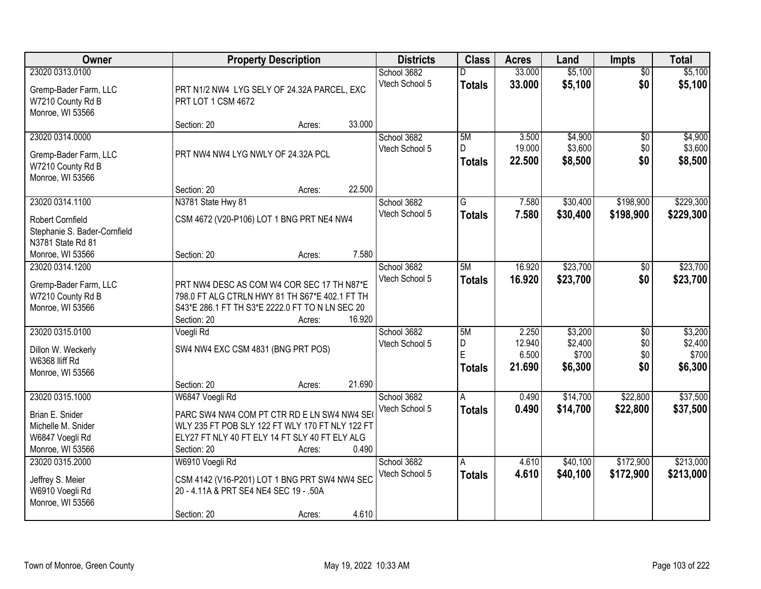| Owner                                                          |                                                                                               | <b>Property Description</b> |        | <b>Districts</b> | <b>Class</b>  | <b>Acres</b> | Land     | <b>Impts</b>    | <b>Total</b> |
|----------------------------------------------------------------|-----------------------------------------------------------------------------------------------|-----------------------------|--------|------------------|---------------|--------------|----------|-----------------|--------------|
| 23020 0313.0100                                                |                                                                                               |                             |        | School 3682      |               | 33.000       | \$5,100  | $\overline{50}$ | \$5,100      |
| Gremp-Bader Farm, LLC<br>W7210 County Rd B<br>Monroe, WI 53566 | PRT N1/2 NW4 LYG SELY OF 24.32A PARCEL, EXC<br>PRT LOT 1 CSM 4672                             |                             |        | Vtech School 5   | <b>Totals</b> | 33.000       | \$5,100  | \$0             | \$5,100      |
|                                                                | Section: 20                                                                                   | Acres:                      | 33.000 |                  |               |              |          |                 |              |
| 23020 0314.0000                                                |                                                                                               |                             |        | School 3682      | 5M            | 3.500        | \$4,900  | $\overline{50}$ | \$4,900      |
| Gremp-Bader Farm, LLC                                          | PRT NW4 NW4 LYG NWLY OF 24.32A PCL                                                            |                             |        | Vtech School 5   | D.            | 19.000       | \$3,600  | \$0             | \$3,600      |
| W7210 County Rd B                                              |                                                                                               |                             |        |                  | <b>Totals</b> | 22.500       | \$8,500  | \$0             | \$8,500      |
| Monroe, WI 53566                                               |                                                                                               |                             |        |                  |               |              |          |                 |              |
|                                                                | Section: 20                                                                                   | Acres:                      | 22.500 |                  |               |              |          |                 |              |
| 23020 0314.1100                                                | N3781 State Hwy 81                                                                            |                             |        | School 3682      | G             | 7.580        | \$30,400 | \$198,900       | \$229,300    |
| <b>Robert Cornfield</b>                                        | CSM 4672 (V20-P106) LOT 1 BNG PRT NE4 NW4                                                     |                             |        | Vtech School 5   | <b>Totals</b> | 7.580        | \$30,400 | \$198,900       | \$229,300    |
| Stephanie S. Bader-Cornfield                                   |                                                                                               |                             |        |                  |               |              |          |                 |              |
| N3781 State Rd 81                                              |                                                                                               |                             |        |                  |               |              |          |                 |              |
| Monroe, WI 53566                                               | Section: 20                                                                                   | Acres:                      | 7.580  |                  |               |              |          |                 |              |
| 23020 0314.1200                                                |                                                                                               |                             |        | School 3682      | 5M            | 16.920       | \$23,700 | \$0             | \$23,700     |
| Gremp-Bader Farm, LLC                                          | PRT NW4 DESC AS COM W4 COR SEC 17 TH N87*E                                                    |                             |        | Vtech School 5   | <b>Totals</b> | 16.920       | \$23,700 | \$0             | \$23,700     |
| W7210 County Rd B                                              | 798.0 FT ALG CTRLN HWY 81 TH S67*E 402.1 FT TH                                                |                             |        |                  |               |              |          |                 |              |
| Monroe, WI 53566                                               | S43*E 286.1 FT TH S3*E 2222.0 FT TO N LN SEC 20                                               |                             |        |                  |               |              |          |                 |              |
|                                                                | Section: 20                                                                                   | Acres:                      | 16.920 |                  |               |              |          |                 |              |
| 23020 0315.0100                                                | Voegli Rd                                                                                     |                             |        | School 3682      | 5M            | 2.250        | \$3,200  | $\overline{50}$ | \$3,200      |
|                                                                |                                                                                               |                             |        | Vtech School 5   | D             | 12.940       | \$2,400  | \$0             | \$2,400      |
| Dillon W. Weckerly<br>W6368 Iliff Rd                           | SW4 NW4 EXC CSM 4831 (BNG PRT POS)                                                            |                             |        |                  | E             | 6.500        | \$700    | \$0             | \$700        |
| Monroe, WI 53566                                               |                                                                                               |                             |        |                  | <b>Totals</b> | 21.690       | \$6,300  | \$0             | \$6,300      |
|                                                                | Section: 20                                                                                   | Acres:                      | 21.690 |                  |               |              |          |                 |              |
| 23020 0315.1000                                                | W6847 Voegli Rd                                                                               |                             |        | School 3682      | A             | 0.490        | \$14,700 | \$22,800        | \$37,500     |
| Brian E. Snider                                                |                                                                                               |                             |        | Vtech School 5   | <b>Totals</b> | 0.490        | \$14,700 | \$22,800        | \$37,500     |
| Michelle M. Snider                                             | PARC SW4 NW4 COM PT CTR RD E LN SW4 NW4 SE<br>WLY 235 FT POB SLY 122 FT WLY 170 FT NLY 122 FT |                             |        |                  |               |              |          |                 |              |
| W6847 Voegli Rd                                                | ELY27 FT NLY 40 FT ELY 14 FT SLY 40 FT ELY ALG                                                |                             |        |                  |               |              |          |                 |              |
| Monroe, WI 53566                                               | Section: 20                                                                                   | Acres:                      | 0.490  |                  |               |              |          |                 |              |
| 23020 0315.2000                                                | W6910 Voegli Rd                                                                               |                             |        | School 3682      | A             | 4.610        | \$40,100 | \$172,900       | \$213,000    |
|                                                                |                                                                                               |                             |        | Vtech School 5   | Totals        | 4.610        | \$40,100 | \$172,900       | \$213,000    |
| Jeffrey S. Meier                                               | CSM 4142 (V16-P201) LOT 1 BNG PRT SW4 NW4 SEC                                                 |                             |        |                  |               |              |          |                 |              |
| W6910 Voegli Rd<br>Monroe, WI 53566                            | 20 - 4.11A & PRT SE4 NE4 SEC 19 - .50A                                                        |                             |        |                  |               |              |          |                 |              |
|                                                                | Section: 20                                                                                   | Acres:                      | 4.610  |                  |               |              |          |                 |              |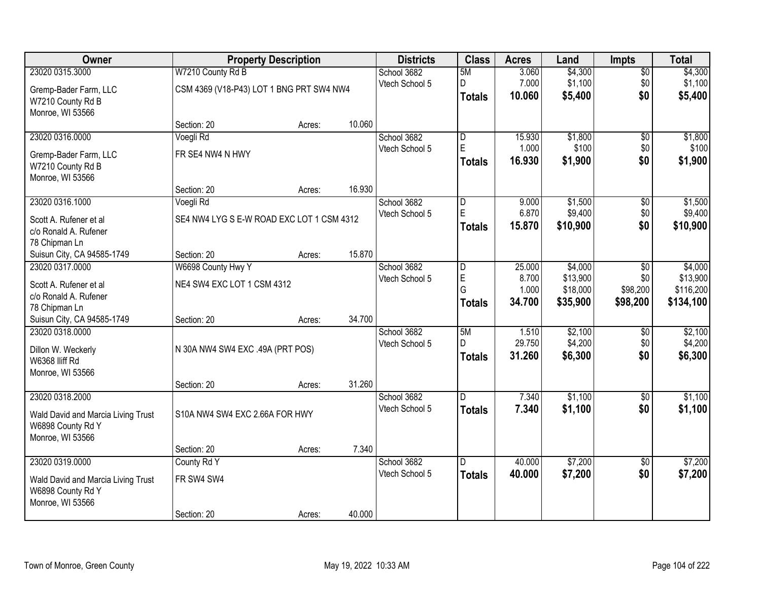| Owner                              |                                           | <b>Property Description</b> |        | <b>Districts</b> | <b>Class</b>   | <b>Acres</b> | Land     | <b>Impts</b>    | <b>Total</b> |
|------------------------------------|-------------------------------------------|-----------------------------|--------|------------------|----------------|--------------|----------|-----------------|--------------|
| 23020 0315.3000                    | W7210 County Rd B                         |                             |        | School 3682      | 5M             | 3.060        | \$4,300  | $\overline{50}$ | \$4,300      |
| Gremp-Bader Farm, LLC              | CSM 4369 (V18-P43) LOT 1 BNG PRT SW4 NW4  |                             |        | Vtech School 5   | D              | 7.000        | \$1,100  | \$0             | \$1,100      |
| W7210 County Rd B                  |                                           |                             |        |                  | <b>Totals</b>  | 10.060       | \$5,400  | \$0             | \$5,400      |
| Monroe, WI 53566                   |                                           |                             |        |                  |                |              |          |                 |              |
|                                    | Section: 20                               | Acres:                      | 10.060 |                  |                |              |          |                 |              |
| 23020 0316.0000                    | Voegli Rd                                 |                             |        | School 3682      | $\overline{D}$ | 15.930       | \$1,800  | $\overline{50}$ | \$1,800      |
| Gremp-Bader Farm, LLC              | FR SE4 NW4 N HWY                          |                             |        | Vtech School 5   | E              | 1.000        | \$100    | \$0             | \$100        |
| W7210 County Rd B                  |                                           |                             |        |                  | Totals         | 16.930       | \$1,900  | \$0             | \$1,900      |
| Monroe, WI 53566                   |                                           |                             |        |                  |                |              |          |                 |              |
|                                    | Section: 20                               | Acres:                      | 16.930 |                  |                |              |          |                 |              |
| 23020 0316.1000                    | Voegli Rd                                 |                             |        | School 3682      | $\overline{D}$ | 9.000        | \$1,500  | \$0             | \$1,500      |
| Scott A. Rufener et al             | SE4 NW4 LYG S E-W ROAD EXC LOT 1 CSM 4312 |                             |        | Vtech School 5   | $\mathsf E$    | 6.870        | \$9,400  | \$0             | \$9,400      |
| c/o Ronald A. Rufener              |                                           |                             |        |                  | Totals         | 15.870       | \$10,900 | \$0             | \$10,900     |
| 78 Chipman Ln                      |                                           |                             |        |                  |                |              |          |                 |              |
| Suisun City, CA 94585-1749         | Section: 20                               | Acres:                      | 15.870 |                  |                |              |          |                 |              |
| 23020 0317.0000                    | W6698 County Hwy Y                        |                             |        | School 3682      | l D            | 25.000       | \$4,000  | \$0             | \$4,000      |
| Scott A. Rufener et al             | NE4 SW4 EXC LOT 1 CSM 4312                |                             |        | Vtech School 5   | E              | 8.700        | \$13,900 | \$0             | \$13,900     |
| c/o Ronald A. Rufener              |                                           |                             |        |                  | G              | 1.000        | \$18,000 | \$98,200        | \$116,200    |
| 78 Chipman Ln                      |                                           |                             |        |                  | Totals         | 34.700       | \$35,900 | \$98,200        | \$134,100    |
| Suisun City, CA 94585-1749         | Section: 20                               | Acres:                      | 34.700 |                  |                |              |          |                 |              |
| 23020 0318.0000                    |                                           |                             |        | School 3682      | 5M             | 1.510        | \$2,100  | \$0             | \$2,100      |
| Dillon W. Weckerly                 | N 30A NW4 SW4 EXC .49A (PRT POS)          |                             |        | Vtech School 5   | $\mathsf{D}$   | 29.750       | \$4,200  | \$0             | \$4,200      |
| W6368 Iliff Rd                     |                                           |                             |        |                  | <b>Totals</b>  | 31.260       | \$6,300  | \$0             | \$6,300      |
| Monroe, WI 53566                   |                                           |                             |        |                  |                |              |          |                 |              |
|                                    | Section: 20                               | Acres:                      | 31.260 |                  |                |              |          |                 |              |
| 23020 0318.2000                    |                                           |                             |        | School 3682      | D.             | 7.340        | \$1,100  | \$0             | \$1,100      |
| Wald David and Marcia Living Trust | S10A NW4 SW4 EXC 2.66A FOR HWY            |                             |        | Vtech School 5   | <b>Totals</b>  | 7.340        | \$1,100  | \$0             | \$1,100      |
| W6898 County Rd Y                  |                                           |                             |        |                  |                |              |          |                 |              |
| Monroe, WI 53566                   |                                           |                             |        |                  |                |              |          |                 |              |
|                                    | Section: 20                               | Acres:                      | 7.340  |                  |                |              |          |                 |              |
| 23020 0319.0000                    | County Rd Y                               |                             |        | School 3682      | D.             | 40.000       | \$7,200  | $\overline{50}$ | \$7,200      |
| Wald David and Marcia Living Trust | FR SW4 SW4                                |                             |        | Vtech School 5   | <b>Totals</b>  | 40.000       | \$7,200  | \$0             | \$7,200      |
| W6898 County Rd Y                  |                                           |                             |        |                  |                |              |          |                 |              |
| Monroe, WI 53566                   |                                           |                             |        |                  |                |              |          |                 |              |
|                                    | Section: 20                               | Acres:                      | 40.000 |                  |                |              |          |                 |              |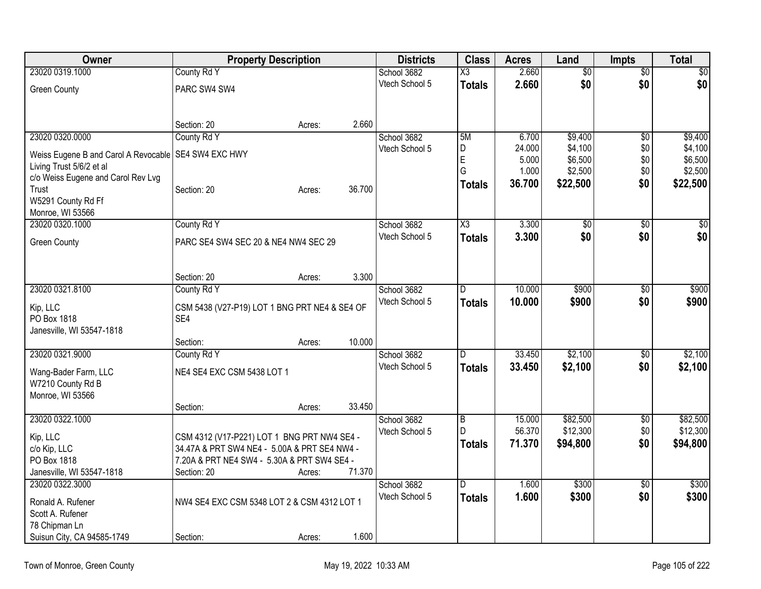| <b>Owner</b>                                           | <b>Property Description</b>                          |        |        | <b>Districts</b> | <b>Class</b>           | <b>Acres</b> | Land            | <b>Impts</b>    | <b>Total</b>     |
|--------------------------------------------------------|------------------------------------------------------|--------|--------|------------------|------------------------|--------------|-----------------|-----------------|------------------|
| 23020 0319.1000                                        | County Rd Y                                          |        |        | School 3682      | $\overline{\text{X3}}$ | 2.660        | $\overline{50}$ | $\overline{50}$ | $\overline{\$0}$ |
| <b>Green County</b>                                    | PARC SW4 SW4                                         |        |        | Vtech School 5   | <b>Totals</b>          | 2.660        | \$0             | \$0             | \$0              |
|                                                        |                                                      |        |        |                  |                        |              |                 |                 |                  |
|                                                        | Section: 20                                          | Acres: | 2.660  |                  |                        |              |                 |                 |                  |
| 23020 0320.0000                                        | County Rd Y                                          |        |        | School 3682      | 5M                     | 6.700        | \$9,400         | \$0             | \$9,400          |
| Weiss Eugene B and Carol A Revocable   SE4 SW4 EXC HWY |                                                      |        |        | Vtech School 5   | D                      | 24.000       | \$4,100         | \$0             | \$4,100          |
| Living Trust 5/6/2 et al                               |                                                      |        |        |                  | E                      | 5.000        | \$6,500         | \$0             | \$6,500          |
| c/o Weiss Eugene and Carol Rev Lvg                     |                                                      |        |        |                  | G                      | 1.000        | \$2,500         | \$0             | \$2,500          |
| Trust                                                  | Section: 20                                          | Acres: | 36.700 |                  | <b>Totals</b>          | 36.700       | \$22,500        | \$0             | \$22,500         |
| W5291 County Rd Ff                                     |                                                      |        |        |                  |                        |              |                 |                 |                  |
| Monroe, WI 53566                                       |                                                      |        |        |                  |                        |              |                 |                 |                  |
| 23020 0320.1000                                        | County Rd Y                                          |        |        | School 3682      | X3                     | 3.300        | $\overline{50}$ | \$0             | \$0              |
| <b>Green County</b>                                    | PARC SE4 SW4 SEC 20 & NE4 NW4 SEC 29                 |        |        | Vtech School 5   | <b>Totals</b>          | 3.300        | \$0             | \$0             | \$0              |
|                                                        |                                                      |        |        |                  |                        |              |                 |                 |                  |
|                                                        |                                                      |        |        |                  |                        |              |                 |                 |                  |
|                                                        | Section: 20                                          | Acres: | 3.300  |                  |                        |              |                 |                 |                  |
| 23020 0321.8100                                        | County Rd Y                                          |        |        | School 3682      | D                      | 10.000       | \$900           | \$0             | \$900            |
|                                                        |                                                      |        |        | Vtech School 5   | <b>Totals</b>          | 10.000       | \$900           | \$0             | \$900            |
| Kip, LLC<br>PO Box 1818                                | CSM 5438 (V27-P19) LOT 1 BNG PRT NE4 & SE4 OF<br>SE4 |        |        |                  |                        |              |                 |                 |                  |
| Janesville, WI 53547-1818                              |                                                      |        |        |                  |                        |              |                 |                 |                  |
|                                                        | Section:                                             | Acres: | 10.000 |                  |                        |              |                 |                 |                  |
| 23020 0321.9000                                        | County Rd Y                                          |        |        | School 3682      | $\overline{D}$         | 33.450       | \$2,100         | \$0             | \$2,100          |
|                                                        |                                                      |        |        | Vtech School 5   | <b>Totals</b>          | 33.450       | \$2,100         | \$0             | \$2,100          |
| Wang-Bader Farm, LLC                                   | NE4 SE4 EXC CSM 5438 LOT 1                           |        |        |                  |                        |              |                 |                 |                  |
| W7210 County Rd B                                      |                                                      |        |        |                  |                        |              |                 |                 |                  |
| Monroe, WI 53566                                       |                                                      |        |        |                  |                        |              |                 |                 |                  |
|                                                        | Section:                                             | Acres: | 33.450 |                  |                        |              |                 |                 |                  |
| 23020 0322.1000                                        |                                                      |        |        | School 3682      | $\overline{B}$<br>D    | 15.000       | \$82,500        | $\sqrt{6}$      | \$82,500         |
| Kip, LLC                                               | CSM 4312 (V17-P221) LOT 1 BNG PRT NW4 SE4 -          |        |        | Vtech School 5   |                        | 56.370       | \$12,300        | \$0             | \$12,300         |
| c/o Kip, LLC                                           | 34.47A & PRT SW4 NE4 - 5.00A & PRT SE4 NW4 -         |        |        |                  | Totals                 | 71.370       | \$94,800        | \$0             | \$94,800         |
| PO Box 1818                                            | 7.20A & PRT NE4 SW4 - 5.30A & PRT SW4 SE4 -          |        |        |                  |                        |              |                 |                 |                  |
| Janesville, WI 53547-1818                              | Section: 20                                          | Acres: | 71.370 |                  |                        |              |                 |                 |                  |
| 23020 0322.3000                                        |                                                      |        |        | School 3682      | $\overline{D}$         | 1.600        | \$300           | $\overline{50}$ | \$300            |
| Ronald A. Rufener                                      | NW4 SE4 EXC CSM 5348 LOT 2 & CSM 4312 LOT 1          |        |        | Vtech School 5   | <b>Totals</b>          | 1.600        | \$300           | \$0             | \$300            |
| Scott A. Rufener                                       |                                                      |        |        |                  |                        |              |                 |                 |                  |
| 78 Chipman Ln                                          |                                                      |        |        |                  |                        |              |                 |                 |                  |
| Suisun City, CA 94585-1749                             | Section:                                             | Acres: | 1.600  |                  |                        |              |                 |                 |                  |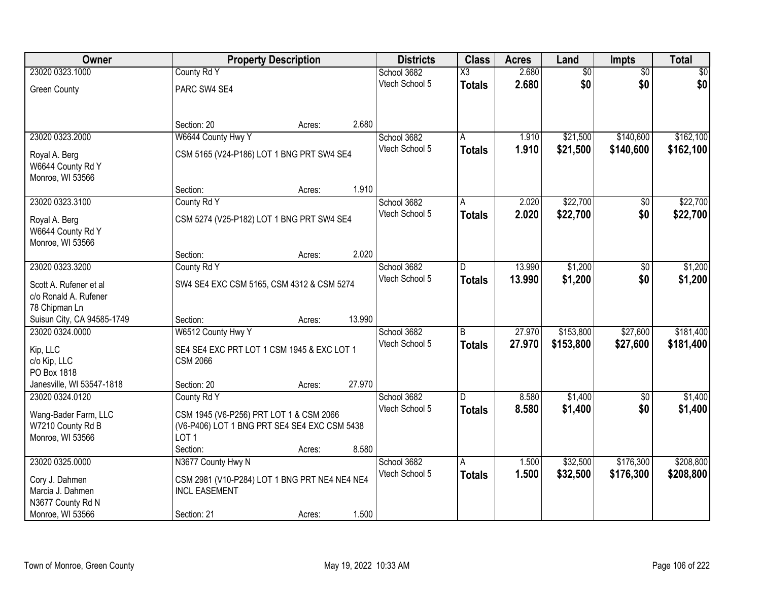| Owner                      |                                               | <b>Property Description</b> |        | <b>Districts</b> | <b>Class</b>   | <b>Acres</b> | Land            | <b>Impts</b>    | <b>Total</b> |
|----------------------------|-----------------------------------------------|-----------------------------|--------|------------------|----------------|--------------|-----------------|-----------------|--------------|
| 23020 0323.1000            | County Rd Y                                   |                             |        | School 3682      | X3             | 2.680        | $\overline{50}$ | $\overline{50}$ | $\sqrt{50}$  |
| <b>Green County</b>        | PARC SW4 SE4                                  |                             |        | Vtech School 5   | <b>Totals</b>  | 2.680        | \$0             | \$0             | \$0          |
|                            |                                               |                             |        |                  |                |              |                 |                 |              |
|                            | Section: 20                                   | Acres:                      | 2.680  |                  |                |              |                 |                 |              |
| 23020 0323.2000            | W6644 County Hwy Y                            |                             |        | School 3682      | A              | 1.910        | \$21,500        | \$140,600       | \$162,100    |
| Royal A. Berg              | CSM 5165 (V24-P186) LOT 1 BNG PRT SW4 SE4     |                             |        | Vtech School 5   | <b>Totals</b>  | 1.910        | \$21,500        | \$140,600       | \$162,100    |
| W6644 County Rd Y          |                                               |                             |        |                  |                |              |                 |                 |              |
| Monroe, WI 53566           |                                               |                             |        |                  |                |              |                 |                 |              |
|                            | Section:                                      | Acres:                      | 1.910  |                  |                |              |                 |                 |              |
| 23020 0323.3100            | County Rd Y                                   |                             |        | School 3682      | A              | 2.020        | \$22,700        | $\sqrt[6]{30}$  | \$22,700     |
| Royal A. Berg              | CSM 5274 (V25-P182) LOT 1 BNG PRT SW4 SE4     |                             |        | Vtech School 5   | <b>Totals</b>  | 2.020        | \$22,700        | \$0             | \$22,700     |
| W6644 County Rd Y          |                                               |                             |        |                  |                |              |                 |                 |              |
| Monroe, WI 53566           |                                               |                             |        |                  |                |              |                 |                 |              |
|                            | Section:                                      | Acres:                      | 2.020  |                  |                |              |                 |                 |              |
| 23020 0323.3200            | County Rd Y                                   |                             |        | School 3682      | D              | 13.990       | \$1,200         | \$0             | \$1,200      |
| Scott A. Rufener et al     | SW4 SE4 EXC CSM 5165, CSM 4312 & CSM 5274     |                             |        | Vtech School 5   | <b>Totals</b>  | 13,990       | \$1,200         | \$0             | \$1,200      |
| c/o Ronald A. Rufener      |                                               |                             |        |                  |                |              |                 |                 |              |
| 78 Chipman Ln              |                                               |                             |        |                  |                |              |                 |                 |              |
| Suisun City, CA 94585-1749 | Section:                                      | Acres:                      | 13.990 |                  |                |              |                 |                 |              |
| 23020 0324.0000            | W6512 County Hwy Y                            |                             |        | School 3682      | $\overline{B}$ | 27.970       | \$153,800       | \$27,600        | \$181,400    |
| Kip, LLC                   | SE4 SE4 EXC PRT LOT 1 CSM 1945 & EXC LOT 1    |                             |        | Vtech School 5   | <b>Totals</b>  | 27.970       | \$153,800       | \$27,600        | \$181,400    |
| c/o Kip, LLC               | <b>CSM 2066</b>                               |                             |        |                  |                |              |                 |                 |              |
| PO Box 1818                |                                               |                             |        |                  |                |              |                 |                 |              |
| Janesville, WI 53547-1818  | Section: 20                                   | Acres:                      | 27.970 |                  |                |              |                 |                 |              |
| 23020 0324.0120            | County Rd Y                                   |                             |        | School 3682      | D.             | 8.580        | \$1,400         | $\overline{60}$ | \$1,400      |
| Wang-Bader Farm, LLC       | CSM 1945 (V6-P256) PRT LOT 1 & CSM 2066       |                             |        | Vtech School 5   | <b>Totals</b>  | 8.580        | \$1,400         | \$0             | \$1,400      |
| W7210 County Rd B          | (V6-P406) LOT 1 BNG PRT SE4 SE4 EXC CSM 5438  |                             |        |                  |                |              |                 |                 |              |
| Monroe, WI 53566           | LOT <sub>1</sub>                              |                             |        |                  |                |              |                 |                 |              |
|                            | Section:                                      | Acres:                      | 8.580  |                  |                |              |                 |                 |              |
| 23020 0325,0000            | N3677 County Hwy N                            |                             |        | School 3682      | A              | 1.500        | \$32,500        | \$176,300       | \$208,800    |
| Cory J. Dahmen             | CSM 2981 (V10-P284) LOT 1 BNG PRT NE4 NE4 NE4 |                             |        | Vtech School 5   | Totals         | 1.500        | \$32,500        | \$176,300       | \$208,800    |
| Marcia J. Dahmen           | <b>INCL EASEMENT</b>                          |                             |        |                  |                |              |                 |                 |              |
| N3677 County Rd N          |                                               |                             |        |                  |                |              |                 |                 |              |
| Monroe, WI 53566           | Section: 21                                   | Acres:                      | 1.500  |                  |                |              |                 |                 |              |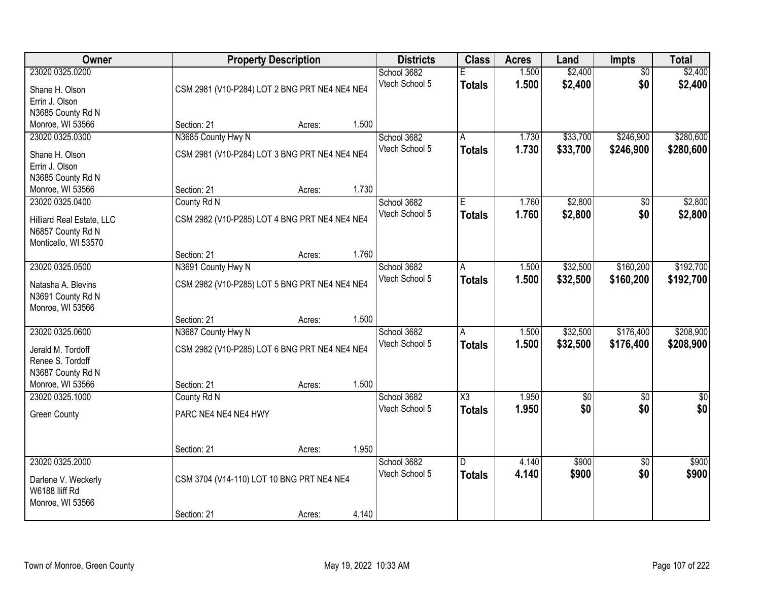| Owner                     |                                               | <b>Property Description</b> |       | <b>Districts</b> | <b>Class</b>           | <b>Acres</b> | Land        | Impts           | <b>Total</b> |
|---------------------------|-----------------------------------------------|-----------------------------|-------|------------------|------------------------|--------------|-------------|-----------------|--------------|
| 23020 0325.0200           |                                               |                             |       | School 3682      |                        | 1.500        | \$2,400     | $\overline{50}$ | \$2,400      |
| Shane H. Olson            | CSM 2981 (V10-P284) LOT 2 BNG PRT NE4 NE4 NE4 |                             |       | Vtech School 5   | <b>Totals</b>          | 1.500        | \$2,400     | \$0             | \$2,400      |
| Errin J. Olson            |                                               |                             |       |                  |                        |              |             |                 |              |
| N3685 County Rd N         |                                               |                             |       |                  |                        |              |             |                 |              |
| Monroe, WI 53566          | Section: 21                                   | Acres:                      | 1.500 |                  |                        |              |             |                 |              |
| 23020 0325.0300           | N3685 County Hwy N                            |                             |       | School 3682      | A                      | 1.730        | \$33,700    | \$246,900       | \$280,600    |
| Shane H. Olson            | CSM 2981 (V10-P284) LOT 3 BNG PRT NE4 NE4 NE4 |                             |       | Vtech School 5   | <b>Totals</b>          | 1.730        | \$33,700    | \$246,900       | \$280,600    |
| Errin J. Olson            |                                               |                             |       |                  |                        |              |             |                 |              |
| N3685 County Rd N         |                                               |                             |       |                  |                        |              |             |                 |              |
| Monroe, WI 53566          | Section: 21                                   | Acres:                      | 1.730 |                  |                        |              |             |                 |              |
| 23020 0325.0400           | County Rd N                                   |                             |       | School 3682      | E                      | 1.760        | \$2,800     | \$0             | \$2,800      |
| Hilliard Real Estate, LLC | CSM 2982 (V10-P285) LOT 4 BNG PRT NE4 NE4 NE4 |                             |       | Vtech School 5   | <b>Totals</b>          | 1.760        | \$2,800     | \$0             | \$2,800      |
| N6857 County Rd N         |                                               |                             |       |                  |                        |              |             |                 |              |
| Monticello, WI 53570      |                                               |                             |       |                  |                        |              |             |                 |              |
|                           | Section: 21                                   | Acres:                      | 1.760 |                  |                        |              |             |                 |              |
| 23020 0325.0500           | N3691 County Hwy N                            |                             |       | School 3682      | A                      | 1.500        | \$32,500    | \$160,200       | \$192,700    |
| Natasha A. Blevins        | CSM 2982 (V10-P285) LOT 5 BNG PRT NE4 NE4 NE4 |                             |       | Vtech School 5   | <b>Totals</b>          | 1.500        | \$32,500    | \$160,200       | \$192,700    |
| N3691 County Rd N         |                                               |                             |       |                  |                        |              |             |                 |              |
| Monroe, WI 53566          |                                               |                             |       |                  |                        |              |             |                 |              |
|                           | Section: 21                                   | Acres:                      | 1.500 |                  |                        |              |             |                 |              |
| 23020 0325.0600           | N3687 County Hwy N                            |                             |       | School 3682      | $\overline{A}$         | 1.500        | \$32,500    | \$176,400       | \$208,900    |
| Jerald M. Tordoff         | CSM 2982 (V10-P285) LOT 6 BNG PRT NE4 NE4 NE4 |                             |       | Vtech School 5   | <b>Totals</b>          | 1.500        | \$32,500    | \$176,400       | \$208,900    |
| Renee S. Tordoff          |                                               |                             |       |                  |                        |              |             |                 |              |
| N3687 County Rd N         |                                               |                             |       |                  |                        |              |             |                 |              |
| Monroe, WI 53566          | Section: 21                                   | Acres:                      | 1.500 |                  |                        |              |             |                 |              |
| 23020 0325.1000           | County Rd N                                   |                             |       | School 3682      | $\overline{\text{X3}}$ | 1.950        | $\sqrt{$0}$ | $\sqrt{6}$      | \$0          |
| <b>Green County</b>       | PARC NE4 NE4 NE4 HWY                          |                             |       | Vtech School 5   | <b>Totals</b>          | 1.950        | \$0         | \$0             | \$0          |
|                           |                                               |                             |       |                  |                        |              |             |                 |              |
|                           |                                               |                             |       |                  |                        |              |             |                 |              |
|                           | Section: 21                                   | Acres:                      | 1.950 |                  |                        |              |             |                 |              |
| 23020 0325.2000           |                                               |                             |       | School 3682      | $\overline{D}$         | 4.140        | \$900       | $\overline{50}$ | \$900        |
| Darlene V. Weckerly       | CSM 3704 (V14-110) LOT 10 BNG PRT NE4 NE4     |                             |       | Vtech School 5   | <b>Totals</b>          | 4.140        | \$900       | \$0             | \$900        |
| W6188 lliff Rd            |                                               |                             |       |                  |                        |              |             |                 |              |
| Monroe, WI 53566          |                                               |                             |       |                  |                        |              |             |                 |              |
|                           | Section: 21                                   | Acres:                      | 4.140 |                  |                        |              |             |                 |              |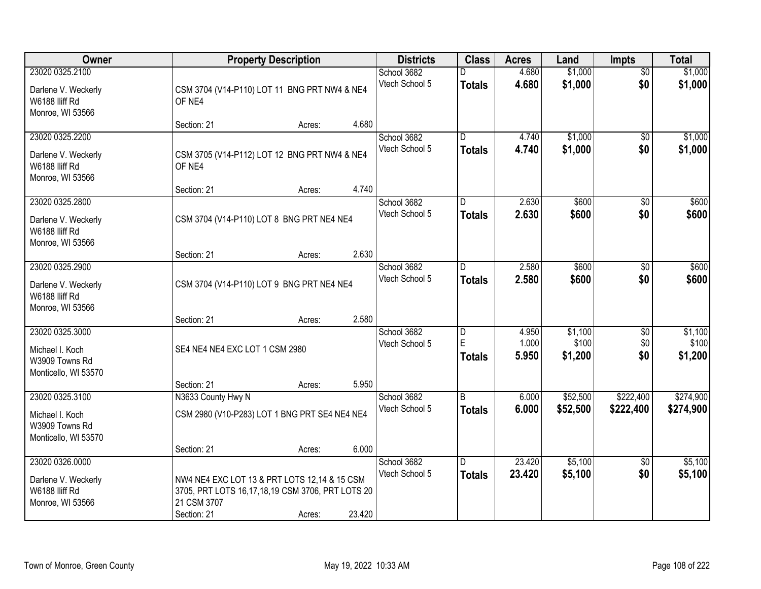| Owner                                                                        |                                                                                                                                | <b>Property Description</b> |        | <b>Districts</b>              | <b>Class</b>                                  | <b>Acres</b>            | Land                        | <b>Impts</b>                  | <b>Total</b>                |
|------------------------------------------------------------------------------|--------------------------------------------------------------------------------------------------------------------------------|-----------------------------|--------|-------------------------------|-----------------------------------------------|-------------------------|-----------------------------|-------------------------------|-----------------------------|
| 23020 0325.2100<br>Darlene V. Weckerly<br>W6188 lliff Rd<br>Monroe, WI 53566 | CSM 3704 (V14-P110) LOT 11 BNG PRT NW4 & NE4<br>OF NE4                                                                         |                             |        | School 3682<br>Vtech School 5 | <b>Totals</b>                                 | 4.680<br>4.680          | \$1,000<br>\$1,000          | $\overline{30}$<br>\$0        | \$1,000<br>\$1,000          |
|                                                                              | Section: 21                                                                                                                    | Acres:                      | 4.680  |                               |                                               |                         |                             |                               |                             |
| 23020 0325.2200<br>Darlene V. Weckerly<br>W6188 lliff Rd<br>Monroe, WI 53566 | CSM 3705 (V14-P112) LOT 12 BNG PRT NW4 & NE4<br>OF NE4<br>Section: 21                                                          | Acres:                      | 4.740  | School 3682<br>Vtech School 5 | $\overline{D}$<br><b>Totals</b>               | 4.740<br>4.740          | \$1,000<br>\$1,000          | $\overline{50}$<br>\$0        | \$1,000<br>\$1,000          |
| 23020 0325.2800                                                              |                                                                                                                                |                             |        | School 3682                   | D                                             | 2.630                   | \$600                       | \$0                           | \$600                       |
| Darlene V. Weckerly<br>W6188 Iliff Rd<br>Monroe, WI 53566                    | CSM 3704 (V14-P110) LOT 8 BNG PRT NE4 NE4                                                                                      |                             |        | Vtech School 5                | <b>Totals</b>                                 | 2.630                   | \$600                       | \$0                           | \$600                       |
|                                                                              | Section: 21                                                                                                                    | Acres:                      | 2.630  |                               |                                               |                         |                             |                               |                             |
| 23020 0325.2900<br>Darlene V. Weckerly<br>W6188 Iliff Rd<br>Monroe, WI 53566 | CSM 3704 (V14-P110) LOT 9 BNG PRT NE4 NE4                                                                                      |                             |        | School 3682<br>Vtech School 5 | D.<br><b>Totals</b>                           | 2.580<br>2.580          | \$600<br>\$600              | \$0<br>\$0                    | \$600<br>\$600              |
|                                                                              | Section: 21                                                                                                                    | Acres:                      | 2.580  |                               |                                               |                         |                             |                               |                             |
| 23020 0325.3000<br>Michael I. Koch<br>W3909 Towns Rd<br>Monticello, WI 53570 | SE4 NE4 NE4 EXC LOT 1 CSM 2980<br>Section: 21                                                                                  | Acres:                      | 5.950  | School 3682<br>Vtech School 5 | $\overline{\mathsf{D}}$<br>E<br><b>Totals</b> | 4.950<br>1.000<br>5.950 | \$1,100<br>\$100<br>\$1,200 | $\overline{30}$<br>\$0<br>\$0 | \$1,100<br>\$100<br>\$1,200 |
| 23020 0325.3100                                                              | N3633 County Hwy N                                                                                                             |                             |        | School 3682                   | $\overline{B}$                                | 6.000                   | \$52,500                    | \$222,400                     | \$274,900                   |
| Michael I. Koch<br>W3909 Towns Rd<br>Monticello, WI 53570                    | CSM 2980 (V10-P283) LOT 1 BNG PRT SE4 NE4 NE4                                                                                  |                             |        | Vtech School 5                | <b>Totals</b>                                 | 6.000                   | \$52,500                    | \$222,400                     | \$274,900                   |
|                                                                              | Section: 21                                                                                                                    | Acres:                      | 6.000  |                               |                                               |                         |                             |                               |                             |
| 23020 0326.0000<br>Darlene V. Weckerly<br>W6188 Iliff Rd<br>Monroe, WI 53566 | NW4 NE4 EXC LOT 13 & PRT LOTS 12,14 & 15 CSM<br>3705, PRT LOTS 16,17,18,19 CSM 3706, PRT LOTS 20<br>21 CSM 3707<br>Section: 21 | Acres:                      | 23.420 | School 3682<br>Vtech School 5 | D.<br><b>Totals</b>                           | 23.420<br>23.420        | \$5,100<br>\$5,100          | $\overline{50}$<br>\$0        | \$5,100<br>\$5,100          |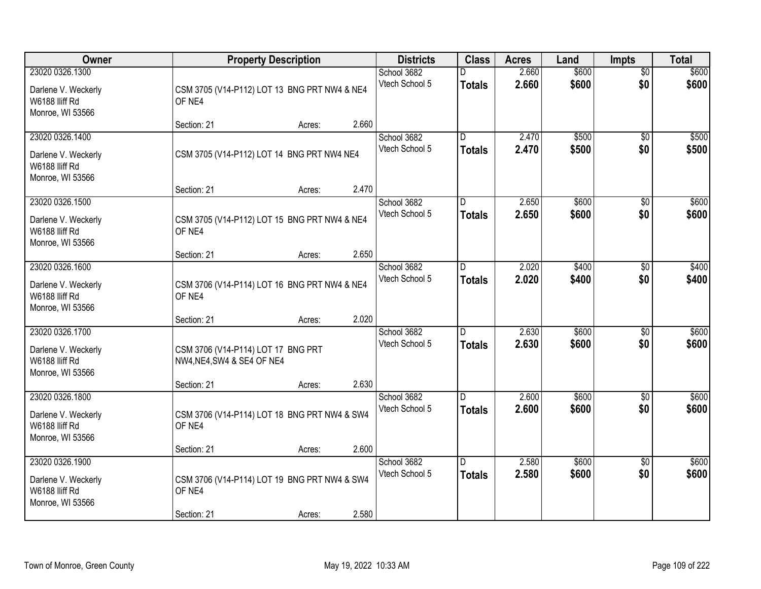| Owner                                                                        | <b>Property Description</b>                                      |        | <b>Districts</b>                       | <b>Class</b>                             | <b>Acres</b>   | Land           | <b>Impts</b>           | <b>Total</b>   |
|------------------------------------------------------------------------------|------------------------------------------------------------------|--------|----------------------------------------|------------------------------------------|----------------|----------------|------------------------|----------------|
| 23020 0326.1300<br>Darlene V. Weckerly<br>W6188 lliff Rd<br>Monroe, WI 53566 | CSM 3705 (V14-P112) LOT 13 BNG PRT NW4 & NE4<br>OF NE4           |        | School 3682<br>Vtech School 5          | <b>Totals</b>                            | 2.660<br>2.660 | \$600<br>\$600 | $\overline{50}$<br>\$0 | \$600<br>\$600 |
|                                                                              | Section: 21                                                      | Acres: | 2.660                                  |                                          |                |                |                        |                |
| 23020 0326.1400<br>Darlene V. Weckerly<br>W6188 lliff Rd<br>Monroe, WI 53566 | CSM 3705 (V14-P112) LOT 14 BNG PRT NW4 NE4<br>Section: 21        | Acres: | School 3682<br>Vtech School 5<br>2.470 | $\overline{\mathsf{n}}$<br><b>Totals</b> | 2.470<br>2.470 | \$500<br>\$500 | $\overline{50}$<br>\$0 | \$500<br>\$500 |
| 23020 0326.1500                                                              |                                                                  |        | School 3682                            | D                                        | 2.650          | \$600          | \$0                    | \$600          |
| Darlene V. Weckerly<br>W6188 Iliff Rd<br>Monroe, WI 53566                    | CSM 3705 (V14-P112) LOT 15 BNG PRT NW4 & NE4<br>OF NE4           |        | Vtech School 5                         | <b>Totals</b>                            | 2.650          | \$600          | \$0                    | \$600          |
|                                                                              | Section: 21                                                      | Acres: | 2.650                                  |                                          |                |                |                        |                |
| 23020 0326.1600<br>Darlene V. Weckerly<br>W6188 Iliff Rd<br>Monroe, WI 53566 | CSM 3706 (V14-P114) LOT 16 BNG PRT NW4 & NE4<br>OF NE4           |        | School 3682<br>Vtech School 5          | ID.<br>Totals                            | 2.020<br>2.020 | \$400<br>\$400 | $\sqrt[6]{}$<br>\$0    | \$400<br>\$400 |
|                                                                              | Section: 21                                                      | Acres: | 2.020                                  |                                          |                |                |                        |                |
| 23020 0326.1700<br>Darlene V. Weckerly<br>W6188 lliff Rd<br>Monroe, WI 53566 | CSM 3706 (V14-P114) LOT 17 BNG PRT<br>NW4, NE4, SW4 & SE4 OF NE4 |        | School 3682<br>Vtech School 5          | $\overline{D}$<br><b>Totals</b>          | 2.630<br>2.630 | \$600<br>\$600 | $\overline{50}$<br>\$0 | \$600<br>\$600 |
| 23020 0326.1800                                                              | Section: 21                                                      | Acres: | 2.630                                  |                                          | 2.600          | \$600          |                        |                |
| Darlene V. Weckerly<br>W6188 IIiff Rd<br>Monroe, WI 53566                    | CSM 3706 (V14-P114) LOT 18 BNG PRT NW4 & SW4<br>OF NE4           |        | School 3682<br>Vtech School 5          | ID.<br><b>Totals</b>                     | 2.600          | \$600          | $\overline{30}$<br>\$0 | \$600<br>\$600 |
|                                                                              | Section: 21                                                      | Acres: | 2.600                                  |                                          |                |                |                        |                |
| 23020 0326.1900<br>Darlene V. Weckerly<br>W6188 IIiff Rd<br>Monroe, WI 53566 | CSM 3706 (V14-P114) LOT 19 BNG PRT NW4 & SW4<br>OF NE4           |        | School 3682<br>Vtech School 5          | D.<br><b>Totals</b>                      | 2.580<br>2.580 | \$600<br>\$600 | $\overline{50}$<br>\$0 | \$600<br>\$600 |
|                                                                              | Section: 21                                                      | Acres: | 2.580                                  |                                          |                |                |                        |                |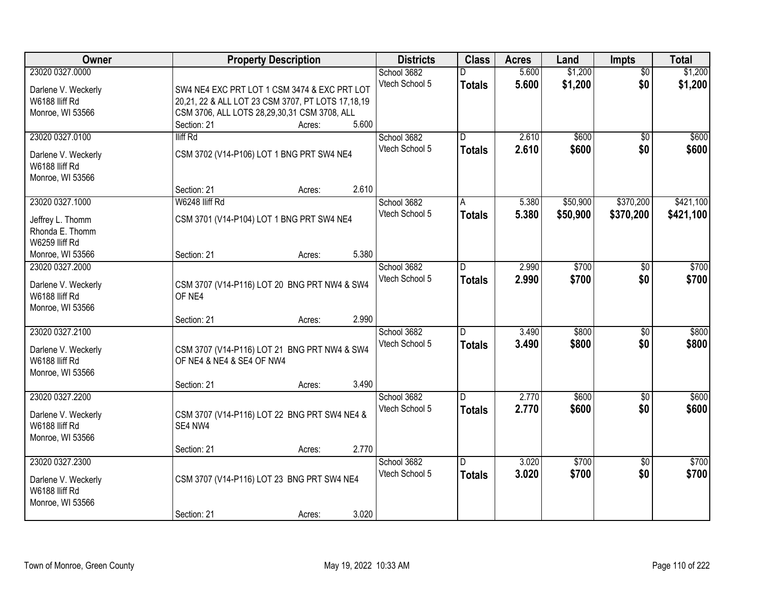| <b>Owner</b>                          | <b>Property Description</b>                             | <b>Districts</b> | <b>Class</b>   | <b>Acres</b> | Land     | <b>Impts</b>    | <b>Total</b> |
|---------------------------------------|---------------------------------------------------------|------------------|----------------|--------------|----------|-----------------|--------------|
| 23020 0327.0000                       |                                                         | School 3682      |                | 5.600        | \$1,200  | $\overline{30}$ | \$1,200      |
| Darlene V. Weckerly                   | SW4 NE4 EXC PRT LOT 1 CSM 3474 & EXC PRT LOT            | Vtech School 5   | <b>Totals</b>  | 5.600        | \$1,200  | \$0             | \$1,200      |
| W6188 lliff Rd                        | 20,21, 22 & ALL LOT 23 CSM 3707, PT LOTS 17,18,19       |                  |                |              |          |                 |              |
| Monroe, WI 53566                      | CSM 3706, ALL LOTS 28,29,30,31 CSM 3708, ALL            |                  |                |              |          |                 |              |
|                                       | 5.600<br>Section: 21<br>Acres:                          |                  |                |              |          |                 |              |
| 23020 0327.0100                       | lliff Rd                                                | School 3682      | $\overline{D}$ | 2.610        | \$600    | $\overline{50}$ | \$600        |
|                                       |                                                         | Vtech School 5   | <b>Totals</b>  | 2.610        | \$600    | \$0             | \$600        |
| Darlene V. Weckerly                   | CSM 3702 (V14-P106) LOT 1 BNG PRT SW4 NE4               |                  |                |              |          |                 |              |
| W6188 lliff Rd                        |                                                         |                  |                |              |          |                 |              |
| Monroe, WI 53566                      |                                                         |                  |                |              |          |                 |              |
|                                       | 2.610<br>Section: 21<br>Acres:                          |                  |                |              |          |                 |              |
| 23020 0327.1000                       | W6248 lliff Rd                                          | School 3682      | A              | 5.380        | \$50,900 | \$370,200       | \$421,100    |
| Jeffrey L. Thomm                      | CSM 3701 (V14-P104) LOT 1 BNG PRT SW4 NE4               | Vtech School 5   | <b>Totals</b>  | 5.380        | \$50,900 | \$370,200       | \$421,100    |
| Rhonda E. Thomm                       |                                                         |                  |                |              |          |                 |              |
| W6259 lliff Rd                        |                                                         |                  |                |              |          |                 |              |
| Monroe, WI 53566                      | 5.380<br>Section: 21<br>Acres:                          |                  |                |              |          |                 |              |
| 23020 0327.2000                       |                                                         | School 3682      | D.             | 2.990        | \$700    | \$0             | \$700        |
|                                       |                                                         | Vtech School 5   | <b>Totals</b>  | 2.990        | \$700    | \$0             | \$700        |
| Darlene V. Weckerly<br>W6188 Iliff Rd | CSM 3707 (V14-P116) LOT 20 BNG PRT NW4 & SW4            |                  |                |              |          |                 |              |
|                                       | OF NE4                                                  |                  |                |              |          |                 |              |
| Monroe, WI 53566                      | 2.990                                                   |                  |                |              |          |                 |              |
| 23020 0327.2100                       | Section: 21<br>Acres:                                   | School 3682      | D.             | 3.490        | \$800    | $\overline{50}$ | \$800        |
|                                       |                                                         |                  |                |              |          |                 |              |
| Darlene V. Weckerly                   | CSM 3707 (V14-P116) LOT 21 BNG PRT NW4 & SW4            | Vtech School 5   | <b>Totals</b>  | 3.490        | \$800    | \$0             | \$800        |
| W6188 lliff Rd                        | OF NE4 & NE4 & SE4 OF NW4                               |                  |                |              |          |                 |              |
| Monroe, WI 53566                      |                                                         |                  |                |              |          |                 |              |
|                                       | 3.490<br>Section: 21<br>Acres:                          |                  |                |              |          |                 |              |
| 23020 0327.2200                       |                                                         | School 3682      | D.             | 2.770        | \$600    | $\overline{50}$ | \$600        |
|                                       |                                                         | Vtech School 5   | <b>Totals</b>  | 2.770        | \$600    | \$0             | \$600        |
| Darlene V. Weckerly<br>W6188 IIiff Rd | CSM 3707 (V14-P116) LOT 22 BNG PRT SW4 NE4 &<br>SE4 NW4 |                  |                |              |          |                 |              |
|                                       |                                                         |                  |                |              |          |                 |              |
| Monroe, WI 53566                      | 2.770                                                   |                  |                |              |          |                 |              |
| 23020 0327.2300                       | Section: 21<br>Acres:                                   | School 3682      | D.             | 3.020        | \$700    | $\overline{50}$ | \$700        |
|                                       |                                                         | Vtech School 5   |                |              |          |                 |              |
| Darlene V. Weckerly                   | CSM 3707 (V14-P116) LOT 23 BNG PRT SW4 NE4              |                  | <b>Totals</b>  | 3.020        | \$700    | \$0             | \$700        |
| W6188 Iliff Rd                        |                                                         |                  |                |              |          |                 |              |
| Monroe, WI 53566                      |                                                         |                  |                |              |          |                 |              |
|                                       | 3.020<br>Section: 21<br>Acres:                          |                  |                |              |          |                 |              |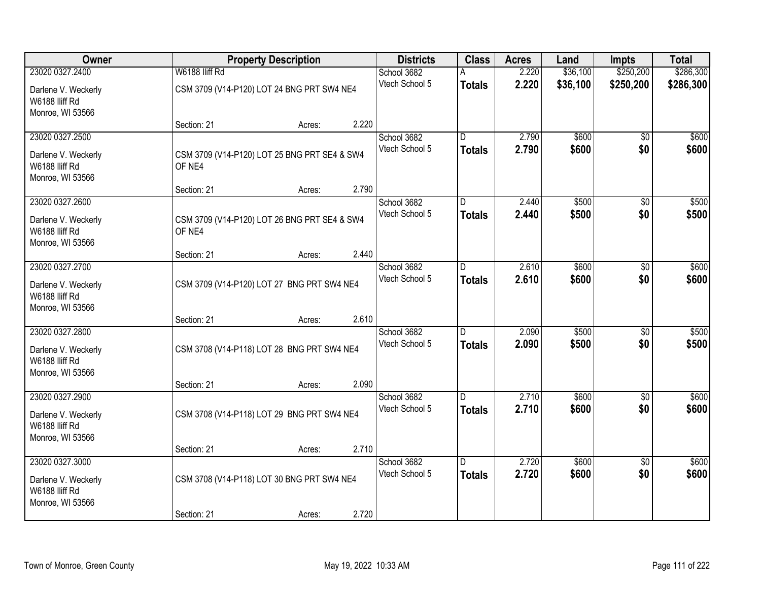| <b>Owner</b>                                              |                | <b>Property Description</b>                  |       | <b>Districts</b>              | <b>Class</b>                    | <b>Acres</b>   | Land           | <b>Impts</b>           | <b>Total</b>   |
|-----------------------------------------------------------|----------------|----------------------------------------------|-------|-------------------------------|---------------------------------|----------------|----------------|------------------------|----------------|
| 23020 0327.2400                                           | W6188 Iliff Rd |                                              |       | School 3682                   |                                 | 2.220          | \$36,100       | \$250,200              | \$286,300      |
| Darlene V. Weckerly<br>W6188 lliff Rd                     |                | CSM 3709 (V14-P120) LOT 24 BNG PRT SW4 NE4   |       | Vtech School 5                | <b>Totals</b>                   | 2.220          | \$36,100       | \$250,200              | \$286,300      |
| Monroe, WI 53566                                          | Section: 21    | Acres:                                       | 2.220 |                               |                                 |                |                |                        |                |
| 23020 0327.2500<br>Darlene V. Weckerly                    |                | CSM 3709 (V14-P120) LOT 25 BNG PRT SE4 & SW4 |       | School 3682<br>Vtech School 5 | $\overline{D}$<br><b>Totals</b> | 2.790<br>2.790 | \$600<br>\$600 | $\overline{50}$<br>\$0 | \$600<br>\$600 |
| W6188 lliff Rd<br>Monroe, WI 53566                        | OF NE4         |                                              |       |                               |                                 |                |                |                        |                |
|                                                           | Section: 21    | Acres:                                       | 2.790 |                               |                                 |                |                |                        |                |
| 23020 0327.2600                                           |                |                                              |       | School 3682<br>Vtech School 5 | D<br><b>Totals</b>              | 2.440<br>2.440 | \$500<br>\$500 | \$0<br>\$0             | \$500<br>\$500 |
| Darlene V. Weckerly<br>W6188 lliff Rd<br>Monroe, WI 53566 | OF NE4         | CSM 3709 (V14-P120) LOT 26 BNG PRT SE4 & SW4 |       |                               |                                 |                |                |                        |                |
|                                                           | Section: 21    | Acres:                                       | 2.440 |                               |                                 |                |                |                        |                |
| 23020 0327.2700                                           |                |                                              |       | School 3682                   | D                               | 2.610          | \$600          | \$0                    | \$600          |
| Darlene V. Weckerly<br>W6188 Iliff Rd<br>Monroe, WI 53566 |                | CSM 3709 (V14-P120) LOT 27 BNG PRT SW4 NE4   |       | Vtech School 5                | <b>Totals</b>                   | 2.610          | \$600          | \$0                    | \$600          |
|                                                           | Section: 21    | Acres:                                       | 2.610 |                               |                                 |                |                |                        |                |
| 23020 0327.2800                                           |                |                                              |       | School 3682                   | D.                              | 2.090          | \$500          | \$0                    | \$500          |
| Darlene V. Weckerly<br>W6188 lliff Rd<br>Monroe, WI 53566 |                | CSM 3708 (V14-P118) LOT 28 BNG PRT SW4 NE4   |       | Vtech School 5                | <b>Totals</b>                   | 2.090          | \$500          | \$0                    | \$500          |
|                                                           | Section: 21    | Acres:                                       | 2.090 |                               |                                 |                |                |                        |                |
| 23020 0327.2900                                           |                |                                              |       | School 3682                   | D.                              | 2.710          | \$600          | \$0                    | \$600          |
| Darlene V. Weckerly<br>W6188 lliff Rd<br>Monroe, WI 53566 |                | CSM 3708 (V14-P118) LOT 29 BNG PRT SW4 NE4   |       | Vtech School 5                | <b>Totals</b>                   | 2.710          | \$600          | \$0                    | \$600          |
|                                                           | Section: 21    | Acres:                                       | 2.710 |                               |                                 |                |                |                        |                |
| 23020 0327.3000                                           |                |                                              |       | School 3682                   | $\overline{D}$                  | 2.720          | \$600          | $\overline{50}$        | \$600          |
| Darlene V. Weckerly<br>W6188 Iliff Rd<br>Monroe, WI 53566 |                | CSM 3708 (V14-P118) LOT 30 BNG PRT SW4 NE4   |       | Vtech School 5                | <b>Totals</b>                   | 2.720          | \$600          | \$0                    | \$600          |
|                                                           | Section: 21    | Acres:                                       | 2.720 |                               |                                 |                |                |                        |                |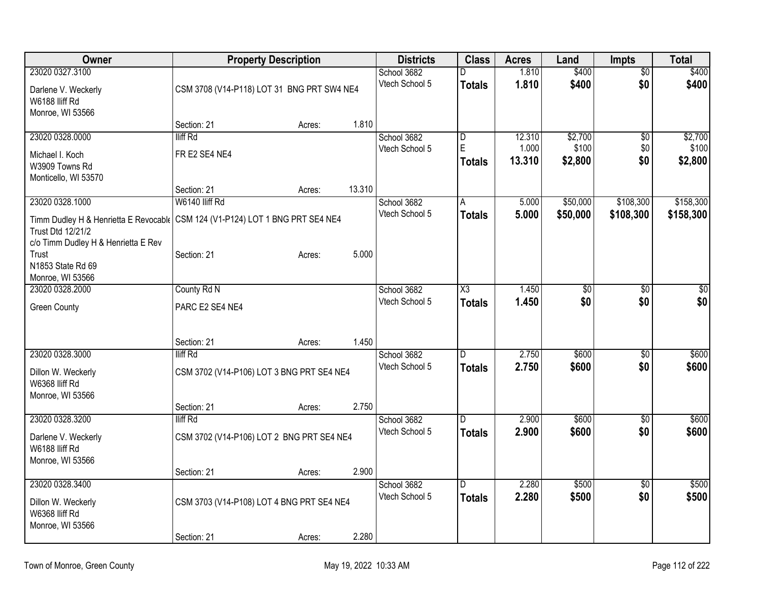| Owner                                                                         |                                            | <b>Property Description</b> |        | <b>Districts</b> | <b>Class</b>            | <b>Acres</b> | Land            | <b>Impts</b>    | <b>Total</b> |
|-------------------------------------------------------------------------------|--------------------------------------------|-----------------------------|--------|------------------|-------------------------|--------------|-----------------|-----------------|--------------|
| 23020 0327.3100                                                               |                                            |                             |        | School 3682      | D                       | 1.810        | \$400           | $\overline{50}$ | \$400        |
| Darlene V. Weckerly                                                           | CSM 3708 (V14-P118) LOT 31 BNG PRT SW4 NE4 |                             |        | Vtech School 5   | <b>Totals</b>           | 1.810        | \$400           | \$0             | \$400        |
| W6188 Iliff Rd                                                                |                                            |                             |        |                  |                         |              |                 |                 |              |
| Monroe, WI 53566                                                              |                                            |                             |        |                  |                         |              |                 |                 |              |
|                                                                               | Section: 21                                | Acres:                      | 1.810  |                  |                         |              |                 |                 |              |
| 23020 0328.0000                                                               | lliff Rd                                   |                             |        | School 3682      | $\overline{\mathsf{D}}$ | 12.310       | \$2,700         | \$0             | \$2,700      |
| Michael I. Koch                                                               | FR E2 SE4 NE4                              |                             |        | Vtech School 5   | E                       | 1.000        | \$100           | \$0             | \$100        |
| W3909 Towns Rd                                                                |                                            |                             |        |                  | Totals                  | 13.310       | \$2,800         | \$0             | \$2,800      |
| Monticello, WI 53570                                                          |                                            |                             |        |                  |                         |              |                 |                 |              |
|                                                                               | Section: 21                                | Acres:                      | 13.310 |                  |                         |              |                 |                 |              |
| 23020 0328.1000                                                               | W6140 lliff Rd                             |                             |        | School 3682      | A                       | 5.000        | \$50,000        | \$108,300       | \$158,300    |
| Timm Dudley H & Henrietta E Revocabl (CSM 124 (V1-P124) LOT 1 BNG PRT SE4 NE4 |                                            |                             |        | Vtech School 5   | Totals                  | 5.000        | \$50,000        | \$108,300       | \$158,300    |
| Trust Dtd 12/21/2                                                             |                                            |                             |        |                  |                         |              |                 |                 |              |
| c/o Timm Dudley H & Henrietta E Rev                                           |                                            |                             |        |                  |                         |              |                 |                 |              |
| Trust                                                                         | Section: 21                                | Acres:                      | 5.000  |                  |                         |              |                 |                 |              |
| N1853 State Rd 69                                                             |                                            |                             |        |                  |                         |              |                 |                 |              |
| Monroe, WI 53566<br>23020 0328.2000                                           | County Rd N                                |                             |        | School 3682      | X3                      | 1.450        | $\overline{50}$ | \$0             | \$0          |
|                                                                               |                                            |                             |        | Vtech School 5   | <b>Totals</b>           | 1.450        | \$0             | \$0             | \$0          |
| <b>Green County</b>                                                           | PARC E2 SE4 NE4                            |                             |        |                  |                         |              |                 |                 |              |
|                                                                               |                                            |                             |        |                  |                         |              |                 |                 |              |
|                                                                               | Section: 21                                | Acres:                      | 1.450  |                  |                         |              |                 |                 |              |
| 23020 0328.3000                                                               | lliff Rd                                   |                             |        | School 3682      | ID.                     | 2.750        | \$600           | $\overline{50}$ | \$600        |
|                                                                               |                                            |                             |        | Vtech School 5   | <b>Totals</b>           | 2.750        | \$600           | \$0             | \$600        |
| Dillon W. Weckerly<br>W6368 IIiff Rd                                          | CSM 3702 (V14-P106) LOT 3 BNG PRT SE4 NE4  |                             |        |                  |                         |              |                 |                 |              |
| Monroe, WI 53566                                                              |                                            |                             |        |                  |                         |              |                 |                 |              |
|                                                                               | Section: 21                                | Acres:                      | 2.750  |                  |                         |              |                 |                 |              |
| 23020 0328.3200                                                               | lliff Rd                                   |                             |        | School 3682      | D                       | 2.900        | \$600           | $\sqrt{6}$      | \$600        |
|                                                                               |                                            |                             |        | Vtech School 5   | <b>Totals</b>           | 2.900        | \$600           | \$0             | \$600        |
| Darlene V. Weckerly<br>W6188 Iliff Rd                                         | CSM 3702 (V14-P106) LOT 2 BNG PRT SE4 NE4  |                             |        |                  |                         |              |                 |                 |              |
| Monroe, WI 53566                                                              |                                            |                             |        |                  |                         |              |                 |                 |              |
|                                                                               | Section: 21                                | Acres:                      | 2.900  |                  |                         |              |                 |                 |              |
| 23020 0328.3400                                                               |                                            |                             |        | School 3682      | D                       | 2.280        | \$500           | $\overline{60}$ | \$500        |
| Dillon W. Weckerly                                                            | CSM 3703 (V14-P108) LOT 4 BNG PRT SE4 NE4  |                             |        | Vtech School 5   | <b>Totals</b>           | 2.280        | \$500           | \$0             | \$500        |
| W6368 lliff Rd                                                                |                                            |                             |        |                  |                         |              |                 |                 |              |
| Monroe, WI 53566                                                              |                                            |                             |        |                  |                         |              |                 |                 |              |
|                                                                               | Section: 21                                | Acres:                      | 2.280  |                  |                         |              |                 |                 |              |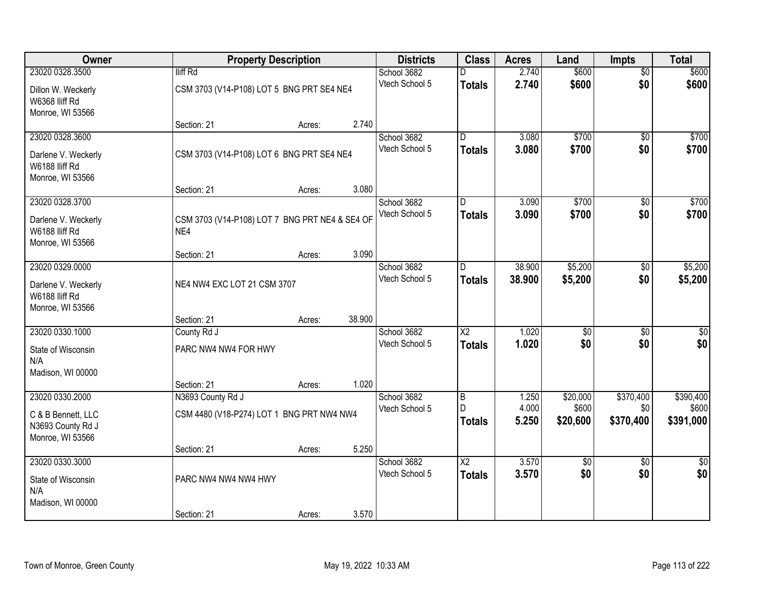| Owner                              | <b>Property Description</b>                    |        |        | <b>Districts</b>              | <b>Class</b>    | <b>Acres</b> | Land            | <b>Impts</b>    | <b>Total</b>     |
|------------------------------------|------------------------------------------------|--------|--------|-------------------------------|-----------------|--------------|-----------------|-----------------|------------------|
| 23020 0328.3500                    | lliff Rd                                       |        |        | School 3682                   |                 | 2.740        | \$600           | $\overline{50}$ | \$600            |
| Dillon W. Weckerly                 | CSM 3703 (V14-P108) LOT 5 BNG PRT SE4 NE4      |        |        | Vtech School 5                | <b>Totals</b>   | 2.740        | \$600           | \$0             | \$600            |
| W6368 IIiff Rd                     |                                                |        |        |                               |                 |              |                 |                 |                  |
| Monroe, WI 53566                   |                                                |        |        |                               |                 |              |                 |                 |                  |
|                                    | Section: 21                                    | Acres: | 2.740  |                               |                 |              |                 |                 |                  |
| 23020 0328.3600                    |                                                |        |        | School 3682                   | $\overline{D}$  | 3.080        | \$700           | $\overline{50}$ | \$700            |
| Darlene V. Weckerly                | CSM 3703 (V14-P108) LOT 6 BNG PRT SE4 NE4      |        |        | Vtech School 5                | <b>Totals</b>   | 3.080        | \$700           | \$0             | \$700            |
| W6188 IIiff Rd                     |                                                |        |        |                               |                 |              |                 |                 |                  |
| Monroe, WI 53566                   |                                                |        |        |                               |                 |              |                 |                 |                  |
|                                    | Section: 21                                    | Acres: | 3.080  |                               |                 |              |                 |                 |                  |
| 23020 0328.3700                    |                                                |        |        | School 3682<br>Vtech School 5 | D               | 3.090        | \$700           | \$0             | \$700            |
| Darlene V. Weckerly                | CSM 3703 (V14-P108) LOT 7 BNG PRT NE4 & SE4 OF |        |        |                               | <b>Totals</b>   | 3.090        | \$700           | \$0             | \$700            |
| W6188 lliff Rd                     | NE4                                            |        |        |                               |                 |              |                 |                 |                  |
| Monroe, WI 53566                   | Section: 21                                    |        | 3.090  |                               |                 |              |                 |                 |                  |
| 23020 0329.0000                    |                                                | Acres: |        | School 3682                   | D               | 38.900       | \$5,200         | \$0             | \$5,200          |
|                                    |                                                |        |        | Vtech School 5                | <b>Totals</b>   | 38.900       | \$5,200         | \$0             | \$5,200          |
| Darlene V. Weckerly                | NE4 NW4 EXC LOT 21 CSM 3707                    |        |        |                               |                 |              |                 |                 |                  |
| W6188 IIiff Rd<br>Monroe, WI 53566 |                                                |        |        |                               |                 |              |                 |                 |                  |
|                                    | Section: 21                                    | Acres: | 38.900 |                               |                 |              |                 |                 |                  |
| 23020 0330.1000                    | County Rd J                                    |        |        | School 3682                   | $\overline{X2}$ | 1.020        | $\overline{50}$ | \$0             | $\overline{\$0}$ |
|                                    |                                                |        |        | Vtech School 5                | <b>Totals</b>   | 1.020        | \$0             | \$0             | \$0              |
| State of Wisconsin<br>N/A          | PARC NW4 NW4 FOR HWY                           |        |        |                               |                 |              |                 |                 |                  |
| Madison, WI 00000                  |                                                |        |        |                               |                 |              |                 |                 |                  |
|                                    | Section: 21                                    | Acres: | 1.020  |                               |                 |              |                 |                 |                  |
| 23020 0330.2000                    | N3693 County Rd J                              |        |        | School 3682                   | B               | 1.250        | \$20,000        | \$370,400       | \$390,400        |
| C & B Bennett, LLC                 | CSM 4480 (V18-P274) LOT 1 BNG PRT NW4 NW4      |        |        | Vtech School 5                | D               | 4.000        | \$600           | \$0             | \$600            |
| N3693 County Rd J                  |                                                |        |        |                               | <b>Totals</b>   | 5.250        | \$20,600        | \$370,400       | \$391,000        |
| Monroe, WI 53566                   |                                                |        |        |                               |                 |              |                 |                 |                  |
|                                    | Section: 21                                    | Acres: | 5.250  |                               |                 |              |                 |                 |                  |
| 23020 0330.3000                    |                                                |        |        | School 3682                   | $\overline{X2}$ | 3.570        | $\overline{50}$ | $\overline{50}$ | $\sqrt{30}$      |
| State of Wisconsin                 | PARC NW4 NW4 NW4 HWY                           |        |        | Vtech School 5                | <b>Totals</b>   | 3.570        | \$0             | \$0             | \$0              |
| N/A                                |                                                |        |        |                               |                 |              |                 |                 |                  |
| Madison, WI 00000                  |                                                |        |        |                               |                 |              |                 |                 |                  |
|                                    | Section: 21                                    | Acres: | 3.570  |                               |                 |              |                 |                 |                  |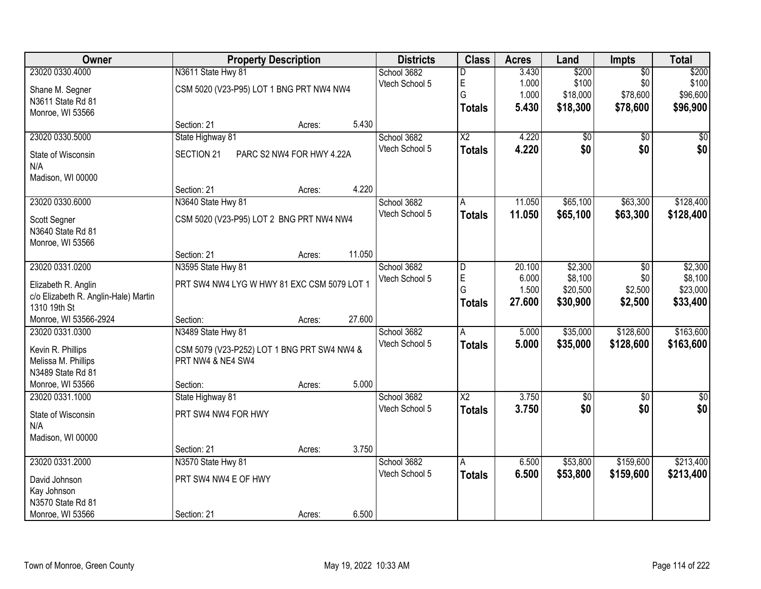| Owner                                | <b>Property Description</b>                 | <b>Districts</b> | <b>Class</b>           | <b>Acres</b>    | Land                 | <b>Impts</b>       | <b>Total</b>         |
|--------------------------------------|---------------------------------------------|------------------|------------------------|-----------------|----------------------|--------------------|----------------------|
| 23020 0330.4000                      | N3611 State Hwy 81                          | School 3682      | D                      | 3.430           | \$200                | $\overline{50}$    | \$200                |
| Shane M. Segner                      | CSM 5020 (V23-P95) LOT 1 BNG PRT NW4 NW4    | Vtech School 5   | E                      | 1.000           | \$100                | \$0                | \$100                |
| N3611 State Rd 81                    |                                             |                  | G                      | 1.000           | \$18,000             | \$78,600           | \$96,600             |
| Monroe, WI 53566                     |                                             |                  | <b>Totals</b>          | 5.430           | \$18,300             | \$78,600           | \$96,900             |
|                                      | 5.430<br>Section: 21<br>Acres:              |                  |                        |                 |                      |                    |                      |
| 23020 0330.5000                      | State Highway 81                            | School 3682      | $\overline{X2}$        | 4.220           | $\overline{50}$      | $\overline{50}$    | $\overline{50}$      |
| State of Wisconsin                   | SECTION 21<br>PARC S2 NW4 FOR HWY 4.22A     | Vtech School 5   | <b>Totals</b>          | 4.220           | \$0                  | \$0                | \$0                  |
| N/A                                  |                                             |                  |                        |                 |                      |                    |                      |
| Madison, WI 00000                    |                                             |                  |                        |                 |                      |                    |                      |
|                                      | 4.220<br>Section: 21<br>Acres:              |                  |                        |                 |                      |                    |                      |
| 23020 0330.6000                      | N3640 State Hwy 81                          | School 3682      | A                      | 11.050          | \$65,100             | \$63,300           | \$128,400            |
| Scott Segner                         | CSM 5020 (V23-P95) LOT 2 BNG PRT NW4 NW4    | Vtech School 5   | <b>Totals</b>          | 11.050          | \$65,100             | \$63,300           | \$128,400            |
| N3640 State Rd 81                    |                                             |                  |                        |                 |                      |                    |                      |
| Monroe, WI 53566                     |                                             |                  |                        |                 |                      |                    |                      |
|                                      | 11.050<br>Section: 21<br>Acres:             |                  |                        |                 |                      |                    |                      |
| 23020 0331.0200                      | N3595 State Hwy 81                          | School 3682      | D                      | 20.100          | \$2,300              | \$0                | \$2,300              |
| Elizabeth R. Anglin                  | PRT SW4 NW4 LYG W HWY 81 EXC CSM 5079 LOT 1 | Vtech School 5   | E                      | 6.000           | \$8,100              | \$0                | \$8,100              |
| c/o Elizabeth R. Anglin-Hale) Martin |                                             |                  | G                      | 1.500<br>27.600 | \$20,500<br>\$30,900 | \$2,500<br>\$2,500 | \$23,000<br>\$33,400 |
| 1310 19th St                         |                                             |                  | <b>Totals</b>          |                 |                      |                    |                      |
| Monroe, WI 53566-2924                | 27.600<br>Section:<br>Acres:                |                  |                        |                 |                      |                    |                      |
| 23020 0331.0300                      | N3489 State Hwy 81                          | School 3682      | $\overline{A}$         | 5.000           | \$35,000             | \$128,600          | \$163,600            |
| Kevin R. Phillips                    | CSM 5079 (V23-P252) LOT 1 BNG PRT SW4 NW4 & | Vtech School 5   | <b>Totals</b>          | 5.000           | \$35,000             | \$128,600          | \$163,600            |
| Melissa M. Phillips                  | PRT NW4 & NE4 SW4                           |                  |                        |                 |                      |                    |                      |
| N3489 State Rd 81                    |                                             |                  |                        |                 |                      |                    |                      |
| Monroe, WI 53566                     | 5.000<br>Section:<br>Acres:                 |                  |                        |                 |                      |                    |                      |
| 23020 0331.1000                      | State Highway 81                            | School 3682      | $\overline{\text{X2}}$ | 3.750           | \$0                  | $\overline{50}$    | \$0                  |
| State of Wisconsin                   | PRT SW4 NW4 FOR HWY                         | Vtech School 5   | <b>Totals</b>          | 3.750           | \$0                  | \$0                | \$0                  |
| N/A                                  |                                             |                  |                        |                 |                      |                    |                      |
| Madison, WI 00000                    |                                             |                  |                        |                 |                      |                    |                      |
|                                      | 3.750<br>Section: 21<br>Acres:              |                  |                        |                 |                      |                    |                      |
| 23020 0331.2000                      | N3570 State Hwy 81                          | School 3682      | A                      | 6.500           | \$53,800             | \$159,600          | \$213,400            |
| David Johnson                        | PRT SW4 NW4 E OF HWY                        | Vtech School 5   | <b>Totals</b>          | 6.500           | \$53,800             | \$159,600          | \$213,400            |
| Kay Johnson                          |                                             |                  |                        |                 |                      |                    |                      |
| N3570 State Rd 81                    |                                             |                  |                        |                 |                      |                    |                      |
| Monroe, WI 53566                     | 6.500<br>Section: 21<br>Acres:              |                  |                        |                 |                      |                    |                      |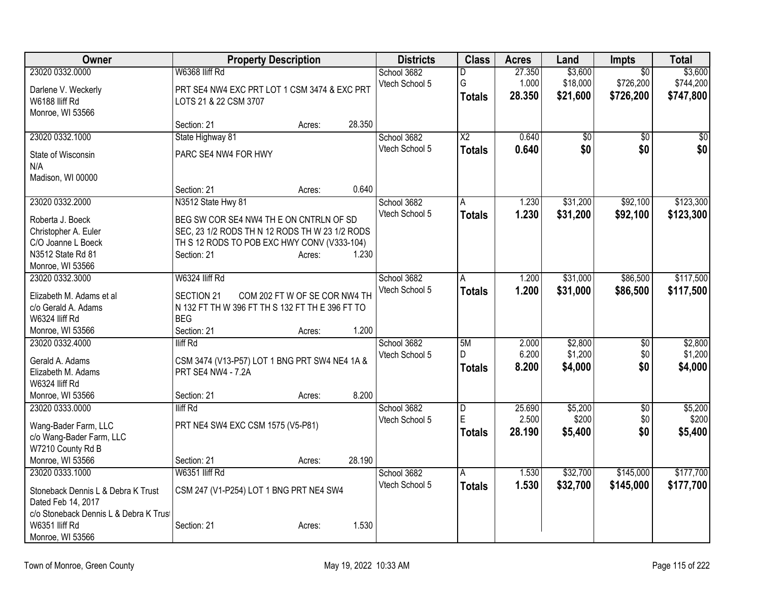| Owner                                  | <b>Property Description</b>                                                |                               |        | <b>Districts</b> | <b>Class</b>    | <b>Acres</b> | Land        | Impts           | <b>Total</b>    |
|----------------------------------------|----------------------------------------------------------------------------|-------------------------------|--------|------------------|-----------------|--------------|-------------|-----------------|-----------------|
| 23020 0332.0000                        | W6368 Iliff Rd                                                             |                               |        | School 3682      | D               | 27.350       | \$3,600     | $\overline{50}$ | \$3,600         |
| Darlene V. Weckerly                    | PRT SE4 NW4 EXC PRT LOT 1 CSM 3474 & EXC PRT                               |                               |        | Vtech School 5   | G               | 1.000        | \$18,000    | \$726,200       | \$744,200       |
| W6188 Iliff Rd                         | LOTS 21 & 22 CSM 3707                                                      |                               |        |                  | <b>Totals</b>   | 28.350       | \$21,600    | \$726,200       | \$747,800       |
| Monroe, WI 53566                       |                                                                            |                               |        |                  |                 |              |             |                 |                 |
|                                        | Section: 21                                                                | Acres:                        | 28.350 |                  |                 |              |             |                 |                 |
| 23020 0332.1000                        | State Highway 81                                                           |                               |        | School 3682      | $\overline{X2}$ | 0.640        | $\sqrt{30}$ | $\overline{50}$ | $\overline{50}$ |
| State of Wisconsin                     | PARC SE4 NW4 FOR HWY                                                       |                               |        | Vtech School 5   | <b>Totals</b>   | 0.640        | \$0         | \$0             | \$0             |
| N/A                                    |                                                                            |                               |        |                  |                 |              |             |                 |                 |
| Madison, WI 00000                      |                                                                            |                               |        |                  |                 |              |             |                 |                 |
|                                        | Section: 21                                                                | Acres:                        | 0.640  |                  |                 |              |             |                 |                 |
| 23020 0332.2000                        | N3512 State Hwy 81                                                         |                               |        | School 3682      | A               | 1.230        | \$31,200    | \$92,100        | \$123,300       |
| Roberta J. Boeck                       | BEG SW COR SE4 NW4 TH E ON CNTRLN OF SD                                    |                               |        | Vtech School 5   | <b>Totals</b>   | 1.230        | \$31,200    | \$92,100        | \$123,300       |
| Christopher A. Euler                   | SEC, 23 1/2 RODS TH N 12 RODS TH W 23 1/2 RODS                             |                               |        |                  |                 |              |             |                 |                 |
| C/O Joanne L Boeck                     | TH S 12 RODS TO POB EXC HWY CONV (V333-104)                                |                               |        |                  |                 |              |             |                 |                 |
| N3512 State Rd 81                      | Section: 21                                                                | Acres:                        | 1.230  |                  |                 |              |             |                 |                 |
| Monroe, WI 53566                       |                                                                            |                               |        |                  |                 |              |             |                 |                 |
| 23020 0332.3000                        | W6324 Iliff Rd                                                             |                               |        | School 3682      | A               | 1.200        | \$31,000    | \$86,500        | \$117,500       |
| Elizabeth M. Adams et al               | SECTION 21                                                                 | COM 202 FT W OF SE COR NW4 TH |        | Vtech School 5   | <b>Totals</b>   | 1.200        | \$31,000    | \$86,500        | \$117,500       |
| c/o Gerald A. Adams                    | N 132 FT TH W 396 FT TH S 132 FT TH E 396 FT TO                            |                               |        |                  |                 |              |             |                 |                 |
| W6324 Iliff Rd                         | <b>BEG</b>                                                                 |                               |        |                  |                 |              |             |                 |                 |
| Monroe, WI 53566                       | Section: 21                                                                | Acres:                        | 1.200  |                  |                 |              |             |                 |                 |
| 23020 0332.4000                        | lliff Rd                                                                   |                               |        | School 3682      | 5M              | 2.000        | \$2,800     | $\overline{50}$ | \$2,800         |
|                                        |                                                                            |                               |        | Vtech School 5   | D               | 6.200        | \$1,200     | \$0             | \$1,200         |
| Gerald A. Adams                        | CSM 3474 (V13-P57) LOT 1 BNG PRT SW4 NE4 1A &<br><b>PRT SE4 NW4 - 7.2A</b> |                               |        |                  | <b>Totals</b>   | 8.200        | \$4,000     | \$0             | \$4,000         |
| Elizabeth M. Adams<br>W6324 Iliff Rd   |                                                                            |                               |        |                  |                 |              |             |                 |                 |
| Monroe, WI 53566                       | Section: 21                                                                | Acres:                        | 8.200  |                  |                 |              |             |                 |                 |
| 23020 0333.0000                        | lliff Rd                                                                   |                               |        | School 3682      | D               | 25.690       | \$5,200     | $\sqrt{$0}$     | \$5,200         |
|                                        |                                                                            |                               |        | Vtech School 5   | E               | 2.500        | \$200       | \$0             | \$200           |
| Wang-Bader Farm, LLC                   | PRT NE4 SW4 EXC CSM 1575 (V5-P81)                                          |                               |        |                  | <b>Totals</b>   | 28.190       | \$5,400     | \$0             | \$5,400         |
| c/o Wang-Bader Farm, LLC               |                                                                            |                               |        |                  |                 |              |             |                 |                 |
| W7210 County Rd B                      |                                                                            |                               |        |                  |                 |              |             |                 |                 |
| Monroe, WI 53566                       | Section: 21                                                                | Acres:                        | 28.190 |                  |                 |              |             |                 |                 |
| 23020 0333.1000                        | W6351 lliff Rd                                                             |                               |        | School 3682      | A               | 1.530        | \$32,700    | \$145,000       | \$177,700       |
| Stoneback Dennis L & Debra K Trust     | CSM 247 (V1-P254) LOT 1 BNG PRT NE4 SW4                                    |                               |        | Vtech School 5   | <b>Totals</b>   | 1.530        | \$32,700    | \$145,000       | \$177,700       |
| Dated Feb 14, 2017                     |                                                                            |                               |        |                  |                 |              |             |                 |                 |
| c/o Stoneback Dennis L & Debra K Trust |                                                                            |                               |        |                  |                 |              |             |                 |                 |
| W6351 Iliff Rd                         | Section: 21                                                                | Acres:                        | 1.530  |                  |                 |              |             |                 |                 |
| Monroe, WI 53566                       |                                                                            |                               |        |                  |                 |              |             |                 |                 |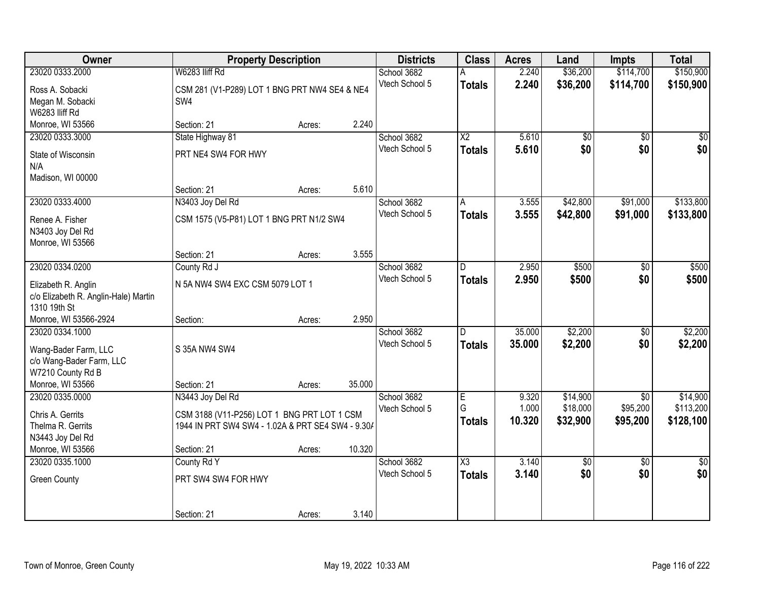| Owner                                | <b>Property Description</b>                       |        |        | <b>Districts</b> | <b>Class</b>           | <b>Acres</b> | Land       | <b>Impts</b>    | <b>Total</b>    |
|--------------------------------------|---------------------------------------------------|--------|--------|------------------|------------------------|--------------|------------|-----------------|-----------------|
| 23020 0333.2000                      | W6283 IIiff Rd                                    |        |        | School 3682      |                        | 2.240        | \$36,200   | \$114,700       | \$150,900       |
| Ross A. Sobacki                      | CSM 281 (V1-P289) LOT 1 BNG PRT NW4 SE4 & NE4     |        |        | Vtech School 5   | <b>Totals</b>          | 2.240        | \$36,200   | \$114,700       | \$150,900       |
| Megan M. Sobacki                     | SW4                                               |        |        |                  |                        |              |            |                 |                 |
| W6283 IIiff Rd                       |                                                   |        |        |                  |                        |              |            |                 |                 |
| Monroe, WI 53566                     | Section: 21                                       | Acres: | 2.240  |                  |                        |              |            |                 |                 |
| 23020 0333.3000                      | State Highway 81                                  |        |        | School 3682      | $\overline{\text{X2}}$ | 5.610        | \$0        | $\overline{50}$ | \$0             |
| State of Wisconsin                   | PRT NE4 SW4 FOR HWY                               |        |        | Vtech School 5   | <b>Totals</b>          | 5.610        | \$0        | \$0             | \$0             |
| N/A                                  |                                                   |        |        |                  |                        |              |            |                 |                 |
| Madison, WI 00000                    |                                                   |        |        |                  |                        |              |            |                 |                 |
|                                      | Section: 21                                       | Acres: | 5.610  |                  |                        |              |            |                 |                 |
| 23020 0333.4000                      | N3403 Joy Del Rd                                  |        |        | School 3682      | A                      | 3.555        | \$42,800   | \$91,000        | \$133,800       |
| Renee A. Fisher                      | CSM 1575 (V5-P81) LOT 1 BNG PRT N1/2 SW4          |        |        | Vtech School 5   | <b>Totals</b>          | 3.555        | \$42,800   | \$91,000        | \$133,800       |
| N3403 Joy Del Rd                     |                                                   |        |        |                  |                        |              |            |                 |                 |
| Monroe, WI 53566                     |                                                   |        |        |                  |                        |              |            |                 |                 |
|                                      | Section: 21                                       | Acres: | 3.555  |                  |                        |              |            |                 |                 |
| 23020 0334.0200                      | County Rd J                                       |        |        | School 3682      | D                      | 2.950        | \$500      | \$0             | \$500           |
| Elizabeth R. Anglin                  | N 5A NW4 SW4 EXC CSM 5079 LOT 1                   |        |        | Vtech School 5   | <b>Totals</b>          | 2.950        | \$500      | \$0             | \$500           |
| c/o Elizabeth R. Anglin-Hale) Martin |                                                   |        |        |                  |                        |              |            |                 |                 |
| 1310 19th St                         |                                                   |        |        |                  |                        |              |            |                 |                 |
| Monroe, WI 53566-2924                | Section:                                          | Acres: | 2.950  |                  |                        |              |            |                 |                 |
| 23020 0334.1000                      |                                                   |        |        | School 3682      | D.                     | 35.000       | \$2,200    | \$0             | \$2,200         |
| Wang-Bader Farm, LLC                 | S 35A NW4 SW4                                     |        |        | Vtech School 5   | <b>Totals</b>          | 35,000       | \$2,200    | \$0             | \$2,200         |
| c/o Wang-Bader Farm, LLC             |                                                   |        |        |                  |                        |              |            |                 |                 |
| W7210 County Rd B                    |                                                   |        |        |                  |                        |              |            |                 |                 |
| Monroe, WI 53566                     | Section: 21                                       | Acres: | 35.000 |                  |                        |              |            |                 |                 |
| 23020 0335.0000                      | N3443 Joy Del Rd                                  |        |        | School 3682      | E                      | 9.320        | \$14,900   | $\overline{50}$ | \$14,900        |
| Chris A. Gerrits                     | CSM 3188 (V11-P256) LOT 1 BNG PRT LOT 1 CSM       |        |        | Vtech School 5   | G                      | 1.000        | \$18,000   | \$95,200        | \$113,200       |
| Thelma R. Gerrits                    | 1944 IN PRT SW4 SW4 - 1.02A & PRT SE4 SW4 - 9.30/ |        |        |                  | <b>Totals</b>          | 10.320       | \$32,900   | \$95,200        | \$128,100       |
| N3443 Joy Del Rd                     |                                                   |        |        |                  |                        |              |            |                 |                 |
| Monroe, WI 53566                     | Section: 21                                       | Acres: | 10.320 |                  |                        |              |            |                 |                 |
| 23020 0335.1000                      | County Rd Y                                       |        |        | School 3682      | $\overline{\text{X3}}$ | 3.140        | $\sqrt{6}$ | $\overline{30}$ | $\overline{50}$ |
| <b>Green County</b>                  | PRT SW4 SW4 FOR HWY                               |        |        | Vtech School 5   | <b>Totals</b>          | 3.140        | \$0        | \$0             | \$0             |
|                                      |                                                   |        |        |                  |                        |              |            |                 |                 |
|                                      |                                                   |        |        |                  |                        |              |            |                 |                 |
|                                      | Section: 21                                       | Acres: | 3.140  |                  |                        |              |            |                 |                 |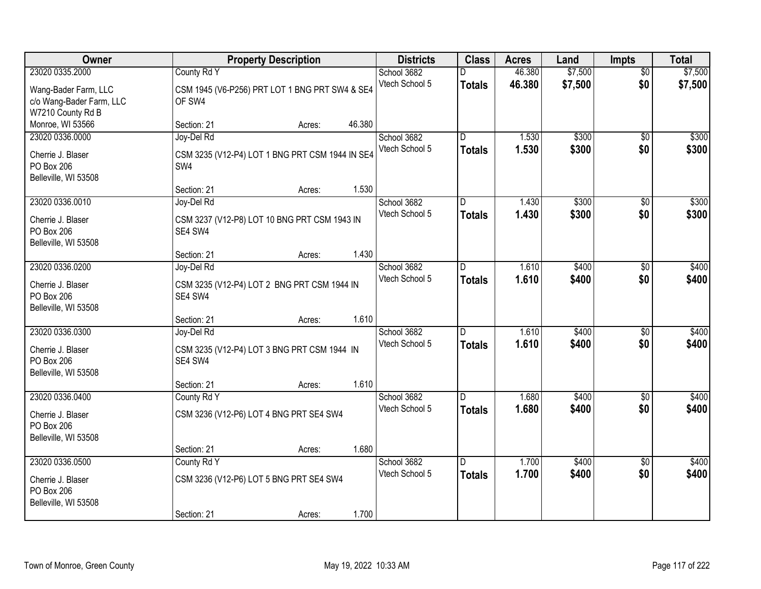| Owner                                                                      |                                      | <b>Property Description</b>                           |        | <b>Districts</b>              | <b>Class</b>                    | <b>Acres</b>     | Land               | <b>Impts</b>           | <b>Total</b>       |
|----------------------------------------------------------------------------|--------------------------------------|-------------------------------------------------------|--------|-------------------------------|---------------------------------|------------------|--------------------|------------------------|--------------------|
| 23020 0335.2000<br>Wang-Bader Farm, LLC<br>c/o Wang-Bader Farm, LLC        | County Rd Y<br>OF SW4                | CSM 1945 (V6-P256) PRT LOT 1 BNG PRT SW4 & SE4        |        | School 3682<br>Vtech School 5 | <b>Totals</b>                   | 46.380<br>46.380 | \$7,500<br>\$7,500 | $\overline{50}$<br>\$0 | \$7,500<br>\$7,500 |
| W7210 County Rd B<br>Monroe, WI 53566                                      | Section: 21                          | Acres:                                                | 46.380 |                               |                                 |                  |                    |                        |                    |
| 23020 0336.0000<br>Cherrie J. Blaser<br>PO Box 206<br>Belleville, WI 53508 | Joy-Del Rd<br>SW4                    | CSM 3235 (V12-P4) LOT 1 BNG PRT CSM 1944 IN SE4       |        | School 3682<br>Vtech School 5 | $\overline{D}$<br><b>Totals</b> | 1.530<br>1.530   | \$300<br>\$300     | \$0<br>\$0             | \$300<br>\$300     |
| 23020 0336.0010                                                            | Section: 21<br>Joy-Del Rd            | Acres:                                                | 1.530  | School 3682                   | D                               | 1.430            | \$300              | \$0                    | \$300              |
| Cherrie J. Blaser<br>PO Box 206<br>Belleville, WI 53508                    | SE4 SW4                              | CSM 3237 (V12-P8) LOT 10 BNG PRT CSM 1943 IN          |        | Vtech School 5                | <b>Totals</b>                   | 1.430            | \$300              | \$0                    | \$300              |
|                                                                            | Section: 21                          | Acres:                                                | 1.430  |                               |                                 |                  |                    |                        |                    |
| 23020 0336.0200<br>Cherrie J. Blaser<br>PO Box 206<br>Belleville, WI 53508 | Joy-Del Rd<br>SE4 SW4                | CSM 3235 (V12-P4) LOT 2 BNG PRT CSM 1944 IN           |        | School 3682<br>Vtech School 5 | D<br><b>Totals</b>              | 1.610<br>1.610   | \$400<br>\$400     | \$0<br>\$0             | \$400<br>\$400     |
|                                                                            | Section: 21                          | Acres:                                                | 1.610  |                               |                                 |                  |                    |                        |                    |
| 23020 0336.0300<br>Cherrie J. Blaser<br>PO Box 206<br>Belleville, WI 53508 | Joy-Del Rd<br>SE4 SW4<br>Section: 21 | CSM 3235 (V12-P4) LOT 3 BNG PRT CSM 1944 IN<br>Acres: | 1.610  | School 3682<br>Vtech School 5 | D.<br><b>Totals</b>             | 1.610<br>1.610   | \$400<br>\$400     | \$0<br>\$0             | \$400<br>\$400     |
| 23020 0336.0400                                                            | County Rd Y                          |                                                       |        | School 3682                   | D.                              | 1.680            | \$400              | \$0                    | \$400              |
| Cherrie J. Blaser<br>PO Box 206<br>Belleville, WI 53508                    |                                      | CSM 3236 (V12-P6) LOT 4 BNG PRT SE4 SW4               |        | Vtech School 5                | <b>Totals</b>                   | 1.680            | \$400              | \$0                    | \$400              |
|                                                                            | Section: 21                          | Acres:                                                | 1.680  |                               |                                 |                  |                    |                        |                    |
| 23020 0336.0500<br>Cherrie J. Blaser<br>PO Box 206<br>Belleville, WI 53508 | County Rd Y<br>Section: 21           | CSM 3236 (V12-P6) LOT 5 BNG PRT SE4 SW4<br>Acres:     | 1.700  | School 3682<br>Vtech School 5 | D.<br><b>Totals</b>             | 1.700<br>1.700   | \$400<br>\$400     | $\overline{50}$<br>\$0 | \$400<br>\$400     |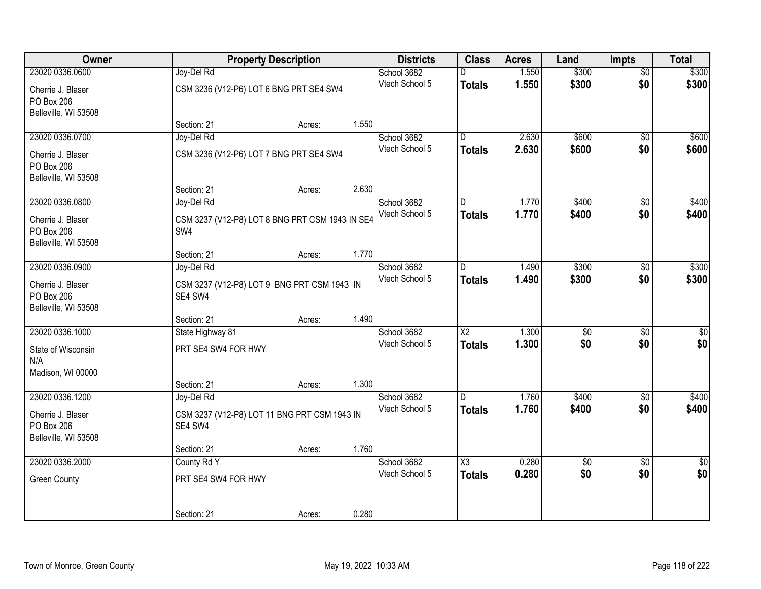| Owner                |                                                 | <b>Property Description</b> |       | <b>Districts</b> | <b>Class</b>           | <b>Acres</b> | Land            | <b>Impts</b>    | <b>Total</b>     |
|----------------------|-------------------------------------------------|-----------------------------|-------|------------------|------------------------|--------------|-----------------|-----------------|------------------|
| 23020 0336.0600      | Joy-Del Rd                                      |                             |       | School 3682      |                        | 1.550        | \$300           | $\overline{50}$ | \$300            |
| Cherrie J. Blaser    | CSM 3236 (V12-P6) LOT 6 BNG PRT SE4 SW4         |                             |       | Vtech School 5   | <b>Totals</b>          | 1.550        | \$300           | \$0             | \$300            |
| PO Box 206           |                                                 |                             |       |                  |                        |              |                 |                 |                  |
| Belleville, WI 53508 |                                                 |                             |       |                  |                        |              |                 |                 |                  |
|                      | Section: 21                                     | Acres:                      | 1.550 |                  |                        |              |                 |                 |                  |
| 23020 0336.0700      | Joy-Del Rd                                      |                             |       | School 3682      | D.                     | 2.630        | \$600           | \$0             | \$600            |
| Cherrie J. Blaser    | CSM 3236 (V12-P6) LOT 7 BNG PRT SE4 SW4         |                             |       | Vtech School 5   | <b>Totals</b>          | 2.630        | \$600           | \$0             | \$600            |
| PO Box 206           |                                                 |                             |       |                  |                        |              |                 |                 |                  |
| Belleville, WI 53508 |                                                 |                             |       |                  |                        |              |                 |                 |                  |
|                      | Section: 21                                     | Acres:                      | 2.630 |                  |                        |              |                 |                 |                  |
| 23020 0336.0800      | Joy-Del Rd                                      |                             |       | School 3682      | D                      | 1.770        | \$400           | \$0             | \$400            |
| Cherrie J. Blaser    | CSM 3237 (V12-P8) LOT 8 BNG PRT CSM 1943 IN SE4 |                             |       | Vtech School 5   | <b>Totals</b>          | 1.770        | \$400           | \$0             | \$400            |
| PO Box 206           | SW4                                             |                             |       |                  |                        |              |                 |                 |                  |
| Belleville, WI 53508 |                                                 |                             |       |                  |                        |              |                 |                 |                  |
|                      | Section: 21                                     | Acres:                      | 1.770 |                  |                        |              |                 |                 |                  |
| 23020 0336.0900      | Joy-Del Rd                                      |                             |       | School 3682      | D.                     | 1.490        | \$300           | $\frac{1}{20}$  | \$300            |
| Cherrie J. Blaser    | CSM 3237 (V12-P8) LOT 9 BNG PRT CSM 1943 IN     |                             |       | Vtech School 5   | <b>Totals</b>          | 1.490        | \$300           | \$0             | \$300            |
| PO Box 206           | SE4 SW4                                         |                             |       |                  |                        |              |                 |                 |                  |
| Belleville, WI 53508 |                                                 |                             |       |                  |                        |              |                 |                 |                  |
|                      | Section: 21                                     | Acres:                      | 1.490 |                  |                        |              |                 |                 |                  |
| 23020 0336.1000      | State Highway 81                                |                             |       | School 3682      | $\overline{X2}$        | 1.300        | $\overline{50}$ | $\overline{50}$ | $\overline{\$0}$ |
| State of Wisconsin   | PRT SE4 SW4 FOR HWY                             |                             |       | Vtech School 5   | Totals                 | 1.300        | \$0             | \$0             | \$0              |
| N/A                  |                                                 |                             |       |                  |                        |              |                 |                 |                  |
| Madison, WI 00000    |                                                 |                             |       |                  |                        |              |                 |                 |                  |
|                      | Section: 21                                     | Acres:                      | 1.300 |                  |                        |              |                 |                 |                  |
| 23020 0336.1200      | Joy-Del Rd                                      |                             |       | School 3682      | D.                     | 1.760        | \$400           | \$0             | \$400            |
| Cherrie J. Blaser    | CSM 3237 (V12-P8) LOT 11 BNG PRT CSM 1943 IN    |                             |       | Vtech School 5   | <b>Totals</b>          | 1.760        | \$400           | \$0             | \$400            |
| PO Box 206           | SE4 SW4                                         |                             |       |                  |                        |              |                 |                 |                  |
| Belleville, WI 53508 |                                                 |                             |       |                  |                        |              |                 |                 |                  |
|                      | Section: 21                                     | Acres:                      | 1.760 |                  |                        |              |                 |                 |                  |
| 23020 0336.2000      | County Rd Y                                     |                             |       | School 3682      | $\overline{\text{X3}}$ | 0.280        | $\overline{50}$ | $\overline{30}$ | $\overline{30}$  |
| <b>Green County</b>  | PRT SE4 SW4 FOR HWY                             |                             |       | Vtech School 5   | <b>Totals</b>          | 0.280        | \$0             | \$0             | \$0              |
|                      |                                                 |                             |       |                  |                        |              |                 |                 |                  |
|                      |                                                 |                             |       |                  |                        |              |                 |                 |                  |
|                      | Section: 21                                     | Acres:                      | 0.280 |                  |                        |              |                 |                 |                  |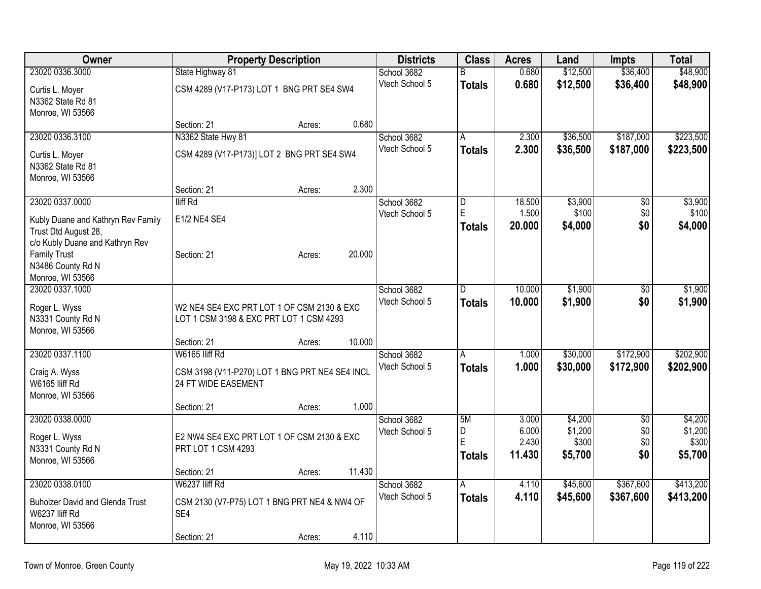| Owner                                    | <b>Property Description</b>                                           |        |        | <b>Districts</b> | <b>Class</b>  | <b>Acres</b>    | Land     | <b>Impts</b>    | <b>Total</b>     |
|------------------------------------------|-----------------------------------------------------------------------|--------|--------|------------------|---------------|-----------------|----------|-----------------|------------------|
| 23020 0336.3000                          | State Highway 81                                                      |        |        | School 3682      | B             | 0.680           | \$12,500 | \$36,400        | \$48,900         |
| Curtis L. Moyer                          | CSM 4289 (V17-P173) LOT 1 BNG PRT SE4 SW4                             |        |        | Vtech School 5   | <b>Totals</b> | 0.680           | \$12,500 | \$36,400        | \$48,900         |
| N3362 State Rd 81                        |                                                                       |        |        |                  |               |                 |          |                 |                  |
| Monroe, WI 53566                         |                                                                       |        |        |                  |               |                 |          |                 |                  |
|                                          | Section: 21                                                           | Acres: | 0.680  |                  |               |                 |          |                 |                  |
| 23020 0336.3100                          | N3362 State Hwy 81                                                    |        |        | School 3682      | A             | 2.300           | \$36,500 | \$187,000       | \$223,500        |
| Curtis L. Moyer                          | CSM 4289 (V17-P173)] LOT 2 BNG PRT SE4 SW4                            |        |        | Vtech School 5   | <b>Totals</b> | 2.300           | \$36,500 | \$187,000       | \$223,500        |
| N3362 State Rd 81                        |                                                                       |        |        |                  |               |                 |          |                 |                  |
| Monroe, WI 53566                         |                                                                       |        |        |                  |               |                 |          |                 |                  |
|                                          | Section: 21                                                           | Acres: | 2.300  |                  |               |                 |          |                 |                  |
| 23020 0337.0000                          | lliff Rd                                                              |        |        | School 3682      | D<br>E        | 18.500          | \$3,900  | $\overline{50}$ | \$3,900          |
| Kubly Duane and Kathryn Rev Family       | E1/2 NE4 SE4                                                          |        |        | Vtech School 5   |               | 1.500<br>20.000 | \$100    | \$0<br>\$0      | \$100<br>\$4,000 |
| Trust Dtd August 28,                     |                                                                       |        |        |                  | <b>Totals</b> |                 | \$4,000  |                 |                  |
| c/o Kubly Duane and Kathryn Rev          |                                                                       |        |        |                  |               |                 |          |                 |                  |
| <b>Family Trust</b><br>N3486 County Rd N | Section: 21                                                           | Acres: | 20.000 |                  |               |                 |          |                 |                  |
| Monroe, WI 53566                         |                                                                       |        |        |                  |               |                 |          |                 |                  |
| 23020 0337.1000                          |                                                                       |        |        | School 3682      | D             | 10.000          | \$1,900  | \$0             | \$1,900          |
|                                          |                                                                       |        |        | Vtech School 5   | <b>Totals</b> | 10.000          | \$1,900  | \$0             | \$1,900          |
| Roger L. Wyss                            | W2 NE4 SE4 EXC PRT LOT 1 OF CSM 2130 & EXC                            |        |        |                  |               |                 |          |                 |                  |
| N3331 County Rd N<br>Monroe, WI 53566    | LOT 1 CSM 3198 & EXC PRT LOT 1 CSM 4293                               |        |        |                  |               |                 |          |                 |                  |
|                                          | Section: 21                                                           | Acres: | 10.000 |                  |               |                 |          |                 |                  |
| 23020 0337.1100                          | W6165 lliff Rd                                                        |        |        | School 3682      | A             | 1.000           | \$30,000 | \$172,900       | \$202,900        |
|                                          |                                                                       |        |        | Vtech School 5   | <b>Totals</b> | 1.000           | \$30,000 | \$172,900       | \$202,900        |
| Craig A. Wyss<br>W6165 lliff Rd          | CSM 3198 (V11-P270) LOT 1 BNG PRT NE4 SE4 INCL<br>24 FT WIDE EASEMENT |        |        |                  |               |                 |          |                 |                  |
| Monroe, WI 53566                         |                                                                       |        |        |                  |               |                 |          |                 |                  |
|                                          | Section: 21                                                           | Acres: | 1.000  |                  |               |                 |          |                 |                  |
| 23020 0338.0000                          |                                                                       |        |        | School 3682      | 5M            | 3.000           | \$4,200  | $\sqrt{6}$      | \$4,200          |
| Roger L. Wyss                            | E2 NW4 SE4 EXC PRT LOT 1 OF CSM 2130 & EXC                            |        |        | Vtech School 5   | D             | 6.000           | \$1,200  | \$0             | \$1,200          |
| N3331 County Rd N                        | PRT LOT 1 CSM 4293                                                    |        |        |                  | Ė             | 2.430           | \$300    | \$0             | \$300            |
| Monroe, WI 53566                         |                                                                       |        |        |                  | <b>Totals</b> | 11.430          | \$5,700  | \$0             | \$5,700          |
|                                          | Section: 21                                                           | Acres: | 11.430 |                  |               |                 |          |                 |                  |
| 23020 0338.0100                          | W6237 Iliff Rd                                                        |        |        | School 3682      | A             | 4.110           | \$45,600 | \$367,600       | \$413,200        |
| <b>Buholzer David and Glenda Trust</b>   | CSM 2130 (V7-P75) LOT 1 BNG PRT NE4 & NW4 OF                          |        |        | Vtech School 5   | <b>Totals</b> | 4.110           | \$45,600 | \$367,600       | \$413,200        |
| W6237 IIiff Rd                           | SE4                                                                   |        |        |                  |               |                 |          |                 |                  |
| Monroe, WI 53566                         |                                                                       |        |        |                  |               |                 |          |                 |                  |
|                                          | Section: 21                                                           | Acres: | 4.110  |                  |               |                 |          |                 |                  |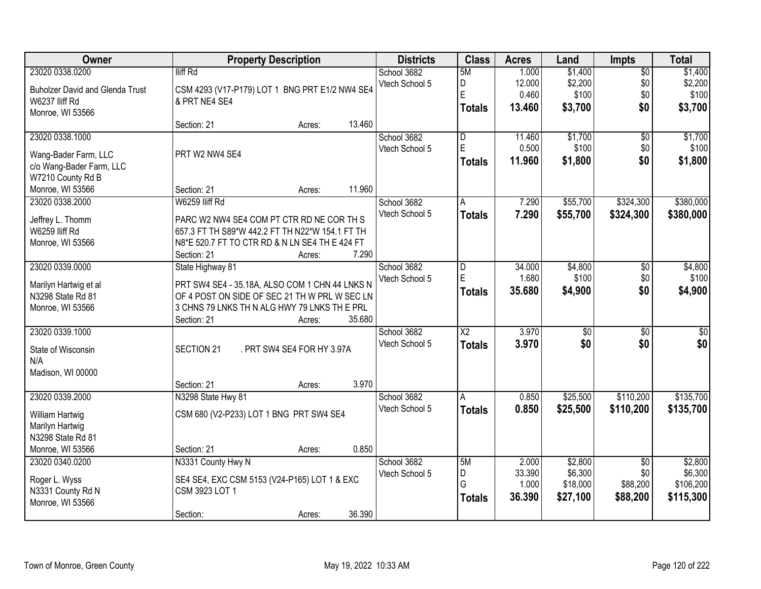| Owner                                  |                    | <b>Property Description</b>                     |        | <b>Districts</b> | <b>Class</b>            | <b>Acres</b>    | Land            | Impts           | <b>Total</b>    |
|----------------------------------------|--------------------|-------------------------------------------------|--------|------------------|-------------------------|-----------------|-----------------|-----------------|-----------------|
| 23020 0338.0200                        | lliff Rd           |                                                 |        | School 3682      | 5M                      | 1.000           | \$1,400         | $\overline{50}$ | \$1,400         |
| <b>Buholzer David and Glenda Trust</b> |                    | CSM 4293 (V17-P179) LOT 1 BNG PRT E1/2 NW4 SE4  |        | Vtech School 5   | D<br>Ė                  | 12.000<br>0.460 | \$2,200         | \$0             | \$2,200         |
| W6237 IIiff Rd                         | & PRT NE4 SE4      |                                                 |        |                  |                         |                 | \$100           | \$0<br>\$0      | \$100           |
| Monroe, WI 53566                       |                    |                                                 |        |                  | <b>Totals</b>           | 13.460          | \$3,700         |                 | \$3,700         |
|                                        | Section: 21        | Acres:                                          | 13.460 |                  |                         |                 |                 |                 |                 |
| 23020 0338.1000                        |                    |                                                 |        | School 3682      | $\overline{\mathsf{D}}$ | 11.460          | \$1,700         | $\overline{50}$ | \$1,700         |
| Wang-Bader Farm, LLC                   | PRT W2 NW4 SE4     |                                                 |        | Vtech School 5   | E                       | 0.500           | \$100           | \$0             | \$100           |
| c/o Wang-Bader Farm, LLC               |                    |                                                 |        |                  | <b>Totals</b>           | 11.960          | \$1,800         | \$0             | \$1,800         |
| W7210 County Rd B                      |                    |                                                 |        |                  |                         |                 |                 |                 |                 |
| Monroe, WI 53566                       | Section: 21        | Acres:                                          | 11.960 |                  |                         |                 |                 |                 |                 |
| 23020 0338.2000                        | W6259 Iliff Rd     |                                                 |        | School 3682      | Α                       | 7.290           | \$55,700        | \$324,300       | \$380,000       |
| Jeffrey L. Thomm                       |                    | PARC W2 NW4 SE4 COM PT CTR RD NE COR TH S       |        | Vtech School 5   | <b>Totals</b>           | 7.290           | \$55,700        | \$324,300       | \$380,000       |
| W6259 Iliff Rd                         |                    | 657.3 FT TH S89*W 442.2 FT TH N22*W 154.1 FT TH |        |                  |                         |                 |                 |                 |                 |
| Monroe, WI 53566                       |                    | N8*E 520.7 FT TO CTR RD & N LN SE4 TH E 424 FT  |        |                  |                         |                 |                 |                 |                 |
|                                        | Section: 21        | Acres:                                          | 7.290  |                  |                         |                 |                 |                 |                 |
| 23020 0339.0000                        | State Highway 81   |                                                 |        | School 3682      | D                       | 34.000          | \$4,800         | \$0             | \$4,800         |
| Marilyn Hartwig et al                  |                    | PRT SW4 SE4 - 35.18A, ALSO COM 1 CHN 44 LNKS N  |        | Vtech School 5   | E                       | 1.680           | \$100           | \$0             | \$100           |
| N3298 State Rd 81                      |                    | OF 4 POST ON SIDE OF SEC 21 TH W PRL W SEC LN   |        |                  | <b>Totals</b>           | 35.680          | \$4,900         | \$0             | \$4,900         |
| Monroe, WI 53566                       |                    | 3 CHNS 79 LNKS TH N ALG HWY 79 LNKS TH E PRL    |        |                  |                         |                 |                 |                 |                 |
|                                        | Section: 21        | Acres:                                          | 35.680 |                  |                         |                 |                 |                 |                 |
| 23020 0339.1000                        |                    |                                                 |        | School 3682      | $\overline{\text{X2}}$  | 3.970           | $\overline{50}$ | $\overline{50}$ | $\overline{50}$ |
| State of Wisconsin                     | SECTION 21         | . PRT SW4 SE4 FOR HY 3.97A                      |        | Vtech School 5   | <b>Totals</b>           | 3.970           | \$0             | \$0             | \$0             |
| N/A                                    |                    |                                                 |        |                  |                         |                 |                 |                 |                 |
| Madison, WI 00000                      |                    |                                                 |        |                  |                         |                 |                 |                 |                 |
|                                        | Section: 21        | Acres:                                          | 3.970  |                  |                         |                 |                 |                 |                 |
| 23020 0339.2000                        | N3298 State Hwy 81 |                                                 |        | School 3682      | A                       | 0.850           | \$25,500        | \$110,200       | \$135,700       |
| William Hartwig                        |                    | CSM 680 (V2-P233) LOT 1 BNG PRT SW4 SE4         |        | Vtech School 5   | <b>Totals</b>           | 0.850           | \$25,500        | \$110,200       | \$135,700       |
| Marilyn Hartwig                        |                    |                                                 |        |                  |                         |                 |                 |                 |                 |
| N3298 State Rd 81                      |                    |                                                 |        |                  |                         |                 |                 |                 |                 |
| Monroe, WI 53566                       | Section: 21        | Acres:                                          | 0.850  |                  |                         |                 |                 |                 |                 |
| 23020 0340.0200                        | N3331 County Hwy N |                                                 |        | School 3682      | 5M                      | 2.000           | \$2,800         | $\overline{50}$ | \$2,800         |
| Roger L. Wyss                          |                    | SE4 SE4, EXC CSM 5153 (V24-P165) LOT 1 & EXC    |        | Vtech School 5   | D                       | 33.390          | \$6,300         | \$0             | \$6,300         |
| N3331 County Rd N                      | CSM 3923 LOT 1     |                                                 |        |                  | G                       | 1.000           | \$18,000        | \$88,200        | \$106,200       |
| Monroe, WI 53566                       |                    |                                                 |        |                  | <b>Totals</b>           | 36.390          | \$27,100        | \$88,200        | \$115,300       |
|                                        | Section:           | Acres:                                          | 36.390 |                  |                         |                 |                 |                 |                 |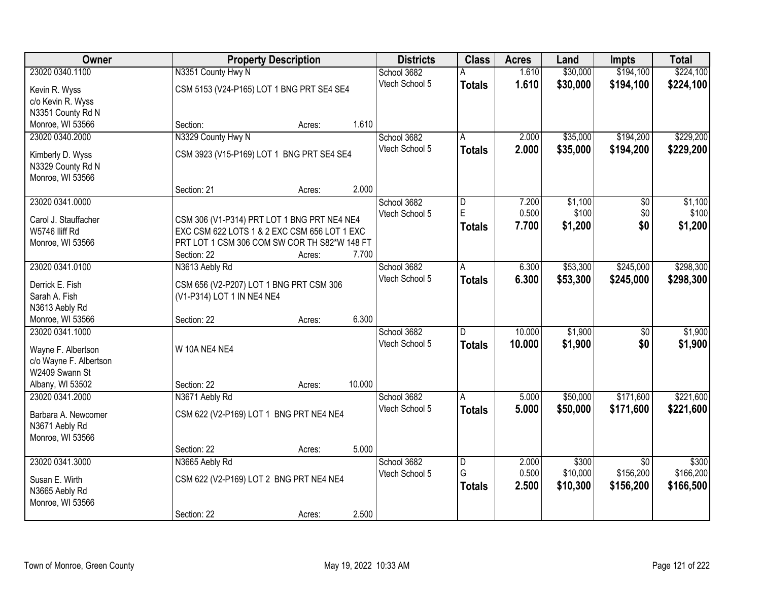| Owner                  |                                              | <b>Property Description</b> |        |                | <b>Class</b>   | <b>Acres</b> | Land     | <b>Impts</b>    | <b>Total</b> |
|------------------------|----------------------------------------------|-----------------------------|--------|----------------|----------------|--------------|----------|-----------------|--------------|
| 23020 0340.1100        | N3351 County Hwy N                           |                             |        | School 3682    |                | 1.610        | \$30,000 | \$194,100       | \$224,100    |
| Kevin R. Wyss          | CSM 5153 (V24-P165) LOT 1 BNG PRT SE4 SE4    |                             |        | Vtech School 5 | <b>Totals</b>  | 1.610        | \$30,000 | \$194,100       | \$224,100    |
| c/o Kevin R. Wyss      |                                              |                             |        |                |                |              |          |                 |              |
| N3351 County Rd N      |                                              |                             |        |                |                |              |          |                 |              |
| Monroe, WI 53566       | Section:                                     | Acres:                      | 1.610  |                |                |              |          |                 |              |
| 23020 0340.2000        | N3329 County Hwy N                           |                             |        | School 3682    | Α              | 2.000        | \$35,000 | \$194,200       | \$229,200    |
| Kimberly D. Wyss       | CSM 3923 (V15-P169) LOT 1 BNG PRT SE4 SE4    |                             |        | Vtech School 5 | <b>Totals</b>  | 2.000        | \$35,000 | \$194,200       | \$229,200    |
| N3329 County Rd N      |                                              |                             |        |                |                |              |          |                 |              |
| Monroe, WI 53566       |                                              |                             |        |                |                |              |          |                 |              |
|                        | Section: 21                                  | Acres:                      | 2.000  |                |                |              |          |                 |              |
| 23020 0341.0000        |                                              |                             |        | School 3682    | $\overline{D}$ | 7.200        | \$1,100  | \$0             | \$1,100      |
| Carol J. Stauffacher   | CSM 306 (V1-P314) PRT LOT 1 BNG PRT NE4 NE4  |                             |        | Vtech School 5 | E              | 0.500        | \$100    | \$0             | \$100        |
| W5746 lliff Rd         | EXC CSM 622 LOTS 1 & 2 EXC CSM 656 LOT 1 EXC |                             |        |                | <b>Totals</b>  | 7.700        | \$1,200  | \$0             | \$1,200      |
| Monroe, WI 53566       | PRT LOT 1 CSM 306 COM SW COR TH S82*W 148 FT |                             |        |                |                |              |          |                 |              |
|                        | Section: 22                                  | Acres:                      | 7.700  |                |                |              |          |                 |              |
| 23020 0341.0100        | N3613 Aebly Rd                               |                             |        | School 3682    | A              | 6.300        | \$53,300 | \$245,000       | \$298,300    |
| Derrick E. Fish        | CSM 656 (V2-P207) LOT 1 BNG PRT CSM 306      |                             |        | Vtech School 5 | <b>Totals</b>  | 6.300        | \$53,300 | \$245,000       | \$298,300    |
| Sarah A. Fish          | (V1-P314) LOT 1 IN NE4 NE4                   |                             |        |                |                |              |          |                 |              |
| N3613 Aebly Rd         |                                              |                             |        |                |                |              |          |                 |              |
| Monroe, WI 53566       | Section: 22                                  | Acres:                      | 6.300  |                |                |              |          |                 |              |
| 23020 0341.1000        |                                              |                             |        | School 3682    | D.             | 10.000       | \$1,900  | $\overline{50}$ | \$1,900      |
| Wayne F. Albertson     | W 10A NE4 NE4                                |                             |        | Vtech School 5 | <b>Totals</b>  | 10.000       | \$1,900  | \$0             | \$1,900      |
| c/o Wayne F. Albertson |                                              |                             |        |                |                |              |          |                 |              |
| W2409 Swann St         |                                              |                             |        |                |                |              |          |                 |              |
| Albany, WI 53502       | Section: 22                                  | Acres:                      | 10.000 |                |                |              |          |                 |              |
| 23020 0341.2000        | N3671 Aebly Rd                               |                             |        | School 3682    | A              | 5.000        | \$50,000 | \$171,600       | \$221,600    |
| Barbara A. Newcomer    | CSM 622 (V2-P169) LOT 1 BNG PRT NE4 NE4      |                             |        | Vtech School 5 | <b>Totals</b>  | 5.000        | \$50,000 | \$171,600       | \$221,600    |
| N3671 Aebly Rd         |                                              |                             |        |                |                |              |          |                 |              |
| Monroe, WI 53566       |                                              |                             |        |                |                |              |          |                 |              |
|                        | Section: 22                                  | Acres:                      | 5.000  |                |                |              |          |                 |              |
| 23020 0341.3000        | N3665 Aebly Rd                               |                             |        | School 3682    | $\overline{D}$ | 2.000        | \$300    | $\overline{30}$ | \$300        |
| Susan E. Wirth         | CSM 622 (V2-P169) LOT 2 BNG PRT NE4 NE4      |                             |        | Vtech School 5 | G              | 0.500        | \$10,000 | \$156,200       | \$166,200    |
| N3665 Aebly Rd         |                                              |                             |        |                | <b>Totals</b>  | 2.500        | \$10,300 | \$156,200       | \$166,500    |
| Monroe, WI 53566       |                                              |                             |        |                |                |              |          |                 |              |
|                        | Section: 22                                  | Acres:                      | 2.500  |                |                |              |          |                 |              |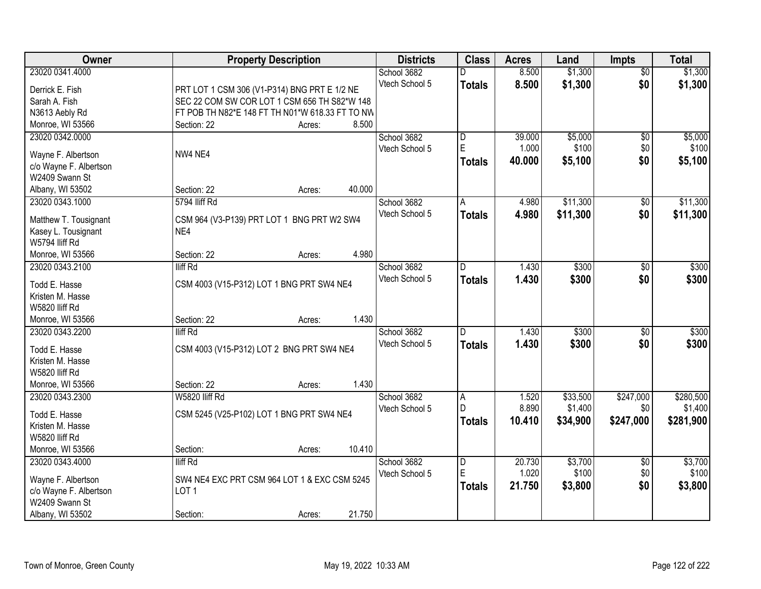| <b>Owner</b>           | <b>Property Description</b>                     | <b>Districts</b> | <b>Class</b>   | <b>Acres</b> | Land     | <b>Impts</b>    | <b>Total</b> |
|------------------------|-------------------------------------------------|------------------|----------------|--------------|----------|-----------------|--------------|
| 23020 0341.4000        |                                                 | School 3682      | D              | 8.500        | \$1,300  | $\overline{50}$ | \$1,300      |
| Derrick E. Fish        | PRT LOT 1 CSM 306 (V1-P314) BNG PRT E 1/2 NE    | Vtech School 5   | <b>Totals</b>  | 8.500        | \$1,300  | \$0             | \$1,300      |
| Sarah A. Fish          | SEC 22 COM SW COR LOT 1 CSM 656 TH S82*W 148    |                  |                |              |          |                 |              |
| N3613 Aebly Rd         | FT POB TH N82*E 148 FT TH N01*W 618.33 FT TO NW |                  |                |              |          |                 |              |
| Monroe, WI 53566       | 8.500<br>Section: 22<br>Acres:                  |                  |                |              |          |                 |              |
| 23020 0342.0000        |                                                 | School 3682      | l D            | 39.000       | \$5,000  | \$0             | \$5,000      |
|                        |                                                 | Vtech School 5   | $\mathsf E$    | 1.000        | \$100    | \$0             | \$100        |
| Wayne F. Albertson     | NW4 NE4                                         |                  | <b>Totals</b>  | 40.000       | \$5,100  | \$0             | \$5,100      |
| c/o Wayne F. Albertson |                                                 |                  |                |              |          |                 |              |
| W2409 Swann St         |                                                 |                  |                |              |          |                 |              |
| Albany, WI 53502       | 40.000<br>Section: 22<br>Acres:                 |                  |                |              |          |                 |              |
| 23020 0343.1000        | 5794 Iliff Rd                                   | School 3682      | A              | 4.980        | \$11,300 | \$0             | \$11,300     |
| Matthew T. Tousignant  | CSM 964 (V3-P139) PRT LOT 1 BNG PRT W2 SW4      | Vtech School 5   | <b>Totals</b>  | 4.980        | \$11,300 | \$0             | \$11,300     |
| Kasey L. Tousignant    | NE4                                             |                  |                |              |          |                 |              |
| W5794 lliff Rd         |                                                 |                  |                |              |          |                 |              |
| Monroe, WI 53566       | 4.980<br>Section: 22<br>Acres:                  |                  |                |              |          |                 |              |
| 23020 0343.2100        | lliff Rd                                        | School 3682      | D              | 1.430        | \$300    | $\frac{1}{20}$  | \$300        |
|                        |                                                 | Vtech School 5   | <b>Totals</b>  | 1.430        | \$300    | \$0             | \$300        |
| Todd E. Hasse          | CSM 4003 (V15-P312) LOT 1 BNG PRT SW4 NE4       |                  |                |              |          |                 |              |
| Kristen M. Hasse       |                                                 |                  |                |              |          |                 |              |
| W5820 lliff Rd         |                                                 |                  |                |              |          |                 |              |
| Monroe, WI 53566       | 1.430<br>Section: 22<br>Acres:                  |                  |                |              |          |                 |              |
| 23020 0343.2200        | lliff Rd                                        | School 3682      | $\overline{D}$ | 1.430        | \$300    | $\overline{50}$ | \$300        |
| Todd E. Hasse          | CSM 4003 (V15-P312) LOT 2 BNG PRT SW4 NE4       | Vtech School 5   | Totals         | 1.430        | \$300    | \$0             | \$300        |
| Kristen M. Hasse       |                                                 |                  |                |              |          |                 |              |
| W5820 Iliff Rd         |                                                 |                  |                |              |          |                 |              |
| Monroe, WI 53566       | 1.430<br>Section: 22<br>Acres:                  |                  |                |              |          |                 |              |
| 23020 0343.2300        | W5820 lliff Rd                                  | School 3682      | Α              | 1.520        | \$33,500 | \$247,000       | \$280,500    |
|                        |                                                 | Vtech School 5   | D              | 8.890        | \$1,400  | \$0             | \$1,400      |
| Todd E. Hasse          | CSM 5245 (V25-P102) LOT 1 BNG PRT SW4 NE4       |                  | <b>Totals</b>  | 10.410       | \$34,900 | \$247,000       | \$281,900    |
| Kristen M. Hasse       |                                                 |                  |                |              |          |                 |              |
| W5820 lliff Rd         |                                                 |                  |                |              |          |                 |              |
| Monroe, WI 53566       | 10.410<br>Section:<br>Acres:                    |                  |                |              |          |                 |              |
| 23020 0343.4000        | lliff Rd                                        | School 3682      | D<br>E         | 20.730       | \$3,700  | $\overline{60}$ | \$3,700      |
| Wayne F. Albertson     | SW4 NE4 EXC PRT CSM 964 LOT 1 & EXC CSM 5245    | Vtech School 5   |                | 1.020        | \$100    | \$0             | \$100        |
| c/o Wayne F. Albertson | LOT <sub>1</sub>                                |                  | <b>Totals</b>  | 21.750       | \$3,800  | \$0             | \$3,800      |
| W2409 Swann St         |                                                 |                  |                |              |          |                 |              |
| Albany, WI 53502       | 21.750<br>Section:<br>Acres:                    |                  |                |              |          |                 |              |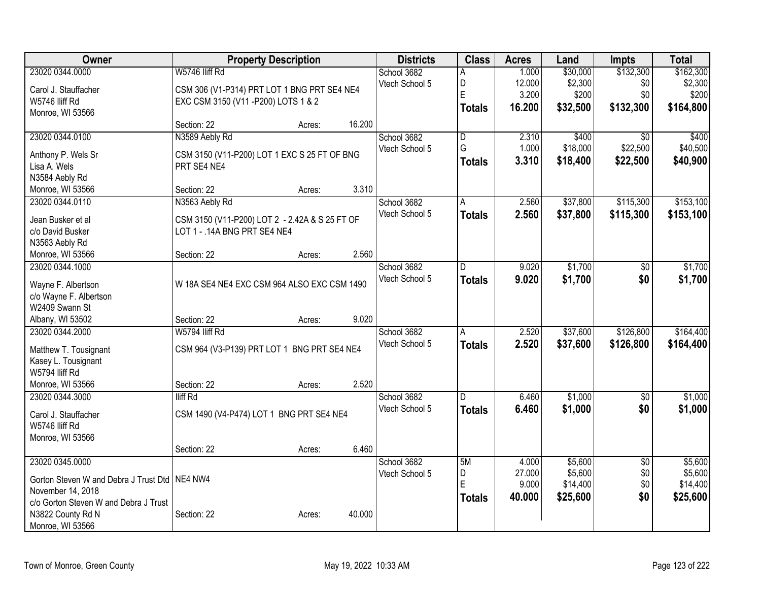| <b>Owner</b>                                    | <b>Property Description</b>                    |        |        | <b>Districts</b> | <b>Class</b>            | <b>Acres</b> | Land     | <b>Impts</b>    | <b>Total</b> |
|-------------------------------------------------|------------------------------------------------|--------|--------|------------------|-------------------------|--------------|----------|-----------------|--------------|
| 23020 0344.0000                                 | W5746 lliff Rd                                 |        |        | School 3682      |                         | 1.000        | \$30,000 | \$132,300       | \$162,300    |
| Carol J. Stauffacher                            | CSM 306 (V1-P314) PRT LOT 1 BNG PRT SE4 NE4    |        |        | Vtech School 5   | D                       | 12.000       | \$2,300  | \$0             | \$2,300      |
| W5746 Iliff Rd                                  | EXC CSM 3150 (V11 - P200) LOTS 1 & 2           |        |        |                  | E                       | 3.200        | \$200    | \$0             | \$200        |
| Monroe, WI 53566                                |                                                |        |        |                  | <b>Totals</b>           | 16.200       | \$32,500 | \$132,300       | \$164,800    |
|                                                 | Section: 22                                    | Acres: | 16.200 |                  |                         |              |          |                 |              |
| 23020 0344.0100                                 | N3589 Aebly Rd                                 |        |        | School 3682      | D                       | 2.310        | \$400    | $\overline{30}$ | \$400        |
| Anthony P. Wels Sr                              | CSM 3150 (V11-P200) LOT 1 EXC S 25 FT OF BNG   |        |        | Vtech School 5   | G                       | 1.000        | \$18,000 | \$22,500        | \$40,500     |
| Lisa A. Wels                                    | PRT SE4 NE4                                    |        |        |                  | <b>Totals</b>           | 3.310        | \$18,400 | \$22,500        | \$40,900     |
| N3584 Aebly Rd                                  |                                                |        |        |                  |                         |              |          |                 |              |
| Monroe, WI 53566                                | Section: 22                                    | Acres: | 3.310  |                  |                         |              |          |                 |              |
| 23020 0344.0110                                 | N3563 Aebly Rd                                 |        |        | School 3682      | A                       | 2.560        | \$37,800 | \$115,300       | \$153,100    |
|                                                 |                                                |        |        | Vtech School 5   | <b>Totals</b>           | 2.560        | \$37,800 | \$115,300       | \$153,100    |
| Jean Busker et al                               | CSM 3150 (V11-P200) LOT 2 - 2.42A & S 25 FT OF |        |        |                  |                         |              |          |                 |              |
| c/o David Busker                                | LOT 1 - . 14A BNG PRT SE4 NE4                  |        |        |                  |                         |              |          |                 |              |
| N3563 Aebly Rd                                  |                                                |        |        |                  |                         |              |          |                 |              |
| Monroe, WI 53566                                | Section: 22                                    | Acres: | 2.560  |                  |                         |              |          |                 |              |
| 23020 0344.1000                                 |                                                |        |        | School 3682      | D                       | 9.020        | \$1,700  | \$0             | \$1,700      |
| Wayne F. Albertson                              | W 18A SE4 NE4 EXC CSM 964 ALSO EXC CSM 1490    |        |        | Vtech School 5   | <b>Totals</b>           | 9.020        | \$1,700  | \$0             | \$1,700      |
| c/o Wayne F. Albertson                          |                                                |        |        |                  |                         |              |          |                 |              |
| W2409 Swann St                                  |                                                |        |        |                  |                         |              |          |                 |              |
| Albany, WI 53502                                | Section: 22                                    | Acres: | 9.020  |                  |                         |              |          |                 |              |
| 23020 0344.2000                                 | W5794 Iliff Rd                                 |        |        | School 3682      | A                       | 2.520        | \$37,600 | \$126,800       | \$164,400    |
|                                                 |                                                |        |        | Vtech School 5   | <b>Totals</b>           | 2.520        | \$37,600 | \$126,800       | \$164,400    |
| Matthew T. Tousignant                           | CSM 964 (V3-P139) PRT LOT 1 BNG PRT SE4 NE4    |        |        |                  |                         |              |          |                 |              |
| Kasey L. Tousignant<br>W5794 lliff Rd           |                                                |        |        |                  |                         |              |          |                 |              |
| Monroe, WI 53566                                | Section: 22                                    | Acres: | 2.520  |                  |                         |              |          |                 |              |
| 23020 0344.3000                                 | lliff Rd                                       |        |        | School 3682      | $\overline{\mathsf{D}}$ | 6.460        | \$1,000  | $\overline{50}$ | \$1,000      |
|                                                 |                                                |        |        | Vtech School 5   | <b>Totals</b>           | 6.460        | \$1,000  | \$0             | \$1,000      |
| Carol J. Stauffacher                            | CSM 1490 (V4-P474) LOT 1 BNG PRT SE4 NE4       |        |        |                  |                         |              |          |                 |              |
| W5746 lliff Rd                                  |                                                |        |        |                  |                         |              |          |                 |              |
| Monroe, WI 53566                                |                                                |        |        |                  |                         |              |          |                 |              |
|                                                 | Section: 22                                    | Acres: | 6.460  |                  |                         |              |          |                 |              |
| 23020 0345.0000                                 |                                                |        |        | School 3682      | 5M                      | 4.000        | \$5,600  | $\overline{60}$ | \$5,600      |
| Gorton Steven W and Debra J Trust Dtd   NE4 NW4 |                                                |        |        | Vtech School 5   | D                       | 27.000       | \$5,600  | \$0             | \$5,600      |
| November 14, 2018                               |                                                |        |        |                  | E                       | 9.000        | \$14,400 | \$0             | \$14,400     |
| c/o Gorton Steven W and Debra J Trust           |                                                |        |        |                  | <b>Totals</b>           | 40.000       | \$25,600 | \$0             | \$25,600     |
| N3822 County Rd N                               | Section: 22                                    | Acres: | 40.000 |                  |                         |              |          |                 |              |
| Monroe, WI 53566                                |                                                |        |        |                  |                         |              |          |                 |              |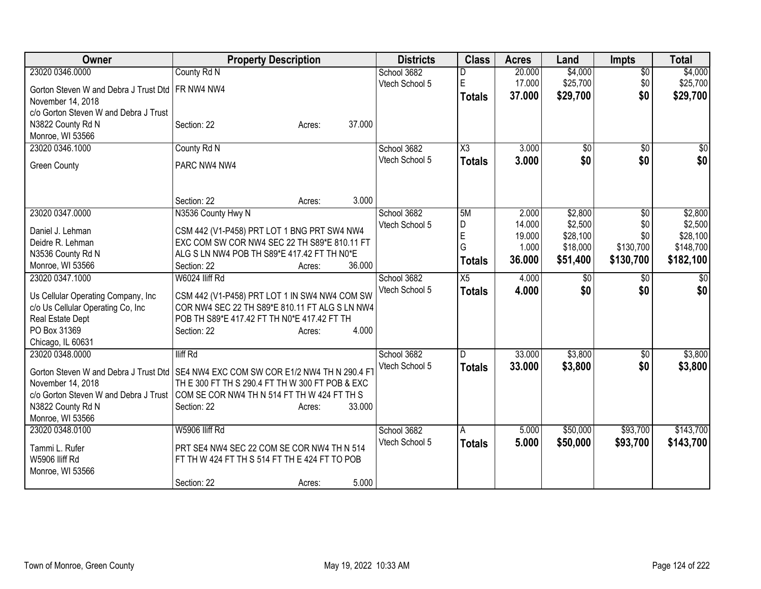| Owner                                              | <b>Property Description</b>                                                           | <b>Districts</b> | <b>Class</b>    | <b>Acres</b> | Land     | <b>Impts</b>    | <b>Total</b>    |
|----------------------------------------------------|---------------------------------------------------------------------------------------|------------------|-----------------|--------------|----------|-----------------|-----------------|
| 23020 0346.0000                                    | County Rd N                                                                           | School 3682      |                 | 20.000       | \$4,000  | $\overline{50}$ | \$4,000         |
| Gorton Steven W and Debra J Trust Dtd   FR NW4 NW4 |                                                                                       | Vtech School 5   | $\mathsf E$     | 17.000       | \$25,700 | \$0             | \$25,700        |
| November 14, 2018                                  |                                                                                       |                  | Totals          | 37.000       | \$29,700 | \$0             | \$29,700        |
| c/o Gorton Steven W and Debra J Trust              |                                                                                       |                  |                 |              |          |                 |                 |
| N3822 County Rd N                                  | 37.000<br>Section: 22<br>Acres:                                                       |                  |                 |              |          |                 |                 |
| Monroe, WI 53566                                   |                                                                                       |                  |                 |              |          |                 |                 |
| 23020 0346.1000                                    | County Rd N                                                                           | School 3682      | X3              | 3.000        | \$0      | $\overline{50}$ | \$0             |
|                                                    |                                                                                       | Vtech School 5   |                 | 3.000        | \$0      | \$0             | \$0             |
| <b>Green County</b>                                | PARC NW4 NW4                                                                          |                  | <b>Totals</b>   |              |          |                 |                 |
|                                                    |                                                                                       |                  |                 |              |          |                 |                 |
|                                                    | 3.000<br>Section: 22<br>Acres:                                                        |                  |                 |              |          |                 |                 |
| 23020 0347.0000                                    | N3536 County Hwy N                                                                    | School 3682      | 5M              | 2.000        | \$2,800  | $\overline{50}$ | \$2,800         |
| Daniel J. Lehman                                   | CSM 442 (V1-P458) PRT LOT 1 BNG PRT SW4 NW4                                           | Vtech School 5   | D               | 14.000       | \$2,500  | \$0             | \$2,500         |
| Deidre R. Lehman                                   | EXC COM SW COR NW4 SEC 22 TH S89*E 810.11 FT                                          |                  | $\overline{E}$  | 19.000       | \$28,100 | \$0             | \$28,100        |
| N3536 County Rd N                                  | ALG S LN NW4 POB TH S89*E 417.42 FT TH N0*E                                           |                  | G               | 1.000        | \$18,000 | \$130,700       | \$148,700       |
| Monroe, WI 53566                                   | Section: 22<br>36.000<br>Acres:                                                       |                  | <b>Totals</b>   | 36.000       | \$51,400 | \$130,700       | \$182,100       |
| 23020 0347.1000                                    | W6024 lliff Rd                                                                        | School 3682      | $\overline{X5}$ | 4.000        | \$0      | \$0             | $\overline{50}$ |
|                                                    |                                                                                       | Vtech School 5   |                 | 4.000        | \$0      | \$0             | \$0             |
| Us Cellular Operating Company, Inc.                | CSM 442 (V1-P458) PRT LOT 1 IN SW4 NW4 COM SW                                         |                  | <b>Totals</b>   |              |          |                 |                 |
| c/o Us Cellular Operating Co, Inc                  | COR NW4 SEC 22 TH S89*E 810.11 FT ALG S LN NW4                                        |                  |                 |              |          |                 |                 |
| Real Estate Dept                                   | POB TH S89*E 417.42 FT TH N0*E 417.42 FT TH                                           |                  |                 |              |          |                 |                 |
| PO Box 31369                                       | 4.000<br>Section: 22<br>Acres:                                                        |                  |                 |              |          |                 |                 |
| Chicago, IL 60631                                  |                                                                                       |                  |                 |              |          |                 |                 |
| 23020 0348.0000                                    | <b>Iliff Rd</b>                                                                       | School 3682      | D               | 33.000       | \$3,800  | \$0             | \$3,800         |
|                                                    | Gorton Steven W and Debra J Trust Dtd   SE4 NW4 EXC COM SW COR E1/2 NW4 TH N 290.4 FT | Vtech School 5   | <b>Totals</b>   | 33.000       | \$3,800  | \$0             | \$3,800         |
| November 14, 2018                                  | TH E 300 FT TH S 290.4 FT TH W 300 FT POB & EXC                                       |                  |                 |              |          |                 |                 |
|                                                    | c/o Gorton Steven W and Debra J Trust COM SE COR NW4 TH N 514 FT TH W 424 FT TH S     |                  |                 |              |          |                 |                 |
| N3822 County Rd N                                  | 33.000<br>Section: 22<br>Acres:                                                       |                  |                 |              |          |                 |                 |
| Monroe, WI 53566                                   |                                                                                       |                  |                 |              |          |                 |                 |
| 23020 0348.0100                                    | W5906 lliff Rd                                                                        | School 3682      | A               | 5.000        | \$50,000 | \$93,700        | \$143,700       |
|                                                    |                                                                                       | Vtech School 5   | <b>Totals</b>   | 5.000        | \$50,000 | \$93,700        | \$143,700       |
| Tammi L. Rufer                                     | PRT SE4 NW4 SEC 22 COM SE COR NW4 TH N 514                                            |                  |                 |              |          |                 |                 |
| W5906 lliff Rd                                     | FT TH W 424 FT TH S 514 FT TH E 424 FT TO POB                                         |                  |                 |              |          |                 |                 |
| Monroe, WI 53566                                   |                                                                                       |                  |                 |              |          |                 |                 |
|                                                    | 5.000<br>Section: 22<br>Acres:                                                        |                  |                 |              |          |                 |                 |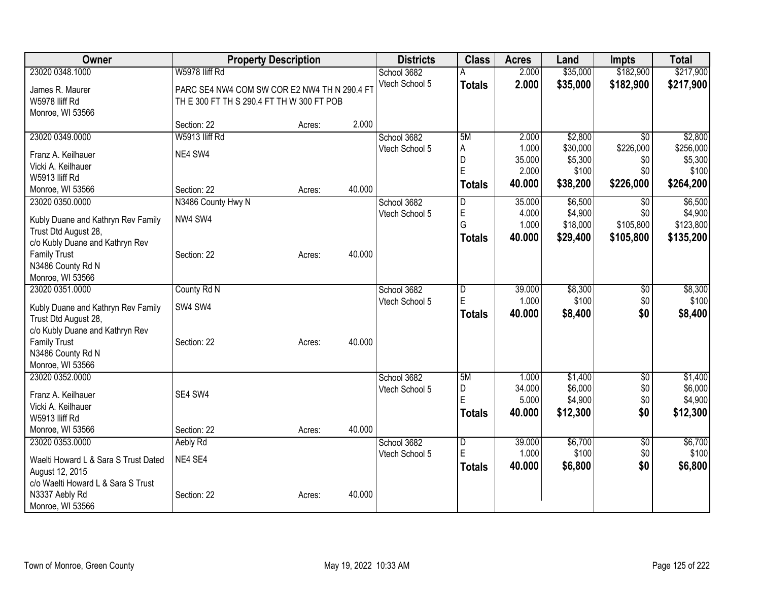| Owner                                                   | <b>Property Description</b>                  |        |        | <b>Districts</b> | <b>Class</b>  | <b>Acres</b> | Land     | <b>Impts</b>    | <b>Total</b> |
|---------------------------------------------------------|----------------------------------------------|--------|--------|------------------|---------------|--------------|----------|-----------------|--------------|
| 23020 0348.1000                                         | W5978 lliff Rd                               |        |        | School 3682      |               | 2.000        | \$35,000 | \$182,900       | \$217,900    |
| James R. Maurer                                         | PARC SE4 NW4 COM SW COR E2 NW4 TH N 290.4 FT |        |        | Vtech School 5   | <b>Totals</b> | 2.000        | \$35,000 | \$182,900       | \$217,900    |
| W5978 Iliff Rd                                          | TH E 300 FT TH S 290.4 FT TH W 300 FT POB    |        |        |                  |               |              |          |                 |              |
| Monroe, WI 53566                                        |                                              |        |        |                  |               |              |          |                 |              |
|                                                         | Section: 22                                  | Acres: | 2.000  |                  |               |              |          |                 |              |
| 23020 0349.0000                                         | W5913 lliff Rd                               |        |        | School 3682      | 5M            | 2.000        | \$2,800  | $\overline{50}$ | \$2,800      |
| Franz A. Keilhauer                                      | NE4 SW4                                      |        |        | Vtech School 5   | A             | 1.000        | \$30,000 | \$226,000       | \$256,000    |
| Vicki A. Keilhauer                                      |                                              |        |        |                  | D             | 35.000       | \$5,300  | \$0             | \$5,300      |
| W5913 Iliff Rd                                          |                                              |        |        |                  | E             | 2.000        | \$100    | \$0             | \$100        |
| Monroe, WI 53566                                        | Section: 22                                  | Acres: | 40.000 |                  | <b>Totals</b> | 40.000       | \$38,200 | \$226,000       | \$264,200    |
| 23020 0350.0000                                         | N3486 County Hwy N                           |        |        | School 3682      | D             | 35.000       | \$6,500  | $\sqrt{6}$      | \$6,500      |
|                                                         |                                              |        |        | Vtech School 5   | E             | 4.000        | \$4,900  | \$0             | \$4,900      |
| Kubly Duane and Kathryn Rev Family                      | NW4 SW4                                      |        |        |                  | G             | 1.000        | \$18,000 | \$105,800       | \$123,800    |
| Trust Dtd August 28,<br>c/o Kubly Duane and Kathryn Rev |                                              |        |        |                  | Totals        | 40.000       | \$29,400 | \$105,800       | \$135,200    |
| <b>Family Trust</b>                                     | Section: 22                                  | Acres: | 40.000 |                  |               |              |          |                 |              |
| N3486 County Rd N                                       |                                              |        |        |                  |               |              |          |                 |              |
| Monroe, WI 53566                                        |                                              |        |        |                  |               |              |          |                 |              |
| 23020 0351.0000                                         | County Rd N                                  |        |        | School 3682      | D             | 39.000       | \$8,300  | \$0             | \$8,300      |
|                                                         |                                              |        |        | Vtech School 5   | E             | 1.000        | \$100    | \$0             | \$100        |
| Kubly Duane and Kathryn Rev Family                      | SW4 SW4                                      |        |        |                  | Totals        | 40.000       | \$8,400  | \$0             | \$8,400      |
| Trust Dtd August 28,<br>c/o Kubly Duane and Kathryn Rev |                                              |        |        |                  |               |              |          |                 |              |
| <b>Family Trust</b>                                     | Section: 22                                  | Acres: | 40.000 |                  |               |              |          |                 |              |
| N3486 County Rd N                                       |                                              |        |        |                  |               |              |          |                 |              |
| Monroe, WI 53566                                        |                                              |        |        |                  |               |              |          |                 |              |
| 23020 0352.0000                                         |                                              |        |        | School 3682      | 5M            | 1.000        | \$1,400  | \$0             | \$1,400      |
|                                                         |                                              |        |        | Vtech School 5   | D             | 34.000       | \$6,000  | \$0             | \$6,000      |
| Franz A. Keilhauer<br>Vicki A. Keilhauer                | SE4 SW4                                      |        |        |                  | E             | 5.000        | \$4,900  | \$0             | \$4,900      |
| W5913 lliff Rd                                          |                                              |        |        |                  | <b>Totals</b> | 40.000       | \$12,300 | \$0             | \$12,300     |
| Monroe, WI 53566                                        | Section: 22                                  | Acres: | 40.000 |                  |               |              |          |                 |              |
| 23020 0353.0000                                         | Aebly Rd                                     |        |        | School 3682      | D             | 39.000       | \$6,700  | $\overline{50}$ | \$6,700      |
|                                                         |                                              |        |        | Vtech School 5   | E             | 1.000        | \$100    | \$0             | \$100        |
| Waelti Howard L & Sara S Trust Dated                    | NE4 SE4                                      |        |        |                  | Totals        | 40.000       | \$6,800  | \$0             | \$6,800      |
| August 12, 2015                                         |                                              |        |        |                  |               |              |          |                 |              |
| c/o Waelti Howard L & Sara S Trust                      |                                              |        |        |                  |               |              |          |                 |              |
| N3337 Aebly Rd                                          | Section: 22                                  | Acres: | 40.000 |                  |               |              |          |                 |              |
| Monroe, WI 53566                                        |                                              |        |        |                  |               |              |          |                 |              |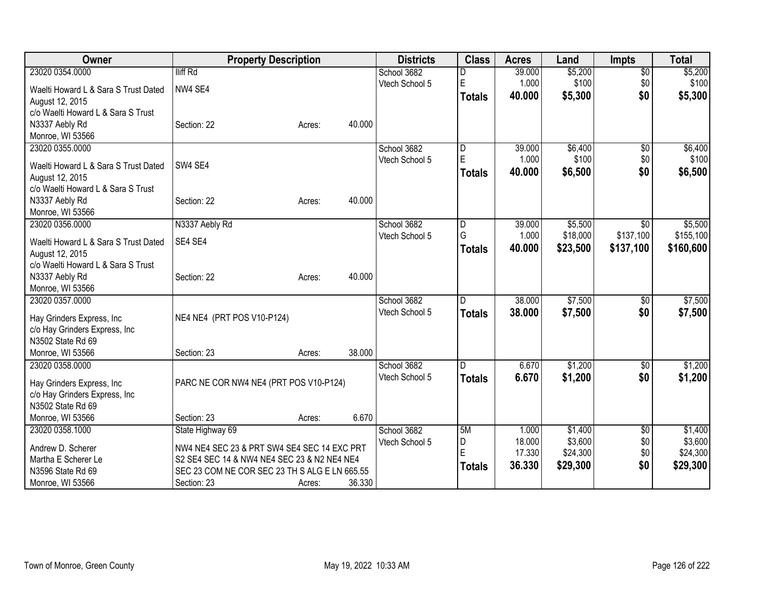| lliff Rd<br>23020 0354.0000<br>\$5,200<br>\$5,200<br>School 3682<br>39.000<br>$\overline{50}$<br>E<br>\$100<br>1.000<br>\$0<br>\$100<br>Vtech School 5<br>NW4 SE4<br>Waelti Howard L & Sara S Trust Dated<br>\$0<br>\$5,300<br>40,000<br>\$5,300<br><b>Totals</b><br>August 12, 2015<br>c/o Waelti Howard L & Sara S Trust<br>N3337 Aebly Rd<br>40.000<br>Section: 22<br>Acres:<br>Monroe, WI 53566<br>39.000<br>\$6,400<br>23020 0355.0000<br>School 3682<br>$\overline{50}$<br>D<br>E<br>\$100<br>1.000<br>\$0<br>Vtech School 5<br>SW4 SE4<br>Waelti Howard L & Sara S Trust Dated<br>40.000<br>\$0<br>\$6,500<br><b>Totals</b><br>August 12, 2015<br>c/o Waelti Howard L & Sara S Trust<br>40.000<br>N3337 Aebly Rd<br>Section: 22<br>Acres:<br>Monroe, WI 53566<br>N3337 Aebly Rd<br>39.000<br>\$5,500<br>23020 0356.0000<br>School 3682<br>D<br>$\overline{50}$<br>G<br>\$18,000<br>\$137,100<br>1.000<br>Vtech School 5<br>SE4 SE4<br>Waelti Howard L & Sara S Trust Dated<br>40,000<br>\$23,500<br>\$137,100<br><b>Totals</b><br>August 12, 2015<br>c/o Waelti Howard L & Sara S Trust<br>40.000<br>N3337 Aebly Rd<br>Section: 22<br>Acres:<br>Monroe, WI 53566<br>38.000<br>\$7,500<br>23020 0357.0000<br>School 3682<br>D.<br>\$0<br>Vtech School 5<br>38.000<br>\$7,500<br>\$0<br><b>Totals</b><br>NE4 NE4 (PRT POS V10-P124)<br>Hay Grinders Express, Inc<br>c/o Hay Grinders Express, Inc<br>N3502 State Rd 69<br>38.000<br>Monroe, WI 53566<br>Section: 23<br>Acres:<br>\$1,200<br>23020 0358.0000<br>School 3682<br>D.<br>6.670<br>$\overline{50}$<br>Vtech School 5<br>\$1,200<br>\$0<br>6.670<br>\$1,200<br><b>Totals</b><br>PARC NE COR NW4 NE4 (PRT POS V10-P124)<br>Hay Grinders Express, Inc<br>c/o Hay Grinders Express, Inc<br>N3502 State Rd 69<br>6.670<br>Monroe, WI 53566<br>Section: 23<br>Acres:<br>School 3682<br>5M<br>\$1,400<br>23020 0358.1000<br>State Highway 69<br>1.000<br>\$0<br>\$3,600<br>D<br>18.000<br>\$0<br>Vtech School 5<br>Andrew D. Scherer<br>NW4 NE4 SEC 23 & PRT SW4 SE4 SEC 14 EXC PRT<br>E<br>17.330<br>\$24,300<br>\$0<br>Martha E Scherer Le<br>S2 SE4 SEC 14 & NW4 NE4 SEC 23 & N2 NE4 NE4<br>36.330<br>\$29,300<br>\$0<br>\$29,300<br><b>Totals</b><br>SEC 23 COM NE COR SEC 23 TH S ALG E LN 665.55<br>N3596 State Rd 69 | <b>Owner</b>     | <b>Property Description</b> |                  | <b>Districts</b> | <b>Class</b> | <b>Acres</b> | Land | <b>Impts</b> | <b>Total</b> |
|-------------------------------------------------------------------------------------------------------------------------------------------------------------------------------------------------------------------------------------------------------------------------------------------------------------------------------------------------------------------------------------------------------------------------------------------------------------------------------------------------------------------------------------------------------------------------------------------------------------------------------------------------------------------------------------------------------------------------------------------------------------------------------------------------------------------------------------------------------------------------------------------------------------------------------------------------------------------------------------------------------------------------------------------------------------------------------------------------------------------------------------------------------------------------------------------------------------------------------------------------------------------------------------------------------------------------------------------------------------------------------------------------------------------------------------------------------------------------------------------------------------------------------------------------------------------------------------------------------------------------------------------------------------------------------------------------------------------------------------------------------------------------------------------------------------------------------------------------------------------------------------------------------------------------------------------------------------------------------------------------------------------------------------------------------------------------------------------------------------------------------------------------------------------------------------------------------------------------------------------------------------------------------------|------------------|-----------------------------|------------------|------------------|--------------|--------------|------|--------------|--------------|
|                                                                                                                                                                                                                                                                                                                                                                                                                                                                                                                                                                                                                                                                                                                                                                                                                                                                                                                                                                                                                                                                                                                                                                                                                                                                                                                                                                                                                                                                                                                                                                                                                                                                                                                                                                                                                                                                                                                                                                                                                                                                                                                                                                                                                                                                                     |                  |                             |                  |                  |              |              |      |              |              |
|                                                                                                                                                                                                                                                                                                                                                                                                                                                                                                                                                                                                                                                                                                                                                                                                                                                                                                                                                                                                                                                                                                                                                                                                                                                                                                                                                                                                                                                                                                                                                                                                                                                                                                                                                                                                                                                                                                                                                                                                                                                                                                                                                                                                                                                                                     |                  |                             |                  |                  |              |              |      |              |              |
| \$6,500<br>\$7,500<br>\$1,400<br>\$24,300                                                                                                                                                                                                                                                                                                                                                                                                                                                                                                                                                                                                                                                                                                                                                                                                                                                                                                                                                                                                                                                                                                                                                                                                                                                                                                                                                                                                                                                                                                                                                                                                                                                                                                                                                                                                                                                                                                                                                                                                                                                                                                                                                                                                                                           |                  |                             |                  |                  |              |              |      |              |              |
| \$6,400<br>\$100<br>\$5,500<br>\$155,100<br>\$160,600<br>\$7,500<br>\$1,200<br>\$3,600                                                                                                                                                                                                                                                                                                                                                                                                                                                                                                                                                                                                                                                                                                                                                                                                                                                                                                                                                                                                                                                                                                                                                                                                                                                                                                                                                                                                                                                                                                                                                                                                                                                                                                                                                                                                                                                                                                                                                                                                                                                                                                                                                                                              |                  |                             |                  |                  |              |              |      |              |              |
|                                                                                                                                                                                                                                                                                                                                                                                                                                                                                                                                                                                                                                                                                                                                                                                                                                                                                                                                                                                                                                                                                                                                                                                                                                                                                                                                                                                                                                                                                                                                                                                                                                                                                                                                                                                                                                                                                                                                                                                                                                                                                                                                                                                                                                                                                     |                  |                             |                  |                  |              |              |      |              |              |
|                                                                                                                                                                                                                                                                                                                                                                                                                                                                                                                                                                                                                                                                                                                                                                                                                                                                                                                                                                                                                                                                                                                                                                                                                                                                                                                                                                                                                                                                                                                                                                                                                                                                                                                                                                                                                                                                                                                                                                                                                                                                                                                                                                                                                                                                                     |                  |                             |                  |                  |              |              |      |              |              |
|                                                                                                                                                                                                                                                                                                                                                                                                                                                                                                                                                                                                                                                                                                                                                                                                                                                                                                                                                                                                                                                                                                                                                                                                                                                                                                                                                                                                                                                                                                                                                                                                                                                                                                                                                                                                                                                                                                                                                                                                                                                                                                                                                                                                                                                                                     |                  |                             |                  |                  |              |              |      |              |              |
|                                                                                                                                                                                                                                                                                                                                                                                                                                                                                                                                                                                                                                                                                                                                                                                                                                                                                                                                                                                                                                                                                                                                                                                                                                                                                                                                                                                                                                                                                                                                                                                                                                                                                                                                                                                                                                                                                                                                                                                                                                                                                                                                                                                                                                                                                     |                  |                             |                  |                  |              |              |      |              |              |
|                                                                                                                                                                                                                                                                                                                                                                                                                                                                                                                                                                                                                                                                                                                                                                                                                                                                                                                                                                                                                                                                                                                                                                                                                                                                                                                                                                                                                                                                                                                                                                                                                                                                                                                                                                                                                                                                                                                                                                                                                                                                                                                                                                                                                                                                                     |                  |                             |                  |                  |              |              |      |              |              |
|                                                                                                                                                                                                                                                                                                                                                                                                                                                                                                                                                                                                                                                                                                                                                                                                                                                                                                                                                                                                                                                                                                                                                                                                                                                                                                                                                                                                                                                                                                                                                                                                                                                                                                                                                                                                                                                                                                                                                                                                                                                                                                                                                                                                                                                                                     |                  |                             |                  |                  |              |              |      |              |              |
|                                                                                                                                                                                                                                                                                                                                                                                                                                                                                                                                                                                                                                                                                                                                                                                                                                                                                                                                                                                                                                                                                                                                                                                                                                                                                                                                                                                                                                                                                                                                                                                                                                                                                                                                                                                                                                                                                                                                                                                                                                                                                                                                                                                                                                                                                     |                  |                             |                  |                  |              |              |      |              |              |
|                                                                                                                                                                                                                                                                                                                                                                                                                                                                                                                                                                                                                                                                                                                                                                                                                                                                                                                                                                                                                                                                                                                                                                                                                                                                                                                                                                                                                                                                                                                                                                                                                                                                                                                                                                                                                                                                                                                                                                                                                                                                                                                                                                                                                                                                                     |                  |                             |                  |                  |              |              |      |              |              |
|                                                                                                                                                                                                                                                                                                                                                                                                                                                                                                                                                                                                                                                                                                                                                                                                                                                                                                                                                                                                                                                                                                                                                                                                                                                                                                                                                                                                                                                                                                                                                                                                                                                                                                                                                                                                                                                                                                                                                                                                                                                                                                                                                                                                                                                                                     |                  |                             |                  |                  |              |              |      |              |              |
|                                                                                                                                                                                                                                                                                                                                                                                                                                                                                                                                                                                                                                                                                                                                                                                                                                                                                                                                                                                                                                                                                                                                                                                                                                                                                                                                                                                                                                                                                                                                                                                                                                                                                                                                                                                                                                                                                                                                                                                                                                                                                                                                                                                                                                                                                     |                  |                             |                  |                  |              |              |      |              |              |
|                                                                                                                                                                                                                                                                                                                                                                                                                                                                                                                                                                                                                                                                                                                                                                                                                                                                                                                                                                                                                                                                                                                                                                                                                                                                                                                                                                                                                                                                                                                                                                                                                                                                                                                                                                                                                                                                                                                                                                                                                                                                                                                                                                                                                                                                                     |                  |                             |                  |                  |              |              |      |              |              |
|                                                                                                                                                                                                                                                                                                                                                                                                                                                                                                                                                                                                                                                                                                                                                                                                                                                                                                                                                                                                                                                                                                                                                                                                                                                                                                                                                                                                                                                                                                                                                                                                                                                                                                                                                                                                                                                                                                                                                                                                                                                                                                                                                                                                                                                                                     |                  |                             |                  |                  |              |              |      |              |              |
|                                                                                                                                                                                                                                                                                                                                                                                                                                                                                                                                                                                                                                                                                                                                                                                                                                                                                                                                                                                                                                                                                                                                                                                                                                                                                                                                                                                                                                                                                                                                                                                                                                                                                                                                                                                                                                                                                                                                                                                                                                                                                                                                                                                                                                                                                     |                  |                             |                  |                  |              |              |      |              |              |
|                                                                                                                                                                                                                                                                                                                                                                                                                                                                                                                                                                                                                                                                                                                                                                                                                                                                                                                                                                                                                                                                                                                                                                                                                                                                                                                                                                                                                                                                                                                                                                                                                                                                                                                                                                                                                                                                                                                                                                                                                                                                                                                                                                                                                                                                                     |                  |                             |                  |                  |              |              |      |              |              |
|                                                                                                                                                                                                                                                                                                                                                                                                                                                                                                                                                                                                                                                                                                                                                                                                                                                                                                                                                                                                                                                                                                                                                                                                                                                                                                                                                                                                                                                                                                                                                                                                                                                                                                                                                                                                                                                                                                                                                                                                                                                                                                                                                                                                                                                                                     |                  |                             |                  |                  |              |              |      |              |              |
|                                                                                                                                                                                                                                                                                                                                                                                                                                                                                                                                                                                                                                                                                                                                                                                                                                                                                                                                                                                                                                                                                                                                                                                                                                                                                                                                                                                                                                                                                                                                                                                                                                                                                                                                                                                                                                                                                                                                                                                                                                                                                                                                                                                                                                                                                     |                  |                             |                  |                  |              |              |      |              |              |
|                                                                                                                                                                                                                                                                                                                                                                                                                                                                                                                                                                                                                                                                                                                                                                                                                                                                                                                                                                                                                                                                                                                                                                                                                                                                                                                                                                                                                                                                                                                                                                                                                                                                                                                                                                                                                                                                                                                                                                                                                                                                                                                                                                                                                                                                                     |                  |                             |                  |                  |              |              |      |              |              |
|                                                                                                                                                                                                                                                                                                                                                                                                                                                                                                                                                                                                                                                                                                                                                                                                                                                                                                                                                                                                                                                                                                                                                                                                                                                                                                                                                                                                                                                                                                                                                                                                                                                                                                                                                                                                                                                                                                                                                                                                                                                                                                                                                                                                                                                                                     |                  |                             |                  |                  |              |              |      |              |              |
|                                                                                                                                                                                                                                                                                                                                                                                                                                                                                                                                                                                                                                                                                                                                                                                                                                                                                                                                                                                                                                                                                                                                                                                                                                                                                                                                                                                                                                                                                                                                                                                                                                                                                                                                                                                                                                                                                                                                                                                                                                                                                                                                                                                                                                                                                     |                  |                             |                  |                  |              |              |      |              |              |
|                                                                                                                                                                                                                                                                                                                                                                                                                                                                                                                                                                                                                                                                                                                                                                                                                                                                                                                                                                                                                                                                                                                                                                                                                                                                                                                                                                                                                                                                                                                                                                                                                                                                                                                                                                                                                                                                                                                                                                                                                                                                                                                                                                                                                                                                                     |                  |                             |                  |                  |              |              |      |              |              |
|                                                                                                                                                                                                                                                                                                                                                                                                                                                                                                                                                                                                                                                                                                                                                                                                                                                                                                                                                                                                                                                                                                                                                                                                                                                                                                                                                                                                                                                                                                                                                                                                                                                                                                                                                                                                                                                                                                                                                                                                                                                                                                                                                                                                                                                                                     |                  |                             |                  |                  |              |              |      |              |              |
|                                                                                                                                                                                                                                                                                                                                                                                                                                                                                                                                                                                                                                                                                                                                                                                                                                                                                                                                                                                                                                                                                                                                                                                                                                                                                                                                                                                                                                                                                                                                                                                                                                                                                                                                                                                                                                                                                                                                                                                                                                                                                                                                                                                                                                                                                     |                  |                             |                  |                  |              |              |      |              |              |
|                                                                                                                                                                                                                                                                                                                                                                                                                                                                                                                                                                                                                                                                                                                                                                                                                                                                                                                                                                                                                                                                                                                                                                                                                                                                                                                                                                                                                                                                                                                                                                                                                                                                                                                                                                                                                                                                                                                                                                                                                                                                                                                                                                                                                                                                                     |                  |                             |                  |                  |              |              |      |              |              |
|                                                                                                                                                                                                                                                                                                                                                                                                                                                                                                                                                                                                                                                                                                                                                                                                                                                                                                                                                                                                                                                                                                                                                                                                                                                                                                                                                                                                                                                                                                                                                                                                                                                                                                                                                                                                                                                                                                                                                                                                                                                                                                                                                                                                                                                                                     |                  |                             |                  |                  |              |              |      |              |              |
|                                                                                                                                                                                                                                                                                                                                                                                                                                                                                                                                                                                                                                                                                                                                                                                                                                                                                                                                                                                                                                                                                                                                                                                                                                                                                                                                                                                                                                                                                                                                                                                                                                                                                                                                                                                                                                                                                                                                                                                                                                                                                                                                                                                                                                                                                     |                  |                             |                  |                  |              |              |      |              |              |
|                                                                                                                                                                                                                                                                                                                                                                                                                                                                                                                                                                                                                                                                                                                                                                                                                                                                                                                                                                                                                                                                                                                                                                                                                                                                                                                                                                                                                                                                                                                                                                                                                                                                                                                                                                                                                                                                                                                                                                                                                                                                                                                                                                                                                                                                                     |                  |                             |                  |                  |              |              |      |              |              |
|                                                                                                                                                                                                                                                                                                                                                                                                                                                                                                                                                                                                                                                                                                                                                                                                                                                                                                                                                                                                                                                                                                                                                                                                                                                                                                                                                                                                                                                                                                                                                                                                                                                                                                                                                                                                                                                                                                                                                                                                                                                                                                                                                                                                                                                                                     |                  |                             |                  |                  |              |              |      |              |              |
|                                                                                                                                                                                                                                                                                                                                                                                                                                                                                                                                                                                                                                                                                                                                                                                                                                                                                                                                                                                                                                                                                                                                                                                                                                                                                                                                                                                                                                                                                                                                                                                                                                                                                                                                                                                                                                                                                                                                                                                                                                                                                                                                                                                                                                                                                     |                  |                             |                  |                  |              |              |      |              |              |
|                                                                                                                                                                                                                                                                                                                                                                                                                                                                                                                                                                                                                                                                                                                                                                                                                                                                                                                                                                                                                                                                                                                                                                                                                                                                                                                                                                                                                                                                                                                                                                                                                                                                                                                                                                                                                                                                                                                                                                                                                                                                                                                                                                                                                                                                                     |                  |                             |                  |                  |              |              |      |              |              |
|                                                                                                                                                                                                                                                                                                                                                                                                                                                                                                                                                                                                                                                                                                                                                                                                                                                                                                                                                                                                                                                                                                                                                                                                                                                                                                                                                                                                                                                                                                                                                                                                                                                                                                                                                                                                                                                                                                                                                                                                                                                                                                                                                                                                                                                                                     | Monroe, WI 53566 | Section: 23                 | 36.330<br>Acres: |                  |              |              |      |              |              |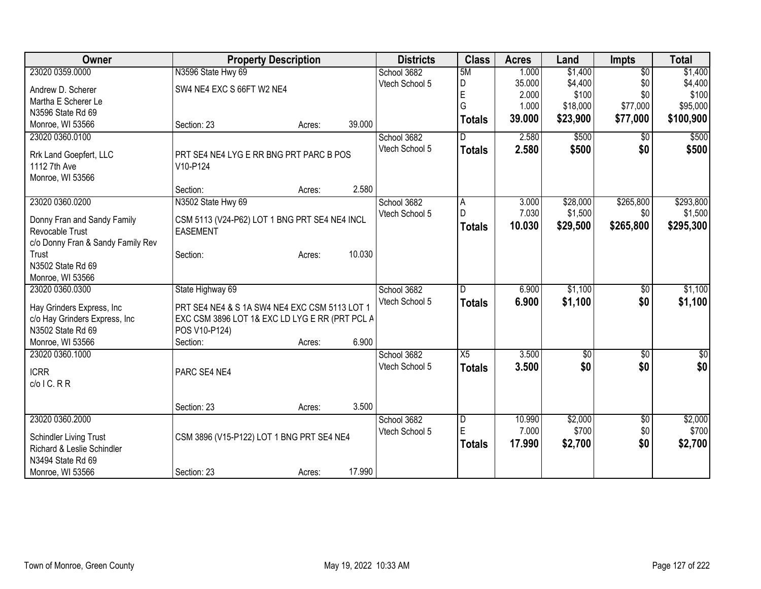| Owner                                           | <b>Property Description</b>                    |        |        | <b>Districts</b> | <b>Class</b>   | <b>Acres</b> | Land            | <b>Impts</b>    | <b>Total</b>     |
|-------------------------------------------------|------------------------------------------------|--------|--------|------------------|----------------|--------------|-----------------|-----------------|------------------|
| 23020 0359.0000                                 | N3596 State Hwy 69                             |        |        | School 3682      | 5M             | 1.000        | \$1,400         | $\overline{50}$ | \$1,400          |
| Andrew D. Scherer                               | SW4 NE4 EXC S 66FT W2 NE4                      |        |        | Vtech School 5   | D              | 35.000       | \$4,400         | \$0             | \$4,400          |
| Martha E Scherer Le                             |                                                |        |        |                  | E              | 2.000        | \$100           | \$0             | \$100            |
| N3596 State Rd 69                               |                                                |        |        |                  | G              | 1.000        | \$18,000        | \$77,000        | \$95,000         |
| Monroe, WI 53566                                | Section: 23                                    | Acres: | 39.000 |                  | <b>Totals</b>  | 39.000       | \$23,900        | \$77,000        | \$100,900        |
| 23020 0360.0100                                 |                                                |        |        | School 3682      | D              | 2.580        | \$500           | \$0             | \$500            |
|                                                 |                                                |        |        | Vtech School 5   |                | 2.580        | \$500           | \$0             | \$500            |
| Rrk Land Goepfert, LLC                          | PRT SE4 NE4 LYG E RR BNG PRT PARC B POS        |        |        |                  | <b>Totals</b>  |              |                 |                 |                  |
| 1112 7th Ave                                    | V10-P124                                       |        |        |                  |                |              |                 |                 |                  |
| Monroe, WI 53566                                |                                                |        |        |                  |                |              |                 |                 |                  |
|                                                 | Section:                                       | Acres: | 2.580  |                  |                |              |                 |                 |                  |
| 23020 0360.0200                                 | N3502 State Hwy 69                             |        |        | School 3682      | A              | 3.000        | \$28,000        | \$265,800       | \$293,800        |
| Donny Fran and Sandy Family                     | CSM 5113 (V24-P62) LOT 1 BNG PRT SE4 NE4 INCL  |        |        | Vtech School 5   | D              | 7.030        | \$1,500         | \$0             | \$1,500          |
| Revocable Trust                                 | <b>EASEMENT</b>                                |        |        |                  | <b>Totals</b>  | 10.030       | \$29,500        | \$265,800       | \$295,300        |
| c/o Donny Fran & Sandy Family Rev               |                                                |        |        |                  |                |              |                 |                 |                  |
| Trust                                           | Section:                                       | Acres: | 10.030 |                  |                |              |                 |                 |                  |
| N3502 State Rd 69                               |                                                |        |        |                  |                |              |                 |                 |                  |
| Monroe, WI 53566                                |                                                |        |        |                  |                |              |                 |                 |                  |
| 23020 0360.0300                                 | State Highway 69                               |        |        | School 3682      | D              | 6.900        | \$1,100         | \$0             | \$1,100          |
|                                                 |                                                |        |        | Vtech School 5   | <b>Totals</b>  | 6.900        | \$1,100         | \$0             | \$1,100          |
| Hay Grinders Express, Inc                       | PRT SE4 NE4 & S 1A SW4 NE4 EXC CSM 5113 LOT 1  |        |        |                  |                |              |                 |                 |                  |
| c/o Hay Grinders Express, Inc                   | EXC CSM 3896 LOT 1& EXC LD LYG E RR (PRT PCL A |        |        |                  |                |              |                 |                 |                  |
| N3502 State Rd 69                               | POS V10-P124)                                  |        |        |                  |                |              |                 |                 |                  |
| Monroe, WI 53566                                | Section:                                       | Acres: | 6.900  |                  |                |              |                 |                 |                  |
| 23020 0360.1000                                 |                                                |        |        | School 3682      | X5             | 3.500        | $\overline{50}$ | $\overline{50}$ | $\overline{\$0}$ |
| <b>ICRR</b>                                     | PARC SE4 NE4                                   |        |        | Vtech School 5   | <b>Totals</b>  | 3.500        | \$0             | \$0             | \$0              |
| $c/o$ I C. R R                                  |                                                |        |        |                  |                |              |                 |                 |                  |
|                                                 |                                                |        |        |                  |                |              |                 |                 |                  |
|                                                 | Section: 23                                    | Acres: | 3.500  |                  |                |              |                 |                 |                  |
| 23020 0360.2000                                 |                                                |        |        | School 3682      | $\overline{D}$ | 10.990       | \$2,000         | $\overline{50}$ | \$2,000          |
|                                                 |                                                |        |        | Vtech School 5   | E              | 7.000        | \$700           | \$0             | \$700            |
| Schindler Living Trust                          | CSM 3896 (V15-P122) LOT 1 BNG PRT SE4 NE4      |        |        |                  | <b>Totals</b>  | 17.990       | \$2,700         | \$0             | \$2,700          |
| Richard & Leslie Schindler<br>N3494 State Rd 69 |                                                |        |        |                  |                |              |                 |                 |                  |
|                                                 |                                                |        | 17.990 |                  |                |              |                 |                 |                  |
| Monroe, WI 53566                                | Section: 23                                    | Acres: |        |                  |                |              |                 |                 |                  |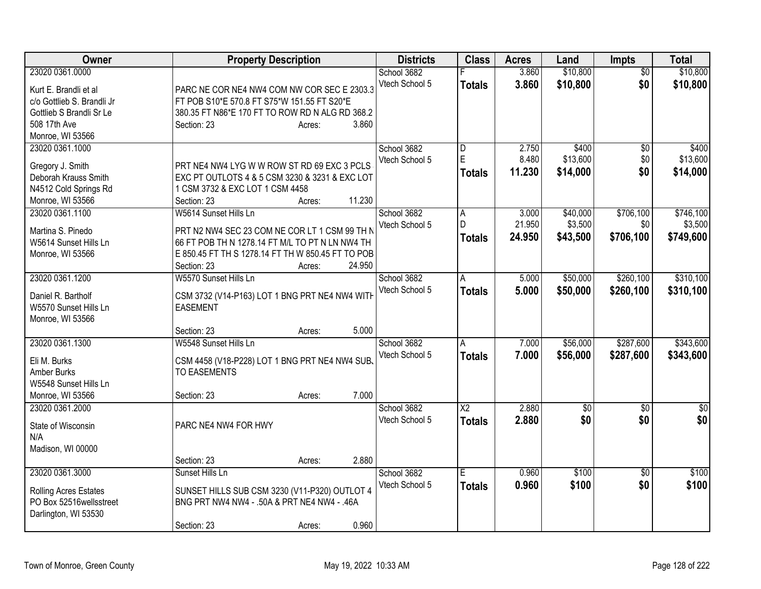| Owner                      | <b>Property Description</b>                       |                  | <b>Districts</b> | <b>Class</b>           | <b>Acres</b> | Land            | <b>Impts</b>    | <b>Total</b> |
|----------------------------|---------------------------------------------------|------------------|------------------|------------------------|--------------|-----------------|-----------------|--------------|
| 23020 0361.0000            |                                                   |                  | School 3682      |                        | 3.860        | \$10,800        | $\overline{50}$ | \$10,800     |
| Kurt E. Brandli et al      | PARC NE COR NE4 NW4 COM NW COR SEC E 2303.3       |                  | Vtech School 5   | <b>Totals</b>          | 3.860        | \$10,800        | \$0             | \$10,800     |
| c/o Gottlieb S. Brandli Jr | FT POB S10*E 570.8 FT S75*W 151.55 FT S20*E       |                  |                  |                        |              |                 |                 |              |
| Gottlieb S Brandli Sr Le   | 380.35 FT N86*E 170 FT TO ROW RD N ALG RD 368.2   |                  |                  |                        |              |                 |                 |              |
| 508 17th Ave               | Section: 23                                       | 3.860<br>Acres:  |                  |                        |              |                 |                 |              |
| Monroe, WI 53566           |                                                   |                  |                  |                        |              |                 |                 |              |
| 23020 0361.1000            |                                                   |                  | School 3682      | D                      | 2.750        | \$400           | \$0             | \$400        |
| Gregory J. Smith           | PRT NE4 NW4 LYG W W ROW ST RD 69 EXC 3 PCLS       |                  | Vtech School 5   | E                      | 8.480        | \$13,600        | \$0             | \$13,600     |
| Deborah Krauss Smith       | EXC PT OUTLOTS 4 & 5 CSM 3230 & 3231 & EXC LOT    |                  |                  | <b>Totals</b>          | 11.230       | \$14,000        | \$0             | \$14,000     |
| N4512 Cold Springs Rd      | 1 CSM 3732 & EXC LOT 1 CSM 4458                   |                  |                  |                        |              |                 |                 |              |
| Monroe, WI 53566           | Section: 23                                       | 11.230           |                  |                        |              |                 |                 |              |
| 23020 0361.1100            | W5614 Sunset Hills Ln                             | Acres:           | School 3682      | A                      | 3.000        | \$40,000        | \$706,100       | \$746,100    |
|                            |                                                   |                  | Vtech School 5   | D                      | 21.950       | \$3,500         | \$0             | \$3,500      |
| Martina S. Pinedo          | PRT N2 NW4 SEC 23 COM NE COR LT 1 CSM 99 TH N     |                  |                  |                        |              |                 |                 |              |
| W5614 Sunset Hills Ln      | 66 FT POB TH N 1278.14 FT M/L TO PT N LN NW4 TH   |                  |                  | <b>Totals</b>          | 24.950       | \$43,500        | \$706,100       | \$749,600    |
| Monroe, WI 53566           | E 850.45 FT TH S 1278.14 FT TH W 850.45 FT TO POB |                  |                  |                        |              |                 |                 |              |
|                            | Section: 23                                       | 24.950<br>Acres: |                  |                        |              |                 |                 |              |
| 23020 0361.1200            | W5570 Sunset Hills Ln                             |                  | School 3682      | A                      | 5.000        | \$50,000        | \$260,100       | \$310,100    |
|                            |                                                   |                  | Vtech School 5   | <b>Totals</b>          | 5.000        | \$50,000        | \$260,100       | \$310,100    |
| Daniel R. Bartholf         | CSM 3732 (V14-P163) LOT 1 BNG PRT NE4 NW4 WITH    |                  |                  |                        |              |                 |                 |              |
| W5570 Sunset Hills Ln      | <b>EASEMENT</b>                                   |                  |                  |                        |              |                 |                 |              |
| Monroe, WI 53566           | Section: 23                                       | 5.000            |                  |                        |              |                 |                 |              |
| 23020 0361.1300            | W5548 Sunset Hills Ln                             | Acres:           | School 3682      | A                      | 7.000        | \$56,000        | \$287,600       | \$343,600    |
|                            |                                                   |                  | Vtech School 5   |                        |              |                 |                 |              |
| Eli M. Burks               | CSM 4458 (V18-P228) LOT 1 BNG PRT NE4 NW4 SUB.    |                  |                  | <b>Totals</b>          | 7.000        | \$56,000        | \$287,600       | \$343,600    |
| Amber Burks                | <b>TO EASEMENTS</b>                               |                  |                  |                        |              |                 |                 |              |
| W5548 Sunset Hills Ln      |                                                   |                  |                  |                        |              |                 |                 |              |
| Monroe, WI 53566           | Section: 23                                       | 7.000<br>Acres:  |                  |                        |              |                 |                 |              |
| 23020 0361.2000            |                                                   |                  | School 3682      | $\overline{\text{X2}}$ | 2.880        | $\overline{60}$ | $\overline{30}$ | \$0          |
| State of Wisconsin         | PARC NE4 NW4 FOR HWY                              |                  | Vtech School 5   | <b>Totals</b>          | 2.880        | \$0             | \$0             | \$0          |
| N/A                        |                                                   |                  |                  |                        |              |                 |                 |              |
| Madison, WI 00000          |                                                   |                  |                  |                        |              |                 |                 |              |
|                            | Section: 23                                       | 2.880<br>Acres:  |                  |                        |              |                 |                 |              |
| 23020 0361.3000            | Sunset Hills Ln                                   |                  | School 3682      | Ē                      | 0.960        | \$100           | $\overline{50}$ | \$100        |
|                            |                                                   |                  | Vtech School 5   |                        | 0.960        | \$100           | \$0             |              |
| Rolling Acres Estates      | SUNSET HILLS SUB CSM 3230 (V11-P320) OUTLOT 4     |                  |                  | <b>Totals</b>          |              |                 |                 | \$100        |
| PO Box 52516wellsstreet    | BNG PRT NW4 NW4 - .50A & PRT NE4 NW4 - .46A       |                  |                  |                        |              |                 |                 |              |
| Darlington, WI 53530       |                                                   |                  |                  |                        |              |                 |                 |              |
|                            | Section: 23                                       | 0.960<br>Acres:  |                  |                        |              |                 |                 |              |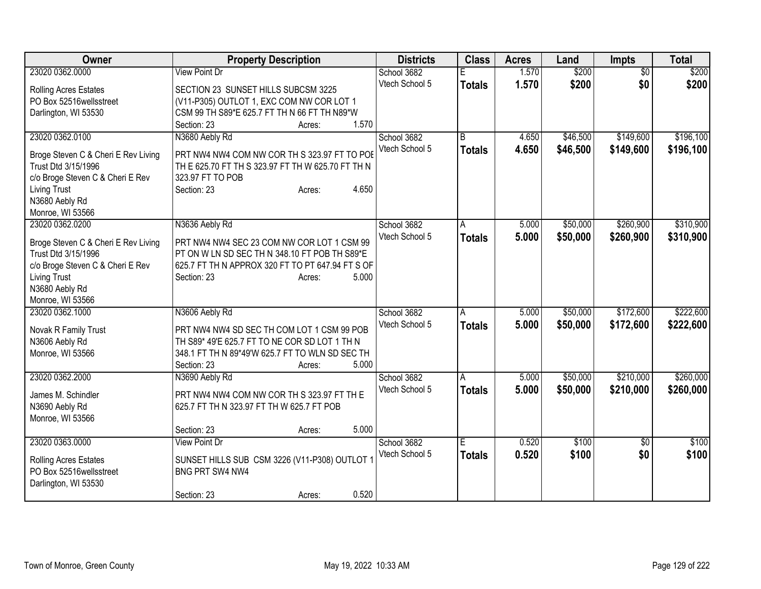| Owner                                 | <b>Property Description</b>                               | <b>Districts</b> | <b>Class</b>  | <b>Acres</b> | Land     | <b>Impts</b>    | <b>Total</b> |
|---------------------------------------|-----------------------------------------------------------|------------------|---------------|--------------|----------|-----------------|--------------|
| 23020 0362.0000                       | <b>View Point Dr</b>                                      | School 3682      | F             | 1.570        | \$200    | $\overline{50}$ | \$200        |
| Rolling Acres Estates                 | SECTION 23 SUNSET HILLS SUBCSM 3225                       | Vtech School 5   | <b>Totals</b> | 1.570        | \$200    | \$0             | \$200        |
| PO Box 52516 wellsstreet              | (V11-P305) OUTLOT 1, EXC COM NW COR LOT 1                 |                  |               |              |          |                 |              |
| Darlington, WI 53530                  | CSM 99 TH S89*E 625.7 FT TH N 66 FT TH N89*W              |                  |               |              |          |                 |              |
|                                       | 1.570<br>Section: 23<br>Acres:                            |                  |               |              |          |                 |              |
| 23020 0362.0100                       | N3680 Aebly Rd                                            | School 3682      | B             | 4.650        | \$46,500 | \$149,600       | \$196,100    |
| Broge Steven C & Cheri E Rev Living   | PRT NW4 NW4 COM NW COR TH S 323.97 FT TO POE              | Vtech School 5   | <b>Totals</b> | 4.650        | \$46,500 | \$149,600       | \$196,100    |
| Trust Dtd 3/15/1996                   | TH E 625.70 FT TH S 323.97 FT TH W 625.70 FT TH N         |                  |               |              |          |                 |              |
| c/o Broge Steven C & Cheri E Rev      | 323.97 FT TO POB                                          |                  |               |              |          |                 |              |
| <b>Living Trust</b>                   | 4.650<br>Section: 23<br>Acres:                            |                  |               |              |          |                 |              |
| N3680 Aebly Rd                        |                                                           |                  |               |              |          |                 |              |
| Monroe, WI 53566                      |                                                           |                  |               |              |          |                 |              |
| 23020 0362.0200                       | N3636 Aebly Rd                                            | School 3682      | A             | 5.000        | \$50,000 | \$260,900       | \$310,900    |
|                                       |                                                           | Vtech School 5   | <b>Totals</b> | 5.000        | \$50,000 | \$260,900       | \$310,900    |
| Broge Steven C & Cheri E Rev Living   | PRT NW4 NW4 SEC 23 COM NW COR LOT 1 CSM 99                |                  |               |              |          |                 |              |
| Trust Dtd 3/15/1996                   | PT ON W LN SD SEC TH N 348.10 FT POB TH S89*E             |                  |               |              |          |                 |              |
| c/o Broge Steven C & Cheri E Rev      | 625.7 FT TH N APPROX 320 FT TO PT 647.94 FT S OF<br>5.000 |                  |               |              |          |                 |              |
| <b>Living Trust</b><br>N3680 Aebly Rd | Section: 23<br>Acres:                                     |                  |               |              |          |                 |              |
| Monroe, WI 53566                      |                                                           |                  |               |              |          |                 |              |
| 23020 0362.1000                       | N3606 Aebly Rd                                            | School 3682      | A             | 5.000        | \$50,000 | \$172,600       | \$222,600    |
|                                       |                                                           | Vtech School 5   |               | 5.000        | \$50,000 | \$172,600       |              |
| Novak R Family Trust                  | PRT NW4 NW4 SD SEC TH COM LOT 1 CSM 99 POB                |                  | <b>Totals</b> |              |          |                 | \$222,600    |
| N3606 Aebly Rd                        | TH S89* 49'E 625.7 FT TO NE COR SD LOT 1 TH N             |                  |               |              |          |                 |              |
| Monroe, WI 53566                      | 348.1 FT TH N 89*49'W 625.7 FT TO WLN SD SEC TH           |                  |               |              |          |                 |              |
|                                       | 5.000<br>Section: 23<br>Acres:                            |                  |               |              |          |                 |              |
| 23020 0362.2000                       | N3690 Aebly Rd                                            | School 3682      | A             | 5.000        | \$50,000 | \$210,000       | \$260,000    |
| James M. Schindler                    | PRT NW4 NW4 COM NW COR TH S 323.97 FT TH E                | Vtech School 5   | <b>Totals</b> | 5.000        | \$50,000 | \$210,000       | \$260,000    |
| N3690 Aebly Rd                        | 625.7 FT TH N 323.97 FT TH W 625.7 FT POB                 |                  |               |              |          |                 |              |
| Monroe, WI 53566                      |                                                           |                  |               |              |          |                 |              |
|                                       | 5.000<br>Section: 23<br>Acres:                            |                  |               |              |          |                 |              |
| 23020 0363,0000                       | <b>View Point Dr</b>                                      | School 3682      | E.            | 0.520        | \$100    | $\overline{50}$ | \$100        |
|                                       |                                                           | Vtech School 5   | <b>Totals</b> | 0.520        | \$100    | \$0             | \$100        |
| <b>Rolling Acres Estates</b>          | SUNSET HILLS SUB CSM 3226 (V11-P308) OUTLOT 1             |                  |               |              |          |                 |              |
| PO Box 52516wellsstreet               | BNG PRT SW4 NW4                                           |                  |               |              |          |                 |              |
| Darlington, WI 53530                  | 0.520<br>Section: 23                                      |                  |               |              |          |                 |              |
|                                       | Acres:                                                    |                  |               |              |          |                 |              |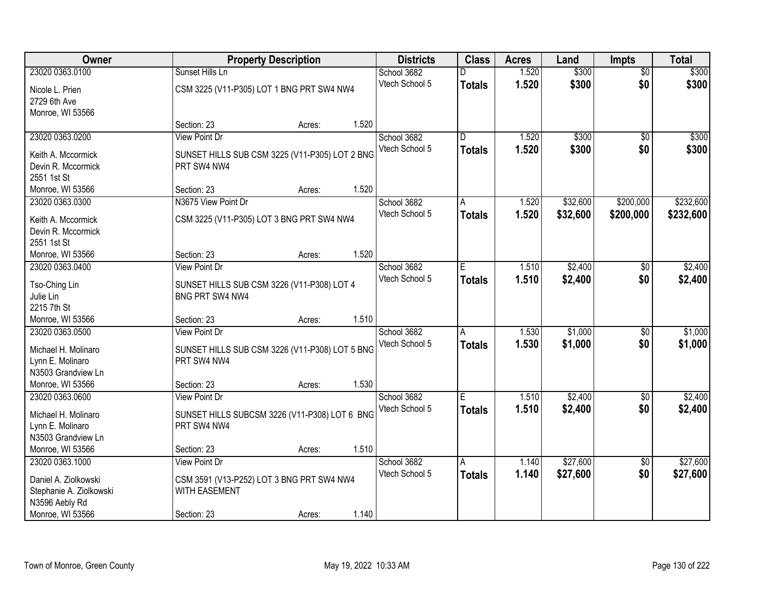| Owner                   |                                                | <b>Property Description</b> |       |                | <b>Class</b>            | <b>Acres</b> | Land     | <b>Impts</b>    | <b>Total</b> |
|-------------------------|------------------------------------------------|-----------------------------|-------|----------------|-------------------------|--------------|----------|-----------------|--------------|
| 23020 0363.0100         | Sunset Hills Ln                                |                             |       | School 3682    |                         | 1.520        | \$300    | $\overline{50}$ | \$300        |
| Nicole L. Prien         | CSM 3225 (V11-P305) LOT 1 BNG PRT SW4 NW4      |                             |       | Vtech School 5 | <b>Totals</b>           | 1.520        | \$300    | \$0             | \$300        |
| 2729 6th Ave            |                                                |                             |       |                |                         |              |          |                 |              |
| Monroe, WI 53566        |                                                |                             |       |                |                         |              |          |                 |              |
|                         | Section: 23                                    | Acres:                      | 1.520 |                |                         |              |          |                 |              |
| 23020 0363.0200         | <b>View Point Dr</b>                           |                             |       | School 3682    | $\overline{\mathsf{n}}$ | 1.520        | \$300    | $\overline{50}$ | \$300        |
| Keith A. Mccormick      | SUNSET HILLS SUB CSM 3225 (V11-P305) LOT 2 BNG |                             |       | Vtech School 5 | <b>Totals</b>           | 1.520        | \$300    | \$0             | \$300        |
| Devin R. Mccormick      | PRT SW4 NW4                                    |                             |       |                |                         |              |          |                 |              |
| 2551 1st St             |                                                |                             |       |                |                         |              |          |                 |              |
| Monroe, WI 53566        | Section: 23                                    | Acres:                      | 1.520 |                |                         |              |          |                 |              |
| 23020 0363.0300         | N3675 View Point Dr                            |                             |       | School 3682    | A                       | 1.520        | \$32,600 | \$200,000       | \$232,600    |
|                         |                                                |                             |       | Vtech School 5 | <b>Totals</b>           | 1.520        | \$32,600 | \$200,000       | \$232,600    |
| Keith A. Mccormick      | CSM 3225 (V11-P305) LOT 3 BNG PRT SW4 NW4      |                             |       |                |                         |              |          |                 |              |
| Devin R. Mccormick      |                                                |                             |       |                |                         |              |          |                 |              |
| 2551 1st St             |                                                |                             |       |                |                         |              |          |                 |              |
| Monroe, WI 53566        | Section: 23                                    | Acres:                      | 1.520 |                |                         |              |          |                 |              |
| 23020 0363.0400         | <b>View Point Dr</b>                           |                             |       | School 3682    | Е                       | 1.510        | \$2,400  | $\sqrt[6]{3}$   | \$2,400      |
| Tso-Ching Lin           | SUNSET HILLS SUB CSM 3226 (V11-P308) LOT 4     |                             |       | Vtech School 5 | <b>Totals</b>           | 1.510        | \$2,400  | \$0             | \$2,400      |
| Julie Lin               | BNG PRT SW4 NW4                                |                             |       |                |                         |              |          |                 |              |
| 2215 7th St             |                                                |                             |       |                |                         |              |          |                 |              |
| Monroe, WI 53566        | Section: 23                                    | Acres:                      | 1.510 |                |                         |              |          |                 |              |
| 23020 0363.0500         | <b>View Point Dr</b>                           |                             |       | School 3682    | $\overline{A}$          | 1.530        | \$1,000  | $\overline{50}$ | \$1,000      |
| Michael H. Molinaro     | SUNSET HILLS SUB CSM 3226 (V11-P308) LOT 5 BNG |                             |       | Vtech School 5 | Totals                  | 1.530        | \$1,000  | \$0             | \$1,000      |
| Lynn E. Molinaro        | PRT SW4 NW4                                    |                             |       |                |                         |              |          |                 |              |
| N3503 Grandview Ln      |                                                |                             |       |                |                         |              |          |                 |              |
| Monroe, WI 53566        | Section: 23                                    | Acres:                      | 1.530 |                |                         |              |          |                 |              |
| 23020 0363.0600         | <b>View Point Dr</b>                           |                             |       | School 3682    | E                       | 1.510        | \$2,400  | $\overline{30}$ | \$2,400      |
|                         |                                                |                             |       | Vtech School 5 | <b>Totals</b>           | 1.510        | \$2,400  | \$0             | \$2,400      |
| Michael H. Molinaro     | SUNSET HILLS SUBCSM 3226 (V11-P308) LOT 6 BNG  |                             |       |                |                         |              |          |                 |              |
| Lynn E. Molinaro        | PRT SW4 NW4                                    |                             |       |                |                         |              |          |                 |              |
| N3503 Grandview Ln      |                                                |                             |       |                |                         |              |          |                 |              |
| Monroe, WI 53566        | Section: 23                                    | Acres:                      | 1.510 |                |                         |              |          |                 |              |
| 23020 0363.1000         | <b>View Point Dr</b>                           |                             |       | School 3682    | A                       | 1.140        | \$27,600 | $\overline{60}$ | \$27,600     |
| Daniel A. Ziolkowski    | CSM 3591 (V13-P252) LOT 3 BNG PRT SW4 NW4      |                             |       | Vtech School 5 | Totals                  | 1.140        | \$27,600 | \$0             | \$27,600     |
| Stephanie A. Ziolkowski | <b>WITH EASEMENT</b>                           |                             |       |                |                         |              |          |                 |              |
| N3596 Aebly Rd          |                                                |                             |       |                |                         |              |          |                 |              |
| Monroe, WI 53566        | Section: 23                                    | Acres:                      | 1.140 |                |                         |              |          |                 |              |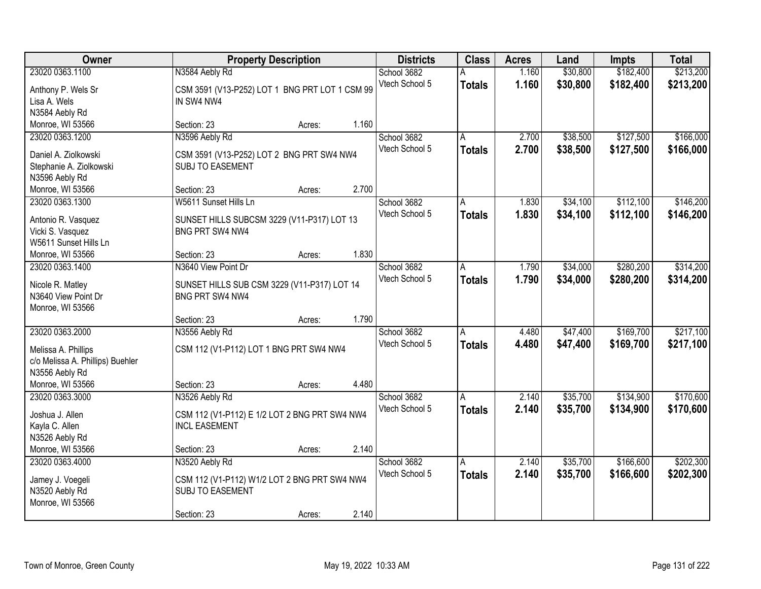| Owner                            | <b>Property Description</b>                    |       | <b>Districts</b> | <b>Class</b>  | <b>Acres</b> | Land     | <b>Impts</b> | <b>Total</b> |
|----------------------------------|------------------------------------------------|-------|------------------|---------------|--------------|----------|--------------|--------------|
| 23020 0363.1100                  | N3584 Aebly Rd                                 |       | School 3682      | А             | 1.160        | \$30,800 | \$182,400    | \$213,200    |
| Anthony P. Wels Sr               | CSM 3591 (V13-P252) LOT 1 BNG PRT LOT 1 CSM 99 |       | Vtech School 5   | <b>Totals</b> | 1.160        | \$30,800 | \$182,400    | \$213,200    |
| Lisa A. Wels                     | IN SW4 NW4                                     |       |                  |               |              |          |              |              |
| N3584 Aebly Rd                   |                                                |       |                  |               |              |          |              |              |
| Monroe, WI 53566                 | Section: 23<br>Acres:                          | 1.160 |                  |               |              |          |              |              |
| 23020 0363.1200                  | N3596 Aebly Rd                                 |       | School 3682      | Α             | 2.700        | \$38,500 | \$127,500    | \$166,000    |
| Daniel A. Ziolkowski             | CSM 3591 (V13-P252) LOT 2 BNG PRT SW4 NW4      |       | Vtech School 5   | <b>Totals</b> | 2.700        | \$38,500 | \$127,500    | \$166,000    |
| Stephanie A. Ziolkowski          | <b>SUBJ TO EASEMENT</b>                        |       |                  |               |              |          |              |              |
| N3596 Aebly Rd                   |                                                |       |                  |               |              |          |              |              |
| Monroe, WI 53566                 | Section: 23<br>Acres:                          | 2.700 |                  |               |              |          |              |              |
| 23020 0363.1300                  | W5611 Sunset Hills Ln                          |       | School 3682      | A             | 1.830        | \$34,100 | \$112,100    | \$146,200    |
|                                  |                                                |       | Vtech School 5   | <b>Totals</b> | 1.830        | \$34,100 | \$112,100    | \$146,200    |
| Antonio R. Vasquez               | SUNSET HILLS SUBCSM 3229 (V11-P317) LOT 13     |       |                  |               |              |          |              |              |
| Vicki S. Vasquez                 | <b>BNG PRT SW4 NW4</b>                         |       |                  |               |              |          |              |              |
| W5611 Sunset Hills Ln            |                                                |       |                  |               |              |          |              |              |
| Monroe, WI 53566                 | Section: 23<br>Acres:                          | 1.830 |                  |               |              |          |              |              |
| 23020 0363.1400                  | N3640 View Point Dr                            |       | School 3682      | A             | 1.790        | \$34,000 | \$280,200    | \$314,200    |
| Nicole R. Matley                 | SUNSET HILLS SUB CSM 3229 (V11-P317) LOT 14    |       | Vtech School 5   | <b>Totals</b> | 1.790        | \$34,000 | \$280,200    | \$314,200    |
| N3640 View Point Dr              | BNG PRT SW4 NW4                                |       |                  |               |              |          |              |              |
| Monroe, WI 53566                 |                                                |       |                  |               |              |          |              |              |
|                                  | Section: 23<br>Acres:                          | 1.790 |                  |               |              |          |              |              |
| 23020 0363.2000                  | N3556 Aebly Rd                                 |       | School 3682      | A             | 4.480        | \$47,400 | \$169,700    | \$217,100    |
| Melissa A. Phillips              | CSM 112 (V1-P112) LOT 1 BNG PRT SW4 NW4        |       | Vtech School 5   | <b>Totals</b> | 4.480        | \$47,400 | \$169,700    | \$217,100    |
| c/o Melissa A. Phillips) Buehler |                                                |       |                  |               |              |          |              |              |
| N3556 Aebly Rd                   |                                                |       |                  |               |              |          |              |              |
| Monroe, WI 53566                 | Section: 23<br>Acres:                          | 4.480 |                  |               |              |          |              |              |
| 23020 0363.3000                  | N3526 Aebly Rd                                 |       | School 3682      | Α             | 2.140        | \$35,700 | \$134,900    | \$170,600    |
| Joshua J. Allen                  | CSM 112 (V1-P112) E 1/2 LOT 2 BNG PRT SW4 NW4  |       | Vtech School 5   | <b>Totals</b> | 2.140        | \$35,700 | \$134,900    | \$170,600    |
| Kayla C. Allen                   | <b>INCL EASEMENT</b>                           |       |                  |               |              |          |              |              |
| N3526 Aebly Rd                   |                                                |       |                  |               |              |          |              |              |
| Monroe, WI 53566                 | Section: 23<br>Acres:                          | 2.140 |                  |               |              |          |              |              |
| 23020 0363.4000                  | N3520 Aebly Rd                                 |       | School 3682      | A             | 2.140        | \$35,700 | \$166,600    | \$202,300    |
|                                  |                                                |       | Vtech School 5   | <b>Totals</b> | 2.140        | \$35,700 | \$166,600    | \$202,300    |
| Jamey J. Voegeli                 | CSM 112 (V1-P112) W1/2 LOT 2 BNG PRT SW4 NW4   |       |                  |               |              |          |              |              |
| N3520 Aebly Rd                   | SUBJ TO EASEMENT                               |       |                  |               |              |          |              |              |
| Monroe, WI 53566                 |                                                |       |                  |               |              |          |              |              |
|                                  | Section: 23<br>Acres:                          | 2.140 |                  |               |              |          |              |              |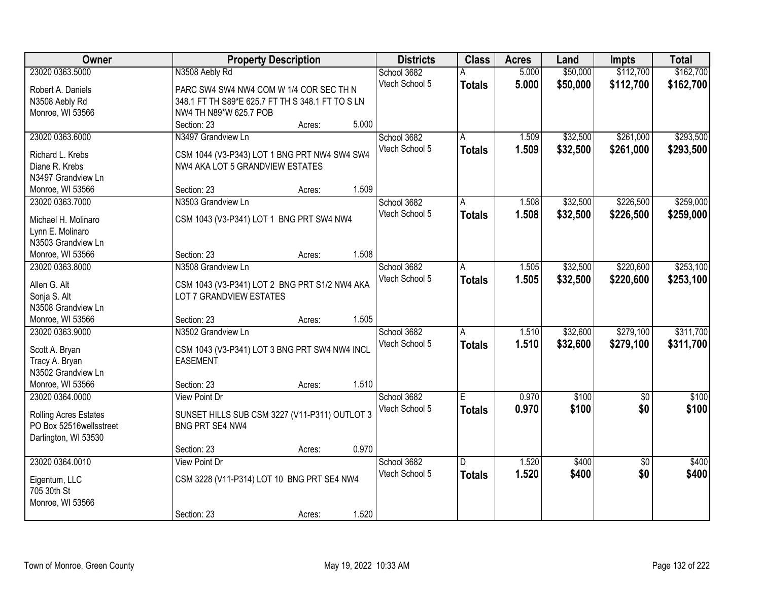| Owner                        |                                                  | <b>Property Description</b> |       | <b>Districts</b> | <b>Class</b>            | <b>Acres</b> | Land     | <b>Impts</b>    | <b>Total</b> |
|------------------------------|--------------------------------------------------|-----------------------------|-------|------------------|-------------------------|--------------|----------|-----------------|--------------|
| 23020 0363.5000              | N3508 Aebly Rd                                   |                             |       | School 3682      |                         | 5.000        | \$50,000 | \$112,700       | \$162,700    |
| Robert A. Daniels            | PARC SW4 SW4 NW4 COM W 1/4 COR SEC TH N          |                             |       | Vtech School 5   | <b>Totals</b>           | 5.000        | \$50,000 | \$112,700       | \$162,700    |
| N3508 Aebly Rd               | 348.1 FT TH S89*E 625.7 FT TH S 348.1 FT TO S LN |                             |       |                  |                         |              |          |                 |              |
| Monroe, WI 53566             | NW4 TH N89*W 625.7 POB                           |                             |       |                  |                         |              |          |                 |              |
|                              | Section: 23                                      | Acres:                      | 5.000 |                  |                         |              |          |                 |              |
| 23020 0363.6000              | N3497 Grandview Ln                               |                             |       | School 3682      | А                       | 1.509        | \$32,500 | \$261,000       | \$293,500    |
|                              |                                                  |                             |       | Vtech School 5   | <b>Totals</b>           | 1.509        | \$32,500 | \$261,000       | \$293,500    |
| Richard L. Krebs             | CSM 1044 (V3-P343) LOT 1 BNG PRT NW4 SW4 SW4     |                             |       |                  |                         |              |          |                 |              |
| Diane R. Krebs               | NW4 AKA LOT 5 GRANDVIEW ESTATES                  |                             |       |                  |                         |              |          |                 |              |
| N3497 Grandview Ln           |                                                  |                             |       |                  |                         |              |          |                 |              |
| Monroe, WI 53566             | Section: 23                                      | Acres:                      | 1.509 |                  |                         |              |          |                 |              |
| 23020 0363.7000              | N3503 Grandview Ln                               |                             |       | School 3682      | A                       | 1.508        | \$32,500 | \$226,500       | \$259,000    |
| Michael H. Molinaro          | CSM 1043 (V3-P341) LOT 1 BNG PRT SW4 NW4         |                             |       | Vtech School 5   | <b>Totals</b>           | 1.508        | \$32,500 | \$226,500       | \$259,000    |
| Lynn E. Molinaro             |                                                  |                             |       |                  |                         |              |          |                 |              |
| N3503 Grandview Ln           |                                                  |                             |       |                  |                         |              |          |                 |              |
| Monroe, WI 53566             | Section: 23                                      | Acres:                      | 1.508 |                  |                         |              |          |                 |              |
| 23020 0363.8000              | N3508 Grandview Ln                               |                             |       | School 3682      | Α                       | 1.505        | \$32,500 | \$220,600       | \$253,100    |
|                              |                                                  |                             |       | Vtech School 5   | <b>Totals</b>           | 1.505        | \$32,500 | \$220,600       | \$253,100    |
| Allen G. Alt                 | CSM 1043 (V3-P341) LOT 2 BNG PRT S1/2 NW4 AKA    |                             |       |                  |                         |              |          |                 |              |
| Sonja S. Alt                 | <b>LOT 7 GRANDVIEW ESTATES</b>                   |                             |       |                  |                         |              |          |                 |              |
| N3508 Grandview Ln           |                                                  |                             |       |                  |                         |              |          |                 |              |
| Monroe, WI 53566             | Section: 23                                      | Acres:                      | 1.505 |                  |                         |              |          |                 |              |
| 23020 0363.9000              | N3502 Grandview Ln                               |                             |       | School 3682      | A                       | 1.510        | \$32,600 | \$279,100       | \$311,700    |
| Scott A. Bryan               | CSM 1043 (V3-P341) LOT 3 BNG PRT SW4 NW4 INCL    |                             |       | Vtech School 5   | <b>Totals</b>           | 1.510        | \$32,600 | \$279,100       | \$311,700    |
| Tracy A. Bryan               | <b>EASEMENT</b>                                  |                             |       |                  |                         |              |          |                 |              |
| N3502 Grandview Ln           |                                                  |                             |       |                  |                         |              |          |                 |              |
| Monroe, WI 53566             | Section: 23                                      | Acres:                      | 1.510 |                  |                         |              |          |                 |              |
| 23020 0364.0000              | <b>View Point Dr</b>                             |                             |       | School 3682      | E.                      | 0.970        | \$100    | $\overline{50}$ | \$100        |
|                              |                                                  |                             |       | Vtech School 5   |                         |              |          |                 |              |
| Rolling Acres Estates        | SUNSET HILLS SUB CSM 3227 (V11-P311) OUTLOT 3    |                             |       |                  | <b>Totals</b>           | 0.970        | \$100    | \$0             | \$100        |
| PO Box 52516 wellsstreet     | BNG PRT SE4 NW4                                  |                             |       |                  |                         |              |          |                 |              |
| Darlington, WI 53530         |                                                  |                             |       |                  |                         |              |          |                 |              |
|                              | Section: 23                                      | Acres:                      | 0.970 |                  |                         |              |          |                 |              |
| 23020 0364.0010              | <b>View Point Dr</b>                             |                             |       | School 3682      | $\overline{\mathsf{D}}$ | 1.520        | \$400    | $\overline{50}$ | \$400        |
|                              |                                                  |                             |       | Vtech School 5   | <b>Totals</b>           | 1.520        | \$400    | \$0             | \$400        |
| Eigentum, LLC<br>705 30th St | CSM 3228 (V11-P314) LOT 10 BNG PRT SE4 NW4       |                             |       |                  |                         |              |          |                 |              |
|                              |                                                  |                             |       |                  |                         |              |          |                 |              |
| Monroe, WI 53566             |                                                  |                             |       |                  |                         |              |          |                 |              |
|                              | Section: 23                                      | Acres:                      | 1.520 |                  |                         |              |          |                 |              |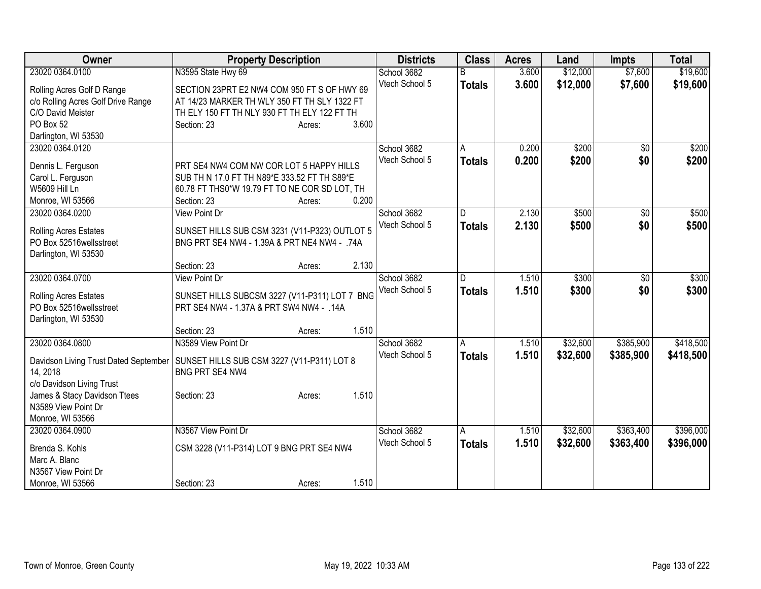| Owner                                 | <b>Property Description</b>                   |        |       | <b>Districts</b> | <b>Class</b>            | <b>Acres</b> | Land     | <b>Impts</b>    | <b>Total</b> |
|---------------------------------------|-----------------------------------------------|--------|-------|------------------|-------------------------|--------------|----------|-----------------|--------------|
| 23020 0364.0100                       | N3595 State Hwy 69                            |        |       | School 3682      | R                       | 3.600        | \$12,000 | \$7,600         | \$19,600     |
| Rolling Acres Golf D Range            | SECTION 23PRT E2 NW4 COM 950 FT S OF HWY 69   |        |       | Vtech School 5   | <b>Totals</b>           | 3.600        | \$12,000 | \$7,600         | \$19,600     |
| c/o Rolling Acres Golf Drive Range    | AT 14/23 MARKER TH WLY 350 FT TH SLY 1322 FT  |        |       |                  |                         |              |          |                 |              |
| C/O David Meister                     | TH ELY 150 FT TH NLY 930 FT TH ELY 122 FT TH  |        |       |                  |                         |              |          |                 |              |
| PO Box 52                             | Section: 23                                   | Acres: | 3.600 |                  |                         |              |          |                 |              |
| Darlington, WI 53530                  |                                               |        |       |                  |                         |              |          |                 |              |
| 23020 0364.0120                       |                                               |        |       | School 3682      | A                       | 0.200        | \$200    | $\overline{50}$ | \$200        |
|                                       |                                               |        |       | Vtech School 5   | <b>Totals</b>           | 0.200        | \$200    | \$0             | \$200        |
| Dennis L. Ferguson                    | PRT SE4 NW4 COM NW COR LOT 5 HAPPY HILLS      |        |       |                  |                         |              |          |                 |              |
| Carol L. Ferguson                     | SUB TH N 17.0 FT TH N89*E 333.52 FT TH S89*E  |        |       |                  |                         |              |          |                 |              |
| W5609 Hill Ln                         | 60.78 FT THS0*W 19.79 FT TO NE COR SD LOT, TH |        |       |                  |                         |              |          |                 |              |
| Monroe, WI 53566                      | Section: 23                                   | Acres: | 0.200 |                  | $\overline{\mathsf{D}}$ |              |          |                 |              |
| 23020 0364.0200                       | <b>View Point Dr</b>                          |        |       | School 3682      |                         | 2.130        | \$500    | $\overline{30}$ | \$500        |
| Rolling Acres Estates                 | SUNSET HILLS SUB CSM 3231 (V11-P323) OUTLOT 5 |        |       | Vtech School 5   | <b>Totals</b>           | 2.130        | \$500    | \$0             | \$500        |
| PO Box 52516 wellsstreet              | BNG PRT SE4 NW4 - 1.39A & PRT NE4 NW4 - .74A  |        |       |                  |                         |              |          |                 |              |
| Darlington, WI 53530                  |                                               |        |       |                  |                         |              |          |                 |              |
|                                       | Section: 23                                   | Acres: | 2.130 |                  |                         |              |          |                 |              |
| 23020 0364.0700                       | <b>View Point Dr</b>                          |        |       | School 3682      | D.                      | 1.510        | \$300    | $\overline{50}$ | \$300        |
| Rolling Acres Estates                 | SUNSET HILLS SUBCSM 3227 (V11-P311) LOT 7 BNG |        |       | Vtech School 5   | <b>Totals</b>           | 1.510        | \$300    | \$0             | \$300        |
| PO Box 52516 wellsstreet              | PRT SE4 NW4 - 1.37A & PRT SW4 NW4 - .14A      |        |       |                  |                         |              |          |                 |              |
| Darlington, WI 53530                  |                                               |        |       |                  |                         |              |          |                 |              |
|                                       | Section: 23                                   | Acres: | 1.510 |                  |                         |              |          |                 |              |
| 23020 0364.0800                       | N3589 View Point Dr                           |        |       | School 3682      | A                       | 1.510        | \$32,600 | \$385,900       | \$418,500    |
|                                       |                                               |        |       | Vtech School 5   | <b>Totals</b>           | 1.510        | \$32,600 | \$385,900       | \$418,500    |
| Davidson Living Trust Dated September | SUNSET HILLS SUB CSM 3227 (V11-P311) LOT 8    |        |       |                  |                         |              |          |                 |              |
| 14, 2018                              | <b>BNG PRT SE4 NW4</b>                        |        |       |                  |                         |              |          |                 |              |
| c/o Davidson Living Trust             |                                               |        |       |                  |                         |              |          |                 |              |
| James & Stacy Davidson Ttees          | Section: 23                                   | Acres: | 1.510 |                  |                         |              |          |                 |              |
| N3589 View Point Dr                   |                                               |        |       |                  |                         |              |          |                 |              |
| Monroe, WI 53566                      |                                               |        |       |                  |                         |              |          |                 |              |
| 23020 0364.0900                       | N3567 View Point Dr                           |        |       | School 3682      | A                       | 1.510        | \$32,600 | \$363,400       | \$396,000    |
| Brenda S. Kohls                       | CSM 3228 (V11-P314) LOT 9 BNG PRT SE4 NW4     |        |       | Vtech School 5   | <b>Totals</b>           | 1.510        | \$32,600 | \$363,400       | \$396,000    |
| Marc A. Blanc                         |                                               |        |       |                  |                         |              |          |                 |              |
| N3567 View Point Dr                   |                                               |        |       |                  |                         |              |          |                 |              |
| Monroe, WI 53566                      | Section: 23                                   | Acres: | 1.510 |                  |                         |              |          |                 |              |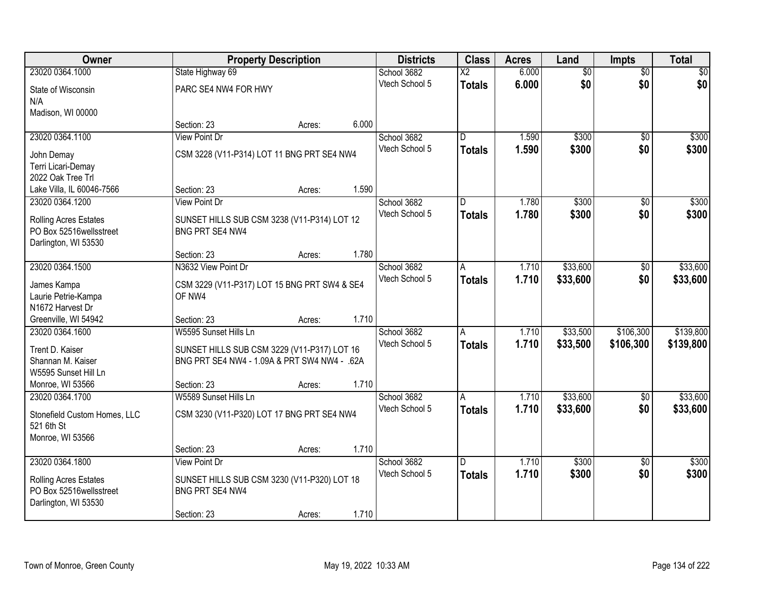| Owner                                            |                                                                | <b>Property Description</b> |       | <b>Districts</b> | <b>Class</b>             | <b>Acres</b> | Land            | <b>Impts</b>    | <b>Total</b> |
|--------------------------------------------------|----------------------------------------------------------------|-----------------------------|-------|------------------|--------------------------|--------------|-----------------|-----------------|--------------|
| 23020 0364.1000                                  | State Highway 69                                               |                             |       | School 3682      | $\overline{\mathsf{x2}}$ | 6.000        | $\overline{50}$ | $\overline{50}$ | \$0          |
| State of Wisconsin                               | PARC SE4 NW4 FOR HWY                                           |                             |       | Vtech School 5   | <b>Totals</b>            | 6.000        | \$0             | \$0             | \$0          |
| N/A                                              |                                                                |                             |       |                  |                          |              |                 |                 |              |
| Madison, WI 00000                                |                                                                |                             |       |                  |                          |              |                 |                 |              |
|                                                  | Section: 23                                                    | Acres:                      | 6.000 |                  |                          |              |                 |                 |              |
| 23020 0364.1100                                  | <b>View Point Dr</b>                                           |                             |       | School 3682      | $\overline{\mathsf{n}}$  | 1.590        | \$300           | $\overline{50}$ | \$300        |
| John Demay                                       | CSM 3228 (V11-P314) LOT 11 BNG PRT SE4 NW4                     |                             |       | Vtech School 5   | <b>Totals</b>            | 1.590        | \$300           | \$0             | \$300        |
| Terri Licari-Demay                               |                                                                |                             |       |                  |                          |              |                 |                 |              |
| 2022 Oak Tree Trl                                |                                                                |                             |       |                  |                          |              |                 |                 |              |
| Lake Villa, IL 60046-7566                        | Section: 23                                                    | Acres:                      | 1.590 |                  |                          |              |                 |                 |              |
| 23020 0364.1200                                  | View Point Dr                                                  |                             |       | School 3682      | D                        | 1.780        | \$300           | \$0             | \$300        |
| <b>Rolling Acres Estates</b>                     | SUNSET HILLS SUB CSM 3238 (V11-P314) LOT 12                    |                             |       | Vtech School 5   | <b>Totals</b>            | 1.780        | \$300           | \$0             | \$300        |
| PO Box 52516wellsstreet                          | BNG PRT SE4 NW4                                                |                             |       |                  |                          |              |                 |                 |              |
| Darlington, WI 53530                             |                                                                |                             |       |                  |                          |              |                 |                 |              |
|                                                  | Section: 23                                                    | Acres:                      | 1.780 |                  |                          |              |                 |                 |              |
| 23020 0364.1500                                  | N3632 View Point Dr                                            |                             |       | School 3682      | A                        | 1.710        | \$33,600        | $\sqrt[6]{}$    | \$33,600     |
| James Kampa                                      | CSM 3229 (V11-P317) LOT 15 BNG PRT SW4 & SE4                   |                             |       | Vtech School 5   | <b>Totals</b>            | 1.710        | \$33,600        | \$0             | \$33,600     |
| Laurie Petrie-Kampa                              | OF NW4                                                         |                             |       |                  |                          |              |                 |                 |              |
| N1672 Harvest Dr                                 |                                                                |                             |       |                  |                          |              |                 |                 |              |
| Greenville, WI 54942                             | Section: 23                                                    | Acres:                      | 1.710 |                  |                          |              |                 |                 |              |
| 23020 0364.1600                                  | W5595 Sunset Hills Ln                                          |                             |       | School 3682      | A                        | 1.710        | \$33,500        | \$106,300       | \$139,800    |
| Trent D. Kaiser                                  | SUNSET HILLS SUB CSM 3229 (V11-P317) LOT 16                    |                             |       | Vtech School 5   | <b>Totals</b>            | 1.710        | \$33,500        | \$106,300       | \$139,800    |
| Shannan M. Kaiser                                | BNG PRT SE4 NW4 - 1.09A & PRT SW4 NW4 - .62A                   |                             |       |                  |                          |              |                 |                 |              |
| W5595 Sunset Hill Ln                             |                                                                |                             |       |                  |                          |              |                 |                 |              |
| Monroe, WI 53566                                 | Section: 23                                                    | Acres:                      | 1.710 |                  |                          |              |                 |                 |              |
| 23020 0364.1700                                  | W5589 Sunset Hills Ln                                          |                             |       | School 3682      | A                        | 1.710        | \$33,600        | $\sqrt{6}$      | \$33,600     |
| Stonefield Custom Homes, LLC                     | CSM 3230 (V11-P320) LOT 17 BNG PRT SE4 NW4                     |                             |       | Vtech School 5   | <b>Totals</b>            | 1.710        | \$33,600        | \$0             | \$33,600     |
| 521 6th St                                       |                                                                |                             |       |                  |                          |              |                 |                 |              |
| Monroe, WI 53566                                 |                                                                |                             |       |                  |                          |              |                 |                 |              |
|                                                  | Section: 23                                                    | Acres:                      | 1.710 |                  |                          |              |                 |                 |              |
| 23020 0364.1800                                  | <b>View Point Dr</b>                                           |                             |       | School 3682      | D.                       | 1.710        | \$300           | $\overline{50}$ | \$300        |
|                                                  |                                                                |                             |       | Vtech School 5   | <b>Totals</b>            | 1.710        | \$300           | \$0             | \$300        |
| Rolling Acres Estates<br>PO Box 52516wellsstreet | SUNSET HILLS SUB CSM 3230 (V11-P320) LOT 18<br>BNG PRT SE4 NW4 |                             |       |                  |                          |              |                 |                 |              |
| Darlington, WI 53530                             |                                                                |                             |       |                  |                          |              |                 |                 |              |
|                                                  | Section: 23                                                    | Acres:                      | 1.710 |                  |                          |              |                 |                 |              |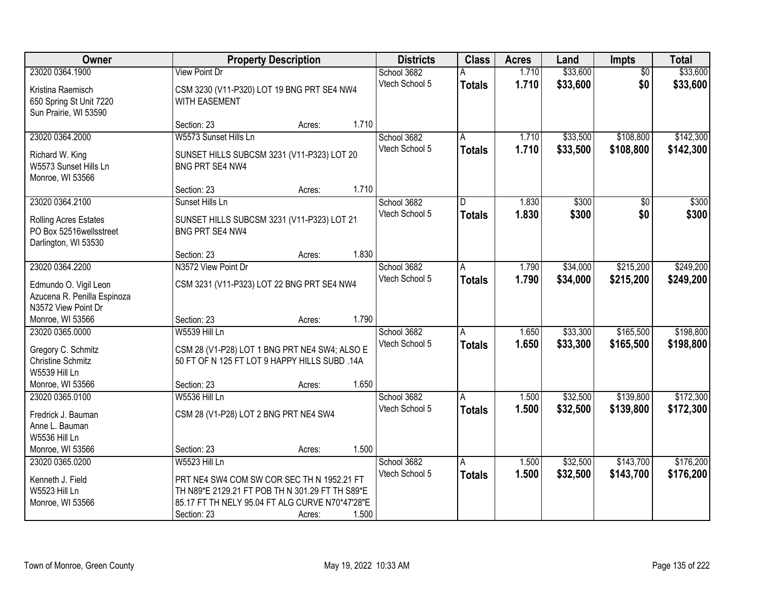| Owner                                                                                                              |                                                                                                                                                                                  | <b>Property Description</b> |                | <b>Districts</b>              | <b>Class</b>       | <b>Acres</b>   | Land                 | Impts                  | <b>Total</b>           |
|--------------------------------------------------------------------------------------------------------------------|----------------------------------------------------------------------------------------------------------------------------------------------------------------------------------|-----------------------------|----------------|-------------------------------|--------------------|----------------|----------------------|------------------------|------------------------|
| 23020 0364.1900<br>Kristina Raemisch<br>650 Spring St Unit 7220<br>Sun Prairie, WI 53590                           | <b>View Point Dr</b><br>CSM 3230 (V11-P320) LOT 19 BNG PRT SE4 NW4<br>WITH EASEMENT                                                                                              |                             |                | School 3682<br>Vtech School 5 | <b>Totals</b>      | 1.710<br>1.710 | \$33,600<br>\$33,600 | $\overline{50}$<br>\$0 | \$33,600<br>\$33,600   |
| 23020 0364.2000<br>Richard W. King<br>W5573 Sunset Hills Ln<br>Monroe, WI 53566                                    | Section: 23<br>W5573 Sunset Hills Ln<br>SUNSET HILLS SUBCSM 3231 (V11-P323) LOT 20<br><b>BNG PRT SE4 NW4</b>                                                                     | Acres:                      | 1.710          | School 3682<br>Vtech School 5 | A<br><b>Totals</b> | 1.710<br>1.710 | \$33,500<br>\$33,500 | \$108,800<br>\$108,800 | \$142,300<br>\$142,300 |
| 23020 0364.2100<br>Rolling Acres Estates<br>PO Box 52516wellsstreet<br>Darlington, WI 53530                        | Section: 23<br>Sunset Hills Ln<br>SUNSET HILLS SUBCSM 3231 (V11-P323) LOT 21<br>BNG PRT SE4 NW4                                                                                  | Acres:                      | 1.710          | School 3682<br>Vtech School 5 | D<br><b>Totals</b> | 1.830<br>1.830 | \$300<br>\$300       | $\overline{50}$<br>\$0 | \$300<br>\$300         |
| 23020 0364.2200<br>Edmundo O. Vigil Leon<br>Azucena R. Penilla Espinoza<br>N3572 View Point Dr<br>Monroe, WI 53566 | Section: 23<br>N3572 View Point Dr<br>CSM 3231 (V11-P323) LOT 22 BNG PRT SE4 NW4<br>Section: 23                                                                                  | Acres:                      | 1.830<br>1.790 | School 3682<br>Vtech School 5 | A<br><b>Totals</b> | 1.790<br>1.790 | \$34,000<br>\$34,000 | \$215,200<br>\$215,200 | \$249,200<br>\$249,200 |
| 23020 0365.0000<br>Gregory C. Schmitz<br><b>Christine Schmitz</b><br>W5539 Hill Ln<br>Monroe, WI 53566             | <b>W5539 Hill Ln</b><br>CSM 28 (V1-P28) LOT 1 BNG PRT NE4 SW4; ALSO E<br>50 FT OF N 125 FT LOT 9 HAPPY HILLS SUBD .14A<br>Section: 23                                            | Acres:<br>Acres:            | 1.650          | School 3682<br>Vtech School 5 | A<br><b>Totals</b> | 1.650<br>1.650 | \$33,300<br>\$33,300 | \$165,500<br>\$165,500 | \$198,800<br>\$198,800 |
| 23020 0365.0100<br>Fredrick J. Bauman<br>Anne L. Bauman<br>W5536 Hill Ln<br>Monroe, WI 53566                       | W5536 Hill Ln<br>CSM 28 (V1-P28) LOT 2 BNG PRT NE4 SW4<br>Section: 23                                                                                                            | Acres:                      | 1.500          | School 3682<br>Vtech School 5 | A<br><b>Totals</b> | 1.500<br>1.500 | \$32,500<br>\$32,500 | \$139,800<br>\$139,800 | \$172,300<br>\$172,300 |
| 23020 0365.0200<br>Kenneth J. Field<br>W5523 Hill Ln<br>Monroe, WI 53566                                           | W5523 Hill Ln<br>PRT NE4 SW4 COM SW COR SEC TH N 1952.21 FT<br>TH N89*E 2129.21 FT POB TH N 301.29 FT TH S89*E<br>85.17 FT TH NELY 95.04 FT ALG CURVE N70*47'28"E<br>Section: 23 | Acres:                      | 1.500          | School 3682<br>Vtech School 5 | A<br><b>Totals</b> | 1.500<br>1.500 | \$32,500<br>\$32,500 | \$143,700<br>\$143,700 | \$176,200<br>\$176,200 |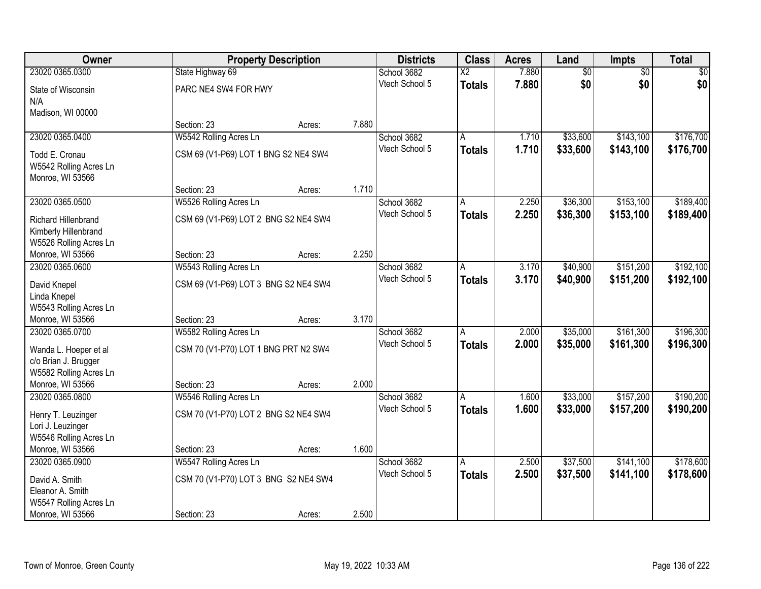| Owner                                         |                                      | <b>Property Description</b> |       | <b>Districts</b> | <b>Class</b>           | <b>Acres</b> | Land            | Impts           | <b>Total</b> |
|-----------------------------------------------|--------------------------------------|-----------------------------|-------|------------------|------------------------|--------------|-----------------|-----------------|--------------|
| 23020 0365.0300                               | State Highway 69                     |                             |       | School 3682      | $\overline{\text{X2}}$ | 7.880        | $\overline{50}$ | $\overline{50}$ | \$0          |
| State of Wisconsin                            | PARC NE4 SW4 FOR HWY                 |                             |       | Vtech School 5   | <b>Totals</b>          | 7.880        | \$0             | \$0             | \$0          |
| N/A                                           |                                      |                             |       |                  |                        |              |                 |                 |              |
| Madison, WI 00000                             |                                      |                             |       |                  |                        |              |                 |                 |              |
|                                               | Section: 23                          | Acres:                      | 7.880 |                  |                        |              |                 |                 |              |
| 23020 0365.0400                               | W5542 Rolling Acres Ln               |                             |       | School 3682      | A                      | 1.710        | \$33,600        | \$143,100       | \$176,700    |
| Todd E. Cronau                                | CSM 69 (V1-P69) LOT 1 BNG S2 NE4 SW4 |                             |       | Vtech School 5   | <b>Totals</b>          | 1.710        | \$33,600        | \$143,100       | \$176,700    |
| W5542 Rolling Acres Ln                        |                                      |                             |       |                  |                        |              |                 |                 |              |
| Monroe, WI 53566                              |                                      |                             |       |                  |                        |              |                 |                 |              |
|                                               | Section: 23                          | Acres:                      | 1.710 |                  |                        |              |                 |                 |              |
| 23020 0365.0500                               | W5526 Rolling Acres Ln               |                             |       | School 3682      | A                      | 2.250        | \$36,300        | \$153,100       | \$189,400    |
| <b>Richard Hillenbrand</b>                    | CSM 69 (V1-P69) LOT 2 BNG S2 NE4 SW4 |                             |       | Vtech School 5   | <b>Totals</b>          | 2.250        | \$36,300        | \$153,100       | \$189,400    |
| Kimberly Hillenbrand                          |                                      |                             |       |                  |                        |              |                 |                 |              |
| W5526 Rolling Acres Ln                        |                                      |                             |       |                  |                        |              |                 |                 |              |
| Monroe, WI 53566                              | Section: 23                          | Acres:                      | 2.250 |                  |                        |              |                 |                 |              |
| 23020 0365.0600                               | W5543 Rolling Acres Ln               |                             |       | School 3682      | A                      | 3.170        | \$40,900        | \$151,200       | \$192,100    |
| David Knepel                                  | CSM 69 (V1-P69) LOT 3 BNG S2 NE4 SW4 |                             |       | Vtech School 5   | <b>Totals</b>          | 3.170        | \$40,900        | \$151,200       | \$192,100    |
| Linda Knepel                                  |                                      |                             |       |                  |                        |              |                 |                 |              |
| W5543 Rolling Acres Ln                        |                                      |                             |       |                  |                        |              |                 |                 |              |
| Monroe, WI 53566                              | Section: 23                          | Acres:                      | 3.170 |                  |                        |              |                 |                 |              |
| 23020 0365.0700                               | W5582 Rolling Acres Ln               |                             |       | School 3682      | $\overline{A}$         | 2.000        | \$35,000        | \$161,300       | \$196,300    |
|                                               |                                      |                             |       | Vtech School 5   | <b>Totals</b>          | 2.000        | \$35,000        | \$161,300       | \$196,300    |
| Wanda L. Hoeper et al<br>c/o Brian J. Brugger | CSM 70 (V1-P70) LOT 1 BNG PRT N2 SW4 |                             |       |                  |                        |              |                 |                 |              |
| W5582 Rolling Acres Ln                        |                                      |                             |       |                  |                        |              |                 |                 |              |
| Monroe, WI 53566                              | Section: 23                          | Acres:                      | 2.000 |                  |                        |              |                 |                 |              |
| 23020 0365.0800                               | W5546 Rolling Acres Ln               |                             |       | School 3682      | A                      | 1.600        | \$33,000        | \$157,200       | \$190,200    |
|                                               |                                      |                             |       | Vtech School 5   | <b>Totals</b>          | 1.600        | \$33,000        | \$157,200       | \$190,200    |
| Henry T. Leuzinger<br>Lori J. Leuzinger       | CSM 70 (V1-P70) LOT 2 BNG S2 NE4 SW4 |                             |       |                  |                        |              |                 |                 |              |
| W5546 Rolling Acres Ln                        |                                      |                             |       |                  |                        |              |                 |                 |              |
| Monroe, WI 53566                              | Section: 23                          | Acres:                      | 1.600 |                  |                        |              |                 |                 |              |
| 23020 0365.0900                               | W5547 Rolling Acres Ln               |                             |       | School 3682      | A                      | 2.500        | \$37,500        | \$141,100       | \$178,600    |
|                                               |                                      |                             |       | Vtech School 5   | <b>Totals</b>          | 2.500        | \$37,500        | \$141,100       | \$178,600    |
| David A. Smith<br>Eleanor A. Smith            | CSM 70 (V1-P70) LOT 3 BNG S2 NE4 SW4 |                             |       |                  |                        |              |                 |                 |              |
| W5547 Rolling Acres Ln                        |                                      |                             |       |                  |                        |              |                 |                 |              |
| Monroe, WI 53566                              | Section: 23                          | Acres:                      | 2.500 |                  |                        |              |                 |                 |              |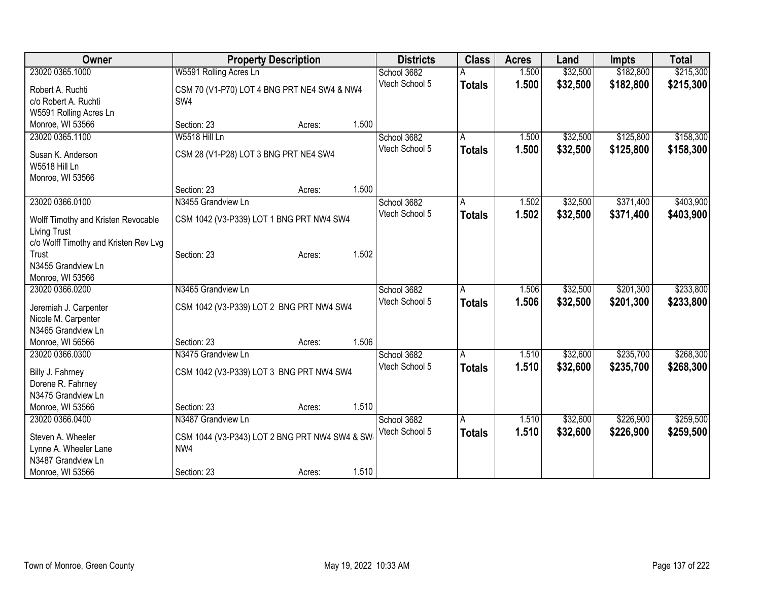| <b>Owner</b>                                | <b>Property Description</b>                   |       | <b>Districts</b>              | <b>Class</b>  | <b>Acres</b> | Land     | <b>Impts</b> | <b>Total</b> |
|---------------------------------------------|-----------------------------------------------|-------|-------------------------------|---------------|--------------|----------|--------------|--------------|
| 23020 0365.1000                             | W5591 Rolling Acres Ln                        |       | School 3682                   |               | 1.500        | \$32,500 | \$182,800    | \$215,300    |
| Robert A. Ruchti                            | CSM 70 (V1-P70) LOT 4 BNG PRT NE4 SW4 & NW4   |       | Vtech School 5                | <b>Totals</b> | 1.500        | \$32,500 | \$182,800    | \$215,300    |
| c/o Robert A. Ruchti                        | SW4                                           |       |                               |               |              |          |              |              |
| W5591 Rolling Acres Ln                      |                                               |       |                               |               |              |          |              |              |
| Monroe, WI 53566                            | Section: 23<br>Acres:                         | 1.500 |                               |               |              |          |              |              |
| 23020 0365.1100                             | W5518 Hill Ln                                 |       | School 3682                   | A             | 1.500        | \$32,500 | \$125,800    | \$158,300    |
|                                             |                                               |       | Vtech School 5                | <b>Totals</b> | 1.500        | \$32,500 | \$125,800    | \$158,300    |
| Susan K. Anderson<br>W5518 Hill Ln          | CSM 28 (V1-P28) LOT 3 BNG PRT NE4 SW4         |       |                               |               |              |          |              |              |
| Monroe, WI 53566                            |                                               |       |                               |               |              |          |              |              |
|                                             | Section: 23<br>Acres:                         | 1.500 |                               |               |              |          |              |              |
| 23020 0366.0100                             | N3455 Grandview Ln                            |       | School 3682                   | A             | 1.502        | \$32,500 | \$371,400    | \$403,900    |
|                                             |                                               |       | Vtech School 5                | <b>Totals</b> | 1.502        | \$32,500 | \$371,400    | \$403,900    |
| Wolff Timothy and Kristen Revocable         | CSM 1042 (V3-P339) LOT 1 BNG PRT NW4 SW4      |       |                               |               |              |          |              |              |
| <b>Living Trust</b>                         |                                               |       |                               |               |              |          |              |              |
| c/o Wolff Timothy and Kristen Rev Lvg       |                                               |       |                               |               |              |          |              |              |
| Trust                                       | Section: 23<br>Acres:                         | 1.502 |                               |               |              |          |              |              |
| N3455 Grandview Ln                          |                                               |       |                               |               |              |          |              |              |
| Monroe, WI 53566<br>23020 0366.0200         | N3465 Grandview Ln                            |       |                               |               | 1.506        | \$32,500 | \$201,300    | \$233,800    |
|                                             |                                               |       | School 3682<br>Vtech School 5 | A             |              |          |              |              |
| Jeremiah J. Carpenter                       | CSM 1042 (V3-P339) LOT 2 BNG PRT NW4 SW4      |       |                               | <b>Totals</b> | 1.506        | \$32,500 | \$201,300    | \$233,800    |
| Nicole M. Carpenter                         |                                               |       |                               |               |              |          |              |              |
| N3465 Grandview Ln                          |                                               |       |                               |               |              |          |              |              |
| Monroe, WI 56566                            | Section: 23<br>Acres:                         | 1.506 |                               |               |              |          |              |              |
| 23020 0366.0300                             | N3475 Grandview Ln                            |       | School 3682                   | A             | 1.510        | \$32,600 | \$235,700    | \$268,300    |
| Billy J. Fahrney                            | CSM 1042 (V3-P339) LOT 3 BNG PRT NW4 SW4      |       | Vtech School 5                | <b>Totals</b> | 1.510        | \$32,600 | \$235,700    | \$268,300    |
| Dorene R. Fahrney                           |                                               |       |                               |               |              |          |              |              |
| N3475 Grandview Ln                          |                                               |       |                               |               |              |          |              |              |
| Monroe, WI 53566                            | Section: 23<br>Acres:                         | 1.510 |                               |               |              |          |              |              |
| 23020 0366.0400                             | N3487 Grandview Ln                            |       | School 3682                   | A             | 1.510        | \$32,600 | \$226,900    | \$259,500    |
|                                             |                                               |       | Vtech School 5                | <b>Totals</b> | 1.510        | \$32,600 | \$226,900    | \$259,500    |
| Steven A. Wheeler                           | CSM 1044 (V3-P343) LOT 2 BNG PRT NW4 SW4 & SW |       |                               |               |              |          |              |              |
| Lynne A. Wheeler Lane<br>N3487 Grandview Ln | NW4                                           |       |                               |               |              |          |              |              |
| Monroe, WI 53566                            | Section: 23                                   | 1.510 |                               |               |              |          |              |              |
|                                             | Acres:                                        |       |                               |               |              |          |              |              |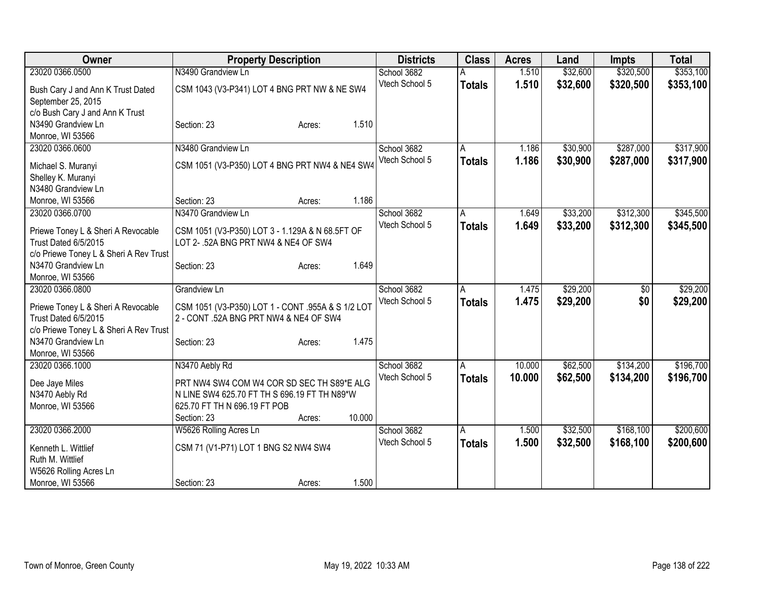| Owner                                                   | <b>Property Description</b>                       |                  | <b>Districts</b> | <b>Class</b>  | <b>Acres</b> | Land     | <b>Impts</b> | <b>Total</b> |
|---------------------------------------------------------|---------------------------------------------------|------------------|------------------|---------------|--------------|----------|--------------|--------------|
| 23020 0366.0500                                         | N3490 Grandview Ln                                |                  | School 3682      |               | 1.510        | \$32,600 | \$320,500    | \$353,100    |
| Bush Cary J and Ann K Trust Dated<br>September 25, 2015 | CSM 1043 (V3-P341) LOT 4 BNG PRT NW & NE SW4      |                  | Vtech School 5   | <b>Totals</b> | 1.510        | \$32,600 | \$320,500    | \$353,100    |
| c/o Bush Cary J and Ann K Trust                         |                                                   |                  |                  |               |              |          |              |              |
| N3490 Grandview Ln                                      | Section: 23                                       | 1.510<br>Acres:  |                  |               |              |          |              |              |
| Monroe, WI 53566                                        |                                                   |                  |                  |               |              |          |              |              |
| 23020 0366.0600                                         | N3480 Grandview Ln                                |                  | School 3682      | A             | 1.186        | \$30,900 | \$287,000    | \$317,900    |
| Michael S. Muranyi                                      | CSM 1051 (V3-P350) LOT 4 BNG PRT NW4 & NE4 SW4    |                  | Vtech School 5   | <b>Totals</b> | 1.186        | \$30,900 | \$287,000    | \$317,900    |
| Shelley K. Muranyi                                      |                                                   |                  |                  |               |              |          |              |              |
| N3480 Grandview Ln                                      |                                                   |                  |                  |               |              |          |              |              |
| Monroe, WI 53566                                        | Section: 23                                       | 1.186<br>Acres:  |                  |               |              |          |              |              |
| 23020 0366.0700                                         | N3470 Grandview Ln                                |                  | School 3682      | Α             | 1.649        | \$33,200 | \$312,300    | \$345,500    |
|                                                         |                                                   |                  | Vtech School 5   | <b>Totals</b> | 1.649        | \$33,200 | \$312,300    | \$345,500    |
| Priewe Toney L & Sheri A Revocable                      | CSM 1051 (V3-P350) LOT 3 - 1.129A & N 68.5FT OF   |                  |                  |               |              |          |              |              |
| Trust Dated 6/5/2015                                    | LOT 2-.52A BNG PRT NW4 & NE4 OF SW4               |                  |                  |               |              |          |              |              |
| c/o Priewe Toney L & Sheri A Rev Trust                  | Section: 23                                       | 1.649            |                  |               |              |          |              |              |
| N3470 Grandview Ln<br>Monroe, WI 53566                  |                                                   | Acres:           |                  |               |              |          |              |              |
| 23020 0366.0800                                         | <b>Grandview Ln</b>                               |                  | School 3682      | A             | 1.475        | \$29,200 | \$0          | \$29,200     |
|                                                         |                                                   |                  | Vtech School 5   | <b>Totals</b> | 1.475        | \$29,200 | \$0          | \$29,200     |
| Priewe Toney L & Sheri A Revocable                      | CSM 1051 (V3-P350) LOT 1 - CONT .955A & S 1/2 LOT |                  |                  |               |              |          |              |              |
| Trust Dated 6/5/2015                                    | 2 - CONT .52A BNG PRT NW4 & NE4 OF SW4            |                  |                  |               |              |          |              |              |
| c/o Priewe Toney L & Sheri A Rev Trust                  |                                                   |                  |                  |               |              |          |              |              |
| N3470 Grandview Ln                                      | Section: 23                                       | 1.475<br>Acres:  |                  |               |              |          |              |              |
| Monroe, WI 53566                                        |                                                   |                  |                  |               |              |          |              |              |
| 23020 0366.1000                                         | N3470 Aebly Rd                                    |                  | School 3682      | A             | 10.000       | \$62,500 | \$134,200    | \$196,700    |
| Dee Jaye Miles                                          | PRT NW4 SW4 COM W4 COR SD SEC TH S89*E ALG        |                  | Vtech School 5   | <b>Totals</b> | 10.000       | \$62,500 | \$134,200    | \$196,700    |
| N3470 Aebly Rd                                          | N LINE SW4 625.70 FT TH S 696.19 FT TH N89*W      |                  |                  |               |              |          |              |              |
| Monroe, WI 53566                                        | 625.70 FT TH N 696.19 FT POB                      |                  |                  |               |              |          |              |              |
|                                                         | Section: 23                                       | 10.000<br>Acres: |                  |               |              |          |              |              |
| 23020 0366.2000                                         | W5626 Rolling Acres Ln                            |                  | School 3682      | A             | 1.500        | \$32,500 | \$168,100    | \$200,600    |
| Kenneth L. Wittlief                                     | CSM 71 (V1-P71) LOT 1 BNG S2 NW4 SW4              |                  | Vtech School 5   | <b>Totals</b> | 1.500        | \$32,500 | \$168,100    | \$200,600    |
| Ruth M. Wittlief                                        |                                                   |                  |                  |               |              |          |              |              |
| W5626 Rolling Acres Ln                                  |                                                   |                  |                  |               |              |          |              |              |
| Monroe, WI 53566                                        | Section: 23                                       | 1.500<br>Acres:  |                  |               |              |          |              |              |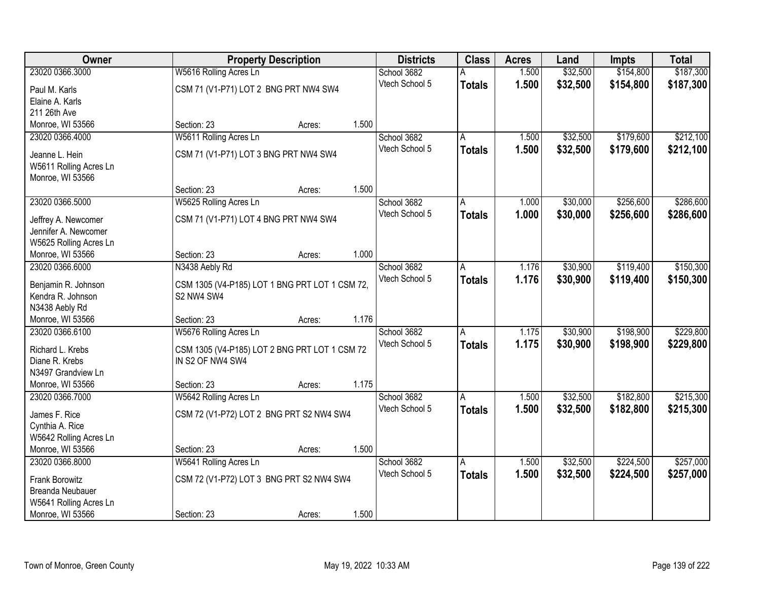| Owner                                    |                                                              | <b>Property Description</b> |       | <b>Districts</b> | <b>Class</b>  | <b>Acres</b> | Land     | <b>Impts</b> | <b>Total</b> |
|------------------------------------------|--------------------------------------------------------------|-----------------------------|-------|------------------|---------------|--------------|----------|--------------|--------------|
| 23020 0366.3000                          | W5616 Rolling Acres Ln                                       |                             |       | School 3682      |               | 1.500        | \$32,500 | \$154,800    | \$187,300    |
| Paul M. Karls                            | CSM 71 (V1-P71) LOT 2 BNG PRT NW4 SW4                        |                             |       | Vtech School 5   | <b>Totals</b> | 1.500        | \$32,500 | \$154,800    | \$187,300    |
| Elaine A. Karls                          |                                                              |                             |       |                  |               |              |          |              |              |
| 211 26th Ave                             |                                                              |                             |       |                  |               |              |          |              |              |
| Monroe, WI 53566                         | Section: 23                                                  | Acres:                      | 1.500 |                  |               |              |          |              |              |
| 23020 0366.4000                          | W5611 Rolling Acres Ln                                       |                             |       | School 3682      | А             | 1.500        | \$32,500 | \$179,600    | \$212,100    |
|                                          |                                                              |                             |       | Vtech School 5   | <b>Totals</b> | 1.500        | \$32,500 | \$179,600    | \$212,100    |
| Jeanne L. Hein                           | CSM 71 (V1-P71) LOT 3 BNG PRT NW4 SW4                        |                             |       |                  |               |              |          |              |              |
| W5611 Rolling Acres Ln                   |                                                              |                             |       |                  |               |              |          |              |              |
| Monroe, WI 53566                         |                                                              |                             |       |                  |               |              |          |              |              |
|                                          | Section: 23                                                  | Acres:                      | 1.500 |                  |               |              |          |              |              |
| 23020 0366.5000                          | W5625 Rolling Acres Ln                                       |                             |       | School 3682      | A             | 1.000        | \$30,000 | \$256,600    | \$286,600    |
| Jeffrey A. Newcomer                      | CSM 71 (V1-P71) LOT 4 BNG PRT NW4 SW4                        |                             |       | Vtech School 5   | <b>Totals</b> | 1.000        | \$30,000 | \$256,600    | \$286,600    |
| Jennifer A. Newcomer                     |                                                              |                             |       |                  |               |              |          |              |              |
| W5625 Rolling Acres Ln                   |                                                              |                             |       |                  |               |              |          |              |              |
| Monroe, WI 53566                         | Section: 23                                                  | Acres:                      | 1.000 |                  |               |              |          |              |              |
| 23020 0366.6000                          | N3438 Aebly Rd                                               |                             |       | School 3682      | Α             | 1.176        | \$30,900 | \$119,400    | \$150,300    |
|                                          |                                                              |                             |       | Vtech School 5   | <b>Totals</b> | 1.176        | \$30,900 | \$119,400    | \$150,300    |
| Benjamin R. Johnson<br>Kendra R. Johnson | CSM 1305 (V4-P185) LOT 1 BNG PRT LOT 1 CSM 72,<br>S2 NW4 SW4 |                             |       |                  |               |              |          |              |              |
| N3438 Aebly Rd                           |                                                              |                             |       |                  |               |              |          |              |              |
| Monroe, WI 53566                         | Section: 23                                                  | Acres:                      | 1.176 |                  |               |              |          |              |              |
| 23020 0366.6100                          | W5676 Rolling Acres Ln                                       |                             |       | School 3682      | A             | 1.175        | \$30,900 | \$198,900    | \$229,800    |
|                                          |                                                              |                             |       | Vtech School 5   |               | 1.175        | \$30,900 | \$198,900    |              |
| Richard L. Krebs                         | CSM 1305 (V4-P185) LOT 2 BNG PRT LOT 1 CSM 72                |                             |       |                  | <b>Totals</b> |              |          |              | \$229,800    |
| Diane R. Krebs                           | IN S2 OF NW4 SW4                                             |                             |       |                  |               |              |          |              |              |
| N3497 Grandview Ln                       |                                                              |                             |       |                  |               |              |          |              |              |
| Monroe, WI 53566                         | Section: 23                                                  | Acres:                      | 1.175 |                  |               |              |          |              |              |
| 23020 0366.7000                          | W5642 Rolling Acres Ln                                       |                             |       | School 3682      | A             | 1.500        | \$32,500 | \$182,800    | \$215,300    |
| James F. Rice                            | CSM 72 (V1-P72) LOT 2 BNG PRT S2 NW4 SW4                     |                             |       | Vtech School 5   | <b>Totals</b> | 1.500        | \$32,500 | \$182,800    | \$215,300    |
| Cynthia A. Rice                          |                                                              |                             |       |                  |               |              |          |              |              |
| W5642 Rolling Acres Ln                   |                                                              |                             |       |                  |               |              |          |              |              |
| Monroe, WI 53566                         | Section: 23                                                  | Acres:                      | 1.500 |                  |               |              |          |              |              |
| 23020 0366.8000                          | W5641 Rolling Acres Ln                                       |                             |       | School 3682      | Α             | 1.500        | \$32,500 | \$224,500    | \$257,000    |
|                                          |                                                              |                             |       | Vtech School 5   | <b>Totals</b> | 1.500        | \$32,500 | \$224,500    | \$257,000    |
| Frank Borowitz                           | CSM 72 (V1-P72) LOT 3 BNG PRT S2 NW4 SW4                     |                             |       |                  |               |              |          |              |              |
| <b>Breanda Neubauer</b>                  |                                                              |                             |       |                  |               |              |          |              |              |
| W5641 Rolling Acres Ln                   |                                                              |                             |       |                  |               |              |          |              |              |
| Monroe, WI 53566                         | Section: 23                                                  | Acres:                      | 1.500 |                  |               |              |          |              |              |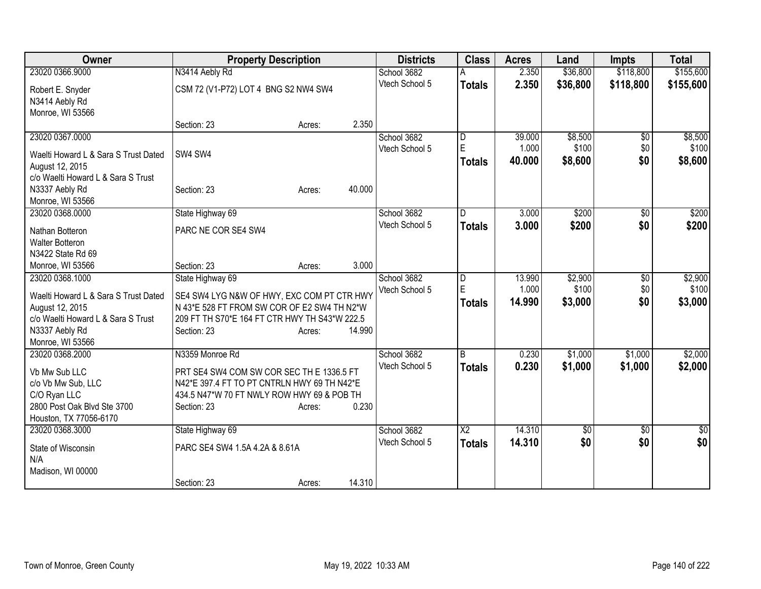| Owner                                | <b>Property Description</b>                   | <b>Districts</b> | <b>Class</b>           | <b>Acres</b>    | Land             | <b>Impts</b>    | <b>Total</b>     |
|--------------------------------------|-----------------------------------------------|------------------|------------------------|-----------------|------------------|-----------------|------------------|
| 23020 0366.9000                      | N3414 Aebly Rd                                | School 3682      |                        | 2.350           | \$36,800         | \$118,800       | \$155,600        |
| Robert E. Snyder                     | CSM 72 (V1-P72) LOT 4 BNG S2 NW4 SW4          | Vtech School 5   | <b>Totals</b>          | 2.350           | \$36,800         | \$118,800       | \$155,600        |
| N3414 Aebly Rd                       |                                               |                  |                        |                 |                  |                 |                  |
| Monroe, WI 53566                     |                                               |                  |                        |                 |                  |                 |                  |
|                                      | 2.350<br>Section: 23<br>Acres:                |                  |                        |                 |                  |                 |                  |
| 23020 0367.0000                      |                                               | School 3682      | D<br>E                 | 39.000          | \$8,500          | $\overline{50}$ | \$8,500          |
| Waelti Howard L & Sara S Trust Dated | SW4 SW4                                       | Vtech School 5   |                        | 1.000           | \$100            | \$0             | \$100            |
| August 12, 2015                      |                                               |                  | <b>Totals</b>          | 40.000          | \$8,600          | \$0             | \$8,600          |
| c/o Waelti Howard L & Sara S Trust   |                                               |                  |                        |                 |                  |                 |                  |
| N3337 Aebly Rd                       | 40.000<br>Section: 23<br>Acres:               |                  |                        |                 |                  |                 |                  |
| Monroe, WI 53566                     |                                               |                  |                        |                 |                  |                 |                  |
| 23020 0368.0000                      | State Highway 69                              | School 3682      | D.                     | 3.000           | \$200            | $\overline{50}$ | \$200            |
|                                      |                                               | Vtech School 5   | <b>Totals</b>          | 3.000           | \$200            | \$0             | \$200            |
| Nathan Botteron                      | PARC NE COR SE4 SW4                           |                  |                        |                 |                  |                 |                  |
| <b>Walter Botteron</b>               |                                               |                  |                        |                 |                  |                 |                  |
| N3422 State Rd 69                    | 3.000                                         |                  |                        |                 |                  |                 |                  |
| Monroe, WI 53566                     | Section: 23<br>Acres:                         |                  |                        |                 |                  |                 |                  |
| 23020 0368.1000                      | State Highway 69                              | School 3682      | D<br>E                 | 13.990<br>1.000 | \$2,900<br>\$100 | $\overline{50}$ | \$2,900<br>\$100 |
| Waelti Howard L & Sara S Trust Dated | SE4 SW4 LYG N&W OF HWY, EXC COM PT CTR HWY    | Vtech School 5   |                        |                 |                  | \$0             |                  |
| August 12, 2015                      | N 43*E 528 FT FROM SW COR OF E2 SW4 TH N2*W   |                  | <b>Totals</b>          | 14.990          | \$3,000          | \$0             | \$3,000          |
| c/o Waelti Howard L & Sara S Trust   | 209 FT TH S70*E 164 FT CTR HWY TH S43*W 222.5 |                  |                        |                 |                  |                 |                  |
| N3337 Aebly Rd                       | 14.990<br>Section: 23<br>Acres:               |                  |                        |                 |                  |                 |                  |
| Monroe, WI 53566                     |                                               |                  |                        |                 |                  |                 |                  |
| 23020 0368.2000                      | N3359 Monroe Rd                               | School 3682      | $\overline{B}$         | 0.230           | \$1,000          | \$1,000         | \$2,000          |
| Vb Mw Sub LLC                        | PRT SE4 SW4 COM SW COR SEC TH E 1336.5 FT     | Vtech School 5   | <b>Totals</b>          | 0.230           | \$1,000          | \$1,000         | \$2,000          |
| c/o Vb Mw Sub, LLC                   | N42*E 397.4 FT TO PT CNTRLN HWY 69 TH N42*E   |                  |                        |                 |                  |                 |                  |
| C/O Ryan LLC                         | 434.5 N47*W 70 FT NWLY ROW HWY 69 & POB TH    |                  |                        |                 |                  |                 |                  |
| 2800 Post Oak Blvd Ste 3700          | 0.230<br>Section: 23<br>Acres:                |                  |                        |                 |                  |                 |                  |
| Houston, TX 77056-6170               |                                               |                  |                        |                 |                  |                 |                  |
| 23020 0368.3000                      | State Highway 69                              | School 3682      | $\overline{\text{X2}}$ | 14.310          | \$0              | $\sqrt[6]{}$    | $\overline{30}$  |
|                                      |                                               | Vtech School 5   | <b>Totals</b>          | 14.310          | \$0              | \$0             | \$0              |
| State of Wisconsin                   | PARC SE4 SW4 1.5A 4.2A & 8.61A                |                  |                        |                 |                  |                 |                  |
| N/A                                  |                                               |                  |                        |                 |                  |                 |                  |
| Madison, WI 00000                    |                                               |                  |                        |                 |                  |                 |                  |
|                                      | 14.310<br>Section: 23<br>Acres:               |                  |                        |                 |                  |                 |                  |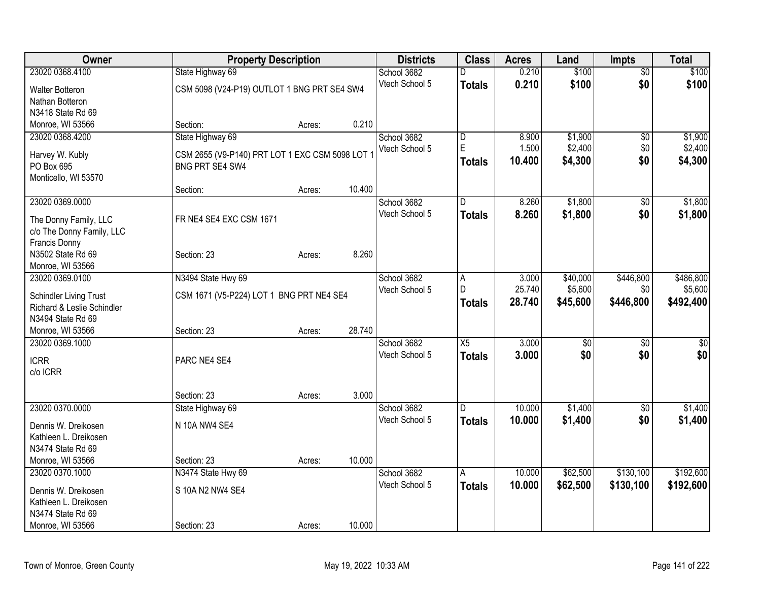| \$100<br>23020 0368.4100<br>State Highway 69<br>School 3682<br>0.210<br>$\overline{50}$<br>D<br>\$0<br>Vtech School 5<br>0.210<br>\$100<br><b>Totals</b><br>CSM 5098 (V24-P19) OUTLOT 1 BNG PRT SE4 SW4<br>Walter Botteron<br>Nathan Botteron<br>N3418 State Rd 69<br>0.210<br>Monroe, WI 53566<br>Section:<br>Acres:<br>State Highway 69<br>\$1,900<br>23020 0368.4200<br>School 3682<br>8.900<br>$\overline{50}$<br>D<br>$\mathsf E$<br>\$2,400<br>1.500<br>\$0<br>Vtech School 5<br>Harvey W. Kubly<br>CSM 2655 (V9-P140) PRT LOT 1 EXC CSM 5098 LOT 1<br>\$0<br>10.400<br>\$4,300<br><b>Totals</b><br>PO Box 695<br>BNG PRT SE4 SW4<br>Monticello, WI 53570<br>10.400<br>Section:<br>Acres: | <b>Owner</b> | <b>Property Description</b> |  | <b>Districts</b> | <b>Class</b> | <b>Acres</b> | Land | <b>Impts</b> | <b>Total</b>    |
|-------------------------------------------------------------------------------------------------------------------------------------------------------------------------------------------------------------------------------------------------------------------------------------------------------------------------------------------------------------------------------------------------------------------------------------------------------------------------------------------------------------------------------------------------------------------------------------------------------------------------------------------------------------------------------------------------|--------------|-----------------------------|--|------------------|--------------|--------------|------|--------------|-----------------|
|                                                                                                                                                                                                                                                                                                                                                                                                                                                                                                                                                                                                                                                                                                 |              |                             |  |                  |              |              |      |              | \$100           |
|                                                                                                                                                                                                                                                                                                                                                                                                                                                                                                                                                                                                                                                                                                 |              |                             |  |                  |              |              |      |              | \$100           |
|                                                                                                                                                                                                                                                                                                                                                                                                                                                                                                                                                                                                                                                                                                 |              |                             |  |                  |              |              |      |              |                 |
|                                                                                                                                                                                                                                                                                                                                                                                                                                                                                                                                                                                                                                                                                                 |              |                             |  |                  |              |              |      |              |                 |
|                                                                                                                                                                                                                                                                                                                                                                                                                                                                                                                                                                                                                                                                                                 |              |                             |  |                  |              |              |      |              |                 |
|                                                                                                                                                                                                                                                                                                                                                                                                                                                                                                                                                                                                                                                                                                 |              |                             |  |                  |              |              |      |              | \$1,900         |
|                                                                                                                                                                                                                                                                                                                                                                                                                                                                                                                                                                                                                                                                                                 |              |                             |  |                  |              |              |      |              | \$2,400         |
|                                                                                                                                                                                                                                                                                                                                                                                                                                                                                                                                                                                                                                                                                                 |              |                             |  |                  |              |              |      |              | \$4,300         |
|                                                                                                                                                                                                                                                                                                                                                                                                                                                                                                                                                                                                                                                                                                 |              |                             |  |                  |              |              |      |              |                 |
|                                                                                                                                                                                                                                                                                                                                                                                                                                                                                                                                                                                                                                                                                                 |              |                             |  |                  |              |              |      |              |                 |
| 23020 0369.0000<br>8.260<br>\$1,800<br>School 3682<br>\$0<br>D.                                                                                                                                                                                                                                                                                                                                                                                                                                                                                                                                                                                                                                 |              |                             |  |                  |              |              |      |              | \$1,800         |
| Vtech School 5<br>8.260<br>\$1,800<br>\$0<br><b>Totals</b>                                                                                                                                                                                                                                                                                                                                                                                                                                                                                                                                                                                                                                      |              |                             |  |                  |              |              |      |              | \$1,800         |
| FR NE4 SE4 EXC CSM 1671<br>The Donny Family, LLC                                                                                                                                                                                                                                                                                                                                                                                                                                                                                                                                                                                                                                                |              |                             |  |                  |              |              |      |              |                 |
| c/o The Donny Family, LLC                                                                                                                                                                                                                                                                                                                                                                                                                                                                                                                                                                                                                                                                       |              |                             |  |                  |              |              |      |              |                 |
| Francis Donny<br>8.260                                                                                                                                                                                                                                                                                                                                                                                                                                                                                                                                                                                                                                                                          |              |                             |  |                  |              |              |      |              |                 |
| N3502 State Rd 69<br>Section: 23<br>Acres:<br>Monroe, WI 53566                                                                                                                                                                                                                                                                                                                                                                                                                                                                                                                                                                                                                                  |              |                             |  |                  |              |              |      |              |                 |
| \$446,800<br>N3494 State Hwy 69<br>23020 0369.0100<br>School 3682<br>3.000<br>\$40,000                                                                                                                                                                                                                                                                                                                                                                                                                                                                                                                                                                                                          |              |                             |  |                  |              |              |      |              | \$486,800       |
| A<br>25.740<br>\$5,600<br>Vtech School 5<br>$\mathsf{D}$<br>\$0                                                                                                                                                                                                                                                                                                                                                                                                                                                                                                                                                                                                                                 |              |                             |  |                  |              |              |      |              | \$5,600         |
| CSM 1671 (V5-P224) LOT 1 BNG PRT NE4 SE4<br><b>Schindler Living Trust</b><br>28.740<br>\$45,600<br>\$446,800<br><b>Totals</b>                                                                                                                                                                                                                                                                                                                                                                                                                                                                                                                                                                   |              |                             |  |                  |              |              |      |              | \$492,400       |
| Richard & Leslie Schindler                                                                                                                                                                                                                                                                                                                                                                                                                                                                                                                                                                                                                                                                      |              |                             |  |                  |              |              |      |              |                 |
| N3494 State Rd 69                                                                                                                                                                                                                                                                                                                                                                                                                                                                                                                                                                                                                                                                               |              |                             |  |                  |              |              |      |              |                 |
| 28.740<br>Monroe, WI 53566<br>Section: 23<br>Acres:                                                                                                                                                                                                                                                                                                                                                                                                                                                                                                                                                                                                                                             |              |                             |  |                  |              |              |      |              |                 |
| 3.000<br>23020 0369.1000<br>School 3682<br>$\overline{X5}$<br>$\overline{50}$<br>$\overline{50}$                                                                                                                                                                                                                                                                                                                                                                                                                                                                                                                                                                                                |              |                             |  |                  |              |              |      |              | $\overline{50}$ |
| \$0<br>\$0<br>Vtech School 5<br>3.000<br><b>Totals</b><br><b>ICRR</b><br>PARC NE4 SE4                                                                                                                                                                                                                                                                                                                                                                                                                                                                                                                                                                                                           |              |                             |  |                  |              |              |      |              | \$0             |
| c/o ICRR                                                                                                                                                                                                                                                                                                                                                                                                                                                                                                                                                                                                                                                                                        |              |                             |  |                  |              |              |      |              |                 |
|                                                                                                                                                                                                                                                                                                                                                                                                                                                                                                                                                                                                                                                                                                 |              |                             |  |                  |              |              |      |              |                 |
| 3.000<br>Section: 23<br>Acres:                                                                                                                                                                                                                                                                                                                                                                                                                                                                                                                                                                                                                                                                  |              |                             |  |                  |              |              |      |              |                 |
| 23020 0370.0000<br>State Highway 69<br>10.000<br>\$1,400<br>School 3682<br>D.<br>$\overline{50}$                                                                                                                                                                                                                                                                                                                                                                                                                                                                                                                                                                                                |              |                             |  |                  |              |              |      |              | \$1,400         |
| Vtech School 5<br>10.000<br>\$1,400<br>\$0<br><b>Totals</b><br>N 10A NW4 SE4<br>Dennis W. Dreikosen                                                                                                                                                                                                                                                                                                                                                                                                                                                                                                                                                                                             |              |                             |  |                  |              |              |      |              | \$1,400         |
| Kathleen L. Dreikosen                                                                                                                                                                                                                                                                                                                                                                                                                                                                                                                                                                                                                                                                           |              |                             |  |                  |              |              |      |              |                 |
| N3474 State Rd 69                                                                                                                                                                                                                                                                                                                                                                                                                                                                                                                                                                                                                                                                               |              |                             |  |                  |              |              |      |              |                 |
| 10.000<br>Monroe, WI 53566<br>Section: 23<br>Acres:                                                                                                                                                                                                                                                                                                                                                                                                                                                                                                                                                                                                                                             |              |                             |  |                  |              |              |      |              |                 |
| \$130,100<br>N3474 State Hwy 69<br>10.000<br>\$62,500<br>23020 0370.1000<br>School 3682<br>A                                                                                                                                                                                                                                                                                                                                                                                                                                                                                                                                                                                                    |              |                             |  |                  |              |              |      |              | \$192,600       |
| Vtech School 5<br>10.000<br>\$62,500<br>\$130,100<br>Totals                                                                                                                                                                                                                                                                                                                                                                                                                                                                                                                                                                                                                                     |              |                             |  |                  |              |              |      |              | \$192,600       |
| S 10A N2 NW4 SE4<br>Dennis W. Dreikosen<br>Kathleen L. Dreikosen                                                                                                                                                                                                                                                                                                                                                                                                                                                                                                                                                                                                                                |              |                             |  |                  |              |              |      |              |                 |
| N3474 State Rd 69                                                                                                                                                                                                                                                                                                                                                                                                                                                                                                                                                                                                                                                                               |              |                             |  |                  |              |              |      |              |                 |
| Monroe, WI 53566<br>10.000<br>Section: 23<br>Acres:                                                                                                                                                                                                                                                                                                                                                                                                                                                                                                                                                                                                                                             |              |                             |  |                  |              |              |      |              |                 |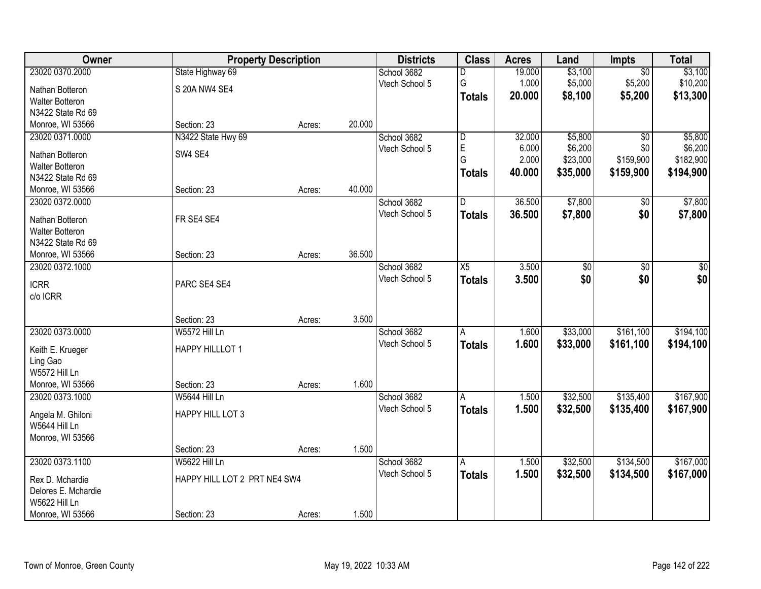| Owner                  |                              | <b>Property Description</b> |        | <b>Districts</b> | <b>Class</b>            | <b>Acres</b> | Land            | <b>Impts</b>    | <b>Total</b> |
|------------------------|------------------------------|-----------------------------|--------|------------------|-------------------------|--------------|-----------------|-----------------|--------------|
| 23020 0370.2000        | State Highway 69             |                             |        | School 3682      | D                       | 19.000       | \$3,100         | $\overline{50}$ | \$3,100      |
| Nathan Botteron        | S 20A NW4 SE4                |                             |        | Vtech School 5   | G                       | 1.000        | \$5,000         | \$5,200         | \$10,200     |
| Walter Botteron        |                              |                             |        |                  | <b>Totals</b>           | 20.000       | \$8,100         | \$5,200         | \$13,300     |
| N3422 State Rd 69      |                              |                             |        |                  |                         |              |                 |                 |              |
| Monroe, WI 53566       | Section: 23                  | Acres:                      | 20.000 |                  |                         |              |                 |                 |              |
| 23020 0371.0000        | N3422 State Hwy 69           |                             |        | School 3682      | $\overline{\mathsf{D}}$ | 32.000       | \$5,800         | $\overline{50}$ | \$5,800      |
|                        |                              |                             |        | Vtech School 5   | $\mathsf E$             | 6.000        | \$6,200         | \$0             | \$6,200      |
| Nathan Botteron        | SW4 SE4                      |                             |        |                  | G                       | 2.000        | \$23,000        | \$159,900       | \$182,900    |
| <b>Walter Botteron</b> |                              |                             |        |                  | <b>Totals</b>           | 40.000       | \$35,000        | \$159,900       | \$194,900    |
| N3422 State Rd 69      |                              |                             | 40.000 |                  |                         |              |                 |                 |              |
| Monroe, WI 53566       | Section: 23                  | Acres:                      |        |                  |                         |              |                 |                 |              |
| 23020 0372.0000        |                              |                             |        | School 3682      | D                       | 36.500       | \$7,800         | \$0             | \$7,800      |
| Nathan Botteron        | FR SE4 SE4                   |                             |        | Vtech School 5   | <b>Totals</b>           | 36.500       | \$7,800         | \$0             | \$7,800      |
| <b>Walter Botteron</b> |                              |                             |        |                  |                         |              |                 |                 |              |
| N3422 State Rd 69      |                              |                             |        |                  |                         |              |                 |                 |              |
| Monroe, WI 53566       | Section: 23                  | Acres:                      | 36.500 |                  |                         |              |                 |                 |              |
| 23020 0372.1000        |                              |                             |        | School 3682      | X5                      | 3.500        | $\overline{50}$ | \$0             | \$0          |
| <b>ICRR</b>            | PARC SE4 SE4                 |                             |        | Vtech School 5   | <b>Totals</b>           | 3.500        | \$0             | \$0             | \$0          |
| c/o ICRR               |                              |                             |        |                  |                         |              |                 |                 |              |
|                        |                              |                             |        |                  |                         |              |                 |                 |              |
|                        | Section: 23                  | Acres:                      | 3.500  |                  |                         |              |                 |                 |              |
| 23020 0373.0000        | W5572 Hill Ln                |                             |        | School 3682      | А                       | 1.600        | \$33,000        | \$161,100       | \$194,100    |
|                        |                              |                             |        | Vtech School 5   | <b>Totals</b>           | 1.600        | \$33,000        | \$161,100       | \$194,100    |
| Keith E. Krueger       | HAPPY HILLLOT 1              |                             |        |                  |                         |              |                 |                 |              |
| Ling Gao               |                              |                             |        |                  |                         |              |                 |                 |              |
| <b>W5572 Hill Ln</b>   |                              |                             |        |                  |                         |              |                 |                 |              |
| Monroe, WI 53566       | Section: 23                  | Acres:                      | 1.600  |                  |                         |              |                 |                 |              |
| 23020 0373.1000        | W5644 Hill Ln                |                             |        | School 3682      | A                       | 1.500        | \$32,500        | \$135,400       | \$167,900    |
| Angela M. Ghiloni      | HAPPY HILL LOT 3             |                             |        | Vtech School 5   | <b>Totals</b>           | 1.500        | \$32,500        | \$135,400       | \$167,900    |
| W5644 Hill Ln          |                              |                             |        |                  |                         |              |                 |                 |              |
| Monroe, WI 53566       |                              |                             |        |                  |                         |              |                 |                 |              |
|                        | Section: 23                  | Acres:                      | 1.500  |                  |                         |              |                 |                 |              |
| 23020 0373.1100        | W5622 Hill Ln                |                             |        | School 3682      | A                       | 1.500        | \$32,500        | \$134,500       | \$167,000    |
| Rex D. Mchardie        | HAPPY HILL LOT 2 PRT NE4 SW4 |                             |        | Vtech School 5   | <b>Totals</b>           | 1.500        | \$32,500        | \$134,500       | \$167,000    |
| Delores E. Mchardie    |                              |                             |        |                  |                         |              |                 |                 |              |
| W5622 Hill Ln          |                              |                             |        |                  |                         |              |                 |                 |              |
|                        |                              |                             |        |                  |                         |              |                 |                 |              |
| Monroe, WI 53566       | Section: 23                  | Acres:                      | 1.500  |                  |                         |              |                 |                 |              |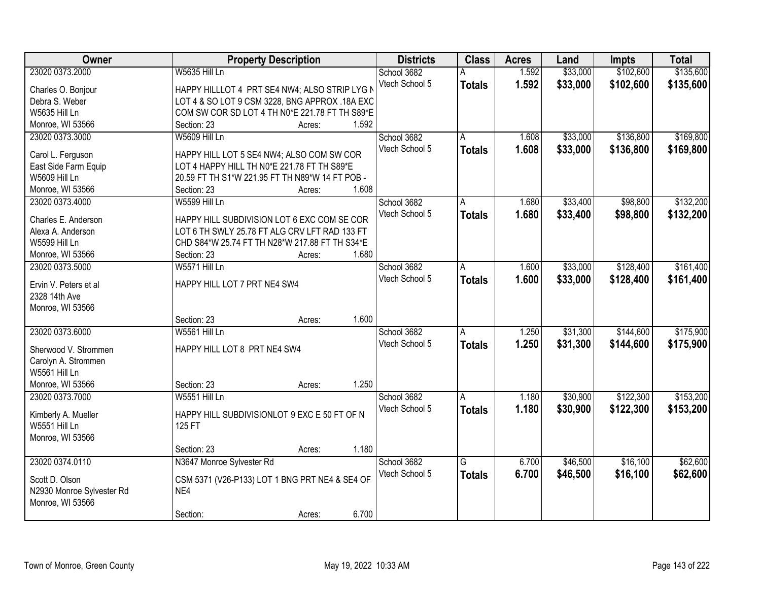| Owner                     |                                                 | <b>Property Description</b> |       | <b>Districts</b> | <b>Class</b>            | <b>Acres</b> | Land     | <b>Impts</b> | <b>Total</b> |
|---------------------------|-------------------------------------------------|-----------------------------|-------|------------------|-------------------------|--------------|----------|--------------|--------------|
| 23020 0373.2000           | W5635 Hill Ln                                   |                             |       | School 3682      |                         | 1.592        | \$33,000 | \$102,600    | \$135,600    |
| Charles O. Bonjour        | HAPPY HILLLOT 4 PRT SE4 NW4; ALSO STRIP LYG N   |                             |       | Vtech School 5   | <b>Totals</b>           | 1.592        | \$33,000 | \$102,600    | \$135,600    |
| Debra S. Weber            | LOT 4 & SO LOT 9 CSM 3228, BNG APPROX .18A EXC  |                             |       |                  |                         |              |          |              |              |
| W5635 Hill Ln             | COM SW COR SD LOT 4 TH N0*E 221.78 FT TH S89*E  |                             |       |                  |                         |              |          |              |              |
| Monroe, WI 53566          | Section: 23                                     | Acres:                      | 1.592 |                  |                         |              |          |              |              |
| 23020 0373.3000           | W5609 Hill Ln                                   |                             |       | School 3682      | A                       | 1.608        | \$33,000 | \$136,800    | \$169,800    |
|                           |                                                 |                             |       | Vtech School 5   | <b>Totals</b>           | 1.608        | \$33,000 | \$136,800    | \$169,800    |
| Carol L. Ferguson         | HAPPY HILL LOT 5 SE4 NW4; ALSO COM SW COR       |                             |       |                  |                         |              |          |              |              |
| East Side Farm Equip      | LOT 4 HAPPY HILL TH N0*E 221.78 FT TH S89*E     |                             |       |                  |                         |              |          |              |              |
| W5609 Hill Ln             | 20.59 FT TH S1*W 221.95 FT TH N89*W 14 FT POB - |                             |       |                  |                         |              |          |              |              |
| Monroe, WI 53566          | Section: 23                                     | Acres:                      | 1.608 |                  |                         |              |          |              |              |
| 23020 0373.4000           | W5599 Hill Ln                                   |                             |       | School 3682      | A                       | 1.680        | \$33,400 | \$98,800     | \$132,200    |
| Charles E. Anderson       | HAPPY HILL SUBDIVISION LOT 6 EXC COM SE COR     |                             |       | Vtech School 5   | <b>Totals</b>           | 1.680        | \$33,400 | \$98,800     | \$132,200    |
| Alexa A. Anderson         | LOT 6 TH SWLY 25.78 FT ALG CRV LFT RAD 133 FT   |                             |       |                  |                         |              |          |              |              |
| <b>W5599 Hill Ln</b>      | CHD S84*W 25.74 FT TH N28*W 217.88 FT TH S34*E  |                             |       |                  |                         |              |          |              |              |
| Monroe, WI 53566          | Section: 23                                     | Acres:                      | 1.680 |                  |                         |              |          |              |              |
| 23020 0373.5000           | W5571 Hill Ln                                   |                             |       | School 3682      | A                       | 1.600        | \$33,000 | \$128,400    | \$161,400    |
|                           |                                                 |                             |       | Vtech School 5   | <b>Totals</b>           | 1.600        | \$33,000 | \$128,400    | \$161,400    |
| Ervin V. Peters et al     | HAPPY HILL LOT 7 PRT NE4 SW4                    |                             |       |                  |                         |              |          |              |              |
| 2328 14th Ave             |                                                 |                             |       |                  |                         |              |          |              |              |
| Monroe, WI 53566          |                                                 |                             |       |                  |                         |              |          |              |              |
|                           | Section: 23                                     | Acres:                      | 1.600 |                  |                         |              |          |              |              |
| 23020 0373.6000           | <b>W5561 Hill Ln</b>                            |                             |       | School 3682      | A                       | 1.250        | \$31,300 | \$144,600    | \$175,900    |
| Sherwood V. Strommen      | HAPPY HILL LOT 8 PRT NE4 SW4                    |                             |       | Vtech School 5   | <b>Totals</b>           | 1.250        | \$31,300 | \$144,600    | \$175,900    |
| Carolyn A. Strommen       |                                                 |                             |       |                  |                         |              |          |              |              |
| W5561 Hill Ln             |                                                 |                             |       |                  |                         |              |          |              |              |
| Monroe, WI 53566          | Section: 23                                     | Acres:                      | 1.250 |                  |                         |              |          |              |              |
| 23020 0373.7000           | W5551 Hill Ln                                   |                             |       | School 3682      | A                       | 1.180        | \$30,900 | \$122,300    | \$153,200    |
|                           |                                                 |                             |       | Vtech School 5   | <b>Totals</b>           | 1.180        | \$30,900 | \$122,300    | \$153,200    |
| Kimberly A. Mueller       | HAPPY HILL SUBDIVISIONLOT 9 EXC E 50 FT OF N    |                             |       |                  |                         |              |          |              |              |
| <b>W5551 Hill Ln</b>      | 125 FT                                          |                             |       |                  |                         |              |          |              |              |
| Monroe, WI 53566          |                                                 |                             |       |                  |                         |              |          |              |              |
|                           | Section: 23                                     | Acres:                      | 1.180 |                  |                         |              |          |              |              |
| 23020 0374.0110           | N3647 Monroe Sylvester Rd                       |                             |       | School 3682      | $\overline{\mathsf{G}}$ | 6.700        | \$46,500 | \$16,100     | \$62,600     |
| Scott D. Olson            | CSM 5371 (V26-P133) LOT 1 BNG PRT NE4 & SE4 OF  |                             |       | Vtech School 5   | <b>Totals</b>           | 6.700        | \$46,500 | \$16,100     | \$62,600     |
| N2930 Monroe Sylvester Rd | NE4                                             |                             |       |                  |                         |              |          |              |              |
| Monroe, WI 53566          |                                                 |                             |       |                  |                         |              |          |              |              |
|                           | Section:                                        | Acres:                      | 6.700 |                  |                         |              |          |              |              |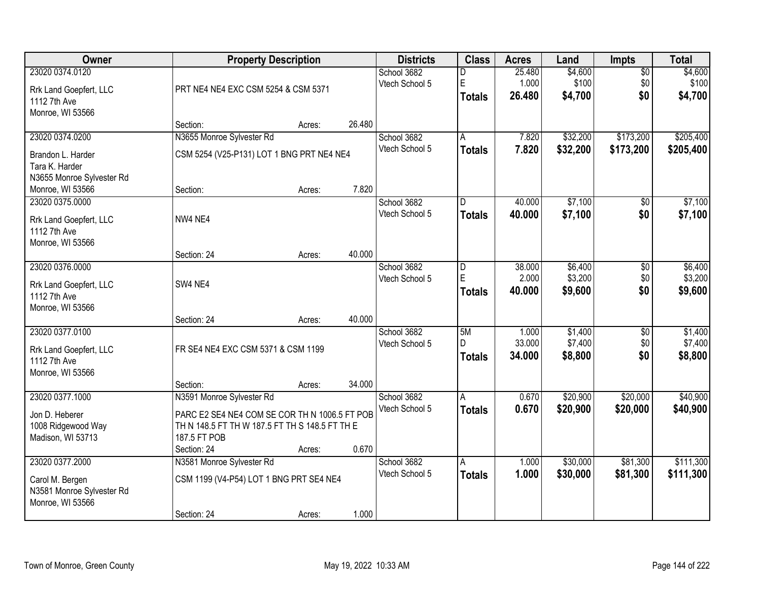| Owner                                                                               |                                                                                                                                              | <b>Property Description</b> |        | <b>Districts</b>              | <b>Class</b>              | <b>Acres</b>              | Land                          | Impts                         | <b>Total</b>                  |
|-------------------------------------------------------------------------------------|----------------------------------------------------------------------------------------------------------------------------------------------|-----------------------------|--------|-------------------------------|---------------------------|---------------------------|-------------------------------|-------------------------------|-------------------------------|
| 23020 0374.0120<br>Rrk Land Goepfert, LLC<br>1112 7th Ave<br>Monroe, WI 53566       | PRT NE4 NE4 EXC CSM 5254 & CSM 5371                                                                                                          |                             |        | School 3682<br>Vtech School 5 | D<br>E<br><b>Totals</b>   | 25.480<br>1.000<br>26.480 | \$4,600<br>\$100<br>\$4,700   | $\overline{50}$<br>\$0<br>\$0 | \$4,600<br>\$100<br>\$4,700   |
|                                                                                     | Section:                                                                                                                                     | Acres:                      | 26.480 |                               |                           |                           |                               |                               |                               |
| 23020 0374.0200<br>Brandon L. Harder                                                | N3655 Monroe Sylvester Rd<br>CSM 5254 (V25-P131) LOT 1 BNG PRT NE4 NE4                                                                       |                             |        | School 3682<br>Vtech School 5 | A<br><b>Totals</b>        | 7.820<br>7.820            | \$32,200<br>\$32,200          | \$173,200<br>\$173,200        | \$205,400<br>\$205,400        |
| Tara K. Harder<br>N3655 Monroe Sylvester Rd<br>Monroe, WI 53566                     | Section:                                                                                                                                     | Acres:                      | 7.820  |                               |                           |                           |                               |                               |                               |
| 23020 0375.0000<br>Rrk Land Goepfert, LLC<br>1112 7th Ave<br>Monroe, WI 53566       | NW4 NE4                                                                                                                                      |                             |        | School 3682<br>Vtech School 5 | D<br><b>Totals</b>        | 40.000<br>40.000          | \$7,100<br>\$7,100            | \$0<br>\$0                    | \$7,100<br>\$7,100            |
|                                                                                     | Section: 24                                                                                                                                  | Acres:                      | 40.000 |                               |                           |                           |                               |                               |                               |
| 23020 0376.0000<br>Rrk Land Goepfert, LLC<br>1112 7th Ave<br>Monroe, WI 53566       | SW4 NE4                                                                                                                                      |                             |        | School 3682<br>Vtech School 5 | D<br>E<br><b>Totals</b>   | 38.000<br>2.000<br>40.000 | \$6,400<br>\$3,200<br>\$9,600 | \$0<br>\$0<br>\$0             | \$6,400<br>\$3,200<br>\$9,600 |
|                                                                                     | Section: 24                                                                                                                                  | Acres:                      | 40.000 |                               |                           |                           |                               |                               |                               |
| 23020 0377.0100<br>Rrk Land Goepfert, LLC<br>1112 7th Ave<br>Monroe, WI 53566       | FR SE4 NE4 EXC CSM 5371 & CSM 1199                                                                                                           |                             |        | School 3682<br>Vtech School 5 | 5M<br>D.<br><b>Totals</b> | 1.000<br>33.000<br>34.000 | \$1,400<br>\$7,400<br>\$8,800 | $\overline{50}$<br>\$0<br>\$0 | \$1,400<br>\$7,400<br>\$8,800 |
| 23020 0377.1000                                                                     | Section:                                                                                                                                     | Acres:                      | 34.000 |                               |                           | 0.670                     |                               |                               |                               |
| Jon D. Heberer<br>1008 Ridgewood Way<br>Madison, WI 53713                           | N3591 Monroe Sylvester Rd<br>PARC E2 SE4 NE4 COM SE COR TH N 1006.5 FT POB<br>TH N 148.5 FT TH W 187.5 FT TH S 148.5 FT TH E<br>187.5 FT POB |                             |        | School 3682<br>Vtech School 5 | A<br><b>Totals</b>        | 0.670                     | \$20,900<br>\$20,900          | \$20,000<br>\$20,000          | \$40,900<br>\$40,900          |
|                                                                                     | Section: 24                                                                                                                                  | Acres:                      | 0.670  |                               |                           |                           |                               |                               |                               |
| 23020 0377.2000<br>Carol M. Bergen<br>N3581 Monroe Sylvester Rd<br>Monroe, WI 53566 | N3581 Monroe Sylvester Rd<br>CSM 1199 (V4-P54) LOT 1 BNG PRT SE4 NE4<br>Section: 24                                                          | Acres:                      | 1.000  | School 3682<br>Vtech School 5 | A<br><b>Totals</b>        | 1.000<br>1.000            | \$30,000<br>\$30,000          | \$81,300<br>\$81,300          | \$111,300<br>\$111,300        |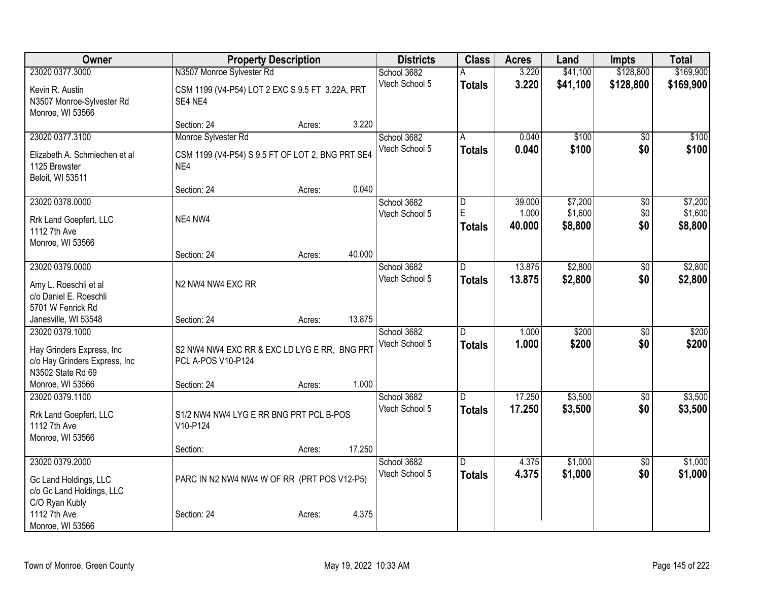| Owner                                                                                              | <b>Property Description</b>                                                    |        |        | <b>Districts</b>              | <b>Class</b>                    | <b>Acres</b>              | Land                          | <b>Impts</b>                  | <b>Total</b>                  |
|----------------------------------------------------------------------------------------------------|--------------------------------------------------------------------------------|--------|--------|-------------------------------|---------------------------------|---------------------------|-------------------------------|-------------------------------|-------------------------------|
| 23020 0377.3000                                                                                    | N3507 Monroe Sylvester Rd                                                      |        |        | School 3682                   |                                 | 3.220                     | \$41,100                      | \$128,800                     | \$169,900                     |
| Kevin R. Austin<br>N3507 Monroe-Sylvester Rd<br>Monroe, WI 53566                                   | CSM 1199 (V4-P54) LOT 2 EXC S 9.5 FT 3.22A, PRT<br>SE4 NE4                     |        |        | Vtech School 5                | <b>Totals</b>                   | 3.220                     | \$41,100                      | \$128,800                     | \$169,900                     |
|                                                                                                    | Section: 24                                                                    | Acres: | 3.220  |                               |                                 |                           |                               |                               |                               |
| 23020 0377.3100<br>Elizabeth A. Schmiechen et al<br>1125 Brewster                                  | Monroe Sylvester Rd<br>CSM 1199 (V4-P54) S 9.5 FT OF LOT 2, BNG PRT SE4<br>NE4 |        |        | School 3682<br>Vtech School 5 | A<br><b>Totals</b>              | 0.040<br>0.040            | \$100<br>\$100                | \$0<br>\$0                    | \$100<br>\$100                |
| Beloit, WI 53511                                                                                   | Section: 24                                                                    | Acres: | 0.040  |                               |                                 |                           |                               |                               |                               |
| 23020 0378.0000<br>Rrk Land Goepfert, LLC<br>1112 7th Ave<br>Monroe, WI 53566                      | NE4 NW4                                                                        |        |        | School 3682<br>Vtech School 5 | D<br>E<br><b>Totals</b>         | 39.000<br>1.000<br>40.000 | \$7,200<br>\$1,600<br>\$8,800 | $\overline{50}$<br>\$0<br>\$0 | \$7,200<br>\$1,600<br>\$8,800 |
|                                                                                                    | Section: 24                                                                    | Acres: | 40.000 |                               |                                 |                           |                               |                               |                               |
| 23020 0379.0000                                                                                    |                                                                                |        |        | School 3682<br>Vtech School 5 | $\overline{D}$<br><b>Totals</b> | 13.875<br>13.875          | \$2,800<br>\$2,800            | $\overline{50}$<br>\$0        | \$2,800<br>\$2,800            |
| Amy L. Roeschli et al<br>c/o Daniel E. Roeschli<br>5701 W Fenrick Rd                               | N2 NW4 NW4 EXC RR                                                              |        |        |                               |                                 |                           |                               |                               |                               |
| Janesville, WI 53548                                                                               | Section: 24                                                                    | Acres: | 13.875 |                               |                                 |                           |                               |                               |                               |
| 23020 0379.1000<br>Hay Grinders Express, Inc<br>c/o Hay Grinders Express, Inc<br>N3502 State Rd 69 | S2 NW4 NW4 EXC RR & EXC LD LYG E RR, BNG PRT<br>PCL A-POS V10-P124             |        |        | School 3682<br>Vtech School 5 | D.<br><b>Totals</b>             | 1.000<br>1.000            | \$200<br>\$200                | $\overline{30}$<br>\$0        | \$200<br>\$200                |
| Monroe, WI 53566                                                                                   | Section: 24                                                                    | Acres: | 1.000  |                               |                                 |                           |                               |                               |                               |
| 23020 0379.1100<br>Rrk Land Goepfert, LLC<br>1112 7th Ave<br>Monroe, WI 53566                      | S1/2 NW4 NW4 LYG E RR BNG PRT PCL B-POS<br>V10-P124                            |        |        | School 3682<br>Vtech School 5 | D<br><b>Totals</b>              | 17.250<br>17.250          | \$3,500<br>\$3,500            | $\sqrt{6}$<br>\$0             | \$3,500<br>\$3,500            |
|                                                                                                    | Section:                                                                       | Acres: | 17.250 |                               |                                 |                           |                               |                               |                               |
| 23020 0379.2000<br>Gc Land Holdings, LLC<br>c/o Gc Land Holdings, LLC<br>C/O Ryan Kubly            | PARC IN N2 NW4 NW4 W OF RR (PRT POS V12-P5)                                    |        |        | School 3682<br>Vtech School 5 | D.<br><b>Totals</b>             | 4.375<br>4.375            | \$1,000<br>\$1,000            | $\overline{50}$<br>\$0        | \$1,000<br>\$1,000            |
| 1112 7th Ave<br>Monroe, WI 53566                                                                   | Section: 24                                                                    | Acres: | 4.375  |                               |                                 |                           |                               |                               |                               |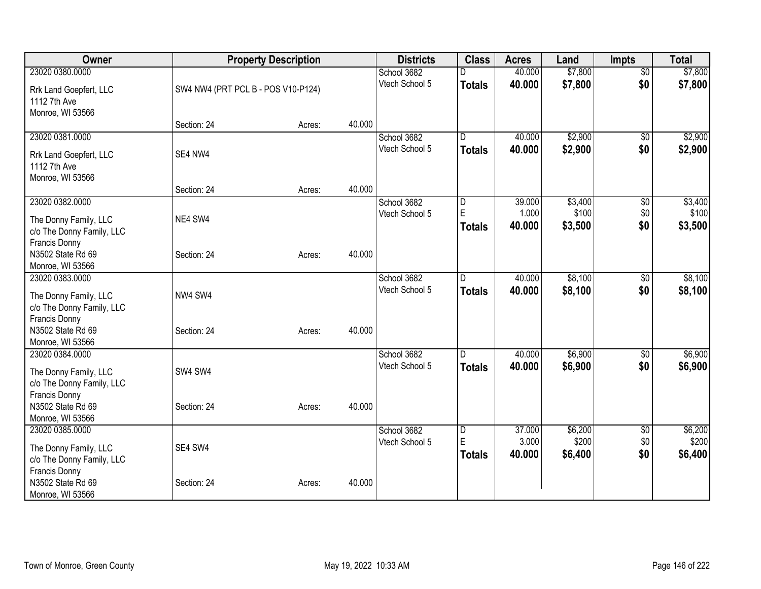| Owner                                                                      |                                    | <b>Property Description</b> |        | <b>Districts</b>              | <b>Class</b>            | <b>Acres</b>              | Land                        | <b>Impts</b>      | <b>Total</b>                |
|----------------------------------------------------------------------------|------------------------------------|-----------------------------|--------|-------------------------------|-------------------------|---------------------------|-----------------------------|-------------------|-----------------------------|
| 23020 0380.0000                                                            |                                    |                             |        | School 3682                   |                         | 40.000                    | \$7,800                     | $\overline{60}$   | \$7,800                     |
| Rrk Land Goepfert, LLC<br>1112 7th Ave<br>Monroe, WI 53566                 | SW4 NW4 (PRT PCL B - POS V10-P124) |                             |        | Vtech School 5                | <b>Totals</b>           | 40.000                    | \$7,800                     | \$0               | \$7,800                     |
|                                                                            | Section: 24                        | Acres:                      | 40.000 |                               |                         |                           |                             |                   |                             |
| 23020 0381.0000                                                            |                                    |                             |        | School 3682                   | D                       | 40.000                    | \$2,900                     | $\overline{30}$   | \$2,900                     |
| Rrk Land Goepfert, LLC<br>1112 7th Ave<br>Monroe, WI 53566                 | SE4 NW4                            |                             |        | Vtech School 5                | <b>Totals</b>           | 40.000                    | \$2,900                     | \$0               | \$2,900                     |
|                                                                            | Section: 24                        | Acres:                      | 40.000 |                               |                         |                           |                             |                   |                             |
| 23020 0382.0000<br>The Donny Family, LLC<br>c/o The Donny Family, LLC      | NE4 SW4                            |                             |        | School 3682<br>Vtech School 5 | D<br>E<br><b>Totals</b> | 39.000<br>1.000<br>40.000 | \$3,400<br>\$100<br>\$3,500 | \$0<br>\$0<br>\$0 | \$3,400<br>\$100<br>\$3,500 |
| Francis Donny<br>N3502 State Rd 69<br>Monroe, WI 53566                     | Section: 24                        | Acres:                      | 40.000 |                               |                         |                           |                             |                   |                             |
| 23020 0383.0000                                                            |                                    |                             |        | School 3682                   | D.                      | 40.000                    | \$8,100                     | \$0               | \$8,100                     |
| The Donny Family, LLC<br>c/o The Donny Family, LLC<br><b>Francis Donny</b> | NW4 SW4                            |                             |        | Vtech School 5                | <b>Totals</b>           | 40.000                    | \$8,100                     | \$0               | \$8,100                     |
| N3502 State Rd 69<br>Monroe, WI 53566                                      | Section: 24                        | Acres:                      | 40.000 |                               |                         |                           |                             |                   |                             |
| 23020 0384.0000                                                            |                                    |                             |        | School 3682                   | ID.                     | 40.000                    | \$6,900                     | $\frac{1}{20}$    | \$6,900                     |
| The Donny Family, LLC<br>c/o The Donny Family, LLC<br>Francis Donny        | SW4 SW4                            |                             |        | Vtech School 5                | <b>Totals</b>           | 40.000                    | \$6,900                     | \$0               | \$6,900                     |
| N3502 State Rd 69<br>Monroe, WI 53566                                      | Section: 24                        | Acres:                      | 40.000 |                               |                         |                           |                             |                   |                             |
| 23020 0385.0000                                                            |                                    |                             |        | School 3682                   | $\overline{\mathsf{D}}$ | 37.000                    | \$6,200                     | $\overline{60}$   | \$6,200                     |
| The Donny Family, LLC<br>c/o The Donny Family, LLC                         | SE4 SW4                            |                             |        | Vtech School 5                | E<br><b>Totals</b>      | 3.000<br>40.000           | \$200<br>\$6,400            | \$0<br>\$0        | \$200<br>\$6,400            |
| Francis Donny<br>N3502 State Rd 69<br>Monroe, WI 53566                     | Section: 24                        | Acres:                      | 40.000 |                               |                         |                           |                             |                   |                             |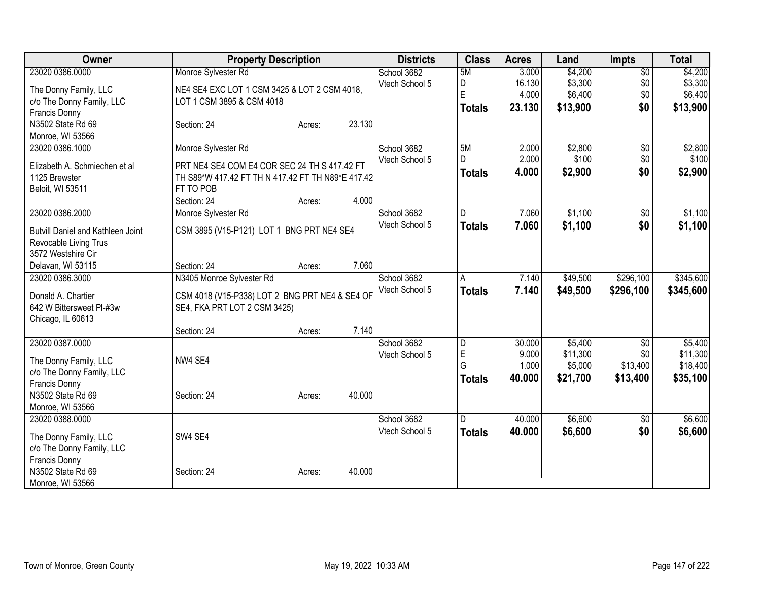| Owner                                         |                                                   | <b>Property Description</b> |        | <b>Districts</b> | <b>Class</b>   | <b>Acres</b> | Land     | <b>Impts</b>    | <b>Total</b> |
|-----------------------------------------------|---------------------------------------------------|-----------------------------|--------|------------------|----------------|--------------|----------|-----------------|--------------|
| 23020 0386.0000                               | Monroe Sylvester Rd                               |                             |        | School 3682      | 5M             | 3.000        | \$4,200  | $\overline{50}$ | \$4,200      |
| The Donny Family, LLC                         | NE4 SE4 EXC LOT 1 CSM 3425 & LOT 2 CSM 4018.      |                             |        | Vtech School 5   | D              | 16.130       | \$3,300  | \$0             | \$3,300      |
| c/o The Donny Family, LLC                     | LOT 1 CSM 3895 & CSM 4018                         |                             |        |                  | E              | 4.000        | \$6,400  | \$0             | \$6,400      |
| <b>Francis Donny</b>                          |                                                   |                             |        |                  | <b>Totals</b>  | 23.130       | \$13,900 | \$0             | \$13,900     |
| N3502 State Rd 69                             | Section: 24                                       | Acres:                      | 23.130 |                  |                |              |          |                 |              |
| Monroe, WI 53566                              |                                                   |                             |        |                  |                |              |          |                 |              |
| 23020 0386.1000                               | Monroe Sylvester Rd                               |                             |        | School 3682      | 5M             | 2.000        | \$2,800  | $\overline{50}$ | \$2,800      |
| Elizabeth A. Schmiechen et al                 | PRT NE4 SE4 COM E4 COR SEC 24 TH S 417.42 FT      |                             |        | Vtech School 5   | D              | 2.000        | \$100    | \$0             | \$100        |
| 1125 Brewster                                 | TH S89*W 417.42 FT TH N 417.42 FT TH N89*E 417.42 |                             |        |                  | <b>Totals</b>  | 4.000        | \$2,900  | \$0             | \$2,900      |
| Beloit, WI 53511                              | FT TO POB                                         |                             |        |                  |                |              |          |                 |              |
|                                               | Section: 24                                       | Acres:                      | 4.000  |                  |                |              |          |                 |              |
| 23020 0386.2000                               | Monroe Sylvester Rd                               |                             |        | School 3682      | $\overline{D}$ | 7.060        | \$1,100  | \$0             | \$1,100      |
| <b>Butvill Daniel and Kathleen Joint</b>      | CSM 3895 (V15-P121) LOT 1 BNG PRT NE4 SE4         |                             |        | Vtech School 5   | <b>Totals</b>  | 7.060        | \$1,100  | \$0             | \$1,100      |
| Revocable Living Trus                         |                                                   |                             |        |                  |                |              |          |                 |              |
| 3572 Westshire Cir                            |                                                   |                             |        |                  |                |              |          |                 |              |
| Delavan, WI 53115                             | Section: 24                                       | Acres:                      | 7.060  |                  |                |              |          |                 |              |
| 23020 0386.3000                               | N3405 Monroe Sylvester Rd                         |                             |        | School 3682      | A              | 7.140        | \$49,500 | \$296,100       | \$345,600    |
|                                               |                                                   |                             |        | Vtech School 5   | <b>Totals</b>  | 7.140        | \$49,500 | \$296,100       | \$345,600    |
| Donald A. Chartier                            | CSM 4018 (V15-P338) LOT 2 BNG PRT NE4 & SE4 OF    |                             |        |                  |                |              |          |                 |              |
| 642 W Bittersweet Pl-#3w<br>Chicago, IL 60613 | SE4, FKA PRT LOT 2 CSM 3425)                      |                             |        |                  |                |              |          |                 |              |
|                                               | Section: 24                                       | Acres:                      | 7.140  |                  |                |              |          |                 |              |
| 23020 0387.0000                               |                                                   |                             |        | School 3682      | D              | 30.000       | \$5,400  | $\overline{50}$ | \$5,400      |
|                                               |                                                   |                             |        | Vtech School 5   | E              | 9.000        | \$11,300 | \$0             | \$11,300     |
| The Donny Family, LLC                         | NW4 SE4                                           |                             |        |                  | G              | 1.000        | \$5,000  | \$13,400        | \$18,400     |
| c/o The Donny Family, LLC                     |                                                   |                             |        |                  | <b>Totals</b>  | 40.000       | \$21,700 | \$13,400        | \$35,100     |
| Francis Donny<br>N3502 State Rd 69            | Section: 24                                       |                             | 40.000 |                  |                |              |          |                 |              |
| Monroe, WI 53566                              |                                                   | Acres:                      |        |                  |                |              |          |                 |              |
| 23020 0388.0000                               |                                                   |                             |        | School 3682      | D              | 40.000       | \$6,600  | $\overline{50}$ | \$6,600      |
|                                               |                                                   |                             |        | Vtech School 5   | <b>Totals</b>  | 40.000       | \$6,600  | \$0             | \$6,600      |
| The Donny Family, LLC                         | SW4 SE4                                           |                             |        |                  |                |              |          |                 |              |
| c/o The Donny Family, LLC                     |                                                   |                             |        |                  |                |              |          |                 |              |
| <b>Francis Donny</b>                          |                                                   |                             |        |                  |                |              |          |                 |              |
| N3502 State Rd 69                             | Section: 24                                       | Acres:                      | 40.000 |                  |                |              |          |                 |              |
| Monroe, WI 53566                              |                                                   |                             |        |                  |                |              |          |                 |              |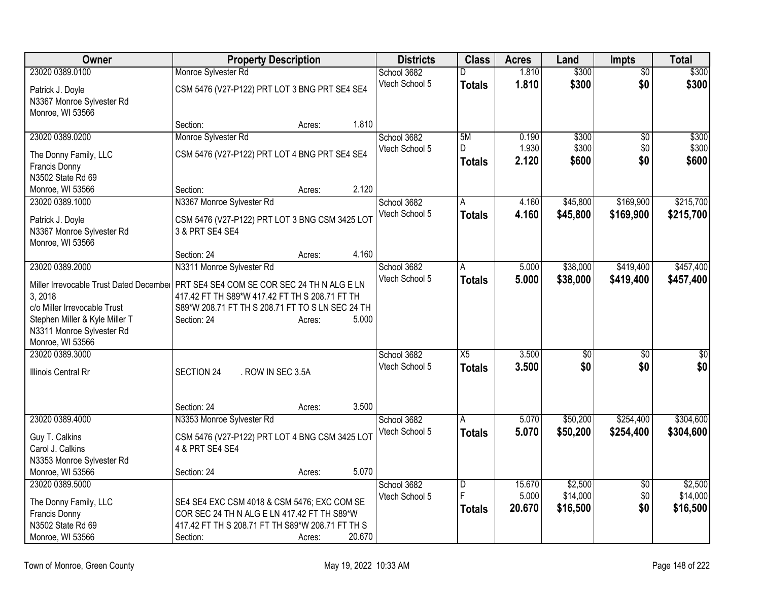| 23020 0389.0100<br>Monroe Sylvester Rd<br>1.810<br>\$300<br>School 3682<br>$\overline{30}$<br>D                                                                                    | \$300     |
|------------------------------------------------------------------------------------------------------------------------------------------------------------------------------------|-----------|
| Vtech School 5<br>1.810<br>\$300<br>\$0<br><b>Totals</b><br>CSM 5476 (V27-P122) PRT LOT 3 BNG PRT SE4 SE4<br>Patrick J. Doyle                                                      | \$300     |
| N3367 Monroe Sylvester Rd                                                                                                                                                          |           |
| Monroe, WI 53566                                                                                                                                                                   |           |
| 1.810<br>Section:<br>Acres:                                                                                                                                                        |           |
| 23020 0389.0200<br>Monroe Sylvester Rd<br>School 3682<br>5M<br>\$300<br>0.190<br>\$0                                                                                               | \$300     |
| 1.930<br>\$300<br>\$0<br>Vtech School 5<br>D<br>CSM 5476 (V27-P122) PRT LOT 4 BNG PRT SE4 SE4<br>The Donny Family, LLC                                                             | \$300     |
| 2.120<br>\$0<br>\$600<br><b>Totals</b><br>Francis Donny                                                                                                                            | \$600     |
| N3502 State Rd 69                                                                                                                                                                  |           |
| 2.120<br>Monroe, WI 53566<br>Section:<br>Acres:                                                                                                                                    |           |
| School 3682<br>\$169,900<br>23020 0389.1000<br>N3367 Monroe Sylvester Rd<br>4.160<br>\$45,800<br>A                                                                                 | \$215,700 |
| Vtech School 5<br><b>Totals</b><br>4.160<br>\$45,800<br>\$169,900<br>CSM 5476 (V27-P122) PRT LOT 3 BNG CSM 3425 LOT<br>Patrick J. Doyle                                            | \$215,700 |
| N3367 Monroe Sylvester Rd<br>3 & PRT SE4 SE4                                                                                                                                       |           |
| Monroe, WI 53566                                                                                                                                                                   |           |
| 4.160<br>Section: 24<br>Acres:                                                                                                                                                     |           |
| \$38,000<br>\$419,400<br>23020 0389.2000<br>N3311 Monroe Sylvester Rd<br>School 3682<br>5.000<br>A                                                                                 | \$457,400 |
| Vtech School 5<br>5.000<br>\$419,400<br><b>Totals</b><br>\$38,000                                                                                                                  | \$457,400 |
| Miller Irrevocable Trust Dated December<br>PRT SE4 SE4 COM SE COR SEC 24 TH N ALG E LN<br>3, 2018<br>417.42 FT TH S89*W 417.42 FT TH S 208.71 FT TH                                |           |
| c/o Miller Irrevocable Trust<br>S89*W 208.71 FT TH S 208.71 FT TO S LN SEC 24 TH                                                                                                   |           |
| Stephen Miller & Kyle Miller T<br>5.000<br>Section: 24<br>Acres:                                                                                                                   |           |
| N3311 Monroe Sylvester Rd                                                                                                                                                          |           |
| Monroe, WI 53566                                                                                                                                                                   |           |
| 23020 0389.3000<br>School 3682<br>X5<br>3.500<br>\$0<br>\$0                                                                                                                        | \$0       |
| \$0<br>\$0<br>Vtech School 5<br>3.500<br><b>Totals</b><br>Illinois Central Rr<br>SECTION 24<br>. ROW IN SEC 3.5A                                                                   | \$0       |
|                                                                                                                                                                                    |           |
|                                                                                                                                                                                    |           |
| 3.500<br>Section: 24<br>Acres:                                                                                                                                                     |           |
| 23020 0389.4000<br>N3353 Monroe Sylvester Rd<br>School 3682<br>\$254,400<br>5.070<br>\$50,200<br>A                                                                                 | \$304,600 |
| Vtech School 5<br>5.070<br>\$50,200<br><b>Totals</b><br>\$254,400<br>Guy T. Calkins<br>CSM 5476 (V27-P122) PRT LOT 4 BNG CSM 3425 LOT                                              | \$304,600 |
| Carol J. Calkins<br>4 & PRT SE4 SE4                                                                                                                                                |           |
| N3353 Monroe Sylvester Rd                                                                                                                                                          |           |
| 5.070<br>Monroe, WI 53566<br>Section: 24<br>Acres:                                                                                                                                 |           |
| 23020 0389.5000<br>\$2,500<br>School 3682<br>15.670<br>$\overline{D}$<br>$\overline{50}$                                                                                           | \$2,500   |
| F<br>5.000<br>\$14,000<br>\$0<br>Vtech School 5                                                                                                                                    | \$14,000  |
| The Donny Family, LLC<br>SE4 SE4 EXC CSM 4018 & CSM 5476; EXC COM SE<br>\$0<br>20.670<br>\$16,500<br><b>Totals</b><br>Francis Donny<br>COR SEC 24 TH N ALG E LN 417.42 FT TH S89*W | \$16,500  |
| N3502 State Rd 69<br>417.42 FT TH S 208.71 FT TH S89*W 208.71 FT TH S                                                                                                              |           |
| 20.670<br>Monroe, WI 53566<br>Section:<br>Acres:                                                                                                                                   |           |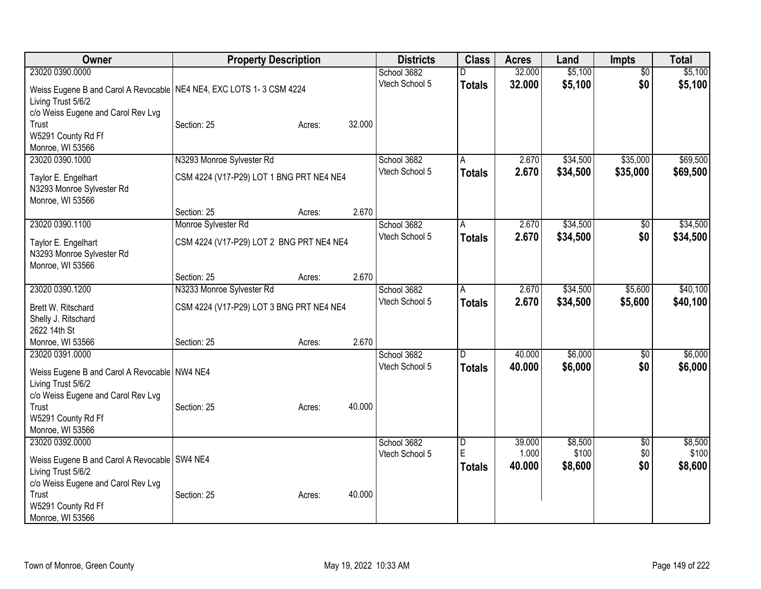| Owner                                                                  |                                          | <b>Property Description</b> |        | <b>Districts</b> | <b>Class</b>  | <b>Acres</b> | Land     | <b>Impts</b>    | <b>Total</b> |
|------------------------------------------------------------------------|------------------------------------------|-----------------------------|--------|------------------|---------------|--------------|----------|-----------------|--------------|
| 23020 0390.0000                                                        |                                          |                             |        | School 3682      |               | 32.000       | \$5,100  | $\overline{50}$ | \$5,100      |
| Weiss Eugene B and Carol A Revocable   NE4 NE4, EXC LOTS 1- 3 CSM 4224 |                                          |                             |        | Vtech School 5   | <b>Totals</b> | 32.000       | \$5,100  | \$0             | \$5,100      |
| Living Trust 5/6/2                                                     |                                          |                             |        |                  |               |              |          |                 |              |
| c/o Weiss Eugene and Carol Rev Lvg                                     |                                          |                             |        |                  |               |              |          |                 |              |
| Trust                                                                  | Section: 25                              | Acres:                      | 32.000 |                  |               |              |          |                 |              |
| W5291 County Rd Ff                                                     |                                          |                             |        |                  |               |              |          |                 |              |
| Monroe, WI 53566                                                       |                                          |                             |        |                  |               |              |          |                 |              |
| 23020 0390.1000                                                        | N3293 Monroe Sylvester Rd                |                             |        | School 3682      | A             | 2.670        | \$34,500 | \$35,000        | \$69,500     |
|                                                                        | CSM 4224 (V17-P29) LOT 1 BNG PRT NE4 NE4 |                             |        | Vtech School 5   | <b>Totals</b> | 2.670        | \$34,500 | \$35,000        | \$69,500     |
| Taylor E. Engelhart                                                    |                                          |                             |        |                  |               |              |          |                 |              |
| N3293 Monroe Sylvester Rd<br>Monroe, WI 53566                          |                                          |                             |        |                  |               |              |          |                 |              |
|                                                                        | Section: 25                              | Acres:                      | 2.670  |                  |               |              |          |                 |              |
| 23020 0390.1100                                                        | Monroe Sylvester Rd                      |                             |        | School 3682      | A             | 2.670        | \$34,500 | \$0             | \$34,500     |
|                                                                        |                                          |                             |        | Vtech School 5   |               | 2.670        |          | \$0             |              |
| Taylor E. Engelhart                                                    | CSM 4224 (V17-P29) LOT 2 BNG PRT NE4 NE4 |                             |        |                  | <b>Totals</b> |              | \$34,500 |                 | \$34,500     |
| N3293 Monroe Sylvester Rd                                              |                                          |                             |        |                  |               |              |          |                 |              |
| Monroe, WI 53566                                                       |                                          |                             |        |                  |               |              |          |                 |              |
|                                                                        | Section: 25                              | Acres:                      | 2.670  |                  |               |              |          |                 |              |
| 23020 0390.1200                                                        | N3233 Monroe Sylvester Rd                |                             |        | School 3682      | A             | 2.670        | \$34,500 | \$5,600         | \$40,100     |
| Brett W. Ritschard                                                     | CSM 4224 (V17-P29) LOT 3 BNG PRT NE4 NE4 |                             |        | Vtech School 5   | <b>Totals</b> | 2.670        | \$34,500 | \$5,600         | \$40,100     |
| Shelly J. Ritschard                                                    |                                          |                             |        |                  |               |              |          |                 |              |
| 2622 14th St                                                           |                                          |                             |        |                  |               |              |          |                 |              |
| Monroe, WI 53566                                                       | Section: 25                              | Acres:                      | 2.670  |                  |               |              |          |                 |              |
| 23020 0391.0000                                                        |                                          |                             |        | School 3682      | D             | 40.000       | \$6,000  | $\overline{50}$ | \$6,000      |
|                                                                        |                                          |                             |        | Vtech School 5   | <b>Totals</b> | 40.000       | \$6,000  | \$0             | \$6,000      |
| Weiss Eugene B and Carol A Revocable NW4 NE4                           |                                          |                             |        |                  |               |              |          |                 |              |
| Living Trust 5/6/2                                                     |                                          |                             |        |                  |               |              |          |                 |              |
| c/o Weiss Eugene and Carol Rev Lvg                                     |                                          |                             |        |                  |               |              |          |                 |              |
| Trust                                                                  | Section: 25                              | Acres:                      | 40.000 |                  |               |              |          |                 |              |
| W5291 County Rd Ff                                                     |                                          |                             |        |                  |               |              |          |                 |              |
| Monroe, WI 53566                                                       |                                          |                             |        |                  |               |              |          |                 |              |
| 23020 0392.0000                                                        |                                          |                             |        | School 3682      | D             | 39.000       | \$8,500  | \$0             | \$8,500      |
| Weiss Eugene B and Carol A Revocable SW4 NE4                           |                                          |                             |        | Vtech School 5   | E.            | 1.000        | \$100    | \$0             | \$100        |
| Living Trust 5/6/2                                                     |                                          |                             |        |                  | <b>Totals</b> | 40.000       | \$8,600  | \$0             | \$8,600      |
| c/o Weiss Eugene and Carol Rev Lvg                                     |                                          |                             |        |                  |               |              |          |                 |              |
| Trust                                                                  | Section: 25                              | Acres:                      | 40.000 |                  |               |              |          |                 |              |
| W5291 County Rd Ff                                                     |                                          |                             |        |                  |               |              |          |                 |              |
| Monroe, WI 53566                                                       |                                          |                             |        |                  |               |              |          |                 |              |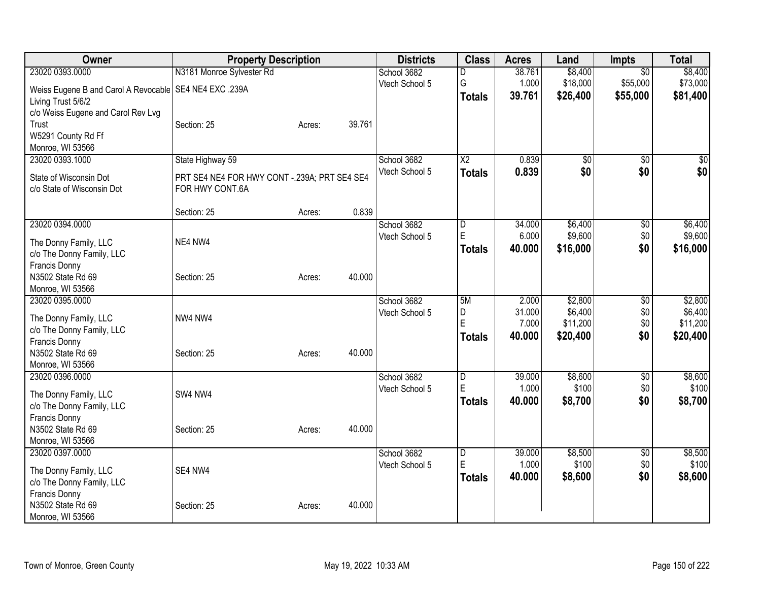| Owner                                                    | <b>Property Description</b>                   |        |        | <b>Districts</b> | <b>Class</b>            | <b>Acres</b> | Land     | Impts           | <b>Total</b> |
|----------------------------------------------------------|-----------------------------------------------|--------|--------|------------------|-------------------------|--------------|----------|-----------------|--------------|
| 23020 0393.0000                                          | N3181 Monroe Sylvester Rd                     |        |        | School 3682      | D                       | 38.761       | \$8,400  | $\overline{50}$ | \$8,400      |
| Weiss Eugene B and Carol A Revocable   SE4 NE4 EXC .239A |                                               |        |        | Vtech School 5   | G                       | 1.000        | \$18,000 | \$55,000        | \$73,000     |
| Living Trust 5/6/2                                       |                                               |        |        |                  | <b>Totals</b>           | 39.761       | \$26,400 | \$55,000        | \$81,400     |
| c/o Weiss Eugene and Carol Rev Lvg                       |                                               |        |        |                  |                         |              |          |                 |              |
| Trust                                                    | Section: 25                                   | Acres: | 39.761 |                  |                         |              |          |                 |              |
| W5291 County Rd Ff                                       |                                               |        |        |                  |                         |              |          |                 |              |
| Monroe, WI 53566                                         |                                               |        |        |                  |                         |              |          |                 |              |
| 23020 0393.1000                                          | State Highway 59                              |        |        | School 3682      | X2                      | 0.839        | \$0      | $\overline{50}$ | \$0          |
| State of Wisconsin Dot                                   | PRT SE4 NE4 FOR HWY CONT -. 239A; PRT SE4 SE4 |        |        | Vtech School 5   | <b>Totals</b>           | 0.839        | \$0      | \$0             | \$0          |
| c/o State of Wisconsin Dot                               | FOR HWY CONT.6A                               |        |        |                  |                         |              |          |                 |              |
|                                                          |                                               |        |        |                  |                         |              |          |                 |              |
|                                                          | Section: 25                                   | Acres: | 0.839  |                  |                         |              |          |                 |              |
| 23020 0394.0000                                          |                                               |        |        | School 3682      | D                       | 34.000       | \$6,400  | $\sqrt[6]{30}$  | \$6,400      |
| The Donny Family, LLC                                    | NE4 NW4                                       |        |        | Vtech School 5   | E                       | 6.000        | \$9,600  | \$0             | \$9,600      |
| c/o The Donny Family, LLC                                |                                               |        |        |                  | <b>Totals</b>           | 40.000       | \$16,000 | \$0             | \$16,000     |
| Francis Donny                                            |                                               |        |        |                  |                         |              |          |                 |              |
| N3502 State Rd 69                                        | Section: 25                                   | Acres: | 40.000 |                  |                         |              |          |                 |              |
| Monroe, WI 53566                                         |                                               |        |        |                  |                         |              |          |                 |              |
| 23020 0395.0000                                          |                                               |        |        | School 3682      | 5M                      | 2.000        | \$2,800  | $\overline{50}$ | \$2,800      |
| The Donny Family, LLC                                    | NW4 NW4                                       |        |        | Vtech School 5   | D                       | 31.000       | \$6,400  | \$0             | \$6,400      |
| c/o The Donny Family, LLC                                |                                               |        |        |                  | E                       | 7.000        | \$11,200 | \$0             | \$11,200     |
| Francis Donny                                            |                                               |        |        |                  | <b>Totals</b>           | 40.000       | \$20,400 | \$0             | \$20,400     |
| N3502 State Rd 69                                        | Section: 25                                   | Acres: | 40.000 |                  |                         |              |          |                 |              |
| Monroe, WI 53566                                         |                                               |        |        |                  |                         |              |          |                 |              |
| 23020 0396.0000                                          |                                               |        |        | School 3682      | $\overline{\mathsf{D}}$ | 39,000       | \$8,600  | $\overline{50}$ | \$8,600      |
| The Donny Family, LLC                                    | SW4 NW4                                       |        |        | Vtech School 5   | E                       | 1.000        | \$100    | \$0             | \$100        |
| c/o The Donny Family, LLC                                |                                               |        |        |                  | <b>Totals</b>           | 40.000       | \$8,700  | \$0             | \$8,700      |
| Francis Donny                                            |                                               |        |        |                  |                         |              |          |                 |              |
| N3502 State Rd 69                                        | Section: 25                                   | Acres: | 40.000 |                  |                         |              |          |                 |              |
| Monroe, WI 53566                                         |                                               |        |        |                  |                         |              |          |                 |              |
| 23020 0397.0000                                          |                                               |        |        | School 3682      | $\overline{\mathsf{D}}$ | 39.000       | \$8,500  | $\overline{50}$ | \$8,500      |
| The Donny Family, LLC                                    | SE4 NW4                                       |        |        | Vtech School 5   | E                       | 1.000        | \$100    | \$0             | \$100        |
| c/o The Donny Family, LLC                                |                                               |        |        |                  | <b>Totals</b>           | 40.000       | \$8,600  | \$0             | \$8,600      |
| Francis Donny                                            |                                               |        |        |                  |                         |              |          |                 |              |
| N3502 State Rd 69                                        | Section: 25                                   | Acres: | 40.000 |                  |                         |              |          |                 |              |
| Monroe, WI 53566                                         |                                               |        |        |                  |                         |              |          |                 |              |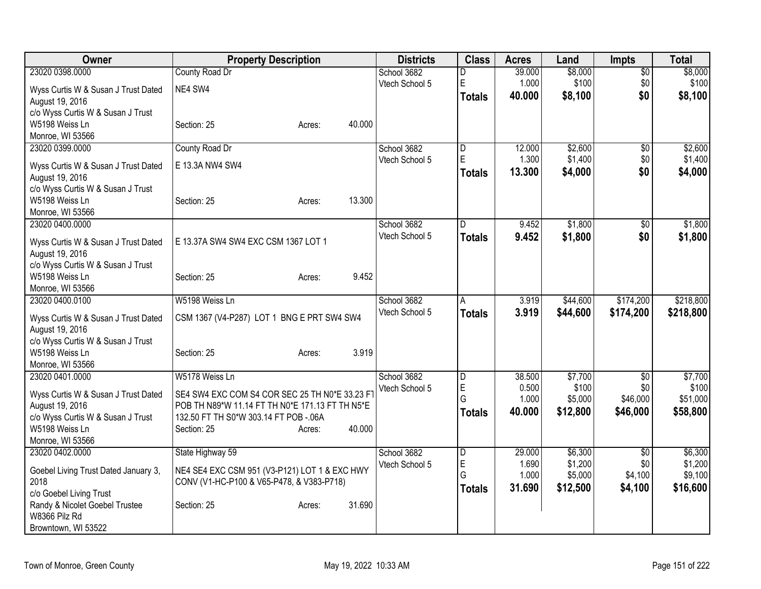| Owner                                           | <b>Property Description</b>                     | <b>Districts</b>              | <b>Class</b>            | <b>Acres</b>    | Land             | <b>Impts</b>      | <b>Total</b>     |
|-------------------------------------------------|-------------------------------------------------|-------------------------------|-------------------------|-----------------|------------------|-------------------|------------------|
| 23020 0398.0000                                 | County Road Dr                                  | School 3682                   | D                       | 39.000          | \$8,000          | $\overline{30}$   | \$8,000          |
| Wyss Curtis W & Susan J Trust Dated             | NE4 SW4                                         | Vtech School 5                | E                       | 1.000           | \$100            | \$0               | \$100            |
| August 19, 2016                                 |                                                 |                               | <b>Totals</b>           | 40.000          | \$8,100          | \$0               | \$8,100          |
| c/o Wyss Curtis W & Susan J Trust               |                                                 |                               |                         |                 |                  |                   |                  |
| W5198 Weiss Ln                                  | 40.000<br>Section: 25<br>Acres:                 |                               |                         |                 |                  |                   |                  |
| Monroe, WI 53566                                |                                                 |                               |                         |                 |                  |                   |                  |
| 23020 0399.0000                                 | County Road Dr                                  | School 3682                   | $\overline{D}$          | 12.000          | \$2,600          | $\overline{50}$   | \$2,600          |
| Wyss Curtis W & Susan J Trust Dated             | E 13.3A NW4 SW4                                 | Vtech School 5                | $\overline{\mathsf{E}}$ | 1.300           | \$1,400          | \$0               | \$1,400          |
| August 19, 2016                                 |                                                 |                               | <b>Totals</b>           | 13.300          | \$4,000          | \$0               | \$4,000          |
| c/o Wyss Curtis W & Susan J Trust               |                                                 |                               |                         |                 |                  |                   |                  |
| W5198 Weiss Ln                                  | 13.300<br>Section: 25<br>Acres:                 |                               |                         |                 |                  |                   |                  |
| Monroe, WI 53566                                |                                                 |                               |                         |                 |                  |                   |                  |
| 23020 0400.0000                                 |                                                 | School 3682                   | $\Gamma$                | 9.452           | \$1,800          | $\overline{50}$   | \$1,800          |
| Wyss Curtis W & Susan J Trust Dated             | E 13.37A SW4 SW4 EXC CSM 1367 LOT 1             | Vtech School 5                | <b>Totals</b>           | 9.452           | \$1,800          | \$0               | \$1,800          |
| August 19, 2016                                 |                                                 |                               |                         |                 |                  |                   |                  |
| c/o Wyss Curtis W & Susan J Trust               |                                                 |                               |                         |                 |                  |                   |                  |
| W5198 Weiss Ln                                  | 9.452<br>Section: 25<br>Acres:                  |                               |                         |                 |                  |                   |                  |
| Monroe, WI 53566                                |                                                 |                               |                         |                 |                  |                   |                  |
| 23020 0400.0100                                 | W5198 Weiss Ln                                  | School 3682                   | A                       | 3.919           | \$44,600         | \$174,200         | \$218,800        |
| Wyss Curtis W & Susan J Trust Dated             | CSM 1367 (V4-P287) LOT 1 BNG E PRT SW4 SW4      | Vtech School 5                | <b>Totals</b>           | 3.919           | \$44,600         | \$174,200         | \$218,800        |
| August 19, 2016                                 |                                                 |                               |                         |                 |                  |                   |                  |
| c/o Wyss Curtis W & Susan J Trust               |                                                 |                               |                         |                 |                  |                   |                  |
| W5198 Weiss Ln                                  | 3.919<br>Section: 25<br>Acres:                  |                               |                         |                 |                  |                   |                  |
| Monroe, WI 53566                                |                                                 |                               |                         |                 |                  |                   |                  |
| 23020 0401.0000                                 | W5178 Weiss Ln                                  | School 3682<br>Vtech School 5 | D<br>E                  | 38.500<br>0.500 | \$7,700<br>\$100 | $\sqrt{6}$<br>\$0 | \$7,700<br>\$100 |
| Wyss Curtis W & Susan J Trust Dated             | SE4 SW4 EXC COM S4 COR SEC 25 TH N0*E 33.23 FT  |                               | G                       | 1.000           | \$5,000          | \$46,000          | \$51,000         |
| August 19, 2016                                 | POB TH N89*W 11.14 FT TH N0*E 171.13 FT TH N5*E |                               | <b>Totals</b>           | 40.000          | \$12,800         | \$46,000          | \$58,800         |
| c/o Wyss Curtis W & Susan J Trust               | 132.50 FT TH S0*W 303.14 FT POB -. 06A          |                               |                         |                 |                  |                   |                  |
| W5198 Weiss Ln                                  | 40.000<br>Section: 25<br>Acres:                 |                               |                         |                 |                  |                   |                  |
| Monroe, WI 53566<br>23020 0402.0000             |                                                 | School 3682                   |                         | 29.000          | \$6,300          |                   | \$6,300          |
|                                                 | State Highway 59                                | Vtech School 5                | $\overline{D}$<br>E     | 1.690           | \$1,200          | \$0<br>\$0        | \$1,200          |
| Goebel Living Trust Dated January 3,            | NE4 SE4 EXC CSM 951 (V3-P121) LOT 1 & EXC HWY   |                               | G                       | 1.000           | \$5,000          | \$4,100           | \$9,100          |
| 2018                                            | CONV (V1-HC-P100 & V65-P478, & V383-P718)       |                               | <b>Totals</b>           | 31.690          | \$12,500         | \$4,100           | \$16,600         |
| c/o Goebel Living Trust                         |                                                 |                               |                         |                 |                  |                   |                  |
| Randy & Nicolet Goebel Trustee<br>W8366 Pilz Rd | 31.690<br>Section: 25<br>Acres:                 |                               |                         |                 |                  |                   |                  |
| Browntown, WI 53522                             |                                                 |                               |                         |                 |                  |                   |                  |
|                                                 |                                                 |                               |                         |                 |                  |                   |                  |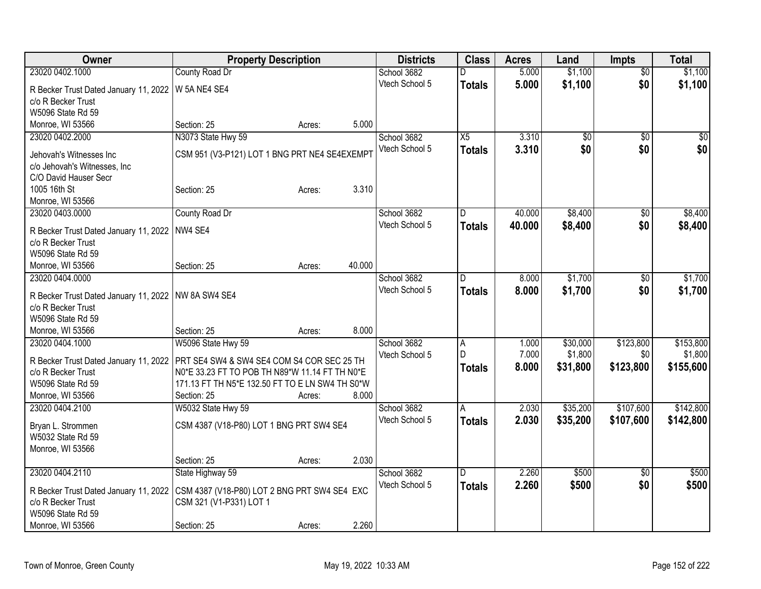| Owner                                                       | <b>Property Description</b>                     |        |        | <b>Districts</b> | <b>Class</b>  | <b>Acres</b> | Land     | <b>Impts</b>    | <b>Total</b> |
|-------------------------------------------------------------|-------------------------------------------------|--------|--------|------------------|---------------|--------------|----------|-----------------|--------------|
| 23020 0402.1000                                             | County Road Dr                                  |        |        | School 3682      | D             | 5.000        | \$1,100  | $\overline{50}$ | \$1,100      |
| R Becker Trust Dated January 11, 2022                       | W 5A NE4 SE4                                    |        |        | Vtech School 5   | <b>Totals</b> | 5.000        | \$1,100  | \$0             | \$1,100      |
| c/o R Becker Trust                                          |                                                 |        |        |                  |               |              |          |                 |              |
| W5096 State Rd 59                                           |                                                 |        |        |                  |               |              |          |                 |              |
| Monroe, WI 53566                                            | Section: 25                                     | Acres: | 5.000  |                  |               |              |          |                 |              |
| 23020 0402.2000                                             | N3073 State Hwy 59                              |        |        | School 3682      | X5            | 3.310        | \$0      | $\overline{50}$ | \$0          |
|                                                             |                                                 |        |        | Vtech School 5   | <b>Totals</b> | 3.310        | \$0      | \$0             | \$0          |
| Jehovah's Witnesses Inc                                     | CSM 951 (V3-P121) LOT 1 BNG PRT NE4 SE4EXEMPT   |        |        |                  |               |              |          |                 |              |
| c/o Jehovah's Witnesses, Inc.                               |                                                 |        |        |                  |               |              |          |                 |              |
| C/O David Hauser Secr                                       |                                                 |        |        |                  |               |              |          |                 |              |
| 1005 16th St                                                | Section: 25                                     | Acres: | 3.310  |                  |               |              |          |                 |              |
| Monroe, WI 53566                                            |                                                 |        |        |                  |               |              |          |                 |              |
| 23020 0403.0000                                             | County Road Dr                                  |        |        | School 3682      | D             | 40.000       | \$8,400  | $\sqrt{6}$      | \$8,400      |
| R Becker Trust Dated January 11, 2022                       | NW4 SE4                                         |        |        | Vtech School 5   | <b>Totals</b> | 40.000       | \$8,400  | \$0             | \$8,400      |
| c/o R Becker Trust                                          |                                                 |        |        |                  |               |              |          |                 |              |
| W5096 State Rd 59                                           |                                                 |        |        |                  |               |              |          |                 |              |
| Monroe, WI 53566                                            | Section: 25                                     | Acres: | 40.000 |                  |               |              |          |                 |              |
| 23020 0404.0000                                             |                                                 |        |        | School 3682      | D             | 8.000        | \$1,700  | \$0             | \$1,700      |
|                                                             |                                                 |        |        | Vtech School 5   | <b>Totals</b> | 8.000        | \$1,700  | \$0             | \$1,700      |
| R Becker Trust Dated January 11, 2022<br>c/o R Becker Trust | NW 8A SW4 SE4                                   |        |        |                  |               |              |          |                 |              |
| W5096 State Rd 59                                           |                                                 |        |        |                  |               |              |          |                 |              |
| Monroe, WI 53566                                            | Section: 25                                     | Acres: | 8.000  |                  |               |              |          |                 |              |
| 23020 0404.1000                                             | W5096 State Hwy 59                              |        |        | School 3682      |               | 1.000        | \$30,000 | \$123,800       | \$153,800    |
|                                                             |                                                 |        |        | Vtech School 5   | A<br>lD.      | 7.000        | \$1,800  | \$0             | \$1,800      |
| R Becker Trust Dated January 11, 2022                       | PRT SE4 SW4 & SW4 SE4 COM S4 COR SEC 25 TH      |        |        |                  |               | 8.000        | \$31,800 | \$123,800       | \$155,600    |
| c/o R Becker Trust                                          | N0*E 33.23 FT TO POB TH N89*W 11.14 FT TH N0*E  |        |        |                  | <b>Totals</b> |              |          |                 |              |
| W5096 State Rd 59                                           | 171.13 FT TH N5*E 132.50 FT TO E LN SW4 TH S0*W |        |        |                  |               |              |          |                 |              |
| Monroe, WI 53566                                            | Section: 25                                     | Acres: | 8.000  |                  |               |              |          |                 |              |
| 23020 0404.2100                                             | W5032 State Hwy 59                              |        |        | School 3682      | A             | 2.030        | \$35,200 | \$107,600       | \$142,800    |
| Bryan L. Strommen                                           | CSM 4387 (V18-P80) LOT 1 BNG PRT SW4 SE4        |        |        | Vtech School 5   | <b>Totals</b> | 2.030        | \$35,200 | \$107,600       | \$142,800    |
| W5032 State Rd 59                                           |                                                 |        |        |                  |               |              |          |                 |              |
| Monroe, WI 53566                                            |                                                 |        |        |                  |               |              |          |                 |              |
|                                                             | Section: 25                                     | Acres: | 2.030  |                  |               |              |          |                 |              |
| 23020 0404.2110                                             | State Highway 59                                |        |        | School 3682      | D.            | 2.260        | \$500    | $\overline{50}$ | \$500        |
|                                                             |                                                 |        |        | Vtech School 5   | <b>Totals</b> | 2.260        | \$500    | \$0             | \$500        |
| R Becker Trust Dated January 11, 2022                       | CSM 4387 (V18-P80) LOT 2 BNG PRT SW4 SE4 EXC    |        |        |                  |               |              |          |                 |              |
| c/o R Becker Trust                                          | CSM 321 (V1-P331) LOT 1                         |        |        |                  |               |              |          |                 |              |
| W5096 State Rd 59                                           |                                                 |        |        |                  |               |              |          |                 |              |
| Monroe, WI 53566                                            | Section: 25                                     | Acres: | 2.260  |                  |               |              |          |                 |              |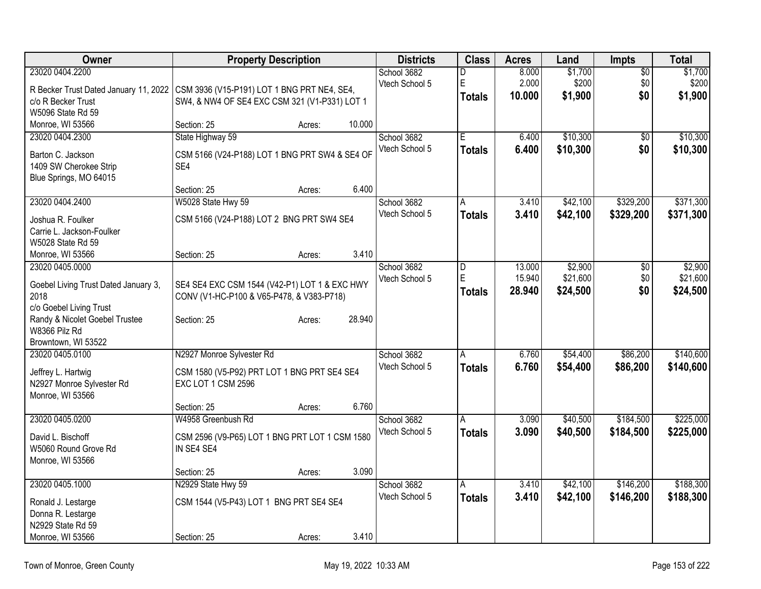| Owner                                           | <b>Property Description</b>                                       |        |        | <b>Districts</b>              | <b>Class</b>   | <b>Acres</b> | Land     | <b>Impts</b>    | <b>Total</b> |
|-------------------------------------------------|-------------------------------------------------------------------|--------|--------|-------------------------------|----------------|--------------|----------|-----------------|--------------|
| 23020 0404.2200                                 |                                                                   |        |        | School 3682                   | D              | 8.000        | \$1,700  | $\overline{50}$ | \$1,700      |
| R Becker Trust Dated January 11, 2022           | CSM 3936 (V15-P191) LOT 1 BNG PRT NE4, SE4,                       |        |        | Vtech School 5                | $\mathsf E$    | 2.000        | \$200    | \$0             | \$200        |
| c/o R Becker Trust                              | SW4, & NW4 OF SE4 EXC CSM 321 (V1-P331) LOT 1                     |        |        |                               | <b>Totals</b>  | 10.000       | \$1,900  | \$0             | \$1,900      |
| W5096 State Rd 59                               |                                                                   |        |        |                               |                |              |          |                 |              |
| Monroe, WI 53566                                | Section: 25                                                       | Acres: | 10.000 |                               |                |              |          |                 |              |
| 23020 0404.2300                                 | State Highway 59                                                  |        |        | School 3682                   | E              | 6.400        | \$10,300 | \$0             | \$10,300     |
| Barton C. Jackson                               | CSM 5166 (V24-P188) LOT 1 BNG PRT SW4 & SE4 OF                    |        |        | Vtech School 5                | <b>Totals</b>  | 6.400        | \$10,300 | \$0             | \$10,300     |
| 1409 SW Cherokee Strip                          | SE4                                                               |        |        |                               |                |              |          |                 |              |
| Blue Springs, MO 64015                          |                                                                   |        |        |                               |                |              |          |                 |              |
|                                                 | Section: 25                                                       | Acres: | 6.400  |                               |                |              |          |                 |              |
| 23020 0404.2400                                 | W5028 State Hwy 59                                                |        |        | School 3682                   | A              | 3.410        | \$42,100 | \$329,200       | \$371,300    |
| Joshua R. Foulker                               | CSM 5166 (V24-P188) LOT 2 BNG PRT SW4 SE4                         |        |        | Vtech School 5                | Totals         | 3.410        | \$42,100 | \$329,200       | \$371,300    |
| Carrie L. Jackson-Foulker                       |                                                                   |        |        |                               |                |              |          |                 |              |
| W5028 State Rd 59                               |                                                                   |        |        |                               |                |              |          |                 |              |
| Monroe, WI 53566                                | Section: 25                                                       | Acres: | 3.410  |                               |                |              |          |                 |              |
| 23020 0405.0000                                 |                                                                   |        |        | School 3682                   | D              | 13.000       | \$2,900  | \$0             | \$2,900      |
|                                                 |                                                                   |        |        | Vtech School 5                | E              | 15.940       | \$21,600 | \$0             | \$21,600     |
| Goebel Living Trust Dated January 3,            | SE4 SE4 EXC CSM 1544 (V42-P1) LOT 1 & EXC HWY                     |        |        |                               | <b>Totals</b>  | 28.940       | \$24,500 | \$0             | \$24,500     |
| 2018<br>c/o Goebel Living Trust                 | CONV (V1-HC-P100 & V65-P478, & V383-P718)                         |        |        |                               |                |              |          |                 |              |
| Randy & Nicolet Goebel Trustee                  | Section: 25                                                       | Acres: | 28.940 |                               |                |              |          |                 |              |
| W8366 Pilz Rd                                   |                                                                   |        |        |                               |                |              |          |                 |              |
| Browntown, WI 53522                             |                                                                   |        |        |                               |                |              |          |                 |              |
| 23020 0405.0100                                 | N2927 Monroe Sylvester Rd                                         |        |        | School 3682                   | A              | 6.760        | \$54,400 | \$86,200        | \$140,600    |
|                                                 |                                                                   |        |        | Vtech School 5                | <b>Totals</b>  | 6.760        | \$54,400 | \$86,200        | \$140,600    |
| Jeffrey L. Hartwig<br>N2927 Monroe Sylvester Rd | CSM 1580 (V5-P92) PRT LOT 1 BNG PRT SE4 SE4<br>EXC LOT 1 CSM 2596 |        |        |                               |                |              |          |                 |              |
| Monroe, WI 53566                                |                                                                   |        |        |                               |                |              |          |                 |              |
|                                                 | Section: 25                                                       | Acres: | 6.760  |                               |                |              |          |                 |              |
| 23020 0405.0200                                 | W4958 Greenbush Rd                                                |        |        | School 3682                   | A              | 3.090        | \$40,500 | \$184,500       | \$225,000    |
|                                                 |                                                                   |        |        | Vtech School 5                | Totals         | 3.090        | \$40,500 | \$184,500       | \$225,000    |
| David L. Bischoff                               | CSM 2596 (V9-P65) LOT 1 BNG PRT LOT 1 CSM 1580                    |        |        |                               |                |              |          |                 |              |
| W5060 Round Grove Rd                            | IN SE4 SE4                                                        |        |        |                               |                |              |          |                 |              |
| Monroe, WI 53566                                |                                                                   |        |        |                               |                |              |          |                 |              |
| 23020 0405.1000                                 | Section: 25<br>N2929 State Hwy 59                                 | Acres: | 3.090  |                               |                | 3.410        | \$42,100 | \$146,200       | \$188,300    |
|                                                 |                                                                   |        |        | School 3682<br>Vtech School 5 | $\overline{A}$ |              |          |                 |              |
| Ronald J. Lestarge                              | CSM 1544 (V5-P43) LOT 1 BNG PRT SE4 SE4                           |        |        |                               | Totals         | 3.410        | \$42,100 | \$146,200       | \$188,300    |
| Donna R. Lestarge                               |                                                                   |        |        |                               |                |              |          |                 |              |
| N2929 State Rd 59                               |                                                                   |        |        |                               |                |              |          |                 |              |
| Monroe, WI 53566                                | Section: 25                                                       | Acres: | 3.410  |                               |                |              |          |                 |              |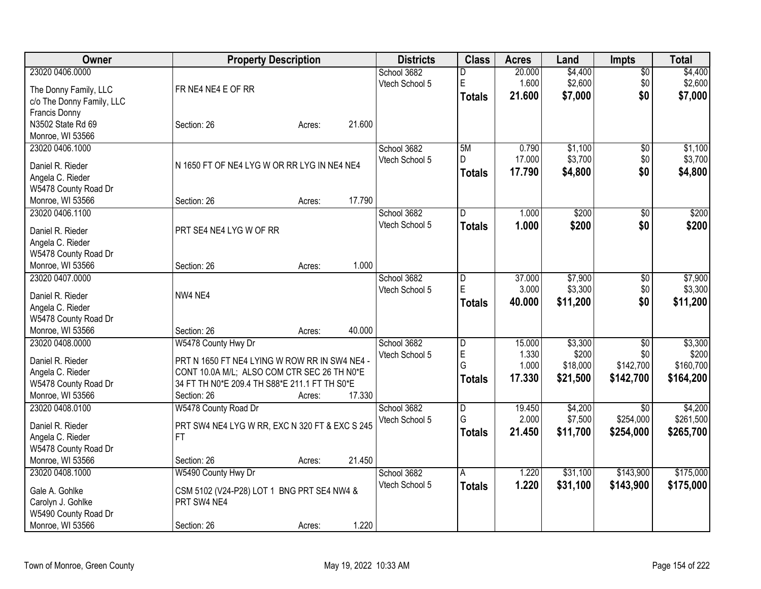| Owner                                    | <b>Property Description</b>                    |        |        | <b>Districts</b> | <b>Class</b>            | <b>Acres</b> | Land             | <b>Impts</b>        | <b>Total</b>     |
|------------------------------------------|------------------------------------------------|--------|--------|------------------|-------------------------|--------------|------------------|---------------------|------------------|
| 23020 0406.0000                          |                                                |        |        | School 3682      | D                       | 20.000       | \$4,400          | $\sqrt{$0}$         | \$4,400          |
| The Donny Family, LLC                    | FR NE4 NE4 E OF RR                             |        |        | Vtech School 5   | E                       | 1.600        | \$2,600          | \$0                 | \$2,600          |
| c/o The Donny Family, LLC                |                                                |        |        |                  | <b>Totals</b>           | 21.600       | \$7,000          | \$0                 | \$7,000          |
| Francis Donny                            |                                                |        |        |                  |                         |              |                  |                     |                  |
| N3502 State Rd 69                        | Section: 26                                    | Acres: | 21.600 |                  |                         |              |                  |                     |                  |
| Monroe, WI 53566                         |                                                |        |        |                  |                         |              |                  |                     |                  |
| 23020 0406.1000                          |                                                |        |        | School 3682      | 5M                      | 0.790        | \$1,100          | \$0                 | \$1,100          |
|                                          |                                                |        |        | Vtech School 5   | D                       | 17.000       | \$3,700          | \$0                 | \$3,700          |
| Daniel R. Rieder                         | N 1650 FT OF NE4 LYG W OR RR LYG IN NE4 NE4    |        |        |                  | <b>Totals</b>           | 17.790       | \$4,800          | \$0                 | \$4,800          |
| Angela C. Rieder                         |                                                |        |        |                  |                         |              |                  |                     |                  |
| W5478 County Road Dr                     |                                                |        |        |                  |                         |              |                  |                     |                  |
| Monroe, WI 53566                         | Section: 26                                    | Acres: | 17.790 |                  |                         |              |                  |                     |                  |
| 23020 0406.1100                          |                                                |        |        | School 3682      | ID.                     | 1.000        | \$200            | \$0                 | \$200            |
| Daniel R. Rieder                         | PRT SE4 NE4 LYG W OF RR                        |        |        | Vtech School 5   | <b>Totals</b>           | 1.000        | \$200            | \$0                 | \$200            |
| Angela C. Rieder                         |                                                |        |        |                  |                         |              |                  |                     |                  |
| W5478 County Road Dr                     |                                                |        |        |                  |                         |              |                  |                     |                  |
| Monroe, WI 53566                         | Section: 26                                    | Acres: | 1.000  |                  |                         |              |                  |                     |                  |
| 23020 0407.0000                          |                                                |        |        | School 3682      | $\overline{\mathsf{D}}$ | 37.000       | \$7,900          | \$0                 | \$7,900          |
|                                          |                                                |        |        | Vtech School 5   | E                       | 3.000        | \$3,300          | \$0                 | \$3,300          |
| Daniel R. Rieder                         | NW4 NE4                                        |        |        |                  | <b>Totals</b>           | 40.000       | \$11,200         | \$0                 | \$11,200         |
| Angela C. Rieder                         |                                                |        |        |                  |                         |              |                  |                     |                  |
| W5478 County Road Dr<br>Monroe, WI 53566 |                                                |        | 40.000 |                  |                         |              |                  |                     |                  |
| 23020 0408.0000                          | Section: 26                                    | Acres: |        | School 3682      |                         | 15.000       |                  |                     |                  |
|                                          | W5478 County Hwy Dr                            |        |        | Vtech School 5   | D<br>E                  | 1.330        | \$3,300<br>\$200 | $\sqrt[6]{}$<br>\$0 | \$3,300<br>\$200 |
| Daniel R. Rieder                         | PRT N 1650 FT NE4 LYING W ROW RR IN SW4 NE4 -  |        |        |                  | G                       | 1.000        | \$18,000         | \$142,700           | \$160,700        |
| Angela C. Rieder                         | CONT 10.0A M/L; ALSO COM CTR SEC 26 TH N0*E    |        |        |                  |                         | 17.330       | \$21,500         | \$142,700           | \$164,200        |
| W5478 County Road Dr                     | 34 FT TH N0*E 209.4 TH S88*E 211.1 FT TH S0*E  |        |        |                  | <b>Totals</b>           |              |                  |                     |                  |
| Monroe, WI 53566                         | Section: 26                                    | Acres: | 17.330 |                  |                         |              |                  |                     |                  |
| 23020 0408.0100                          | W5478 County Road Dr                           |        |        | School 3682      | $\overline{\mathsf{D}}$ | 19.450       | \$4,200          | $\overline{50}$     | \$4,200          |
| Daniel R. Rieder                         | PRT SW4 NE4 LYG W RR, EXC N 320 FT & EXC S 245 |        |        | Vtech School 5   | G                       | 2.000        | \$7,500          | \$254,000           | \$261,500        |
| Angela C. Rieder                         | FT.                                            |        |        |                  | <b>Totals</b>           | 21.450       | \$11,700         | \$254,000           | \$265,700        |
| W5478 County Road Dr                     |                                                |        |        |                  |                         |              |                  |                     |                  |
| Monroe, WI 53566                         | Section: 26                                    | Acres: | 21.450 |                  |                         |              |                  |                     |                  |
| 23020 0408.1000                          | W5490 County Hwy Dr                            |        |        | School 3682      | A                       | 1.220        | \$31,100         | \$143,900           | \$175,000        |
|                                          |                                                |        |        | Vtech School 5   | <b>Totals</b>           | 1.220        | \$31,100         | \$143,900           | \$175,000        |
| Gale A. Gohlke                           | CSM 5102 (V24-P28) LOT 1 BNG PRT SE4 NW4 &     |        |        |                  |                         |              |                  |                     |                  |
| Carolyn J. Gohlke                        | PRT SW4 NE4                                    |        |        |                  |                         |              |                  |                     |                  |
| W5490 County Road Dr                     |                                                |        |        |                  |                         |              |                  |                     |                  |
| Monroe, WI 53566                         | Section: 26                                    | Acres: | 1.220  |                  |                         |              |                  |                     |                  |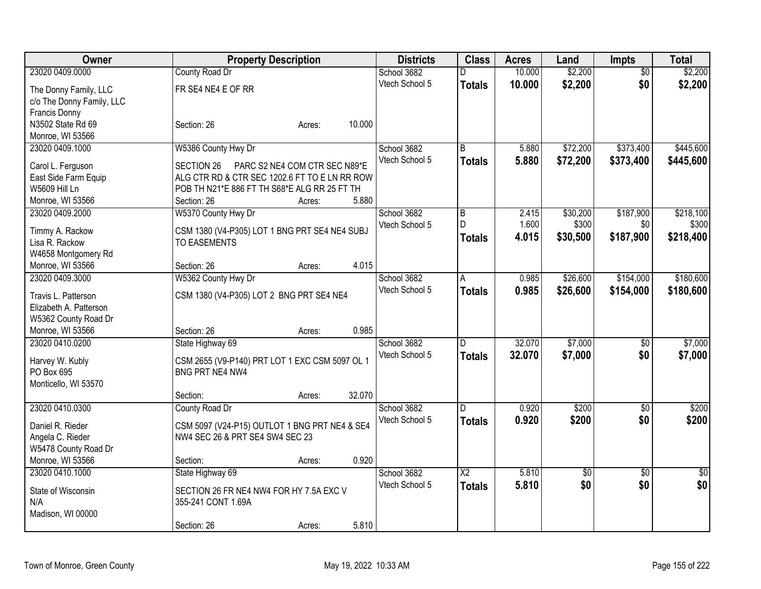| <b>Owner</b>                  | <b>Property Description</b>                                       |                               |                | <b>Districts</b> | <b>Class</b>    | <b>Acres</b> | Land            | <b>Impts</b>    | <b>Total</b> |
|-------------------------------|-------------------------------------------------------------------|-------------------------------|----------------|------------------|-----------------|--------------|-----------------|-----------------|--------------|
| 23020 0409.0000               | County Road Dr                                                    |                               | School 3682    |                  | D               | 10.000       | \$2,200         | $\overline{50}$ | \$2,200      |
| The Donny Family, LLC         | FR SE4 NE4 E OF RR                                                |                               | Vtech School 5 |                  | <b>Totals</b>   | 10.000       | \$2,200         | \$0             | \$2,200      |
| c/o The Donny Family, LLC     |                                                                   |                               |                |                  |                 |              |                 |                 |              |
| <b>Francis Donny</b>          |                                                                   |                               |                |                  |                 |              |                 |                 |              |
| N3502 State Rd 69             | Section: 26                                                       | Acres:                        | 10.000         |                  |                 |              |                 |                 |              |
| Monroe, WI 53566              |                                                                   |                               |                |                  |                 |              |                 |                 |              |
| 23020 0409.1000               | W5386 County Hwy Dr                                               |                               | School 3682    |                  | $\overline{B}$  | 5.880        | \$72,200        | \$373,400       | \$445,600    |
| Carol L. Ferguson             | SECTION 26                                                        | PARC S2 NE4 COM CTR SEC N89*E | Vtech School 5 |                  | <b>Totals</b>   | 5.880        | \$72,200        | \$373,400       | \$445,600    |
| East Side Farm Equip          | ALG CTR RD & CTR SEC 1202.6 FT TO E LN RR ROW                     |                               |                |                  |                 |              |                 |                 |              |
| <b>W5609 Hill Ln</b>          | POB TH N21*E 886 FT TH S68*E ALG RR 25 FT TH                      |                               |                |                  |                 |              |                 |                 |              |
| Monroe, WI 53566              | Section: 26                                                       | Acres:                        | 5.880          |                  |                 |              |                 |                 |              |
| 23020 0409.2000               | W5370 County Hwy Dr                                               |                               | School 3682    |                  | $\overline{B}$  | 2.415        | \$30,200        | \$187,900       | \$218,100    |
|                               |                                                                   |                               | Vtech School 5 |                  | $\mathsf{D}$    | 1.600        | \$300           | \$0             | \$300        |
| Timmy A. Rackow               | CSM 1380 (V4-P305) LOT 1 BNG PRT SE4 NE4 SUBJ                     |                               |                |                  | <b>Totals</b>   | 4.015        | \$30,500        | \$187,900       | \$218,400    |
| Lisa R. Rackow                | <b>TO EASEMENTS</b>                                               |                               |                |                  |                 |              |                 |                 |              |
| W4658 Montgomery Rd           |                                                                   |                               |                |                  |                 |              |                 |                 |              |
| Monroe, WI 53566              | Section: 26                                                       | Acres:                        | 4.015          |                  |                 |              |                 |                 |              |
| 23020 0409.3000               | W5362 County Hwy Dr                                               |                               | School 3682    |                  | A               | 0.985        | \$26,600        | \$154,000       | \$180,600    |
| Travis L. Patterson           | CSM 1380 (V4-P305) LOT 2 BNG PRT SE4 NE4                          |                               | Vtech School 5 |                  | <b>Totals</b>   | 0.985        | \$26,600        | \$154,000       | \$180,600    |
| Elizabeth A. Patterson        |                                                                   |                               |                |                  |                 |              |                 |                 |              |
| W5362 County Road Dr          |                                                                   |                               |                |                  |                 |              |                 |                 |              |
| Monroe, WI 53566              | Section: 26                                                       | Acres:                        | 0.985          |                  |                 |              |                 |                 |              |
| 23020 0410.0200               | State Highway 69                                                  |                               | School 3682    |                  | D               | 32.070       | \$7,000         | $\sqrt[6]{3}$   | \$7,000      |
|                               |                                                                   |                               | Vtech School 5 |                  | <b>Totals</b>   | 32.070       | \$7,000         | \$0             | \$7,000      |
| Harvey W. Kubly<br>PO Box 695 | CSM 2655 (V9-P140) PRT LOT 1 EXC CSM 5097 OL 1<br>BNG PRT NE4 NW4 |                               |                |                  |                 |              |                 |                 |              |
| Monticello, WI 53570          |                                                                   |                               |                |                  |                 |              |                 |                 |              |
|                               | Section:                                                          | Acres:                        | 32.070         |                  |                 |              |                 |                 |              |
| 23020 0410.0300               | County Road Dr                                                    |                               | School 3682    |                  | D.              | 0.920        | \$200           | $\sqrt{6}$      | \$200        |
|                               |                                                                   |                               | Vtech School 5 |                  | <b>Totals</b>   | 0.920        | \$200           | \$0             | \$200        |
| Daniel R. Rieder              | CSM 5097 (V24-P15) OUTLOT 1 BNG PRT NE4 & SE4                     |                               |                |                  |                 |              |                 |                 |              |
| Angela C. Rieder              | NW4 SEC 26 & PRT SE4 SW4 SEC 23                                   |                               |                |                  |                 |              |                 |                 |              |
| W5478 County Road Dr          |                                                                   |                               |                |                  |                 |              |                 |                 |              |
| Monroe, WI 53566              | Section:                                                          | Acres:                        | 0.920          |                  |                 |              |                 |                 |              |
| 23020 0410.1000               | State Highway 69                                                  |                               | School 3682    |                  | $\overline{X2}$ | 5.810        | $\overline{50}$ | $\overline{50}$ | $\sqrt{50}$  |
| State of Wisconsin            | SECTION 26 FR NE4 NW4 FOR HY 7.5A EXC V                           |                               | Vtech School 5 |                  | <b>Totals</b>   | 5.810        | \$0             | \$0             | \$0          |
| N/A                           | 355-241 CONT 1.69A                                                |                               |                |                  |                 |              |                 |                 |              |
| Madison, WI 00000             |                                                                   |                               |                |                  |                 |              |                 |                 |              |
|                               | Section: 26                                                       | Acres:                        | 5.810          |                  |                 |              |                 |                 |              |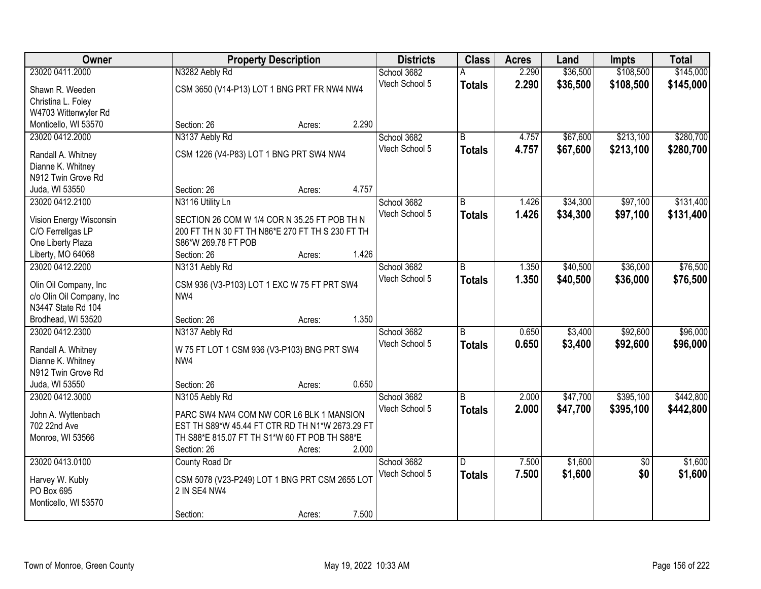| Owner                                              | <b>Property Description</b>                                                     | <b>Districts</b> | <b>Class</b>   | <b>Acres</b> | Land     | <b>Impts</b>    | <b>Total</b> |
|----------------------------------------------------|---------------------------------------------------------------------------------|------------------|----------------|--------------|----------|-----------------|--------------|
| 23020 0411.2000                                    | N3282 Aebly Rd                                                                  | School 3682      |                | 2.290        | \$36,500 | \$108,500       | \$145,000    |
| Shawn R. Weeden                                    | CSM 3650 (V14-P13) LOT 1 BNG PRT FR NW4 NW4                                     | Vtech School 5   | <b>Totals</b>  | 2.290        | \$36,500 | \$108,500       | \$145,000    |
| Christina L. Foley                                 |                                                                                 |                  |                |              |          |                 |              |
| W4703 Wittenwyler Rd                               |                                                                                 |                  |                |              |          |                 |              |
| Monticello, WI 53570                               | 2.290<br>Section: 26<br>Acres:                                                  |                  |                |              |          |                 |              |
| 23020 0412.2000                                    | N3137 Aebly Rd                                                                  | School 3682      | $\overline{B}$ | 4.757        | \$67,600 | \$213,100       | \$280,700    |
| Randall A. Whitney                                 | CSM 1226 (V4-P83) LOT 1 BNG PRT SW4 NW4                                         | Vtech School 5   | <b>Totals</b>  | 4.757        | \$67,600 | \$213,100       | \$280,700    |
| Dianne K. Whitney                                  |                                                                                 |                  |                |              |          |                 |              |
| N912 Twin Grove Rd                                 |                                                                                 |                  |                |              |          |                 |              |
| Juda, WI 53550                                     | 4.757<br>Section: 26<br>Acres:                                                  |                  |                |              |          |                 |              |
| 23020 0412.2100                                    | N3116 Utility Ln                                                                | School 3682      | B              | 1.426        | \$34,300 | \$97,100        | \$131,400    |
| Vision Energy Wisconsin                            | SECTION 26 COM W 1/4 COR N 35.25 FT POB TH N                                    | Vtech School 5   | <b>Totals</b>  | 1.426        | \$34,300 | \$97,100        | \$131,400    |
| C/O Ferrellgas LP                                  | 200 FT TH N 30 FT TH N86*E 270 FT TH S 230 FT TH                                |                  |                |              |          |                 |              |
| One Liberty Plaza                                  | S86*W 269.78 FT POB                                                             |                  |                |              |          |                 |              |
| Liberty, MO 64068                                  | 1.426<br>Section: 26<br>Acres:                                                  |                  |                |              |          |                 |              |
| 23020 0412.2200                                    | N3131 Aebly Rd                                                                  | School 3682      | B              | 1.350        | \$40,500 | \$36,000        | \$76,500     |
|                                                    |                                                                                 | Vtech School 5   | <b>Totals</b>  | 1.350        | \$40,500 | \$36,000        | \$76,500     |
| Olin Oil Company, Inc<br>c/o Olin Oil Company, Inc | CSM 936 (V3-P103) LOT 1 EXC W 75 FT PRT SW4<br>NW <sub>4</sub>                  |                  |                |              |          |                 |              |
| N3447 State Rd 104                                 |                                                                                 |                  |                |              |          |                 |              |
| Brodhead, WI 53520                                 | 1.350<br>Section: 26<br>Acres:                                                  |                  |                |              |          |                 |              |
| 23020 0412.2300                                    | N3137 Aebly Rd                                                                  | School 3682      | B              | 0.650        | \$3,400  | \$92,600        | \$96,000     |
|                                                    |                                                                                 | Vtech School 5   | <b>Totals</b>  | 0.650        | \$3,400  | \$92,600        | \$96,000     |
| Randall A. Whitney                                 | W 75 FT LOT 1 CSM 936 (V3-P103) BNG PRT SW4                                     |                  |                |              |          |                 |              |
| Dianne K. Whitney<br>N912 Twin Grove Rd            | NW <sub>4</sub>                                                                 |                  |                |              |          |                 |              |
| Juda, WI 53550                                     | 0.650<br>Section: 26<br>Acres:                                                  |                  |                |              |          |                 |              |
| 23020 0412.3000                                    | N3105 Aebly Rd                                                                  | School 3682      | B              | 2.000        | \$47,700 | \$395,100       | \$442,800    |
|                                                    |                                                                                 | Vtech School 5   | <b>Totals</b>  | 2.000        | \$47,700 | \$395,100       | \$442,800    |
| John A. Wyttenbach                                 | PARC SW4 NW4 COM NW COR L6 BLK 1 MANSION                                        |                  |                |              |          |                 |              |
| 702 22nd Ave                                       | EST TH S89*W 45.44 FT CTR RD TH N1*W 2673.29 FT                                 |                  |                |              |          |                 |              |
| Monroe, WI 53566                                   | TH S88*E 815.07 FT TH S1*W 60 FT POB TH S88*E<br>2.000<br>Section: 26<br>Acres: |                  |                |              |          |                 |              |
| 23020 0413.0100                                    | County Road Dr                                                                  | School 3682      | D.             | 7.500        | \$1,600  | $\overline{50}$ | \$1,600      |
|                                                    |                                                                                 | Vtech School 5   | <b>Totals</b>  | 7.500        | \$1,600  | \$0             | \$1,600      |
| Harvey W. Kubly                                    | CSM 5078 (V23-P249) LOT 1 BNG PRT CSM 2655 LOT                                  |                  |                |              |          |                 |              |
| PO Box 695                                         | 2 IN SE4 NW4                                                                    |                  |                |              |          |                 |              |
| Monticello, WI 53570                               |                                                                                 |                  |                |              |          |                 |              |
|                                                    | 7.500<br>Section:<br>Acres:                                                     |                  |                |              |          |                 |              |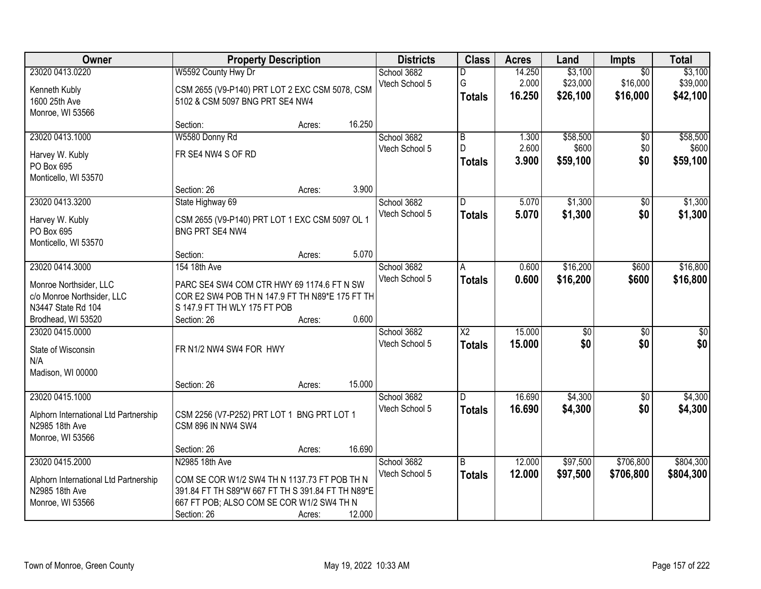| <b>Owner</b>                          | <b>Property Description</b>                       |        |        | <b>Districts</b> | <b>Class</b>           | <b>Acres</b> | Land            | <b>Impts</b>    | <b>Total</b>    |
|---------------------------------------|---------------------------------------------------|--------|--------|------------------|------------------------|--------------|-----------------|-----------------|-----------------|
| 23020 0413.0220                       | W5592 County Hwy Dr                               |        |        | School 3682      | D                      | 14.250       | \$3,100         | $\overline{30}$ | \$3,100         |
| Kenneth Kubly                         | CSM 2655 (V9-P140) PRT LOT 2 EXC CSM 5078, CSM    |        |        | Vtech School 5   | G                      | 2.000        | \$23,000        | \$16,000        | \$39,000        |
| 1600 25th Ave                         | 5102 & CSM 5097 BNG PRT SE4 NW4                   |        |        |                  | <b>Totals</b>          | 16.250       | \$26,100        | \$16,000        | \$42,100        |
| Monroe, WI 53566                      |                                                   |        |        |                  |                        |              |                 |                 |                 |
|                                       | Section:                                          | Acres: | 16.250 |                  |                        |              |                 |                 |                 |
| 23020 0413.1000                       | W5580 Donny Rd                                    |        |        | School 3682      | $\overline{B}$         | 1.300        | \$58,500        | \$0             | \$58,500        |
| Harvey W. Kubly                       | FR SE4 NW4 S OF RD                                |        |        | Vtech School 5   | D                      | 2.600        | \$600           | \$0             | \$600           |
| PO Box 695                            |                                                   |        |        |                  | <b>Totals</b>          | 3.900        | \$59,100        | \$0             | \$59,100        |
| Monticello, WI 53570                  |                                                   |        |        |                  |                        |              |                 |                 |                 |
|                                       | Section: 26                                       | Acres: | 3.900  |                  |                        |              |                 |                 |                 |
| 23020 0413.3200                       | State Highway 69                                  |        |        | School 3682      | D                      | 5.070        | \$1,300         | \$0             | \$1,300         |
|                                       |                                                   |        |        | Vtech School 5   | <b>Totals</b>          | 5.070        | \$1,300         | \$0             | \$1,300         |
| Harvey W. Kubly                       | CSM 2655 (V9-P140) PRT LOT 1 EXC CSM 5097 OL 1    |        |        |                  |                        |              |                 |                 |                 |
| PO Box 695<br>Monticello, WI 53570    | BNG PRT SE4 NW4                                   |        |        |                  |                        |              |                 |                 |                 |
|                                       | Section:                                          | Acres: | 5.070  |                  |                        |              |                 |                 |                 |
| 23020 0414.3000                       | 154 18th Ave                                      |        |        | School 3682      | A                      | 0.600        | \$16,200        | \$600           | \$16,800        |
|                                       |                                                   |        |        | Vtech School 5   | <b>Totals</b>          | 0.600        | \$16,200        | \$600           | \$16,800        |
| Monroe Northsider, LLC                | PARC SE4 SW4 COM CTR HWY 69 1174.6 FT N SW        |        |        |                  |                        |              |                 |                 |                 |
| c/o Monroe Northsider, LLC            | COR E2 SW4 POB TH N 147.9 FT TH N89*E 175 FT TH   |        |        |                  |                        |              |                 |                 |                 |
| N3447 State Rd 104                    | S 147.9 FT TH WLY 175 FT POB                      |        |        |                  |                        |              |                 |                 |                 |
| Brodhead, WI 53520                    | Section: 26                                       | Acres: | 0.600  |                  |                        |              |                 |                 |                 |
| 23020 0415.0000                       |                                                   |        |        | School 3682      | $\overline{\text{X2}}$ | 15.000       | $\overline{50}$ | $\overline{30}$ | $\overline{30}$ |
| State of Wisconsin                    | FR N1/2 NW4 SW4 FOR HWY                           |        |        | Vtech School 5   | <b>Totals</b>          | 15.000       | \$0             | \$0             | \$0             |
| N/A                                   |                                                   |        |        |                  |                        |              |                 |                 |                 |
| Madison, WI 00000                     |                                                   |        |        |                  |                        |              |                 |                 |                 |
|                                       | Section: 26                                       | Acres: | 15.000 |                  |                        |              |                 |                 |                 |
| 23020 0415.1000                       |                                                   |        |        | School 3682      | D.                     | 16.690       | \$4,300         | $\sqrt{6}$      | \$4,300         |
| Alphorn International Ltd Partnership | CSM 2256 (V7-P252) PRT LOT 1 BNG PRT LOT 1        |        |        | Vtech School 5   | <b>Totals</b>          | 16.690       | \$4,300         | \$0             | \$4,300         |
| N2985 18th Ave                        | <b>CSM 896 IN NW4 SW4</b>                         |        |        |                  |                        |              |                 |                 |                 |
| Monroe, WI 53566                      |                                                   |        |        |                  |                        |              |                 |                 |                 |
|                                       | Section: 26                                       | Acres: | 16.690 |                  |                        |              |                 |                 |                 |
| 23020 0415.2000                       | N2985 18th Ave                                    |        |        | School 3682      | B                      | 12.000       | \$97,500        | \$706,800       | \$804,300       |
| Alphorn International Ltd Partnership | COM SE COR W1/2 SW4 TH N 1137.73 FT POB TH N      |        |        | Vtech School 5   | <b>Totals</b>          | 12.000       | \$97,500        | \$706,800       | \$804,300       |
| N2985 18th Ave                        | 391.84 FT TH S89*W 667 FT TH S 391.84 FT TH N89*E |        |        |                  |                        |              |                 |                 |                 |
| Monroe, WI 53566                      | 667 FT POB; ALSO COM SE COR W1/2 SW4 TH N         |        |        |                  |                        |              |                 |                 |                 |
|                                       | Section: 26                                       | Acres: | 12.000 |                  |                        |              |                 |                 |                 |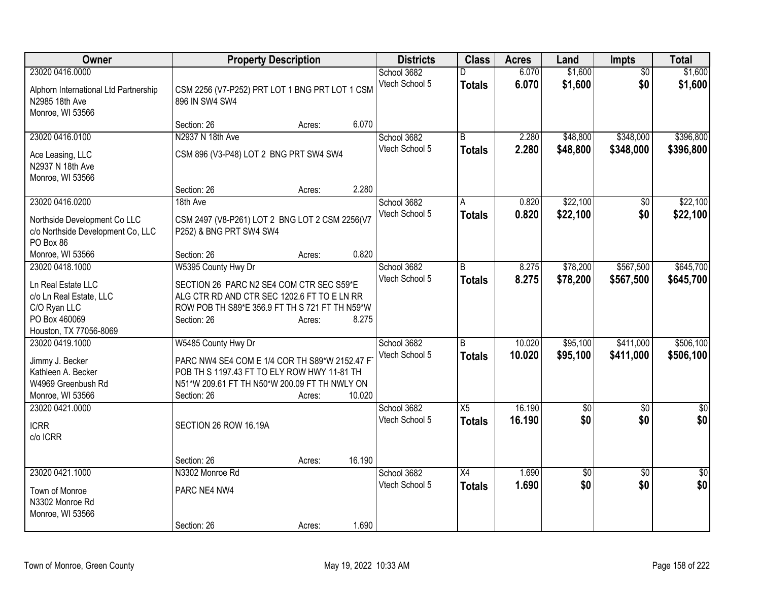| Owner                                 | <b>Property Description</b>                    |        |        | <b>Districts</b>              | <b>Class</b>    | <b>Acres</b> | Land            | <b>Impts</b>    | <b>Total</b> |
|---------------------------------------|------------------------------------------------|--------|--------|-------------------------------|-----------------|--------------|-----------------|-----------------|--------------|
| 23020 0416.0000                       |                                                |        |        | School 3682                   | D               | 6.070        | \$1,600         | $\overline{50}$ | \$1,600      |
| Alphorn International Ltd Partnership | CSM 2256 (V7-P252) PRT LOT 1 BNG PRT LOT 1 CSM |        |        | Vtech School 5                | <b>Totals</b>   | 6.070        | \$1,600         | \$0             | \$1,600      |
| N2985 18th Ave                        | 896 IN SW4 SW4                                 |        |        |                               |                 |              |                 |                 |              |
| Monroe, WI 53566                      |                                                |        |        |                               |                 |              |                 |                 |              |
|                                       | Section: 26                                    | Acres: | 6.070  |                               |                 |              |                 |                 |              |
| 23020 0416.0100                       | N2937 N 18th Ave                               |        |        | School 3682                   | B               | 2.280        | \$48,800        | \$348,000       | \$396,800    |
| Ace Leasing, LLC                      | CSM 896 (V3-P48) LOT 2 BNG PRT SW4 SW4         |        |        | Vtech School 5                | <b>Totals</b>   | 2.280        | \$48,800        | \$348,000       | \$396,800    |
| N2937 N 18th Ave                      |                                                |        |        |                               |                 |              |                 |                 |              |
| Monroe, WI 53566                      |                                                |        |        |                               |                 |              |                 |                 |              |
|                                       | Section: 26                                    | Acres: | 2.280  |                               |                 |              |                 |                 |              |
| 23020 0416.0200                       | 18th Ave                                       |        |        | School 3682                   | A               | 0.820        | \$22,100        | \$0             | \$22,100     |
|                                       |                                                |        |        | Vtech School 5                | <b>Totals</b>   | 0.820        | \$22,100        | \$0             | \$22,100     |
| Northside Development Co LLC          | CSM 2497 (V8-P261) LOT 2 BNG LOT 2 CSM 2256(V7 |        |        |                               |                 |              |                 |                 |              |
| c/o Northside Development Co, LLC     | P252) & BNG PRT SW4 SW4                        |        |        |                               |                 |              |                 |                 |              |
| PO Box 86                             | Section: 26                                    |        | 0.820  |                               |                 |              |                 |                 |              |
| Monroe, WI 53566                      | W5395 County Hwy Dr                            | Acres: |        |                               | B               | 8.275        | \$78,200        | \$567,500       | \$645,700    |
| 23020 0418.1000                       |                                                |        |        | School 3682<br>Vtech School 5 |                 |              |                 |                 |              |
| Ln Real Estate LLC                    | SECTION 26 PARC N2 SE4 COM CTR SEC S59*E       |        |        |                               | <b>Totals</b>   | 8.275        | \$78,200        | \$567,500       | \$645,700    |
| c/o Ln Real Estate, LLC               | ALG CTR RD AND CTR SEC 1202.6 FT TO E LN RR    |        |        |                               |                 |              |                 |                 |              |
| C/O Ryan LLC                          | ROW POB TH S89*E 356.9 FT TH S 721 FT TH N59*W |        |        |                               |                 |              |                 |                 |              |
| PO Box 460069                         | Section: 26                                    | Acres: | 8.275  |                               |                 |              |                 |                 |              |
| Houston, TX 77056-8069                |                                                |        |        |                               |                 |              |                 |                 |              |
| 23020 0419.1000                       | W5485 County Hwy Dr                            |        |        | School 3682                   | B               | 10.020       | \$95,100        | \$411,000       | \$506,100    |
| Jimmy J. Becker                       | PARC NW4 SE4 COM E 1/4 COR TH S89*W 2152.47 F  |        |        | Vtech School 5                | Totals          | 10.020       | \$95,100        | \$411,000       | \$506,100    |
| Kathleen A. Becker                    | POB TH S 1197.43 FT TO ELY ROW HWY 11-81 TH    |        |        |                               |                 |              |                 |                 |              |
| W4969 Greenbush Rd                    | N51*W 209.61 FT TH N50*W 200.09 FT TH NWLY ON  |        |        |                               |                 |              |                 |                 |              |
| Monroe, WI 53566                      | Section: 26                                    | Acres: | 10.020 |                               |                 |              |                 |                 |              |
| 23020 0421.0000                       |                                                |        |        | School 3682                   | $\overline{X5}$ | 16.190       | $\overline{60}$ | $\overline{50}$ | $\sqrt{50}$  |
| <b>ICRR</b>                           | SECTION 26 ROW 16.19A                          |        |        | Vtech School 5                | <b>Totals</b>   | 16.190       | \$0             | \$0             | \$0          |
| c/o ICRR                              |                                                |        |        |                               |                 |              |                 |                 |              |
|                                       |                                                |        |        |                               |                 |              |                 |                 |              |
|                                       | Section: 26                                    | Acres: | 16.190 |                               |                 |              |                 |                 |              |
| 23020 0421.1000                       | N3302 Monroe Rd                                |        |        | School 3682                   | X4              | 1.690        | $\overline{50}$ | $\overline{50}$ | $\sqrt{30}$  |
| Town of Monroe                        | PARC NE4 NW4                                   |        |        | Vtech School 5                | Totals          | 1.690        | \$0             | \$0             | \$0          |
| N3302 Monroe Rd                       |                                                |        |        |                               |                 |              |                 |                 |              |
| Monroe, WI 53566                      |                                                |        |        |                               |                 |              |                 |                 |              |
|                                       | Section: 26                                    | Acres: | 1.690  |                               |                 |              |                 |                 |              |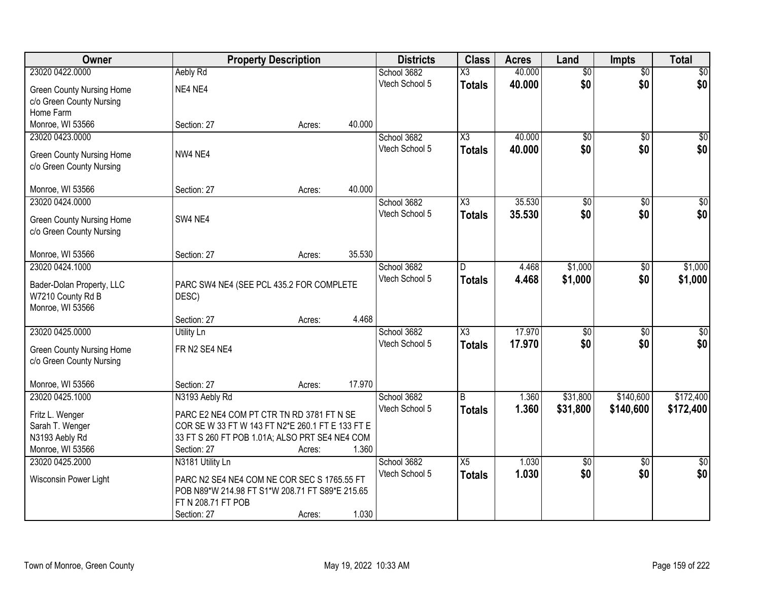| Owner                                          | <b>Property Description</b>                       |        |        | <b>Districts</b> | <b>Class</b>           | <b>Acres</b> | Land            | <b>Impts</b>    | <b>Total</b>    |
|------------------------------------------------|---------------------------------------------------|--------|--------|------------------|------------------------|--------------|-----------------|-----------------|-----------------|
| 23020 0422.0000                                | Aebly Rd                                          |        |        | School 3682      | $\overline{\chi_3}$    | 40.000       | $\overline{50}$ | $\overline{$0}$ | $\overline{30}$ |
| <b>Green County Nursing Home</b>               | NE4 NE4                                           |        |        | Vtech School 5   | <b>Totals</b>          | 40.000       | \$0             | \$0             | \$0             |
| c/o Green County Nursing                       |                                                   |        |        |                  |                        |              |                 |                 |                 |
| Home Farm                                      |                                                   |        |        |                  |                        |              |                 |                 |                 |
| Monroe, WI 53566                               | Section: 27                                       | Acres: | 40.000 |                  |                        |              |                 |                 |                 |
| 23020 0423.0000                                |                                                   |        |        | School 3682      | $\overline{\text{X3}}$ | 40.000       | $\overline{50}$ | $\overline{50}$ | \$0             |
|                                                |                                                   |        |        | Vtech School 5   | <b>Totals</b>          | 40.000       | \$0             | \$0             | \$0             |
| <b>Green County Nursing Home</b>               | NW4 NE4                                           |        |        |                  |                        |              |                 |                 |                 |
| c/o Green County Nursing                       |                                                   |        |        |                  |                        |              |                 |                 |                 |
| Monroe, WI 53566                               | Section: 27                                       | Acres: | 40.000 |                  |                        |              |                 |                 |                 |
| 23020 0424.0000                                |                                                   |        |        | School 3682      | $\overline{\chi_3}$    | 35.530       | $\overline{50}$ | \$0             | $\sqrt{50}$     |
|                                                | SW4 NE4                                           |        |        | Vtech School 5   | <b>Totals</b>          | 35.530       | \$0             | \$0             | \$0             |
| <b>Green County Nursing Home</b>               |                                                   |        |        |                  |                        |              |                 |                 |                 |
| c/o Green County Nursing                       |                                                   |        |        |                  |                        |              |                 |                 |                 |
| Monroe, WI 53566                               | Section: 27                                       | Acres: | 35.530 |                  |                        |              |                 |                 |                 |
| 23020 0424.1000                                |                                                   |        |        | School 3682      | D                      | 4.468        | \$1,000         | $\sqrt[6]{3}$   | \$1,000         |
|                                                |                                                   |        |        | Vtech School 5   | <b>Totals</b>          | 4.468        | \$1,000         | \$0             | \$1,000         |
| Bader-Dolan Property, LLC<br>W7210 County Rd B | PARC SW4 NE4 (SEE PCL 435.2 FOR COMPLETE<br>DESC) |        |        |                  |                        |              |                 |                 |                 |
| Monroe, WI 53566                               |                                                   |        |        |                  |                        |              |                 |                 |                 |
|                                                | Section: 27                                       | Acres: | 4.468  |                  |                        |              |                 |                 |                 |
| 23020 0425.0000                                | <b>Utility Ln</b>                                 |        |        | School 3682      | $\overline{\text{X3}}$ | 17.970       | $\overline{50}$ | $\overline{50}$ | $\overline{50}$ |
|                                                |                                                   |        |        | Vtech School 5   | Totals                 | 17.970       | \$0             | \$0             | \$0             |
| <b>Green County Nursing Home</b>               | FR N2 SE4 NE4                                     |        |        |                  |                        |              |                 |                 |                 |
| c/o Green County Nursing                       |                                                   |        |        |                  |                        |              |                 |                 |                 |
| Monroe, WI 53566                               | Section: 27                                       |        | 17.970 |                  |                        |              |                 |                 |                 |
| 23020 0425.1000                                | N3193 Aebly Rd                                    | Acres: |        | School 3682      | B                      | 1.360        | \$31,800        | \$140,600       | \$172,400       |
|                                                |                                                   |        |        | Vtech School 5   | <b>Totals</b>          | 1.360        | \$31,800        | \$140,600       | \$172,400       |
| Fritz L. Wenger                                | PARC E2 NE4 COM PT CTR TN RD 3781 FT N SE         |        |        |                  |                        |              |                 |                 |                 |
| Sarah T. Wenger                                | COR SE W 33 FT W 143 FT N2*E 260.1 FT E 133 FT E  |        |        |                  |                        |              |                 |                 |                 |
| N3193 Aebly Rd                                 | 33 FT S 260 FT POB 1.01A; ALSO PRT SE4 NE4 COM    |        |        |                  |                        |              |                 |                 |                 |
| Monroe, WI 53566                               | Section: 27                                       | Acres: | 1.360  |                  |                        |              |                 |                 |                 |
| 23020 0425.2000                                | N3181 Utility Ln                                  |        |        | School 3682      | X5                     | 1.030        | $\overline{50}$ | $\overline{30}$ | $\overline{50}$ |
| Wisconsin Power Light                          | PARC N2 SE4 NE4 COM NE COR SEC S 1765.55 FT       |        |        | Vtech School 5   | <b>Totals</b>          | 1.030        | \$0             | \$0             | \$0             |
|                                                | POB N89*W 214.98 FT S1*W 208.71 FT S89*E 215.65   |        |        |                  |                        |              |                 |                 |                 |
|                                                | FT N 208.71 FT POB                                |        |        |                  |                        |              |                 |                 |                 |
|                                                | Section: 27                                       | Acres: | 1.030  |                  |                        |              |                 |                 |                 |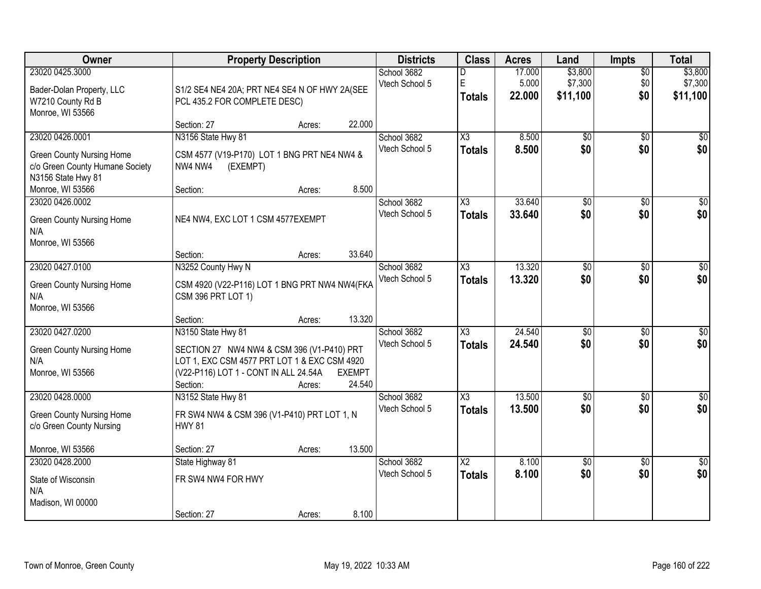| <b>Owner</b>                                                                                                 | <b>Property Description</b>                                                                                                                                                     | <b>Districts</b>        | <b>Class</b>                  | <b>Acres</b>                            | Land                      | <b>Impts</b>                   | <b>Total</b>                  |                                |
|--------------------------------------------------------------------------------------------------------------|---------------------------------------------------------------------------------------------------------------------------------------------------------------------------------|-------------------------|-------------------------------|-----------------------------------------|---------------------------|--------------------------------|-------------------------------|--------------------------------|
| 23020 0425.3000<br>Bader-Dolan Property, LLC<br>W7210 County Rd B<br>Monroe, WI 53566                        | S1/2 SE4 NE4 20A; PRT NE4 SE4 N OF HWY 2A(SEE<br>PCL 435.2 FOR COMPLETE DESC)                                                                                                   |                         | School 3682<br>Vtech School 5 | D<br>E<br><b>Totals</b>                 | 17.000<br>5.000<br>22.000 | \$3,800<br>\$7,300<br>\$11,100 | $\overline{30}$<br>\$0<br>\$0 | \$3,800<br>\$7,300<br>\$11,100 |
|                                                                                                              | Section: 27<br>Acres:                                                                                                                                                           | 22.000                  |                               |                                         |                           |                                |                               |                                |
| 23020 0426.0001<br><b>Green County Nursing Home</b><br>c/o Green County Humane Society<br>N3156 State Hwy 81 | N3156 State Hwy 81<br>CSM 4577 (V19-P170) LOT 1 BNG PRT NE4 NW4 &<br>NW4 NW4<br>(EXEMPT)                                                                                        |                         | School 3682<br>Vtech School 5 | $\overline{\chi_3}$<br><b>Totals</b>    | 8.500<br>8.500            | $\overline{50}$<br>\$0         | $\overline{30}$<br>\$0        | $\sqrt{50}$<br>\$0             |
| Monroe, WI 53566<br>23020 0426.0002                                                                          | Section:<br>Acres:                                                                                                                                                              | 8.500                   | School 3682                   | X3                                      | 33.640                    | \$0                            | \$0                           | \$0                            |
| <b>Green County Nursing Home</b><br>N/A<br>Monroe, WI 53566                                                  | NE4 NW4, EXC LOT 1 CSM 4577EXEMPT                                                                                                                                               |                         | Vtech School 5                | <b>Totals</b>                           | 33.640                    | \$0                            | \$0                           | \$0                            |
|                                                                                                              | Section:<br>Acres:                                                                                                                                                              | 33.640                  |                               |                                         |                           |                                |                               |                                |
| 23020 0427.0100<br><b>Green County Nursing Home</b><br>N/A<br>Monroe, WI 53566                               | N3252 County Hwy N<br>CSM 4920 (V22-P116) LOT 1 BNG PRT NW4 NW4(FKA<br>CSM 396 PRT LOT 1)                                                                                       |                         | School 3682<br>Vtech School 5 | X3<br><b>Totals</b>                     | 13.320<br>13.320          | \$0<br>\$0                     | $\sqrt{6}$<br>\$0             | \$0<br>\$0                     |
|                                                                                                              | Section:<br>Acres:                                                                                                                                                              | 13.320                  |                               |                                         |                           |                                |                               |                                |
| 23020 0427.0200<br><b>Green County Nursing Home</b><br>N/A<br>Monroe, WI 53566                               | N3150 State Hwy 81<br>SECTION 27 NW4 NW4 & CSM 396 (V1-P410) PRT<br>LOT 1, EXC CSM 4577 PRT LOT 1 & EXC CSM 4920<br>(V22-P116) LOT 1 - CONT IN ALL 24.54A<br>Section:<br>Acres: | <b>EXEMPT</b><br>24.540 | School 3682<br>Vtech School 5 | $\overline{\chi_3}$<br><b>Totals</b>    | 24.540<br>24.540          | $\overline{30}$<br>\$0         | $\overline{30}$<br>\$0        | $\overline{30}$<br>\$0         |
| 23020 0428.0000<br><b>Green County Nursing Home</b><br>c/o Green County Nursing                              | N3152 State Hwy 81<br>FR SW4 NW4 & CSM 396 (V1-P410) PRT LOT 1, N<br><b>HWY 81</b>                                                                                              |                         | School 3682<br>Vtech School 5 | $\overline{\chi_3}$<br><b>Totals</b>    | 13.500<br>13.500          | $\overline{60}$<br>\$0         | $\overline{30}$<br>\$0        | $\overline{50}$<br>\$0         |
| Monroe, WI 53566                                                                                             | Section: 27<br>Acres:                                                                                                                                                           | 13.500                  |                               |                                         |                           |                                |                               |                                |
| 23020 0428.2000<br>State of Wisconsin<br>N/A<br>Madison, WI 00000                                            | State Highway 81<br>FR SW4 NW4 FOR HWY<br>Section: 27<br>Acres:                                                                                                                 | 8.100                   | School 3682<br>Vtech School 5 | $\overline{\text{X2}}$<br><b>Totals</b> | 8.100<br>8.100            | $\overline{50}$<br>\$0         | $\overline{50}$<br>\$0        | $\frac{1}{2}$<br>\$0           |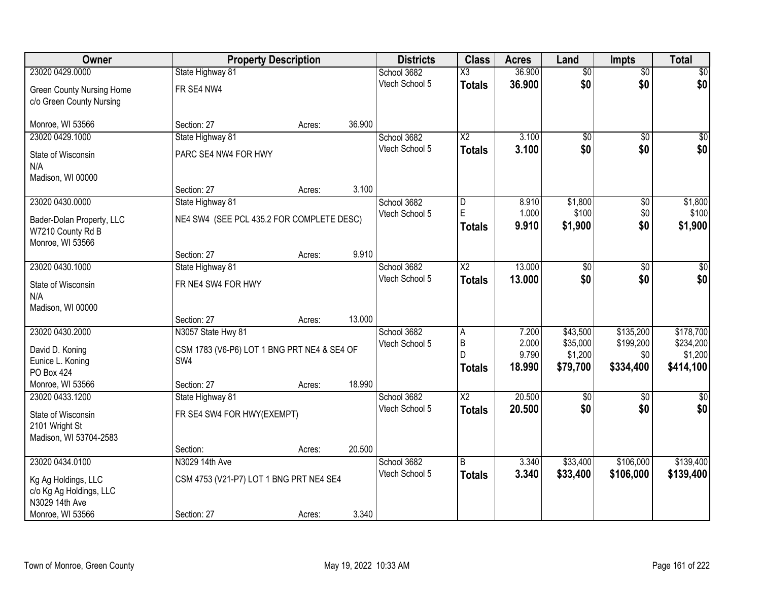| Owner                               |                                                    | <b>Property Description</b> |        | <b>Districts</b>              | <b>Class</b>           | <b>Acres</b>   | Land             | <b>Impts</b>    | <b>Total</b>     |
|-------------------------------------|----------------------------------------------------|-----------------------------|--------|-------------------------------|------------------------|----------------|------------------|-----------------|------------------|
| 23020 0429.0000                     | State Highway 81                                   |                             |        | School 3682                   | $\overline{\text{X3}}$ | 36.900         | $\overline{50}$  | $\overline{60}$ | $\overline{30}$  |
| <b>Green County Nursing Home</b>    | FR SE4 NW4                                         |                             |        | Vtech School 5                | <b>Totals</b>          | 36.900         | \$0              | \$0             | \$0              |
| c/o Green County Nursing            |                                                    |                             |        |                               |                        |                |                  |                 |                  |
|                                     |                                                    |                             |        |                               |                        |                |                  |                 |                  |
| Monroe, WI 53566                    | Section: 27                                        | Acres:                      | 36.900 |                               |                        |                |                  |                 |                  |
| 23020 0429.1000                     | State Highway 81                                   |                             |        | School 3682                   | $\overline{\text{X2}}$ | 3.100          | \$0              | $\overline{50}$ | \$0              |
| State of Wisconsin                  | PARC SE4 NW4 FOR HWY                               |                             |        | Vtech School 5                | <b>Totals</b>          | 3.100          | \$0              | \$0             | \$0              |
| N/A                                 |                                                    |                             |        |                               |                        |                |                  |                 |                  |
| Madison, WI 00000                   |                                                    |                             |        |                               |                        |                |                  |                 |                  |
|                                     | Section: 27                                        | Acres:                      | 3.100  |                               |                        |                |                  |                 |                  |
| 23020 0430.0000                     | State Highway 81                                   |                             |        | School 3682<br>Vtech School 5 | D<br>E                 | 8.910<br>1.000 | \$1,800<br>\$100 | \$0<br>\$0      | \$1,800<br>\$100 |
| Bader-Dolan Property, LLC           | NE4 SW4 (SEE PCL 435.2 FOR COMPLETE DESC)          |                             |        |                               | <b>Totals</b>          | 9.910          | \$1,900          | \$0             | \$1,900          |
| W7210 County Rd B                   |                                                    |                             |        |                               |                        |                |                  |                 |                  |
| Monroe, WI 53566                    | Section: 27                                        |                             | 9.910  |                               |                        |                |                  |                 |                  |
| 23020 0430.1000                     | State Highway 81                                   | Acres:                      |        | School 3682                   | $\overline{\text{X2}}$ | 13.000         | $\overline{50}$  | \$0             | $\sqrt{50}$      |
|                                     |                                                    |                             |        | Vtech School 5                | <b>Totals</b>          | 13.000         | \$0              | \$0             | \$0              |
| State of Wisconsin                  | FR NE4 SW4 FOR HWY                                 |                             |        |                               |                        |                |                  |                 |                  |
| N/A<br>Madison, WI 00000            |                                                    |                             |        |                               |                        |                |                  |                 |                  |
|                                     | Section: 27                                        | Acres:                      | 13.000 |                               |                        |                |                  |                 |                  |
| 23020 0430.2000                     | N3057 State Hwy 81                                 |                             |        | School 3682                   | $\overline{A}$         | 7.200          | \$43,500         | \$135,200       | \$178,700        |
|                                     |                                                    |                             |        | Vtech School 5                | $\overline{B}$         | 2.000          | \$35,000         | \$199,200       | \$234,200        |
| David D. Koning<br>Eunice L. Koning | CSM 1783 (V6-P6) LOT 1 BNG PRT NE4 & SE4 OF<br>SW4 |                             |        |                               | D                      | 9.790          | \$1,200          | \$0             | \$1,200          |
| <b>PO Box 424</b>                   |                                                    |                             |        |                               | <b>Totals</b>          | 18.990         | \$79,700         | \$334,400       | \$414,100        |
| Monroe, WI 53566                    | Section: 27                                        | Acres:                      | 18.990 |                               |                        |                |                  |                 |                  |
| 23020 0433.1200                     | State Highway 81                                   |                             |        | School 3682                   | $\overline{\text{X2}}$ | 20.500         | $\overline{50}$  | $\overline{50}$ | \$0              |
| State of Wisconsin                  | FR SE4 SW4 FOR HWY(EXEMPT)                         |                             |        | Vtech School 5                | <b>Totals</b>          | 20.500         | \$0              | \$0             | \$0              |
| 2101 Wright St                      |                                                    |                             |        |                               |                        |                |                  |                 |                  |
| Madison, WI 53704-2583              |                                                    |                             |        |                               |                        |                |                  |                 |                  |
|                                     | Section:                                           | Acres:                      | 20.500 |                               |                        |                |                  |                 |                  |
| 23020 0434.0100                     | N3029 14th Ave                                     |                             |        | School 3682                   | B                      | 3.340          | \$33,400         | \$106,000       | \$139,400        |
| Kg Ag Holdings, LLC                 | CSM 4753 (V21-P7) LOT 1 BNG PRT NE4 SE4            |                             |        | Vtech School 5                | <b>Totals</b>          | 3.340          | \$33,400         | \$106,000       | \$139,400        |
| c/o Kg Ag Holdings, LLC             |                                                    |                             |        |                               |                        |                |                  |                 |                  |
| N3029 14th Ave                      |                                                    |                             |        |                               |                        |                |                  |                 |                  |
| Monroe, WI 53566                    | Section: 27                                        | Acres:                      | 3.340  |                               |                        |                |                  |                 |                  |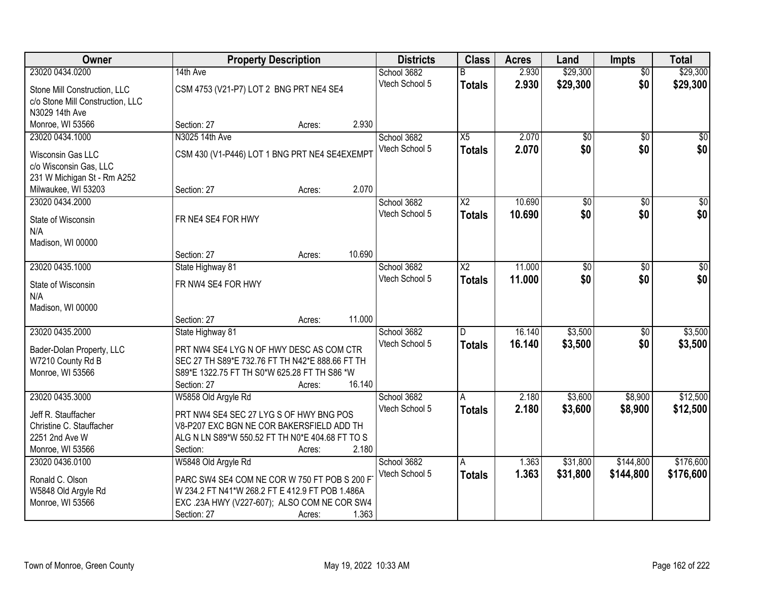| Owner                                          | <b>Property Description</b>                     |        |        | <b>Districts</b> | <b>Class</b>           | <b>Acres</b> | Land            | <b>Impts</b>    | <b>Total</b>     |
|------------------------------------------------|-------------------------------------------------|--------|--------|------------------|------------------------|--------------|-----------------|-----------------|------------------|
| 23020 0434.0200                                | 14th Ave                                        |        |        | School 3682      | B                      | 2.930        | \$29,300        | $\overline{50}$ | \$29,300         |
| Stone Mill Construction, LLC                   | CSM 4753 (V21-P7) LOT 2 BNG PRT NE4 SE4         |        |        | Vtech School 5   | <b>Totals</b>          | 2.930        | \$29,300        | \$0             | \$29,300         |
| c/o Stone Mill Construction, LLC               |                                                 |        |        |                  |                        |              |                 |                 |                  |
| N3029 14th Ave                                 |                                                 |        |        |                  |                        |              |                 |                 |                  |
| Monroe, WI 53566                               | Section: 27                                     | Acres: | 2.930  |                  |                        |              |                 |                 |                  |
| 23020 0434.1000                                | N3025 14th Ave                                  |        |        | School 3682      | X5                     | 2.070        | \$0             | \$0             | \$0              |
| Wisconsin Gas LLC                              | CSM 430 (V1-P446) LOT 1 BNG PRT NE4 SE4EXEMPT   |        |        | Vtech School 5   | <b>Totals</b>          | 2.070        | \$0             | \$0             | \$0              |
| c/o Wisconsin Gas, LLC                         |                                                 |        |        |                  |                        |              |                 |                 |                  |
| 231 W Michigan St - Rm A252                    |                                                 |        |        |                  |                        |              |                 |                 |                  |
| Milwaukee, WI 53203                            | Section: 27                                     | Acres: | 2.070  |                  |                        |              |                 |                 |                  |
| 23020 0434.2000                                |                                                 |        |        | School 3682      | $\overline{X2}$        | 10.690       | $\overline{50}$ | \$0             | $\overline{\$0}$ |
| State of Wisconsin                             | FR NE4 SE4 FOR HWY                              |        |        | Vtech School 5   | <b>Totals</b>          | 10.690       | \$0             | \$0             | \$0              |
| N/A                                            |                                                 |        |        |                  |                        |              |                 |                 |                  |
| Madison, WI 00000                              |                                                 |        |        |                  |                        |              |                 |                 |                  |
|                                                | Section: 27                                     | Acres: | 10.690 |                  |                        |              |                 |                 |                  |
| 23020 0435.1000                                | State Highway 81                                |        |        | School 3682      | $\overline{\text{X2}}$ | 11.000       | $\overline{50}$ | \$0             | $\sqrt{50}$      |
| State of Wisconsin                             | FR NW4 SE4 FOR HWY                              |        |        | Vtech School 5   | <b>Totals</b>          | 11.000       | \$0             | \$0             | \$0              |
| N/A                                            |                                                 |        |        |                  |                        |              |                 |                 |                  |
| Madison, WI 00000                              |                                                 |        |        |                  |                        |              |                 |                 |                  |
|                                                | Section: 27                                     | Acres: | 11.000 |                  |                        |              |                 |                 |                  |
| 23020 0435.2000                                | State Highway 81                                |        |        | School 3682      | D                      | 16.140       | \$3,500         | $\overline{50}$ | \$3,500          |
|                                                | PRT NW4 SE4 LYG N OF HWY DESC AS COM CTR        |        |        | Vtech School 5   | Totals                 | 16.140       | \$3,500         | \$0             | \$3,500          |
| Bader-Dolan Property, LLC<br>W7210 County Rd B | SEC 27 TH S89*E 732.76 FT TH N42*E 888.66 FT TH |        |        |                  |                        |              |                 |                 |                  |
| Monroe, WI 53566                               | S89*E 1322.75 FT TH S0*W 625.28 FT TH S86 *W    |        |        |                  |                        |              |                 |                 |                  |
|                                                | Section: 27                                     | Acres: | 16.140 |                  |                        |              |                 |                 |                  |
| 23020 0435.3000                                | W5858 Old Argyle Rd                             |        |        | School 3682      | A                      | 2.180        | \$3,600         | \$8,900         | \$12,500         |
| Jeff R. Stauffacher                            | PRT NW4 SE4 SEC 27 LYG S OF HWY BNG POS         |        |        | Vtech School 5   | <b>Totals</b>          | 2.180        | \$3,600         | \$8,900         | \$12,500         |
| Christine C. Stauffacher                       | V8-P207 EXC BGN NE COR BAKERSFIELD ADD TH       |        |        |                  |                        |              |                 |                 |                  |
| 2251 2nd Ave W                                 | ALG N LN S89*W 550.52 FT TH N0*E 404.68 FT TO S |        |        |                  |                        |              |                 |                 |                  |
| Monroe, WI 53566                               | Section:                                        | Acres: | 2.180  |                  |                        |              |                 |                 |                  |
| 23020 0436.0100                                | W5848 Old Argyle Rd                             |        |        | School 3682      | A                      | 1.363        | \$31,800        | \$144,800       | \$176,600        |
| Ronald C. Olson                                | PARC SW4 SE4 COM NE COR W 750 FT POB S 200 F    |        |        | Vtech School 5   | <b>Totals</b>          | 1.363        | \$31,800        | \$144,800       | \$176,600        |
| W5848 Old Argyle Rd                            | W 234.2 FT N41*W 268.2 FT E 412.9 FT POB 1.486A |        |        |                  |                        |              |                 |                 |                  |
| Monroe, WI 53566                               | EXC .23A HWY (V227-607); ALSO COM NE COR SW4    |        |        |                  |                        |              |                 |                 |                  |
|                                                | Section: 27                                     | Acres: | 1.363  |                  |                        |              |                 |                 |                  |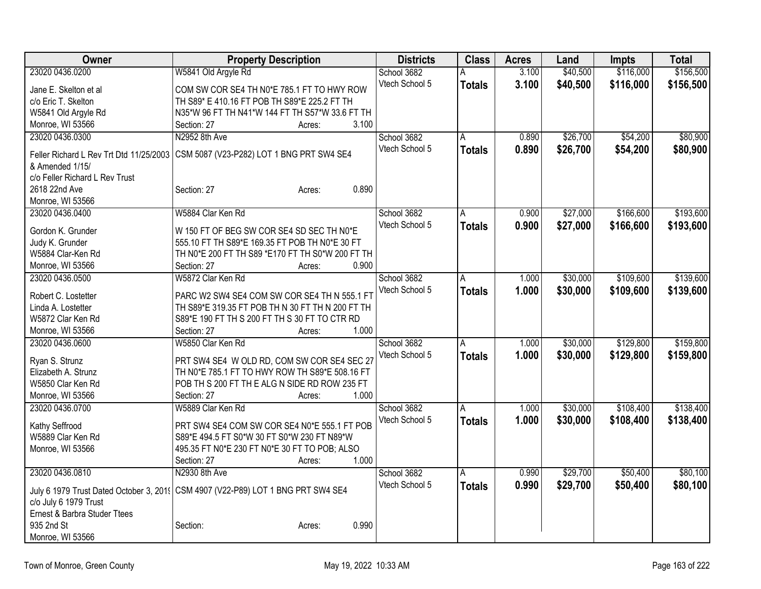| Owner                                           | <b>Property Description</b>                                                                  | <b>Districts</b> | <b>Class</b>   | <b>Acres</b> | Land     | <b>Impts</b> | <b>Total</b> |
|-------------------------------------------------|----------------------------------------------------------------------------------------------|------------------|----------------|--------------|----------|--------------|--------------|
| 23020 0436.0200                                 | W5841 Old Argyle Rd                                                                          | School 3682      | A              | 3.100        | \$40,500 | \$116,000    | \$156,500    |
| Jane E. Skelton et al                           | COM SW COR SE4 TH N0*E 785.1 FT TO HWY ROW                                                   | Vtech School 5   | <b>Totals</b>  | 3.100        | \$40,500 | \$116,000    | \$156,500    |
| c/o Eric T. Skelton                             | TH S89* E 410.16 FT POB TH S89*E 225.2 FT TH                                                 |                  |                |              |          |              |              |
| W5841 Old Argyle Rd                             | N35*W 96 FT TH N41*W 144 FT TH S57*W 33.6 FT TH                                              |                  |                |              |          |              |              |
| Monroe, WI 53566                                | 3.100<br>Section: 27<br>Acres:                                                               |                  |                |              |          |              |              |
| 23020 0436.0300                                 | N2952 8th Ave                                                                                | School 3682      | $\overline{A}$ | 0.890        | \$26,700 | \$54,200     | \$80,900     |
|                                                 |                                                                                              | Vtech School 5   | <b>Totals</b>  | 0.890        | \$26,700 | \$54,200     | \$80,900     |
| Feller Richard L Rev Trt Dtd 11/25/2003         | CSM 5087 (V23-P282) LOT 1 BNG PRT SW4 SE4                                                    |                  |                |              |          |              |              |
| & Amended 1/15/                                 |                                                                                              |                  |                |              |          |              |              |
| c/o Feller Richard L Rev Trust<br>2618 22nd Ave | 0.890                                                                                        |                  |                |              |          |              |              |
| Monroe, WI 53566                                | Section: 27<br>Acres:                                                                        |                  |                |              |          |              |              |
| 23020 0436.0400                                 | W5884 Clar Ken Rd                                                                            | School 3682      | A              | 0.900        | \$27,000 | \$166,600    | \$193,600    |
|                                                 |                                                                                              | Vtech School 5   |                |              |          |              |              |
| Gordon K. Grunder                               | W 150 FT OF BEG SW COR SE4 SD SEC TH N0*E                                                    |                  | <b>Totals</b>  | 0.900        | \$27,000 | \$166,600    | \$193,600    |
| Judy K. Grunder                                 | 555.10 FT TH S89*E 169.35 FT POB TH N0*E 30 FT                                               |                  |                |              |          |              |              |
| W5884 Clar-Ken Rd                               | TH N0*E 200 FT TH S89 *E170 FT TH S0*W 200 FT TH                                             |                  |                |              |          |              |              |
| Monroe, WI 53566                                | Section: 27<br>0.900<br>Acres:                                                               |                  |                |              |          |              |              |
| 23020 0436.0500                                 | W5872 Clar Ken Rd                                                                            | School 3682      | Α              | 1.000        | \$30,000 | \$109,600    | \$139,600    |
| Robert C. Lostetter                             | PARC W2 SW4 SE4 COM SW COR SE4 TH N 555.1 FT                                                 | Vtech School 5   | <b>Totals</b>  | 1.000        | \$30,000 | \$109,600    | \$139,600    |
| Linda A. Lostetter                              | TH S89*E 319.35 FT POB TH N 30 FT TH N 200 FT TH                                             |                  |                |              |          |              |              |
| W5872 Clar Ken Rd                               | S89*E 190 FT TH S 200 FT TH S 30 FT TO CTR RD                                                |                  |                |              |          |              |              |
| Monroe, WI 53566                                | 1.000<br>Section: 27<br>Acres:                                                               |                  |                |              |          |              |              |
| 23020 0436.0600                                 | W5850 Clar Ken Rd                                                                            | School 3682      | A              | 1.000        | \$30,000 | \$129,800    | \$159,800    |
|                                                 |                                                                                              | Vtech School 5   | <b>Totals</b>  | 1.000        | \$30,000 | \$129,800    | \$159,800    |
| Ryan S. Strunz                                  | PRT SW4 SE4 W OLD RD, COM SW COR SE4 SEC 27                                                  |                  |                |              |          |              |              |
| Elizabeth A. Strunz                             | TH N0*E 785.1 FT TO HWY ROW TH S89*E 508.16 FT                                               |                  |                |              |          |              |              |
| W5850 Clar Ken Rd                               | POB TH S 200 FT TH E ALG N SIDE RD ROW 235 FT<br>1.000                                       |                  |                |              |          |              |              |
| Monroe, WI 53566                                | Section: 27<br>Acres:                                                                        |                  |                |              |          |              |              |
| 23020 0436.0700                                 | W5889 Clar Ken Rd                                                                            | School 3682      | A              | 1.000        | \$30,000 | \$108,400    | \$138,400    |
| Kathy Seffrood                                  | PRT SW4 SE4 COM SW COR SE4 N0*E 555.1 FT POB                                                 | Vtech School 5   | <b>Totals</b>  | 1.000        | \$30,000 | \$108,400    | \$138,400    |
| W5889 Clar Ken Rd                               | S89*E 494.5 FT S0*W 30 FT S0*W 230 FT N89*W                                                  |                  |                |              |          |              |              |
| Monroe, WI 53566                                | 495.35 FT N0*E 230 FT N0*E 30 FT TO POB; ALSO                                                |                  |                |              |          |              |              |
|                                                 | 1.000<br>Section: 27<br>Acres:                                                               |                  |                |              |          |              |              |
| 23020 0436.0810                                 | N2930 8th Ave                                                                                | School 3682      | A              | 0.990        | \$29,700 | \$50,400     | \$80,100     |
|                                                 | July 6 1979 Trust Dated October 3, 201 <a>[CSM 4907 (V22-P89)<br/> LOT 1 BNG PRT SW4 SE4</a> | Vtech School 5   | <b>Totals</b>  | 0.990        | \$29,700 | \$50,400     | \$80,100     |
| c/o July 6 1979 Trust                           |                                                                                              |                  |                |              |          |              |              |
| Ernest & Barbra Studer Ttees                    |                                                                                              |                  |                |              |          |              |              |
| 935 2nd St                                      | 0.990<br>Section:<br>Acres:                                                                  |                  |                |              |          |              |              |
| Monroe, WI 53566                                |                                                                                              |                  |                |              |          |              |              |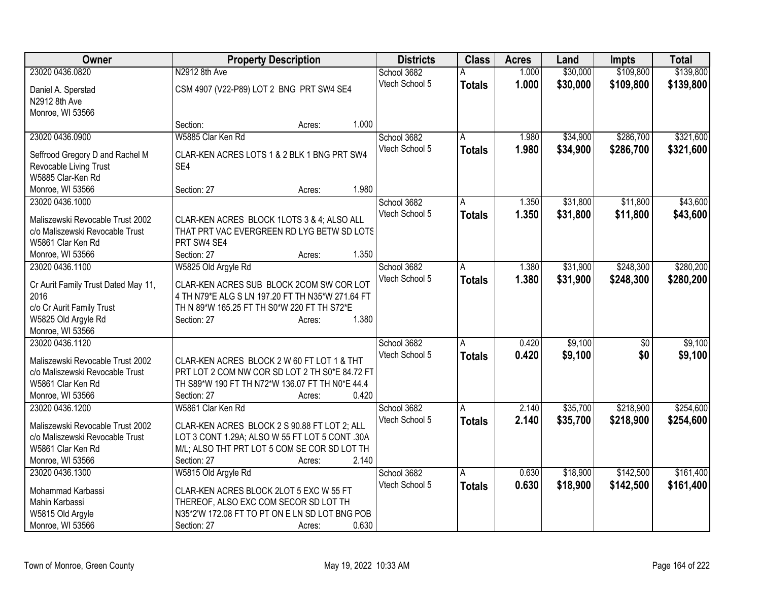| Owner                                                     | <b>Property Description</b>                                                                  |        |       | <b>Districts</b> | <b>Class</b>  | <b>Acres</b> | Land     | <b>Impts</b> | <b>Total</b> |
|-----------------------------------------------------------|----------------------------------------------------------------------------------------------|--------|-------|------------------|---------------|--------------|----------|--------------|--------------|
| 23020 0436.0820                                           | N2912 8th Ave                                                                                |        |       | School 3682      |               | 1.000        | \$30,000 | \$109,800    | \$139,800    |
| Daniel A. Sperstad                                        | CSM 4907 (V22-P89) LOT 2 BNG PRT SW4 SE4                                                     |        |       | Vtech School 5   | <b>Totals</b> | 1.000        | \$30,000 | \$109,800    | \$139,800    |
| N2912 8th Ave                                             |                                                                                              |        |       |                  |               |              |          |              |              |
| Monroe, WI 53566                                          |                                                                                              |        |       |                  |               |              |          |              |              |
|                                                           | Section:                                                                                     | Acres: | 1.000 |                  |               |              |          |              |              |
| 23020 0436.0900                                           | W5885 Clar Ken Rd                                                                            |        |       | School 3682      | A             | 1.980        | \$34,900 | \$286,700    | \$321,600    |
|                                                           | CLAR-KEN ACRES LOTS 1 & 2 BLK 1 BNG PRT SW4                                                  |        |       | Vtech School 5   | <b>Totals</b> | 1.980        | \$34,900 | \$286,700    | \$321,600    |
| Seffrood Gregory D and Rachel M<br>Revocable Living Trust | SE4                                                                                          |        |       |                  |               |              |          |              |              |
| W5885 Clar-Ken Rd                                         |                                                                                              |        |       |                  |               |              |          |              |              |
| Monroe, WI 53566                                          | Section: 27                                                                                  | Acres: | 1.980 |                  |               |              |          |              |              |
| 23020 0436.1000                                           |                                                                                              |        |       | School 3682      | A             | 1.350        | \$31,800 | \$11,800     | \$43,600     |
|                                                           |                                                                                              |        |       | Vtech School 5   | <b>Totals</b> | 1.350        | \$31,800 | \$11,800     | \$43,600     |
| Maliszewski Revocable Trust 2002                          | CLAR-KEN ACRES BLOCK 1LOTS 3 & 4; ALSO ALL                                                   |        |       |                  |               |              |          |              |              |
| c/o Maliszewski Revocable Trust                           | THAT PRT VAC EVERGREEN RD LYG BETW SD LOTS                                                   |        |       |                  |               |              |          |              |              |
| W5861 Clar Ken Rd                                         | PRT SW4 SE4                                                                                  |        |       |                  |               |              |          |              |              |
| Monroe, WI 53566                                          | Section: 27                                                                                  | Acres: | 1.350 |                  |               |              |          |              |              |
| 23020 0436.1100                                           | W5825 Old Argyle Rd                                                                          |        |       | School 3682      | A             | 1.380        | \$31,900 | \$248,300    | \$280,200    |
| Cr Aurit Family Trust Dated May 11,                       | CLAR-KEN ACRES SUB BLOCK 2COM SW COR LOT                                                     |        |       | Vtech School 5   | <b>Totals</b> | 1.380        | \$31,900 | \$248,300    | \$280,200    |
| 2016                                                      | 4 TH N79*E ALG S LN 197.20 FT TH N35*W 271.64 FT                                             |        |       |                  |               |              |          |              |              |
| c/o Cr Aurit Family Trust                                 | TH N 89*W 165.25 FT TH S0*W 220 FT TH S72*E                                                  |        |       |                  |               |              |          |              |              |
| W5825 Old Argyle Rd                                       | Section: 27                                                                                  | Acres: | 1.380 |                  |               |              |          |              |              |
| Monroe, WI 53566                                          |                                                                                              |        |       |                  |               |              |          |              |              |
| 23020 0436.1120                                           |                                                                                              |        |       | School 3682      | A             | 0.420        | \$9,100  | $\sqrt[6]{}$ | \$9,100      |
| Maliszewski Revocable Trust 2002                          |                                                                                              |        |       | Vtech School 5   | <b>Totals</b> | 0.420        | \$9,100  | \$0          | \$9,100      |
| c/o Maliszewski Revocable Trust                           | CLAR-KEN ACRES BLOCK 2 W 60 FT LOT 1 & THT<br>PRT LOT 2 COM NW COR SD LOT 2 TH S0*E 84.72 FT |        |       |                  |               |              |          |              |              |
| W5861 Clar Ken Rd                                         | TH S89*W 190 FT TH N72*W 136.07 FT TH N0*E 44.4                                              |        |       |                  |               |              |          |              |              |
| Monroe, WI 53566                                          | Section: 27                                                                                  | Acres: | 0.420 |                  |               |              |          |              |              |
| 23020 0436.1200                                           | W5861 Clar Ken Rd                                                                            |        |       | School 3682      | A             | 2.140        | \$35,700 | \$218,900    | \$254,600    |
|                                                           |                                                                                              |        |       | Vtech School 5   |               | 2.140        | \$35,700 | \$218,900    | \$254,600    |
| Maliszewski Revocable Trust 2002                          | CLAR-KEN ACRES BLOCK 2 S 90.88 FT LOT 2; ALL                                                 |        |       |                  | <b>Totals</b> |              |          |              |              |
| c/o Maliszewski Revocable Trust                           | LOT 3 CONT 1.29A; ALSO W 55 FT LOT 5 CONT .30A                                               |        |       |                  |               |              |          |              |              |
| W5861 Clar Ken Rd                                         | M/L; ALSO THT PRT LOT 5 COM SE COR SD LOT TH                                                 |        |       |                  |               |              |          |              |              |
| Monroe, WI 53566                                          | Section: 27                                                                                  | Acres: | 2.140 |                  |               |              |          |              |              |
| 23020 0436.1300                                           | W5815 Old Argyle Rd                                                                          |        |       | School 3682      | A             | 0.630        | \$18,900 | \$142,500    | \$161,400    |
| Mohammad Karbassi                                         | CLAR-KEN ACRES BLOCK 2LOT 5 EXC W 55 FT                                                      |        |       | Vtech School 5   | <b>Totals</b> | 0.630        | \$18,900 | \$142,500    | \$161,400    |
| Mahin Karbassi                                            | THEREOF, ALSO EXC COM SECOR SD LOT TH                                                        |        |       |                  |               |              |          |              |              |
| W5815 Old Argyle                                          | N35*2'W 172.08 FT TO PT ON E LN SD LOT BNG POB                                               |        |       |                  |               |              |          |              |              |
| Monroe, WI 53566                                          | Section: 27                                                                                  | Acres: | 0.630 |                  |               |              |          |              |              |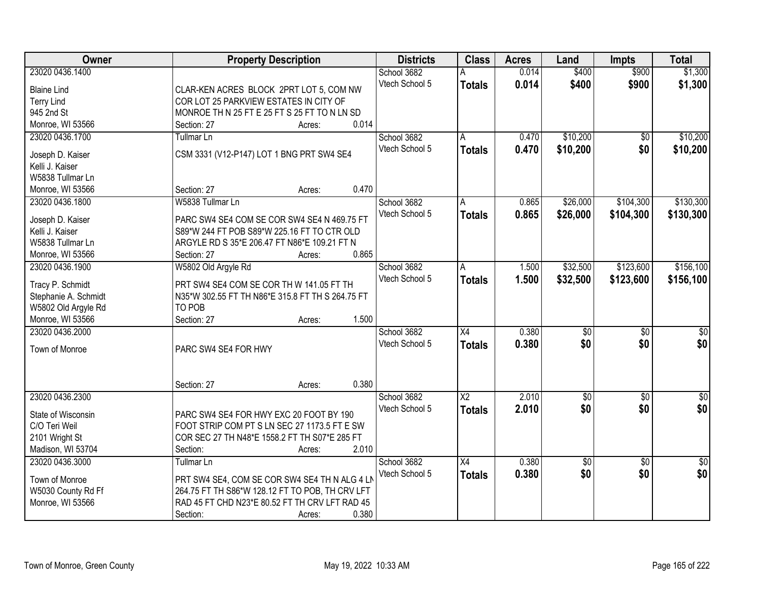| Owner                | <b>Property Description</b>                      | <b>Districts</b> | <b>Class</b>           | <b>Acres</b> | Land            | <b>Impts</b>    | <b>Total</b>     |
|----------------------|--------------------------------------------------|------------------|------------------------|--------------|-----------------|-----------------|------------------|
| 23020 0436.1400      |                                                  | School 3682      |                        | 0.014        | \$400           | \$900           | \$1,300          |
| <b>Blaine Lind</b>   | CLAR-KEN ACRES BLOCK 2PRT LOT 5, COM NW          | Vtech School 5   | <b>Totals</b>          | 0.014        | \$400           | \$900           | \$1,300          |
| <b>Terry Lind</b>    | COR LOT 25 PARKVIEW ESTATES IN CITY OF           |                  |                        |              |                 |                 |                  |
| 945 2nd St           | MONROE TH N 25 FT E 25 FT S 25 FT TO N LN SD     |                  |                        |              |                 |                 |                  |
| Monroe, WI 53566     | 0.014<br>Section: 27<br>Acres:                   |                  |                        |              |                 |                 |                  |
| 23020 0436.1700      | <b>Tullmar Ln</b>                                | School 3682      | A                      | 0.470        | \$10,200        | \$0             | \$10,200         |
|                      |                                                  | Vtech School 5   | <b>Totals</b>          | 0.470        | \$10,200        | \$0             | \$10,200         |
| Joseph D. Kaiser     | CSM 3331 (V12-P147) LOT 1 BNG PRT SW4 SE4        |                  |                        |              |                 |                 |                  |
| Kelli J. Kaiser      |                                                  |                  |                        |              |                 |                 |                  |
| W5838 Tullmar Ln     |                                                  |                  |                        |              |                 |                 |                  |
| Monroe, WI 53566     | 0.470<br>Section: 27<br>Acres:                   |                  |                        |              |                 |                 |                  |
| 23020 0436.1800      | W5838 Tullmar Ln                                 | School 3682      | A                      | 0.865        | \$26,000        | \$104,300       | \$130,300        |
| Joseph D. Kaiser     | PARC SW4 SE4 COM SE COR SW4 SE4 N 469.75 FT      | Vtech School 5   | <b>Totals</b>          | 0.865        | \$26,000        | \$104,300       | \$130,300        |
| Kelli J. Kaiser      | S89*W 244 FT POB S89*W 225.16 FT TO CTR OLD      |                  |                        |              |                 |                 |                  |
| W5838 Tullmar Ln     | ARGYLE RD S 35*E 206.47 FT N86*E 109.21 FT N     |                  |                        |              |                 |                 |                  |
| Monroe, WI 53566     | 0.865<br>Section: 27<br>Acres:                   |                  |                        |              |                 |                 |                  |
| 23020 0436.1900      | W5802 Old Argyle Rd                              | School 3682      | A                      | 1.500        | \$32,500        | \$123,600       | \$156,100        |
|                      |                                                  | Vtech School 5   | <b>Totals</b>          | 1.500        | \$32,500        | \$123,600       | \$156,100        |
| Tracy P. Schmidt     | PRT SW4 SE4 COM SE COR TH W 141.05 FT TH         |                  |                        |              |                 |                 |                  |
| Stephanie A. Schmidt | N35*W 302.55 FT TH N86*E 315.8 FT TH S 264.75 FT |                  |                        |              |                 |                 |                  |
| W5802 Old Argyle Rd  | TO POB                                           |                  |                        |              |                 |                 |                  |
| Monroe, WI 53566     | 1.500<br>Section: 27<br>Acres:                   |                  |                        |              |                 |                 |                  |
| 23020 0436.2000      |                                                  | School 3682      | $\overline{X4}$        | 0.380        | $\overline{50}$ | $\overline{50}$ | $\overline{\$0}$ |
| Town of Monroe       | PARC SW4 SE4 FOR HWY                             | Vtech School 5   | <b>Totals</b>          | 0.380        | \$0             | \$0             | \$0              |
|                      |                                                  |                  |                        |              |                 |                 |                  |
|                      |                                                  |                  |                        |              |                 |                 |                  |
|                      | 0.380<br>Section: 27<br>Acres:                   |                  |                        |              |                 |                 |                  |
| 23020 0436.2300      |                                                  | School 3682      | $\overline{\text{X2}}$ | 2.010        | $\sqrt{6}$      | $\sqrt{6}$      | $\frac{6}{3}$    |
|                      |                                                  | Vtech School 5   | <b>Totals</b>          | 2.010        | \$0             | \$0             | \$0              |
| State of Wisconsin   | PARC SW4 SE4 FOR HWY EXC 20 FOOT BY 190          |                  |                        |              |                 |                 |                  |
| C/O Teri Weil        | FOOT STRIP COM PT S LN SEC 27 1173.5 FT E SW     |                  |                        |              |                 |                 |                  |
| 2101 Wright St       | COR SEC 27 TH N48*E 1558.2 FT TH S07*E 285 FT    |                  |                        |              |                 |                 |                  |
| Madison, WI 53704    | 2.010<br>Section:<br>Acres:                      |                  |                        |              |                 |                 |                  |
| 23020 0436.3000      | <b>Tullmar Ln</b>                                | School 3682      | $\overline{X4}$        | 0.380        | \$0             | $\overline{30}$ | $\sqrt{50}$      |
| Town of Monroe       | PRT SW4 SE4, COM SE COR SW4 SE4 TH N ALG 4 LM    | Vtech School 5   | <b>Totals</b>          | 0.380        | \$0             | \$0             | \$0              |
| W5030 County Rd Ff   | 264.75 FT TH S86*W 128.12 FT TO POB, TH CRV LFT  |                  |                        |              |                 |                 |                  |
| Monroe, WI 53566     | RAD 45 FT CHD N23*E 80.52 FT TH CRV LFT RAD 45   |                  |                        |              |                 |                 |                  |
|                      | 0.380<br>Section:<br>Acres:                      |                  |                        |              |                 |                 |                  |
|                      |                                                  |                  |                        |              |                 |                 |                  |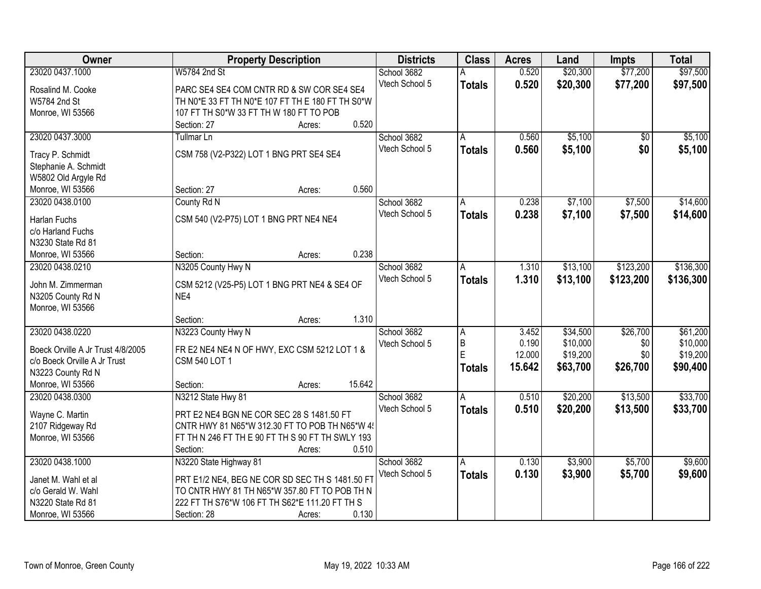| Owner                             | <b>Property Description</b>                      | <b>Districts</b> | <b>Class</b>  | <b>Acres</b> | Land     | <b>Impts</b> | <b>Total</b> |
|-----------------------------------|--------------------------------------------------|------------------|---------------|--------------|----------|--------------|--------------|
| 23020 0437.1000                   | W5784 2nd St                                     | School 3682      |               | 0.520        | \$20,300 | \$77,200     | \$97,500     |
| Rosalind M. Cooke                 | PARC SE4 SE4 COM CNTR RD & SW COR SE4 SE4        | Vtech School 5   | <b>Totals</b> | 0.520        | \$20,300 | \$77,200     | \$97,500     |
| W5784 2nd St                      | TH N0*E 33 FT TH N0*E 107 FT TH E 180 FT TH S0*W |                  |               |              |          |              |              |
| Monroe, WI 53566                  | 107 FT TH S0*W 33 FT TH W 180 FT TO POB          |                  |               |              |          |              |              |
|                                   | 0.520<br>Section: 27<br>Acres:                   |                  |               |              |          |              |              |
| 23020 0437.3000                   | <b>Tullmar Ln</b>                                | School 3682      | A             | 0.560        | \$5,100  | \$0          | \$5,100      |
|                                   |                                                  | Vtech School 5   | <b>Totals</b> | 0.560        | \$5,100  | \$0          | \$5,100      |
| Tracy P. Schmidt                  | CSM 758 (V2-P322) LOT 1 BNG PRT SE4 SE4          |                  |               |              |          |              |              |
| Stephanie A. Schmidt              |                                                  |                  |               |              |          |              |              |
| W5802 Old Argyle Rd               |                                                  |                  |               |              |          |              |              |
| Monroe, WI 53566                  | 0.560<br>Section: 27<br>Acres:                   |                  |               |              |          |              |              |
| 23020 0438.0100                   | County Rd N                                      | School 3682      | Α             | 0.238        | \$7,100  | \$7,500      | \$14,600     |
| <b>Harlan Fuchs</b>               | CSM 540 (V2-P75) LOT 1 BNG PRT NE4 NE4           | Vtech School 5   | <b>Totals</b> | 0.238        | \$7,100  | \$7,500      | \$14,600     |
| c/o Harland Fuchs                 |                                                  |                  |               |              |          |              |              |
| N3230 State Rd 81                 |                                                  |                  |               |              |          |              |              |
| Monroe, WI 53566                  | 0.238<br>Section:<br>Acres:                      |                  |               |              |          |              |              |
| 23020 0438.0210                   | N3205 County Hwy N                               | School 3682      | A             | 1.310        | \$13,100 | \$123,200    | \$136,300    |
|                                   |                                                  | Vtech School 5   | <b>Totals</b> | 1.310        | \$13,100 | \$123,200    | \$136,300    |
| John M. Zimmerman                 | CSM 5212 (V25-P5) LOT 1 BNG PRT NE4 & SE4 OF     |                  |               |              |          |              |              |
| N3205 County Rd N                 | NE4                                              |                  |               |              |          |              |              |
| Monroe, WI 53566                  |                                                  |                  |               |              |          |              |              |
|                                   | 1.310<br>Section:<br>Acres:                      |                  |               |              |          |              |              |
| 23020 0438.0220                   | N3223 County Hwy N                               | School 3682      | A             | 3.452        | \$34,500 | \$26,700     | \$61,200     |
| Boeck Orville A Jr Trust 4/8/2005 | FR E2 NE4 NE4 N OF HWY, EXC CSM 5212 LOT 1 &     | Vtech School 5   | $\mathsf B$   | 0.190        | \$10,000 | \$0          | \$10,000     |
| c/o Boeck Orville A Jr Trust      | <b>CSM 540 LOT 1</b>                             |                  | E             | 12.000       | \$19,200 | \$0          | \$19,200     |
| N3223 County Rd N                 |                                                  |                  | <b>Totals</b> | 15.642       | \$63,700 | \$26,700     | \$90,400     |
| Monroe, WI 53566                  | 15.642<br>Section:<br>Acres:                     |                  |               |              |          |              |              |
| 23020 0438.0300                   | N3212 State Hwy 81                               | School 3682      | A             | 0.510        | \$20,200 | \$13,500     | \$33,700     |
|                                   |                                                  | Vtech School 5   | <b>Totals</b> | 0.510        | \$20,200 | \$13,500     | \$33,700     |
| Wayne C. Martin                   | PRT E2 NE4 BGN NE COR SEC 28 S 1481.50 FT        |                  |               |              |          |              |              |
| 2107 Ridgeway Rd                  | CNTR HWY 81 N65*W 312.30 FT TO POB TH N65*W 4!   |                  |               |              |          |              |              |
| Monroe, WI 53566                  | FT TH N 246 FT TH E 90 FT TH S 90 FT TH SWLY 193 |                  |               |              |          |              |              |
|                                   | 0.510<br>Section:<br>Acres:                      |                  |               |              |          |              |              |
| 23020 0438.1000                   | N3220 State Highway 81                           | School 3682      | A             | 0.130        | \$3,900  | \$5,700      | \$9,600      |
| Janet M. Wahl et al               | PRT E1/2 NE4, BEG NE COR SD SEC TH S 1481.50 FT  | Vtech School 5   | <b>Totals</b> | 0.130        | \$3,900  | \$5,700      | \$9,600      |
| c/o Gerald W. Wahl                | TO CNTR HWY 81 TH N65*W 357.80 FT TO POB TH N    |                  |               |              |          |              |              |
| N3220 State Rd 81                 | 222 FT TH S76*W 106 FT TH S62*E 111.20 FT TH S   |                  |               |              |          |              |              |
| Monroe, WI 53566                  | 0.130<br>Section: 28<br>Acres:                   |                  |               |              |          |              |              |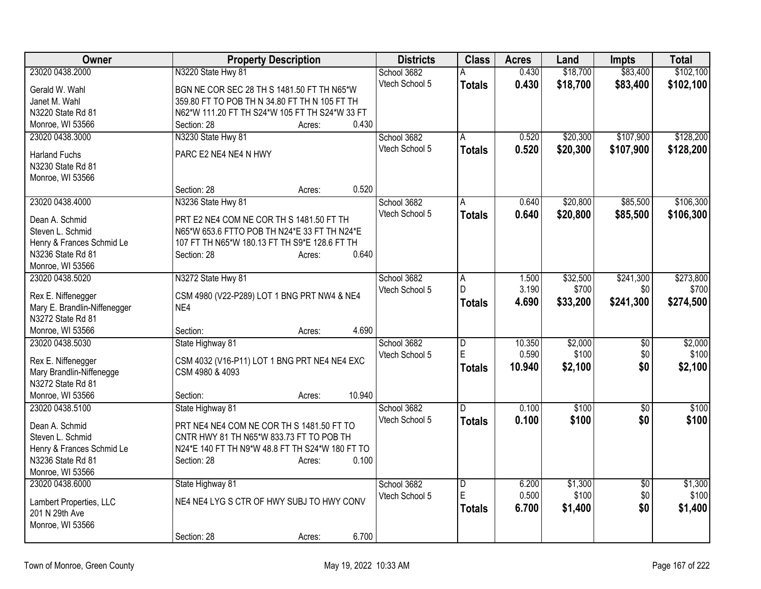| Owner                        | <b>Property Description</b>                     | <b>Districts</b> | <b>Class</b>            | <b>Acres</b>   | Land              | <b>Impts</b>     | <b>Total</b> |
|------------------------------|-------------------------------------------------|------------------|-------------------------|----------------|-------------------|------------------|--------------|
| 23020 0438.2000              | N3220 State Hwy 81                              | School 3682      | А                       | 0.430          | \$18,700          | \$83,400         | \$102,100    |
| Gerald W. Wahl               | BGN NE COR SEC 28 TH S 1481.50 FT TH N65*W      | Vtech School 5   | <b>Totals</b>           | 0.430          | \$18,700          | \$83,400         | \$102,100    |
| Janet M. Wahl                | 359.80 FT TO POB TH N 34.80 FT TH N 105 FT TH   |                  |                         |                |                   |                  |              |
| N3220 State Rd 81            | N62*W 111.20 FT TH S24*W 105 FT TH S24*W 33 FT  |                  |                         |                |                   |                  |              |
| Monroe, WI 53566             | 0.430<br>Section: 28<br>Acres:                  |                  |                         |                |                   |                  |              |
| 23020 0438.3000              | N3230 State Hwy 81                              | School 3682      | A                       | 0.520          | \$20,300          | \$107,900        | \$128,200    |
| <b>Harland Fuchs</b>         | PARC E2 NE4 NE4 N HWY                           | Vtech School 5   | <b>Totals</b>           | 0.520          | \$20,300          | \$107,900        | \$128,200    |
| N3230 State Rd 81            |                                                 |                  |                         |                |                   |                  |              |
| Monroe, WI 53566             |                                                 |                  |                         |                |                   |                  |              |
|                              | 0.520<br>Section: 28<br>Acres:                  |                  |                         |                |                   |                  |              |
| 23020 0438.4000              | N3236 State Hwy 81                              | School 3682      | A                       | 0.640          | \$20,800          | \$85,500         | \$106,300    |
|                              |                                                 | Vtech School 5   | <b>Totals</b>           | 0.640          | \$20,800          | \$85,500         | \$106,300    |
| Dean A. Schmid               | PRT E2 NE4 COM NE COR TH S 1481.50 FT TH        |                  |                         |                |                   |                  |              |
| Steven L. Schmid             | N65*W 653.6 FTTO POB TH N24*E 33 FT TH N24*E    |                  |                         |                |                   |                  |              |
| Henry & Frances Schmid Le    | 107 FT TH N65*W 180.13 FT TH S9*E 128.6 FT TH   |                  |                         |                |                   |                  |              |
| N3236 State Rd 81            | 0.640<br>Section: 28<br>Acres:                  |                  |                         |                |                   |                  |              |
| Monroe, WI 53566             |                                                 | School 3682      |                         |                |                   |                  | \$273,800    |
| 23020 0438.5020              | N3272 State Hwy 81                              | Vtech School 5   | Α<br>D                  | 1.500<br>3.190 | \$32,500<br>\$700 | \$241,300<br>\$0 | \$700        |
| Rex E. Niffenegger           | CSM 4980 (V22-P289) LOT 1 BNG PRT NW4 & NE4     |                  |                         | 4.690          |                   | \$241,300        | \$274,500    |
| Mary E. Brandlin-Niffenegger | NE4                                             |                  | <b>Totals</b>           |                | \$33,200          |                  |              |
| N3272 State Rd 81            |                                                 |                  |                         |                |                   |                  |              |
| Monroe, WI 53566             | 4.690<br>Section:<br>Acres:                     |                  |                         |                |                   |                  |              |
| 23020 0438.5030              | State Highway 81                                | School 3682      | $\overline{\mathsf{D}}$ | 10.350         | \$2,000           | \$0              | \$2,000      |
| Rex E. Niffenegger           | CSM 4032 (V16-P11) LOT 1 BNG PRT NE4 NE4 EXC    | Vtech School 5   | E                       | 0.590          | \$100             | \$0              | \$100        |
| Mary Brandlin-Niffenegge     | CSM 4980 & 4093                                 |                  | <b>Totals</b>           | 10.940         | \$2,100           | \$0              | \$2,100      |
| N3272 State Rd 81            |                                                 |                  |                         |                |                   |                  |              |
| Monroe, WI 53566             | 10.940<br>Section:<br>Acres:                    |                  |                         |                |                   |                  |              |
| 23020 0438.5100              | State Highway 81                                | School 3682      | D                       | 0.100          | \$100             | $\overline{50}$  | \$100        |
| Dean A. Schmid               | PRT NE4 NE4 COM NE COR TH S 1481.50 FT TO       | Vtech School 5   | <b>Totals</b>           | 0.100          | \$100             | \$0              | \$100        |
| Steven L. Schmid             | CNTR HWY 81 TH N65*W 833.73 FT TO POB TH        |                  |                         |                |                   |                  |              |
| Henry & Frances Schmid Le    | N24*E 140 FT TH N9*W 48.8 FT TH S24*W 180 FT TO |                  |                         |                |                   |                  |              |
| N3236 State Rd 81            | 0.100<br>Section: 28<br>Acres:                  |                  |                         |                |                   |                  |              |
| Monroe, WI 53566             |                                                 |                  |                         |                |                   |                  |              |
| 23020 0438.6000              | State Highway 81                                | School 3682      | $\overline{\mathsf{D}}$ | 6.200          | \$1,300           | $\overline{50}$  | \$1,300      |
|                              |                                                 | Vtech School 5   | E                       | 0.500          | \$100             | \$0              | \$100        |
| Lambert Properties, LLC      | NE4 NE4 LYG S CTR OF HWY SUBJ TO HWY CONV       |                  | <b>Totals</b>           | 6.700          | \$1,400           | \$0              | \$1,400      |
| 201 N 29th Ave               |                                                 |                  |                         |                |                   |                  |              |
| Monroe, WI 53566             | 6.700<br>Section: 28                            |                  |                         |                |                   |                  |              |
|                              | Acres:                                          |                  |                         |                |                   |                  |              |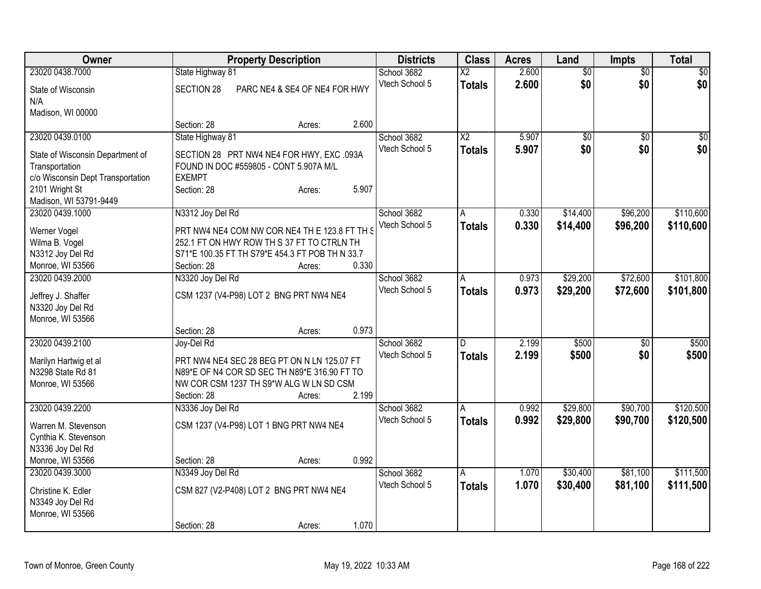| Owner                                              | <b>Property Description</b>                                                         |                               |       | <b>Districts</b> | <b>Class</b>           | <b>Acres</b> | Land            | Impts           | <b>Total</b>    |
|----------------------------------------------------|-------------------------------------------------------------------------------------|-------------------------------|-------|------------------|------------------------|--------------|-----------------|-----------------|-----------------|
| 23020 0438.7000                                    | State Highway 81                                                                    |                               |       | School 3682      | $\overline{\text{X2}}$ | 2.600        | $\overline{60}$ | $\overline{50}$ | \$0             |
| State of Wisconsin                                 | SECTION 28                                                                          | PARC NE4 & SE4 OF NE4 FOR HWY |       | Vtech School 5   | <b>Totals</b>          | 2.600        | \$0             | \$0             | \$0             |
| N/A                                                |                                                                                     |                               |       |                  |                        |              |                 |                 |                 |
| Madison, WI 00000                                  |                                                                                     |                               |       |                  |                        |              |                 |                 |                 |
|                                                    | Section: 28                                                                         | Acres:                        | 2.600 |                  |                        |              |                 |                 |                 |
| 23020 0439.0100                                    | State Highway 81                                                                    |                               |       | School 3682      | $\overline{X2}$        | 5.907        | \$0             | \$0             | $\overline{50}$ |
|                                                    |                                                                                     |                               |       | Vtech School 5   | <b>Totals</b>          | 5.907        | \$0             | \$0             | \$0             |
| State of Wisconsin Department of<br>Transportation | SECTION 28 PRT NW4 NE4 FOR HWY, EXC .093A<br>FOUND IN DOC #559805 - CONT 5.907A M/L |                               |       |                  |                        |              |                 |                 |                 |
| c/o Wisconsin Dept Transportation                  | <b>EXEMPT</b>                                                                       |                               |       |                  |                        |              |                 |                 |                 |
| 2101 Wright St                                     | Section: 28                                                                         | Acres:                        | 5.907 |                  |                        |              |                 |                 |                 |
| Madison, WI 53791-9449                             |                                                                                     |                               |       |                  |                        |              |                 |                 |                 |
| 23020 0439.1000                                    | N3312 Joy Del Rd                                                                    |                               |       | School 3682      | A                      | 0.330        | \$14,400        | \$96,200        | \$110,600       |
|                                                    |                                                                                     |                               |       | Vtech School 5   | <b>Totals</b>          | 0.330        | \$14,400        | \$96,200        | \$110,600       |
| Werner Vogel                                       | PRT NW4 NE4 COM NW COR NE4 TH E 123.8 FT TH S                                       |                               |       |                  |                        |              |                 |                 |                 |
| Wilma B. Vogel                                     | 252.1 FT ON HWY ROW TH S 37 FT TO CTRLN TH                                          |                               |       |                  |                        |              |                 |                 |                 |
| N3312 Joy Del Rd                                   | S71*E 100.35 FT TH S79*E 454.3 FT POB TH N 33.7                                     |                               |       |                  |                        |              |                 |                 |                 |
| Monroe, WI 53566                                   | Section: 28                                                                         | Acres:                        | 0.330 |                  |                        |              |                 |                 |                 |
| 23020 0439.2000                                    | N3320 Joy Del Rd                                                                    |                               |       | School 3682      | A                      | 0.973        | \$29,200        | \$72,600        | \$101,800       |
| Jeffrey J. Shaffer                                 | CSM 1237 (V4-P98) LOT 2 BNG PRT NW4 NE4                                             |                               |       | Vtech School 5   | <b>Totals</b>          | 0.973        | \$29,200        | \$72,600        | \$101,800       |
| N3320 Joy Del Rd                                   |                                                                                     |                               |       |                  |                        |              |                 |                 |                 |
| Monroe, WI 53566                                   |                                                                                     |                               |       |                  |                        |              |                 |                 |                 |
|                                                    | Section: 28                                                                         | Acres:                        | 0.973 |                  |                        |              |                 |                 |                 |
| 23020 0439.2100                                    | Joy-Del Rd                                                                          |                               |       | School 3682      | D.                     | 2.199        | \$500           | \$0             | \$500           |
| Marilyn Hartwig et al                              | PRT NW4 NE4 SEC 28 BEG PT ON N LN 125.07 FT                                         |                               |       | Vtech School 5   | <b>Totals</b>          | 2.199        | \$500           | \$0             | \$500           |
| N3298 State Rd 81                                  | N89*E OF N4 COR SD SEC TH N89*E 316.90 FT TO                                        |                               |       |                  |                        |              |                 |                 |                 |
| Monroe, WI 53566                                   | NW COR CSM 1237 TH S9*W ALG W LN SD CSM                                             |                               |       |                  |                        |              |                 |                 |                 |
|                                                    | Section: 28                                                                         | Acres:                        | 2.199 |                  |                        |              |                 |                 |                 |
| 23020 0439.2200                                    | N3336 Joy Del Rd                                                                    |                               |       | School 3682      | A                      | 0.992        | \$29,800        | \$90,700        | \$120,500       |
|                                                    |                                                                                     |                               |       | Vtech School 5   | <b>Totals</b>          | 0.992        | \$29,800        | \$90,700        | \$120,500       |
| Warren M. Stevenson                                | CSM 1237 (V4-P98) LOT 1 BNG PRT NW4 NE4                                             |                               |       |                  |                        |              |                 |                 |                 |
| Cynthia K. Stevenson                               |                                                                                     |                               |       |                  |                        |              |                 |                 |                 |
| N3336 Joy Del Rd                                   |                                                                                     |                               |       |                  |                        |              |                 |                 |                 |
| Monroe, WI 53566                                   | Section: 28                                                                         | Acres:                        | 0.992 |                  |                        |              |                 |                 |                 |
| 23020 0439.3000                                    | N3349 Joy Del Rd                                                                    |                               |       | School 3682      | A                      | 1.070        | \$30,400        | \$81,100        | \$111,500       |
| Christine K. Edler                                 | CSM 827 (V2-P408) LOT 2 BNG PRT NW4 NE4                                             |                               |       | Vtech School 5   | Totals                 | 1.070        | \$30,400        | \$81,100        | \$111,500       |
| N3349 Joy Del Rd                                   |                                                                                     |                               |       |                  |                        |              |                 |                 |                 |
| Monroe, WI 53566                                   |                                                                                     |                               |       |                  |                        |              |                 |                 |                 |
|                                                    | Section: 28                                                                         | Acres:                        | 1.070 |                  |                        |              |                 |                 |                 |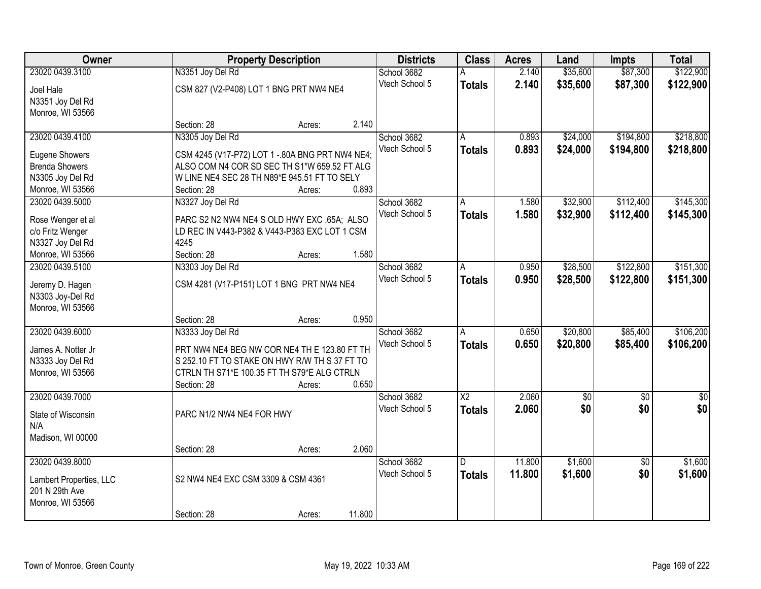| Owner                                   |                                                 | <b>Property Description</b> |        | <b>Districts</b> | <b>Class</b>    | <b>Acres</b> | Land        | <b>Impts</b>    | <b>Total</b> |
|-----------------------------------------|-------------------------------------------------|-----------------------------|--------|------------------|-----------------|--------------|-------------|-----------------|--------------|
| 23020 0439.3100                         | N3351 Joy Del Rd                                |                             |        | School 3682      |                 | 2.140        | \$35,600    | \$87,300        | \$122,900    |
| Joel Hale                               | CSM 827 (V2-P408) LOT 1 BNG PRT NW4 NE4         |                             |        | Vtech School 5   | <b>Totals</b>   | 2.140        | \$35,600    | \$87,300        | \$122,900    |
| N3351 Joy Del Rd                        |                                                 |                             |        |                  |                 |              |             |                 |              |
| Monroe, WI 53566                        |                                                 |                             |        |                  |                 |              |             |                 |              |
|                                         | Section: 28                                     | Acres:                      | 2.140  |                  |                 |              |             |                 |              |
| 23020 0439.4100                         | N3305 Joy Del Rd                                |                             |        | School 3682      | A               | 0.893        | \$24,000    | \$194,800       | \$218,800    |
|                                         |                                                 |                             |        | Vtech School 5   | <b>Totals</b>   | 0.893        | \$24,000    | \$194,800       | \$218,800    |
| Eugene Showers<br><b>Brenda Showers</b> | CSM 4245 (V17-P72) LOT 1 - 80A BNG PRT NW4 NE4; |                             |        |                  |                 |              |             |                 |              |
|                                         | ALSO COM N4 COR SD SEC TH S1*W 659.52 FT ALG    |                             |        |                  |                 |              |             |                 |              |
| N3305 Joy Del Rd                        | W LINE NE4 SEC 28 TH N89*E 945.51 FT TO SELY    |                             | 0.893  |                  |                 |              |             |                 |              |
| Monroe, WI 53566                        | Section: 28                                     | Acres:                      |        |                  |                 |              |             |                 |              |
| 23020 0439.5000                         | N3327 Joy Del Rd                                |                             |        | School 3682      | A               | 1.580        | \$32,900    | \$112,400       | \$145,300    |
| Rose Wenger et al                       | PARC S2 N2 NW4 NE4 S OLD HWY EXC .65A; ALSO     |                             |        | Vtech School 5   | <b>Totals</b>   | 1.580        | \$32,900    | \$112,400       | \$145,300    |
| c/o Fritz Wenger                        | LD REC IN V443-P382 & V443-P383 EXC LOT 1 CSM   |                             |        |                  |                 |              |             |                 |              |
| N3327 Joy Del Rd                        | 4245                                            |                             |        |                  |                 |              |             |                 |              |
| Monroe, WI 53566                        | Section: 28                                     | Acres:                      | 1.580  |                  |                 |              |             |                 |              |
| 23020 0439.5100                         | N3303 Joy Del Rd                                |                             |        | School 3682      | A               | 0.950        | \$28,500    | \$122,800       | \$151,300    |
|                                         |                                                 |                             |        | Vtech School 5   | <b>Totals</b>   | 0.950        | \$28,500    | \$122,800       | \$151,300    |
| Jeremy D. Hagen                         | CSM 4281 (V17-P151) LOT 1 BNG PRT NW4 NE4       |                             |        |                  |                 |              |             |                 |              |
| N3303 Joy-Del Rd                        |                                                 |                             |        |                  |                 |              |             |                 |              |
| Monroe, WI 53566                        |                                                 |                             |        |                  |                 |              |             |                 |              |
|                                         | Section: 28                                     | Acres:                      | 0.950  |                  |                 |              |             |                 |              |
| 23020 0439.6000                         | N3333 Joy Del Rd                                |                             |        | School 3682      | A               | 0.650        | \$20,800    | \$85,400        | \$106,200    |
| James A. Notter Jr                      | PRT NW4 NE4 BEG NW COR NE4 TH E 123.80 FT TH    |                             |        | Vtech School 5   | <b>Totals</b>   | 0.650        | \$20,800    | \$85,400        | \$106,200    |
| N3333 Joy Del Rd                        | S 252.10 FT TO STAKE ON HWY R/W TH S 37 FT TO   |                             |        |                  |                 |              |             |                 |              |
| Monroe, WI 53566                        | CTRLN TH S71*E 100.35 FT TH S79*E ALG CTRLN     |                             |        |                  |                 |              |             |                 |              |
|                                         | Section: 28                                     | Acres:                      | 0.650  |                  |                 |              |             |                 |              |
| 23020 0439.7000                         |                                                 |                             |        | School 3682      | $\overline{X2}$ | 2.060        | $\sqrt{50}$ | $\overline{50}$ | \$0          |
|                                         |                                                 |                             |        | Vtech School 5   | <b>Totals</b>   | 2.060        | \$0         | \$0             | \$0          |
| State of Wisconsin                      | PARC N1/2 NW4 NE4 FOR HWY                       |                             |        |                  |                 |              |             |                 |              |
| N/A                                     |                                                 |                             |        |                  |                 |              |             |                 |              |
| Madison, WI 00000                       |                                                 |                             |        |                  |                 |              |             |                 |              |
|                                         | Section: 28                                     | Acres:                      | 2.060  |                  |                 |              |             |                 |              |
| 23020 0439.8000                         |                                                 |                             |        | School 3682      | D.              | 11.800       | \$1,600     | $\overline{30}$ | \$1,600      |
| Lambert Properties, LLC                 | S2 NW4 NE4 EXC CSM 3309 & CSM 4361              |                             |        | Vtech School 5   | <b>Totals</b>   | 11.800       | \$1,600     | \$0             | \$1,600      |
| 201 N 29th Ave                          |                                                 |                             |        |                  |                 |              |             |                 |              |
| Monroe, WI 53566                        |                                                 |                             |        |                  |                 |              |             |                 |              |
|                                         | Section: 28                                     | Acres:                      | 11.800 |                  |                 |              |             |                 |              |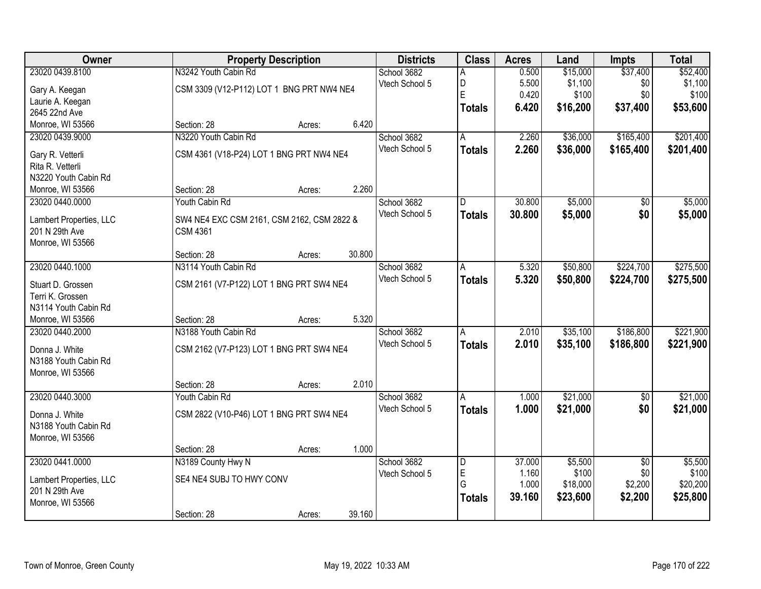| Owner                   | <b>Property Description</b>                | <b>Districts</b> | <b>Class</b>            | <b>Acres</b> | Land     | <b>Impts</b>    | <b>Total</b> |
|-------------------------|--------------------------------------------|------------------|-------------------------|--------------|----------|-----------------|--------------|
| 23020 0439.8100         | N3242 Youth Cabin Rd                       | School 3682      | А                       | 0.500        | \$15,000 | \$37,400        | \$52,400     |
| Gary A. Keegan          | CSM 3309 (V12-P112) LOT 1 BNG PRT NW4 NE4  | Vtech School 5   | D                       | 5.500        | \$1,100  | \$0             | \$1,100      |
| Laurie A. Keegan        |                                            |                  | E                       | 0.420        | \$100    | \$0             | \$100        |
| 2645 22nd Ave           |                                            |                  | <b>Totals</b>           | 6.420        | \$16,200 | \$37,400        | \$53,600     |
| Monroe, WI 53566        | 6.420<br>Section: 28<br>Acres:             |                  |                         |              |          |                 |              |
| 23020 0439.9000         | N3220 Youth Cabin Rd                       | School 3682      | A                       | 2.260        | \$36,000 | \$165,400       | \$201,400    |
|                         |                                            | Vtech School 5   | <b>Totals</b>           | 2.260        | \$36,000 | \$165,400       | \$201,400    |
| Gary R. Vetterli        | CSM 4361 (V18-P24) LOT 1 BNG PRT NW4 NE4   |                  |                         |              |          |                 |              |
| Rita R. Vetterli        |                                            |                  |                         |              |          |                 |              |
| N3220 Youth Cabin Rd    |                                            |                  |                         |              |          |                 |              |
| Monroe, WI 53566        | 2.260<br>Section: 28<br>Acres:             |                  |                         |              |          |                 |              |
| 23020 0440.0000         | Youth Cabin Rd                             | School 3682      | D                       | 30.800       | \$5,000  | \$0             | \$5,000      |
| Lambert Properties, LLC | SW4 NE4 EXC CSM 2161, CSM 2162, CSM 2822 & | Vtech School 5   | <b>Totals</b>           | 30.800       | \$5,000  | \$0             | \$5,000      |
| 201 N 29th Ave          | <b>CSM 4361</b>                            |                  |                         |              |          |                 |              |
| Monroe, WI 53566        |                                            |                  |                         |              |          |                 |              |
|                         | 30.800<br>Section: 28<br>Acres:            |                  |                         |              |          |                 |              |
| 23020 0440.1000         | N3114 Youth Cabin Rd                       | School 3682      | A                       | 5.320        | \$50,800 | \$224,700       | \$275,500    |
| Stuart D. Grossen       | CSM 2161 (V7-P122) LOT 1 BNG PRT SW4 NE4   | Vtech School 5   | <b>Totals</b>           | 5.320        | \$50,800 | \$224,700       | \$275,500    |
| Terri K. Grossen        |                                            |                  |                         |              |          |                 |              |
| N3114 Youth Cabin Rd    |                                            |                  |                         |              |          |                 |              |
| Monroe, WI 53566        | 5.320<br>Section: 28<br>Acres:             |                  |                         |              |          |                 |              |
| 23020 0440.2000         | N3188 Youth Cabin Rd                       | School 3682      | A                       | 2.010        | \$35,100 | \$186,800       | \$221,900    |
|                         |                                            | Vtech School 5   | <b>Totals</b>           | 2.010        | \$35,100 | \$186,800       | \$221,900    |
| Donna J. White          | CSM 2162 (V7-P123) LOT 1 BNG PRT SW4 NE4   |                  |                         |              |          |                 |              |
| N3188 Youth Cabin Rd    |                                            |                  |                         |              |          |                 |              |
| Monroe, WI 53566        |                                            |                  |                         |              |          |                 |              |
|                         | 2.010<br>Section: 28<br>Acres:             |                  |                         |              |          |                 |              |
| 23020 0440.3000         | Youth Cabin Rd                             | School 3682      | A                       | 1.000        | \$21,000 | \$0             | \$21,000     |
| Donna J. White          | CSM 2822 (V10-P46) LOT 1 BNG PRT SW4 NE4   | Vtech School 5   | <b>Totals</b>           | 1.000        | \$21,000 | \$0             | \$21,000     |
| N3188 Youth Cabin Rd    |                                            |                  |                         |              |          |                 |              |
| Monroe, WI 53566        |                                            |                  |                         |              |          |                 |              |
|                         | 1.000<br>Section: 28<br>Acres:             |                  |                         |              |          |                 |              |
| 23020 0441.0000         | N3189 County Hwy N                         | School 3682      | $\overline{\mathsf{D}}$ | 37.000       | \$5,500  | $\overline{30}$ | \$5,500      |
|                         |                                            | Vtech School 5   | E                       | 1.160        | \$100    | \$0             | \$100        |
| Lambert Properties, LLC | SE4 NE4 SUBJ TO HWY CONV                   |                  | G                       | 1.000        | \$18,000 | \$2,200         | \$20,200     |
| 201 N 29th Ave          |                                            |                  | <b>Totals</b>           | 39.160       | \$23,600 | \$2,200         | \$25,800     |
| Monroe, WI 53566        |                                            |                  |                         |              |          |                 |              |
|                         | 39.160<br>Section: 28<br>Acres:            |                  |                         |              |          |                 |              |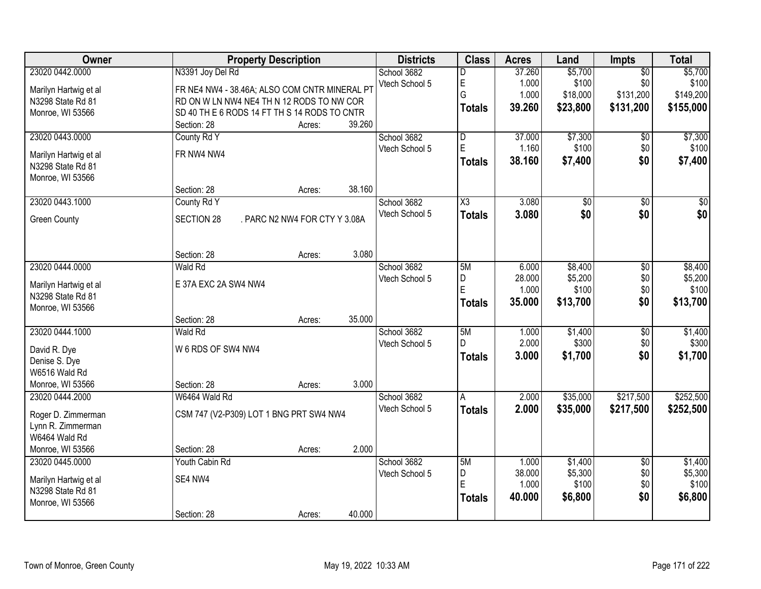| <b>Owner</b>          | <b>Property Description</b>                        | <b>Districts</b> | <b>Class</b>            | <b>Acres</b> | Land     | Impts           | <b>Total</b> |
|-----------------------|----------------------------------------------------|------------------|-------------------------|--------------|----------|-----------------|--------------|
| 23020 0442.0000       | N3391 Joy Del Rd                                   | School 3682      | D                       | 37.260       | \$5,700  | $\overline{50}$ | \$5,700      |
| Marilyn Hartwig et al | FR NE4 NW4 - 38.46A; ALSO COM CNTR MINERAL PT      | Vtech School 5   | E                       | 1.000        | \$100    | \$0             | \$100        |
| N3298 State Rd 81     | RD ON W LN NW4 NE4 TH N 12 RODS TO NW COR          |                  | G                       | 1.000        | \$18,000 | \$131,200       | \$149,200    |
| Monroe, WI 53566      | SD 40 TH E 6 RODS 14 FT TH S 14 RODS TO CNTR       |                  | <b>Totals</b>           | 39.260       | \$23,800 | \$131,200       | \$155,000    |
|                       | 39.260<br>Section: 28<br>Acres:                    |                  |                         |              |          |                 |              |
| 23020 0443.0000       | County Rd Y                                        | School 3682      | $\overline{\mathsf{D}}$ | 37.000       | \$7,300  | \$0             | \$7,300      |
| Marilyn Hartwig et al | FR NW4 NW4                                         | Vtech School 5   | E                       | 1.160        | \$100    | \$0             | \$100        |
| N3298 State Rd 81     |                                                    |                  | <b>Totals</b>           | 38.160       | \$7,400  | \$0             | \$7,400      |
| Monroe, WI 53566      |                                                    |                  |                         |              |          |                 |              |
|                       | 38.160<br>Section: 28<br>Acres:                    |                  |                         |              |          |                 |              |
| 23020 0443.1000       | County Rd Y                                        | School 3682      | X3                      | 3.080        | \$0      | \$0             | \$0          |
| <b>Green County</b>   | . PARC N2 NW4 FOR CTY Y 3.08A<br><b>SECTION 28</b> | Vtech School 5   | <b>Totals</b>           | 3.080        | \$0      | \$0             | \$0          |
|                       |                                                    |                  |                         |              |          |                 |              |
|                       |                                                    |                  |                         |              |          |                 |              |
|                       | 3.080<br>Section: 28<br>Acres:                     |                  |                         |              |          |                 |              |
| 23020 0444.0000       | Wald Rd                                            | School 3682      | 5M                      | 6.000        | \$8,400  | \$0             | \$8,400      |
| Marilyn Hartwig et al | E 37A EXC 2A SW4 NW4                               | Vtech School 5   | D                       | 28.000       | \$5,200  | \$0             | \$5,200      |
| N3298 State Rd 81     |                                                    |                  | E                       | 1.000        | \$100    | \$0             | \$100        |
| Monroe, WI 53566      |                                                    |                  | <b>Totals</b>           | 35.000       | \$13,700 | \$0             | \$13,700     |
|                       | 35.000<br>Section: 28<br>Acres:                    |                  |                         |              |          |                 |              |
| 23020 0444.1000       | <b>Wald Rd</b>                                     | School 3682      | 5M                      | 1.000        | \$1,400  | $\overline{50}$ | \$1,400      |
| David R. Dye          | W 6 RDS OF SW4 NW4                                 | Vtech School 5   | D.                      | 2.000        | \$300    | \$0             | \$300        |
| Denise S. Dye         |                                                    |                  | <b>Totals</b>           | 3.000        | \$1,700  | \$0             | \$1,700      |
| W6516 Wald Rd         |                                                    |                  |                         |              |          |                 |              |
| Monroe, WI 53566      | 3.000<br>Section: 28<br>Acres:                     |                  |                         |              |          |                 |              |
| 23020 0444.2000       | W6464 Wald Rd                                      | School 3682      | A                       | 2.000        | \$35,000 | \$217,500       | \$252,500    |
| Roger D. Zimmerman    | CSM 747 (V2-P309) LOT 1 BNG PRT SW4 NW4            | Vtech School 5   | <b>Totals</b>           | 2.000        | \$35,000 | \$217,500       | \$252,500    |
| Lynn R. Zimmerman     |                                                    |                  |                         |              |          |                 |              |
| W6464 Wald Rd         |                                                    |                  |                         |              |          |                 |              |
| Monroe, WI 53566      | 2.000<br>Section: 28<br>Acres:                     |                  |                         |              |          |                 |              |
| 23020 0445.0000       | <b>Youth Cabin Rd</b>                              | School 3682      | 5M                      | 1.000        | \$1,400  | $\overline{50}$ | \$1,400      |
| Marilyn Hartwig et al | SE4 NW4                                            | Vtech School 5   | D                       | 38.000       | \$5,300  | \$0             | \$5,300      |
| N3298 State Rd 81     |                                                    |                  | E                       | 1.000        | \$100    | \$0             | \$100        |
| Monroe, WI 53566      |                                                    |                  | <b>Totals</b>           | 40.000       | \$6,800  | \$0             | \$6,800      |
|                       | 40.000<br>Section: 28<br>Acres:                    |                  |                         |              |          |                 |              |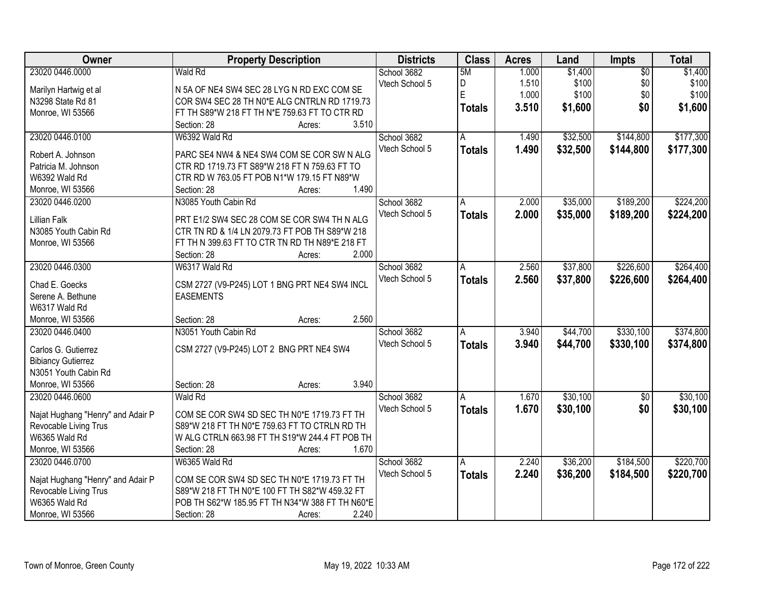| Owner                             | <b>Property Description</b>                     | <b>Districts</b> | <b>Class</b>  | <b>Acres</b> | Land     | Impts           | <b>Total</b> |
|-----------------------------------|-------------------------------------------------|------------------|---------------|--------------|----------|-----------------|--------------|
| 23020 0446.0000                   | <b>Wald Rd</b>                                  | School 3682      | 5M            | 1.000        | \$1,400  | $\overline{50}$ | \$1,400      |
| Marilyn Hartwig et al             | N 5A OF NE4 SW4 SEC 28 LYG N RD EXC COM SE      | Vtech School 5   | D             | 1.510        | \$100    | \$0             | \$100        |
| N3298 State Rd 81                 | COR SW4 SEC 28 TH N0*E ALG CNTRLN RD 1719.73    |                  | E             | 1.000        | \$100    | \$0             | \$100        |
| Monroe, WI 53566                  | FT TH S89*W 218 FT TH N*E 759.63 FT TO CTR RD   |                  | <b>Totals</b> | 3.510        | \$1,600  | \$0             | \$1,600      |
|                                   | 3.510<br>Section: 28<br>Acres:                  |                  |               |              |          |                 |              |
| 23020 0446.0100                   | W6392 Wald Rd                                   | School 3682      | A             | 1.490        | \$32,500 | \$144,800       | \$177,300    |
|                                   |                                                 | Vtech School 5   | <b>Totals</b> | 1.490        | \$32,500 | \$144,800       | \$177,300    |
| Robert A. Johnson                 | PARC SE4 NW4 & NE4 SW4 COM SE COR SW N ALG      |                  |               |              |          |                 |              |
| Patricia M. Johnson               | CTR RD 1719.73 FT S89*W 218 FT N 759.63 FT TO   |                  |               |              |          |                 |              |
| W6392 Wald Rd                     | CTR RD W 763.05 FT POB N1*W 179.15 FT N89*W     |                  |               |              |          |                 |              |
| Monroe, WI 53566                  | 1.490<br>Section: 28<br>Acres:                  |                  |               |              |          |                 |              |
| 23020 0446.0200                   | N3085 Youth Cabin Rd                            | School 3682      | A             | 2.000        | \$35,000 | \$189,200       | \$224,200    |
| <b>Lillian Falk</b>               | PRT E1/2 SW4 SEC 28 COM SE COR SW4 TH N ALG     | Vtech School 5   | <b>Totals</b> | 2.000        | \$35,000 | \$189,200       | \$224,200    |
| N3085 Youth Cabin Rd              | CTR TN RD & 1/4 LN 2079.73 FT POB TH S89*W 218  |                  |               |              |          |                 |              |
| Monroe, WI 53566                  | FT TH N 399.63 FT TO CTR TN RD TH N89*E 218 FT  |                  |               |              |          |                 |              |
|                                   | 2.000<br>Section: 28<br>Acres:                  |                  |               |              |          |                 |              |
| 23020 0446.0300                   | W6317 Wald Rd                                   | School 3682      | A             | 2.560        | \$37,800 | \$226,600       | \$264,400    |
|                                   |                                                 | Vtech School 5   | <b>Totals</b> | 2.560        | \$37,800 | \$226,600       | \$264,400    |
| Chad E. Goecks                    | CSM 2727 (V9-P245) LOT 1 BNG PRT NE4 SW4 INCL   |                  |               |              |          |                 |              |
| Serene A. Bethune                 | <b>EASEMENTS</b>                                |                  |               |              |          |                 |              |
| W6317 Wald Rd                     |                                                 |                  |               |              |          |                 |              |
| Monroe, WI 53566                  | 2.560<br>Section: 28<br>Acres:                  |                  |               |              |          |                 |              |
| 23020 0446.0400                   | N3051 Youth Cabin Rd                            | School 3682      | A             | 3.940        | \$44,700 | \$330,100       | \$374,800    |
| Carlos G. Gutierrez               | CSM 2727 (V9-P245) LOT 2 BNG PRT NE4 SW4        | Vtech School 5   | <b>Totals</b> | 3.940        | \$44,700 | \$330,100       | \$374,800    |
| <b>Bibiancy Gutierrez</b>         |                                                 |                  |               |              |          |                 |              |
| N3051 Youth Cabin Rd              |                                                 |                  |               |              |          |                 |              |
| Monroe, WI 53566                  | 3.940<br>Section: 28<br>Acres:                  |                  |               |              |          |                 |              |
| 23020 0446.0600                   | <b>Wald Rd</b>                                  | School 3682      |               | 1.670        | \$30,100 |                 | \$30,100     |
|                                   |                                                 |                  | A             |              |          | $\overline{50}$ |              |
| Najat Hughang "Henry" and Adair P | COM SE COR SW4 SD SEC TH N0*E 1719.73 FT TH     | Vtech School 5   | <b>Totals</b> | 1.670        | \$30,100 | \$0             | \$30,100     |
| Revocable Living Trus             | S89*W 218 FT TH N0*E 759.63 FT TO CTRLN RD TH   |                  |               |              |          |                 |              |
| W6365 Wald Rd                     | W ALG CTRLN 663.98 FT TH S19*W 244.4 FT POB TH  |                  |               |              |          |                 |              |
| Monroe, WI 53566                  | Section: 28<br>1.670<br>Acres:                  |                  |               |              |          |                 |              |
| 23020 0446.0700                   | W6365 Wald Rd                                   | School 3682      | A             | 2.240        | \$36,200 | \$184,500       | \$220,700    |
|                                   |                                                 | Vtech School 5   | <b>Totals</b> | 2.240        | \$36,200 | \$184,500       | \$220,700    |
| Najat Hughang "Henry" and Adair P | COM SE COR SW4 SD SEC TH N0*E 1719.73 FT TH     |                  |               |              |          |                 |              |
| Revocable Living Trus             | S89*W 218 FT TH N0*E 100 FT TH S82*W 459.32 FT  |                  |               |              |          |                 |              |
| W6365 Wald Rd                     | POB TH S62*W 185.95 FT TH N34*W 388 FT TH N60*E |                  |               |              |          |                 |              |
| Monroe, WI 53566                  | 2.240<br>Section: 28<br>Acres:                  |                  |               |              |          |                 |              |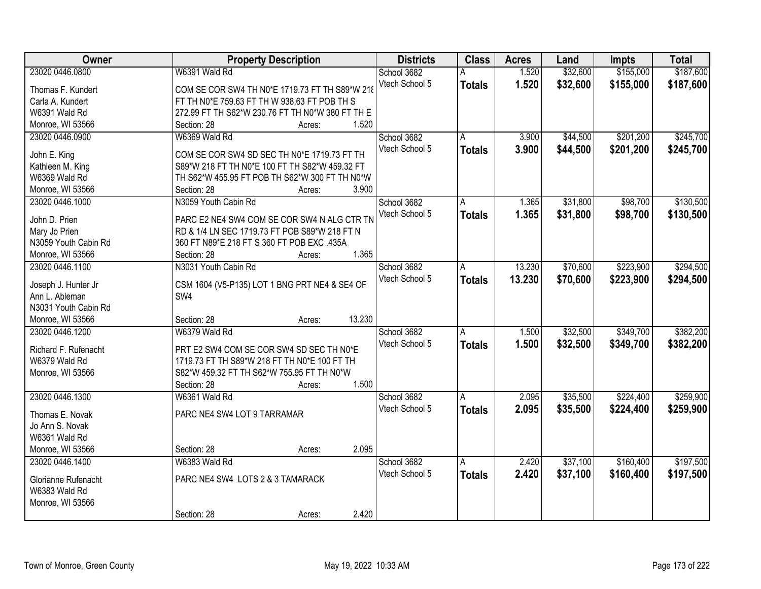| <b>Owner</b>                                                         | <b>Property Description</b> |        | <b>Districts</b> | <b>Class</b>  | <b>Acres</b> | Land     | <b>Impts</b> | <b>Total</b> |
|----------------------------------------------------------------------|-----------------------------|--------|------------------|---------------|--------------|----------|--------------|--------------|
| 23020 0446.0800<br>W6391 Wald Rd                                     |                             |        | School 3682      |               | 1.520        | \$32,600 | \$155,000    | \$187,600    |
| COM SE COR SW4 TH N0*E 1719.73 FT TH S89*W 218<br>Thomas F. Kundert  |                             |        | Vtech School 5   | <b>Totals</b> | 1.520        | \$32,600 | \$155,000    | \$187,600    |
| FT TH N0*E 759.63 FT TH W 938.63 FT POB TH S<br>Carla A. Kundert     |                             |        |                  |               |              |          |              |              |
| W6391 Wald Rd<br>272.99 FT TH S62*W 230.76 FT TH N0*W 380 FT TH E    |                             |        |                  |               |              |          |              |              |
| Monroe, WI 53566<br>Section: 28                                      | Acres:                      | 1.520  |                  |               |              |          |              |              |
| 23020 0446.0900<br>W6369 Wald Rd                                     |                             |        | School 3682      | A             | 3.900        | \$44,500 | \$201,200    | \$245,700    |
| John E. King<br>COM SE COR SW4 SD SEC TH N0*E 1719.73 FT TH          |                             |        | Vtech School 5   | <b>Totals</b> | 3.900        | \$44,500 | \$201,200    | \$245,700    |
| S89*W 218 FT TH N0*E 100 FT TH S82*W 459.32 FT<br>Kathleen M. King   |                             |        |                  |               |              |          |              |              |
| W6369 Wald Rd<br>TH S62*W 455.95 FT POB TH S62*W 300 FT TH N0*W      |                             |        |                  |               |              |          |              |              |
| Monroe, WI 53566<br>Section: 28                                      | Acres:                      | 3.900  |                  |               |              |          |              |              |
| 23020 0446.1000<br>N3059 Youth Cabin Rd                              |                             |        | School 3682      | A             | 1.365        | \$31,800 | \$98,700     | \$130,500    |
| John D. Prien<br>PARC E2 NE4 SW4 COM SE COR SW4 N ALG CTR TN         |                             |        | Vtech School 5   | <b>Totals</b> | 1.365        | \$31,800 | \$98,700     | \$130,500    |
| RD & 1/4 LN SEC 1719.73 FT POB S89*W 218 FT N<br>Mary Jo Prien       |                             |        |                  |               |              |          |              |              |
| N3059 Youth Cabin Rd<br>360 FT N89*E 218 FT S 360 FT POB EXC .435A   |                             |        |                  |               |              |          |              |              |
| Monroe, WI 53566<br>Section: 28                                      | Acres:                      | 1.365  |                  |               |              |          |              |              |
| N3031 Youth Cabin Rd<br>23020 0446.1100                              |                             |        | School 3682      | A             | 13.230       | \$70,600 | \$223,900    | \$294,500    |
| CSM 1604 (V5-P135) LOT 1 BNG PRT NE4 & SE4 OF<br>Joseph J. Hunter Jr |                             |        | Vtech School 5   | <b>Totals</b> | 13.230       | \$70,600 | \$223,900    | \$294,500    |
| Ann L. Ableman<br>SW <sub>4</sub>                                    |                             |        |                  |               |              |          |              |              |
| N3031 Youth Cabin Rd                                                 |                             |        |                  |               |              |          |              |              |
| Monroe, WI 53566<br>Section: 28                                      | Acres:                      | 13.230 |                  |               |              |          |              |              |
| 23020 0446.1200<br>W6379 Wald Rd                                     |                             |        | School 3682      | A             | 1.500        | \$32,500 | \$349,700    | \$382,200    |
|                                                                      |                             |        | Vtech School 5   | <b>Totals</b> | 1.500        | \$32,500 | \$349,700    | \$382,200    |
| Richard F. Rufenacht<br>PRT E2 SW4 COM SE COR SW4 SD SEC TH N0*E     |                             |        |                  |               |              |          |              |              |
| W6379 Wald Rd<br>1719.73 FT TH S89*W 218 FT TH N0*E 100 FT TH        |                             |        |                  |               |              |          |              |              |
| S82*W 459.32 FT TH S62*W 755.95 FT TH N0*W<br>Monroe, WI 53566       |                             |        |                  |               |              |          |              |              |
| Section: 28                                                          | Acres:                      | 1.500  |                  |               |              |          |              |              |
| 23020 0446.1300<br>W6361 Wald Rd                                     |                             |        | School 3682      | A             | 2.095        | \$35,500 | \$224,400    | \$259,900    |
| PARC NE4 SW4 LOT 9 TARRAMAR<br>Thomas E. Novak                       |                             |        | Vtech School 5   | <b>Totals</b> | 2.095        | \$35,500 | \$224,400    | \$259,900    |
| Jo Ann S. Novak                                                      |                             |        |                  |               |              |          |              |              |
| W6361 Wald Rd                                                        |                             |        |                  |               |              |          |              |              |
| Monroe, WI 53566<br>Section: 28                                      | Acres:                      | 2.095  |                  |               |              |          |              |              |
| 23020 0446.1400<br>W6383 Wald Rd                                     |                             |        | School 3682      | A             | 2.420        | \$37,100 | \$160,400    | \$197,500    |
| PARC NE4 SW4 LOTS 2 & 3 TAMARACK                                     |                             |        | Vtech School 5   | <b>Totals</b> | 2.420        | \$37,100 | \$160,400    | \$197,500    |
| Glorianne Rufenacht<br>W6383 Wald Rd                                 |                             |        |                  |               |              |          |              |              |
| Monroe, WI 53566                                                     |                             |        |                  |               |              |          |              |              |
| Section: 28                                                          | Acres:                      | 2.420  |                  |               |              |          |              |              |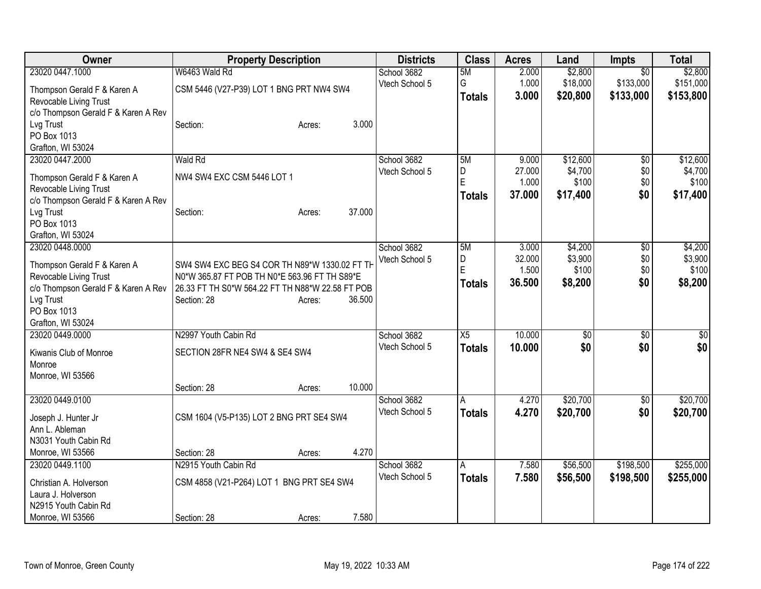| <b>Owner</b>                        | <b>Property Description</b>                      | <b>Districts</b>              | <b>Class</b>    | <b>Acres</b> | Land     | <b>Impts</b>    | <b>Total</b>    |
|-------------------------------------|--------------------------------------------------|-------------------------------|-----------------|--------------|----------|-----------------|-----------------|
| 23020 0447.1000                     | W6463 Wald Rd                                    | School 3682                   | 5M              | 2.000        | \$2,800  | $\overline{50}$ | \$2,800         |
| Thompson Gerald F & Karen A         | CSM 5446 (V27-P39) LOT 1 BNG PRT NW4 SW4         | Vtech School 5                | G               | 1.000        | \$18,000 | \$133,000       | \$151,000       |
| Revocable Living Trust              |                                                  |                               | <b>Totals</b>   | 3.000        | \$20,800 | \$133,000       | \$153,800       |
| c/o Thompson Gerald F & Karen A Rev |                                                  |                               |                 |              |          |                 |                 |
| Lvg Trust                           | 3.000<br>Section:<br>Acres:                      |                               |                 |              |          |                 |                 |
| PO Box 1013                         |                                                  |                               |                 |              |          |                 |                 |
| Grafton, WI 53024                   |                                                  |                               |                 |              |          |                 |                 |
| 23020 0447.2000                     | <b>Wald Rd</b>                                   | School 3682                   | 5M              | 9.000        | \$12,600 | $\overline{50}$ | \$12,600        |
| Thompson Gerald F & Karen A         | NW4 SW4 EXC CSM 5446 LOT 1                       | Vtech School 5                | D               | 27.000       | \$4,700  | \$0             | \$4,700         |
| Revocable Living Trust              |                                                  |                               | Ė               | 1.000        | \$100    | \$0             | \$100           |
| c/o Thompson Gerald F & Karen A Rev |                                                  |                               | <b>Totals</b>   | 37.000       | \$17,400 | \$0             | \$17,400        |
| Lvg Trust                           | 37.000<br>Section:<br>Acres:                     |                               |                 |              |          |                 |                 |
| PO Box 1013                         |                                                  |                               |                 |              |          |                 |                 |
| Grafton, WI 53024                   |                                                  |                               |                 |              |          |                 |                 |
| 23020 0448.0000                     |                                                  | School 3682                   | 5M              | 3.000        | \$4,200  | $\overline{50}$ | \$4,200         |
| Thompson Gerald F & Karen A         | SW4 SW4 EXC BEG S4 COR TH N89*W 1330.02 FT TH    | Vtech School 5                | D               | 32.000       | \$3,900  | \$0             | \$3,900         |
| Revocable Living Trust              | N0*W 365.87 FT POB TH N0*E 563.96 FT TH S89*E    |                               | Ė               | 1.500        | \$100    | \$0             | \$100           |
| c/o Thompson Gerald F & Karen A Rev | 26.33 FT TH S0*W 564.22 FT TH N88*W 22.58 FT POB |                               | <b>Totals</b>   | 36,500       | \$8,200  | \$0             | \$8,200         |
| Lvg Trust                           | 36.500<br>Section: 28<br>Acres:                  |                               |                 |              |          |                 |                 |
| PO Box 1013                         |                                                  |                               |                 |              |          |                 |                 |
| Grafton, WI 53024                   |                                                  |                               |                 |              |          |                 |                 |
| 23020 0449.0000                     | N2997 Youth Cabin Rd                             | School 3682                   | $\overline{X5}$ | 10.000       | \$0      | $\overline{50}$ | $\overline{50}$ |
| Kiwanis Club of Monroe              | SECTION 28FR NE4 SW4 & SE4 SW4                   | Vtech School 5                | <b>Totals</b>   | 10.000       | \$0      | \$0             | \$0             |
| Monroe                              |                                                  |                               |                 |              |          |                 |                 |
| Monroe, WI 53566                    |                                                  |                               |                 |              |          |                 |                 |
|                                     | 10.000<br>Section: 28<br>Acres:                  |                               |                 |              |          |                 |                 |
| 23020 0449.0100                     |                                                  | School 3682                   | Α               | 4.270        | \$20,700 | \$0             | \$20,700        |
|                                     |                                                  | Vtech School 5                | <b>Totals</b>   | 4.270        | \$20,700 | \$0             | \$20,700        |
| Joseph J. Hunter Jr                 | CSM 1604 (V5-P135) LOT 2 BNG PRT SE4 SW4         |                               |                 |              |          |                 |                 |
| Ann L. Ableman                      |                                                  |                               |                 |              |          |                 |                 |
| N3031 Youth Cabin Rd                | 4.270                                            |                               |                 |              |          |                 |                 |
| Monroe, WI 53566                    | Section: 28<br>Acres:                            |                               |                 |              |          |                 |                 |
| 23020 0449.1100                     | N2915 Youth Cabin Rd                             | School 3682<br>Vtech School 5 | A               | 7.580        | \$56,500 | \$198,500       | \$255,000       |
| Christian A. Holverson              | CSM 4858 (V21-P264) LOT 1 BNG PRT SE4 SW4        |                               | <b>Totals</b>   | 7.580        | \$56,500 | \$198,500       | \$255,000       |
| Laura J. Holverson                  |                                                  |                               |                 |              |          |                 |                 |
| N2915 Youth Cabin Rd                |                                                  |                               |                 |              |          |                 |                 |
| Monroe, WI 53566                    | 7.580<br>Section: 28<br>Acres:                   |                               |                 |              |          |                 |                 |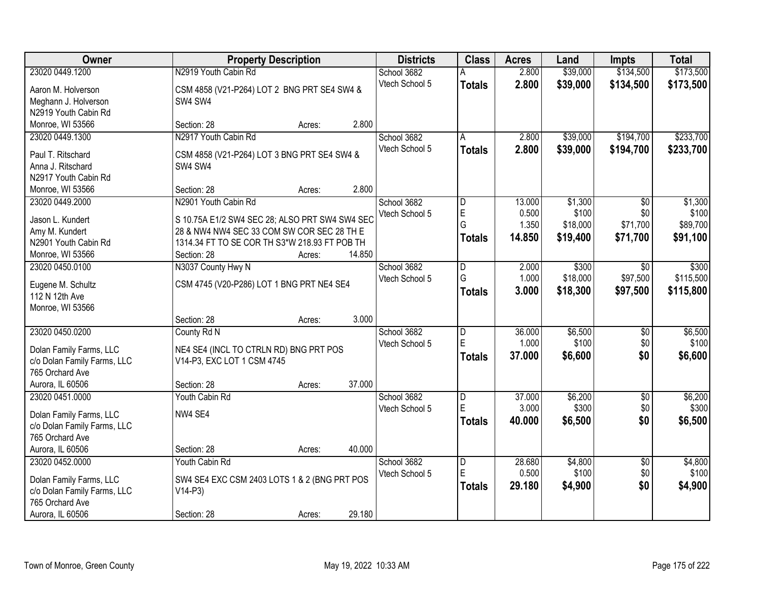| <b>Owner</b>                | <b>Property Description</b>                            |        | <b>Districts</b> | <b>Class</b>   | <b>Acres</b>            | Land   | <b>Impts</b> | <b>Total</b>    |           |
|-----------------------------|--------------------------------------------------------|--------|------------------|----------------|-------------------------|--------|--------------|-----------------|-----------|
| 23020 0449.1200             | N2919 Youth Cabin Rd                                   |        |                  | School 3682    | А                       | 2.800  | \$39,000     | \$134,500       | \$173,500 |
| Aaron M. Holverson          | CSM 4858 (V21-P264) LOT 2 BNG PRT SE4 SW4 &            |        |                  | Vtech School 5 | <b>Totals</b>           | 2.800  | \$39,000     | \$134,500       | \$173,500 |
| Meghann J. Holverson        | SW4 SW4                                                |        |                  |                |                         |        |              |                 |           |
| N2919 Youth Cabin Rd        |                                                        |        |                  |                |                         |        |              |                 |           |
| Monroe, WI 53566            | Section: 28                                            | Acres: | 2.800            |                |                         |        |              |                 |           |
| 23020 0449.1300             | N2917 Youth Cabin Rd                                   |        |                  | School 3682    | A                       | 2.800  | \$39,000     | \$194,700       | \$233,700 |
| Paul T. Ritschard           |                                                        |        |                  | Vtech School 5 | <b>Totals</b>           | 2.800  | \$39,000     | \$194,700       | \$233,700 |
| Anna J. Ritschard           | CSM 4858 (V21-P264) LOT 3 BNG PRT SE4 SW4 &<br>SW4 SW4 |        |                  |                |                         |        |              |                 |           |
| N2917 Youth Cabin Rd        |                                                        |        |                  |                |                         |        |              |                 |           |
| Monroe, WI 53566            | Section: 28                                            | Acres: | 2.800            |                |                         |        |              |                 |           |
| 23020 0449.2000             | N2901 Youth Cabin Rd                                   |        |                  | School 3682    | D                       | 13.000 | \$1,300      | \$0             | \$1,300   |
|                             |                                                        |        |                  | Vtech School 5 | E                       | 0.500  | \$100        | \$0             | \$100     |
| Jason L. Kundert            | S 10.75A E1/2 SW4 SEC 28; ALSO PRT SW4 SW4 SEC         |        |                  |                | G                       | 1.350  | \$18,000     | \$71,700        | \$89,700  |
| Amy M. Kundert              | 28 & NW4 NW4 SEC 33 COM SW COR SEC 28 TH E             |        |                  |                |                         | 14.850 | \$19,400     | \$71,700        | \$91,100  |
| N2901 Youth Cabin Rd        | 1314.34 FT TO SE COR TH S3*W 218.93 FT POB TH          |        |                  |                | <b>Totals</b>           |        |              |                 |           |
| Monroe, WI 53566            | Section: 28                                            | Acres: | 14.850           |                |                         |        |              |                 |           |
| 23020 0450.0100             | N3037 County Hwy N                                     |        |                  | School 3682    | D                       | 2.000  | \$300        | \$0             | \$300     |
| Eugene M. Schultz           | CSM 4745 (V20-P286) LOT 1 BNG PRT NE4 SE4              |        |                  | Vtech School 5 | G                       | 1.000  | \$18,000     | \$97,500        | \$115,500 |
| 112 N 12th Ave              |                                                        |        |                  |                | <b>Totals</b>           | 3.000  | \$18,300     | \$97,500        | \$115,800 |
| Monroe, WI 53566            |                                                        |        |                  |                |                         |        |              |                 |           |
|                             | Section: 28                                            | Acres: | 3.000            |                |                         |        |              |                 |           |
| 23020 0450.0200             | County Rd N                                            |        |                  | School 3682    | D                       | 36.000 | \$6,500      | \$0             | \$6,500   |
|                             |                                                        |        |                  | Vtech School 5 | E                       | 1.000  | \$100        | \$0             | \$100     |
| Dolan Family Farms, LLC     | NE4 SE4 (INCL TO CTRLN RD) BNG PRT POS                 |        |                  |                | <b>Totals</b>           | 37.000 | \$6,600      | \$0             | \$6,600   |
| c/o Dolan Family Farms, LLC | V14-P3, EXC LOT 1 CSM 4745                             |        |                  |                |                         |        |              |                 |           |
| 765 Orchard Ave             |                                                        |        |                  |                |                         |        |              |                 |           |
| Aurora, IL 60506            | Section: 28                                            | Acres: | 37.000           |                |                         |        |              |                 |           |
| 23020 0451.0000             | Youth Cabin Rd                                         |        |                  | School 3682    | D                       | 37.000 | \$6,200      | $\overline{60}$ | \$6,200   |
| Dolan Family Farms, LLC     | NW4 SE4                                                |        |                  | Vtech School 5 | E.                      | 3.000  | \$300        | \$0             | \$300     |
| c/o Dolan Family Farms, LLC |                                                        |        |                  |                | <b>Totals</b>           | 40.000 | \$6,500      | \$0             | \$6,500   |
| 765 Orchard Ave             |                                                        |        |                  |                |                         |        |              |                 |           |
| Aurora, IL 60506            | Section: 28                                            | Acres: | 40.000           |                |                         |        |              |                 |           |
| 23020 0452.0000             | Youth Cabin Rd                                         |        |                  | School 3682    | $\overline{\mathsf{D}}$ | 28.680 | \$4,800      | $\overline{50}$ | \$4,800   |
|                             |                                                        |        |                  | Vtech School 5 | E                       | 0.500  | \$100        | \$0             | \$100     |
| Dolan Family Farms, LLC     | SW4 SE4 EXC CSM 2403 LOTS 1 & 2 (BNG PRT POS           |        |                  |                | <b>Totals</b>           | 29.180 | \$4,900      | \$0             | \$4,900   |
| c/o Dolan Family Farms, LLC | $V14-P3)$                                              |        |                  |                |                         |        |              |                 |           |
| 765 Orchard Ave             |                                                        |        |                  |                |                         |        |              |                 |           |
| Aurora, IL 60506            | Section: 28                                            | Acres: | 29.180           |                |                         |        |              |                 |           |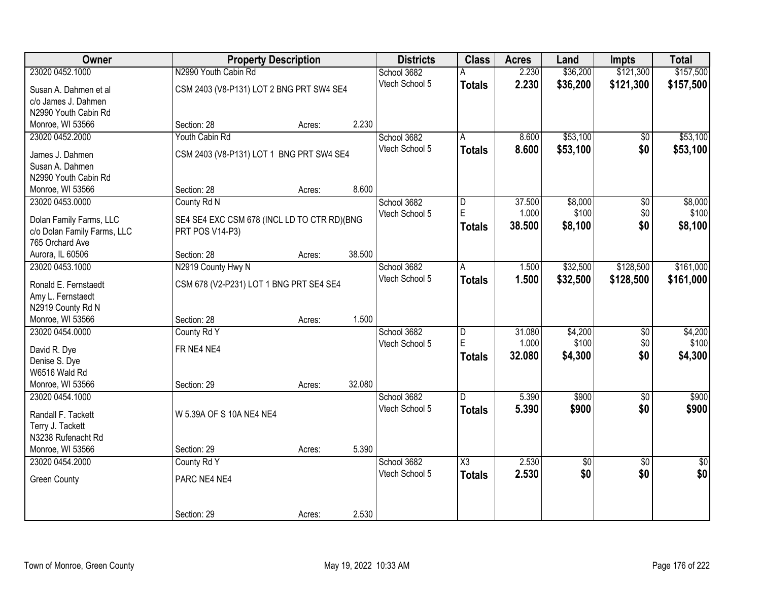| Owner                       |                                             | <b>Property Description</b> |        | <b>Districts</b>              | <b>Class</b>  | <b>Acres</b> | Land     | <b>Impts</b>    | <b>Total</b>    |
|-----------------------------|---------------------------------------------|-----------------------------|--------|-------------------------------|---------------|--------------|----------|-----------------|-----------------|
| 23020 0452.1000             | N2990 Youth Cabin Rd                        |                             |        | School 3682                   |               | 2.230        | \$36,200 | \$121,300       | \$157,500       |
| Susan A. Dahmen et al       | CSM 2403 (V8-P131) LOT 2 BNG PRT SW4 SE4    |                             |        | Vtech School 5                | <b>Totals</b> | 2.230        | \$36,200 | \$121,300       | \$157,500       |
| c/o James J. Dahmen         |                                             |                             |        |                               |               |              |          |                 |                 |
| N2990 Youth Cabin Rd        |                                             |                             |        |                               |               |              |          |                 |                 |
| Monroe, WI 53566            | Section: 28                                 | Acres:                      | 2.230  |                               |               |              |          |                 |                 |
| 23020 0452.2000             | Youth Cabin Rd                              |                             |        | School 3682                   | A             | 8.600        | \$53,100 | \$0             | \$53,100        |
| James J. Dahmen             | CSM 2403 (V8-P131) LOT 1 BNG PRT SW4 SE4    |                             |        | Vtech School 5                | <b>Totals</b> | 8.600        | \$53,100 | \$0             | \$53,100        |
| Susan A. Dahmen             |                                             |                             |        |                               |               |              |          |                 |                 |
| N2990 Youth Cabin Rd        |                                             |                             |        |                               |               |              |          |                 |                 |
| Monroe, WI 53566            | Section: 28                                 | Acres:                      | 8.600  |                               |               |              |          |                 |                 |
| 23020 0453.0000             | County Rd N                                 |                             |        | School 3682                   | D             | 37.500       | \$8,000  | $\overline{50}$ | \$8,000         |
|                             |                                             |                             |        | Vtech School 5                | E.            | 1.000        | \$100    | \$0             | \$100           |
| Dolan Family Farms, LLC     | SE4 SE4 EXC CSM 678 (INCL LD TO CTR RD)(BNG |                             |        |                               | <b>Totals</b> | 38.500       | \$8,100  | \$0             | \$8,100         |
| c/o Dolan Family Farms, LLC | PRT POS V14-P3)                             |                             |        |                               |               |              |          |                 |                 |
| 765 Orchard Ave             |                                             |                             |        |                               |               |              |          |                 |                 |
| Aurora, IL 60506            | Section: 28                                 | Acres:                      | 38.500 |                               |               |              |          |                 |                 |
| 23020 0453.1000             | N2919 County Hwy N                          |                             |        | School 3682<br>Vtech School 5 | A             | 1.500        | \$32,500 | \$128,500       | \$161,000       |
| Ronald E. Fernstaedt        | CSM 678 (V2-P231) LOT 1 BNG PRT SE4 SE4     |                             |        |                               | <b>Totals</b> | 1.500        | \$32,500 | \$128,500       | \$161,000       |
| Amy L. Fernstaedt           |                                             |                             |        |                               |               |              |          |                 |                 |
| N2919 County Rd N           |                                             |                             |        |                               |               |              |          |                 |                 |
| Monroe, WI 53566            | Section: 28                                 | Acres:                      | 1.500  |                               |               |              |          |                 |                 |
| 23020 0454.0000             | County Rd Y                                 |                             |        | School 3682                   | D             | 31.080       | \$4,200  | $\overline{50}$ | \$4,200         |
| David R. Dye                | FR NE4 NE4                                  |                             |        | Vtech School 5                | E             | 1.000        | \$100    | \$0             | \$100           |
| Denise S. Dye               |                                             |                             |        |                               | <b>Totals</b> | 32.080       | \$4,300  | \$0             | \$4,300         |
| W6516 Wald Rd               |                                             |                             |        |                               |               |              |          |                 |                 |
| Monroe, WI 53566            | Section: 29                                 | Acres:                      | 32.080 |                               |               |              |          |                 |                 |
| 23020 0454.1000             |                                             |                             |        | School 3682                   | D.            | 5.390        | \$900    | $\sqrt{6}$      | \$900           |
| Randall F. Tackett          | W 5.39A OF S 10A NE4 NE4                    |                             |        | Vtech School 5                | <b>Totals</b> | 5.390        | \$900    | \$0             | \$900           |
| Terry J. Tackett            |                                             |                             |        |                               |               |              |          |                 |                 |
| N3238 Rufenacht Rd          |                                             |                             |        |                               |               |              |          |                 |                 |
| Monroe, WI 53566            | Section: 29                                 | Acres:                      | 5.390  |                               |               |              |          |                 |                 |
| 23020 0454.2000             | County Rd Y                                 |                             |        | School 3682                   | X3            | 2.530        | \$0      | $\overline{50}$ | $\overline{50}$ |
|                             |                                             |                             |        | Vtech School 5                | <b>Totals</b> | 2.530        | \$0      | \$0             | \$0             |
| <b>Green County</b>         | PARC NE4 NE4                                |                             |        |                               |               |              |          |                 |                 |
|                             |                                             |                             |        |                               |               |              |          |                 |                 |
|                             | Section: 29                                 | Acres:                      | 2.530  |                               |               |              |          |                 |                 |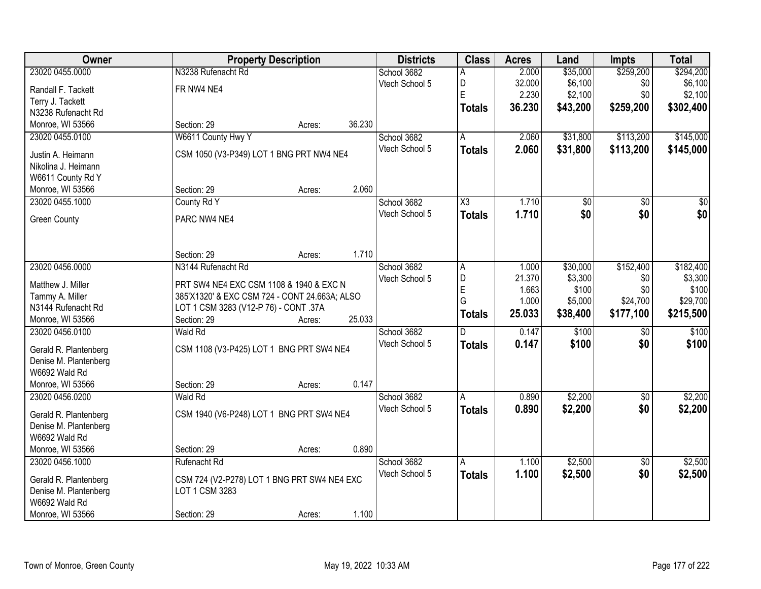| Owner                 | <b>Property Description</b>                   |        |        | <b>Districts</b> | <b>Class</b>        | <b>Acres</b> | Land            | <b>Impts</b>    | <b>Total</b>     |
|-----------------------|-----------------------------------------------|--------|--------|------------------|---------------------|--------------|-----------------|-----------------|------------------|
| 23020 0455.0000       | N3238 Rufenacht Rd                            |        |        | School 3682      | A                   | 2.000        | \$35,000        | \$259,200       | \$294,200        |
| Randall F. Tackett    | FR NW4 NE4                                    |        |        | Vtech School 5   | D                   | 32.000       | \$6,100         | \$0             | \$6,100          |
| Terry J. Tackett      |                                               |        |        |                  | E                   | 2.230        | \$2,100         | \$0             | \$2,100          |
| N3238 Rufenacht Rd    |                                               |        |        |                  | <b>Totals</b>       | 36.230       | \$43,200        | \$259,200       | \$302,400        |
| Monroe, WI 53566      | Section: 29                                   | Acres: | 36.230 |                  |                     |              |                 |                 |                  |
| 23020 0455.0100       | W6611 County Hwy Y                            |        |        | School 3682      | A                   | 2.060        | \$31,800        | \$113,200       | \$145,000        |
| Justin A. Heimann     | CSM 1050 (V3-P349) LOT 1 BNG PRT NW4 NE4      |        |        | Vtech School 5   | <b>Totals</b>       | 2.060        | \$31,800        | \$113,200       | \$145,000        |
| Nikolina J. Heimann   |                                               |        |        |                  |                     |              |                 |                 |                  |
| W6611 County Rd Y     |                                               |        |        |                  |                     |              |                 |                 |                  |
| Monroe, WI 53566      | Section: 29                                   | Acres: | 2.060  |                  |                     |              |                 |                 |                  |
| 23020 0455.1000       | County Rd Y                                   |        |        | School 3682      | $\overline{\chi_3}$ | 1.710        | $\overline{50}$ | \$0             | $\overline{\$0}$ |
|                       |                                               |        |        | Vtech School 5   | <b>Totals</b>       | 1.710        | \$0             | \$0             | \$0              |
| <b>Green County</b>   | PARC NW4 NE4                                  |        |        |                  |                     |              |                 |                 |                  |
|                       |                                               |        |        |                  |                     |              |                 |                 |                  |
|                       | Section: 29                                   | Acres: | 1.710  |                  |                     |              |                 |                 |                  |
| 23020 0456.0000       | N3144 Rufenacht Rd                            |        |        | School 3682      | A                   | 1.000        | \$30,000        | \$152,400       | \$182,400        |
|                       |                                               |        |        | Vtech School 5   | D                   | 21.370       | \$3,300         | \$0             | \$3,300          |
| Matthew J. Miller     | PRT SW4 NE4 EXC CSM 1108 & 1940 & EXC N       |        |        |                  | E                   | 1.663        | \$100           | \$0             | \$100            |
| Tammy A. Miller       | 385'X1320' & EXC CSM 724 - CONT 24.663A; ALSO |        |        |                  | G                   | 1.000        | \$5,000         | \$24,700        | \$29,700         |
| N3144 Rufenacht Rd    | LOT 1 CSM 3283 (V12-P 76) - CONT .37A         |        |        |                  | <b>Totals</b>       | 25.033       | \$38,400        | \$177,100       | \$215,500        |
| Monroe, WI 53566      | Section: 29                                   | Acres: | 25.033 |                  |                     |              |                 |                 |                  |
| 23020 0456.0100       | <b>Wald Rd</b>                                |        |        | School 3682      | $\overline{D}$      | 0.147        | \$100           | $\overline{60}$ | \$100            |
| Gerald R. Plantenberg | CSM 1108 (V3-P425) LOT 1 BNG PRT SW4 NE4      |        |        | Vtech School 5   | <b>Totals</b>       | 0.147        | \$100           | \$0             | \$100            |
| Denise M. Plantenberg |                                               |        |        |                  |                     |              |                 |                 |                  |
| W6692 Wald Rd         |                                               |        |        |                  |                     |              |                 |                 |                  |
| Monroe, WI 53566      | Section: 29                                   | Acres: | 0.147  |                  |                     |              |                 |                 |                  |
| 23020 0456.0200       | Wald Rd                                       |        |        | School 3682      | A                   | 0.890        | \$2,200         | \$0             | \$2,200          |
| Gerald R. Plantenberg | CSM 1940 (V6-P248) LOT 1 BNG PRT SW4 NE4      |        |        | Vtech School 5   | <b>Totals</b>       | 0.890        | \$2,200         | \$0             | \$2,200          |
| Denise M. Plantenberg |                                               |        |        |                  |                     |              |                 |                 |                  |
| W6692 Wald Rd         |                                               |        |        |                  |                     |              |                 |                 |                  |
| Monroe, WI 53566      | Section: 29                                   | Acres: | 0.890  |                  |                     |              |                 |                 |                  |
| 23020 0456.1000       | Rufenacht Rd                                  |        |        | School 3682      | A                   | 1.100        | \$2,500         | $\overline{30}$ | \$2,500          |
| Gerald R. Plantenberg | CSM 724 (V2-P278) LOT 1 BNG PRT SW4 NE4 EXC   |        |        | Vtech School 5   | <b>Totals</b>       | 1.100        | \$2,500         | \$0             | \$2,500          |
| Denise M. Plantenberg | LOT 1 CSM 3283                                |        |        |                  |                     |              |                 |                 |                  |
| W6692 Wald Rd         |                                               |        |        |                  |                     |              |                 |                 |                  |
| Monroe, WI 53566      | Section: 29                                   | Acres: | 1.100  |                  |                     |              |                 |                 |                  |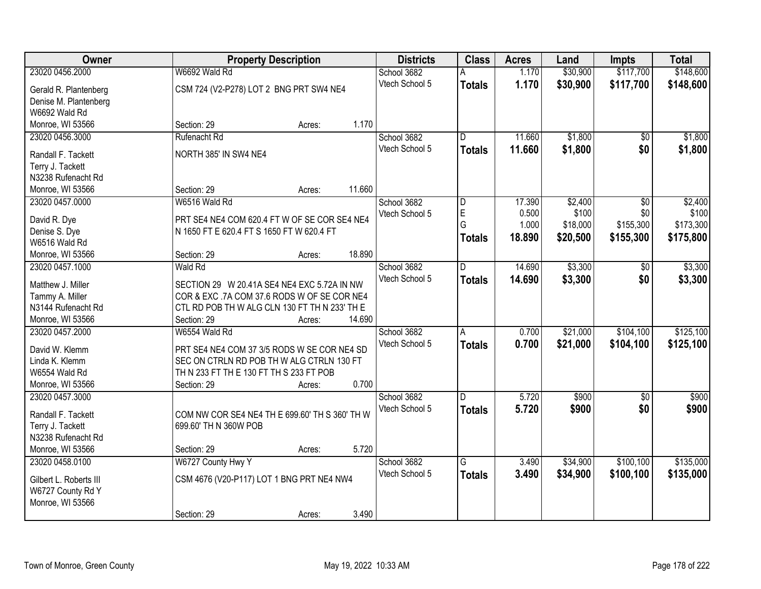| Owner                  |                                                | <b>Property Description</b> |        | <b>Districts</b> | <b>Class</b>   | <b>Acres</b> | Land     | <b>Impts</b>    | <b>Total</b> |
|------------------------|------------------------------------------------|-----------------------------|--------|------------------|----------------|--------------|----------|-----------------|--------------|
| 23020 0456.2000        | W6692 Wald Rd                                  |                             |        | School 3682      |                | 1.170        | \$30,900 | \$117,700       | \$148,600    |
| Gerald R. Plantenberg  | CSM 724 (V2-P278) LOT 2 BNG PRT SW4 NE4        |                             |        | Vtech School 5   | <b>Totals</b>  | 1.170        | \$30,900 | \$117,700       | \$148,600    |
| Denise M. Plantenberg  |                                                |                             |        |                  |                |              |          |                 |              |
| W6692 Wald Rd          |                                                |                             |        |                  |                |              |          |                 |              |
| Monroe, WI 53566       | Section: 29                                    | Acres:                      | 1.170  |                  |                |              |          |                 |              |
| 23020 0456.3000        | Rufenacht Rd                                   |                             |        | School 3682      | D.             | 11.660       | \$1,800  | $\overline{50}$ | \$1,800      |
|                        |                                                |                             |        | Vtech School 5   | Totals         | 11.660       | \$1,800  | \$0             | \$1,800      |
| Randall F. Tackett     | NORTH 385' IN SW4 NE4                          |                             |        |                  |                |              |          |                 |              |
| Terry J. Tackett       |                                                |                             |        |                  |                |              |          |                 |              |
| N3238 Rufenacht Rd     |                                                |                             |        |                  |                |              |          |                 |              |
| Monroe, WI 53566       | Section: 29                                    | Acres:                      | 11.660 |                  |                |              |          |                 |              |
| 23020 0457.0000        | W6516 Wald Rd                                  |                             |        | School 3682      | D              | 17.390       | \$2,400  | \$0             | \$2,400      |
| David R. Dye           | PRT SE4 NE4 COM 620.4 FT W OF SE COR SE4 NE4   |                             |        | Vtech School 5   | $\mathsf E$    | 0.500        | \$100    | \$0             | \$100        |
| Denise S. Dye          | N 1650 FT E 620.4 FT S 1650 FT W 620.4 FT      |                             |        |                  | G              | 1.000        | \$18,000 | \$155,300       | \$173,300    |
| W6516 Wald Rd          |                                                |                             |        |                  | Totals         | 18,890       | \$20,500 | \$155,300       | \$175,800    |
| Monroe, WI 53566       | Section: 29                                    | Acres:                      | 18.890 |                  |                |              |          |                 |              |
| 23020 0457.1000        | Wald Rd                                        |                             |        | School 3682      | D              | 14.690       | \$3,300  | \$0             | \$3,300      |
|                        |                                                |                             |        | Vtech School 5   | <b>Totals</b>  | 14.690       | \$3,300  | \$0             | \$3,300      |
| Matthew J. Miller      | SECTION 29 W 20.41A SE4 NE4 EXC 5.72A IN NW    |                             |        |                  |                |              |          |                 |              |
| Tammy A. Miller        | COR & EXC .7A COM 37.6 RODS W OF SE COR NE4    |                             |        |                  |                |              |          |                 |              |
| N3144 Rufenacht Rd     | CTL RD POB TH W ALG CLN 130 FT TH N 233' TH E  |                             |        |                  |                |              |          |                 |              |
| Monroe, WI 53566       | Section: 29                                    | Acres:                      | 14.690 |                  |                |              |          |                 |              |
| 23020 0457.2000        | W6554 Wald Rd                                  |                             |        | School 3682      | $\overline{A}$ | 0.700        | \$21,000 | \$104,100       | \$125,100    |
| David W. Klemm         | PRT SE4 NE4 COM 37 3/5 RODS W SE COR NE4 SD    |                             |        | Vtech School 5   | <b>Totals</b>  | 0.700        | \$21,000 | \$104,100       | \$125,100    |
| Linda K. Klemm         | SEC ON CTRLN RD POB TH W ALG CTRLN 130 FT      |                             |        |                  |                |              |          |                 |              |
| W6554 Wald Rd          | TH N 233 FT TH E 130 FT TH S 233 FT POB        |                             |        |                  |                |              |          |                 |              |
| Monroe, WI 53566       | Section: 29                                    | Acres:                      | 0.700  |                  |                |              |          |                 |              |
| 23020 0457.3000        |                                                |                             |        | School 3682      | D              | 5.720        | \$900    | \$0             | \$900        |
|                        |                                                |                             |        | Vtech School 5   | <b>Totals</b>  | 5.720        | \$900    | \$0             | \$900        |
| Randall F. Tackett     | COM NW COR SE4 NE4 TH E 699.60' TH S 360' TH W |                             |        |                  |                |              |          |                 |              |
| Terry J. Tackett       | 699.60' TH N 360W POB                          |                             |        |                  |                |              |          |                 |              |
| N3238 Rufenacht Rd     |                                                |                             |        |                  |                |              |          |                 |              |
| Monroe, WI 53566       | Section: 29                                    | Acres:                      | 5.720  |                  |                |              |          |                 |              |
| 23020 0458.0100        | W6727 County Hwy Y                             |                             |        | School 3682      | $\overline{G}$ | 3.490        | \$34,900 | \$100, 100      | \$135,000    |
| Gilbert L. Roberts III | CSM 4676 (V20-P117) LOT 1 BNG PRT NE4 NW4      |                             |        | Vtech School 5   | <b>Totals</b>  | 3.490        | \$34,900 | \$100,100       | \$135,000    |
| W6727 County Rd Y      |                                                |                             |        |                  |                |              |          |                 |              |
| Monroe, WI 53566       |                                                |                             |        |                  |                |              |          |                 |              |
|                        | Section: 29                                    | Acres:                      | 3.490  |                  |                |              |          |                 |              |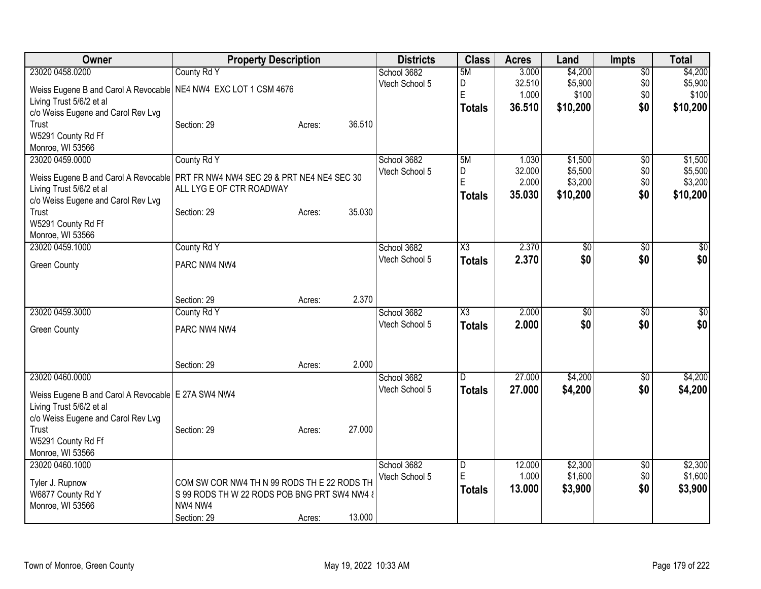| Owner                                                                             | <b>Property Description</b>                  |        |                | <b>Districts</b> | <b>Class</b>           | <b>Acres</b> | Land            | <b>Impts</b>    | <b>Total</b>    |
|-----------------------------------------------------------------------------------|----------------------------------------------|--------|----------------|------------------|------------------------|--------------|-----------------|-----------------|-----------------|
| 23020 0458.0200                                                                   | County Rd Y                                  |        | School 3682    |                  | 5M                     | 3.000        | \$4,200         | $\overline{$0}$ | \$4,200         |
| Weiss Eugene B and Carol A Revocable   NE4 NW4 EXC LOT 1 CSM 4676                 |                                              |        | Vtech School 5 |                  | D                      | 32.510       | \$5,900         | \$0             | \$5,900         |
| Living Trust 5/6/2 et al                                                          |                                              |        |                |                  | E                      | 1.000        | \$100           | \$0             | \$100           |
| c/o Weiss Eugene and Carol Rev Lvg                                                |                                              |        |                |                  | <b>Totals</b>          | 36.510       | \$10,200        | \$0             | \$10,200        |
| Trust                                                                             | Section: 29                                  | Acres: | 36.510         |                  |                        |              |                 |                 |                 |
| W5291 County Rd Ff                                                                |                                              |        |                |                  |                        |              |                 |                 |                 |
| Monroe, WI 53566                                                                  |                                              |        |                |                  |                        |              |                 |                 |                 |
| 23020 0459.0000                                                                   | County Rd Y                                  |        | School 3682    |                  | 5M                     | 1.030        | \$1,500         | $\overline{50}$ | \$1,500         |
|                                                                                   |                                              |        | Vtech School 5 |                  | D                      | 32.000       | \$5,500         | \$0             | \$5,500         |
| Weiss Eugene B and Carol A Revocable   PRT FR NW4 NW4 SEC 29 & PRT NE4 NE4 SEC 30 |                                              |        |                |                  | E                      | 2.000        | \$3,200         | \$0             | \$3,200         |
| Living Trust 5/6/2 et al                                                          | ALL LYG E OF CTR ROADWAY                     |        |                |                  | <b>Totals</b>          | 35.030       | \$10,200        | \$0             | \$10,200        |
| c/o Weiss Eugene and Carol Rev Lvg                                                |                                              |        |                |                  |                        |              |                 |                 |                 |
| Trust                                                                             | Section: 29                                  | Acres: | 35.030         |                  |                        |              |                 |                 |                 |
| W5291 County Rd Ff                                                                |                                              |        |                |                  |                        |              |                 |                 |                 |
| Monroe, WI 53566<br>23020 0459.1000                                               |                                              |        |                |                  | $\overline{\text{X3}}$ | 2.370        | $\overline{50}$ |                 | $\overline{50}$ |
|                                                                                   | County Rd Y                                  |        | School 3682    |                  |                        |              |                 | \$0<br>\$0      | \$0             |
| <b>Green County</b>                                                               | PARC NW4 NW4                                 |        | Vtech School 5 |                  | <b>Totals</b>          | 2.370        | \$0             |                 |                 |
|                                                                                   |                                              |        |                |                  |                        |              |                 |                 |                 |
|                                                                                   |                                              |        |                |                  |                        |              |                 |                 |                 |
|                                                                                   | Section: 29                                  | Acres: | 2.370          |                  |                        |              |                 |                 |                 |
| 23020 0459.3000                                                                   | County Rd Y                                  |        | School 3682    |                  | $\overline{\text{X3}}$ | 2.000        | \$0             | \$0             | $\sqrt{50}$     |
| <b>Green County</b>                                                               | PARC NW4 NW4                                 |        | Vtech School 5 |                  | <b>Totals</b>          | 2.000        | \$0             | \$0             | \$0             |
|                                                                                   |                                              |        |                |                  |                        |              |                 |                 |                 |
|                                                                                   |                                              |        |                |                  |                        |              |                 |                 |                 |
|                                                                                   | Section: 29                                  | Acres: | 2.000          |                  |                        |              |                 |                 |                 |
| 23020 0460.0000                                                                   |                                              |        | School 3682    |                  | D.                     | 27.000       | \$4,200         | $\overline{50}$ | \$4,200         |
|                                                                                   |                                              |        | Vtech School 5 |                  | <b>Totals</b>          | 27.000       | \$4,200         | \$0             | \$4,200         |
| Weiss Eugene B and Carol A Revocable E 27A SW4 NW4                                |                                              |        |                |                  |                        |              |                 |                 |                 |
| Living Trust 5/6/2 et al                                                          |                                              |        |                |                  |                        |              |                 |                 |                 |
| c/o Weiss Eugene and Carol Rev Lvg                                                |                                              |        |                |                  |                        |              |                 |                 |                 |
| Trust                                                                             | Section: 29                                  | Acres: | 27.000         |                  |                        |              |                 |                 |                 |
| W5291 County Rd Ff                                                                |                                              |        |                |                  |                        |              |                 |                 |                 |
| Monroe, WI 53566                                                                  |                                              |        |                |                  |                        |              |                 |                 |                 |
| 23020 0460.1000                                                                   |                                              |        | School 3682    |                  | $\overline{D}$         | 12.000       | \$2,300         | \$0             | \$2,300         |
| Tyler J. Rupnow                                                                   | COM SW COR NW4 TH N 99 RODS TH E 22 RODS TH  |        | Vtech School 5 |                  | E                      | 1.000        | \$1,600         | \$0             | \$1,600         |
| W6877 County Rd Y                                                                 | S 99 RODS TH W 22 RODS POB BNG PRT SW4 NW4 & |        |                |                  | <b>Totals</b>          | 13.000       | \$3,900         | \$0             | \$3,900         |
| Monroe, WI 53566                                                                  | NW4 NW4                                      |        |                |                  |                        |              |                 |                 |                 |
|                                                                                   | Section: 29                                  | Acres: | 13.000         |                  |                        |              |                 |                 |                 |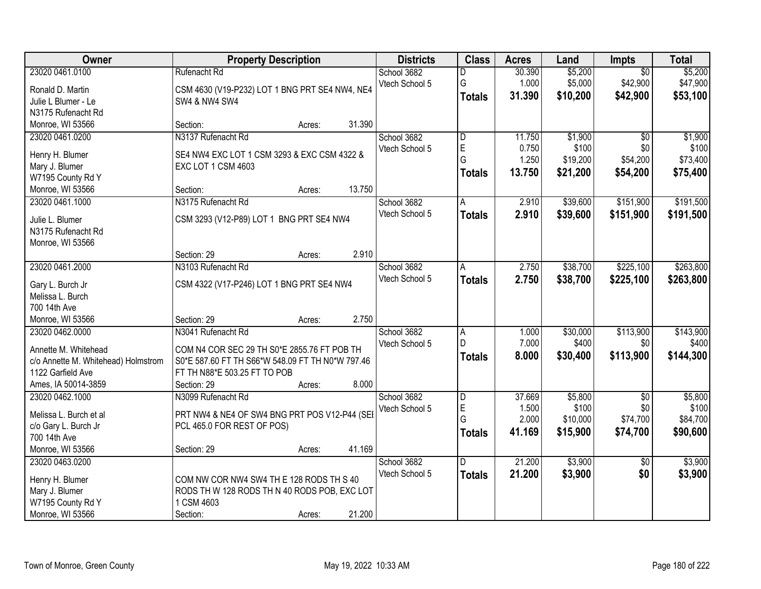| Owner                               | <b>Property Description</b>                      | <b>Districts</b> | <b>Class</b>            | <b>Acres</b>    | Land             | Impts             | <b>Total</b>     |
|-------------------------------------|--------------------------------------------------|------------------|-------------------------|-----------------|------------------|-------------------|------------------|
| 23020 0461.0100                     | Rufenacht Rd                                     | School 3682      | D                       | 30.390          | \$5,200          | $\overline{50}$   | \$5,200          |
| Ronald D. Martin                    | CSM 4630 (V19-P232) LOT 1 BNG PRT SE4 NW4, NE4   | Vtech School 5   | G                       | 1.000           | \$5,000          | \$42,900          | \$47,900         |
| Julie L Blumer - Le                 | <b>SW4 &amp; NW4 SW4</b>                         |                  | <b>Totals</b>           | 31.390          | \$10,200         | \$42,900          | \$53,100         |
| N3175 Rufenacht Rd                  |                                                  |                  |                         |                 |                  |                   |                  |
| Monroe, WI 53566                    | 31.390<br>Section:<br>Acres:                     |                  |                         |                 |                  |                   |                  |
| 23020 0461.0200                     | N3137 Rufenacht Rd                               | School 3682      | $\overline{\mathsf{D}}$ | 11.750          | \$1,900          | $\overline{50}$   | \$1,900          |
|                                     |                                                  | Vtech School 5   | E                       | 0.750           | \$100            | \$0               | \$100            |
| Henry H. Blumer                     | SE4 NW4 EXC LOT 1 CSM 3293 & EXC CSM 4322 &      |                  | G                       | 1.250           | \$19,200         | \$54,200          | \$73,400         |
| Mary J. Blumer                      | EXC LOT 1 CSM 4603                               |                  | <b>Totals</b>           | 13.750          | \$21,200         | \$54,200          | \$75,400         |
| W7195 County Rd Y                   |                                                  |                  |                         |                 |                  |                   |                  |
| Monroe, WI 53566                    | 13.750<br>Section:<br>Acres:                     |                  |                         |                 |                  |                   |                  |
| 23020 0461.1000                     | N3175 Rufenacht Rd                               | School 3682      | Α                       | 2.910           | \$39,600         | \$151,900         | \$191,500        |
| Julie L. Blumer                     | CSM 3293 (V12-P89) LOT 1 BNG PRT SE4 NW4         | Vtech School 5   | <b>Totals</b>           | 2.910           | \$39,600         | \$151,900         | \$191,500        |
| N3175 Rufenacht Rd                  |                                                  |                  |                         |                 |                  |                   |                  |
| Monroe, WI 53566                    |                                                  |                  |                         |                 |                  |                   |                  |
|                                     | 2.910<br>Section: 29<br>Acres:                   |                  |                         |                 |                  |                   |                  |
| 23020 0461.2000                     | N3103 Rufenacht Rd                               | School 3682      | A                       | 2.750           | \$38,700         | \$225,100         | \$263,800        |
|                                     |                                                  | Vtech School 5   | <b>Totals</b>           | 2.750           | \$38,700         | \$225,100         | \$263,800        |
| Gary L. Burch Jr                    | CSM 4322 (V17-P246) LOT 1 BNG PRT SE4 NW4        |                  |                         |                 |                  |                   |                  |
| Melissa L. Burch                    |                                                  |                  |                         |                 |                  |                   |                  |
| 700 14th Ave                        |                                                  |                  |                         |                 |                  |                   |                  |
| Monroe, WI 53566                    | 2.750<br>Section: 29<br>Acres:                   |                  |                         |                 |                  |                   |                  |
| 23020 0462.0000                     | N3041 Rufenacht Rd                               | School 3682      | A                       | 1.000           | \$30,000         | \$113,900         | \$143,900        |
| Annette M. Whitehead                | COM N4 COR SEC 29 TH S0*E 2855.76 FT POB TH      | Vtech School 5   | D                       | 7.000           | \$400            | \$0               | \$400            |
| c/o Annette M. Whitehead) Holmstrom | S0*E 587.60 FT TH S66*W 548.09 FT TH N0*W 797.46 |                  | <b>Totals</b>           | 8.000           | \$30,400         | \$113,900         | \$144,300        |
| 1122 Garfield Ave                   | FT TH N88*E 503.25 FT TO POB                     |                  |                         |                 |                  |                   |                  |
| Ames, IA 50014-3859                 | 8.000<br>Section: 29                             |                  |                         |                 |                  |                   |                  |
|                                     | Acres:                                           |                  |                         |                 |                  |                   |                  |
| 23020 0462.1000                     | N3099 Rufenacht Rd                               | School 3682      | D<br>E                  | 37.669<br>1.500 | \$5,800<br>\$100 | $\sqrt{6}$<br>\$0 | \$5,800<br>\$100 |
| Melissa L. Burch et al              | PRT NW4 & NE4 OF SW4 BNG PRT POS V12-P44 (SEI    | Vtech School 5   | G                       | 2.000           | \$10,000         | \$74,700          | \$84,700         |
| c/o Gary L. Burch Jr                | PCL 465.0 FOR REST OF POS)                       |                  |                         |                 |                  |                   |                  |
| 700 14th Ave                        |                                                  |                  | <b>Totals</b>           | 41.169          | \$15,900         | \$74,700          | \$90,600         |
| Monroe, WI 53566                    | 41.169<br>Section: 29<br>Acres:                  |                  |                         |                 |                  |                   |                  |
| 23020 0463.0200                     |                                                  | School 3682      | D                       | 21.200          | \$3,900          | $\overline{50}$   | \$3,900          |
|                                     |                                                  | Vtech School 5   | <b>Totals</b>           | 21.200          | \$3,900          | \$0               | \$3,900          |
| Henry H. Blumer                     | COM NW COR NW4 SW4 TH E 128 RODS TH S 40         |                  |                         |                 |                  |                   |                  |
| Mary J. Blumer                      | RODS TH W 128 RODS TH N 40 RODS POB, EXC LOT     |                  |                         |                 |                  |                   |                  |
| W7195 County Rd Y                   | 1 CSM 4603                                       |                  |                         |                 |                  |                   |                  |
| Monroe, WI 53566                    | 21.200<br>Section:<br>Acres:                     |                  |                         |                 |                  |                   |                  |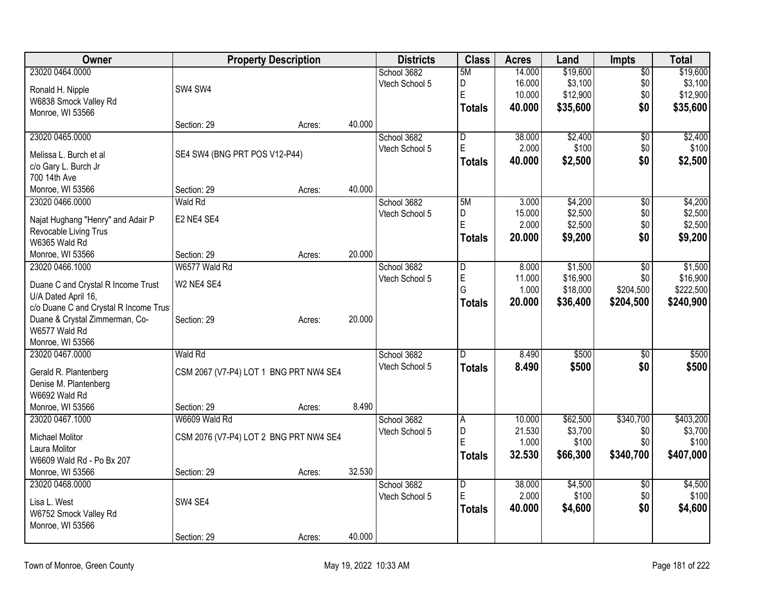| Owner                                 |                                        | <b>Property Description</b> |        | <b>Districts</b> | <b>Class</b>            | <b>Acres</b> | Land               | <b>Impts</b>    | <b>Total</b> |
|---------------------------------------|----------------------------------------|-----------------------------|--------|------------------|-------------------------|--------------|--------------------|-----------------|--------------|
| 23020 0464.0000                       |                                        |                             |        | School 3682      | 5M                      | 14.000       | \$19,600           | $\overline{50}$ | \$19,600     |
| Ronald H. Nipple                      | SW4 SW4                                |                             |        | Vtech School 5   | D                       | 16.000       | \$3,100            | \$0             | \$3,100      |
| W6838 Smock Valley Rd                 |                                        |                             |        |                  | E                       | 10.000       | \$12,900           | \$0             | \$12,900     |
| Monroe, WI 53566                      |                                        |                             |        |                  | <b>Totals</b>           | 40.000       | \$35,600           | \$0             | \$35,600     |
|                                       | Section: 29                            | Acres:                      | 40.000 |                  |                         |              |                    |                 |              |
| 23020 0465.0000                       |                                        |                             |        | School 3682      | $\overline{\mathsf{D}}$ | 38.000       | \$2,400            | \$0             | \$2,400      |
|                                       | SE4 SW4 (BNG PRT POS V12-P44)          |                             |        | Vtech School 5   | E                       | 2.000        | \$100              | \$0             | \$100        |
| Melissa L. Burch et al                |                                        |                             |        |                  | <b>Totals</b>           | 40.000       | \$2,500            | \$0             | \$2,500      |
| c/o Gary L. Burch Jr<br>700 14th Ave  |                                        |                             |        |                  |                         |              |                    |                 |              |
| Monroe, WI 53566                      | Section: 29                            |                             | 40.000 |                  |                         |              |                    |                 |              |
| 23020 0466.0000                       | <b>Wald Rd</b>                         | Acres:                      |        | School 3682      | 5M                      | 3.000        |                    |                 | \$4,200      |
|                                       |                                        |                             |        |                  | D                       | 15.000       | \$4,200<br>\$2,500 | $\overline{50}$ | \$2,500      |
| Najat Hughang "Henry" and Adair P     | E2 NE4 SE4                             |                             |        | Vtech School 5   | Ė                       | 2.000        | \$2,500            | \$0<br>\$0      | \$2,500      |
| Revocable Living Trus                 |                                        |                             |        |                  |                         |              |                    | \$0             |              |
| W6365 Wald Rd                         |                                        |                             |        |                  | <b>Totals</b>           | 20.000       | \$9,200            |                 | \$9,200      |
| Monroe, WI 53566                      | Section: 29                            | Acres:                      | 20.000 |                  |                         |              |                    |                 |              |
| 23020 0466.1000                       | W6577 Wald Rd                          |                             |        | School 3682      | D                       | 8.000        | \$1,500            | $\overline{50}$ | \$1,500      |
| Duane C and Crystal R Income Trust    | W2 NE4 SE4                             |                             |        | Vtech School 5   | E                       | 11.000       | \$16,900           | \$0             | \$16,900     |
| U/A Dated April 16,                   |                                        |                             |        |                  | G                       | 1.000        | \$18,000           | \$204,500       | \$222,500    |
| c/o Duane C and Crystal R Income Trus |                                        |                             |        |                  | <b>Totals</b>           | 20.000       | \$36,400           | \$204,500       | \$240,900    |
| Duane & Crystal Zimmerman, Co-        | Section: 29                            | Acres:                      | 20.000 |                  |                         |              |                    |                 |              |
| W6577 Wald Rd                         |                                        |                             |        |                  |                         |              |                    |                 |              |
| Monroe, WI 53566                      |                                        |                             |        |                  |                         |              |                    |                 |              |
| 23020 0467.0000                       | Wald Rd                                |                             |        | School 3682      | D                       | 8.490        | \$500              | \$0             | \$500        |
|                                       |                                        |                             |        | Vtech School 5   | <b>Totals</b>           | 8.490        | \$500              | \$0             | \$500        |
| Gerald R. Plantenberg                 | CSM 2067 (V7-P4) LOT 1 BNG PRT NW4 SE4 |                             |        |                  |                         |              |                    |                 |              |
| Denise M. Plantenberg                 |                                        |                             |        |                  |                         |              |                    |                 |              |
| W6692 Wald Rd                         |                                        |                             |        |                  |                         |              |                    |                 |              |
| Monroe, WI 53566                      | Section: 29                            | Acres:                      | 8.490  |                  |                         |              |                    |                 |              |
| 23020 0467.1000                       | W6609 Wald Rd                          |                             |        | School 3682      | A                       | 10.000       | \$62,500           | \$340,700       | \$403,200    |
| <b>Michael Molitor</b>                | CSM 2076 (V7-P4) LOT 2 BNG PRT NW4 SE4 |                             |        | Vtech School 5   | D                       | 21.530       | \$3,700            | \$0             | \$3,700      |
| Laura Molitor                         |                                        |                             |        |                  | E                       | 1.000        | \$100              | \$0             | \$100        |
| W6609 Wald Rd - Po Bx 207             |                                        |                             |        |                  | <b>Totals</b>           | 32.530       | \$66,300           | \$340,700       | \$407,000    |
| Monroe, WI 53566                      | Section: 29                            | Acres:                      | 32.530 |                  |                         |              |                    |                 |              |
| 23020 0468.0000                       |                                        |                             |        | School 3682      | $\overline{\mathsf{D}}$ | 38.000       | \$4,500            | $\overline{50}$ | \$4,500      |
|                                       |                                        |                             |        | Vtech School 5   | E                       | 2.000        | \$100              | \$0             | \$100        |
| Lisa L. West                          | SW4 SE4                                |                             |        |                  | <b>Totals</b>           | 40.000       | \$4,600            | \$0             | \$4,600      |
| W6752 Smock Valley Rd                 |                                        |                             |        |                  |                         |              |                    |                 |              |
| Monroe, WI 53566                      |                                        |                             |        |                  |                         |              |                    |                 |              |
|                                       | Section: 29                            | Acres:                      | 40.000 |                  |                         |              |                    |                 |              |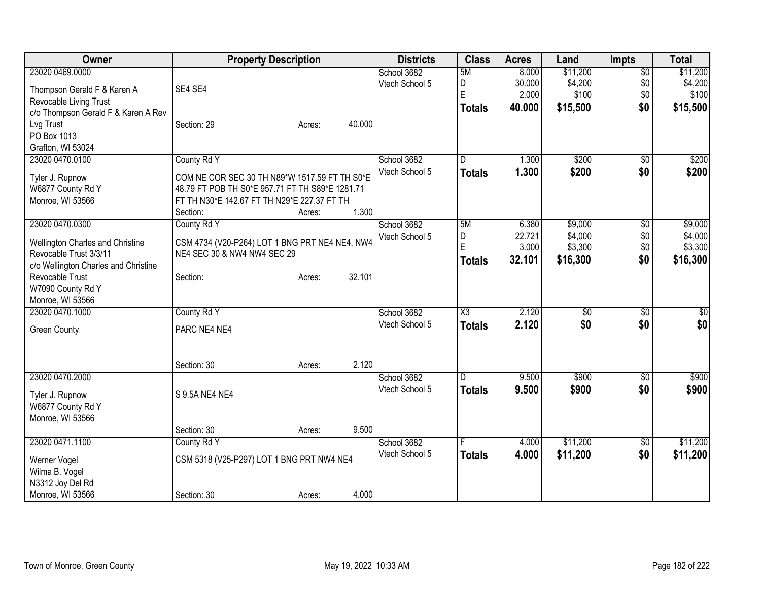| <b>Owner</b>                         | <b>Property Description</b>                     |        | <b>Districts</b> | <b>Class</b>           | <b>Acres</b> | Land     | <b>Impts</b>    | <b>Total</b> |
|--------------------------------------|-------------------------------------------------|--------|------------------|------------------------|--------------|----------|-----------------|--------------|
| 23020 0469.0000                      |                                                 |        | School 3682      | 5M                     | 8.000        | \$11,200 | $\overline{50}$ | \$11,200     |
| Thompson Gerald F & Karen A          | SE4 SE4                                         |        | Vtech School 5   | D                      | 30.000       | \$4,200  | \$0             | \$4,200      |
| Revocable Living Trust               |                                                 |        |                  | E                      | 2.000        | \$100    | \$0             | \$100        |
| c/o Thompson Gerald F & Karen A Rev  |                                                 |        |                  | <b>Totals</b>          | 40.000       | \$15,500 | \$0             | \$15,500     |
| Lvg Trust                            | Section: 29<br>Acres:                           | 40.000 |                  |                        |              |          |                 |              |
| PO Box 1013                          |                                                 |        |                  |                        |              |          |                 |              |
| Grafton, WI 53024                    |                                                 |        |                  |                        |              |          |                 |              |
| 23020 0470.0100                      | County Rd Y                                     |        | School 3682      | D                      | 1.300        | \$200    | \$0             | \$200        |
|                                      |                                                 |        | Vtech School 5   | <b>Totals</b>          | 1.300        | \$200    | \$0             | \$200        |
| Tyler J. Rupnow                      | COM NE COR SEC 30 TH N89*W 1517.59 FT TH S0*E   |        |                  |                        |              |          |                 |              |
| W6877 County Rd Y                    | 48.79 FT POB TH S0*E 957.71 FT TH S89*E 1281.71 |        |                  |                        |              |          |                 |              |
| Monroe, WI 53566                     | FT TH N30*E 142.67 FT TH N29*E 227.37 FT TH     |        |                  |                        |              |          |                 |              |
|                                      | Section:<br>Acres:                              | 1.300  |                  |                        |              |          |                 |              |
| 23020 0470.0300                      | County Rd Y                                     |        | School 3682      | 5M                     | 6.380        | \$9,000  | \$0             | \$9,000      |
| Wellington Charles and Christine     | CSM 4734 (V20-P264) LOT 1 BNG PRT NE4 NE4, NW4  |        | Vtech School 5   | D<br>E                 | 22.721       | \$4,000  | \$0             | \$4,000      |
| Revocable Trust 3/3/11               | NE4 SEC 30 & NW4 NW4 SEC 29                     |        |                  |                        | 3.000        | \$3,300  | \$0             | \$3,300      |
| c/o Wellington Charles and Christine |                                                 |        |                  | <b>Totals</b>          | 32.101       | \$16,300 | \$0             | \$16,300     |
| Revocable Trust                      | Section:<br>Acres:                              | 32.101 |                  |                        |              |          |                 |              |
| W7090 County Rd Y                    |                                                 |        |                  |                        |              |          |                 |              |
| Monroe, WI 53566                     |                                                 |        |                  |                        |              |          |                 |              |
| 23020 0470.1000                      | County Rd Y                                     |        | School 3682      | $\overline{\text{X3}}$ | 2.120        | \$0      | \$0             | \$0          |
| <b>Green County</b>                  | PARC NE4 NE4                                    |        | Vtech School 5   | <b>Totals</b>          | 2.120        | \$0      | \$0             | \$0          |
|                                      |                                                 |        |                  |                        |              |          |                 |              |
|                                      |                                                 |        |                  |                        |              |          |                 |              |
|                                      | Section: 30<br>Acres:                           | 2.120  |                  |                        |              |          |                 |              |
| 23020 0470.2000                      |                                                 |        | School 3682      | D                      | 9.500        | \$900    | $\sqrt{6}$      | \$900        |
|                                      |                                                 |        | Vtech School 5   | <b>Totals</b>          | 9.500        | \$900    | \$0             | \$900        |
| Tyler J. Rupnow                      | S 9.5A NE4 NE4                                  |        |                  |                        |              |          |                 |              |
| W6877 County Rd Y                    |                                                 |        |                  |                        |              |          |                 |              |
| Monroe, WI 53566                     |                                                 |        |                  |                        |              |          |                 |              |
|                                      | Section: 30<br>Acres:                           | 9.500  |                  |                        |              |          |                 |              |
| 23020 0471.1100                      | County Rd Y                                     |        | School 3682      |                        | 4.000        | \$11,200 | \$0             | \$11,200     |
| Werner Vogel                         | CSM 5318 (V25-P297) LOT 1 BNG PRT NW4 NE4       |        | Vtech School 5   | <b>Totals</b>          | 4.000        | \$11,200 | \$0             | \$11,200     |
| Wilma B. Vogel                       |                                                 |        |                  |                        |              |          |                 |              |
| N3312 Joy Del Rd                     |                                                 |        |                  |                        |              |          |                 |              |
| Monroe, WI 53566                     | Section: 30<br>Acres:                           | 4.000  |                  |                        |              |          |                 |              |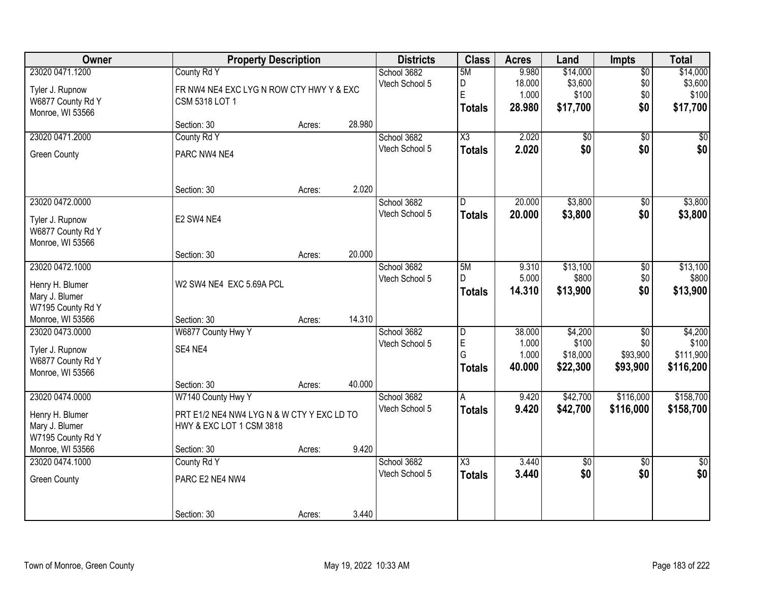| Owner                                 | <b>Property Description</b>                |        |        | <b>Districts</b>              | <b>Class</b>        | <b>Acres</b>   | Land                 | <b>Impts</b>           | <b>Total</b>           |
|---------------------------------------|--------------------------------------------|--------|--------|-------------------------------|---------------------|----------------|----------------------|------------------------|------------------------|
| 23020 0471.1200                       | County Rd Y                                |        |        | School 3682                   | 5M                  | 9.980          | \$14,000             | $\overline{50}$        | \$14,000               |
| Tyler J. Rupnow                       | FR NW4 NE4 EXC LYG N ROW CTY HWY Y & EXC   |        |        | Vtech School 5                | D                   | 18.000         | \$3,600              | \$0                    | \$3,600                |
| W6877 County Rd Y                     | CSM 5318 LOT 1                             |        |        |                               | E                   | 1.000          | \$100                | \$0                    | \$100                  |
| Monroe, WI 53566                      |                                            |        |        |                               | <b>Totals</b>       | 28.980         | \$17,700             | \$0                    | \$17,700               |
|                                       | Section: 30                                | Acres: | 28.980 |                               |                     |                |                      |                        |                        |
| 23020 0471.2000                       | County Rd Y                                |        |        | School 3682                   | $\overline{\chi_3}$ | 2.020          | \$0                  | $\overline{50}$        | \$0                    |
| <b>Green County</b>                   | PARC NW4 NE4                               |        |        | Vtech School 5                | <b>Totals</b>       | 2.020          | \$0                  | \$0                    | \$0                    |
|                                       | Section: 30                                | Acres: | 2.020  |                               |                     |                |                      |                        |                        |
| 23020 0472.0000                       |                                            |        |        | School 3682                   | D                   | 20.000         | \$3,800              | \$0                    | \$3,800                |
|                                       |                                            |        |        | Vtech School 5                | <b>Totals</b>       | 20.000         | \$3,800              | \$0                    | \$3,800                |
| Tyler J. Rupnow<br>W6877 County Rd Y  | E2 SW4 NE4                                 |        |        |                               |                     |                |                      |                        |                        |
| Monroe, WI 53566                      |                                            |        |        |                               |                     |                |                      |                        |                        |
|                                       | Section: 30                                | Acres: | 20.000 |                               |                     |                |                      |                        |                        |
| 23020 0472.1000                       |                                            |        |        | School 3682                   | 5M                  | 9.310          | \$13,100             | $\overline{50}$        | \$13,100               |
| Henry H. Blumer                       | W2 SW4 NE4 EXC 5.69A PCL                   |        |        | Vtech School 5                | D                   | 5.000          | \$800                | \$0                    | \$800                  |
| Mary J. Blumer                        |                                            |        |        |                               | <b>Totals</b>       | 14.310         | \$13,900             | \$0                    | \$13,900               |
| W7195 County Rd Y                     |                                            |        |        |                               |                     |                |                      |                        |                        |
| Monroe, WI 53566                      | Section: 30                                | Acres: | 14.310 |                               |                     |                |                      |                        |                        |
| 23020 0473.0000                       | W6877 County Hwy Y                         |        |        | School 3682                   | D                   | 38.000         | \$4,200              | $\overline{50}$        | \$4,200                |
| Tyler J. Rupnow                       | SE4 NE4                                    |        |        | Vtech School 5                | E<br>G              | 1.000<br>1.000 | \$100<br>\$18,000    | \$0<br>\$93,900        | \$100<br>\$111,900     |
| W6877 County Rd Y                     |                                            |        |        |                               | <b>Totals</b>       | 40.000         | \$22,300             | \$93,900               | \$116,200              |
| Monroe, WI 53566                      |                                            |        |        |                               |                     |                |                      |                        |                        |
|                                       | Section: 30                                | Acres: | 40.000 |                               |                     |                |                      |                        |                        |
| 23020 0474.0000                       | W7140 County Hwy Y                         |        |        | School 3682<br>Vtech School 5 | A                   | 9.420<br>9.420 | \$42,700<br>\$42,700 | \$116,000<br>\$116,000 | \$158,700<br>\$158,700 |
| Henry H. Blumer                       | PRT E1/2 NE4 NW4 LYG N & W CTY Y EXC LD TO |        |        |                               | <b>Totals</b>       |                |                      |                        |                        |
| Mary J. Blumer                        | HWY & EXC LOT 1 CSM 3818                   |        |        |                               |                     |                |                      |                        |                        |
| W7195 County Rd Y<br>Monroe, WI 53566 | Section: 30                                |        | 9.420  |                               |                     |                |                      |                        |                        |
| 23020 0474.1000                       | County Rd Y                                | Acres: |        | School 3682                   | X3                  | 3.440          | \$0                  | $\overline{50}$        | $\overline{50}$        |
|                                       |                                            |        |        | Vtech School 5                | <b>Totals</b>       | 3.440          | \$0                  | \$0                    | \$0                    |
| Green County                          | PARC E2 NE4 NW4                            |        |        |                               |                     |                |                      |                        |                        |
|                                       | Section: 30                                | Acres: | 3.440  |                               |                     |                |                      |                        |                        |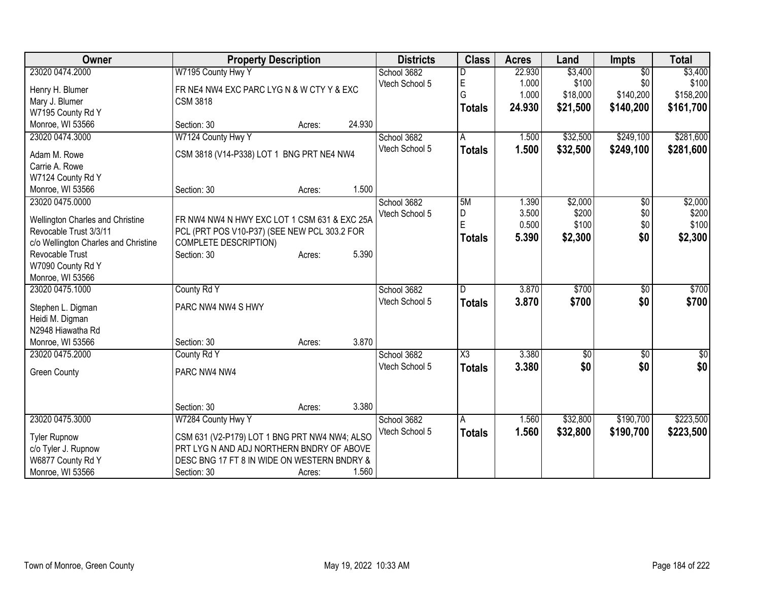| Owner                                | <b>Property Description</b>                   |        |        | <b>Districts</b> | <b>Class</b>        | <b>Acres</b> | Land     | <b>Impts</b>    | <b>Total</b>     |
|--------------------------------------|-----------------------------------------------|--------|--------|------------------|---------------------|--------------|----------|-----------------|------------------|
| 23020 0474.2000                      | W7195 County Hwy Y                            |        |        | School 3682      |                     | 22.930       | \$3,400  | $\overline{30}$ | \$3,400          |
| Henry H. Blumer                      | FR NE4 NW4 EXC PARC LYG N & W CTY Y & EXC     |        |        | Vtech School 5   | $\mathsf E$         | 1.000        | \$100    | \$0             | \$100            |
| Mary J. Blumer                       | <b>CSM 3818</b>                               |        |        |                  | G                   | 1.000        | \$18,000 | \$140,200       | \$158,200        |
| W7195 County Rd Y                    |                                               |        |        |                  | <b>Totals</b>       | 24.930       | \$21,500 | \$140,200       | \$161,700        |
| Monroe, WI 53566                     | Section: 30                                   | Acres: | 24.930 |                  |                     |              |          |                 |                  |
|                                      |                                               |        |        |                  |                     |              |          | \$249,100       | \$281,600        |
| 23020 0474.3000                      | W7124 County Hwy Y                            |        |        | School 3682      | A                   | 1.500        | \$32,500 |                 |                  |
| Adam M. Rowe                         | CSM 3818 (V14-P338) LOT 1 BNG PRT NE4 NW4     |        |        | Vtech School 5   | <b>Totals</b>       | 1.500        | \$32,500 | \$249,100       | \$281,600        |
| Carrie A. Rowe                       |                                               |        |        |                  |                     |              |          |                 |                  |
| W7124 County Rd Y                    |                                               |        |        |                  |                     |              |          |                 |                  |
| Monroe, WI 53566                     | Section: 30                                   | Acres: | 1.500  |                  |                     |              |          |                 |                  |
| 23020 0475.0000                      |                                               |        |        | School 3682      | 5M                  | 1.390        | \$2,000  | \$0             | \$2,000          |
|                                      |                                               |        |        | Vtech School 5   | D                   | 3.500        | \$200    | \$0             | \$200            |
| Wellington Charles and Christine     | FR NW4 NW4 N HWY EXC LOT 1 CSM 631 & EXC 25A  |        |        |                  | E                   | 0.500        | \$100    | \$0             | \$100            |
| Revocable Trust 3/3/11               | PCL (PRT POS V10-P37) (SEE NEW PCL 303.2 FOR  |        |        |                  | Totals              | 5.390        | \$2,300  | \$0             | \$2,300          |
| c/o Wellington Charles and Christine | COMPLETE DESCRIPTION)                         |        |        |                  |                     |              |          |                 |                  |
| Revocable Trust                      | Section: 30                                   | Acres: | 5.390  |                  |                     |              |          |                 |                  |
| W7090 County Rd Y                    |                                               |        |        |                  |                     |              |          |                 |                  |
| Monroe, WI 53566                     |                                               |        |        |                  |                     |              |          |                 |                  |
| 23020 0475.1000                      | County Rd Y                                   |        |        | School 3682      | D                   | 3.870        | \$700    | \$0             | \$700            |
| Stephen L. Digman                    | PARC NW4 NW4 S HWY                            |        |        | Vtech School 5   | <b>Totals</b>       | 3.870        | \$700    | \$0             | \$700            |
| Heidi M. Digman                      |                                               |        |        |                  |                     |              |          |                 |                  |
| N2948 Hiawatha Rd                    |                                               |        |        |                  |                     |              |          |                 |                  |
| Monroe, WI 53566                     | Section: 30                                   | Acres: | 3.870  |                  |                     |              |          |                 |                  |
| 23020 0475.2000                      | County Rd Y                                   |        |        | School 3682      | $\overline{\chi_3}$ | 3.380        | \$0      | \$0             | $\overline{\$0}$ |
|                                      |                                               |        |        | Vtech School 5   | <b>Totals</b>       | 3.380        | \$0      | \$0             | \$0              |
| <b>Green County</b>                  | PARC NW4 NW4                                  |        |        |                  |                     |              |          |                 |                  |
|                                      |                                               |        |        |                  |                     |              |          |                 |                  |
|                                      |                                               |        |        |                  |                     |              |          |                 |                  |
|                                      | Section: 30                                   | Acres: | 3.380  |                  |                     |              |          |                 |                  |
| 23020 0475.3000                      | W7284 County Hwy Y                            |        |        | School 3682      | A                   | 1.560        | \$32,800 | \$190,700       | \$223,500        |
| <b>Tyler Rupnow</b>                  | CSM 631 (V2-P179) LOT 1 BNG PRT NW4 NW4; ALSO |        |        | Vtech School 5   | <b>Totals</b>       | 1.560        | \$32,800 | \$190,700       | \$223,500        |
| c/o Tyler J. Rupnow                  | PRT LYG N AND ADJ NORTHERN BNDRY OF ABOVE     |        |        |                  |                     |              |          |                 |                  |
| W6877 County Rd Y                    | DESC BNG 17 FT 8 IN WIDE ON WESTERN BNDRY &   |        |        |                  |                     |              |          |                 |                  |
| Monroe, WI 53566                     | Section: 30                                   | Acres: | 1.560  |                  |                     |              |          |                 |                  |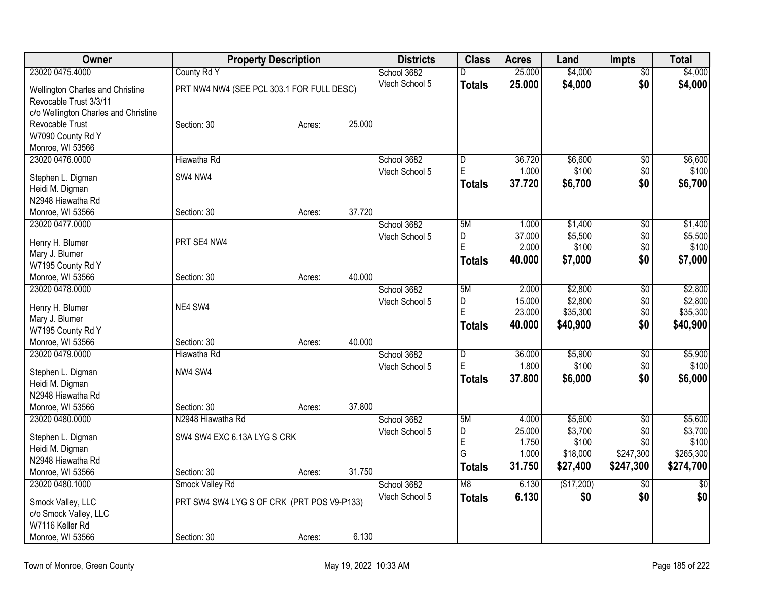| Owner                                |                                            | <b>Property Description</b> |        | <b>Districts</b> | <b>Class</b>   | <b>Acres</b>    | Land               | <b>Impts</b>    | <b>Total</b>       |
|--------------------------------------|--------------------------------------------|-----------------------------|--------|------------------|----------------|-----------------|--------------------|-----------------|--------------------|
| 23020 0475.4000                      | County Rd Y                                |                             |        | School 3682      | D              | 25.000          | \$4,000            | $\overline{60}$ | \$4,000            |
| Wellington Charles and Christine     | PRT NW4 NW4 (SEE PCL 303.1 FOR FULL DESC)  |                             |        | Vtech School 5   | <b>Totals</b>  | 25.000          | \$4,000            | \$0             | \$4,000            |
| Revocable Trust 3/3/11               |                                            |                             |        |                  |                |                 |                    |                 |                    |
| c/o Wellington Charles and Christine |                                            |                             |        |                  |                |                 |                    |                 |                    |
| Revocable Trust                      | Section: 30                                | Acres:                      | 25.000 |                  |                |                 |                    |                 |                    |
| W7090 County Rd Y                    |                                            |                             |        |                  |                |                 |                    |                 |                    |
| Monroe, WI 53566                     |                                            |                             |        |                  |                |                 |                    |                 |                    |
| 23020 0476.0000                      | Hiawatha Rd                                |                             |        | School 3682      | $\overline{D}$ | 36.720          | \$6,600            | \$0             | \$6,600            |
| Stephen L. Digman                    | SW4 NW4                                    |                             |        | Vtech School 5   | E              | 1.000           | \$100              | \$0             | \$100              |
| Heidi M. Digman                      |                                            |                             |        |                  | <b>Totals</b>  | 37.720          | \$6,700            | \$0             | \$6,700            |
| N2948 Hiawatha Rd                    |                                            |                             |        |                  |                |                 |                    |                 |                    |
| Monroe, WI 53566                     | Section: 30                                | Acres:                      | 37.720 |                  |                |                 |                    |                 |                    |
| 23020 0477.0000                      |                                            |                             |        | School 3682      | 5M             | 1.000           | \$1,400            | \$0             | \$1,400            |
|                                      |                                            |                             |        | Vtech School 5   | D              | 37.000          | \$5,500            | \$0             | \$5,500            |
| Henry H. Blumer                      | PRT SE4 NW4                                |                             |        |                  | E              | 2.000           | \$100              | \$0             | \$100              |
| Mary J. Blumer                       |                                            |                             |        |                  | Totals         | 40.000          | \$7,000            | \$0             | \$7,000            |
| W7195 County Rd Y                    |                                            |                             |        |                  |                |                 |                    |                 |                    |
| Monroe, WI 53566                     | Section: 30                                | Acres:                      | 40.000 |                  |                |                 |                    |                 |                    |
| 23020 0478.0000                      |                                            |                             |        | School 3682      | 5M             | 2.000<br>15.000 | \$2,800<br>\$2,800 | \$0             | \$2,800<br>\$2,800 |
| Henry H. Blumer                      | NE4 SW4                                    |                             |        | Vtech School 5   | D<br>E         | 23.000          | \$35,300           | \$0<br>\$0      | \$35,300           |
| Mary J. Blumer                       |                                            |                             |        |                  |                | 40.000          | \$40,900           | \$0             | \$40,900           |
| W7195 County Rd Y                    |                                            |                             |        |                  | <b>Totals</b>  |                 |                    |                 |                    |
| Monroe, WI 53566                     | Section: 30                                | Acres:                      | 40.000 |                  |                |                 |                    |                 |                    |
| 23020 0479.0000                      | Hiawatha Rd                                |                             |        | School 3682      | $\overline{D}$ | 36.000          | \$5,900            | \$0             | \$5,900            |
| Stephen L. Digman                    | NW4 SW4                                    |                             |        | Vtech School 5   | E              | 1.800           | \$100              | \$0             | \$100              |
| Heidi M. Digman                      |                                            |                             |        |                  | Totals         | 37.800          | \$6,000            | \$0             | \$6,000            |
| N2948 Hiawatha Rd                    |                                            |                             |        |                  |                |                 |                    |                 |                    |
| Monroe, WI 53566                     | Section: 30                                | Acres:                      | 37.800 |                  |                |                 |                    |                 |                    |
| 23020 0480.0000                      | N2948 Hiawatha Rd                          |                             |        | School 3682      | 5M             | 4.000           | \$5,600            | $\sqrt{6}$      | \$5,600            |
|                                      | SW4 SW4 EXC 6.13A LYG S CRK                |                             |        | Vtech School 5   | D              | 25.000          | \$3,700            | \$0             | \$3,700            |
| Stephen L. Digman                    |                                            |                             |        |                  | E              | 1.750           | \$100              | \$0             | \$100              |
| Heidi M. Digman<br>N2948 Hiawatha Rd |                                            |                             |        |                  | G              | 1.000           | \$18,000           | \$247,300       | \$265,300          |
| Monroe, WI 53566                     | Section: 30                                | Acres:                      | 31.750 |                  | <b>Totals</b>  | 31.750          | \$27,400           | \$247,300       | \$274,700          |
| 23020 0480.1000                      | Smock Valley Rd                            |                             |        | School 3682      | M8             | 6.130           | (\$17,200)         | $\overline{50}$ | $\overline{50}$    |
|                                      |                                            |                             |        | Vtech School 5   | <b>Totals</b>  | 6.130           | \$0                | \$0             | \$0                |
| Smock Valley, LLC                    | PRT SW4 SW4 LYG S OF CRK (PRT POS V9-P133) |                             |        |                  |                |                 |                    |                 |                    |
| c/o Smock Valley, LLC                |                                            |                             |        |                  |                |                 |                    |                 |                    |
| W7116 Keller Rd                      |                                            |                             |        |                  |                |                 |                    |                 |                    |
| Monroe, WI 53566                     | Section: 30                                | Acres:                      | 6.130  |                  |                |                 |                    |                 |                    |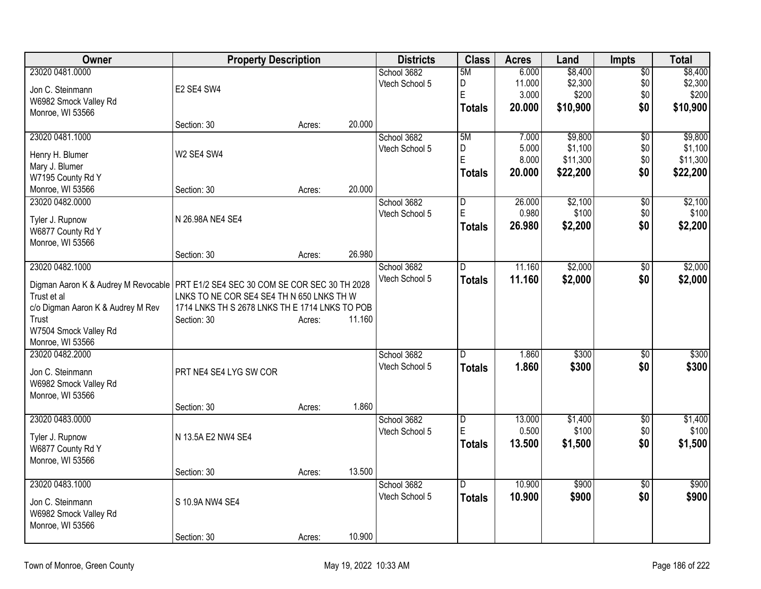| <b>Owner</b>                        | <b>Property Description</b>                    |        |        | <b>Districts</b> | <b>Class</b>   | <b>Acres</b> | Land     | <b>Impts</b>    | <b>Total</b> |
|-------------------------------------|------------------------------------------------|--------|--------|------------------|----------------|--------------|----------|-----------------|--------------|
| 23020 0481.0000                     |                                                |        |        | School 3682      | 5M             | 6.000        | \$8,400  | $\overline{50}$ | \$8,400      |
| Jon C. Steinmann                    | E2 SE4 SW4                                     |        |        | Vtech School 5   | D              | 11.000       | \$2,300  | \$0             | \$2,300      |
| W6982 Smock Valley Rd               |                                                |        |        |                  | E              | 3.000        | \$200    | \$0             | \$200        |
| Monroe, WI 53566                    |                                                |        |        |                  | <b>Totals</b>  | 20.000       | \$10,900 | \$0             | \$10,900     |
|                                     | Section: 30                                    | Acres: | 20.000 |                  |                |              |          |                 |              |
| 23020 0481.1000                     |                                                |        |        | School 3682      | 5M             | 7.000        | \$9,800  | $\overline{50}$ | \$9,800      |
|                                     | W2 SE4 SW4                                     |        |        | Vtech School 5   | D              | 5.000        | \$1,100  | \$0             | \$1,100      |
| Henry H. Blumer<br>Mary J. Blumer   |                                                |        |        |                  | E              | 8.000        | \$11,300 | \$0             | \$11,300     |
| W7195 County Rd Y                   |                                                |        |        |                  | <b>Totals</b>  | 20.000       | \$22,200 | \$0             | \$22,200     |
| Monroe, WI 53566                    | Section: 30                                    | Acres: | 20.000 |                  |                |              |          |                 |              |
| 23020 0482.0000                     |                                                |        |        | School 3682      | D              | 26.000       | \$2,100  | \$0             | \$2,100      |
|                                     |                                                |        |        | Vtech School 5   | E              | 0.980        | \$100    | \$0             | \$100        |
| Tyler J. Rupnow                     | N 26.98A NE4 SE4                               |        |        |                  | <b>Totals</b>  | 26.980       | \$2,200  | \$0             | \$2,200      |
| W6877 County Rd Y                   |                                                |        |        |                  |                |              |          |                 |              |
| Monroe, WI 53566                    |                                                |        |        |                  |                |              |          |                 |              |
|                                     | Section: 30                                    | Acres: | 26.980 |                  |                |              |          |                 |              |
| 23020 0482.1000                     |                                                |        |        | School 3682      | D              | 11.160       | \$2,000  | \$0             | \$2,000      |
| Digman Aaron K & Audrey M Revocable | PRT E1/2 SE4 SEC 30 COM SE COR SEC 30 TH 2028  |        |        | Vtech School 5   | <b>Totals</b>  | 11.160       | \$2,000  | \$0             | \$2,000      |
| Trust et al                         | LNKS TO NE COR SE4 SE4 TH N 650 LNKS TH W      |        |        |                  |                |              |          |                 |              |
| c/o Digman Aaron K & Audrey M Rev   | 1714 LNKS TH S 2678 LNKS TH E 1714 LNKS TO POB |        |        |                  |                |              |          |                 |              |
| Trust                               | Section: 30                                    | Acres: | 11.160 |                  |                |              |          |                 |              |
| W7504 Smock Valley Rd               |                                                |        |        |                  |                |              |          |                 |              |
| Monroe, WI 53566                    |                                                |        |        |                  |                |              |          |                 |              |
| 23020 0482.2000                     |                                                |        |        | School 3682      | D              | 1.860        | \$300    | \$0             | \$300        |
| Jon C. Steinmann                    | PRT NE4 SE4 LYG SW COR                         |        |        | Vtech School 5   | <b>Totals</b>  | 1.860        | \$300    | \$0             | \$300        |
| W6982 Smock Valley Rd               |                                                |        |        |                  |                |              |          |                 |              |
| Monroe, WI 53566                    |                                                |        |        |                  |                |              |          |                 |              |
|                                     | Section: 30                                    | Acres: | 1.860  |                  |                |              |          |                 |              |
| 23020 0483.0000                     |                                                |        |        | School 3682      | $\overline{D}$ | 13.000       | \$1,400  | $\overline{60}$ | \$1,400      |
|                                     |                                                |        |        | Vtech School 5   | E              | 0.500        | \$100    | \$0             | \$100        |
| Tyler J. Rupnow                     | N 13.5A E2 NW4 SE4                             |        |        |                  | <b>Totals</b>  | 13.500       | \$1,500  | \$0             | \$1,500      |
| W6877 County Rd Y                   |                                                |        |        |                  |                |              |          |                 |              |
| Monroe, WI 53566                    |                                                |        |        |                  |                |              |          |                 |              |
|                                     | Section: 30                                    | Acres: | 13.500 |                  |                |              |          |                 |              |
| 23020 0483.1000                     |                                                |        |        | School 3682      | D.             | 10.900       | \$900    | $\overline{50}$ | \$900        |
| Jon C. Steinmann                    | S 10.9A NW4 SE4                                |        |        | Vtech School 5   | <b>Totals</b>  | 10.900       | \$900    | \$0             | \$900        |
| W6982 Smock Valley Rd               |                                                |        |        |                  |                |              |          |                 |              |
| Monroe, WI 53566                    |                                                |        |        |                  |                |              |          |                 |              |
|                                     | Section: 30                                    | Acres: | 10.900 |                  |                |              |          |                 |              |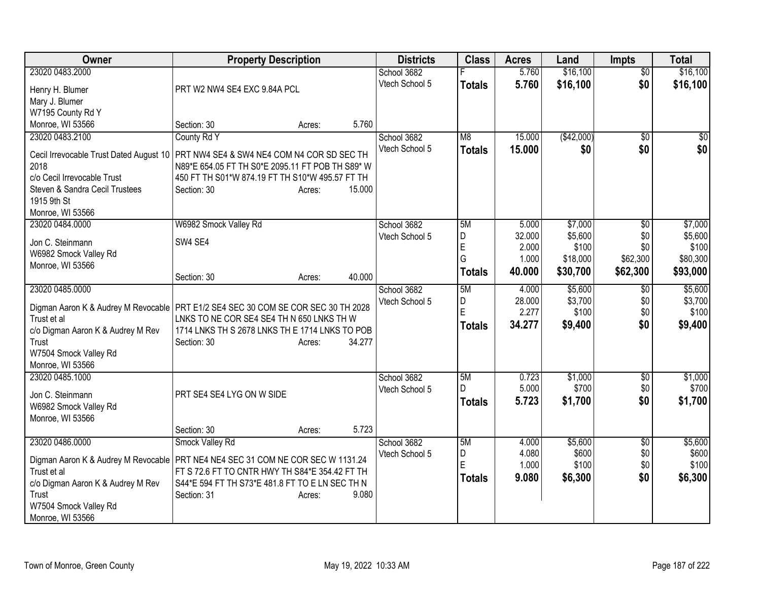| Owner<br><b>Property Description</b>                                                                       | <b>Districts</b> | <b>Class</b>  | <b>Acres</b>    | Land             | <b>Impts</b>    | <b>Total</b>     |
|------------------------------------------------------------------------------------------------------------|------------------|---------------|-----------------|------------------|-----------------|------------------|
| 23020 0483.2000                                                                                            | School 3682      |               | 5.760           | \$16,100         | $\overline{50}$ | \$16,100         |
| Henry H. Blumer<br>PRT W2 NW4 SE4 EXC 9.84A PCL                                                            | Vtech School 5   | <b>Totals</b> | 5.760           | \$16,100         | \$0             | \$16,100         |
| Mary J. Blumer                                                                                             |                  |               |                 |                  |                 |                  |
| W7195 County Rd Y                                                                                          |                  |               |                 |                  |                 |                  |
| Monroe, WI 53566<br>Section: 30<br>Acres:                                                                  | 5.760            |               |                 |                  |                 |                  |
| County Rd Y<br>23020 0483.2100                                                                             | School 3682      | M8            | 15.000          | (\$42,000)       | \$0             | \$0              |
|                                                                                                            | Vtech School 5   | <b>Totals</b> | 15.000          | \$0              | \$0             | \$0              |
| PRT NW4 SE4 & SW4 NE4 COM N4 COR SD SEC TH<br>Cecil Irrevocable Trust Dated August 10                      |                  |               |                 |                  |                 |                  |
| N89*E 654.05 FT TH S0*E 2095.11 FT POB TH S89* W<br>2018                                                   |                  |               |                 |                  |                 |                  |
| c/o Cecil Irrevocable Trust<br>450 FT TH S01*W 874.19 FT TH S10*W 495.57 FT TH                             |                  |               |                 |                  |                 |                  |
| Steven & Sandra Cecil Trustees<br>15.000<br>Section: 30<br>Acres:                                          |                  |               |                 |                  |                 |                  |
| 1915 9th St                                                                                                |                  |               |                 |                  |                 |                  |
| Monroe, WI 53566                                                                                           |                  |               |                 |                  |                 |                  |
| W6982 Smock Valley Rd<br>23020 0484.0000                                                                   | School 3682      | 5M            | 5.000           | \$7,000          | \$0             | \$7,000          |
| Jon C. Steinmann<br>SW4 SE4                                                                                | Vtech School 5   | D<br>E        | 32.000<br>2.000 | \$5,600<br>\$100 | \$0<br>\$0      | \$5,600<br>\$100 |
| W6982 Smock Valley Rd                                                                                      |                  | G             | 1.000           | \$18,000         | \$62,300        | \$80,300         |
| Monroe, WI 53566                                                                                           |                  |               |                 |                  |                 |                  |
| 40.000<br>Section: 30<br>Acres:                                                                            |                  | <b>Totals</b> | 40.000          | \$30,700         | \$62,300        | \$93,000         |
| 23020 0485.0000                                                                                            | School 3682      | 5M            | 4.000           | \$5,600          | \$0             | \$5,600          |
|                                                                                                            | Vtech School 5   | D             | 28.000          | \$3,700          | \$0             | \$3,700          |
| Digman Aaron K & Audrey M Revocable   PRT E1/2 SE4 SEC 30 COM SE COR SEC 30 TH 2028                        |                  | E             | 2.277           | \$100            | \$0             | \$100            |
| Trust et al<br>LNKS TO NE COR SE4 SE4 TH N 650 LNKS TH W<br>1714 LNKS TH S 2678 LNKS TH E 1714 LNKS TO POB |                  | <b>Totals</b> | 34.277          | \$9,400          | \$0             | \$9,400          |
| c/o Digman Aaron K & Audrey M Rev<br>34.277<br>Trust                                                       |                  |               |                 |                  |                 |                  |
| Section: 30<br>Acres:<br>W7504 Smock Valley Rd                                                             |                  |               |                 |                  |                 |                  |
| Monroe, WI 53566                                                                                           |                  |               |                 |                  |                 |                  |
| 23020 0485.1000                                                                                            | School 3682      | 5M            | 0.723           | \$1,000          | \$0             | \$1,000          |
|                                                                                                            | Vtech School 5   | D             | 5.000           | \$700            | \$0             | \$700            |
| PRT SE4 SE4 LYG ON W SIDE<br>Jon C. Steinmann                                                              |                  |               | 5.723           |                  | \$0             | \$1,700          |
| W6982 Smock Valley Rd                                                                                      |                  | <b>Totals</b> |                 | \$1,700          |                 |                  |
| Monroe, WI 53566                                                                                           |                  |               |                 |                  |                 |                  |
| Section: 30<br>Acres:                                                                                      | 5.723            |               |                 |                  |                 |                  |
| 23020 0486.0000<br>Smock Valley Rd                                                                         | School 3682      | 5M            | 4.000           | \$5,600          | \$0             | \$5,600          |
| Digman Aaron K & Audrey M Revocable<br>PRT NE4 NE4 SEC 31 COM NE COR SEC W 1131.24                         | Vtech School 5   | D             | 4.080           | \$600            | \$0             | \$600            |
| Trust et al<br>FT S 72.6 FT TO CNTR HWY TH S84*E 354.42 FT TH                                              |                  | E             | 1.000           | \$100            | \$0             | \$100            |
| c/o Digman Aaron K & Audrey M Rev<br>S44*E 594 FT TH S73*E 481.8 FT TO E LN SEC TH N                       |                  | <b>Totals</b> | 9.080           | \$6,300          | \$0             | \$6,300          |
| Trust<br>9.080<br>Section: 31<br>Acres:                                                                    |                  |               |                 |                  |                 |                  |
| W7504 Smock Valley Rd                                                                                      |                  |               |                 |                  |                 |                  |
| Monroe, WI 53566                                                                                           |                  |               |                 |                  |                 |                  |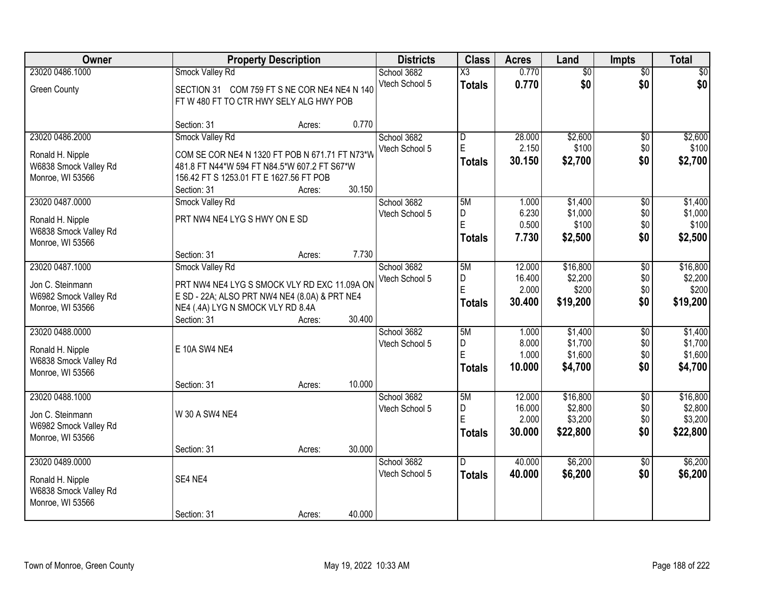| <b>Owner</b>                                                  |                                                                                         | <b>Property Description</b> |        | <b>Districts</b> | <b>Class</b>            | <b>Acres</b> | Land            | <b>Impts</b>    | <b>Total</b> |
|---------------------------------------------------------------|-----------------------------------------------------------------------------------------|-----------------------------|--------|------------------|-------------------------|--------------|-----------------|-----------------|--------------|
| 23020 0486.1000                                               | Smock Valley Rd                                                                         |                             |        | School 3682      | $\overline{\text{X3}}$  | 0.770        | $\overline{50}$ | $\overline{50}$ | $\sqrt{50}$  |
| <b>Green County</b>                                           | SECTION 31 COM 759 FT S NE COR NE4 NE4 N 140<br>FT W 480 FT TO CTR HWY SELY ALG HWY POB |                             |        | Vtech School 5   | <b>Totals</b>           | 0.770        | \$0             | \$0             | \$0          |
|                                                               | Section: 31                                                                             | Acres:                      | 0.770  |                  |                         |              |                 |                 |              |
| 23020 0486.2000                                               | <b>Smock Valley Rd</b>                                                                  |                             |        | School 3682      | $\overline{\mathsf{D}}$ | 28.000       | \$2,600         | $\overline{50}$ | \$2,600      |
| Ronald H. Nipple                                              | COM SE COR NE4 N 1320 FT POB N 671.71 FT N73*W                                          |                             |        | Vtech School 5   | E                       | 2.150        | \$100           | \$0             | \$100        |
| W6838 Smock Valley Rd                                         | 481.8 FT N44*W 594 FT N84.5*W 607.2 FT S67*W                                            |                             |        |                  | <b>Totals</b>           | 30.150       | \$2,700         | \$0             | \$2,700      |
| Monroe, WI 53566                                              | 156.42 FT S 1253.01 FT E 1627.56 FT POB                                                 |                             |        |                  |                         |              |                 |                 |              |
|                                                               | Section: 31                                                                             | Acres:                      | 30.150 |                  |                         |              |                 |                 |              |
| 23020 0487.0000                                               | Smock Valley Rd                                                                         |                             |        | School 3682      | 5M                      | 1.000        | \$1,400         | \$0             | \$1,400      |
| Ronald H. Nipple                                              | PRT NW4 NE4 LYG S HWY ON E SD                                                           |                             |        | Vtech School 5   | D                       | 6.230        | \$1,000         | \$0             | \$1,000      |
| W6838 Smock Valley Rd                                         |                                                                                         |                             |        |                  | E                       | 0.500        | \$100           | \$0             | \$100        |
| Monroe, WI 53566                                              |                                                                                         |                             |        |                  | <b>Totals</b>           | 7.730        | \$2,500         | \$0             | \$2,500      |
|                                                               | Section: 31                                                                             | Acres:                      | 7.730  |                  |                         |              |                 |                 |              |
| 23020 0487.1000                                               | Smock Valley Rd                                                                         |                             |        | School 3682      | 5M                      | 12.000       | \$16,800        | \$0             | \$16,800     |
| Jon C. Steinmann                                              | PRT NW4 NE4 LYG S SMOCK VLY RD EXC 11.09A ON                                            |                             |        | Vtech School 5   | D                       | 16.400       | \$2,200         | \$0             | \$2,200      |
| W6982 Smock Valley Rd                                         | E SD - 22A; ALSO PRT NW4 NE4 (8.0A) & PRT NE4                                           |                             |        |                  | E                       | 2.000        | \$200           | \$0             | \$200        |
| Monroe, WI 53566                                              | NE4 (.4A) LYG N SMOCK VLY RD 8.4A                                                       |                             |        |                  | <b>Totals</b>           | 30.400       | \$19,200        | \$0             | \$19,200     |
|                                                               | Section: 31                                                                             | Acres:                      | 30.400 |                  |                         |              |                 |                 |              |
| 23020 0488.0000                                               |                                                                                         |                             |        | School 3682      | 5M                      | 1.000        | \$1,400         | $\overline{30}$ | \$1,400      |
| Ronald H. Nipple                                              | E 10A SW4 NE4                                                                           |                             |        | Vtech School 5   | D                       | 8.000        | \$1,700         | \$0             | \$1,700      |
| W6838 Smock Valley Rd                                         |                                                                                         |                             |        |                  | E                       | 1.000        | \$1,600         | \$0             | \$1,600      |
| Monroe, WI 53566                                              |                                                                                         |                             |        |                  | <b>Totals</b>           | 10.000       | \$4,700         | \$0             | \$4,700      |
|                                                               | Section: 31                                                                             | Acres:                      | 10.000 |                  |                         |              |                 |                 |              |
| 23020 0488.1000                                               |                                                                                         |                             |        | School 3682      | 5M                      | 12.000       | \$16,800        | $\overline{30}$ | \$16,800     |
| Jon C. Steinmann                                              | W 30 A SW4 NE4                                                                          |                             |        | Vtech School 5   | D                       | 16.000       | \$2,800         | \$0             | \$2,800      |
| W6982 Smock Valley Rd                                         |                                                                                         |                             |        |                  | E                       | 2.000        | \$3,200         | \$0             | \$3,200      |
| Monroe, WI 53566                                              |                                                                                         |                             |        |                  | <b>Totals</b>           | 30.000       | \$22,800        | \$0             | \$22,800     |
|                                                               | Section: 31                                                                             | Acres:                      | 30.000 |                  |                         |              |                 |                 |              |
| 23020 0489.0000                                               |                                                                                         |                             |        | School 3682      | D.                      | 40.000       | \$6,200         | $\overline{50}$ | \$6,200      |
| Ronald H. Nipple<br>W6838 Smock Valley Rd<br>Monroe, WI 53566 | SE4 NE4                                                                                 |                             |        | Vtech School 5   | <b>Totals</b>           | 40.000       | \$6,200         | \$0             | \$6,200      |
|                                                               | Section: 31                                                                             | Acres:                      | 40.000 |                  |                         |              |                 |                 |              |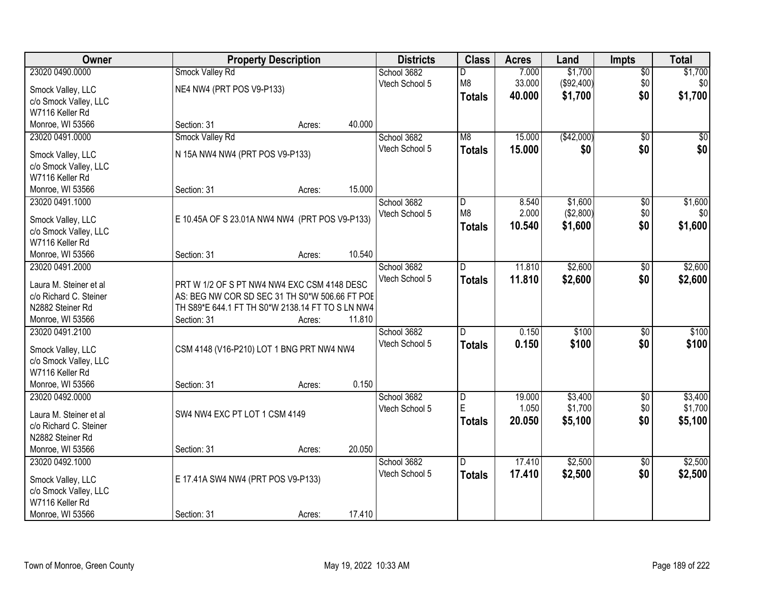| Owner                  |                                                  | <b>Property Description</b> |        | <b>Districts</b> | <b>Class</b>   | <b>Acres</b> | Land       | <b>Impts</b>    | <b>Total</b>     |
|------------------------|--------------------------------------------------|-----------------------------|--------|------------------|----------------|--------------|------------|-----------------|------------------|
| 23020 0490.0000        | Smock Valley Rd                                  |                             |        | School 3682      | D              | 7.000        | \$1,700    | $\sqrt{$0}$     | \$1,700          |
| Smock Valley, LLC      | NE4 NW4 (PRT POS V9-P133)                        |                             |        | Vtech School 5   | M8             | 33.000       | (\$92,400) | \$0             | \$0 <sub>1</sub> |
| c/o Smock Valley, LLC  |                                                  |                             |        |                  | <b>Totals</b>  | 40.000       | \$1,700    | \$0             | \$1,700          |
| W7116 Keller Rd        |                                                  |                             |        |                  |                |              |            |                 |                  |
| Monroe, WI 53566       | Section: 31                                      | Acres:                      | 40.000 |                  |                |              |            |                 |                  |
| 23020 0491.0000        | Smock Valley Rd                                  |                             |        | School 3682      | M <sub>8</sub> | 15.000       | (\$42,000) | $\overline{50}$ | \$0              |
|                        |                                                  |                             |        | Vtech School 5   | <b>Totals</b>  | 15.000       | \$0        | \$0             | \$0              |
| Smock Valley, LLC      | N 15A NW4 NW4 (PRT POS V9-P133)                  |                             |        |                  |                |              |            |                 |                  |
| c/o Smock Valley, LLC  |                                                  |                             |        |                  |                |              |            |                 |                  |
| W7116 Keller Rd        |                                                  |                             |        |                  |                |              |            |                 |                  |
| Monroe, WI 53566       | Section: 31                                      | Acres:                      | 15.000 |                  |                |              |            |                 |                  |
| 23020 0491.1000        |                                                  |                             |        | School 3682      | D              | 8.540        | \$1,600    | \$0             | \$1,600          |
| Smock Valley, LLC      | E 10.45A OF S 23.01A NW4 NW4 (PRT POS V9-P133)   |                             |        | Vtech School 5   | M <sub>8</sub> | 2.000        | (\$2,800)  | \$0             | \$0              |
| c/o Smock Valley, LLC  |                                                  |                             |        |                  | <b>Totals</b>  | 10.540       | \$1,600    | \$0             | \$1,600          |
| W7116 Keller Rd        |                                                  |                             |        |                  |                |              |            |                 |                  |
| Monroe, WI 53566       | Section: 31                                      | Acres:                      | 10.540 |                  |                |              |            |                 |                  |
| 23020 0491.2000        |                                                  |                             |        | School 3682      | ID.            | 11.810       | \$2,600    | \$0             | \$2,600          |
|                        |                                                  |                             |        | Vtech School 5   | <b>Totals</b>  | 11.810       | \$2,600    | \$0             | \$2,600          |
| Laura M. Steiner et al | PRT W 1/2 OF S PT NW4 NW4 EXC CSM 4148 DESC      |                             |        |                  |                |              |            |                 |                  |
| c/o Richard C. Steiner | AS: BEG NW COR SD SEC 31 TH S0*W 506.66 FT POE   |                             |        |                  |                |              |            |                 |                  |
| N2882 Steiner Rd       | TH S89*E 644.1 FT TH S0*W 2138.14 FT TO S LN NW4 |                             |        |                  |                |              |            |                 |                  |
| Monroe, WI 53566       | Section: 31                                      | Acres:                      | 11.810 |                  |                |              |            |                 |                  |
| 23020 0491.2100        |                                                  |                             |        | School 3682      | $\overline{D}$ | 0.150        | \$100      | $\overline{50}$ | \$100            |
| Smock Valley, LLC      | CSM 4148 (V16-P210) LOT 1 BNG PRT NW4 NW4        |                             |        | Vtech School 5   | <b>Totals</b>  | 0.150        | \$100      | \$0             | \$100            |
| c/o Smock Valley, LLC  |                                                  |                             |        |                  |                |              |            |                 |                  |
| W7116 Keller Rd        |                                                  |                             |        |                  |                |              |            |                 |                  |
| Monroe, WI 53566       | Section: 31                                      | Acres:                      | 0.150  |                  |                |              |            |                 |                  |
| 23020 0492.0000        |                                                  |                             |        | School 3682      | D              | 19.000       | \$3,400    | $\overline{50}$ | \$3,400          |
|                        |                                                  |                             |        | Vtech School 5   | E              | 1.050        | \$1,700    | \$0             | \$1,700          |
| Laura M. Steiner et al | SW4 NW4 EXC PT LOT 1 CSM 4149                    |                             |        |                  | <b>Totals</b>  | 20.050       | \$5,100    | \$0             | \$5,100          |
| c/o Richard C. Steiner |                                                  |                             |        |                  |                |              |            |                 |                  |
| N2882 Steiner Rd       |                                                  |                             |        |                  |                |              |            |                 |                  |
| Monroe, WI 53566       | Section: 31                                      | Acres:                      | 20.050 |                  |                |              |            |                 |                  |
| 23020 0492.1000        |                                                  |                             |        | School 3682      | D.             | 17.410       | \$2,500    | $\overline{50}$ | \$2,500          |
| Smock Valley, LLC      | E 17.41A SW4 NW4 (PRT POS V9-P133)               |                             |        | Vtech School 5   | <b>Totals</b>  | 17.410       | \$2,500    | \$0             | \$2,500          |
| c/o Smock Valley, LLC  |                                                  |                             |        |                  |                |              |            |                 |                  |
| W7116 Keller Rd        |                                                  |                             |        |                  |                |              |            |                 |                  |
| Monroe, WI 53566       | Section: 31                                      | Acres:                      | 17.410 |                  |                |              |            |                 |                  |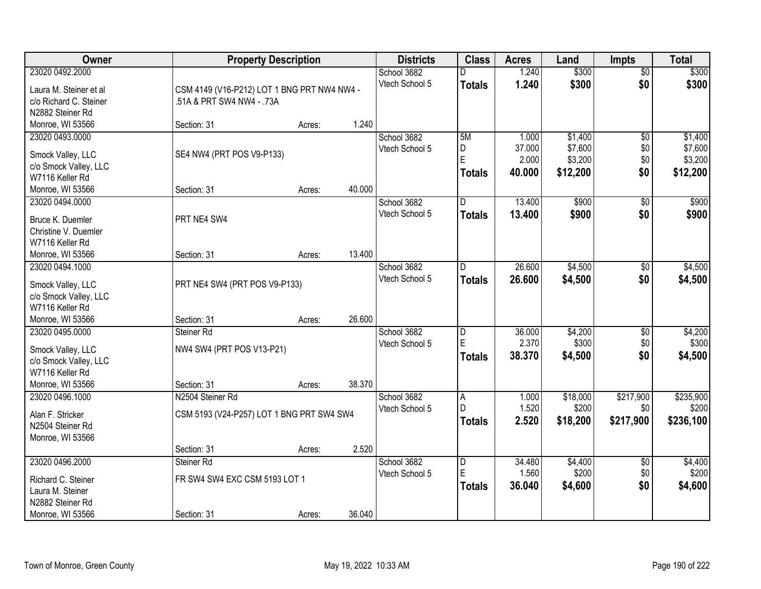| \$300<br>23020 0492.2000<br>1.240<br>\$300<br>School 3682<br>$\overline{50}$<br>D<br>\$0<br>Vtech School 5<br>1.240<br>\$300<br>\$300<br><b>Totals</b><br>CSM 4149 (V16-P212) LOT 1 BNG PRT NW4 NW4 -<br>Laura M. Steiner et al<br>c/o Richard C. Steiner<br>.51A & PRT SW4 NW4 - .73A<br>N2882 Steiner Rd<br>1.240<br>Monroe, WI 53566<br>Section: 31<br>Acres:<br>5M<br>\$1,400<br>23020 0493.0000<br>School 3682<br>$\overline{50}$<br>1.000<br>D<br>37.000<br>\$7,600<br>\$0<br>Vtech School 5<br>SE4 NW4 (PRT POS V9-P133)<br>Smock Valley, LLC<br>E<br>2.000<br>\$3,200<br>\$0<br>c/o Smock Valley, LLC<br>\$0<br>40.000<br>\$12,200<br>\$12,200<br><b>Totals</b><br>W7116 Keller Rd<br>40.000<br>Section: 31<br>Monroe, WI 53566<br>Acres:<br>\$900<br>23020 0494.0000<br>School 3682<br>13.400<br>\$0<br>D<br>Vtech School 5<br>\$0<br>13.400<br>\$900<br><b>Totals</b><br>Bruce K. Duemler<br>PRT NE4 SW4<br>Christine V. Duemler<br>W7116 Keller Rd<br>13.400<br>Section: 31<br>Monroe, WI 53566<br>Acres:<br>26.600<br>\$4,500<br>23020 0494.1000<br>School 3682<br>$\sqrt[6]{3}$<br>D<br>Vtech School 5<br>\$0<br>26,600<br>\$4,500<br><b>Totals</b><br>PRT NE4 SW4 (PRT POS V9-P133)<br>Smock Valley, LLC |
|------------------------------------------------------------------------------------------------------------------------------------------------------------------------------------------------------------------------------------------------------------------------------------------------------------------------------------------------------------------------------------------------------------------------------------------------------------------------------------------------------------------------------------------------------------------------------------------------------------------------------------------------------------------------------------------------------------------------------------------------------------------------------------------------------------------------------------------------------------------------------------------------------------------------------------------------------------------------------------------------------------------------------------------------------------------------------------------------------------------------------------------------------------------------------------------------------------------------|
|                                                                                                                                                                                                                                                                                                                                                                                                                                                                                                                                                                                                                                                                                                                                                                                                                                                                                                                                                                                                                                                                                                                                                                                                                        |
|                                                                                                                                                                                                                                                                                                                                                                                                                                                                                                                                                                                                                                                                                                                                                                                                                                                                                                                                                                                                                                                                                                                                                                                                                        |
|                                                                                                                                                                                                                                                                                                                                                                                                                                                                                                                                                                                                                                                                                                                                                                                                                                                                                                                                                                                                                                                                                                                                                                                                                        |
| \$1,400<br>\$7,600<br>\$3,200<br>\$900<br>\$900<br>\$4,500<br>\$4,500                                                                                                                                                                                                                                                                                                                                                                                                                                                                                                                                                                                                                                                                                                                                                                                                                                                                                                                                                                                                                                                                                                                                                  |
|                                                                                                                                                                                                                                                                                                                                                                                                                                                                                                                                                                                                                                                                                                                                                                                                                                                                                                                                                                                                                                                                                                                                                                                                                        |
|                                                                                                                                                                                                                                                                                                                                                                                                                                                                                                                                                                                                                                                                                                                                                                                                                                                                                                                                                                                                                                                                                                                                                                                                                        |
|                                                                                                                                                                                                                                                                                                                                                                                                                                                                                                                                                                                                                                                                                                                                                                                                                                                                                                                                                                                                                                                                                                                                                                                                                        |
|                                                                                                                                                                                                                                                                                                                                                                                                                                                                                                                                                                                                                                                                                                                                                                                                                                                                                                                                                                                                                                                                                                                                                                                                                        |
|                                                                                                                                                                                                                                                                                                                                                                                                                                                                                                                                                                                                                                                                                                                                                                                                                                                                                                                                                                                                                                                                                                                                                                                                                        |
|                                                                                                                                                                                                                                                                                                                                                                                                                                                                                                                                                                                                                                                                                                                                                                                                                                                                                                                                                                                                                                                                                                                                                                                                                        |
|                                                                                                                                                                                                                                                                                                                                                                                                                                                                                                                                                                                                                                                                                                                                                                                                                                                                                                                                                                                                                                                                                                                                                                                                                        |
|                                                                                                                                                                                                                                                                                                                                                                                                                                                                                                                                                                                                                                                                                                                                                                                                                                                                                                                                                                                                                                                                                                                                                                                                                        |
|                                                                                                                                                                                                                                                                                                                                                                                                                                                                                                                                                                                                                                                                                                                                                                                                                                                                                                                                                                                                                                                                                                                                                                                                                        |
|                                                                                                                                                                                                                                                                                                                                                                                                                                                                                                                                                                                                                                                                                                                                                                                                                                                                                                                                                                                                                                                                                                                                                                                                                        |
|                                                                                                                                                                                                                                                                                                                                                                                                                                                                                                                                                                                                                                                                                                                                                                                                                                                                                                                                                                                                                                                                                                                                                                                                                        |
|                                                                                                                                                                                                                                                                                                                                                                                                                                                                                                                                                                                                                                                                                                                                                                                                                                                                                                                                                                                                                                                                                                                                                                                                                        |
|                                                                                                                                                                                                                                                                                                                                                                                                                                                                                                                                                                                                                                                                                                                                                                                                                                                                                                                                                                                                                                                                                                                                                                                                                        |
|                                                                                                                                                                                                                                                                                                                                                                                                                                                                                                                                                                                                                                                                                                                                                                                                                                                                                                                                                                                                                                                                                                                                                                                                                        |
| c/o Smock Valley, LLC                                                                                                                                                                                                                                                                                                                                                                                                                                                                                                                                                                                                                                                                                                                                                                                                                                                                                                                                                                                                                                                                                                                                                                                                  |
| W7116 Keller Rd                                                                                                                                                                                                                                                                                                                                                                                                                                                                                                                                                                                                                                                                                                                                                                                                                                                                                                                                                                                                                                                                                                                                                                                                        |
| 26.600<br>Monroe, WI 53566<br>Section: 31<br>Acres:                                                                                                                                                                                                                                                                                                                                                                                                                                                                                                                                                                                                                                                                                                                                                                                                                                                                                                                                                                                                                                                                                                                                                                    |
| Steiner Rd<br>36.000<br>\$4,200<br>$\overline{50}$<br>\$4,200<br>23020 0495.0000<br>School 3682<br>D<br>E                                                                                                                                                                                                                                                                                                                                                                                                                                                                                                                                                                                                                                                                                                                                                                                                                                                                                                                                                                                                                                                                                                              |
| 2.370<br>\$300<br>\$300<br>\$0<br>Vtech School 5<br>NW4 SW4 (PRT POS V13-P21)<br>Smock Valley, LLC                                                                                                                                                                                                                                                                                                                                                                                                                                                                                                                                                                                                                                                                                                                                                                                                                                                                                                                                                                                                                                                                                                                     |
| 38.370<br>\$4,500<br>\$0<br>\$4,500<br><b>Totals</b><br>c/o Smock Valley, LLC                                                                                                                                                                                                                                                                                                                                                                                                                                                                                                                                                                                                                                                                                                                                                                                                                                                                                                                                                                                                                                                                                                                                          |
| W7116 Keller Rd                                                                                                                                                                                                                                                                                                                                                                                                                                                                                                                                                                                                                                                                                                                                                                                                                                                                                                                                                                                                                                                                                                                                                                                                        |
| 38.370<br>Monroe, WI 53566<br>Section: 31<br>Acres:                                                                                                                                                                                                                                                                                                                                                                                                                                                                                                                                                                                                                                                                                                                                                                                                                                                                                                                                                                                                                                                                                                                                                                    |
| \$217,900<br>\$235,900<br>23020 0496.1000<br>N2504 Steiner Rd<br>School 3682<br>1.000<br>\$18,000<br>A                                                                                                                                                                                                                                                                                                                                                                                                                                                                                                                                                                                                                                                                                                                                                                                                                                                                                                                                                                                                                                                                                                                 |
| 1.520<br>\$200<br>\$200<br>D<br>\$0<br>Vtech School 5<br>Alan F. Stricker<br>CSM 5193 (V24-P257) LOT 1 BNG PRT SW4 SW4                                                                                                                                                                                                                                                                                                                                                                                                                                                                                                                                                                                                                                                                                                                                                                                                                                                                                                                                                                                                                                                                                                 |
| \$217,900<br>2.520<br>\$18,200<br>\$236,100<br><b>Totals</b><br>N2504 Steiner Rd                                                                                                                                                                                                                                                                                                                                                                                                                                                                                                                                                                                                                                                                                                                                                                                                                                                                                                                                                                                                                                                                                                                                       |
| Monroe, WI 53566                                                                                                                                                                                                                                                                                                                                                                                                                                                                                                                                                                                                                                                                                                                                                                                                                                                                                                                                                                                                                                                                                                                                                                                                       |
| 2.520<br>Section: 31<br>Acres:                                                                                                                                                                                                                                                                                                                                                                                                                                                                                                                                                                                                                                                                                                                                                                                                                                                                                                                                                                                                                                                                                                                                                                                         |
| 23020 0496.2000<br>\$4,400<br>\$4,400<br>Steiner Rd<br>School 3682<br>$\overline{D}$<br>34.480<br>$\overline{50}$                                                                                                                                                                                                                                                                                                                                                                                                                                                                                                                                                                                                                                                                                                                                                                                                                                                                                                                                                                                                                                                                                                      |
| E<br>1.560<br>\$200<br>\$0<br>\$200<br>Vtech School 5<br>FR SW4 SW4 EXC CSM 5193 LOT 1                                                                                                                                                                                                                                                                                                                                                                                                                                                                                                                                                                                                                                                                                                                                                                                                                                                                                                                                                                                                                                                                                                                                 |
| Richard C. Steiner<br>\$0<br>\$4,600<br>\$4,600<br>36.040<br><b>Totals</b><br>Laura M. Steiner                                                                                                                                                                                                                                                                                                                                                                                                                                                                                                                                                                                                                                                                                                                                                                                                                                                                                                                                                                                                                                                                                                                         |
| N2882 Steiner Rd                                                                                                                                                                                                                                                                                                                                                                                                                                                                                                                                                                                                                                                                                                                                                                                                                                                                                                                                                                                                                                                                                                                                                                                                       |
| 36.040<br>Monroe, WI 53566<br>Section: 31<br>Acres:                                                                                                                                                                                                                                                                                                                                                                                                                                                                                                                                                                                                                                                                                                                                                                                                                                                                                                                                                                                                                                                                                                                                                                    |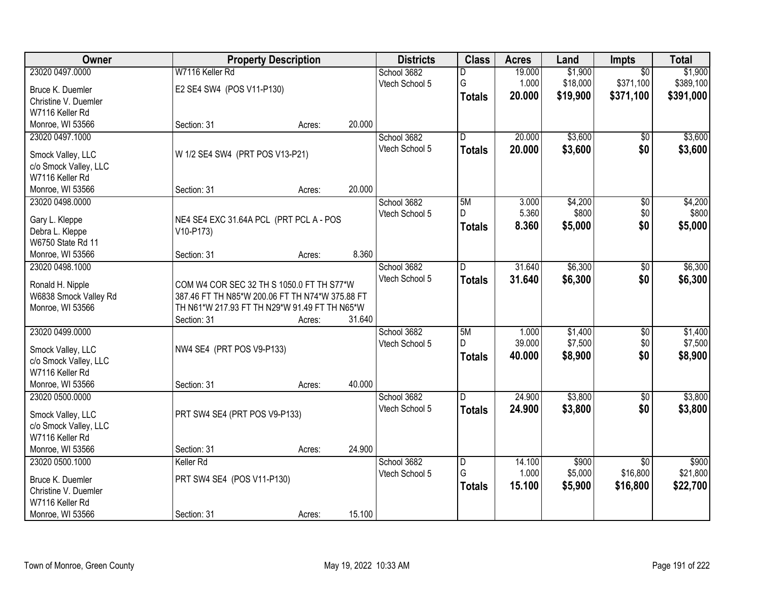| Owner                 |                                                                                                  | <b>Property Description</b> |        | <b>Districts</b> | <b>Class</b>            | <b>Acres</b> | Land     | Impts           | <b>Total</b> |
|-----------------------|--------------------------------------------------------------------------------------------------|-----------------------------|--------|------------------|-------------------------|--------------|----------|-----------------|--------------|
| 23020 0497.0000       | W7116 Keller Rd                                                                                  |                             |        | School 3682      | D                       | 19.000       | \$1,900  | $\overline{50}$ | \$1,900      |
| Bruce K. Duemler      | E2 SE4 SW4 (POS V11-P130)                                                                        |                             |        | Vtech School 5   | G                       | 1.000        | \$18,000 | \$371,100       | \$389,100    |
| Christine V. Duemler  |                                                                                                  |                             |        |                  | <b>Totals</b>           | 20.000       | \$19,900 | \$371,100       | \$391,000    |
| W7116 Keller Rd       |                                                                                                  |                             |        |                  |                         |              |          |                 |              |
| Monroe, WI 53566      | Section: 31                                                                                      | Acres:                      | 20.000 |                  |                         |              |          |                 |              |
| 23020 0497.1000       |                                                                                                  |                             |        | School 3682      | $\overline{\mathsf{D}}$ | 20.000       | \$3,600  | \$0             | \$3,600      |
|                       |                                                                                                  |                             |        | Vtech School 5   | <b>Totals</b>           | 20.000       | \$3,600  | \$0             | \$3,600      |
| Smock Valley, LLC     | W 1/2 SE4 SW4 (PRT POS V13-P21)                                                                  |                             |        |                  |                         |              |          |                 |              |
| c/o Smock Valley, LLC |                                                                                                  |                             |        |                  |                         |              |          |                 |              |
| W7116 Keller Rd       |                                                                                                  |                             |        |                  |                         |              |          |                 |              |
| Monroe, WI 53566      | Section: 31                                                                                      | Acres:                      | 20.000 |                  |                         |              |          |                 |              |
| 23020 0498.0000       |                                                                                                  |                             |        | School 3682      | 5M                      | 3.000        | \$4,200  | \$0             | \$4,200      |
| Gary L. Kleppe        | NE4 SE4 EXC 31.64A PCL (PRT PCL A - POS                                                          |                             |        | Vtech School 5   | D                       | 5.360        | \$800    | \$0             | \$800        |
| Debra L. Kleppe       | V10-P173)                                                                                        |                             |        |                  | <b>Totals</b>           | 8.360        | \$5,000  | \$0             | \$5,000      |
| W6750 State Rd 11     |                                                                                                  |                             |        |                  |                         |              |          |                 |              |
| Monroe, WI 53566      | Section: 31                                                                                      | Acres:                      | 8.360  |                  |                         |              |          |                 |              |
| 23020 0498.1000       |                                                                                                  |                             |        | School 3682      | D.                      | 31.640       | \$6,300  | \$0             | \$6,300      |
|                       |                                                                                                  |                             |        | Vtech School 5   | <b>Totals</b>           | 31.640       | \$6,300  | \$0             | \$6,300      |
| Ronald H. Nipple      | COM W4 COR SEC 32 TH S 1050.0 FT TH S77*W                                                        |                             |        |                  |                         |              |          |                 |              |
| W6838 Smock Valley Rd | 387.46 FT TH N85*W 200.06 FT TH N74*W 375.88 FT<br>TH N61*W 217.93 FT TH N29*W 91.49 FT TH N65*W |                             |        |                  |                         |              |          |                 |              |
| Monroe, WI 53566      | Section: 31                                                                                      |                             | 31.640 |                  |                         |              |          |                 |              |
| 23020 0499.0000       |                                                                                                  | Acres:                      |        | School 3682      | 5M                      | 1.000        | \$1,400  | $\overline{50}$ | \$1,400      |
|                       |                                                                                                  |                             |        |                  | D.                      | 39.000       | \$7,500  | \$0             | \$7,500      |
| Smock Valley, LLC     | NW4 SE4 (PRT POS V9-P133)                                                                        |                             |        | Vtech School 5   |                         | 40.000       | \$8,900  | \$0             |              |
| c/o Smock Valley, LLC |                                                                                                  |                             |        |                  | <b>Totals</b>           |              |          |                 | \$8,900      |
| W7116 Keller Rd       |                                                                                                  |                             |        |                  |                         |              |          |                 |              |
| Monroe, WI 53566      | Section: 31                                                                                      | Acres:                      | 40.000 |                  |                         |              |          |                 |              |
| 23020 0500.0000       |                                                                                                  |                             |        | School 3682      | D                       | 24.900       | \$3,800  | $\overline{50}$ | \$3,800      |
| Smock Valley, LLC     | PRT SW4 SE4 (PRT POS V9-P133)                                                                    |                             |        | Vtech School 5   | <b>Totals</b>           | 24.900       | \$3,800  | \$0             | \$3,800      |
| c/o Smock Valley, LLC |                                                                                                  |                             |        |                  |                         |              |          |                 |              |
| W7116 Keller Rd       |                                                                                                  |                             |        |                  |                         |              |          |                 |              |
| Monroe, WI 53566      | Section: 31                                                                                      | Acres:                      | 24.900 |                  |                         |              |          |                 |              |
| 23020 0500.1000       | Keller Rd                                                                                        |                             |        | School 3682      | D                       | 14.100       | \$900    | $\overline{30}$ | \$900        |
|                       |                                                                                                  |                             |        | Vtech School 5   | G                       | 1.000        | \$5,000  | \$16,800        | \$21,800     |
| Bruce K. Duemler      | PRT SW4 SE4 (POS V11-P130)                                                                       |                             |        |                  | <b>Totals</b>           | 15.100       | \$5,900  | \$16,800        | \$22,700     |
| Christine V. Duemler  |                                                                                                  |                             |        |                  |                         |              |          |                 |              |
| W7116 Keller Rd       |                                                                                                  |                             |        |                  |                         |              |          |                 |              |
| Monroe, WI 53566      | Section: 31                                                                                      | Acres:                      | 15.100 |                  |                         |              |          |                 |              |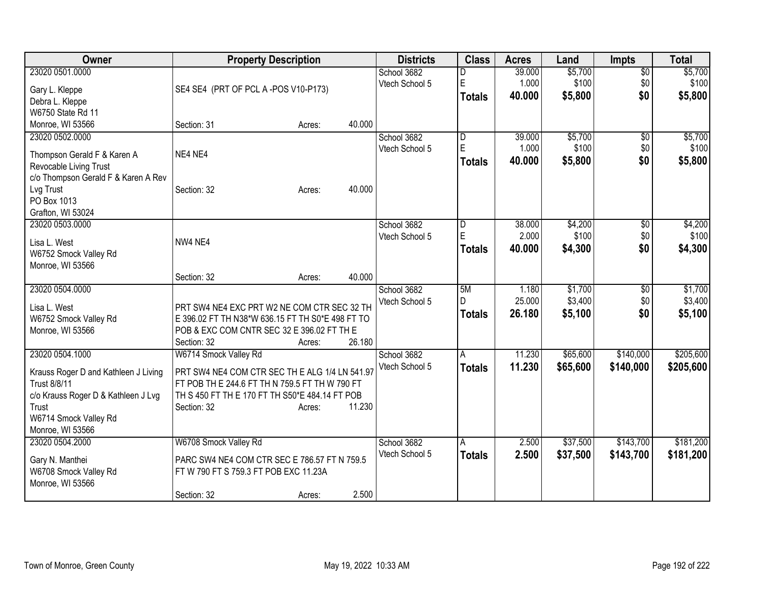| Owner                                        | <b>Property Description</b>                      |        | <b>Districts</b> | <b>Class</b>            | <b>Acres</b> | Land     | <b>Impts</b>    | <b>Total</b> |
|----------------------------------------------|--------------------------------------------------|--------|------------------|-------------------------|--------------|----------|-----------------|--------------|
| 23020 0501.0000                              |                                                  |        | School 3682      | D                       | 39.000       | \$5,700  | $\overline{50}$ | \$5,700      |
| Gary L. Kleppe                               | SE4 SE4 (PRT OF PCL A-POS V10-P173)              |        | Vtech School 5   | E                       | 1.000        | \$100    | \$0             | \$100        |
| Debra L. Kleppe                              |                                                  |        |                  | <b>Totals</b>           | 40.000       | \$5,800  | \$0             | \$5,800      |
| W6750 State Rd 11                            |                                                  |        |                  |                         |              |          |                 |              |
| Monroe, WI 53566                             | Section: 31<br>Acres:                            | 40.000 |                  |                         |              |          |                 |              |
| 23020 0502.0000                              |                                                  |        | School 3682      | D                       | 39.000       | \$5,700  | $\sqrt{6}$      | \$5,700      |
| Thompson Gerald F & Karen A                  | NE4 NE4                                          |        | Vtech School 5   | E                       | 1.000        | \$100    | \$0             | \$100        |
| Revocable Living Trust                       |                                                  |        |                  | <b>Totals</b>           | 40.000       | \$5,800  | \$0             | \$5,800      |
| c/o Thompson Gerald F & Karen A Rev          |                                                  |        |                  |                         |              |          |                 |              |
| Lvg Trust                                    | Section: 32<br>Acres:                            | 40.000 |                  |                         |              |          |                 |              |
| PO Box 1013                                  |                                                  |        |                  |                         |              |          |                 |              |
| Grafton, WI 53024                            |                                                  |        |                  |                         |              |          |                 |              |
| 23020 0503.0000                              |                                                  |        | School 3682      | $\overline{\mathsf{D}}$ | 38.000       | \$4,200  | \$0             | \$4,200      |
| Lisa L. West                                 | NW4 NE4                                          |        | Vtech School 5   | E                       | 2.000        | \$100    | \$0             | \$100        |
| W6752 Smock Valley Rd                        |                                                  |        |                  | <b>Totals</b>           | 40.000       | \$4,300  | \$0             | \$4,300      |
| Monroe, WI 53566                             |                                                  |        |                  |                         |              |          |                 |              |
|                                              | Section: 32<br>Acres:                            | 40.000 |                  |                         |              |          |                 |              |
| 23020 0504.0000                              |                                                  |        | School 3682      | 5M                      | 1.180        | \$1,700  | $\overline{50}$ | \$1,700      |
| Lisa L. West                                 | PRT SW4 NE4 EXC PRT W2 NE COM CTR SEC 32 TH      |        | Vtech School 5   | D.                      | 25.000       | \$3,400  | \$0             | \$3,400      |
| W6752 Smock Valley Rd                        | E 396.02 FT TH N38*W 636.15 FT TH S0*E 498 FT TO |        |                  | <b>Totals</b>           | 26.180       | \$5,100  | \$0             | \$5,100      |
| Monroe, WI 53566                             | POB & EXC COM CNTR SEC 32 E 396.02 FT TH E       |        |                  |                         |              |          |                 |              |
|                                              | Section: 32<br>Acres:                            | 26.180 |                  |                         |              |          |                 |              |
| 23020 0504.1000                              | W6714 Smock Valley Rd                            |        | School 3682      | A                       | 11.230       | \$65,600 | \$140,000       | \$205,600    |
|                                              |                                                  |        | Vtech School 5   | <b>Totals</b>           | 11.230       | \$65,600 | \$140,000       | \$205,600    |
| Krauss Roger D and Kathleen J Living         | PRT SW4 NE4 COM CTR SEC TH E ALG 1/4 LN 541.97   |        |                  |                         |              |          |                 |              |
| Trust 8/8/11                                 | FT POB TH E 244.6 FT TH N 759.5 FT TH W 790 FT   |        |                  |                         |              |          |                 |              |
| c/o Krauss Roger D & Kathleen J Lvg<br>Trust | TH S 450 FT TH E 170 FT TH S50*E 484.14 FT POB   | 11.230 |                  |                         |              |          |                 |              |
| W6714 Smock Valley Rd                        | Section: 32<br>Acres:                            |        |                  |                         |              |          |                 |              |
| Monroe, WI 53566                             |                                                  |        |                  |                         |              |          |                 |              |
| 23020 0504.2000                              | W6708 Smock Valley Rd                            |        | School 3682      | A                       | 2.500        | \$37,500 | \$143,700       | \$181,200    |
|                                              |                                                  |        | Vtech School 5   | <b>Totals</b>           | 2.500        | \$37,500 | \$143,700       | \$181,200    |
| Gary N. Manthei                              | PARC SW4 NE4 COM CTR SEC E 786.57 FT N 759.5     |        |                  |                         |              |          |                 |              |
| W6708 Smock Valley Rd                        | FT W 790 FT S 759.3 FT POB EXC 11.23A            |        |                  |                         |              |          |                 |              |
| Monroe, WI 53566                             |                                                  |        |                  |                         |              |          |                 |              |
|                                              | Section: 32<br>Acres:                            | 2.500  |                  |                         |              |          |                 |              |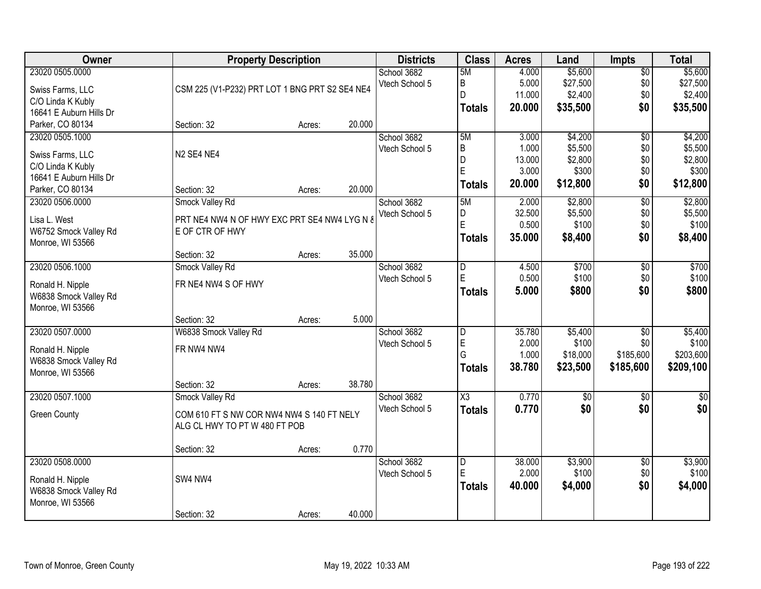| Owner                                                                                                   | <b>Property Description</b>                                                        |        |        | <b>Districts</b>              | <b>Class</b>                                  | <b>Acres</b>                                | Land                                               | Impts                                            | <b>Total</b>                                       |
|---------------------------------------------------------------------------------------------------------|------------------------------------------------------------------------------------|--------|--------|-------------------------------|-----------------------------------------------|---------------------------------------------|----------------------------------------------------|--------------------------------------------------|----------------------------------------------------|
| 23020 0505.0000<br>Swiss Farms, LLC<br>C/O Linda K Kubly                                                | CSM 225 (V1-P232) PRT LOT 1 BNG PRT S2 SE4 NE4                                     |        |        | School 3682<br>Vtech School 5 | 5M<br>B<br>D                                  | 4.000<br>5.000<br>11.000                    | \$5,600<br>\$27,500<br>\$2,400                     | $\overline{50}$<br>\$0<br>\$0                    | \$5,600<br>\$27,500<br>\$2,400                     |
| 16641 E Auburn Hills Dr<br>Parker, CO 80134                                                             | Section: 32                                                                        | Acres: | 20.000 |                               | <b>Totals</b>                                 | 20.000                                      | \$35,500                                           | \$0                                              | \$35,500                                           |
| 23020 0505.1000<br>Swiss Farms, LLC<br>C/O Linda K Kubly<br>16641 E Auburn Hills Dr<br>Parker, CO 80134 | N <sub>2</sub> SE <sub>4</sub> NE <sub>4</sub><br>Section: 32                      | Acres: | 20.000 | School 3682<br>Vtech School 5 | 5M<br>B<br>D<br>E<br><b>Totals</b>            | 3.000<br>1.000<br>13.000<br>3.000<br>20.000 | \$4,200<br>\$5,500<br>\$2,800<br>\$300<br>\$12,800 | $\overline{50}$<br>\$0<br>\$0<br>\$0<br>\$0      | \$4,200<br>\$5,500<br>\$2,800<br>\$300<br>\$12,800 |
| 23020 0506.0000<br>Lisa L. West<br>W6752 Smock Valley Rd<br>Monroe, WI 53566                            | Smock Valley Rd<br>PRT NE4 NW4 N OF HWY EXC PRT SE4 NW4 LYG N &<br>E OF CTR OF HWY |        |        | School 3682<br>Vtech School 5 | 5M<br>D<br>E<br><b>Totals</b>                 | 2.000<br>32.500<br>0.500<br>35,000          | \$2,800<br>\$5,500<br>\$100<br>\$8,400             | $\overline{50}$<br>\$0<br>\$0<br>\$0             | \$2,800<br>\$5,500<br>\$100<br>\$8,400             |
| 23020 0506.1000<br>Ronald H. Nipple                                                                     | Section: 32<br>Smock Valley Rd<br>FR NE4 NW4 S OF HWY                              | Acres: | 35.000 | School 3682<br>Vtech School 5 | D<br>E                                        | 4.500<br>0.500<br>5.000                     | \$700<br>\$100<br>\$800                            | \$0<br>\$0<br>\$0                                | \$700<br>\$100<br>\$800                            |
| W6838 Smock Valley Rd<br>Monroe, WI 53566                                                               | Section: 32                                                                        | Acres: | 5.000  |                               | <b>Totals</b>                                 |                                             |                                                    |                                                  |                                                    |
| 23020 0507.0000<br>Ronald H. Nipple<br>W6838 Smock Valley Rd<br>Monroe, WI 53566                        | W6838 Smock Valley Rd<br>FR NW4 NW4                                                |        |        | School 3682<br>Vtech School 5 | D<br>E<br>G<br><b>Totals</b>                  | 35.780<br>2.000<br>1.000<br>38.780          | \$5,400<br>\$100<br>\$18,000<br>\$23,500           | $\overline{50}$<br>\$0<br>\$185,600<br>\$185,600 | \$5,400<br>\$100<br>\$203,600<br>\$209,100         |
| 23020 0507.1000                                                                                         | Section: 32<br>Smock Valley Rd                                                     | Acres: | 38.780 | School 3682                   | $\overline{\text{X3}}$                        | 0.770                                       | $\sqrt{6}$                                         | $\overline{50}$                                  | $\overline{50}$                                    |
| <b>Green County</b>                                                                                     | COM 610 FT S NW COR NW4 NW4 S 140 FT NELY<br>ALG CL HWY TO PT W 480 FT POB         |        |        | Vtech School 5                | <b>Totals</b>                                 | 0.770                                       | \$0                                                | \$0                                              | \$0                                                |
|                                                                                                         | Section: 32                                                                        | Acres: | 0.770  |                               |                                               |                                             |                                                    |                                                  |                                                    |
| 23020 0508.0000<br>Ronald H. Nipple<br>W6838 Smock Valley Rd<br>Monroe, WI 53566                        | SW4 NW4                                                                            |        |        | School 3682<br>Vtech School 5 | $\overline{\mathsf{D}}$<br>E<br><b>Totals</b> | 38.000<br>2.000<br>40.000                   | \$3,900<br>\$100<br>\$4,000                        | $\overline{50}$<br>\$0<br>\$0                    | \$3,900<br>\$100<br>\$4,000                        |
|                                                                                                         | Section: 32                                                                        | Acres: | 40.000 |                               |                                               |                                             |                                                    |                                                  |                                                    |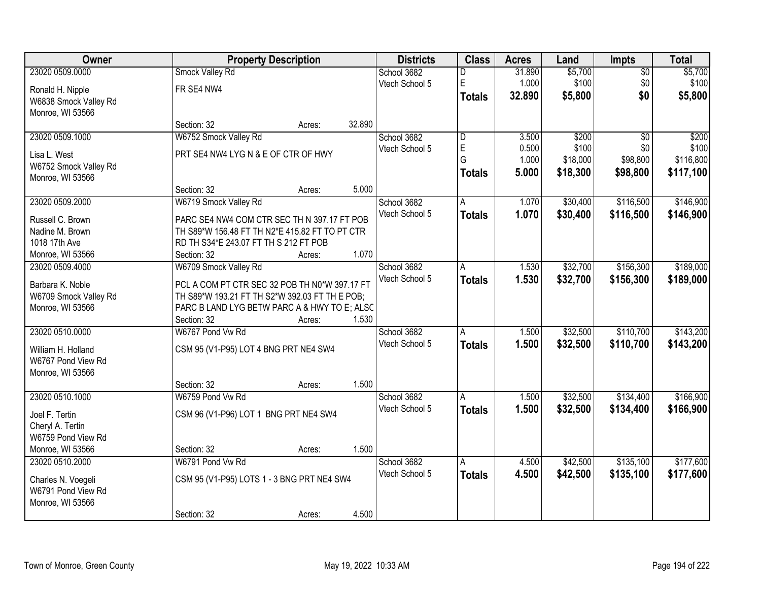| <b>Owner</b>          |                                                | <b>Property Description</b> |        | <b>Districts</b> | <b>Class</b>            | <b>Acres</b> | Land     | Impts           | <b>Total</b> |
|-----------------------|------------------------------------------------|-----------------------------|--------|------------------|-------------------------|--------------|----------|-----------------|--------------|
| 23020 0509.0000       | Smock Valley Rd                                |                             |        | School 3682      | D                       | 31.890       | \$5,700  | $\overline{50}$ | \$5,700      |
| Ronald H. Nipple      | FR SE4 NW4                                     |                             |        | Vtech School 5   | E                       | 1.000        | \$100    | \$0             | \$100        |
| W6838 Smock Valley Rd |                                                |                             |        |                  | <b>Totals</b>           | 32.890       | \$5,800  | \$0             | \$5,800      |
| Monroe, WI 53566      |                                                |                             |        |                  |                         |              |          |                 |              |
|                       | Section: 32                                    | Acres:                      | 32.890 |                  |                         |              |          |                 |              |
| 23020 0509.1000       | W6752 Smock Valley Rd                          |                             |        | School 3682      | $\overline{\mathsf{D}}$ | 3.500        | \$200    | $\overline{50}$ | \$200        |
| Lisa L. West          | PRT SE4 NW4 LYG N & E OF CTR OF HWY            |                             |        | Vtech School 5   | E                       | 0.500        | \$100    | \$0             | \$100        |
| W6752 Smock Valley Rd |                                                |                             |        |                  | G                       | 1.000        | \$18,000 | \$98,800        | \$116,800    |
| Monroe, WI 53566      |                                                |                             |        |                  | <b>Totals</b>           | 5.000        | \$18,300 | \$98,800        | \$117,100    |
|                       | Section: 32                                    | Acres:                      | 5.000  |                  |                         |              |          |                 |              |
| 23020 0509.2000       | W6719 Smock Valley Rd                          |                             |        | School 3682      | A                       | 1.070        | \$30,400 | \$116,500       | \$146,900    |
| Russell C. Brown      | PARC SE4 NW4 COM CTR SEC TH N 397.17 FT POB    |                             |        | Vtech School 5   | <b>Totals</b>           | 1.070        | \$30,400 | \$116,500       | \$146,900    |
| Nadine M. Brown       | TH S89*W 156.48 FT TH N2*E 415.82 FT TO PT CTR |                             |        |                  |                         |              |          |                 |              |
| 1018 17th Ave         | RD TH S34*E 243.07 FT TH S 212 FT POB          |                             |        |                  |                         |              |          |                 |              |
| Monroe, WI 53566      | Section: 32                                    | Acres:                      | 1.070  |                  |                         |              |          |                 |              |
| 23020 0509.4000       | W6709 Smock Valley Rd                          |                             |        | School 3682      | A                       | 1.530        | \$32,700 | \$156,300       | \$189,000    |
|                       |                                                |                             |        | Vtech School 5   | <b>Totals</b>           | 1.530        | \$32,700 | \$156,300       | \$189,000    |
| Barbara K. Noble      | PCL A COM PT CTR SEC 32 POB TH N0*W 397.17 FT  |                             |        |                  |                         |              |          |                 |              |
| W6709 Smock Valley Rd | TH S89*W 193.21 FT TH S2*W 392.03 FT TH E POB; |                             |        |                  |                         |              |          |                 |              |
| Monroe, WI 53566      | PARC B LAND LYG BETW PARC A & HWY TO E; ALSC   |                             |        |                  |                         |              |          |                 |              |
|                       | Section: 32                                    | Acres:                      | 1.530  |                  |                         |              |          |                 |              |
| 23020 0510.0000       | W6767 Pond Vw Rd                               |                             |        | School 3682      | $\overline{A}$          | 1.500        | \$32,500 | \$110,700       | \$143,200    |
| William H. Holland    | CSM 95 (V1-P95) LOT 4 BNG PRT NE4 SW4          |                             |        | Vtech School 5   | <b>Totals</b>           | 1.500        | \$32,500 | \$110,700       | \$143,200    |
| W6767 Pond View Rd    |                                                |                             |        |                  |                         |              |          |                 |              |
| Monroe, WI 53566      |                                                |                             |        |                  |                         |              |          |                 |              |
|                       | Section: 32                                    | Acres:                      | 1.500  |                  |                         |              |          |                 |              |
| 23020 0510.1000       | W6759 Pond Vw Rd                               |                             |        | School 3682      | A                       | 1.500        | \$32,500 | \$134,400       | \$166,900    |
| Joel F. Tertin        | CSM 96 (V1-P96) LOT 1 BNG PRT NE4 SW4          |                             |        | Vtech School 5   | <b>Totals</b>           | 1.500        | \$32,500 | \$134,400       | \$166,900    |
| Cheryl A. Tertin      |                                                |                             |        |                  |                         |              |          |                 |              |
| W6759 Pond View Rd    |                                                |                             |        |                  |                         |              |          |                 |              |
| Monroe, WI 53566      | Section: 32                                    | Acres:                      | 1.500  |                  |                         |              |          |                 |              |
| 23020 0510.2000       | W6791 Pond Vw Rd                               |                             |        | School 3682      | A                       | 4.500        | \$42,500 | \$135,100       | \$177,600    |
| Charles N. Voegeli    | CSM 95 (V1-P95) LOTS 1 - 3 BNG PRT NE4 SW4     |                             |        | Vtech School 5   | <b>Totals</b>           | 4.500        | \$42,500 | \$135,100       | \$177,600    |
| W6791 Pond View Rd    |                                                |                             |        |                  |                         |              |          |                 |              |
| Monroe, WI 53566      |                                                |                             |        |                  |                         |              |          |                 |              |
|                       | Section: 32                                    | Acres:                      | 4.500  |                  |                         |              |          |                 |              |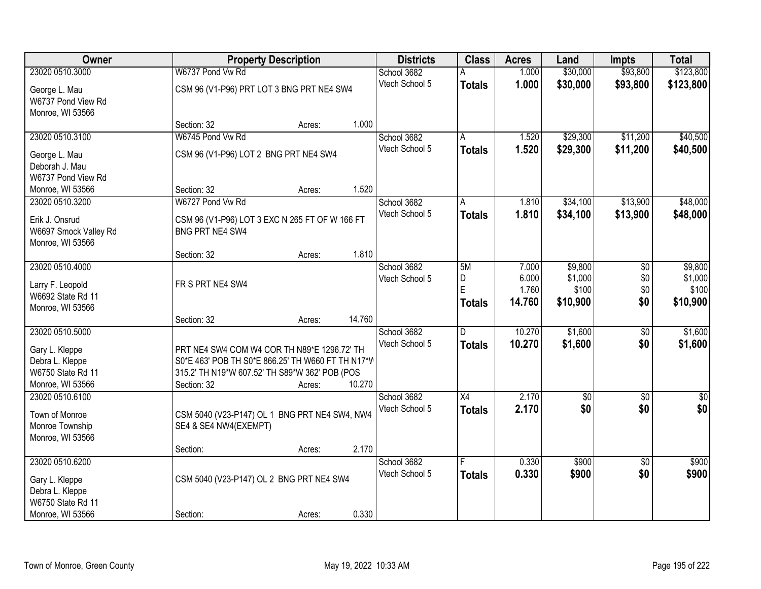| Owner                                 |                                                               | <b>Property Description</b> |        | <b>Districts</b>              | <b>Class</b>    | <b>Acres</b>   | Land            | <b>Impts</b>    | <b>Total</b> |
|---------------------------------------|---------------------------------------------------------------|-----------------------------|--------|-------------------------------|-----------------|----------------|-----------------|-----------------|--------------|
| 23020 0510.3000                       | W6737 Pond Vw Rd                                              |                             |        | School 3682                   |                 | 1.000          | \$30,000        | \$93,800        | \$123,800    |
| George L. Mau                         | CSM 96 (V1-P96) PRT LOT 3 BNG PRT NE4 SW4                     |                             |        | Vtech School 5                | <b>Totals</b>   | 1.000          | \$30,000        | \$93,800        | \$123,800    |
| W6737 Pond View Rd                    |                                                               |                             |        |                               |                 |                |                 |                 |              |
| Monroe, WI 53566                      |                                                               |                             |        |                               |                 |                |                 |                 |              |
|                                       | Section: 32                                                   | Acres:                      | 1.000  |                               |                 |                |                 |                 |              |
| 23020 0510.3100                       | W6745 Pond Vw Rd                                              |                             |        | School 3682                   | A               | 1.520          | \$29,300        | \$11,200        | \$40,500     |
| George L. Mau                         | CSM 96 (V1-P96) LOT 2 BNG PRT NE4 SW4                         |                             |        | Vtech School 5                | <b>Totals</b>   | 1.520          | \$29,300        | \$11,200        | \$40,500     |
| Deborah J. Mau                        |                                                               |                             |        |                               |                 |                |                 |                 |              |
| W6737 Pond View Rd                    |                                                               |                             |        |                               |                 |                |                 |                 |              |
| Monroe, WI 53566                      | Section: 32                                                   | Acres:                      | 1.520  |                               |                 |                |                 |                 |              |
| 23020 0510.3200                       | W6727 Pond Vw Rd                                              |                             |        | School 3682<br>Vtech School 5 | A               | 1.810          | \$34,100        | \$13,900        | \$48,000     |
| Erik J. Onsrud                        | CSM 96 (V1-P96) LOT 3 EXC N 265 FT OF W 166 FT                |                             |        |                               | <b>Totals</b>   | 1.810          | \$34,100        | \$13,900        | \$48,000     |
| W6697 Smock Valley Rd                 | BNG PRT NE4 SW4                                               |                             |        |                               |                 |                |                 |                 |              |
| Monroe, WI 53566                      |                                                               |                             |        |                               |                 |                |                 |                 |              |
| 23020 0510.4000                       | Section: 32                                                   | Acres:                      | 1.810  | School 3682                   |                 |                | \$9,800         |                 | \$9,800      |
|                                       |                                                               |                             |        | Vtech School 5                | 5M<br>D         | 7.000<br>6.000 | \$1,000         | \$0<br>\$0      | \$1,000      |
| Larry F. Leopold                      | FR S PRT NE4 SW4                                              |                             |        |                               | E               | 1.760          | \$100           | \$0             | \$100        |
| W6692 State Rd 11                     |                                                               |                             |        |                               | <b>Totals</b>   | 14.760         | \$10,900        | \$0             | \$10,900     |
| Monroe, WI 53566                      |                                                               |                             | 14.760 |                               |                 |                |                 |                 |              |
| 23020 0510.5000                       | Section: 32                                                   | Acres:                      |        | School 3682                   | D.              | 10.270         | \$1,600         | $\overline{50}$ | \$1,600      |
|                                       |                                                               |                             |        | Vtech School 5                | <b>Totals</b>   | 10.270         | \$1,600         | \$0             | \$1,600      |
| Gary L. Kleppe                        | PRT NE4 SW4 COM W4 COR TH N89*E 1296.72' TH                   |                             |        |                               |                 |                |                 |                 |              |
| Debra L. Kleppe                       | S0*E 463' POB TH S0*E 866.25' TH W660 FT TH N17*V             |                             |        |                               |                 |                |                 |                 |              |
| W6750 State Rd 11<br>Monroe, WI 53566 | 315.2' TH N19*W 607.52' TH S89*W 362' POB (POS<br>Section: 32 | Acres:                      | 10.270 |                               |                 |                |                 |                 |              |
| 23020 0510.6100                       |                                                               |                             |        | School 3682                   | $\overline{X4}$ | 2.170          | $\overline{50}$ | $\overline{50}$ | \$0          |
|                                       |                                                               |                             |        | Vtech School 5                | <b>Totals</b>   | 2.170          | \$0             | \$0             | \$0          |
| Town of Monroe                        | CSM 5040 (V23-P147) OL 1 BNG PRT NE4 SW4, NW4                 |                             |        |                               |                 |                |                 |                 |              |
| Monroe Township<br>Monroe, WI 53566   | SE4 & SE4 NW4(EXEMPT)                                         |                             |        |                               |                 |                |                 |                 |              |
|                                       | Section:                                                      | Acres:                      | 2.170  |                               |                 |                |                 |                 |              |
| 23020 0510.6200                       |                                                               |                             |        | School 3682                   | F               | 0.330          | \$900           | $\overline{50}$ | \$900        |
|                                       |                                                               |                             |        | Vtech School 5                | <b>Totals</b>   | 0.330          | \$900           | \$0             | \$900        |
| Gary L. Kleppe<br>Debra L. Kleppe     | CSM 5040 (V23-P147) OL 2 BNG PRT NE4 SW4                      |                             |        |                               |                 |                |                 |                 |              |
| W6750 State Rd 11                     |                                                               |                             |        |                               |                 |                |                 |                 |              |
| Monroe, WI 53566                      | Section:                                                      | Acres:                      | 0.330  |                               |                 |                |                 |                 |              |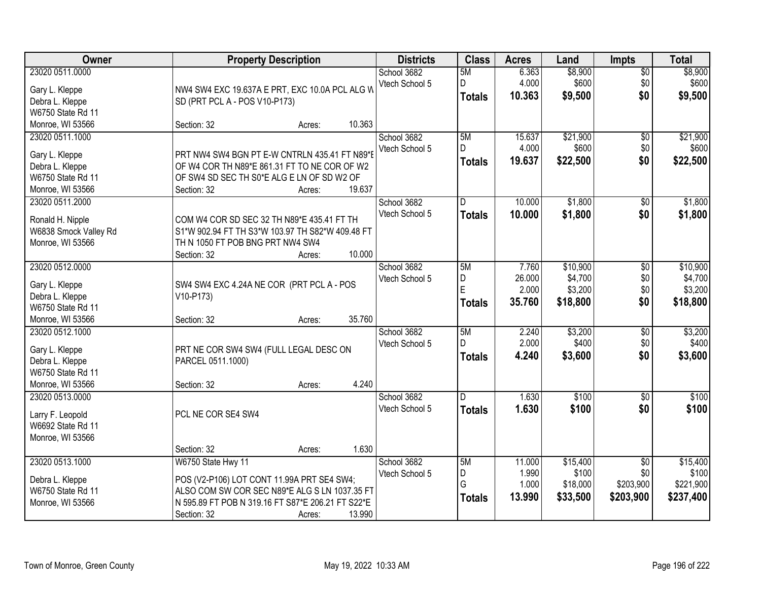| Owner                                                                                                             | <b>Property Description</b>                                                                                                                                                                               | <b>Districts</b>              | <b>Class</b>                    | <b>Acres</b>                       | Land                                      | <b>Impts</b>                                     | <b>Total</b>                                |
|-------------------------------------------------------------------------------------------------------------------|-----------------------------------------------------------------------------------------------------------------------------------------------------------------------------------------------------------|-------------------------------|---------------------------------|------------------------------------|-------------------------------------------|--------------------------------------------------|---------------------------------------------|
| 23020 0511.0000<br>Gary L. Kleppe<br>Debra L. Kleppe<br>W6750 State Rd 11                                         | NW4 SW4 EXC 19.637A E PRT, EXC 10.0A PCL ALG W<br>SD (PRT PCL A - POS V10-P173)                                                                                                                           | School 3682<br>Vtech School 5 | 5M<br>D<br><b>Totals</b>        | 6.363<br>4.000<br>10.363           | \$8,900<br>\$600<br>\$9,500               | $\overline{$0}$<br>\$0<br>\$0                    | \$8,900<br>\$600<br>\$9,500                 |
| Monroe, WI 53566                                                                                                  | 10.363<br>Section: 32<br>Acres:                                                                                                                                                                           |                               |                                 |                                    |                                           |                                                  |                                             |
| 23020 0511.1000<br>Gary L. Kleppe<br>Debra L. Kleppe<br>W6750 State Rd 11<br>Monroe, WI 53566                     | PRT NW4 SW4 BGN PT E-W CNTRLN 435.41 FT N89*E<br>OF W4 COR TH N89*E 861.31 FT TO NE COR OF W2<br>OF SW4 SD SEC TH S0*E ALG E LN OF SD W2 OF<br>19.637<br>Section: 32<br>Acres:                            | School 3682<br>Vtech School 5 | 5M<br>D.<br><b>Totals</b>       | 15.637<br>4.000<br>19.637          | \$21,900<br>\$600<br>\$22,500             | $\overline{50}$<br>\$0<br>\$0                    | \$21,900<br>\$600<br>\$22,500               |
| 23020 0511.2000<br>Ronald H. Nipple<br>W6838 Smock Valley Rd                                                      | COM W4 COR SD SEC 32 TH N89*E 435.41 FT TH<br>S1*W 902.94 FT TH S3*W 103.97 TH S82*W 409.48 FT                                                                                                            | School 3682<br>Vtech School 5 | D<br><b>Totals</b>              | 10.000<br>10.000                   | \$1,800<br>\$1,800                        | $\sqrt[6]{}$<br>\$0                              | \$1,800<br>\$1,800                          |
| Monroe, WI 53566<br>23020 0512.0000                                                                               | TH N 1050 FT POB BNG PRT NW4 SW4<br>10.000<br>Section: 32<br>Acres:                                                                                                                                       | School 3682                   | 5M                              | 7.760                              | \$10,900                                  | \$0                                              | \$10,900                                    |
| Gary L. Kleppe<br>Debra L. Kleppe<br>W6750 State Rd 11                                                            | SW4 SW4 EXC 4.24A NE COR (PRT PCL A - POS<br>V10-P173)                                                                                                                                                    | Vtech School 5                | D<br>E<br><b>Totals</b>         | 26.000<br>2.000<br>35.760          | \$4,700<br>\$3,200<br>\$18,800            | \$0<br>\$0<br>\$0                                | \$4,700<br>\$3,200<br>\$18,800              |
| Monroe, WI 53566<br>23020 0512.1000<br>Gary L. Kleppe<br>Debra L. Kleppe<br>W6750 State Rd 11<br>Monroe, WI 53566 | 35.760<br>Section: 32<br>Acres:<br>PRT NE COR SW4 SW4 (FULL LEGAL DESC ON<br>PARCEL 0511.1000)<br>4.240<br>Section: 32<br>Acres:                                                                          | School 3682<br>Vtech School 5 | 5M<br>$\Gamma$<br><b>Totals</b> | 2.240<br>2.000<br>4.240            | \$3,200<br>\$400<br>\$3,600               | \$0<br>\$0<br>\$0                                | \$3,200<br>\$400<br>\$3,600                 |
| 23020 0513.0000<br>Larry F. Leopold<br>W6692 State Rd 11<br>Monroe, WI 53566                                      | PCL NE COR SE4 SW4<br>1.630<br>Section: 32<br>Acres:                                                                                                                                                      | School 3682<br>Vtech School 5 | D.<br><b>Totals</b>             | 1.630<br>1.630                     | $\overline{$100}$<br>\$100                | $\overline{60}$<br>\$0                           | \$100<br>\$100                              |
| 23020 0513.1000<br>Debra L. Kleppe<br>W6750 State Rd 11<br>Monroe, WI 53566                                       | W6750 State Hwy 11<br>POS (V2-P106) LOT CONT 11.99A PRT SE4 SW4;<br>ALSO COM SW COR SEC N89*E ALG S LN 1037.35 FT<br>N 595.89 FT POB N 319.16 FT S87*E 206.21 FT S22*E<br>13.990<br>Section: 32<br>Acres: | School 3682<br>Vtech School 5 | 5M<br>D<br>G<br><b>Totals</b>   | 11.000<br>1.990<br>1.000<br>13.990 | \$15,400<br>\$100<br>\$18,000<br>\$33,500 | $\overline{50}$<br>\$0<br>\$203,900<br>\$203,900 | \$15,400<br>\$100<br>\$221,900<br>\$237,400 |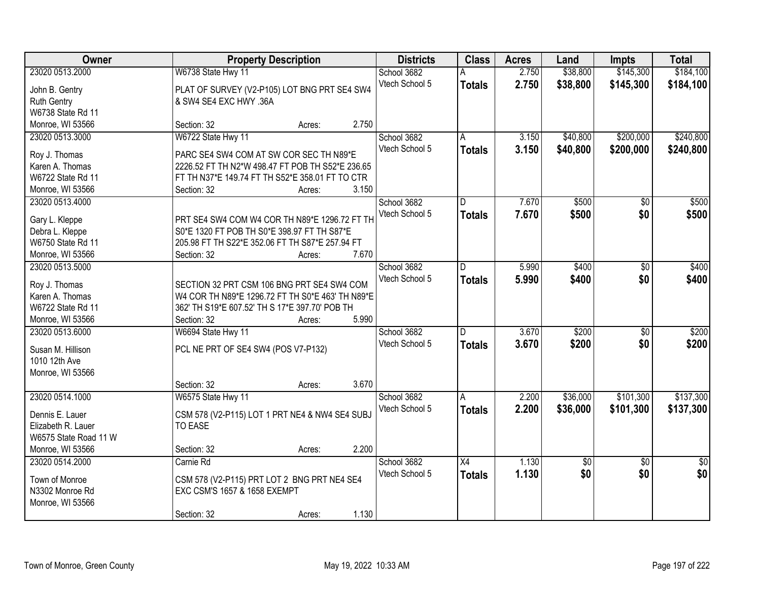| Owner                 | <b>Property Description</b>                      | <b>Districts</b> | <b>Class</b>    | <b>Acres</b> | Land     | Impts           | <b>Total</b>    |
|-----------------------|--------------------------------------------------|------------------|-----------------|--------------|----------|-----------------|-----------------|
| 23020 0513.2000       | W6738 State Hwy 11                               | School 3682      |                 | 2.750        | \$38,800 | \$145,300       | \$184,100       |
| John B. Gentry        | PLAT OF SURVEY (V2-P105) LOT BNG PRT SE4 SW4     | Vtech School 5   | <b>Totals</b>   | 2.750        | \$38,800 | \$145,300       | \$184,100       |
| <b>Ruth Gentry</b>    | & SW4 SE4 EXC HWY .36A                           |                  |                 |              |          |                 |                 |
| W6738 State Rd 11     |                                                  |                  |                 |              |          |                 |                 |
| Monroe, WI 53566      | Section: 32<br>Acres:                            | 2.750            |                 |              |          |                 |                 |
| 23020 0513.3000       | W6722 State Hwy 11                               | School 3682      | A               | 3.150        | \$40,800 | \$200,000       | \$240,800       |
|                       |                                                  | Vtech School 5   | <b>Totals</b>   | 3.150        | \$40,800 | \$200,000       | \$240,800       |
| Roy J. Thomas         | PARC SE4 SW4 COM AT SW COR SEC TH N89*E          |                  |                 |              |          |                 |                 |
| Karen A. Thomas       | 2226.52 FT TH N2*W 498.47 FT POB TH S52*E 236.65 |                  |                 |              |          |                 |                 |
| W6722 State Rd 11     | FT TH N37*E 149.74 FT TH S52*E 358.01 FT TO CTR  |                  |                 |              |          |                 |                 |
| Monroe, WI 53566      | Section: 32<br>Acres:                            | 3.150            |                 |              |          |                 |                 |
| 23020 0513.4000       |                                                  | School 3682      | D               | 7.670        | \$500    | \$0             | \$500           |
| Gary L. Kleppe        | PRT SE4 SW4 COM W4 COR TH N89*E 1296.72 FT TH    | Vtech School 5   | <b>Totals</b>   | 7.670        | \$500    | \$0             | \$500           |
| Debra L. Kleppe       | S0*E 1320 FT POB TH S0*E 398.97 FT TH S87*E      |                  |                 |              |          |                 |                 |
| W6750 State Rd 11     | 205.98 FT TH S22*E 352.06 FT TH S87*E 257.94 FT  |                  |                 |              |          |                 |                 |
| Monroe, WI 53566      | Section: 32<br>Acres:                            | 7.670            |                 |              |          |                 |                 |
| 23020 0513.5000       |                                                  | School 3682      | D               | 5.990        | \$400    | \$0             | \$400           |
|                       |                                                  | Vtech School 5   | <b>Totals</b>   | 5.990        | \$400    | \$0             | \$400           |
| Roy J. Thomas         | SECTION 32 PRT CSM 106 BNG PRT SE4 SW4 COM       |                  |                 |              |          |                 |                 |
| Karen A. Thomas       | W4 COR TH N89*E 1296.72 FT TH S0*E 463' TH N89*E |                  |                 |              |          |                 |                 |
| W6722 State Rd 11     | 362' TH S19*E 607.52' TH S 17*E 397.70' POB TH   |                  |                 |              |          |                 |                 |
| Monroe, WI 53566      | Section: 32<br>Acres:                            | 5.990            |                 |              |          |                 |                 |
| 23020 0513.6000       | W6694 State Hwy 11                               | School 3682      | D               | 3.670        | \$200    | $\overline{50}$ | \$200           |
| Susan M. Hillison     | PCL NE PRT OF SE4 SW4 (POS V7-P132)              | Vtech School 5   | <b>Totals</b>   | 3.670        | \$200    | \$0             | \$200           |
| 1010 12th Ave         |                                                  |                  |                 |              |          |                 |                 |
| Monroe, WI 53566      |                                                  |                  |                 |              |          |                 |                 |
|                       | Section: 32<br>Acres:                            | 3.670            |                 |              |          |                 |                 |
| 23020 0514.1000       | W6575 State Hwy 11                               | School 3682      | A               | 2.200        | \$36,000 | \$101,300       | \$137,300       |
|                       |                                                  | Vtech School 5   | <b>Totals</b>   | 2.200        | \$36,000 | \$101,300       | \$137,300       |
| Dennis E. Lauer       | CSM 578 (V2-P115) LOT 1 PRT NE4 & NW4 SE4 SUBJ   |                  |                 |              |          |                 |                 |
| Elizabeth R. Lauer    | TO EASE                                          |                  |                 |              |          |                 |                 |
| W6575 State Road 11 W |                                                  |                  |                 |              |          |                 |                 |
| Monroe, WI 53566      | Section: 32<br>Acres:                            | 2.200            |                 |              |          |                 |                 |
| 23020 0514.2000       | Carnie Rd                                        | School 3682      | $\overline{X4}$ | 1.130        | \$0      | $\overline{50}$ | $\overline{50}$ |
| Town of Monroe        | CSM 578 (V2-P115) PRT LOT 2 BNG PRT NE4 SE4      | Vtech School 5   | <b>Totals</b>   | 1.130        | \$0      | \$0             | \$0             |
| N3302 Monroe Rd       | EXC CSM'S 1657 & 1658 EXEMPT                     |                  |                 |              |          |                 |                 |
| Monroe, WI 53566      |                                                  |                  |                 |              |          |                 |                 |
|                       | Section: 32<br>Acres:                            | 1.130            |                 |              |          |                 |                 |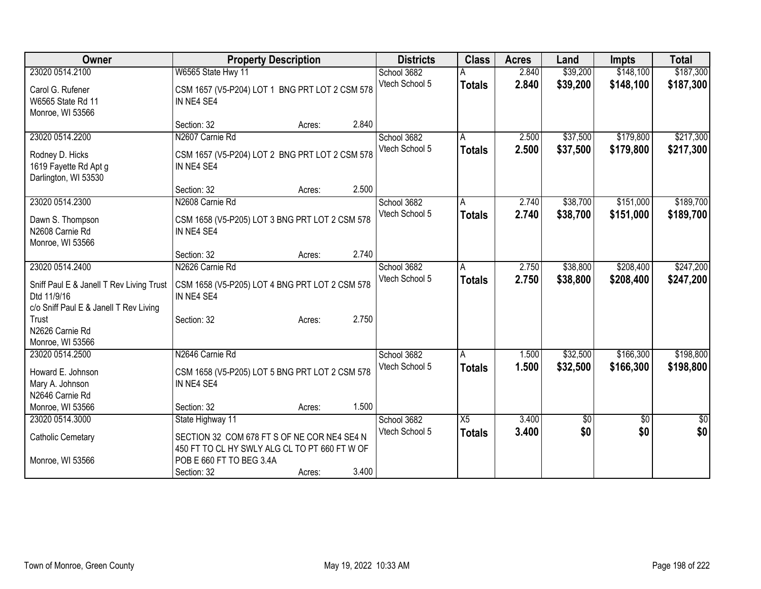| <b>Owner</b>                                                                                      | <b>Property Description</b>                                                                  |        |       | <b>Districts</b> | <b>Class</b>  | <b>Acres</b> | Land        | <b>Impts</b>    | <b>Total</b> |
|---------------------------------------------------------------------------------------------------|----------------------------------------------------------------------------------------------|--------|-------|------------------|---------------|--------------|-------------|-----------------|--------------|
| 23020 0514.2100                                                                                   | W6565 State Hwy 11                                                                           |        |       | School 3682      |               | 2.840        | \$39,200    | \$148,100       | \$187,300    |
| Carol G. Rufener<br>W6565 State Rd 11<br>Monroe, WI 53566                                         | CSM 1657 (V5-P204) LOT 1 BNG PRT LOT 2 CSM 578<br>IN NE4 SE4                                 |        |       | Vtech School 5   | <b>Totals</b> | 2.840        | \$39,200    | \$148,100       | \$187,300    |
|                                                                                                   | Section: 32                                                                                  | Acres: | 2.840 |                  |               |              |             |                 |              |
| 23020 0514.2200                                                                                   | N2607 Carnie Rd                                                                              |        |       | School 3682      | A             | 2.500        | \$37,500    | \$179,800       | \$217,300    |
| Rodney D. Hicks<br>1619 Fayette Rd Apt g<br>Darlington, WI 53530                                  | CSM 1657 (V5-P204) LOT 2 BNG PRT LOT 2 CSM 578<br>IN NE4 SE4                                 |        |       | Vtech School 5   | <b>Totals</b> | 2.500        | \$37,500    | \$179,800       | \$217,300    |
|                                                                                                   | Section: 32                                                                                  | Acres: | 2.500 |                  |               |              |             |                 |              |
| 23020 0514.2300                                                                                   | N2608 Carnie Rd                                                                              |        |       | School 3682      | A             | 2.740        | \$38,700    | \$151,000       | \$189,700    |
| Dawn S. Thompson<br>N2608 Carnie Rd<br>Monroe, WI 53566                                           | CSM 1658 (V5-P205) LOT 3 BNG PRT LOT 2 CSM 578<br>IN NE4 SE4                                 |        |       | Vtech School 5   | <b>Totals</b> | 2.740        | \$38,700    | \$151,000       | \$189,700    |
|                                                                                                   | Section: 32                                                                                  | Acres: | 2.740 |                  |               |              |             |                 |              |
| 23020 0514.2400                                                                                   | N2626 Carnie Rd                                                                              |        |       | School 3682      | ΙA            | 2.750        | \$38,800    | \$208,400       | \$247,200    |
| Sniff Paul E & Janell T Rev Living Trust<br>Dtd 11/9/16<br>c/o Sniff Paul E & Janell T Rev Living | CSM 1658 (V5-P205) LOT 4 BNG PRT LOT 2 CSM 578<br>IN NE4 SE4                                 |        |       | Vtech School 5   | <b>Totals</b> | 2.750        | \$38,800    | \$208,400       | \$247,200    |
| Trust<br>N2626 Carnie Rd<br>Monroe, WI 53566                                                      | Section: 32                                                                                  | Acres: | 2.750 |                  |               |              |             |                 |              |
| 23020 0514.2500                                                                                   | N2646 Carnie Rd                                                                              |        |       | School 3682      | A             | 1.500        | \$32,500    | \$166,300       | \$198,800    |
| Howard E. Johnson<br>Mary A. Johnson<br>N2646 Carnie Rd                                           | CSM 1658 (V5-P205) LOT 5 BNG PRT LOT 2 CSM 578<br>IN NE4 SE4                                 |        |       | Vtech School 5   | <b>Totals</b> | 1.500        | \$32,500    | \$166,300       | \$198,800    |
| Monroe, WI 53566                                                                                  | Section: 32                                                                                  | Acres: | 1.500 |                  |               |              |             |                 |              |
| 23020 0514.3000                                                                                   | State Highway 11                                                                             |        |       | School 3682      | X5            | 3.400        | $\sqrt{$0}$ | $\overline{50}$ | \$0          |
| <b>Catholic Cemetary</b>                                                                          | SECTION 32 COM 678 FT S OF NE COR NE4 SE4 N<br>450 FT TO CL HY SWLY ALG CL TO PT 660 FT W OF |        |       | Vtech School 5   | <b>Totals</b> | 3.400        | \$0         | \$0             | \$0          |
| Monroe, WI 53566                                                                                  | POB E 660 FT TO BEG 3.4A<br>Section: 32                                                      | Acres: | 3.400 |                  |               |              |             |                 |              |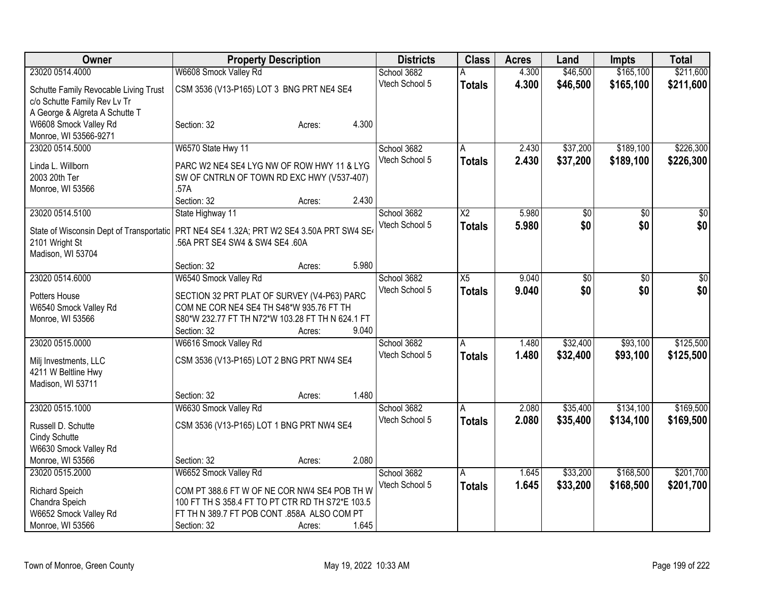| <b>Owner</b>                                                                             | <b>Property Description</b>                                                             |                 | <b>Districts</b> | <b>Class</b>           | <b>Acres</b> | Land            | <b>Impts</b>    | <b>Total</b>    |
|------------------------------------------------------------------------------------------|-----------------------------------------------------------------------------------------|-----------------|------------------|------------------------|--------------|-----------------|-----------------|-----------------|
| 23020 0514.4000                                                                          | W6608 Smock Valley Rd                                                                   |                 | School 3682      | A                      | 4.300        | \$46,500        | \$165,100       | \$211,600       |
| Schutte Family Revocable Living Trust                                                    | CSM 3536 (V13-P165) LOT 3 BNG PRT NE4 SE4                                               |                 | Vtech School 5   | <b>Totals</b>          | 4.300        | \$46,500        | \$165,100       | \$211,600       |
| c/o Schutte Family Rev Lv Tr                                                             |                                                                                         |                 |                  |                        |              |                 |                 |                 |
| A George & Algreta A Schutte T                                                           |                                                                                         |                 |                  |                        |              |                 |                 |                 |
| W6608 Smock Valley Rd                                                                    | Section: 32                                                                             | 4.300<br>Acres: |                  |                        |              |                 |                 |                 |
| Monroe, WI 53566-9271                                                                    |                                                                                         |                 |                  |                        |              |                 |                 |                 |
| 23020 0514.5000                                                                          | W6570 State Hwy 11                                                                      |                 | School 3682      | A                      | 2.430        | \$37,200        | \$189,100       | \$226,300       |
| Linda L. Willborn                                                                        | PARC W2 NE4 SE4 LYG NW OF ROW HWY 11 & LYG                                              |                 | Vtech School 5   | <b>Totals</b>          | 2.430        | \$37,200        | \$189,100       | \$226,300       |
| 2003 20th Ter                                                                            | SW OF CNTRLN OF TOWN RD EXC HWY (V537-407)                                              |                 |                  |                        |              |                 |                 |                 |
| Monroe, WI 53566                                                                         | .57A                                                                                    |                 |                  |                        |              |                 |                 |                 |
|                                                                                          | Section: 32                                                                             | 2.430<br>Acres: |                  |                        |              |                 |                 |                 |
| 23020 0514.5100                                                                          | State Highway 11                                                                        |                 | School 3682      | $\overline{\text{X2}}$ | 5.980        | $\overline{50}$ | $\overline{50}$ | $\overline{30}$ |
| State of Wisconsin Dept of Transportatic PRT NE4 SE4 1.32A; PRT W2 SE4 3.50A PRT SW4 SE4 |                                                                                         |                 | Vtech School 5   | <b>Totals</b>          | 5.980        | \$0             | \$0             | \$0             |
| 2101 Wright St                                                                           | .56A PRT SE4 SW4 & SW4 SE4 .60A                                                         |                 |                  |                        |              |                 |                 |                 |
| Madison, WI 53704                                                                        |                                                                                         |                 |                  |                        |              |                 |                 |                 |
|                                                                                          | Section: 32                                                                             | 5.980<br>Acres: |                  |                        |              |                 |                 |                 |
| 23020 0514.6000                                                                          | W6540 Smock Valley Rd                                                                   |                 | School 3682      | X5                     | 9.040        | \$0             | \$0             | \$0             |
|                                                                                          |                                                                                         |                 | Vtech School 5   | <b>Totals</b>          | 9.040        | \$0             | \$0             | \$0             |
| Potters House                                                                            | SECTION 32 PRT PLAT OF SURVEY (V4-P63) PARC<br>COM NE COR NE4 SE4 TH S48*W 935.76 FT TH |                 |                  |                        |              |                 |                 |                 |
| W6540 Smock Valley Rd<br>Monroe, WI 53566                                                | S80*W 232.77 FT TH N72*W 103.28 FT TH N 624.1 FT                                        |                 |                  |                        |              |                 |                 |                 |
|                                                                                          | Section: 32                                                                             | 9.040<br>Acres: |                  |                        |              |                 |                 |                 |
| 23020 0515.0000                                                                          | W6616 Smock Valley Rd                                                                   |                 | School 3682      | A                      | 1.480        | \$32,400        | \$93,100        | \$125,500       |
|                                                                                          |                                                                                         |                 | Vtech School 5   | <b>Totals</b>          | 1.480        | \$32,400        | \$93,100        | \$125,500       |
| Milj Investments, LLC                                                                    | CSM 3536 (V13-P165) LOT 2 BNG PRT NW4 SE4                                               |                 |                  |                        |              |                 |                 |                 |
| 4211 W Beltline Hwy                                                                      |                                                                                         |                 |                  |                        |              |                 |                 |                 |
| Madison, WI 53711                                                                        |                                                                                         | 1.480           |                  |                        |              |                 |                 |                 |
| 23020 0515.1000                                                                          | Section: 32<br>W6630 Smock Valley Rd                                                    | Acres:          | School 3682      | A                      | 2.080        | \$35,400        | \$134,100       | \$169,500       |
|                                                                                          |                                                                                         |                 | Vtech School 5   | <b>Totals</b>          | 2.080        | \$35,400        | \$134,100       | \$169,500       |
| Russell D. Schutte                                                                       | CSM 3536 (V13-P165) LOT 1 BNG PRT NW4 SE4                                               |                 |                  |                        |              |                 |                 |                 |
| Cindy Schutte                                                                            |                                                                                         |                 |                  |                        |              |                 |                 |                 |
| W6630 Smock Valley Rd                                                                    |                                                                                         |                 |                  |                        |              |                 |                 |                 |
| Monroe, WI 53566                                                                         | Section: 32                                                                             | 2.080<br>Acres: |                  |                        |              |                 |                 |                 |
| 23020 0515.2000                                                                          | W6652 Smock Valley Rd                                                                   |                 | School 3682      | A                      | 1.645        | \$33,200        | \$168,500       | \$201,700       |
| Richard Speich                                                                           | COM PT 388.6 FT W OF NE COR NW4 SE4 POB TH W                                            |                 | Vtech School 5   | <b>Totals</b>          | 1.645        | \$33,200        | \$168,500       | \$201,700       |
| Chandra Speich                                                                           | 100 FT TH S 358.4 FT TO PT CTR RD TH S72*E 103.5                                        |                 |                  |                        |              |                 |                 |                 |
| W6652 Smock Valley Rd                                                                    | FT TH N 389.7 FT POB CONT .858A ALSO COM PT                                             |                 |                  |                        |              |                 |                 |                 |
| Monroe, WI 53566                                                                         | Section: 32                                                                             | 1.645<br>Acres: |                  |                        |              |                 |                 |                 |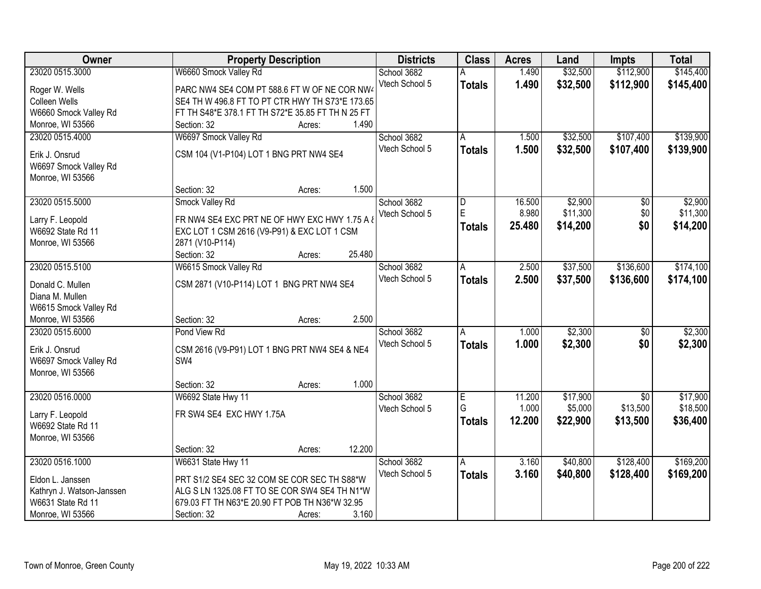| Owner                     | <b>Property Description</b>                       | <b>Districts</b> | <b>Class</b>  | <b>Acres</b> | Land     | <b>Impts</b>    | <b>Total</b> |
|---------------------------|---------------------------------------------------|------------------|---------------|--------------|----------|-----------------|--------------|
| 23020 0515.3000           | W6660 Smock Valley Rd                             | School 3682      |               | 1.490        | \$32,500 | \$112,900       | \$145,400    |
| Roger W. Wells            | PARC NW4 SE4 COM PT 588.6 FT W OF NE COR NW4      | Vtech School 5   | <b>Totals</b> | 1.490        | \$32,500 | \$112,900       | \$145,400    |
| Colleen Wells             | SE4 TH W 496.8 FT TO PT CTR HWY TH S73*E 173.65   |                  |               |              |          |                 |              |
| W6660 Smock Valley Rd     | FT TH S48*E 378.1 FT TH S72*E 35.85 FT TH N 25 FT |                  |               |              |          |                 |              |
| Monroe, WI 53566          | 1.490<br>Section: 32<br>Acres:                    |                  |               |              |          |                 |              |
| 23020 0515.4000           | W6697 Smock Valley Rd                             | School 3682      | A             | 1.500        | \$32,500 | \$107,400       | \$139,900    |
|                           |                                                   | Vtech School 5   | <b>Totals</b> | 1.500        | \$32,500 | \$107,400       | \$139,900    |
| Erik J. Onsrud            | CSM 104 (V1-P104) LOT 1 BNG PRT NW4 SE4           |                  |               |              |          |                 |              |
| W6697 Smock Valley Rd     |                                                   |                  |               |              |          |                 |              |
| Monroe, WI 53566          |                                                   |                  |               |              |          |                 |              |
|                           | 1.500<br>Section: 32<br>Acres:                    |                  |               |              |          |                 |              |
| 23020 0515.5000           | Smock Valley Rd                                   | School 3682      | D<br>E        | 16.500       | \$2,900  | \$0             | \$2,900      |
| Larry F. Leopold          | FR NW4 SE4 EXC PRT NE OF HWY EXC HWY 1.75 A &     | Vtech School 5   |               | 8.980        | \$11,300 | \$0             | \$11,300     |
| W6692 State Rd 11         | EXC LOT 1 CSM 2616 (V9-P91) & EXC LOT 1 CSM       |                  | <b>Totals</b> | 25.480       | \$14,200 | \$0             | \$14,200     |
| Monroe, WI 53566          | 2871 (V10-P114)                                   |                  |               |              |          |                 |              |
|                           | 25.480<br>Section: 32<br>Acres:                   |                  |               |              |          |                 |              |
| 23020 0515.5100           | W6615 Smock Valley Rd                             | School 3682      | Α             | 2.500        | \$37,500 | \$136,600       | \$174,100    |
|                           |                                                   | Vtech School 5   | <b>Totals</b> | 2.500        | \$37,500 | \$136,600       | \$174,100    |
| Donald C. Mullen          | CSM 2871 (V10-P114) LOT 1 BNG PRT NW4 SE4         |                  |               |              |          |                 |              |
| Diana M. Mullen           |                                                   |                  |               |              |          |                 |              |
| W6615 Smock Valley Rd     |                                                   |                  |               |              |          |                 |              |
| Monroe, WI 53566          | 2.500<br>Section: 32<br>Acres:                    |                  |               |              |          |                 |              |
| 23020 0515.6000           | Pond View Rd                                      | School 3682      | A             | 1.000        | \$2,300  | $\overline{50}$ | \$2,300      |
| Erik J. Onsrud            | CSM 2616 (V9-P91) LOT 1 BNG PRT NW4 SE4 & NE4     | Vtech School 5   | <b>Totals</b> | 1.000        | \$2,300  | \$0             | \$2,300      |
| W6697 Smock Valley Rd     | SW4                                               |                  |               |              |          |                 |              |
| Monroe, WI 53566          |                                                   |                  |               |              |          |                 |              |
|                           | 1.000<br>Section: 32<br>Acres:                    |                  |               |              |          |                 |              |
| 23020 0516.0000           | W6692 State Hwy 11                                | School 3682      | Ε             | 11.200       | \$17,900 | $\overline{50}$ | \$17,900     |
| Larry F. Leopold          | FR SW4 SE4 EXC HWY 1.75A                          | Vtech School 5   | G             | 1.000        | \$5,000  | \$13,500        | \$18,500     |
| W6692 State Rd 11         |                                                   |                  | <b>Totals</b> | 12.200       | \$22,900 | \$13,500        | \$36,400     |
| Monroe, WI 53566          |                                                   |                  |               |              |          |                 |              |
|                           | 12.200<br>Section: 32                             |                  |               |              |          |                 |              |
| 23020 0516.1000           | Acres:<br>W6631 State Hwy 11                      | School 3682      | A             | 3.160        | \$40,800 | \$128,400       | \$169,200    |
|                           |                                                   | Vtech School 5   |               |              |          |                 |              |
| Eldon L. Janssen          | PRT S1/2 SE4 SEC 32 COM SE COR SEC TH S88*W       |                  | <b>Totals</b> | 3.160        | \$40,800 | \$128,400       | \$169,200    |
| Kathryn J. Watson-Janssen | ALG S LN 1325.08 FT TO SE COR SW4 SE4 TH N1*W     |                  |               |              |          |                 |              |
| W6631 State Rd 11         | 679.03 FT TH N63*E 20.90 FT POB TH N36*W 32.95    |                  |               |              |          |                 |              |
| Monroe, WI 53566          | 3.160<br>Section: 32<br>Acres:                    |                  |               |              |          |                 |              |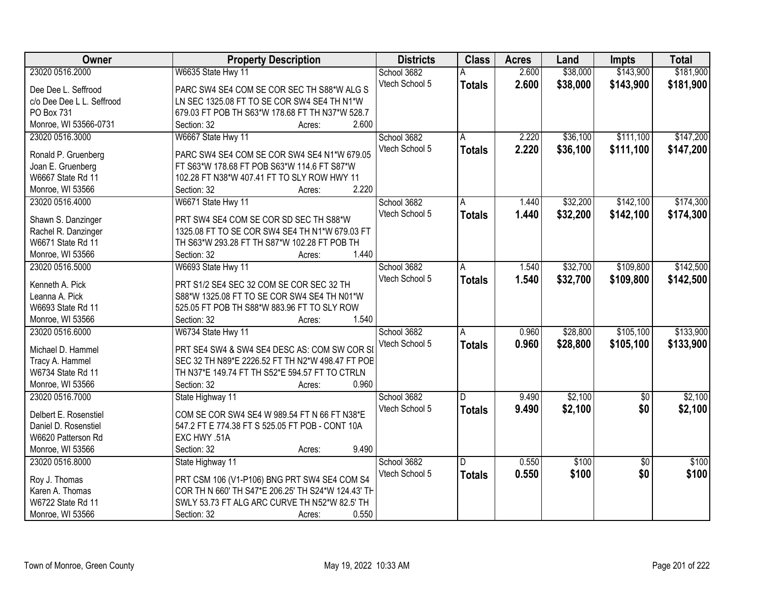| 2.600<br>\$38,000<br>\$143,900<br>\$181,900<br>23020 0516.2000<br>W6635 State Hwy 11<br>School 3682<br>Vtech School 5<br>2.600<br>\$38,000<br>\$143,900<br>\$181,900<br><b>Totals</b><br>PARC SW4 SE4 COM SE COR SEC TH S88*W ALG S<br>Dee Dee L. Seffrood<br>LN SEC 1325.08 FT TO SE COR SW4 SE4 TH N1*W<br>c/o Dee Dee L L. Seffrood<br>PO Box 731<br>679.03 FT POB TH S63*W 178.68 FT TH N37*W 528.7<br>Monroe, WI 53566-0731<br>2.600<br>Section: 32<br>Acres:<br>\$147,200<br>23020 0516.3000<br>W6667 State Hwy 11<br>School 3682<br>2.220<br>\$36,100<br>\$111,100<br>A<br>2.220<br>Vtech School 5<br>\$36,100<br>\$111,100<br>\$147,200<br><b>Totals</b><br>Ronald P. Gruenberg<br>PARC SW4 SE4 COM SE COR SW4 SE4 N1*W 679.05<br>FT S63*W 178.68 FT POB S63*W 114.6 FT S87*W<br>Joan E. Gruenberg<br>W6667 State Rd 11<br>102.28 FT N38*W 407.41 FT TO SLY ROW HWY 11 |
|--------------------------------------------------------------------------------------------------------------------------------------------------------------------------------------------------------------------------------------------------------------------------------------------------------------------------------------------------------------------------------------------------------------------------------------------------------------------------------------------------------------------------------------------------------------------------------------------------------------------------------------------------------------------------------------------------------------------------------------------------------------------------------------------------------------------------------------------------------------------------------|
|                                                                                                                                                                                                                                                                                                                                                                                                                                                                                                                                                                                                                                                                                                                                                                                                                                                                                |
|                                                                                                                                                                                                                                                                                                                                                                                                                                                                                                                                                                                                                                                                                                                                                                                                                                                                                |
|                                                                                                                                                                                                                                                                                                                                                                                                                                                                                                                                                                                                                                                                                                                                                                                                                                                                                |
|                                                                                                                                                                                                                                                                                                                                                                                                                                                                                                                                                                                                                                                                                                                                                                                                                                                                                |
|                                                                                                                                                                                                                                                                                                                                                                                                                                                                                                                                                                                                                                                                                                                                                                                                                                                                                |
|                                                                                                                                                                                                                                                                                                                                                                                                                                                                                                                                                                                                                                                                                                                                                                                                                                                                                |
|                                                                                                                                                                                                                                                                                                                                                                                                                                                                                                                                                                                                                                                                                                                                                                                                                                                                                |
|                                                                                                                                                                                                                                                                                                                                                                                                                                                                                                                                                                                                                                                                                                                                                                                                                                                                                |
|                                                                                                                                                                                                                                                                                                                                                                                                                                                                                                                                                                                                                                                                                                                                                                                                                                                                                |
| 2.220<br>Monroe, WI 53566<br>Section: 32<br>Acres:                                                                                                                                                                                                                                                                                                                                                                                                                                                                                                                                                                                                                                                                                                                                                                                                                             |
| School 3682<br>\$32,200<br>\$142,100<br>\$174,300<br>23020 0516.4000<br>W6671 State Hwy 11<br>1.440<br>A                                                                                                                                                                                                                                                                                                                                                                                                                                                                                                                                                                                                                                                                                                                                                                       |
| Vtech School 5<br>1.440<br>\$32,200<br>\$142,100<br>\$174,300<br><b>Totals</b><br>PRT SW4 SE4 COM SE COR SD SEC TH S88*W                                                                                                                                                                                                                                                                                                                                                                                                                                                                                                                                                                                                                                                                                                                                                       |
| Shawn S. Danzinger<br>1325.08 FT TO SE COR SW4 SE4 TH N1*W 679.03 FT                                                                                                                                                                                                                                                                                                                                                                                                                                                                                                                                                                                                                                                                                                                                                                                                           |
| Rachel R. Danzinger<br>W6671 State Rd 11<br>TH S63*W 293.28 FT TH S87*W 102.28 FT POB TH                                                                                                                                                                                                                                                                                                                                                                                                                                                                                                                                                                                                                                                                                                                                                                                       |
| 1.440<br>Monroe, WI 53566<br>Section: 32<br>Acres:                                                                                                                                                                                                                                                                                                                                                                                                                                                                                                                                                                                                                                                                                                                                                                                                                             |
| School 3682<br>\$32,700<br>\$109,800<br>\$142,500<br>23020 0516.5000<br>W6693 State Hwy 11<br>1.540                                                                                                                                                                                                                                                                                                                                                                                                                                                                                                                                                                                                                                                                                                                                                                            |
| A<br>Vtech School 5                                                                                                                                                                                                                                                                                                                                                                                                                                                                                                                                                                                                                                                                                                                                                                                                                                                            |
| 1.540<br>\$32,700<br>\$109,800<br>\$142,500<br><b>Totals</b><br>Kenneth A. Pick<br>PRT S1/2 SE4 SEC 32 COM SE COR SEC 32 TH                                                                                                                                                                                                                                                                                                                                                                                                                                                                                                                                                                                                                                                                                                                                                    |
| Leanna A. Pick<br>S88*W 1325.08 FT TO SE COR SW4 SE4 TH N01*W                                                                                                                                                                                                                                                                                                                                                                                                                                                                                                                                                                                                                                                                                                                                                                                                                  |
| 525.05 FT POB TH S88*W 883.96 FT TO SLY ROW<br>W6693 State Rd 11                                                                                                                                                                                                                                                                                                                                                                                                                                                                                                                                                                                                                                                                                                                                                                                                               |
| Section: 32<br>1.540<br>Monroe, WI 53566<br>Acres:                                                                                                                                                                                                                                                                                                                                                                                                                                                                                                                                                                                                                                                                                                                                                                                                                             |
| \$28,800<br>\$105,100<br>\$133,900<br>23020 0516.6000<br>0.960<br>W6734 State Hwy 11<br>School 3682<br>$\overline{A}$                                                                                                                                                                                                                                                                                                                                                                                                                                                                                                                                                                                                                                                                                                                                                          |
| 0.960<br>Vtech School 5<br>\$28,800<br>\$105,100<br>\$133,900<br><b>Totals</b><br>Michael D. Hammel<br>PRT SE4 SW4 & SW4 SE4 DESC AS: COM SW COR SI                                                                                                                                                                                                                                                                                                                                                                                                                                                                                                                                                                                                                                                                                                                            |
| Tracy A. Hammel<br>SEC 32 TH N89*E 2226.52 FT TH N2*W 498.47 FT POB                                                                                                                                                                                                                                                                                                                                                                                                                                                                                                                                                                                                                                                                                                                                                                                                            |
| W6734 State Rd 11<br>TH N37*E 149.74 FT TH S52*E 594.57 FT TO CTRLN                                                                                                                                                                                                                                                                                                                                                                                                                                                                                                                                                                                                                                                                                                                                                                                                            |
| 0.960<br>Monroe, WI 53566<br>Section: 32<br>Acres:                                                                                                                                                                                                                                                                                                                                                                                                                                                                                                                                                                                                                                                                                                                                                                                                                             |
| School 3682<br>\$2,100<br>\$2,100<br>23020 0516.7000<br>9.490<br>$\sqrt{6}$<br>State Highway 11<br>D                                                                                                                                                                                                                                                                                                                                                                                                                                                                                                                                                                                                                                                                                                                                                                           |
| 9.490<br>\$2,100<br>\$0<br>Vtech School 5                                                                                                                                                                                                                                                                                                                                                                                                                                                                                                                                                                                                                                                                                                                                                                                                                                      |
| \$2,100<br><b>Totals</b><br>Delbert E. Rosenstiel<br>COM SE COR SW4 SE4 W 989.54 FT N 66 FT N38*E                                                                                                                                                                                                                                                                                                                                                                                                                                                                                                                                                                                                                                                                                                                                                                              |
| 547.2 FT E 774.38 FT S 525.05 FT POB - CONT 10A<br>Daniel D. Rosenstiel                                                                                                                                                                                                                                                                                                                                                                                                                                                                                                                                                                                                                                                                                                                                                                                                        |
| W6620 Patterson Rd<br>EXC HWY .51A                                                                                                                                                                                                                                                                                                                                                                                                                                                                                                                                                                                                                                                                                                                                                                                                                                             |
| 9.490<br>Monroe, WI 53566<br>Section: 32<br>Acres:                                                                                                                                                                                                                                                                                                                                                                                                                                                                                                                                                                                                                                                                                                                                                                                                                             |
| \$100<br>\$100<br>23020 0516,8000<br>School 3682<br>0.550<br>$\overline{30}$<br>State Highway 11<br>D                                                                                                                                                                                                                                                                                                                                                                                                                                                                                                                                                                                                                                                                                                                                                                          |
| \$100<br>Vtech School 5<br>0.550<br>\$100<br>\$0<br><b>Totals</b><br>PRT CSM 106 (V1-P106) BNG PRT SW4 SE4 COM S4<br>Roy J. Thomas                                                                                                                                                                                                                                                                                                                                                                                                                                                                                                                                                                                                                                                                                                                                             |
| COR TH N 660' TH S47*E 206.25' TH S24*W 124.43' TH<br>Karen A. Thomas                                                                                                                                                                                                                                                                                                                                                                                                                                                                                                                                                                                                                                                                                                                                                                                                          |
| SWLY 53.73 FT ALG ARC CURVE TH N52*W 82.5' TH<br>W6722 State Rd 11                                                                                                                                                                                                                                                                                                                                                                                                                                                                                                                                                                                                                                                                                                                                                                                                             |
| 0.550<br>Monroe, WI 53566<br>Section: 32<br>Acres:                                                                                                                                                                                                                                                                                                                                                                                                                                                                                                                                                                                                                                                                                                                                                                                                                             |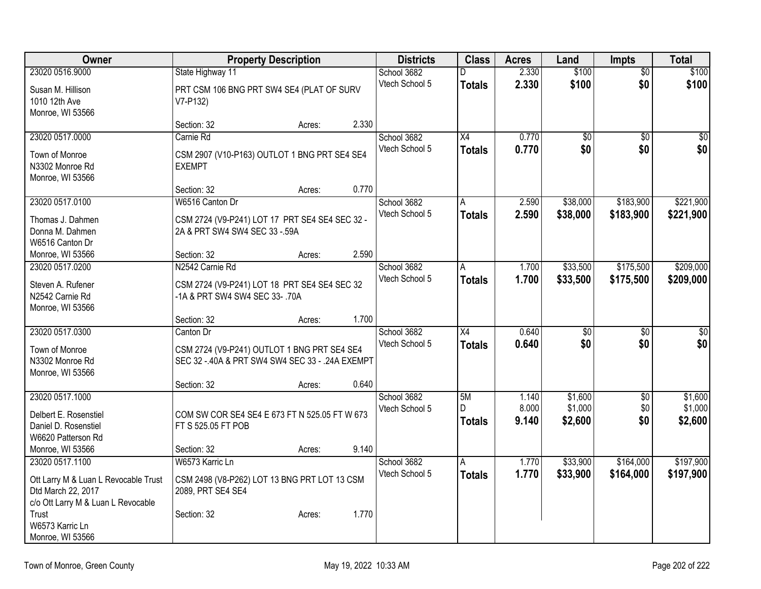| Owner                                                    |                                                                     | <b>Property Description</b> |       | <b>Districts</b> | <b>Class</b>    | <b>Acres</b> | Land            | <b>Impts</b>    | <b>Total</b>    |
|----------------------------------------------------------|---------------------------------------------------------------------|-----------------------------|-------|------------------|-----------------|--------------|-----------------|-----------------|-----------------|
| 23020 0516.9000                                          | State Highway 11                                                    |                             |       | School 3682      | D               | 2.330        | \$100           | $\overline{50}$ | \$100           |
| Susan M. Hillison                                        | PRT CSM 106 BNG PRT SW4 SE4 (PLAT OF SURV                           |                             |       | Vtech School 5   | <b>Totals</b>   | 2.330        | \$100           | \$0             | \$100           |
| 1010 12th Ave                                            | V7-P132)                                                            |                             |       |                  |                 |              |                 |                 |                 |
| Monroe, WI 53566                                         |                                                                     |                             |       |                  |                 |              |                 |                 |                 |
|                                                          | Section: 32                                                         | Acres:                      | 2.330 |                  |                 |              |                 |                 |                 |
| 23020 0517.0000                                          | Carnie Rd                                                           |                             |       | School 3682      | X4              | 0.770        | \$0             | \$0             | $\overline{50}$ |
| Town of Monroe                                           | CSM 2907 (V10-P163) OUTLOT 1 BNG PRT SE4 SE4                        |                             |       | Vtech School 5   | <b>Totals</b>   | 0.770        | \$0             | \$0             | \$0             |
| N3302 Monroe Rd                                          | <b>EXEMPT</b>                                                       |                             |       |                  |                 |              |                 |                 |                 |
| Monroe, WI 53566                                         |                                                                     |                             |       |                  |                 |              |                 |                 |                 |
|                                                          | Section: 32                                                         | Acres:                      | 0.770 |                  |                 |              |                 |                 |                 |
| 23020 0517.0100                                          | W6516 Canton Dr                                                     |                             |       | School 3682      | A               | 2.590        | \$38,000        | \$183,900       | \$221,900       |
| Thomas J. Dahmen                                         | CSM 2724 (V9-P241) LOT 17 PRT SE4 SE4 SEC 32 -                      |                             |       | Vtech School 5   | <b>Totals</b>   | 2.590        | \$38,000        | \$183,900       | \$221,900       |
| Donna M. Dahmen                                          | 2A & PRT SW4 SW4 SEC 33 - 59A                                       |                             |       |                  |                 |              |                 |                 |                 |
| W6516 Canton Dr                                          |                                                                     |                             |       |                  |                 |              |                 |                 |                 |
| Monroe, WI 53566                                         | Section: 32                                                         | Acres:                      | 2.590 |                  |                 |              |                 |                 |                 |
| 23020 0517.0200                                          | N2542 Carnie Rd                                                     |                             |       | School 3682      | A               | 1.700        | \$33,500        | \$175,500       | \$209,000       |
| Steven A. Rufener                                        | CSM 2724 (V9-P241) LOT 18 PRT SE4 SE4 SEC 32                        |                             |       | Vtech School 5   | Totals          | 1.700        | \$33,500        | \$175,500       | \$209,000       |
| N2542 Carnie Rd                                          | -1A & PRT SW4 SW4 SEC 33-.70A                                       |                             |       |                  |                 |              |                 |                 |                 |
| Monroe, WI 53566                                         |                                                                     |                             |       |                  |                 |              |                 |                 |                 |
|                                                          | Section: 32                                                         | Acres:                      | 1.700 |                  |                 |              |                 |                 |                 |
| 23020 0517.0300                                          | Canton Dr                                                           |                             |       | School 3682      | $\overline{X4}$ | 0.640        | $\overline{50}$ | \$0             | $\overline{50}$ |
| Town of Monroe                                           | CSM 2724 (V9-P241) OUTLOT 1 BNG PRT SE4 SE4                         |                             |       | Vtech School 5   | <b>Totals</b>   | 0.640        | \$0             | \$0             | \$0             |
| N3302 Monroe Rd                                          | SEC 32 -. 40A & PRT SW4 SW4 SEC 33 - . 24A EXEMPT                   |                             |       |                  |                 |              |                 |                 |                 |
| Monroe, WI 53566                                         |                                                                     |                             |       |                  |                 |              |                 |                 |                 |
|                                                          | Section: 32                                                         | Acres:                      | 0.640 |                  |                 |              |                 |                 |                 |
| 23020 0517.1000                                          |                                                                     |                             |       | School 3682      | 5M              | 1.140        | \$1,600         | $\overline{50}$ | \$1,600         |
| Delbert E. Rosenstiel                                    |                                                                     |                             |       | Vtech School 5   | D               | 8.000        | \$1,000         | \$0             | \$1,000         |
| Daniel D. Rosenstiel                                     | COM SW COR SE4 SE4 E 673 FT N 525.05 FT W 673<br>FT S 525.05 FT POB |                             |       |                  | <b>Totals</b>   | 9.140        | \$2,600         | \$0             | \$2,600         |
| W6620 Patterson Rd                                       |                                                                     |                             |       |                  |                 |              |                 |                 |                 |
| Monroe, WI 53566                                         | Section: 32                                                         | Acres:                      | 9.140 |                  |                 |              |                 |                 |                 |
| 23020 0517.1100                                          | W6573 Karric Ln                                                     |                             |       | School 3682      | A               | 1.770        | \$33,900        | \$164,000       | \$197,900       |
|                                                          |                                                                     |                             |       | Vtech School 5   | Totals          | 1.770        | \$33,900        | \$164,000       | \$197,900       |
| Ott Larry M & Luan L Revocable Trust                     | CSM 2498 (V8-P262) LOT 13 BNG PRT LOT 13 CSM                        |                             |       |                  |                 |              |                 |                 |                 |
| Dtd March 22, 2017<br>c/o Ott Larry M & Luan L Revocable | 2089, PRT SE4 SE4                                                   |                             |       |                  |                 |              |                 |                 |                 |
| Trust                                                    | Section: 32                                                         | Acres:                      | 1.770 |                  |                 |              |                 |                 |                 |
| W6573 Karric Ln                                          |                                                                     |                             |       |                  |                 |              |                 |                 |                 |
| Monroe, WI 53566                                         |                                                                     |                             |       |                  |                 |              |                 |                 |                 |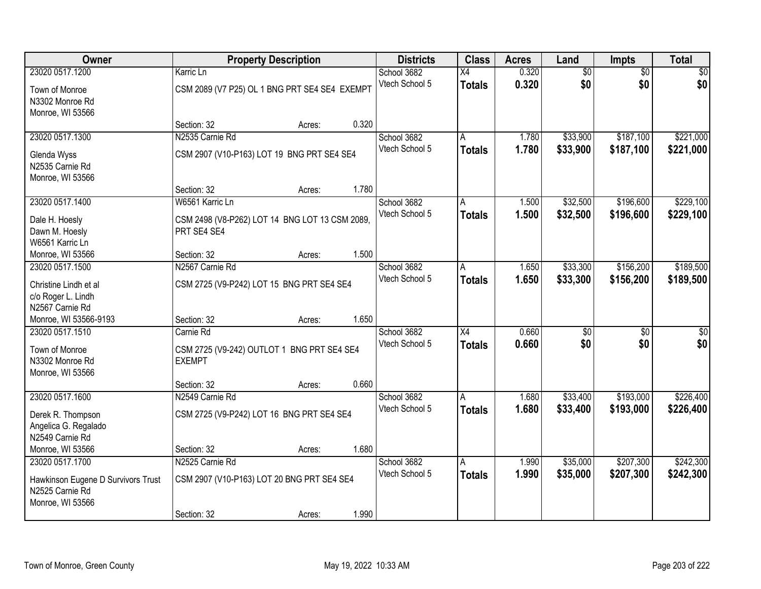| Owner                                   |                                                             | <b>Property Description</b> |       | <b>Districts</b> | <b>Class</b>    | <b>Acres</b> | Land            | Impts           | <b>Total</b>    |
|-----------------------------------------|-------------------------------------------------------------|-----------------------------|-------|------------------|-----------------|--------------|-----------------|-----------------|-----------------|
| 23020 0517.1200                         | Karric Ln                                                   |                             |       | School 3682      | X4              | 0.320        | $\overline{60}$ | $\overline{50}$ | \$0             |
| Town of Monroe                          | CSM 2089 (V7 P25) OL 1 BNG PRT SE4 SE4 EXEMPT               |                             |       | Vtech School 5   | <b>Totals</b>   | 0.320        | \$0             | \$0             | \$0             |
| N3302 Monroe Rd                         |                                                             |                             |       |                  |                 |              |                 |                 |                 |
| Monroe, WI 53566                        |                                                             |                             |       |                  |                 |              |                 |                 |                 |
|                                         | Section: 32                                                 | Acres:                      | 0.320 |                  |                 |              |                 |                 |                 |
| 23020 0517.1300                         | N2535 Carnie Rd                                             |                             |       | School 3682      | A               | 1.780        | \$33,900        | \$187,100       | \$221,000       |
| Glenda Wyss                             | CSM 2907 (V10-P163) LOT 19 BNG PRT SE4 SE4                  |                             |       | Vtech School 5   | <b>Totals</b>   | 1.780        | \$33,900        | \$187,100       | \$221,000       |
| N2535 Carnie Rd                         |                                                             |                             |       |                  |                 |              |                 |                 |                 |
| Monroe, WI 53566                        |                                                             |                             |       |                  |                 |              |                 |                 |                 |
|                                         | Section: 32                                                 | Acres:                      | 1.780 |                  |                 |              |                 |                 |                 |
| 23020 0517.1400                         | W6561 Karric Ln                                             |                             |       | School 3682      | A               | 1.500        | \$32,500        | \$196,600       | \$229,100       |
| Dale H. Hoesly                          | CSM 2498 (V8-P262) LOT 14 BNG LOT 13 CSM 2089,              |                             |       | Vtech School 5   | <b>Totals</b>   | 1.500        | \$32,500        | \$196,600       | \$229,100       |
| Dawn M. Hoesly                          | PRT SE4 SE4                                                 |                             |       |                  |                 |              |                 |                 |                 |
| W6561 Karric Ln                         |                                                             |                             |       |                  |                 |              |                 |                 |                 |
| Monroe, WI 53566                        | Section: 32                                                 | Acres:                      | 1.500 |                  |                 |              |                 |                 |                 |
| 23020 0517.1500                         | N2567 Carnie Rd                                             |                             |       | School 3682      | A               | 1.650        | \$33,300        | \$156,200       | \$189,500       |
| Christine Lindh et al                   |                                                             |                             |       | Vtech School 5   | <b>Totals</b>   | 1.650        | \$33,300        | \$156,200       | \$189,500       |
| c/o Roger L. Lindh                      | CSM 2725 (V9-P242) LOT 15 BNG PRT SE4 SE4                   |                             |       |                  |                 |              |                 |                 |                 |
| N2567 Carnie Rd                         |                                                             |                             |       |                  |                 |              |                 |                 |                 |
| Monroe, WI 53566-9193                   | Section: 32                                                 | Acres:                      | 1.650 |                  |                 |              |                 |                 |                 |
| 23020 0517.1510                         | Carnie Rd                                                   |                             |       | School 3682      | $\overline{X4}$ | 0.660        | $\overline{50}$ | $\overline{50}$ | $\overline{50}$ |
|                                         |                                                             |                             |       | Vtech School 5   | <b>Totals</b>   | 0.660        | \$0             | \$0             | \$0             |
| Town of Monroe<br>N3302 Monroe Rd       | CSM 2725 (V9-242) OUTLOT 1 BNG PRT SE4 SE4<br><b>EXEMPT</b> |                             |       |                  |                 |              |                 |                 |                 |
| Monroe, WI 53566                        |                                                             |                             |       |                  |                 |              |                 |                 |                 |
|                                         | Section: 32                                                 | Acres:                      | 0.660 |                  |                 |              |                 |                 |                 |
| 23020 0517.1600                         | N2549 Carnie Rd                                             |                             |       | School 3682      | A               | 1.680        | \$33,400        | \$193,000       | \$226,400       |
|                                         |                                                             |                             |       | Vtech School 5   | <b>Totals</b>   | 1.680        | \$33,400        | \$193,000       | \$226,400       |
| Derek R. Thompson                       | CSM 2725 (V9-P242) LOT 16 BNG PRT SE4 SE4                   |                             |       |                  |                 |              |                 |                 |                 |
| Angelica G. Regalado<br>N2549 Carnie Rd |                                                             |                             |       |                  |                 |              |                 |                 |                 |
| Monroe, WI 53566                        | Section: 32                                                 | Acres:                      | 1.680 |                  |                 |              |                 |                 |                 |
| 23020 0517.1700                         | N2525 Carnie Rd                                             |                             |       | School 3682      | A               | 1.990        | \$35,000        | \$207,300       | \$242,300       |
|                                         |                                                             |                             |       | Vtech School 5   | <b>Totals</b>   | 1.990        | \$35,000        | \$207,300       | \$242,300       |
| Hawkinson Eugene D Survivors Trust      | CSM 2907 (V10-P163) LOT 20 BNG PRT SE4 SE4                  |                             |       |                  |                 |              |                 |                 |                 |
| N2525 Carnie Rd                         |                                                             |                             |       |                  |                 |              |                 |                 |                 |
| Monroe, WI 53566                        |                                                             |                             |       |                  |                 |              |                 |                 |                 |
|                                         | Section: 32                                                 | Acres:                      | 1.990 |                  |                 |              |                 |                 |                 |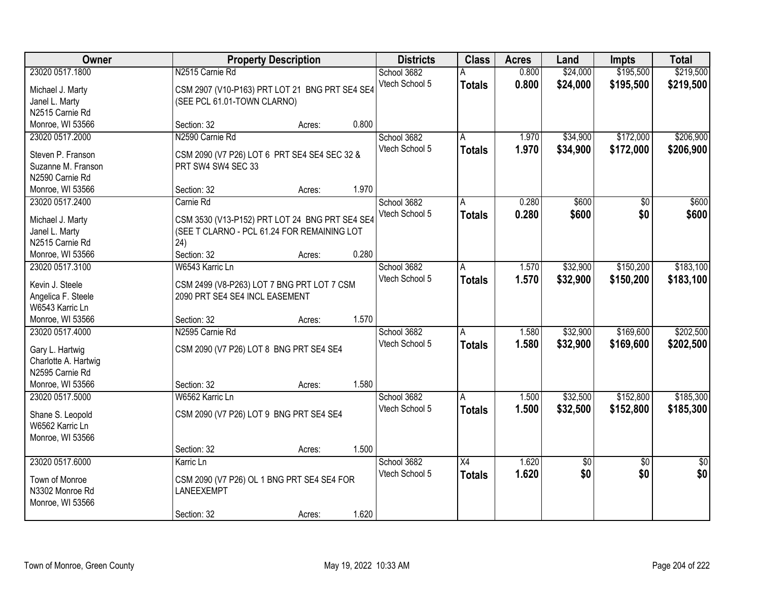| Owner                |                                                | <b>Property Description</b> |       | <b>Districts</b> | <b>Class</b>    | <b>Acres</b> | Land        | Impts           | <b>Total</b>    |
|----------------------|------------------------------------------------|-----------------------------|-------|------------------|-----------------|--------------|-------------|-----------------|-----------------|
| 23020 0517.1800      | N2515 Carnie Rd                                |                             |       | School 3682      |                 | 0.800        | \$24,000    | \$195,500       | \$219,500       |
| Michael J. Marty     | CSM 2907 (V10-P163) PRT LOT 21 BNG PRT SE4 SE4 |                             |       | Vtech School 5   | <b>Totals</b>   | 0.800        | \$24,000    | \$195,500       | \$219,500       |
| Janel L. Marty       | (SEE PCL 61.01-TOWN CLARNO)                    |                             |       |                  |                 |              |             |                 |                 |
| N2515 Carnie Rd      |                                                |                             |       |                  |                 |              |             |                 |                 |
| Monroe, WI 53566     | Section: 32                                    | Acres:                      | 0.800 |                  |                 |              |             |                 |                 |
| 23020 0517.2000      | N2590 Carnie Rd                                |                             |       | School 3682      | A               | 1.970        | \$34,900    | \$172,000       | \$206,900       |
|                      |                                                |                             |       | Vtech School 5   | <b>Totals</b>   | 1.970        | \$34,900    | \$172,000       | \$206,900       |
| Steven P. Franson    | CSM 2090 (V7 P26) LOT 6 PRT SE4 SE4 SEC 32 &   |                             |       |                  |                 |              |             |                 |                 |
| Suzanne M. Franson   | PRT SW4 SW4 SEC 33                             |                             |       |                  |                 |              |             |                 |                 |
| N2590 Carnie Rd      |                                                |                             |       |                  |                 |              |             |                 |                 |
| Monroe, WI 53566     | Section: 32                                    | Acres:                      | 1.970 |                  |                 |              |             |                 |                 |
| 23020 0517.2400      | Carnie Rd                                      |                             |       | School 3682      | A               | 0.280        | \$600       | \$0             | \$600           |
| Michael J. Marty     | CSM 3530 (V13-P152) PRT LOT 24 BNG PRT SE4 SE4 |                             |       | Vtech School 5   | <b>Totals</b>   | 0.280        | \$600       | \$0             | \$600           |
| Janel L. Marty       | (SEE T CLARNO - PCL 61.24 FOR REMAINING LOT    |                             |       |                  |                 |              |             |                 |                 |
| N2515 Carnie Rd      | 24)                                            |                             |       |                  |                 |              |             |                 |                 |
| Monroe, WI 53566     | Section: 32                                    | Acres:                      | 0.280 |                  |                 |              |             |                 |                 |
| 23020 0517.3100      | W6543 Karric Ln                                |                             |       | School 3682      | A               | 1.570        | \$32,900    | \$150,200       | \$183,100       |
|                      |                                                |                             |       | Vtech School 5   | <b>Totals</b>   | 1.570        | \$32,900    | \$150,200       | \$183,100       |
| Kevin J. Steele      | CSM 2499 (V8-P263) LOT 7 BNG PRT LOT 7 CSM     |                             |       |                  |                 |              |             |                 |                 |
| Angelica F. Steele   | 2090 PRT SE4 SE4 INCL EASEMENT                 |                             |       |                  |                 |              |             |                 |                 |
| W6543 Karric Ln      |                                                |                             |       |                  |                 |              |             |                 |                 |
| Monroe, WI 53566     | Section: 32                                    | Acres:                      | 1.570 |                  |                 |              |             |                 |                 |
| 23020 0517.4000      | N2595 Carnie Rd                                |                             |       | School 3682      | A               | 1.580        | \$32,900    | \$169,600       | \$202,500       |
| Gary L. Hartwig      | CSM 2090 (V7 P26) LOT 8 BNG PRT SE4 SE4        |                             |       | Vtech School 5   | <b>Totals</b>   | 1.580        | \$32,900    | \$169,600       | \$202,500       |
| Charlotte A. Hartwig |                                                |                             |       |                  |                 |              |             |                 |                 |
| N2595 Carnie Rd      |                                                |                             |       |                  |                 |              |             |                 |                 |
| Monroe, WI 53566     | Section: 32                                    | Acres:                      | 1.580 |                  |                 |              |             |                 |                 |
| 23020 0517.5000      | W6562 Karric Ln                                |                             |       | School 3682      | A               | 1.500        | \$32,500    | \$152,800       | \$185,300       |
|                      |                                                |                             |       | Vtech School 5   | <b>Totals</b>   | 1.500        | \$32,500    | \$152,800       | \$185,300       |
| Shane S. Leopold     | CSM 2090 (V7 P26) LOT 9 BNG PRT SE4 SE4        |                             |       |                  |                 |              |             |                 |                 |
| W6562 Karric Ln      |                                                |                             |       |                  |                 |              |             |                 |                 |
| Monroe, WI 53566     |                                                |                             |       |                  |                 |              |             |                 |                 |
|                      | Section: 32                                    | Acres:                      | 1.500 |                  |                 |              |             |                 |                 |
| 23020 0517.6000      | Karric Ln                                      |                             |       | School 3682      | $\overline{X4}$ | 1.620        | $\sqrt{50}$ | $\overline{50}$ | $\overline{50}$ |
| Town of Monroe       | CSM 2090 (V7 P26) OL 1 BNG PRT SE4 SE4 FOR     |                             |       | Vtech School 5   | <b>Totals</b>   | 1.620        | \$0         | \$0             | \$0             |
| N3302 Monroe Rd      | LANEEXEMPT                                     |                             |       |                  |                 |              |             |                 |                 |
| Monroe, WI 53566     |                                                |                             |       |                  |                 |              |             |                 |                 |
|                      | Section: 32                                    | Acres:                      | 1.620 |                  |                 |              |             |                 |                 |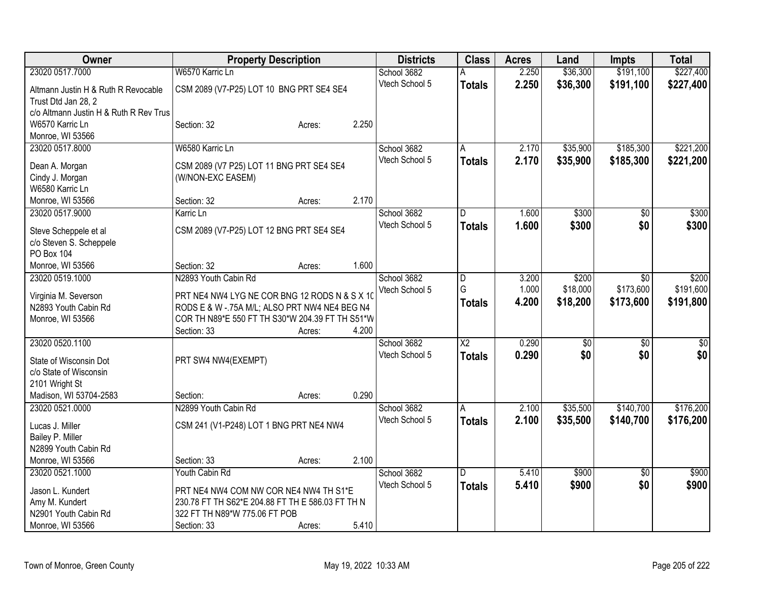| Owner                                  | <b>Property Description</b>                      |        |       | <b>Districts</b> | <b>Class</b>    | <b>Acres</b> | Land            | <b>Impts</b>    | <b>Total</b>    |
|----------------------------------------|--------------------------------------------------|--------|-------|------------------|-----------------|--------------|-----------------|-----------------|-----------------|
| 23020 0517.7000                        | W6570 Karric Ln                                  |        |       | School 3682      | Α               | 2.250        | \$36,300        | \$191,100       | \$227,400       |
| Altmann Justin H & Ruth R Revocable    | CSM 2089 (V7-P25) LOT 10 BNG PRT SE4 SE4         |        |       | Vtech School 5   | <b>Totals</b>   | 2.250        | \$36,300        | \$191,100       | \$227,400       |
| Trust Dtd Jan 28, 2                    |                                                  |        |       |                  |                 |              |                 |                 |                 |
| c/o Altmann Justin H & Ruth R Rev Trus |                                                  |        |       |                  |                 |              |                 |                 |                 |
| W6570 Karric Ln                        | Section: 32                                      | Acres: | 2.250 |                  |                 |              |                 |                 |                 |
| Monroe, WI 53566                       |                                                  |        |       |                  |                 |              |                 |                 |                 |
| 23020 0517.8000                        | W6580 Karric Ln                                  |        |       | School 3682      | A               | 2.170        | \$35,900        | \$185,300       | \$221,200       |
|                                        |                                                  |        |       | Vtech School 5   | <b>Totals</b>   | 2.170        | \$35,900        | \$185,300       | \$221,200       |
| Dean A. Morgan                         | CSM 2089 (V7 P25) LOT 11 BNG PRT SE4 SE4         |        |       |                  |                 |              |                 |                 |                 |
| Cindy J. Morgan<br>W6580 Karric Ln     | (W/NON-EXC EASEM)                                |        |       |                  |                 |              |                 |                 |                 |
| Monroe, WI 53566                       | Section: 32                                      | Acres: | 2.170 |                  |                 |              |                 |                 |                 |
| 23020 0517.9000                        | Karric Ln                                        |        |       | School 3682      | D               | 1.600        | \$300           | \$0             | \$300           |
|                                        |                                                  |        |       | Vtech School 5   |                 | 1.600        | \$300           | \$0             |                 |
| Steve Scheppele et al                  | CSM 2089 (V7-P25) LOT 12 BNG PRT SE4 SE4         |        |       |                  | <b>Totals</b>   |              |                 |                 | \$300           |
| c/o Steven S. Scheppele                |                                                  |        |       |                  |                 |              |                 |                 |                 |
| PO Box 104                             |                                                  |        |       |                  |                 |              |                 |                 |                 |
| Monroe, WI 53566                       | Section: 32                                      | Acres: | 1.600 |                  |                 |              |                 |                 |                 |
| 23020 0519.1000                        | N2893 Youth Cabin Rd                             |        |       | School 3682      | D               | 3.200        | \$200           | \$0             | \$200           |
| Virginia M. Severson                   | PRT NE4 NW4 LYG NE COR BNG 12 RODS N & S X 10    |        |       | Vtech School 5   | G               | 1.000        | \$18,000        | \$173,600       | \$191,600       |
| N2893 Youth Cabin Rd                   | RODS E & W -. 75A M/L; ALSO PRT NW4 NE4 BEG N4   |        |       |                  | <b>Totals</b>   | 4.200        | \$18,200        | \$173,600       | \$191,800       |
| Monroe, WI 53566                       | COR TH N89*E 550 FT TH S30*W 204.39 FT TH S51*W  |        |       |                  |                 |              |                 |                 |                 |
|                                        | Section: 33                                      | Acres: | 4.200 |                  |                 |              |                 |                 |                 |
| 23020 0520.1100                        |                                                  |        |       | School 3682      | $\overline{X2}$ | 0.290        | $\overline{50}$ | \$0             | $\overline{50}$ |
|                                        |                                                  |        |       | Vtech School 5   | <b>Totals</b>   | 0.290        | \$0             | \$0             | \$0             |
| State of Wisconsin Dot                 | PRT SW4 NW4(EXEMPT)                              |        |       |                  |                 |              |                 |                 |                 |
| c/o State of Wisconsin                 |                                                  |        |       |                  |                 |              |                 |                 |                 |
| 2101 Wright St                         |                                                  |        | 0.290 |                  |                 |              |                 |                 |                 |
| Madison, WI 53704-2583                 | Section:                                         | Acres: |       |                  |                 | 2.100        |                 | \$140,700       | \$176,200       |
| 23020 0521.0000                        | N2899 Youth Cabin Rd                             |        |       | School 3682      | $\overline{A}$  |              | \$35,500        |                 |                 |
| Lucas J. Miller                        | CSM 241 (V1-P248) LOT 1 BNG PRT NE4 NW4          |        |       | Vtech School 5   | <b>Totals</b>   | 2.100        | \$35,500        | \$140,700       | \$176,200       |
| Bailey P. Miller                       |                                                  |        |       |                  |                 |              |                 |                 |                 |
| N2899 Youth Cabin Rd                   |                                                  |        |       |                  |                 |              |                 |                 |                 |
| Monroe, WI 53566                       | Section: 33                                      | Acres: | 2.100 |                  |                 |              |                 |                 |                 |
| 23020 0521.1000                        | Youth Cabin Rd                                   |        |       | School 3682      | $\overline{D}$  | 5.410        | \$900           | $\overline{30}$ | \$900           |
| Jason L. Kundert                       | PRT NE4 NW4 COM NW COR NE4 NW4 TH S1*E           |        |       | Vtech School 5   | <b>Totals</b>   | 5.410        | \$900           | \$0             | \$900           |
| Amy M. Kundert                         | 230.78 FT TH S62*E 204.88 FT TH E 586.03 FT TH N |        |       |                  |                 |              |                 |                 |                 |
| N2901 Youth Cabin Rd                   | 322 FT TH N89*W 775.06 FT POB                    |        |       |                  |                 |              |                 |                 |                 |
| Monroe, WI 53566                       | Section: 33                                      | Acres: | 5.410 |                  |                 |              |                 |                 |                 |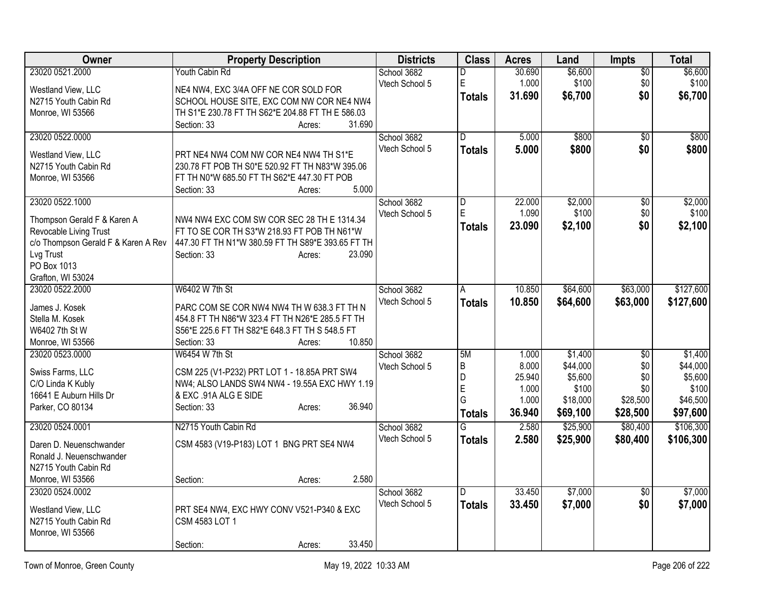| Owner                               | <b>Property Description</b>                       | <b>Districts</b> | <b>Class</b>            | <b>Acres</b> | Land     | <b>Impts</b>    | <b>Total</b> |
|-------------------------------------|---------------------------------------------------|------------------|-------------------------|--------------|----------|-----------------|--------------|
| 23020 0521.2000                     | Youth Cabin Rd                                    | School 3682      | D                       | 30.690       | \$6,600  | \$0             | \$6,600      |
| Westland View, LLC                  | NE4 NW4, EXC 3/4A OFF NE COR SOLD FOR             | Vtech School 5   | E                       | 1.000        | \$100    | \$0             | \$100        |
| N2715 Youth Cabin Rd                | SCHOOL HOUSE SITE, EXC COM NW COR NE4 NW4         |                  | <b>Totals</b>           | 31.690       | \$6,700  | \$0             | \$6,700      |
| Monroe, WI 53566                    | TH S1*E 230.78 FT TH S62*E 204.88 FT TH E 586.03  |                  |                         |              |          |                 |              |
|                                     | Section: 33<br>31.690<br>Acres:                   |                  |                         |              |          |                 |              |
| 23020 0522.0000                     |                                                   | School 3682      | $\Gamma$                | 5.000        | \$800    | $\overline{50}$ | \$800        |
| Westland View, LLC                  | PRT NE4 NW4 COM NW COR NE4 NW4 TH S1*E            | Vtech School 5   | <b>Totals</b>           | 5.000        | \$800    | \$0             | \$800        |
| N2715 Youth Cabin Rd                | 230.78 FT POB TH S0*E 520.92 FT TH N83*W 395.06   |                  |                         |              |          |                 |              |
| Monroe, WI 53566                    | FT TH N0*W 685.50 FT TH S62*E 447.30 FT POB       |                  |                         |              |          |                 |              |
|                                     | 5.000<br>Section: 33<br>Acres:                    |                  |                         |              |          |                 |              |
| 23020 0522.1000                     |                                                   | School 3682      | $\overline{\mathsf{D}}$ | 22.000       | \$2,000  | $\overline{50}$ | \$2,000      |
| Thompson Gerald F & Karen A         | NW4 NW4 EXC COM SW COR SEC 28 TH E 1314.34        | Vtech School 5   | E                       | 1.090        | \$100    | \$0             | \$100        |
| Revocable Living Trust              | FT TO SE COR TH S3*W 218.93 FT POB TH N61*W       |                  | <b>Totals</b>           | 23.090       | \$2,100  | \$0             | \$2,100      |
| c/o Thompson Gerald F & Karen A Rev | 447.30 FT TH N1*W 380.59 FT TH S89*E 393.65 FT TH |                  |                         |              |          |                 |              |
| Lvg Trust                           | Section: 33<br>23.090<br>Acres:                   |                  |                         |              |          |                 |              |
| PO Box 1013                         |                                                   |                  |                         |              |          |                 |              |
| Grafton, WI 53024                   |                                                   |                  |                         |              |          |                 |              |
| 23020 0522.2000                     | W6402 W 7th St                                    | School 3682      | A                       | 10.850       | \$64,600 | \$63,000        | \$127,600    |
| James J. Kosek                      | PARC COM SE COR NW4 NW4 TH W 638.3 FT TH N        | Vtech School 5   | <b>Totals</b>           | 10.850       | \$64,600 | \$63,000        | \$127,600    |
| Stella M. Kosek                     | 454.8 FT TH N86*W 323.4 FT TH N26*E 285.5 FT TH   |                  |                         |              |          |                 |              |
| W6402 7th St W                      | S56*E 225.6 FT TH S82*E 648.3 FT TH S 548.5 FT    |                  |                         |              |          |                 |              |
| Monroe, WI 53566                    | 10.850<br>Section: 33<br>Acres:                   |                  |                         |              |          |                 |              |
| 23020 0523.0000                     | W6454 W 7th St                                    | School 3682      | 5M                      | 1.000        | \$1,400  | $\overline{50}$ | \$1,400      |
| Swiss Farms, LLC                    | CSM 225 (V1-P232) PRT LOT 1 - 18.85A PRT SW4      | Vtech School 5   | B                       | 8.000        | \$44,000 | \$0             | \$44,000     |
| C/O Linda K Kubly                   | NW4; ALSO LANDS SW4 NW4 - 19.55A EXC HWY 1.19     |                  | D                       | 25.940       | \$5,600  | \$0             | \$5,600      |
| 16641 E Auburn Hills Dr             | & EXC .91A ALG E SIDE                             |                  | E                       | 1.000        | \$100    | \$0             | \$100        |
| Parker, CO 80134                    | 36.940<br>Section: 33<br>Acres:                   |                  | G                       | 1.000        | \$18,000 | \$28,500        | \$46,500     |
|                                     |                                                   |                  | <b>Totals</b>           | 36.940       | \$69,100 | \$28,500        | \$97,600     |
| 23020 0524.0001                     | N2715 Youth Cabin Rd                              | School 3682      | $\overline{\mathsf{G}}$ | 2.580        | \$25,900 | \$80,400        | \$106,300    |
| Daren D. Neuenschwander             | CSM 4583 (V19-P183) LOT 1 BNG PRT SE4 NW4         | Vtech School 5   | <b>Totals</b>           | 2.580        | \$25,900 | \$80,400        | \$106,300    |
| Ronald J. Neuenschwander            |                                                   |                  |                         |              |          |                 |              |
| N2715 Youth Cabin Rd                |                                                   |                  |                         |              |          |                 |              |
| Monroe, WI 53566                    | 2.580<br>Section:<br>Acres:                       |                  |                         |              |          |                 |              |
| 23020 0524.0002                     |                                                   | School 3682      | D                       | 33.450       | \$7,000  | \$0             | \$7,000      |
| Westland View, LLC                  | PRT SE4 NW4, EXC HWY CONV V521-P340 & EXC         | Vtech School 5   | <b>Totals</b>           | 33.450       | \$7,000  | \$0             | \$7,000      |
| N2715 Youth Cabin Rd                | CSM 4583 LOT 1                                    |                  |                         |              |          |                 |              |
| Monroe, WI 53566                    |                                                   |                  |                         |              |          |                 |              |
|                                     | 33.450<br>Section:<br>Acres:                      |                  |                         |              |          |                 |              |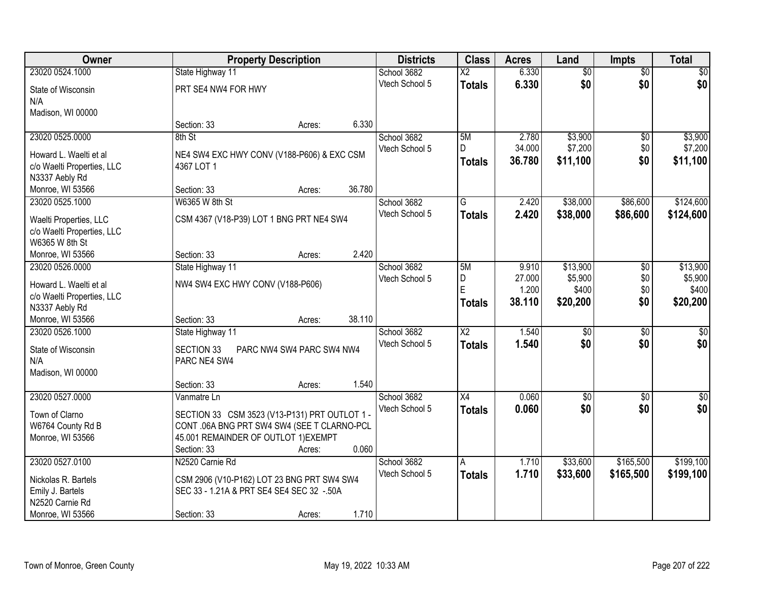| <b>Owner</b>               |                                               | <b>Property Description</b> | <b>Districts</b> | <b>Class</b>    | <b>Acres</b> | Land            | <b>Impts</b>    | <b>Total</b>    |
|----------------------------|-----------------------------------------------|-----------------------------|------------------|-----------------|--------------|-----------------|-----------------|-----------------|
| 23020 0524.1000            | State Highway 11                              |                             | School 3682      | $\overline{X2}$ | 6.330        | $\overline{50}$ | $\overline{50}$ | $\sqrt{50}$     |
| State of Wisconsin         | PRT SE4 NW4 FOR HWY                           |                             | Vtech School 5   | <b>Totals</b>   | 6.330        | \$0             | \$0             | \$0             |
| N/A                        |                                               |                             |                  |                 |              |                 |                 |                 |
| Madison, WI 00000          |                                               |                             |                  |                 |              |                 |                 |                 |
|                            | Section: 33                                   | Acres:                      | 6.330            |                 |              |                 |                 |                 |
| 23020 0525.0000            | 8th St                                        |                             | School 3682      | 5M              | 2.780        | \$3,900         | $\overline{50}$ | \$3,900         |
| Howard L. Waelti et al     | NE4 SW4 EXC HWY CONV (V188-P606) & EXC CSM    |                             | Vtech School 5   | D.              | 34.000       | \$7,200         | \$0             | \$7,200         |
| c/o Waelti Properties, LLC | 4367 LOT 1                                    |                             |                  | <b>Totals</b>   | 36.780       | \$11,100        | \$0             | \$11,100        |
| N3337 Aebly Rd             |                                               |                             |                  |                 |              |                 |                 |                 |
| Monroe, WI 53566           | Section: 33                                   | Acres:                      | 36.780           |                 |              |                 |                 |                 |
| 23020 0525.1000            | W6365 W 8th St                                |                             | School 3682      | G               | 2.420        | \$38,000        | \$86,600        | \$124,600       |
| Waelti Properties, LLC     | CSM 4367 (V18-P39) LOT 1 BNG PRT NE4 SW4      |                             | Vtech School 5   | <b>Totals</b>   | 2.420        | \$38,000        | \$86,600        | \$124,600       |
| c/o Waelti Properties, LLC |                                               |                             |                  |                 |              |                 |                 |                 |
| W6365 W 8th St             |                                               |                             |                  |                 |              |                 |                 |                 |
| Monroe, WI 53566           | Section: 33                                   | Acres:                      | 2.420            |                 |              |                 |                 |                 |
| 23020 0526.0000            | State Highway 11                              |                             | School 3682      | 5M              | 9.910        | \$13,900        | \$0             | \$13,900        |
| Howard L. Waelti et al     | NW4 SW4 EXC HWY CONV (V188-P606)              |                             | Vtech School 5   | D               | 27.000       | \$5,900         | \$0             | \$5,900         |
| c/o Waelti Properties, LLC |                                               |                             |                  | E               | 1.200        | \$400           | \$0             | \$400           |
| N3337 Aebly Rd             |                                               |                             |                  | <b>Totals</b>   | 38.110       | \$20,200        | \$0             | \$20,200        |
| Monroe, WI 53566           | Section: 33                                   | Acres:                      | 38.110           |                 |              |                 |                 |                 |
| 23020 0526.1000            | State Highway 11                              |                             | School 3682      | $\overline{X2}$ | 1.540        | $\overline{30}$ | $\overline{30}$ | $\overline{30}$ |
| State of Wisconsin         | <b>SECTION 33</b>                             | PARC NW4 SW4 PARC SW4 NW4   | Vtech School 5   | <b>Totals</b>   | 1.540        | \$0             | \$0             | \$0             |
| N/A                        | PARC NE4 SW4                                  |                             |                  |                 |              |                 |                 |                 |
| Madison, WI 00000          |                                               |                             |                  |                 |              |                 |                 |                 |
|                            | Section: 33                                   | Acres:                      | 1.540            |                 |              |                 |                 |                 |
| 23020 0527.0000            | Vanmatre Ln                                   |                             | School 3682      | $\overline{X4}$ | 0.060        | $\overline{60}$ | $\overline{30}$ | $\overline{50}$ |
| Town of Clarno             | SECTION 33 CSM 3523 (V13-P131) PRT OUTLOT 1 - |                             | Vtech School 5   | <b>Totals</b>   | 0.060        | \$0             | \$0             | \$0             |
| W6764 County Rd B          | CONT .06A BNG PRT SW4 SW4 (SEE T CLARNO-PCL   |                             |                  |                 |              |                 |                 |                 |
| Monroe, WI 53566           | 45.001 REMAINDER OF OUTLOT 1) EXEMPT          |                             |                  |                 |              |                 |                 |                 |
|                            | Section: 33                                   | Acres:                      | 0.060            |                 |              |                 |                 |                 |
| 23020 0527.0100            | N2520 Carnie Rd                               |                             | School 3682      | A               | 1.710        | \$33,600        | \$165,500       | \$199,100       |
| Nickolas R. Bartels        | CSM 2906 (V10-P162) LOT 23 BNG PRT SW4 SW4    |                             | Vtech School 5   | <b>Totals</b>   | 1.710        | \$33,600        | \$165,500       | \$199,100       |
| Emily J. Bartels           | SEC 33 - 1.21A & PRT SE4 SE4 SEC 32 -.50A     |                             |                  |                 |              |                 |                 |                 |
| N2520 Carnie Rd            |                                               |                             |                  |                 |              |                 |                 |                 |
| Monroe, WI 53566           | Section: 33                                   | Acres:                      | 1.710            |                 |              |                 |                 |                 |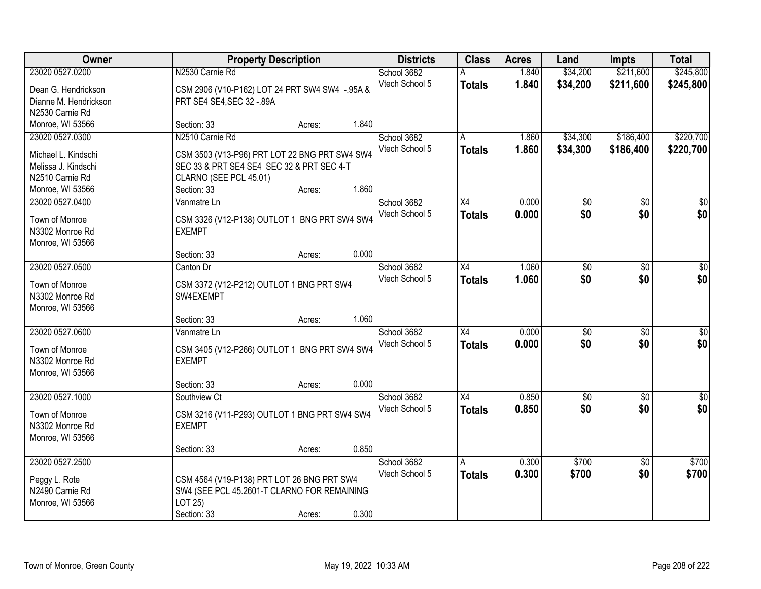| Owner                 |                                                | <b>Property Description</b> |       | <b>Districts</b> | <b>Class</b>    | <b>Acres</b> | Land            | <b>Impts</b>    | <b>Total</b>     |
|-----------------------|------------------------------------------------|-----------------------------|-------|------------------|-----------------|--------------|-----------------|-----------------|------------------|
| 23020 0527.0200       | N2530 Carnie Rd                                |                             |       | School 3682      |                 | 1.840        | \$34,200        | \$211,600       | \$245,800        |
| Dean G. Hendrickson   | CSM 2906 (V10-P162) LOT 24 PRT SW4 SW4 -.95A & |                             |       | Vtech School 5   | <b>Totals</b>   | 1.840        | \$34,200        | \$211,600       | \$245,800        |
| Dianne M. Hendrickson | PRT SE4 SE4, SEC 32 - 89A                      |                             |       |                  |                 |              |                 |                 |                  |
| N2530 Carnie Rd       |                                                |                             |       |                  |                 |              |                 |                 |                  |
| Monroe, WI 53566      | Section: 33                                    | Acres:                      | 1.840 |                  |                 |              |                 |                 |                  |
| 23020 0527.0300       | N2510 Carnie Rd                                |                             |       | School 3682      | A               | 1.860        | \$34,300        | \$186,400       | \$220,700        |
|                       |                                                |                             |       | Vtech School 5   | <b>Totals</b>   | 1.860        | \$34,300        | \$186,400       | \$220,700        |
| Michael L. Kindschi   | CSM 3503 (V13-P96) PRT LOT 22 BNG PRT SW4 SW4  |                             |       |                  |                 |              |                 |                 |                  |
| Melissa J. Kindschi   | SEC 33 & PRT SE4 SE4 SEC 32 & PRT SEC 4-T      |                             |       |                  |                 |              |                 |                 |                  |
| N2510 Carnie Rd       | CLARNO (SEE PCL 45.01)                         |                             |       |                  |                 |              |                 |                 |                  |
| Monroe, WI 53566      | Section: 33                                    | Acres:                      | 1.860 |                  |                 |              |                 |                 |                  |
| 23020 0527.0400       | Vanmatre Ln                                    |                             |       | School 3682      | X4              | 0.000        | \$0             | \$0             | \$0              |
| Town of Monroe        | CSM 3326 (V12-P138) OUTLOT 1 BNG PRT SW4 SW4   |                             |       | Vtech School 5   | <b>Totals</b>   | 0.000        | \$0             | \$0             | \$0              |
| N3302 Monroe Rd       | <b>EXEMPT</b>                                  |                             |       |                  |                 |              |                 |                 |                  |
| Monroe, WI 53566      |                                                |                             |       |                  |                 |              |                 |                 |                  |
|                       | Section: 33                                    | Acres:                      | 0.000 |                  |                 |              |                 |                 |                  |
| 23020 0527.0500       | Canton Dr                                      |                             |       | School 3682      | X4              | 1.060        | \$0             | \$0             | \$0              |
|                       |                                                |                             |       | Vtech School 5   | <b>Totals</b>   | 1.060        | \$0             | \$0             | \$0              |
| Town of Monroe        | CSM 3372 (V12-P212) OUTLOT 1 BNG PRT SW4       |                             |       |                  |                 |              |                 |                 |                  |
| N3302 Monroe Rd       | SW4EXEMPT                                      |                             |       |                  |                 |              |                 |                 |                  |
| Monroe, WI 53566      |                                                |                             |       |                  |                 |              |                 |                 |                  |
|                       | Section: 33                                    | Acres:                      | 1.060 |                  |                 |              |                 |                 |                  |
| 23020 0527.0600       | Vanmatre Ln                                    |                             |       | School 3682      | $\overline{X4}$ | 0.000        | $\overline{50}$ | $\overline{30}$ | $\overline{30}$  |
| Town of Monroe        | CSM 3405 (V12-P266) OUTLOT 1 BNG PRT SW4 SW4   |                             |       | Vtech School 5   | Totals          | 0.000        | \$0             | \$0             | \$0              |
| N3302 Monroe Rd       | <b>EXEMPT</b>                                  |                             |       |                  |                 |              |                 |                 |                  |
| Monroe, WI 53566      |                                                |                             |       |                  |                 |              |                 |                 |                  |
|                       | Section: 33                                    | Acres:                      | 0.000 |                  |                 |              |                 |                 |                  |
| 23020 0527.1000       | Southview Ct                                   |                             |       | School 3682      | X4              | 0.850        | $\overline{60}$ | $\overline{30}$ | $\overline{\$0}$ |
|                       |                                                |                             |       | Vtech School 5   | <b>Totals</b>   | 0.850        | \$0             | \$0             | \$0              |
| Town of Monroe        | CSM 3216 (V11-P293) OUTLOT 1 BNG PRT SW4 SW4   |                             |       |                  |                 |              |                 |                 |                  |
| N3302 Monroe Rd       | <b>EXEMPT</b>                                  |                             |       |                  |                 |              |                 |                 |                  |
| Monroe, WI 53566      |                                                |                             |       |                  |                 |              |                 |                 |                  |
|                       | Section: 33                                    | Acres:                      | 0.850 |                  |                 |              |                 |                 |                  |
| 23020 0527.2500       |                                                |                             |       | School 3682      | A               | 0.300        | \$700           | $\overline{50}$ | \$700            |
| Peggy L. Rote         | CSM 4564 (V19-P138) PRT LOT 26 BNG PRT SW4     |                             |       | Vtech School 5   | <b>Totals</b>   | 0.300        | \$700           | \$0             | \$700            |
| N2490 Carnie Rd       | SW4 (SEE PCL 45.2601-T CLARNO FOR REMAINING    |                             |       |                  |                 |              |                 |                 |                  |
| Monroe, WI 53566      | LOT 25)                                        |                             |       |                  |                 |              |                 |                 |                  |
|                       | Section: 33                                    | Acres:                      | 0.300 |                  |                 |              |                 |                 |                  |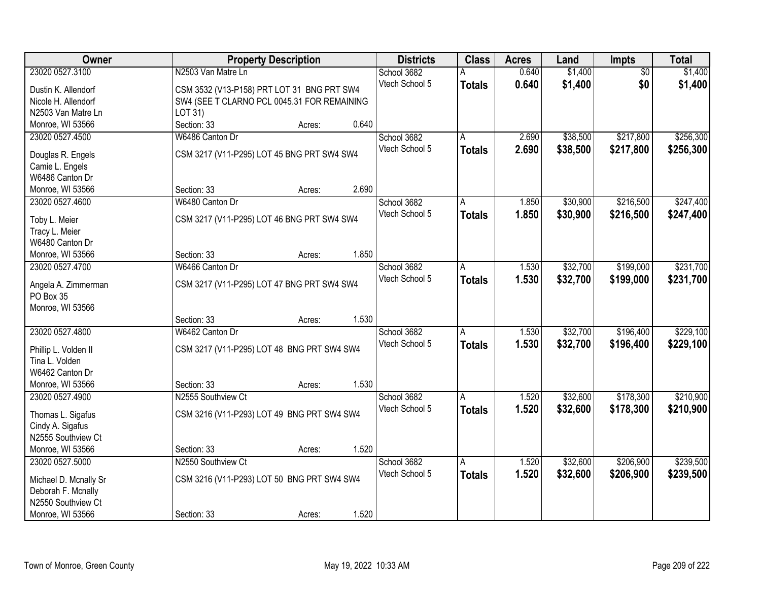| Owner                                       | <b>Property Description</b>                 | <b>Districts</b> | <b>Class</b>  | <b>Acres</b> | Land     | Impts           | <b>Total</b> |
|---------------------------------------------|---------------------------------------------|------------------|---------------|--------------|----------|-----------------|--------------|
| 23020 0527.3100                             | N2503 Van Matre Ln                          | School 3682      |               | 0.640        | \$1,400  | $\overline{50}$ | \$1,400      |
| Dustin K. Allendorf                         | CSM 3532 (V13-P158) PRT LOT 31 BNG PRT SW4  | Vtech School 5   | <b>Totals</b> | 0.640        | \$1,400  | \$0             | \$1,400      |
| Nicole H. Allendorf                         | SW4 (SEE T CLARNO PCL 0045.31 FOR REMAINING |                  |               |              |          |                 |              |
| N2503 Van Matre Ln                          | LOT 31)                                     |                  |               |              |          |                 |              |
| Monroe, WI 53566                            | 0.640<br>Section: 33<br>Acres:              |                  |               |              |          |                 |              |
| 23020 0527.4500                             | W6486 Canton Dr                             | School 3682      | A             | 2.690        | \$38,500 | \$217,800       | \$256,300    |
|                                             |                                             | Vtech School 5   | <b>Totals</b> | 2.690        | \$38,500 | \$217,800       | \$256,300    |
| Douglas R. Engels                           | CSM 3217 (V11-P295) LOT 45 BNG PRT SW4 SW4  |                  |               |              |          |                 |              |
| Camie L. Engels                             |                                             |                  |               |              |          |                 |              |
| W6486 Canton Dr                             |                                             |                  |               |              |          |                 |              |
| Monroe, WI 53566                            | 2.690<br>Section: 33<br>Acres:              |                  |               |              |          |                 |              |
| 23020 0527.4600                             | W6480 Canton Dr                             | School 3682      | A             | 1.850        | \$30,900 | \$216,500       | \$247,400    |
| Toby L. Meier                               | CSM 3217 (V11-P295) LOT 46 BNG PRT SW4 SW4  | Vtech School 5   | <b>Totals</b> | 1.850        | \$30,900 | \$216,500       | \$247,400    |
| Tracy L. Meier                              |                                             |                  |               |              |          |                 |              |
| W6480 Canton Dr                             |                                             |                  |               |              |          |                 |              |
| Monroe, WI 53566                            | 1.850<br>Section: 33<br>Acres:              |                  |               |              |          |                 |              |
| 23020 0527.4700                             | W6466 Canton Dr                             | School 3682      | A             | 1.530        | \$32,700 | \$199,000       | \$231,700    |
|                                             |                                             | Vtech School 5   | <b>Totals</b> | 1.530        | \$32,700 | \$199,000       | \$231,700    |
| Angela A. Zimmerman                         | CSM 3217 (V11-P295) LOT 47 BNG PRT SW4 SW4  |                  |               |              |          |                 |              |
| PO Box 35                                   |                                             |                  |               |              |          |                 |              |
| Monroe, WI 53566                            |                                             |                  |               |              |          |                 |              |
|                                             | 1.530<br>Section: 33<br>Acres:              |                  |               |              |          |                 |              |
| 23020 0527.4800                             | W6462 Canton Dr                             | School 3682      | A             | 1.530        | \$32,700 | \$196,400       | \$229,100    |
| Phillip L. Volden II                        | CSM 3217 (V11-P295) LOT 48 BNG PRT SW4 SW4  | Vtech School 5   | <b>Totals</b> | 1.530        | \$32,700 | \$196,400       | \$229,100    |
| Tina L. Volden                              |                                             |                  |               |              |          |                 |              |
| W6462 Canton Dr                             |                                             |                  |               |              |          |                 |              |
| Monroe, WI 53566                            | 1.530<br>Section: 33<br>Acres:              |                  |               |              |          |                 |              |
| 23020 0527.4900                             | N2555 Southview Ct                          | School 3682      | A             | 1.520        | \$32,600 | \$178,300       | \$210,900    |
|                                             |                                             | Vtech School 5   |               | 1.520        | \$32,600 | \$178,300       |              |
| Thomas L. Sigafus                           | CSM 3216 (V11-P293) LOT 49 BNG PRT SW4 SW4  |                  | <b>Totals</b> |              |          |                 | \$210,900    |
| Cindy A. Sigafus                            |                                             |                  |               |              |          |                 |              |
| N2555 Southview Ct                          |                                             |                  |               |              |          |                 |              |
| Monroe, WI 53566                            | 1.520<br>Section: 33<br>Acres:              |                  |               |              |          |                 |              |
| 23020 0527.5000                             | N2550 Southview Ct                          | School 3682      | Α             | 1.520        | \$32,600 | \$206,900       | \$239,500    |
|                                             | CSM 3216 (V11-P293) LOT 50 BNG PRT SW4 SW4  | Vtech School 5   | <b>Totals</b> | 1.520        | \$32,600 | \$206,900       | \$239,500    |
| Michael D. Mcnally Sr<br>Deborah F. Mcnally |                                             |                  |               |              |          |                 |              |
| N2550 Southview Ct                          |                                             |                  |               |              |          |                 |              |
|                                             |                                             |                  |               |              |          |                 |              |
| Monroe, WI 53566                            | 1.520<br>Section: 33<br>Acres:              |                  |               |              |          |                 |              |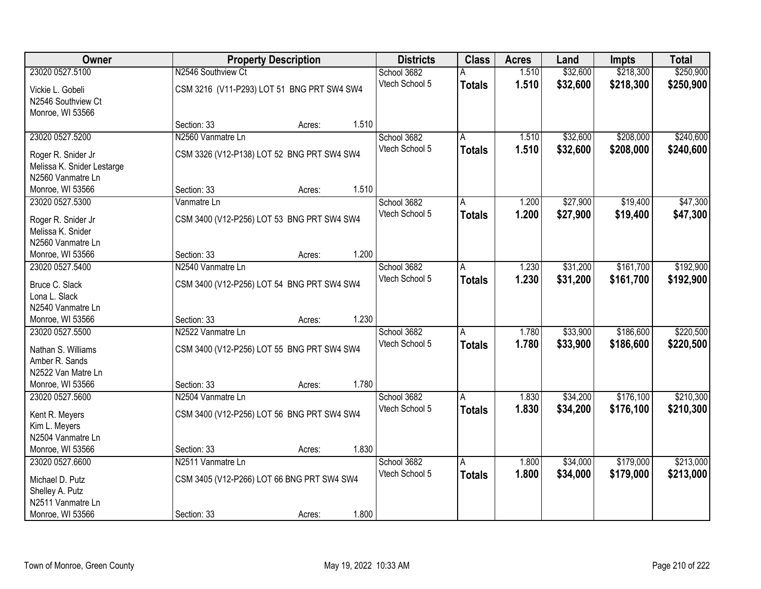| <b>Owner</b>                                                          |                                            | <b>Property Description</b> |       | <b>Districts</b> | <b>Class</b>   | <b>Acres</b> | Land     | <b>Impts</b> | <b>Total</b> |
|-----------------------------------------------------------------------|--------------------------------------------|-----------------------------|-------|------------------|----------------|--------------|----------|--------------|--------------|
| 23020 0527.5100                                                       | N2546 Southview Ct                         |                             |       | School 3682      |                | 1.510        | \$32,600 | \$218,300    | \$250,900    |
| Vickie L. Gobeli<br>N2546 Southview Ct<br>Monroe, WI 53566            | CSM 3216 (V11-P293) LOT 51 BNG PRT SW4 SW4 |                             |       | Vtech School 5   | <b>Totals</b>  | 1.510        | \$32,600 | \$218,300    | \$250,900    |
|                                                                       | Section: 33                                | Acres:                      | 1.510 |                  |                |              |          |              |              |
| 23020 0527.5200                                                       | N2560 Vanmatre Ln                          |                             |       | School 3682      | Α              | 1.510        | \$32,600 | \$208,000    | \$240,600    |
| Roger R. Snider Jr<br>Melissa K. Snider Lestarge<br>N2560 Vanmatre Ln | CSM 3326 (V12-P138) LOT 52 BNG PRT SW4 SW4 |                             |       | Vtech School 5   | <b>Totals</b>  | 1.510        | \$32,600 | \$208,000    | \$240,600    |
| Monroe, WI 53566                                                      | Section: 33                                | Acres:                      | 1.510 |                  |                |              |          |              |              |
| 23020 0527.5300                                                       | Vanmatre Ln                                |                             |       | School 3682      | A              | 1.200        | \$27,900 | \$19,400     | \$47,300     |
| Roger R. Snider Jr<br>Melissa K. Snider<br>N2560 Vanmatre Ln          | CSM 3400 (V12-P256) LOT 53 BNG PRT SW4 SW4 |                             |       | Vtech School 5   | <b>Totals</b>  | 1.200        | \$27,900 | \$19,400     | \$47,300     |
| Monroe, WI 53566                                                      | Section: 33                                | Acres:                      | 1.200 |                  |                |              |          |              |              |
| 23020 0527.5400                                                       | N2540 Vanmatre Ln                          |                             |       | School 3682      | A              | 1.230        | \$31,200 | \$161,700    | \$192,900    |
| Bruce C. Slack<br>Lona L. Slack                                       | CSM 3400 (V12-P256) LOT 54 BNG PRT SW4 SW4 |                             |       | Vtech School 5   | <b>Totals</b>  | 1.230        | \$31,200 | \$161,700    | \$192,900    |
| N2540 Vanmatre Ln                                                     |                                            |                             |       |                  |                |              |          |              |              |
| Monroe, WI 53566                                                      | Section: 33                                | Acres:                      | 1.230 |                  |                |              |          |              |              |
| 23020 0527.5500                                                       | N2522 Vanmatre Ln                          |                             |       | School 3682      | $\overline{A}$ | 1.780        | \$33,900 | \$186,600    | \$220,500    |
| Nathan S. Williams                                                    | CSM 3400 (V12-P256) LOT 55 BNG PRT SW4 SW4 |                             |       | Vtech School 5   | <b>Totals</b>  | 1.780        | \$33,900 | \$186,600    | \$220,500    |
| Amber R. Sands                                                        |                                            |                             |       |                  |                |              |          |              |              |
| N2522 Van Matre Ln                                                    |                                            |                             |       |                  |                |              |          |              |              |
| Monroe, WI 53566                                                      | Section: 33                                | Acres:                      | 1.780 |                  |                |              |          |              |              |
| 23020 0527.5600                                                       | N2504 Vanmatre Ln                          |                             |       | School 3682      | A              | 1.830        | \$34,200 | \$176,100    | \$210,300    |
| Kent R. Meyers<br>Kim L. Meyers<br>N2504 Vanmatre Ln                  | CSM 3400 (V12-P256) LOT 56 BNG PRT SW4 SW4 |                             |       | Vtech School 5   | <b>Totals</b>  | 1.830        | \$34,200 | \$176,100    | \$210,300    |
| Monroe, WI 53566                                                      | Section: 33                                | Acres:                      | 1.830 |                  |                |              |          |              |              |
| 23020 0527.6600                                                       | N2511 Vanmatre Ln                          |                             |       | School 3682      | A              | 1.800        | \$34,000 | \$179,000    | \$213,000    |
| Michael D. Putz<br>Shelley A. Putz                                    | CSM 3405 (V12-P266) LOT 66 BNG PRT SW4 SW4 |                             |       | Vtech School 5   | <b>Totals</b>  | 1.800        | \$34,000 | \$179,000    | \$213,000    |
| N2511 Vanmatre Ln                                                     |                                            |                             |       |                  |                |              |          |              |              |
| Monroe, WI 53566                                                      | Section: 33                                | Acres:                      | 1.800 |                  |                |              |          |              |              |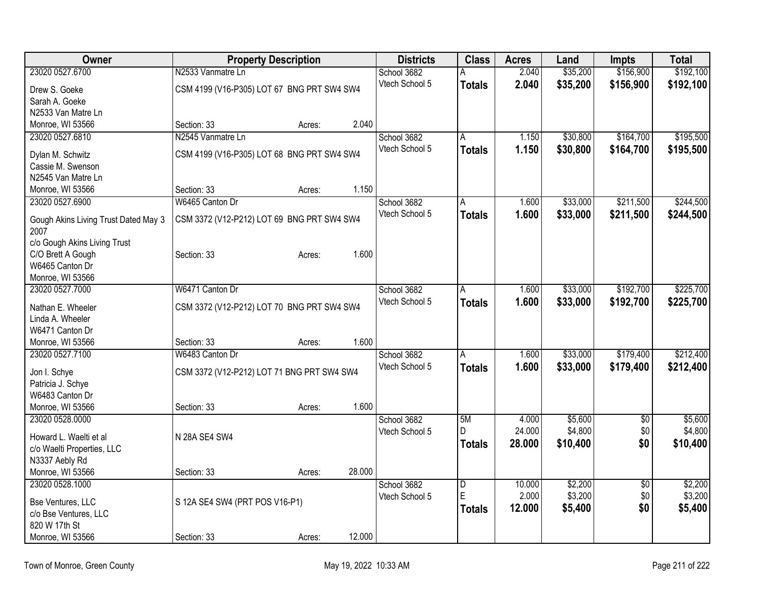| Owner                                        | <b>Property Description</b>                |        |        | <b>Districts</b> | <b>Class</b>            | <b>Acres</b> | Land     | <b>Impts</b>    | <b>Total</b> |
|----------------------------------------------|--------------------------------------------|--------|--------|------------------|-------------------------|--------------|----------|-----------------|--------------|
| 23020 0527.6700                              | N2533 Vanmatre Ln                          |        |        | School 3682      |                         | 2.040        | \$35,200 | \$156,900       | \$192,100    |
| Drew S. Goeke                                | CSM 4199 (V16-P305) LOT 67 BNG PRT SW4 SW4 |        |        | Vtech School 5   | <b>Totals</b>           | 2.040        | \$35,200 | \$156,900       | \$192,100    |
| Sarah A. Goeke                               |                                            |        |        |                  |                         |              |          |                 |              |
| N2533 Van Matre Ln                           |                                            |        |        |                  |                         |              |          |                 |              |
| Monroe, WI 53566                             | Section: 33                                | Acres: | 2.040  |                  |                         |              |          |                 |              |
| 23020 0527.6810                              | N2545 Vanmatre Ln                          |        |        | School 3682      | A                       | 1.150        | \$30,800 | \$164,700       | \$195,500    |
| Dylan M. Schwitz                             | CSM 4199 (V16-P305) LOT 68 BNG PRT SW4 SW4 |        |        | Vtech School 5   | <b>Totals</b>           | 1.150        | \$30,800 | \$164,700       | \$195,500    |
| Cassie M. Swenson                            |                                            |        |        |                  |                         |              |          |                 |              |
| N2545 Van Matre Ln                           |                                            |        |        |                  |                         |              |          |                 |              |
| Monroe, WI 53566                             | Section: 33                                | Acres: | 1.150  |                  |                         |              |          |                 |              |
| 23020 0527.6900                              | W6465 Canton Dr                            |        |        | School 3682      | A                       | 1.600        | \$33,000 | \$211,500       | \$244,500    |
|                                              |                                            |        |        | Vtech School 5   | <b>Totals</b>           | 1.600        | \$33,000 | \$211,500       | \$244,500    |
| Gough Akins Living Trust Dated May 3<br>2007 | CSM 3372 (V12-P212) LOT 69 BNG PRT SW4 SW4 |        |        |                  |                         |              |          |                 |              |
| c/o Gough Akins Living Trust                 |                                            |        |        |                  |                         |              |          |                 |              |
| C/O Brett A Gough                            | Section: 33                                | Acres: | 1.600  |                  |                         |              |          |                 |              |
| W6465 Canton Dr                              |                                            |        |        |                  |                         |              |          |                 |              |
| Monroe, WI 53566                             |                                            |        |        |                  |                         |              |          |                 |              |
| 23020 0527.7000                              | W6471 Canton Dr                            |        |        | School 3682      | A                       | 1.600        | \$33,000 | \$192,700       | \$225,700    |
| Nathan E. Wheeler                            | CSM 3372 (V12-P212) LOT 70 BNG PRT SW4 SW4 |        |        | Vtech School 5   | <b>Totals</b>           | 1.600        | \$33,000 | \$192,700       | \$225,700    |
| Linda A. Wheeler                             |                                            |        |        |                  |                         |              |          |                 |              |
| W6471 Canton Dr                              |                                            |        |        |                  |                         |              |          |                 |              |
| Monroe, WI 53566                             | Section: 33                                | Acres: | 1.600  |                  |                         |              |          |                 |              |
| 23020 0527.7100                              | W6483 Canton Dr                            |        |        | School 3682      | A                       | 1.600        | \$33,000 | \$179,400       | \$212,400    |
|                                              |                                            |        |        | Vtech School 5   | <b>Totals</b>           | 1.600        | \$33,000 | \$179,400       | \$212,400    |
| Jon I. Schye                                 | CSM 3372 (V12-P212) LOT 71 BNG PRT SW4 SW4 |        |        |                  |                         |              |          |                 |              |
| Patricia J. Schye                            |                                            |        |        |                  |                         |              |          |                 |              |
| W6483 Canton Dr                              |                                            |        |        |                  |                         |              |          |                 |              |
| Monroe, WI 53566                             | Section: 33                                | Acres: | 1.600  |                  |                         |              |          |                 |              |
| 23020 0528.0000                              |                                            |        |        | School 3682      | 5M                      | 4.000        | \$5,600  | $\overline{50}$ | \$5,600      |
| Howard L. Waelti et al                       | N 28A SE4 SW4                              |        |        | Vtech School 5   | D.                      | 24.000       | \$4,800  | \$0             | \$4,800      |
| c/o Waelti Properties, LLC                   |                                            |        |        |                  | <b>Totals</b>           | 28.000       | \$10,400 | \$0             | \$10,400     |
| N3337 Aebly Rd                               |                                            |        |        |                  |                         |              |          |                 |              |
| Monroe, WI 53566                             | Section: 33                                | Acres: | 28.000 |                  |                         |              |          |                 |              |
| 23020 0528.1000                              |                                            |        |        | School 3682      | $\overline{\mathsf{D}}$ | 10.000       | \$2,200  | $\overline{50}$ | \$2,200      |
|                                              |                                            |        |        | Vtech School 5   | E                       | 2.000        | \$3,200  | \$0             | \$3,200      |
| Bse Ventures, LLC<br>c/o Bse Ventures, LLC   | S 12A SE4 SW4 (PRT POS V16-P1)             |        |        |                  | <b>Totals</b>           | 12.000       | \$5,400  | \$0             | \$5,400      |
| 820 W 17th St                                |                                            |        |        |                  |                         |              |          |                 |              |
| Monroe, WI 53566                             | Section: 33                                |        | 12.000 |                  |                         |              |          |                 |              |
|                                              |                                            | Acres: |        |                  |                         |              |          |                 |              |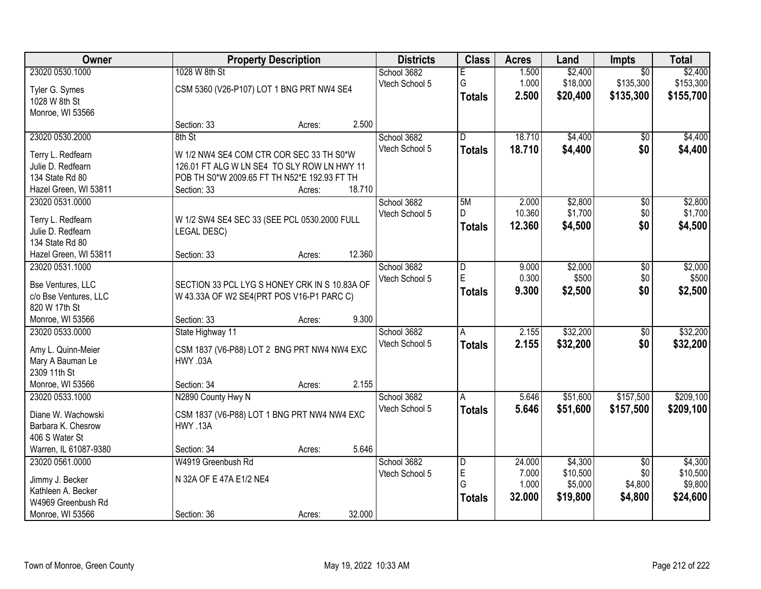| Owner                               |                                               | <b>Property Description</b> |        | <b>Districts</b>              | <b>Class</b>            | <b>Acres</b>   | Land                 | <b>Impts</b>           | <b>Total</b> |
|-------------------------------------|-----------------------------------------------|-----------------------------|--------|-------------------------------|-------------------------|----------------|----------------------|------------------------|--------------|
| 23020 0530.1000                     | 1028 W 8th St                                 |                             |        | School 3682                   | F                       | 1.500          | \$2,400              | $\overline{50}$        | \$2,400      |
| Tyler G. Symes                      | CSM 5360 (V26-P107) LOT 1 BNG PRT NW4 SE4     |                             |        | Vtech School 5                | G                       | 1.000<br>2.500 | \$18,000<br>\$20,400 | \$135,300<br>\$135,300 | \$153,300    |
| 1028 W 8th St                       |                                               |                             |        |                               | <b>Totals</b>           |                |                      |                        | \$155,700    |
| Monroe, WI 53566                    |                                               |                             |        |                               |                         |                |                      |                        |              |
|                                     | Section: 33                                   | Acres:                      | 2.500  |                               |                         |                |                      |                        |              |
| 23020 0530.2000                     | 8th St                                        |                             |        | School 3682                   | $\overline{D}$          | 18.710         | \$4,400              | \$0                    | \$4,400      |
| Terry L. Redfearn                   | W 1/2 NW4 SE4 COM CTR COR SEC 33 TH S0*W      |                             |        | Vtech School 5                | <b>Totals</b>           | 18.710         | \$4,400              | \$0                    | \$4,400      |
| Julie D. Redfearn                   | 126.01 FT ALG W LN SE4 TO SLY ROW LN HWY 11   |                             |        |                               |                         |                |                      |                        |              |
| 134 State Rd 80                     | POB TH S0*W 2009.65 FT TH N52*E 192.93 FT TH  |                             |        |                               |                         |                |                      |                        |              |
| Hazel Green, WI 53811               | Section: 33                                   | Acres:                      | 18.710 |                               |                         |                |                      |                        |              |
| 23020 0531.0000                     |                                               |                             |        | School 3682                   | 5M                      | 2.000          | \$2,800              | \$0                    | \$2,800      |
| Terry L. Redfearn                   | W 1/2 SW4 SE4 SEC 33 (SEE PCL 0530.2000 FULL  |                             |        | Vtech School 5                | D                       | 10.360         | \$1,700              | \$0                    | \$1,700      |
| Julie D. Redfearn                   | <b>LEGAL DESC)</b>                            |                             |        |                               | <b>Totals</b>           | 12.360         | \$4,500              | \$0                    | \$4,500      |
| 134 State Rd 80                     |                                               |                             |        |                               |                         |                |                      |                        |              |
| Hazel Green, WI 53811               | Section: 33                                   | Acres:                      | 12.360 |                               |                         |                |                      |                        |              |
| 23020 0531.1000                     |                                               |                             |        | School 3682                   | D                       | 9.000          | \$2,000              | \$0                    | \$2,000      |
|                                     |                                               |                             |        | Vtech School 5                | E                       | 0.300          | \$500                | \$0                    | \$500        |
| Bse Ventures, LLC                   | SECTION 33 PCL LYG S HONEY CRK IN S 10.83A OF |                             |        |                               | <b>Totals</b>           | 9.300          | \$2,500              | \$0                    | \$2,500      |
| c/o Bse Ventures, LLC               | W 43.33A OF W2 SE4(PRT POS V16-P1 PARC C)     |                             |        |                               |                         |                |                      |                        |              |
| 820 W 17th St                       |                                               |                             | 9.300  |                               |                         |                |                      |                        |              |
| Monroe, WI 53566<br>23020 0533.0000 | Section: 33                                   | Acres:                      |        |                               |                         | 2.155          | \$32,200             |                        | \$32,200     |
|                                     | State Highway 11                              |                             |        | School 3682<br>Vtech School 5 | $\overline{A}$          |                |                      | $\overline{50}$        |              |
| Amy L. Quinn-Meier                  | CSM 1837 (V6-P88) LOT 2 BNG PRT NW4 NW4 EXC   |                             |        |                               | <b>Totals</b>           | 2.155          | \$32,200             | \$0                    | \$32,200     |
| Mary A Bauman Le                    | HWY .03A                                      |                             |        |                               |                         |                |                      |                        |              |
| 2309 11th St                        |                                               |                             |        |                               |                         |                |                      |                        |              |
| Monroe, WI 53566                    | Section: 34                                   | Acres:                      | 2.155  |                               |                         |                |                      |                        |              |
| 23020 0533.1000                     | N2890 County Hwy N                            |                             |        | School 3682                   | A                       | 5.646          | \$51,600             | \$157,500              | \$209,100    |
| Diane W. Wachowski                  | CSM 1837 (V6-P88) LOT 1 BNG PRT NW4 NW4 EXC   |                             |        | Vtech School 5                | <b>Totals</b>           | 5.646          | \$51,600             | \$157,500              | \$209,100    |
| Barbara K. Chesrow                  | HWY .13A                                      |                             |        |                               |                         |                |                      |                        |              |
| 406 S Water St                      |                                               |                             |        |                               |                         |                |                      |                        |              |
| Warren, IL 61087-9380               | Section: 34                                   | Acres:                      | 5.646  |                               |                         |                |                      |                        |              |
| 23020 0561.0000                     | W4919 Greenbush Rd                            |                             |        | School 3682                   | $\overline{\mathsf{D}}$ | 24.000         | \$4,300              | $\overline{30}$        | \$4,300      |
| Jimmy J. Becker                     | N 32A OF E 47A E1/2 NE4                       |                             |        | Vtech School 5                | E                       | 7.000          | \$10,500             | \$0                    | \$10,500     |
| Kathleen A. Becker                  |                                               |                             |        |                               | G                       | 1.000          | \$5,000              | \$4,800                | \$9,800      |
| W4969 Greenbush Rd                  |                                               |                             |        |                               | Totals                  | 32.000         | \$19,800             | \$4,800                | \$24,600     |
| Monroe, WI 53566                    | Section: 36                                   | Acres:                      | 32.000 |                               |                         |                |                      |                        |              |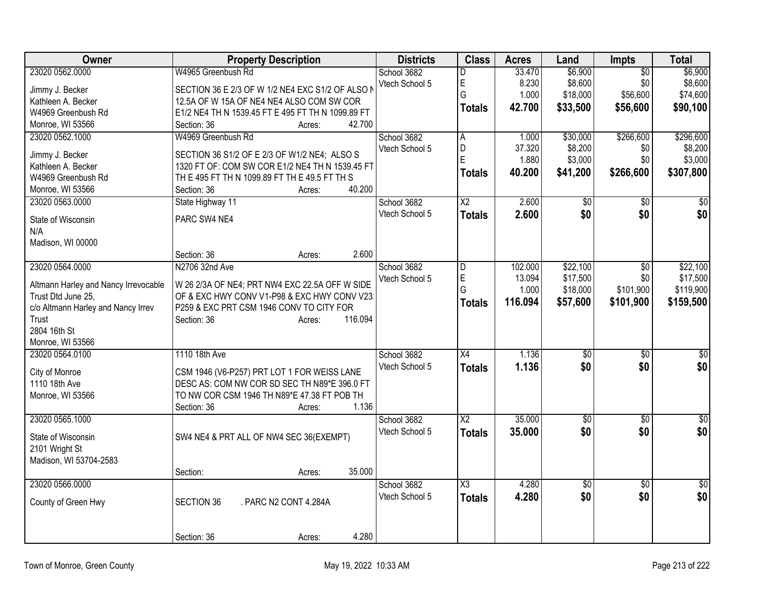| Owner                                    | <b>Property Description</b>                       | <b>Districts</b> | <b>Class</b>           | <b>Acres</b> | Land           | Impts           | <b>Total</b>    |
|------------------------------------------|---------------------------------------------------|------------------|------------------------|--------------|----------------|-----------------|-----------------|
| 23020 0562.0000                          | W4965 Greenbush Rd                                | School 3682      | D                      | 33.470       | \$6,900        | $\overline{50}$ | \$6,900         |
| Jimmy J. Becker                          | SECTION 36 E 2/3 OF W 1/2 NE4 EXC S1/2 OF ALSO N  | Vtech School 5   | E                      | 8.230        | \$8,600        | \$0             | \$8,600         |
| Kathleen A. Becker                       | 12.5A OF W 15A OF NE4 NE4 ALSO COM SW COR         |                  | G                      | 1.000        | \$18,000       | \$56,600        | \$74,600        |
| W4969 Greenbush Rd                       | E1/2 NE4 TH N 1539.45 FT E 495 FT TH N 1099.89 FT |                  | <b>Totals</b>          | 42.700       | \$33,500       | \$56,600        | \$90,100        |
| Monroe, WI 53566                         | 42.700<br>Section: 36<br>Acres:                   |                  |                        |              |                |                 |                 |
| 23020 0562.1000                          | W4969 Greenbush Rd                                | School 3682      | A                      | 1.000        | \$30,000       | \$266,600       | \$296,600       |
| Jimmy J. Becker                          | SECTION 36 S1/2 OF E 2/3 OF W1/2 NE4; ALSO S      | Vtech School 5   | D                      | 37.320       | \$8,200        | \$0             | \$8,200         |
| Kathleen A. Becker                       | 1320 FT OF: COM SW COR E1/2 NE4 TH N 1539.45 FT   |                  | E                      | 1.880        | \$3,000        | \$0             | \$3,000         |
| W4969 Greenbush Rd                       | TH E 495 FT TH N 1099.89 FT TH E 49.5 FT TH S     |                  | <b>Totals</b>          | 40.200       | \$41,200       | \$266,600       | \$307,800       |
| Monroe, WI 53566                         | 40.200<br>Section: 36<br>Acres:                   |                  |                        |              |                |                 |                 |
| 23020 0563.0000                          | State Highway 11                                  | School 3682      | X <sub>2</sub>         | 2.600        | \$0            | $\overline{50}$ | \$0             |
|                                          |                                                   | Vtech School 5   | <b>Totals</b>          | 2.600        | \$0            | \$0             | \$0             |
| State of Wisconsin                       | PARC SW4 NE4                                      |                  |                        |              |                |                 |                 |
| N/A                                      |                                                   |                  |                        |              |                |                 |                 |
| Madison, WI 00000                        |                                                   |                  |                        |              |                |                 |                 |
|                                          | 2.600<br>Section: 36<br>Acres:                    |                  |                        |              |                |                 |                 |
| 23020 0564.0000                          | N2706 32nd Ave                                    | School 3682      | D                      | 102.000      | \$22,100       | $\overline{50}$ | \$22,100        |
| Altmann Harley and Nancy Irrevocable     | W 26 2/3A OF NE4; PRT NW4 EXC 22.5A OFF W SIDE    | Vtech School 5   | $\mathsf E$            | 13.094       | \$17,500       | \$0             | \$17,500        |
| Trust Dtd June 25,                       | OF & EXC HWY CONV V1-P98 & EXC HWY CONV V23       |                  | G                      | 1.000        | \$18,000       | \$101,900       | \$119,900       |
| c/o Altmann Harley and Nancy Irrev       | P259 & EXC PRT CSM 1946 CONV TO CITY FOR          |                  | <b>Totals</b>          | 116.094      | \$57,600       | \$101,900       | \$159,500       |
| Trust                                    | Section: 36<br>116.094<br>Acres:                  |                  |                        |              |                |                 |                 |
| 2804 16th St                             |                                                   |                  |                        |              |                |                 |                 |
| Monroe, WI 53566                         |                                                   |                  |                        |              |                |                 |                 |
| 23020 0564.0100                          | 1110 18th Ave                                     | School 3682      | X4                     | 1.136        | \$0            | \$0             | \$0             |
| City of Monroe                           | CSM 1946 (V6-P257) PRT LOT 1 FOR WEISS LANE       | Vtech School 5   | <b>Totals</b>          | 1.136        | \$0            | \$0             | \$0             |
| 1110 18th Ave                            | DESC AS: COM NW COR SD SEC TH N89*E 396.0 FT      |                  |                        |              |                |                 |                 |
| Monroe, WI 53566                         | TO NW COR CSM 1946 TH N89*E 47.38 FT POB TH       |                  |                        |              |                |                 |                 |
|                                          | 1.136<br>Section: 36<br>Acres:                    |                  |                        |              |                |                 |                 |
| 23020 0565.1000                          |                                                   | School 3682      | $\overline{X2}$        | 35.000       | $\sqrt[6]{30}$ | $\overline{50}$ | $\overline{50}$ |
|                                          |                                                   | Vtech School 5   | <b>Totals</b>          | 35.000       | \$0            | \$0             | \$0             |
| State of Wisconsin                       | SW4 NE4 & PRT ALL OF NW4 SEC 36(EXEMPT)           |                  |                        |              |                |                 |                 |
| 2101 Wright St<br>Madison, WI 53704-2583 |                                                   |                  |                        |              |                |                 |                 |
|                                          | 35.000<br>Section:<br>Acres:                      |                  |                        |              |                |                 |                 |
| 23020 0566.0000                          |                                                   | School 3682      | $\overline{\text{X3}}$ | 4.280        | $\sqrt{$0}$    | $\overline{50}$ | $\overline{50}$ |
|                                          |                                                   | Vtech School 5   | <b>Totals</b>          | 4.280        | \$0            | \$0             | \$0             |
| County of Green Hwy                      | SECTION 36<br>. PARC N2 CONT 4.284A               |                  |                        |              |                |                 |                 |
|                                          |                                                   |                  |                        |              |                |                 |                 |
|                                          |                                                   |                  |                        |              |                |                 |                 |
|                                          | 4.280<br>Section: 36<br>Acres:                    |                  |                        |              |                |                 |                 |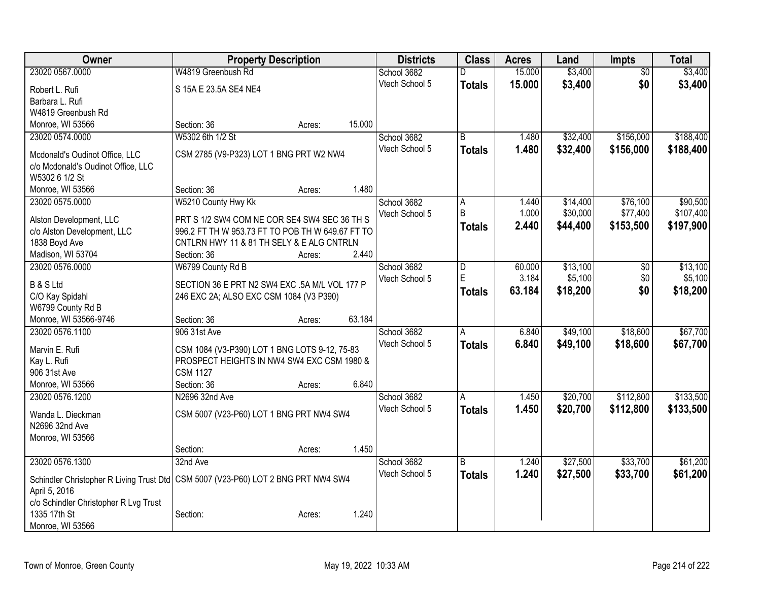| Owner                                                                                                |                                                          | <b>Property Description</b> |        | <b>Districts</b> | <b>Class</b>            | <b>Acres</b> | Land     | <b>Impts</b>    | <b>Total</b> |
|------------------------------------------------------------------------------------------------------|----------------------------------------------------------|-----------------------------|--------|------------------|-------------------------|--------------|----------|-----------------|--------------|
| 23020 0567.0000                                                                                      | W4819 Greenbush Rd                                       |                             |        | School 3682      | D                       | 15.000       | \$3,400  | $\overline{50}$ | \$3,400      |
| Robert L. Rufi                                                                                       | S 15A E 23.5A SE4 NE4                                    |                             |        | Vtech School 5   | <b>Totals</b>           | 15.000       | \$3,400  | \$0             | \$3,400      |
| Barbara L. Rufi                                                                                      |                                                          |                             |        |                  |                         |              |          |                 |              |
| W4819 Greenbush Rd                                                                                   |                                                          |                             |        |                  |                         |              |          |                 |              |
| Monroe, WI 53566                                                                                     | Section: 36                                              | Acres:                      | 15.000 |                  |                         |              |          |                 |              |
| 23020 0574.0000                                                                                      | W5302 6th 1/2 St                                         |                             |        | School 3682      | B                       | 1.480        | \$32,400 | \$156,000       | \$188,400    |
| Mcdonald's Oudinot Office, LLC                                                                       | CSM 2785 (V9-P323) LOT 1 BNG PRT W2 NW4                  |                             |        | Vtech School 5   | <b>Totals</b>           | 1.480        | \$32,400 | \$156,000       | \$188,400    |
| c/o Mcdonald's Oudinot Office, LLC                                                                   |                                                          |                             |        |                  |                         |              |          |                 |              |
| W5302 6 1/2 St                                                                                       |                                                          |                             |        |                  |                         |              |          |                 |              |
| Monroe, WI 53566                                                                                     | Section: 36                                              | Acres:                      | 1.480  |                  |                         |              |          |                 |              |
| 23020 0575.0000                                                                                      | W5210 County Hwy Kk                                      |                             |        | School 3682      | A                       | 1.440        | \$14,400 | \$76,100        | \$90,500     |
|                                                                                                      |                                                          |                             |        | Vtech School 5   | B                       | 1.000        | \$30,000 | \$77,400        | \$107,400    |
| Alston Development, LLC                                                                              | PRT S 1/2 SW4 COM NE COR SE4 SW4 SEC 36 TH S             |                             |        |                  | <b>Totals</b>           | 2.440        | \$44,400 | \$153,500       | \$197,900    |
| c/o Alston Development, LLC                                                                          | 996.2 FT TH W 953.73 FT TO POB TH W 649.67 FT TO         |                             |        |                  |                         |              |          |                 |              |
| 1838 Boyd Ave<br>Madison, WI 53704                                                                   | CNTLRN HWY 11 & 81 TH SELY & E ALG CNTRLN<br>Section: 36 | Acres:                      | 2.440  |                  |                         |              |          |                 |              |
| 23020 0576,0000                                                                                      | W6799 County Rd B                                        |                             |        | School 3682      | $\overline{\mathsf{D}}$ | 60.000       | \$13,100 | \$0             | \$13,100     |
|                                                                                                      |                                                          |                             |        | Vtech School 5   | E                       | 3.184        | \$5,100  | \$0             | \$5,100      |
| <b>B &amp; S Ltd</b>                                                                                 | SECTION 36 E PRT N2 SW4 EXC .5A M/L VOL 177 P            |                             |        |                  |                         | 63.184       | \$18,200 | \$0             | \$18,200     |
| C/O Kay Spidahl                                                                                      | 246 EXC 2A; ALSO EXC CSM 1084 (V3 P390)                  |                             |        |                  | Totals                  |              |          |                 |              |
| W6799 County Rd B                                                                                    |                                                          |                             |        |                  |                         |              |          |                 |              |
| Monroe, WI 53566-9746                                                                                | Section: 36                                              | Acres:                      | 63.184 |                  |                         |              |          |                 |              |
| 23020 0576.1100                                                                                      | 906 31st Ave                                             |                             |        | School 3682      | A                       | 6.840        | \$49,100 | \$18,600        | \$67,700     |
| Marvin E. Rufi                                                                                       | CSM 1084 (V3-P390) LOT 1 BNG LOTS 9-12, 75-83            |                             |        | Vtech School 5   | Totals                  | 6.840        | \$49,100 | \$18,600        | \$67,700     |
| Kay L. Rufi                                                                                          | PROSPECT HEIGHTS IN NW4 SW4 EXC CSM 1980 &               |                             |        |                  |                         |              |          |                 |              |
| 906 31st Ave                                                                                         | <b>CSM 1127</b>                                          |                             |        |                  |                         |              |          |                 |              |
| Monroe, WI 53566                                                                                     | Section: 36                                              | Acres:                      | 6.840  |                  |                         |              |          |                 |              |
| 23020 0576.1200                                                                                      | N2696 32nd Ave                                           |                             |        | School 3682      | A                       | 1.450        | \$20,700 | \$112,800       | \$133,500    |
| Wanda L. Dieckman                                                                                    | CSM 5007 (V23-P60) LOT 1 BNG PRT NW4 SW4                 |                             |        | Vtech School 5   | <b>Totals</b>           | 1.450        | \$20,700 | \$112,800       | \$133,500    |
| N2696 32nd Ave                                                                                       |                                                          |                             |        |                  |                         |              |          |                 |              |
| Monroe, WI 53566                                                                                     |                                                          |                             |        |                  |                         |              |          |                 |              |
|                                                                                                      | Section:                                                 | Acres:                      | 1.450  |                  |                         |              |          |                 |              |
| 23020 0576.1300                                                                                      | 32nd Ave                                                 |                             |        | School 3682      | B                       | 1.240        | \$27,500 | \$33,700        | \$61,200     |
|                                                                                                      |                                                          |                             |        | Vtech School 5   | <b>Totals</b>           | 1.240        | \$27,500 | \$33,700        | \$61,200     |
| Schindler Christopher R Living Trust Dtd   CSM 5007 (V23-P60) LOT 2 BNG PRT NW4 SW4<br>April 5, 2016 |                                                          |                             |        |                  |                         |              |          |                 |              |
| c/o Schindler Christopher R Lvg Trust                                                                |                                                          |                             |        |                  |                         |              |          |                 |              |
| 1335 17th St                                                                                         | Section:                                                 | Acres:                      | 1.240  |                  |                         |              |          |                 |              |
| Monroe, WI 53566                                                                                     |                                                          |                             |        |                  |                         |              |          |                 |              |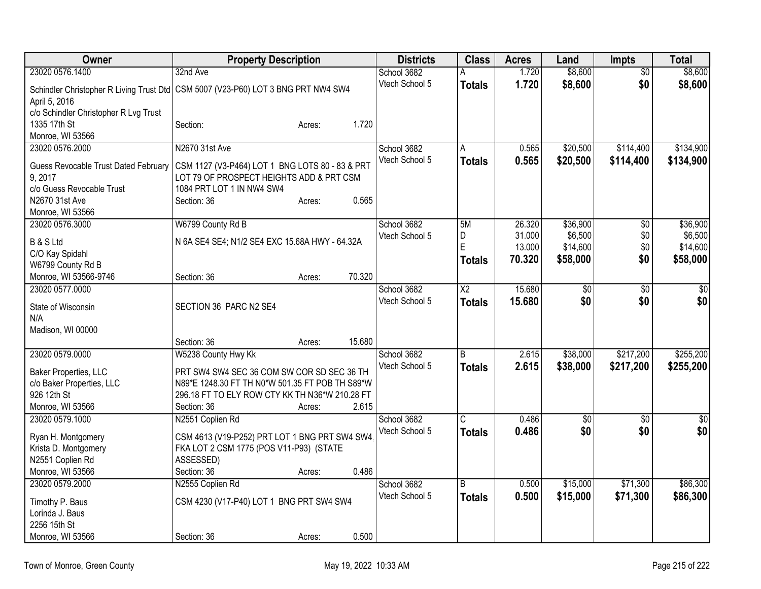| Owner                                       | <b>Property Description</b>                                                         | <b>Districts</b> | <b>Class</b>   | <b>Acres</b> | Land            | <b>Impts</b>    | <b>Total</b>    |
|---------------------------------------------|-------------------------------------------------------------------------------------|------------------|----------------|--------------|-----------------|-----------------|-----------------|
| 23020 0576.1400                             | 32nd Ave                                                                            | School 3682      | А              | 1.720        | \$8,600         | $\overline{50}$ | \$8,600         |
|                                             | Schindler Christopher R Living Trust Dtd   CSM 5007 (V23-P60) LOT 3 BNG PRT NW4 SW4 | Vtech School 5   | <b>Totals</b>  | 1.720        | \$8,600         | \$0             | \$8,600         |
| April 5, 2016                               |                                                                                     |                  |                |              |                 |                 |                 |
| c/o Schindler Christopher R Lvg Trust       |                                                                                     |                  |                |              |                 |                 |                 |
| 1335 17th St                                | Section:<br>Acres:                                                                  | 1.720            |                |              |                 |                 |                 |
| Monroe, WI 53566                            |                                                                                     |                  |                |              |                 |                 |                 |
| 23020 0576.2000                             | N2670 31st Ave                                                                      | School 3682      | A              | 0.565        | \$20,500        | \$114,400       | \$134,900       |
| <b>Guess Revocable Trust Dated February</b> | CSM 1127 (V3-P464) LOT 1 BNG LOTS 80 - 83 & PRT                                     | Vtech School 5   | Totals         | 0.565        | \$20,500        | \$114,400       | \$134,900       |
| 9,2017                                      | LOT 79 OF PROSPECT HEIGHTS ADD & PRT CSM                                            |                  |                |              |                 |                 |                 |
| c/o Guess Revocable Trust                   | 1084 PRT LOT 1 IN NW4 SW4                                                           |                  |                |              |                 |                 |                 |
| N2670 31st Ave                              | Section: 36<br>Acres:                                                               | 0.565            |                |              |                 |                 |                 |
| Monroe, WI 53566                            |                                                                                     |                  |                |              |                 |                 |                 |
| 23020 0576.3000                             | W6799 County Rd B                                                                   | School 3682      | 5M             | 26.320       | \$36,900        | $\overline{50}$ | \$36,900        |
| <b>B &amp; S Ltd</b>                        | N 6A SE4 SE4; N1/2 SE4 EXC 15.68A HWY - 64.32A                                      | Vtech School 5   | D              | 31.000       | \$6,500         | \$0             | \$6,500         |
| C/O Kay Spidahl                             |                                                                                     |                  | E              | 13.000       | \$14,600        | \$0             | \$14,600        |
| W6799 County Rd B                           |                                                                                     |                  | <b>Totals</b>  | 70.320       | \$58,000        | \$0             | \$58,000        |
| Monroe, WI 53566-9746                       | 70.320<br>Section: 36<br>Acres:                                                     |                  |                |              |                 |                 |                 |
| 23020 0577.0000                             |                                                                                     | School 3682      | X <sub>2</sub> | 15.680       | \$0             | \$0             | \$0             |
|                                             |                                                                                     | Vtech School 5   | <b>Totals</b>  | 15.680       | \$0             | \$0             | \$0             |
| State of Wisconsin                          | SECTION 36 PARC N2 SE4                                                              |                  |                |              |                 |                 |                 |
| N/A<br>Madison, WI 00000                    |                                                                                     |                  |                |              |                 |                 |                 |
|                                             | 15.680<br>Section: 36<br>Acres:                                                     |                  |                |              |                 |                 |                 |
| 23020 0579.0000                             | W5238 County Hwy Kk                                                                 | School 3682      | $\overline{B}$ | 2.615        | \$38,000        | \$217,200       | \$255,200       |
|                                             |                                                                                     | Vtech School 5   | <b>Totals</b>  | 2.615        | \$38,000        | \$217,200       | \$255,200       |
| Baker Properties, LLC                       | PRT SW4 SW4 SEC 36 COM SW COR SD SEC 36 TH                                          |                  |                |              |                 |                 |                 |
| c/o Baker Properties, LLC                   | N89*E 1248.30 FT TH N0*W 501.35 FT POB TH S89*W                                     |                  |                |              |                 |                 |                 |
| 926 12th St                                 | 296.18 FT TO ELY ROW CTY KK TH N36*W 210.28 FT                                      |                  |                |              |                 |                 |                 |
| Monroe, WI 53566                            | Section: 36<br>Acres:                                                               | 2.615            |                |              |                 |                 |                 |
| 23020 0579.1000                             | N2551 Coplien Rd                                                                    | School 3682      | C              | 0.486        | $\overline{50}$ | \$0             | $\overline{30}$ |
| Ryan H. Montgomery                          | CSM 4613 (V19-P252) PRT LOT 1 BNG PRT SW4 SW4                                       | Vtech School 5   | <b>Totals</b>  | 0.486        | \$0             | \$0             | \$0             |
| Krista D. Montgomery                        | FKA LOT 2 CSM 1775 (POS V11-P93) (STATE                                             |                  |                |              |                 |                 |                 |
| N2551 Coplien Rd                            | ASSESSED)                                                                           |                  |                |              |                 |                 |                 |
| Monroe, WI 53566                            | Section: 36<br>Acres:                                                               | 0.486            |                |              |                 |                 |                 |
| 23020 0579.2000                             | N2555 Coplien Rd                                                                    | School 3682      | B              | 0.500        | \$15,000        | \$71,300        | \$86,300        |
| Timothy P. Baus                             | CSM 4230 (V17-P40) LOT 1 BNG PRT SW4 SW4                                            | Vtech School 5   | <b>Totals</b>  | 0.500        | \$15,000        | \$71,300        | \$86,300        |
| Lorinda J. Baus                             |                                                                                     |                  |                |              |                 |                 |                 |
| 2256 15th St                                |                                                                                     |                  |                |              |                 |                 |                 |
| Monroe, WI 53566                            | Section: 36<br>Acres:                                                               | 0.500            |                |              |                 |                 |                 |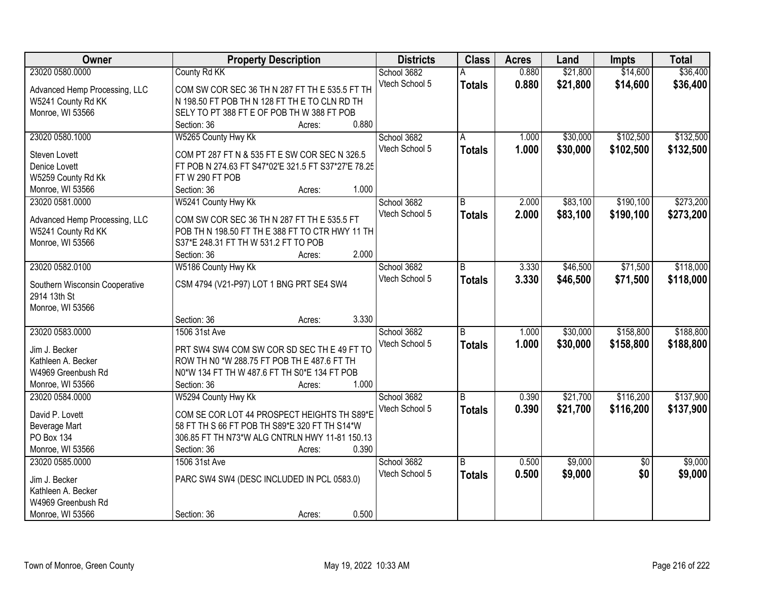| Owner                          | <b>Property Description</b>                         | <b>Districts</b> | <b>Class</b>  | <b>Acres</b> | Land     | <b>Impts</b>    | <b>Total</b> |
|--------------------------------|-----------------------------------------------------|------------------|---------------|--------------|----------|-----------------|--------------|
| 23020 0580.0000                | <b>County Rd KK</b>                                 | School 3682      |               | 0.880        | \$21,800 | \$14,600        | \$36,400     |
| Advanced Hemp Processing, LLC  | COM SW COR SEC 36 TH N 287 FT TH E 535.5 FT TH      | Vtech School 5   | <b>Totals</b> | 0.880        | \$21,800 | \$14,600        | \$36,400     |
| W5241 County Rd KK             | N 198.50 FT POB TH N 128 FT THE TO CLN RD TH        |                  |               |              |          |                 |              |
| Monroe, WI 53566               | SELY TO PT 388 FT E OF POB TH W 388 FT POB          |                  |               |              |          |                 |              |
|                                | 0.880<br>Section: 36<br>Acres:                      |                  |               |              |          |                 |              |
| 23020 0580.1000                | W5265 County Hwy Kk                                 | School 3682      | A             | 1.000        | \$30,000 | \$102,500       | \$132,500    |
|                                |                                                     | Vtech School 5   | <b>Totals</b> | 1.000        | \$30,000 | \$102,500       | \$132,500    |
| Steven Lovett                  | COM PT 287 FT N & 535 FT E SW COR SEC N 326.5       |                  |               |              |          |                 |              |
| Denice Lovett                  | FT POB N 274.63 FT S47*02'E 321.5 FT S37*27'E 78.25 |                  |               |              |          |                 |              |
| W5259 County Rd Kk             | FTW 290 FT POB                                      |                  |               |              |          |                 |              |
| Monroe, WI 53566               | 1.000<br>Section: 36<br>Acres:                      |                  |               |              |          |                 |              |
| 23020 0581.0000                | W5241 County Hwy Kk                                 | School 3682      | B             | 2.000        | \$83,100 | \$190,100       | \$273,200    |
| Advanced Hemp Processing, LLC  | COM SW COR SEC 36 TH N 287 FT TH E 535.5 FT         | Vtech School 5   | <b>Totals</b> | 2.000        | \$83,100 | \$190,100       | \$273,200    |
| W5241 County Rd KK             | POB TH N 198.50 FT TH E 388 FT TO CTR HWY 11 TH     |                  |               |              |          |                 |              |
| Monroe, WI 53566               | S37*E 248.31 FT TH W 531.2 FT TO POB                |                  |               |              |          |                 |              |
|                                | 2.000<br>Section: 36<br>Acres:                      |                  |               |              |          |                 |              |
| 23020 0582.0100                | W5186 County Hwy Kk                                 | School 3682      | B             | 3.330        | \$46,500 | \$71,500        | \$118,000    |
|                                |                                                     | Vtech School 5   |               | 3.330        | \$46,500 | \$71,500        | \$118,000    |
| Southern Wisconsin Cooperative | CSM 4794 (V21-P97) LOT 1 BNG PRT SE4 SW4            |                  | <b>Totals</b> |              |          |                 |              |
| 2914 13th St                   |                                                     |                  |               |              |          |                 |              |
| Monroe, WI 53566               |                                                     |                  |               |              |          |                 |              |
|                                | 3.330<br>Section: 36<br>Acres:                      |                  |               |              |          |                 |              |
| 23020 0583.0000                | 1506 31st Ave                                       | School 3682      | B             | 1.000        | \$30,000 | \$158,800       | \$188,800    |
|                                |                                                     | Vtech School 5   | <b>Totals</b> | 1.000        | \$30,000 | \$158,800       | \$188,800    |
| Jim J. Becker                  | PRT SW4 SW4 COM SW COR SD SEC TH E 49 FT TO         |                  |               |              |          |                 |              |
| Kathleen A. Becker             | ROW TH N0 *W 288.75 FT POB TH E 487.6 FT TH         |                  |               |              |          |                 |              |
| W4969 Greenbush Rd             | N0*W 134 FT TH W 487.6 FT TH S0*E 134 FT POB        |                  |               |              |          |                 |              |
| Monroe, WI 53566               | 1.000<br>Section: 36<br>Acres:                      |                  |               |              |          |                 |              |
| 23020 0584.0000                | W5294 County Hwy Kk                                 | School 3682      | B             | 0.390        | \$21,700 | \$116,200       | \$137,900    |
| David P. Lovett                | COM SE COR LOT 44 PROSPECT HEIGHTS TH S89*E         | Vtech School 5   | <b>Totals</b> | 0.390        | \$21,700 | \$116,200       | \$137,900    |
| Beverage Mart                  | 58 FT TH S 66 FT POB TH S89*E 320 FT TH S14*W       |                  |               |              |          |                 |              |
| PO Box 134                     | 306.85 FT TH N73*W ALG CNTRLN HWY 11-81 150.13      |                  |               |              |          |                 |              |
| Monroe, WI 53566               | 0.390<br>Section: 36<br>Acres:                      |                  |               |              |          |                 |              |
| 23020 0585.0000                | 1506 31st Ave                                       | School 3682      | B             | 0.500        | \$9,000  | $\overline{50}$ | \$9,000      |
|                                |                                                     | Vtech School 5   | <b>Totals</b> | 0.500        | \$9,000  | \$0             | \$9,000      |
| Jim J. Becker                  | PARC SW4 SW4 (DESC INCLUDED IN PCL 0583.0)          |                  |               |              |          |                 |              |
| Kathleen A. Becker             |                                                     |                  |               |              |          |                 |              |
| W4969 Greenbush Rd             |                                                     |                  |               |              |          |                 |              |
| Monroe, WI 53566               | 0.500<br>Section: 36<br>Acres:                      |                  |               |              |          |                 |              |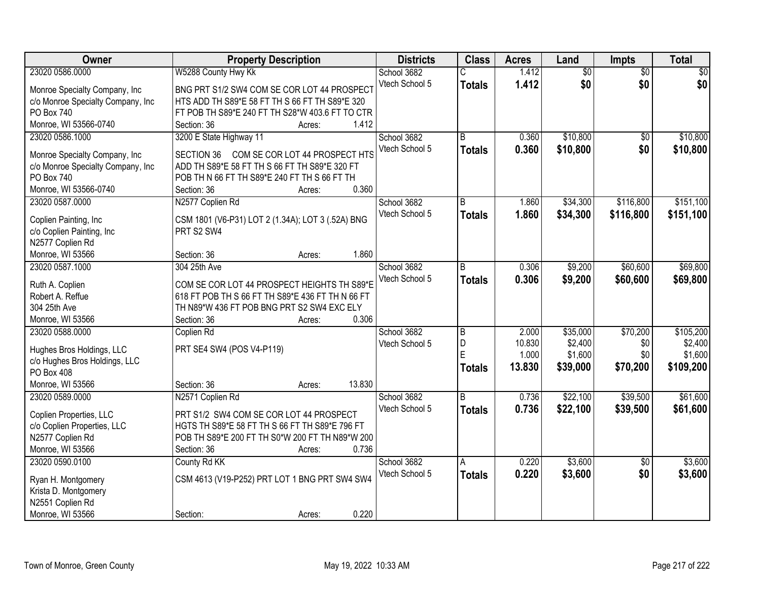| Owner                             | <b>Property Description</b>                         | <b>Districts</b> | <b>Class</b>   | <b>Acres</b> | Land            | Impts           | <b>Total</b>    |
|-----------------------------------|-----------------------------------------------------|------------------|----------------|--------------|-----------------|-----------------|-----------------|
| 23020 0586.0000                   | W5288 County Hwy Kk                                 | School 3682      |                | 1.412        | $\overline{60}$ | $\overline{50}$ | $\overline{50}$ |
| Monroe Specialty Company, Inc     | BNG PRT S1/2 SW4 COM SE COR LOT 44 PROSPECT         | Vtech School 5   | <b>Totals</b>  | 1.412        | \$0             | \$0             | \$0             |
| c/o Monroe Specialty Company, Inc | HTS ADD TH S89*E 58 FT TH S 66 FT TH S89*E 320      |                  |                |              |                 |                 |                 |
| PO Box 740                        | FT POB TH S89*E 240 FT TH S28*W 403.6 FT TO CTR     |                  |                |              |                 |                 |                 |
| Monroe, WI 53566-0740             | 1.412<br>Section: 36<br>Acres:                      |                  |                |              |                 |                 |                 |
| 23020 0586.1000                   | 3200 E State Highway 11                             | School 3682      | B              | 0.360        | \$10,800        | $\overline{30}$ | \$10,800        |
|                                   |                                                     | Vtech School 5   | <b>Totals</b>  | 0.360        | \$10,800        | \$0             | \$10,800        |
| Monroe Specialty Company, Inc.    | COM SE COR LOT 44 PROSPECT HTS<br><b>SECTION 36</b> |                  |                |              |                 |                 |                 |
| c/o Monroe Specialty Company, Inc | ADD TH S89*E 58 FT TH S 66 FT TH S89*E 320 FT       |                  |                |              |                 |                 |                 |
| PO Box 740                        | POB TH N 66 FT TH S89*E 240 FT TH S 66 FT TH        |                  |                |              |                 |                 |                 |
| Monroe, WI 53566-0740             | 0.360<br>Section: 36<br>Acres:                      |                  |                |              |                 |                 |                 |
| 23020 0587.0000                   | N2577 Coplien Rd                                    | School 3682      | B              | 1.860        | \$34,300        | \$116,800       | \$151,100       |
| Coplien Painting, Inc.            | CSM 1801 (V6-P31) LOT 2 (1.34A); LOT 3 (.52A) BNG   | Vtech School 5   | <b>Totals</b>  | 1.860        | \$34,300        | \$116,800       | \$151,100       |
| c/o Coplien Painting, Inc         | PRT S2 SW4                                          |                  |                |              |                 |                 |                 |
| N2577 Coplien Rd                  |                                                     |                  |                |              |                 |                 |                 |
| Monroe, WI 53566                  | 1.860<br>Section: 36<br>Acres:                      |                  |                |              |                 |                 |                 |
| 23020 0587.1000                   | 304 25th Ave                                        | School 3682      | B              | 0.306        | \$9,200         | \$60,600        | \$69,800        |
|                                   |                                                     | Vtech School 5   | <b>Totals</b>  | 0.306        | \$9,200         | \$60,600        | \$69,800        |
| Ruth A. Coplien                   | COM SE COR LOT 44 PROSPECT HEIGHTS TH S89*E         |                  |                |              |                 |                 |                 |
| Robert A. Reffue                  | 618 FT POB TH S 66 FT TH S89*E 436 FT TH N 66 FT    |                  |                |              |                 |                 |                 |
| 304 25th Ave                      | TH N89*W 436 FT POB BNG PRT S2 SW4 EXC ELY          |                  |                |              |                 |                 |                 |
| Monroe, WI 53566                  | 0.306<br>Section: 36<br>Acres:                      |                  |                |              |                 |                 |                 |
| 23020 0588.0000                   | Coplien Rd                                          | School 3682      | B              | 2.000        | \$35,000        | \$70,200        | \$105,200       |
| Hughes Bros Holdings, LLC         | PRT SE4 SW4 (POS V4-P119)                           | Vtech School 5   | D              | 10.830       | \$2,400         | \$0             | \$2,400         |
| c/o Hughes Bros Holdings, LLC     |                                                     |                  | E              | 1.000        | \$1,600         | \$0             | \$1,600         |
| PO Box 408                        |                                                     |                  | <b>Totals</b>  | 13.830       | \$39,000        | \$70,200        | \$109,200       |
| Monroe, WI 53566                  | 13.830<br>Section: 36<br>Acres:                     |                  |                |              |                 |                 |                 |
| 23020 0589.0000                   | N2571 Coplien Rd                                    | School 3682      | $\overline{B}$ | 0.736        | \$22,100        | \$39,500        | \$61,600        |
|                                   |                                                     | Vtech School 5   |                |              |                 |                 |                 |
| Coplien Properties, LLC           | PRT S1/2 SW4 COM SE COR LOT 44 PROSPECT             |                  | <b>Totals</b>  | 0.736        | \$22,100        | \$39,500        | \$61,600        |
| c/o Coplien Properties, LLC       | HGTS TH S89*E 58 FT TH S 66 FT TH S89*E 796 FT      |                  |                |              |                 |                 |                 |
| N2577 Coplien Rd                  | POB TH S89*E 200 FT TH S0*W 200 FT TH N89*W 200     |                  |                |              |                 |                 |                 |
| Monroe, WI 53566                  | 0.736<br>Section: 36<br>Acres:                      |                  |                |              |                 |                 |                 |
| 23020 0590.0100                   | County Rd KK                                        | School 3682      | A              | 0.220        | \$3,600         | $\overline{50}$ | \$3,600         |
|                                   |                                                     | Vtech School 5   | <b>Totals</b>  | 0.220        | \$3,600         | \$0             | \$3,600         |
| Ryan H. Montgomery                | CSM 4613 (V19-P252) PRT LOT 1 BNG PRT SW4 SW4       |                  |                |              |                 |                 |                 |
| Krista D. Montgomery              |                                                     |                  |                |              |                 |                 |                 |
| N2551 Coplien Rd                  |                                                     |                  |                |              |                 |                 |                 |
| Monroe, WI 53566                  | 0.220<br>Section:<br>Acres:                         |                  |                |              |                 |                 |                 |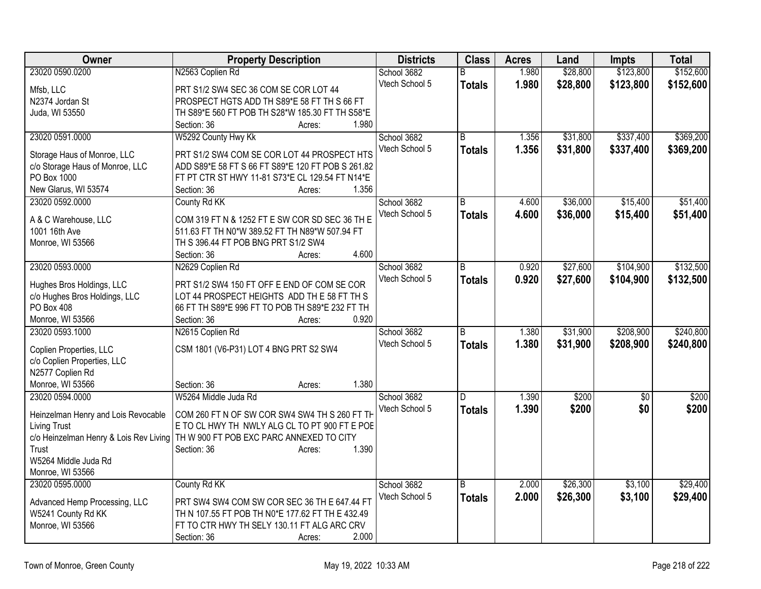| Owner                               | <b>Property Description</b>                                                       | <b>Districts</b> | <b>Class</b>   | <b>Acres</b> | Land     | <b>Impts</b>    | <b>Total</b> |
|-------------------------------------|-----------------------------------------------------------------------------------|------------------|----------------|--------------|----------|-----------------|--------------|
| 23020 0590.0200                     | N2563 Coplien Rd                                                                  | School 3682      | B              | 1.980        | \$28,800 | \$123,800       | \$152,600    |
| Mfsb, LLC                           | PRT S1/2 SW4 SEC 36 COM SE COR LOT 44                                             | Vtech School 5   | <b>Totals</b>  | 1.980        | \$28,800 | \$123,800       | \$152,600    |
| N2374 Jordan St                     | PROSPECT HGTS ADD TH S89*E 58 FT TH S 66 FT                                       |                  |                |              |          |                 |              |
| Juda, WI 53550                      | TH S89*E 560 FT POB TH S28*W 185.30 FT TH S58*E                                   |                  |                |              |          |                 |              |
|                                     | Section: 36<br>1.980<br>Acres:                                                    |                  |                |              |          |                 |              |
| 23020 0591.0000                     | W5292 County Hwy Kk                                                               | School 3682      | $\overline{B}$ | 1.356        | \$31,800 | \$337,400       | \$369,200    |
| Storage Haus of Monroe, LLC         | PRT S1/2 SW4 COM SE COR LOT 44 PROSPECT HTS                                       | Vtech School 5   | <b>Totals</b>  | 1.356        | \$31,800 | \$337,400       | \$369,200    |
| c/o Storage Haus of Monroe, LLC     | ADD S89*E 58 FT S 66 FT S89*E 120 FT POB S 261.82                                 |                  |                |              |          |                 |              |
| PO Box 1000                         | FT PT CTR ST HWY 11-81 S73*E CL 129.54 FT N14*E                                   |                  |                |              |          |                 |              |
| New Glarus, WI 53574                | 1.356<br>Section: 36<br>Acres:                                                    |                  |                |              |          |                 |              |
| 23020 0592.0000                     | County Rd KK                                                                      | School 3682      | B              | 4.600        | \$36,000 | \$15,400        | \$51,400     |
|                                     |                                                                                   | Vtech School 5   | <b>Totals</b>  | 4.600        | \$36,000 | \$15,400        | \$51,400     |
| A & C Warehouse, LLC                | COM 319 FT N & 1252 FT E SW COR SD SEC 36 TH E                                    |                  |                |              |          |                 |              |
| 1001 16th Ave                       | 511.63 FT TH N0*W 389.52 FT TH N89*W 507.94 FT                                    |                  |                |              |          |                 |              |
| Monroe, WI 53566                    | TH S 396.44 FT POB BNG PRT S1/2 SW4                                               |                  |                |              |          |                 |              |
|                                     | 4.600<br>Section: 36<br>Acres:                                                    |                  |                |              |          |                 |              |
| 23020 0593.0000                     | N2629 Coplien Rd                                                                  | School 3682      | B              | 0.920        | \$27,600 | \$104,900       | \$132,500    |
| Hughes Bros Holdings, LLC           | PRT S1/2 SW4 150 FT OFF E END OF COM SE COR                                       | Vtech School 5   | <b>Totals</b>  | 0.920        | \$27,600 | \$104,900       | \$132,500    |
| c/o Hughes Bros Holdings, LLC       | LOT 44 PROSPECT HEIGHTS ADD THE 58 FT TH S                                        |                  |                |              |          |                 |              |
| PO Box 408                          | 66 FT TH S89*E 996 FT TO POB TH S89*E 232 FT TH                                   |                  |                |              |          |                 |              |
| Monroe, WI 53566                    | 0.920<br>Section: 36<br>Acres:                                                    |                  |                |              |          |                 |              |
| 23020 0593.1000                     | N2615 Coplien Rd                                                                  | School 3682      | R.             | 1.380        | \$31,900 | \$208,900       | \$240,800    |
|                                     |                                                                                   | Vtech School 5   | <b>Totals</b>  | 1.380        | \$31,900 | \$208,900       | \$240,800    |
| Coplien Properties, LLC             | CSM 1801 (V6-P31) LOT 4 BNG PRT S2 SW4                                            |                  |                |              |          |                 |              |
| c/o Coplien Properties, LLC         |                                                                                   |                  |                |              |          |                 |              |
| N2577 Coplien Rd                    | 1.380                                                                             |                  |                |              |          |                 |              |
| Monroe, WI 53566<br>23020 0594.0000 | Section: 36<br>Acres:<br>W5264 Middle Juda Rd                                     |                  | $\overline{D}$ |              | \$200    |                 |              |
|                                     |                                                                                   | School 3682      |                | 1.390        |          | $\overline{50}$ | \$200        |
| Heinzelman Henry and Lois Revocable | COM 260 FT N OF SW COR SW4 SW4 TH S 260 FT TH                                     | Vtech School 5   | Totals         | 1.390        | \$200    | \$0             | \$200        |
| <b>Living Trust</b>                 | E TO CL HWY TH NWLY ALG CL TO PT 900 FT E POE                                     |                  |                |              |          |                 |              |
|                                     | c/o Heinzelman Henry & Lois Rev Living   TH W 900 FT POB EXC PARC ANNEXED TO CITY |                  |                |              |          |                 |              |
| Trust                               | 1.390<br>Section: 36<br>Acres:                                                    |                  |                |              |          |                 |              |
| W5264 Middle Juda Rd                |                                                                                   |                  |                |              |          |                 |              |
| Monroe, WI 53566                    |                                                                                   |                  |                |              |          |                 |              |
| 23020 0595.0000                     | County Rd KK                                                                      | School 3682      | B              | 2.000        | \$26,300 | \$3,100         | \$29,400     |
| Advanced Hemp Processing, LLC       | PRT SW4 SW4 COM SW COR SEC 36 TH E 647.44 FT                                      | Vtech School 5   | <b>Totals</b>  | 2.000        | \$26,300 | \$3,100         | \$29,400     |
| W5241 County Rd KK                  | TH N 107.55 FT POB TH N0*E 177.62 FT TH E 432.49                                  |                  |                |              |          |                 |              |
| Monroe, WI 53566                    | FT TO CTR HWY TH SELY 130.11 FT ALG ARC CRV                                       |                  |                |              |          |                 |              |
|                                     | 2.000<br>Section: 36<br>Acres:                                                    |                  |                |              |          |                 |              |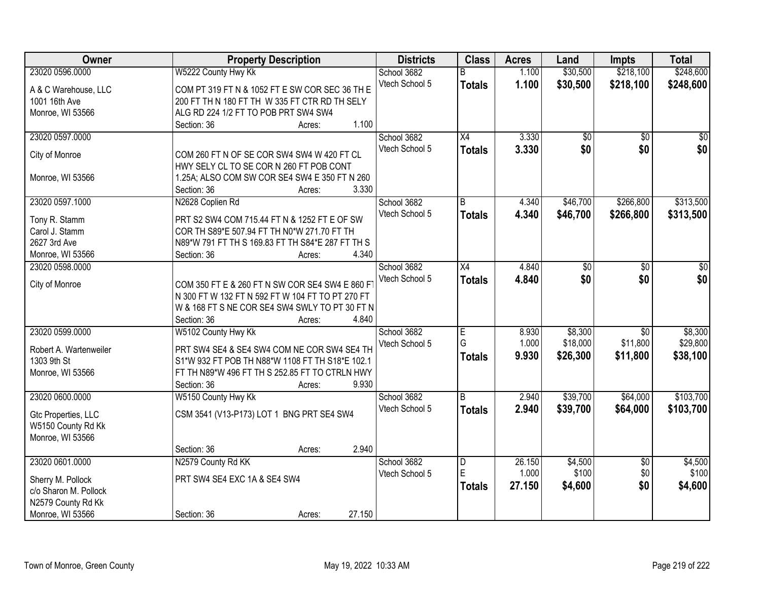| Owner                                                         | <b>Property Description</b>                                                                                                                          | <b>Districts</b>              | <b>Class</b>            | <b>Acres</b>            | Land                            | <b>Impts</b>                            | <b>Total</b>                    |
|---------------------------------------------------------------|------------------------------------------------------------------------------------------------------------------------------------------------------|-------------------------------|-------------------------|-------------------------|---------------------------------|-----------------------------------------|---------------------------------|
| 23020 0596.0000                                               | W5222 County Hwy Kk                                                                                                                                  | School 3682                   | B                       | 1.100                   | \$30,500                        | \$218,100                               | \$248,600                       |
| A & C Warehouse, LLC                                          | COM PT 319 FT N & 1052 FT E SW COR SEC 36 TH E                                                                                                       | Vtech School 5                | <b>Totals</b>           | 1.100                   | \$30,500                        | \$218,100                               | \$248,600                       |
| 1001 16th Ave                                                 | 200 FT TH N 180 FT TH W 335 FT CTR RD TH SELY                                                                                                        |                               |                         |                         |                                 |                                         |                                 |
| Monroe, WI 53566                                              | ALG RD 224 1/2 FT TO POB PRT SW4 SW4                                                                                                                 |                               |                         |                         |                                 |                                         |                                 |
|                                                               | 1.100<br>Section: 36<br>Acres:                                                                                                                       |                               |                         |                         |                                 |                                         |                                 |
| 23020 0597.0000                                               |                                                                                                                                                      | School 3682<br>Vtech School 5 | $\overline{X4}$         | 3.330<br>3.330          | \$0<br>\$0                      | $\overline{50}$<br>\$0                  | $\overline{50}$<br>\$0          |
| City of Monroe                                                | COM 260 FT N OF SE COR SW4 SW4 W 420 FT CL<br>HWY SELY CL TO SE COR N 260 FT POB CONT                                                                |                               | <b>Totals</b>           |                         |                                 |                                         |                                 |
| Monroe, WI 53566                                              | 1.25A; ALSO COM SW COR SE4 SW4 E 350 FT N 260<br>3.330<br>Section: 36<br>Acres:                                                                      |                               |                         |                         |                                 |                                         |                                 |
| 23020 0597.1000                                               | N2628 Coplien Rd                                                                                                                                     | School 3682                   | B                       | 4.340                   | \$46,700                        | \$266,800                               | \$313,500                       |
|                                                               |                                                                                                                                                      | Vtech School 5                | <b>Totals</b>           | 4.340                   | \$46,700                        | \$266,800                               | \$313,500                       |
| Tony R. Stamm                                                 | PRT S2 SW4 COM 715.44 FT N & 1252 FT E OF SW                                                                                                         |                               |                         |                         |                                 |                                         |                                 |
| Carol J. Stamm                                                | COR TH S89*E 507.94 FT TH N0*W 271.70 FT TH                                                                                                          |                               |                         |                         |                                 |                                         |                                 |
| 2627 3rd Ave                                                  | N89*W 791 FT TH S 169.83 FT TH S84*E 287 FT TH S                                                                                                     |                               |                         |                         |                                 |                                         |                                 |
| Monroe, WI 53566                                              | Section: 36<br>4.340<br>Acres:                                                                                                                       |                               |                         |                         |                                 |                                         |                                 |
| 23020 0598.0000                                               |                                                                                                                                                      | School 3682                   | $\overline{X4}$         | 4.840                   | $\overline{50}$                 | $\overline{50}$                         | \$0                             |
| City of Monroe                                                | COM 350 FT E & 260 FT N SW COR SE4 SW4 E 860 F<br>N 300 FT W 132 FT N 592 FT W 104 FT TO PT 270 FT<br>W & 168 FT S NE COR SE4 SW4 SWLY TO PT 30 FT N | Vtech School 5                | <b>Totals</b>           | 4.840                   | \$0                             | \$0                                     | \$0                             |
|                                                               | 4.840<br>Section: 36<br>Acres:                                                                                                                       |                               |                         |                         |                                 |                                         |                                 |
| 23020 0599.0000<br>Robert A. Wartenweiler                     | W5102 County Hwy Kk<br>PRT SW4 SE4 & SE4 SW4 COM NE COR SW4 SE4 TH                                                                                   | School 3682<br>Vtech School 5 | E<br>G<br><b>Totals</b> | 8.930<br>1.000<br>9.930 | \$8,300<br>\$18,000<br>\$26,300 | $\overline{30}$<br>\$11,800<br>\$11,800 | \$8,300<br>\$29,800<br>\$38,100 |
| 1303 9th St<br>Monroe, WI 53566                               | S1*W 932 FT POB TH N88*W 1108 FT TH S18*E 102.1<br>FT TH N89*W 496 FT TH S 252.85 FT TO CTRLN HWY<br>9.930<br>Section: 36<br>Acres:                  |                               |                         |                         |                                 |                                         |                                 |
| 23020 0600.0000                                               | W5150 County Hwy Kk                                                                                                                                  | School 3682                   | B                       | 2.940                   | \$39,700                        | \$64,000                                | \$103,700                       |
| Gtc Properties, LLC<br>W5150 County Rd Kk<br>Monroe, WI 53566 | CSM 3541 (V13-P173) LOT 1 BNG PRT SE4 SW4                                                                                                            | Vtech School 5                | <b>Totals</b>           | 2.940                   | \$39,700                        | \$64,000                                | \$103,700                       |
|                                                               | 2.940<br>Section: 36<br>Acres:                                                                                                                       |                               |                         |                         |                                 |                                         |                                 |
| 23020 0601.0000                                               | N2579 County Rd KK                                                                                                                                   | School 3682                   | $\overline{\mathsf{D}}$ | 26.150                  | \$4,500                         | $\overline{50}$                         | \$4,500                         |
|                                                               |                                                                                                                                                      | Vtech School 5                | E                       | 1.000                   | \$100                           | \$0                                     | \$100                           |
| Sherry M. Pollock                                             | PRT SW4 SE4 EXC 1A & SE4 SW4                                                                                                                         |                               | <b>Totals</b>           | 27.150                  | \$4,600                         | \$0                                     | \$4,600                         |
| c/o Sharon M. Pollock                                         |                                                                                                                                                      |                               |                         |                         |                                 |                                         |                                 |
| N2579 County Rd Kk                                            |                                                                                                                                                      |                               |                         |                         |                                 |                                         |                                 |
| Monroe, WI 53566                                              | 27.150<br>Section: 36<br>Acres:                                                                                                                      |                               |                         |                         |                                 |                                         |                                 |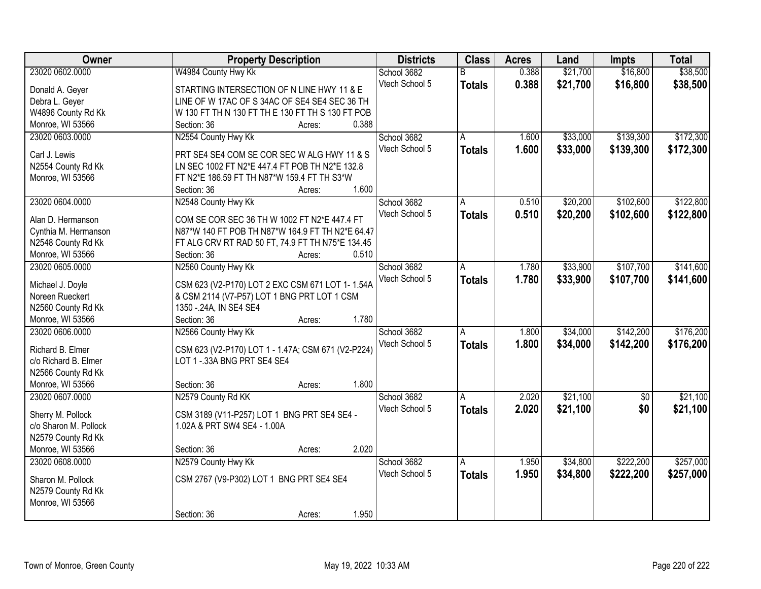| Owner                 | <b>Property Description</b>                        |        | <b>Districts</b> | <b>Class</b>  | <b>Acres</b> | Land     | <b>Impts</b>    | <b>Total</b> |
|-----------------------|----------------------------------------------------|--------|------------------|---------------|--------------|----------|-----------------|--------------|
| 23020 0602.0000       | W4984 County Hwy Kk                                |        | School 3682      | B             | 0.388        | \$21,700 | \$16,800        | \$38,500     |
| Donald A. Geyer       | STARTING INTERSECTION OF N LINE HWY 11 & E         |        | Vtech School 5   | <b>Totals</b> | 0.388        | \$21,700 | \$16,800        | \$38,500     |
| Debra L. Geyer        | LINE OF W 17AC OF S 34AC OF SE4 SE4 SEC 36 TH      |        |                  |               |              |          |                 |              |
| W4896 County Rd Kk    | W 130 FT TH N 130 FT TH E 130 FT TH S 130 FT POB   |        |                  |               |              |          |                 |              |
| Monroe, WI 53566      | Section: 36                                        | Acres: | 0.388            |               |              |          |                 |              |
| 23020 0603.0000       | N2554 County Hwy Kk                                |        | School 3682      | A             | 1.600        | \$33,000 | \$139,300       | \$172,300    |
| Carl J. Lewis         | PRT SE4 SE4 COM SE COR SEC W ALG HWY 11 & S        |        | Vtech School 5   | <b>Totals</b> | 1.600        | \$33,000 | \$139,300       | \$172,300    |
| N2554 County Rd Kk    | LN SEC 1002 FT N2*E 447.4 FT POB TH N2*E 132.8     |        |                  |               |              |          |                 |              |
| Monroe, WI 53566      | FT N2*E 186.59 FT TH N87*W 159.4 FT TH S3*W        |        |                  |               |              |          |                 |              |
|                       | Section: 36                                        | Acres: | 1.600            |               |              |          |                 |              |
| 23020 0604.0000       |                                                    |        | School 3682      |               | 0.510        | \$20,200 | \$102,600       | \$122,800    |
|                       | N2548 County Hwy Kk                                |        | Vtech School 5   | A             |              |          |                 |              |
| Alan D. Hermanson     | COM SE COR SEC 36 TH W 1002 FT N2*E 447.4 FT       |        |                  | <b>Totals</b> | 0.510        | \$20,200 | \$102,600       | \$122,800    |
| Cynthia M. Hermanson  | N87*W 140 FT POB TH N87*W 164.9 FT TH N2*E 64.47   |        |                  |               |              |          |                 |              |
| N2548 County Rd Kk    | FT ALG CRV RT RAD 50 FT, 74.9 FT TH N75*E 134.45   |        |                  |               |              |          |                 |              |
| Monroe, WI 53566      | Section: 36                                        | Acres: | 0.510            |               |              |          |                 |              |
| 23020 0605.0000       | N2560 County Hwy Kk                                |        | School 3682      | A             | 1.780        | \$33,900 | \$107,700       | \$141,600    |
|                       |                                                    |        | Vtech School 5   | <b>Totals</b> | 1.780        | \$33,900 | \$107,700       | \$141,600    |
| Michael J. Doyle      | CSM 623 (V2-P170) LOT 2 EXC CSM 671 LOT 1-1.54A    |        |                  |               |              |          |                 |              |
| Noreen Rueckert       | & CSM 2114 (V7-P57) LOT 1 BNG PRT LOT 1 CSM        |        |                  |               |              |          |                 |              |
| N2560 County Rd Kk    | 1350 - 24A, IN SE4 SE4                             |        |                  |               |              |          |                 |              |
| Monroe, WI 53566      | Section: 36                                        | Acres: | 1.780            |               |              |          |                 |              |
| 23020 0606.0000       | N2566 County Hwy Kk                                |        | School 3682      | A             | 1.800        | \$34,000 | \$142,200       | \$176,200    |
| Richard B. Elmer      | CSM 623 (V2-P170) LOT 1 - 1.47A; CSM 671 (V2-P224) |        | Vtech School 5   | <b>Totals</b> | 1.800        | \$34,000 | \$142,200       | \$176,200    |
| c/o Richard B. Elmer  | LOT 1 - 33A BNG PRT SE4 SE4                        |        |                  |               |              |          |                 |              |
| N2566 County Rd Kk    |                                                    |        |                  |               |              |          |                 |              |
| Monroe, WI 53566      | Section: 36                                        | Acres: | 1.800            |               |              |          |                 |              |
| 23020 0607.0000       | N2579 County Rd KK                                 |        | School 3682      | A             | 2.020        | \$21,100 | $\overline{50}$ | \$21,100     |
|                       |                                                    |        | Vtech School 5   | <b>Totals</b> | 2.020        | \$21,100 | \$0             | \$21,100     |
| Sherry M. Pollock     | CSM 3189 (V11-P257) LOT 1 BNG PRT SE4 SE4 -        |        |                  |               |              |          |                 |              |
| c/o Sharon M. Pollock | 1.02A & PRT SW4 SE4 - 1.00A                        |        |                  |               |              |          |                 |              |
| N2579 County Rd Kk    |                                                    |        |                  |               |              |          |                 |              |
| Monroe, WI 53566      | Section: 36                                        | Acres: | 2.020            |               |              |          |                 |              |
| 23020 0608.0000       | N2579 County Hwy Kk                                |        | School 3682      | A             | 1.950        | \$34,800 | \$222,200       | \$257,000    |
| Sharon M. Pollock     | CSM 2767 (V9-P302) LOT 1 BNG PRT SE4 SE4           |        | Vtech School 5   | <b>Totals</b> | 1.950        | \$34,800 | \$222,200       | \$257,000    |
| N2579 County Rd Kk    |                                                    |        |                  |               |              |          |                 |              |
| Monroe, WI 53566      |                                                    |        |                  |               |              |          |                 |              |
|                       | Section: 36                                        | Acres: | 1.950            |               |              |          |                 |              |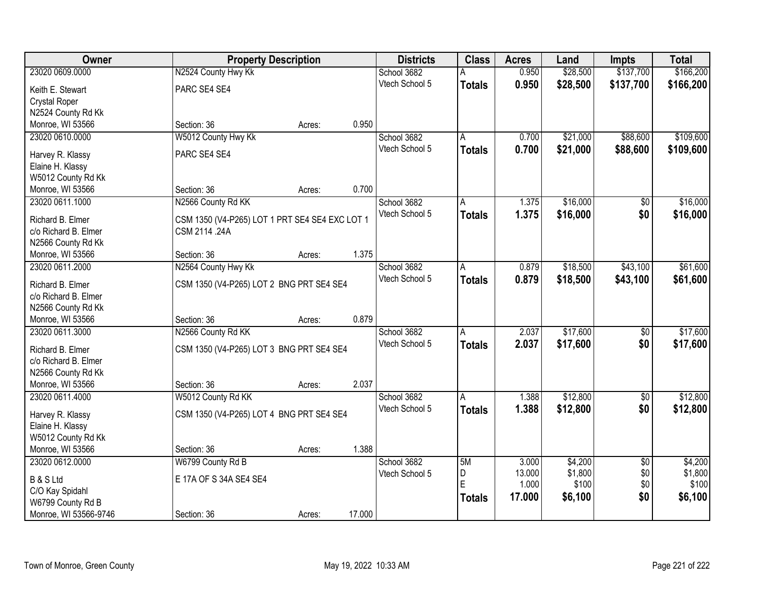| Owner                                    |                                                | <b>Property Description</b> |        | <b>Districts</b> | <b>Class</b>  | <b>Acres</b> | Land     | <b>Impts</b>    | <b>Total</b> |
|------------------------------------------|------------------------------------------------|-----------------------------|--------|------------------|---------------|--------------|----------|-----------------|--------------|
| 23020 0609.0000                          | N2524 County Hwy Kk                            |                             |        | School 3682      | А             | 0.950        | \$28,500 | \$137,700       | \$166,200    |
| Keith E. Stewart                         | PARC SE4 SE4                                   |                             |        | Vtech School 5   | <b>Totals</b> | 0.950        | \$28,500 | \$137,700       | \$166,200    |
| <b>Crystal Roper</b>                     |                                                |                             |        |                  |               |              |          |                 |              |
| N2524 County Rd Kk                       |                                                |                             |        |                  |               |              |          |                 |              |
| Monroe, WI 53566                         | Section: 36                                    | Acres:                      | 0.950  |                  |               |              |          |                 |              |
| 23020 0610.0000                          | W5012 County Hwy Kk                            |                             |        | School 3682      | A             | 0.700        | \$21,000 | \$88,600        | \$109,600    |
|                                          |                                                |                             |        | Vtech School 5   | <b>Totals</b> | 0.700        | \$21,000 | \$88,600        | \$109,600    |
| Harvey R. Klassy                         | PARC SE4 SE4                                   |                             |        |                  |               |              |          |                 |              |
| Elaine H. Klassy                         |                                                |                             |        |                  |               |              |          |                 |              |
| W5012 County Rd Kk                       |                                                |                             |        |                  |               |              |          |                 |              |
| Monroe, WI 53566                         | Section: 36                                    | Acres:                      | 0.700  |                  |               |              |          |                 |              |
| 23020 0611.1000                          | N2566 County Rd KK                             |                             |        | School 3682      | A             | 1.375        | \$16,000 | \$0             | \$16,000     |
| Richard B. Elmer                         | CSM 1350 (V4-P265) LOT 1 PRT SE4 SE4 EXC LOT 1 |                             |        | Vtech School 5   | <b>Totals</b> | 1.375        | \$16,000 | \$0             | \$16,000     |
| c/o Richard B. Elmer                     | CSM 2114 .24A                                  |                             |        |                  |               |              |          |                 |              |
| N2566 County Rd Kk                       |                                                |                             |        |                  |               |              |          |                 |              |
| Monroe, WI 53566                         | Section: 36                                    | Acres:                      | 1.375  |                  |               |              |          |                 |              |
| 23020 0611.2000                          | N2564 County Hwy Kk                            |                             |        | School 3682      | A             | 0.879        | \$18,500 | \$43,100        | \$61,600     |
|                                          |                                                |                             |        | Vtech School 5   | <b>Totals</b> | 0.879        | \$18,500 | \$43,100        | \$61,600     |
| Richard B. Elmer<br>c/o Richard B. Elmer | CSM 1350 (V4-P265) LOT 2 BNG PRT SE4 SE4       |                             |        |                  |               |              |          |                 |              |
| N2566 County Rd Kk                       |                                                |                             |        |                  |               |              |          |                 |              |
| Monroe, WI 53566                         | Section: 36                                    | Acres:                      | 0.879  |                  |               |              |          |                 |              |
| 23020 0611.3000                          | N2566 County Rd KK                             |                             |        | School 3682      | A             | 2.037        | \$17,600 | $\overline{50}$ | \$17,600     |
|                                          |                                                |                             |        | Vtech School 5   |               | 2.037        | \$17,600 | \$0             |              |
| Richard B. Elmer                         | CSM 1350 (V4-P265) LOT 3 BNG PRT SE4 SE4       |                             |        |                  | <b>Totals</b> |              |          |                 | \$17,600     |
| c/o Richard B. Elmer                     |                                                |                             |        |                  |               |              |          |                 |              |
| N2566 County Rd Kk                       |                                                |                             |        |                  |               |              |          |                 |              |
| Monroe, WI 53566                         | Section: 36                                    | Acres:                      | 2.037  |                  |               |              |          |                 |              |
| 23020 0611.4000                          | W5012 County Rd KK                             |                             |        | School 3682      | A             | 1.388        | \$12,800 | $\overline{50}$ | \$12,800     |
| Harvey R. Klassy                         | CSM 1350 (V4-P265) LOT 4 BNG PRT SE4 SE4       |                             |        | Vtech School 5   | <b>Totals</b> | 1.388        | \$12,800 | \$0             | \$12,800     |
| Elaine H. Klassy                         |                                                |                             |        |                  |               |              |          |                 |              |
| W5012 County Rd Kk                       |                                                |                             |        |                  |               |              |          |                 |              |
| Monroe, WI 53566                         | Section: 36                                    | Acres:                      | 1.388  |                  |               |              |          |                 |              |
| 23020 0612,0000                          | W6799 County Rd B                              |                             |        | School 3682      | 5M            | 3.000        | \$4,200  | $\overline{50}$ | \$4,200      |
|                                          |                                                |                             |        | Vtech School 5   | D             | 13.000       | \$1,800  | \$0             | \$1,800      |
| <b>B &amp; S Ltd</b>                     | E 17A OF S 34A SE4 SE4                         |                             |        |                  | E             | 1.000        | \$100    | \$0             | \$100        |
| C/O Kay Spidahl                          |                                                |                             |        |                  | <b>Totals</b> | 17.000       | \$6,100  | \$0             | \$6,100      |
| W6799 County Rd B                        |                                                |                             |        |                  |               |              |          |                 |              |
| Monroe, WI 53566-9746                    | Section: 36                                    | Acres:                      | 17.000 |                  |               |              |          |                 |              |